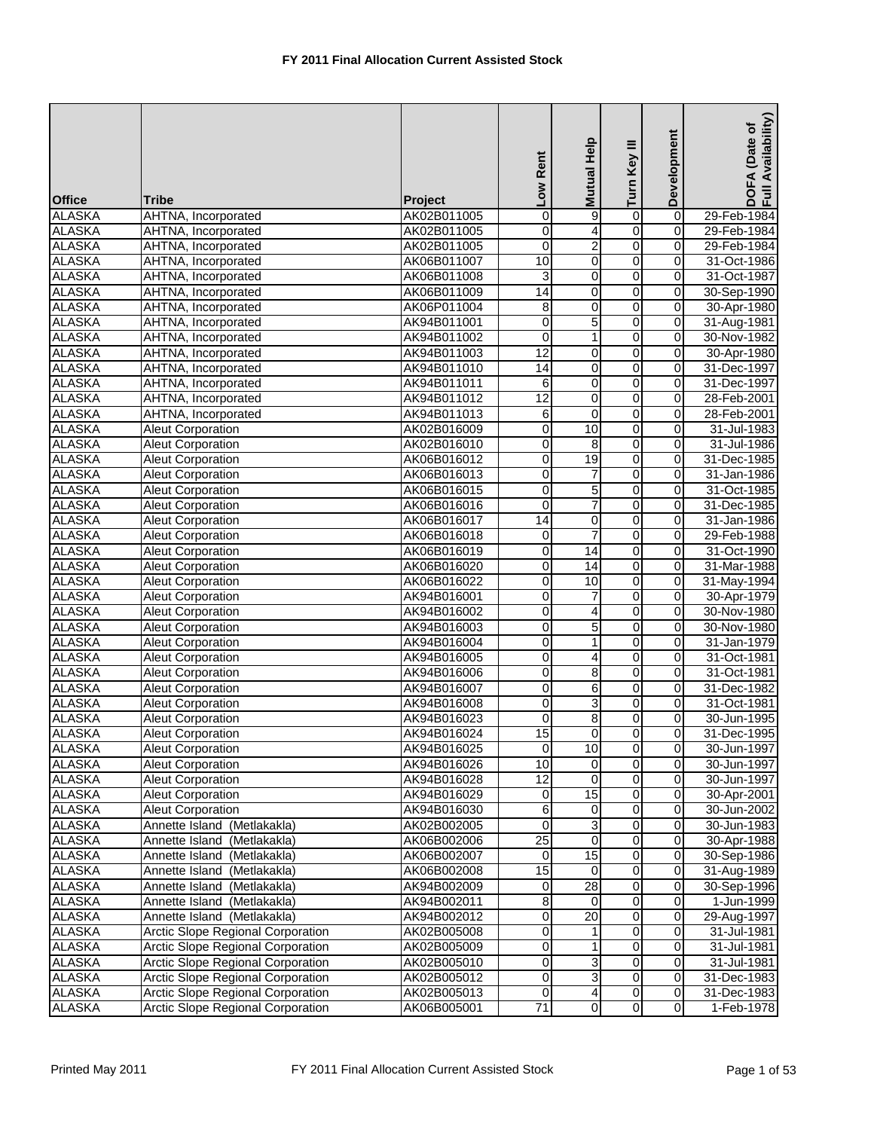| <b>Office</b> | <b>Tribe</b>                             | Project     | Low Rent         | Mutual Help     | Turn Key III   | Development             | DOFA (Date of<br>Full Availability) |
|---------------|------------------------------------------|-------------|------------------|-----------------|----------------|-------------------------|-------------------------------------|
| <b>ALASKA</b> | AHTNA, Incorporated                      | AK02B011005 | 0                | 9               | $\overline{0}$ | $\pmb{0}$               | 29-Feb-1984                         |
| <b>ALASKA</b> | AHTNA, Incorporated                      | AK02B011005 | 0                | 4               | 0              | $\mathbf 0$             | 29-Feb-1984                         |
| <b>ALASKA</b> | AHTNA, Incorporated                      | AK02B011005 | 0                | $\overline{2}$  | 0              | $\mathbf 0$             | 29-Feb-1984                         |
| <b>ALASKA</b> | AHTNA, Incorporated                      | AK06B011007 | 10               | $\pmb{0}$       | $\overline{0}$ | 0                       | 31-Oct-1986                         |
| <b>ALASKA</b> | AHTNA, Incorporated                      | AK06B011008 | 3                | 0               | ō              | $\overline{0}$          | 31-Oct-1987                         |
| <b>ALASKA</b> | AHTNA, Incorporated                      | AK06B011009 | 14               | 0               | 0              | 0                       | 30-Sep-1990                         |
| <b>ALASKA</b> | AHTNA, Incorporated                      | AK06P011004 | 8                | $\mathbf 0$     | 0              | 0                       | 30-Apr-1980                         |
| <b>ALASKA</b> | AHTNA, Incorporated                      | AK94B011001 | 0                | 5               | $\overline{0}$ | $\pmb{0}$               | 31-Aug-1981                         |
| <b>ALASKA</b> | AHTNA, Incorporated                      | AK94B011002 | $\mathbf 0$      | 1               | 0              | $\mathbf 0$             | 30-Nov-1982                         |
| <b>ALASKA</b> | AHTNA, Incorporated                      | AK94B011003 | $\overline{12}$  | 0               | 0              | $\overline{0}$          | 30-Apr-1980                         |
| <b>ALASKA</b> | AHTNA, Incorporated                      | AK94B011010 | $\overline{14}$  | 0               | 0              | 0                       | 31-Dec-1997                         |
| <b>ALASKA</b> | AHTNA, Incorporated                      | AK94B011011 | 6                | $\mathbf 0$     | 0              | $\mathbf 0$             | 31-Dec-1997                         |
| <b>ALASKA</b> | AHTNA, Incorporated                      | AK94B011012 | 12               | 0               | $\overline{0}$ | 0                       | 28-Feb-2001                         |
| <b>ALASKA</b> | AHTNA, Incorporated                      | AK94B011013 | $\overline{6}$   | $\mathbf 0$     | $\overline{0}$ | $\pmb{0}$               | 28-Feb-2001                         |
| <b>ALASKA</b> | <b>Aleut Corporation</b>                 | AK02B016009 | 0                | 10              | 0              | 0                       | 31-Jul-1983                         |
| <b>ALASKA</b> | <b>Aleut Corporation</b>                 | AK02B016010 | 0                | 8               | 0              | 0                       | 31-Jul-1986                         |
| <b>ALASKA</b> | <b>Aleut Corporation</b>                 | AK06B016012 | 0                | 19              | 0              | $\pmb{0}$               | 31-Dec-1985                         |
| <b>ALASKA</b> | <b>Aleut Corporation</b>                 | AK06B016013 | 0                | $\overline{7}$  | 0              | $\mathbf 0$             | 31-Jan-1986                         |
| <b>ALASKA</b> | <b>Aleut Corporation</b>                 | AK06B016015 | 0                | 5               | 0              | $\overline{0}$          | 31-Oct-1985                         |
| <b>ALASKA</b> | <b>Aleut Corporation</b>                 | AK06B016016 | 0                | 7               | 0              | 0                       | 31-Dec-1985                         |
| <b>ALASKA</b> | <b>Aleut Corporation</b>                 | AK06B016017 | 14               | $\overline{0}$  | $\overline{0}$ | $\overline{0}$          | 31-Jan-1986                         |
| <b>ALASKA</b> | Aleut Corporation                        | AK06B016018 | 0                | $\overline{7}$  | $\overline{0}$ | $\mathbf 0$             | 29-Feb-1988                         |
| <b>ALASKA</b> | <b>Aleut Corporation</b>                 | AK06B016019 | 0                | 14              | 0              | 0                       | 31-Oct-1990                         |
| <b>ALASKA</b> | <b>Aleut Corporation</b>                 | AK06B016020 | 0                | 14              | $\overline{0}$ | 0                       | 31-Mar-1988                         |
| <b>ALASKA</b> | <b>Aleut Corporation</b>                 | AK06B016022 | 0                | 10              | 0              | 0                       | 31-May-1994                         |
| <b>ALASKA</b> | <b>Aleut Corporation</b>                 | AK94B016001 | 0                | 7               | 0              | $\mathbf 0$             | 30-Apr-1979                         |
| <b>ALASKA</b> | <b>Aleut Corporation</b>                 | AK94B016002 | 0                | 4               | 0              | $\mathbf 0$             | 30-Nov-1980                         |
| <b>ALASKA</b> | <b>Aleut Corporation</b>                 | AK94B016003 | 0                | 5               | 0              | 0                       | 30-Nov-1980                         |
| <b>ALASKA</b> | <b>Aleut Corporation</b>                 | AK94B016004 | 0                | 1               | $\overline{0}$ | 0                       | 31-Jan-1979                         |
| <b>ALASKA</b> | Aleut Corporation                        | AK94B016005 | 0                | 4               | $\overline{0}$ | $\overline{0}$          | 31-Oct-1981                         |
| <b>ALASKA</b> | Aleut Corporation                        | AK94B016006 | $\boldsymbol{0}$ | 8               | $\overline{0}$ | $\mathbf 0$             | 31-Oct-1981                         |
| <b>ALASKA</b> | <b>Aleut Corporation</b>                 | AK94B016007 | 0                | 6               | $\overline{0}$ | 0                       | 31-Dec-1982                         |
| <b>ALASKA</b> | Aleut Corporation                        | AK94B016008 | 0                | 3               | 0              | $\pmb{0}$               | 31-Oct-1981                         |
| <b>ALASKA</b> | <b>Aleut Corporation</b>                 | AK94B016023 | 0                | 8               | 0              | 0                       | 30-Jun-1995                         |
| <b>ALASKA</b> | <b>Aleut Corporation</b>                 | AK94B016024 | $\overline{15}$  | 0               | 0              | $\overline{0}$          | 31-Dec-1995                         |
| <b>ALASKA</b> | <b>Aleut Corporation</b>                 | AK94B016025 | $\mathbf 0$      | 10              | $\overline{0}$ | $\mathbf 0$             | 30-Jun-1997                         |
| <b>ALASKA</b> | <b>Aleut Corporation</b>                 | AK94B016026 | 10               | 0               | 0              | $\mathbf 0$             | 30-Jun-1997                         |
| <b>ALASKA</b> | <b>Aleut Corporation</b>                 | AK94B016028 | $\overline{12}$  | 0               | 0              | $\mathbf 0$             | 30-Jun-1997                         |
| <b>ALASKA</b> | Aleut Corporation                        | AK94B016029 | $\mathbf 0$      | 15              | $\overline{0}$ | $\overline{\mathbf{o}}$ | 30-Apr-2001                         |
| <b>ALASKA</b> | Aleut Corporation                        | AK94B016030 | 6                | 0               | 0              | 0                       | 30-Jun-2002                         |
| <b>ALASKA</b> | Annette Island (Metlakakla)              | AK02B002005 | 0                | 3               | 0              | $\mathbf 0$             | 30-Jun-1983                         |
| <b>ALASKA</b> | Annette Island (Metlakakla)              | AK06B002006 | $\overline{25}$  | $\mathbf 0$     | $\overline{0}$ | $\mathbf 0$             | 30-Apr-1988                         |
| <b>ALASKA</b> | Annette Island (Metlakakla)              | AK06B002007 | 0                | 15              | 0              | $\mathbf 0$             | 30-Sep-1986                         |
| <b>ALASKA</b> | Annette Island (Metlakakla)              | AK06B002008 | 15               | $\mathbf 0$     | 0              | $\mathbf 0$             | 31-Aug-1989                         |
| <b>ALASKA</b> | Annette Island (Metlakakla)              | AK94B002009 | 0                | 28              | $\overline{0}$ | 0                       | 30-Sep-1996                         |
| <b>ALASKA</b> | Annette Island (Metlakakla)              | AK94B002011 | $\overline{8}$   | $\mathbf 0$     | $\overline{0}$ | $\overline{0}$          | 1-Jun-1999                          |
| <b>ALASKA</b> | Annette Island (Metlakakla)              | AK94B002012 | 0                | $\overline{20}$ | 0              | $\mathbf 0$             | 29-Aug-1997                         |
| <b>ALASKA</b> | Arctic Slope Regional Corporation        | AK02B005008 | 0                | 1               | o              | $\mathbf 0$             | 31-Jul-1981                         |
| <b>ALASKA</b> | <b>Arctic Slope Regional Corporation</b> | AK02B005009 | 0                | 1               | $\overline{0}$ | 0                       | 31-Jul-1981                         |
| <b>ALASKA</b> | <b>Arctic Slope Regional Corporation</b> | AK02B005010 | 0                | 3               | o              | 0                       | 31-Jul-1981                         |
| <b>ALASKA</b> | <b>Arctic Slope Regional Corporation</b> | AK02B005012 | 0                | 3               | 0              | $\mathbf 0$             | 31-Dec-1983                         |
| <b>ALASKA</b> | <b>Arctic Slope Regional Corporation</b> | AK02B005013 | 0                | 4               | 0              | $\mathbf 0$             | 31-Dec-1983                         |
| <b>ALASKA</b> | <b>Arctic Slope Regional Corporation</b> | AK06B005001 | $\overline{71}$  | $\pmb{0}$       | o              | $\mathbf 0$             | 1-Feb-1978                          |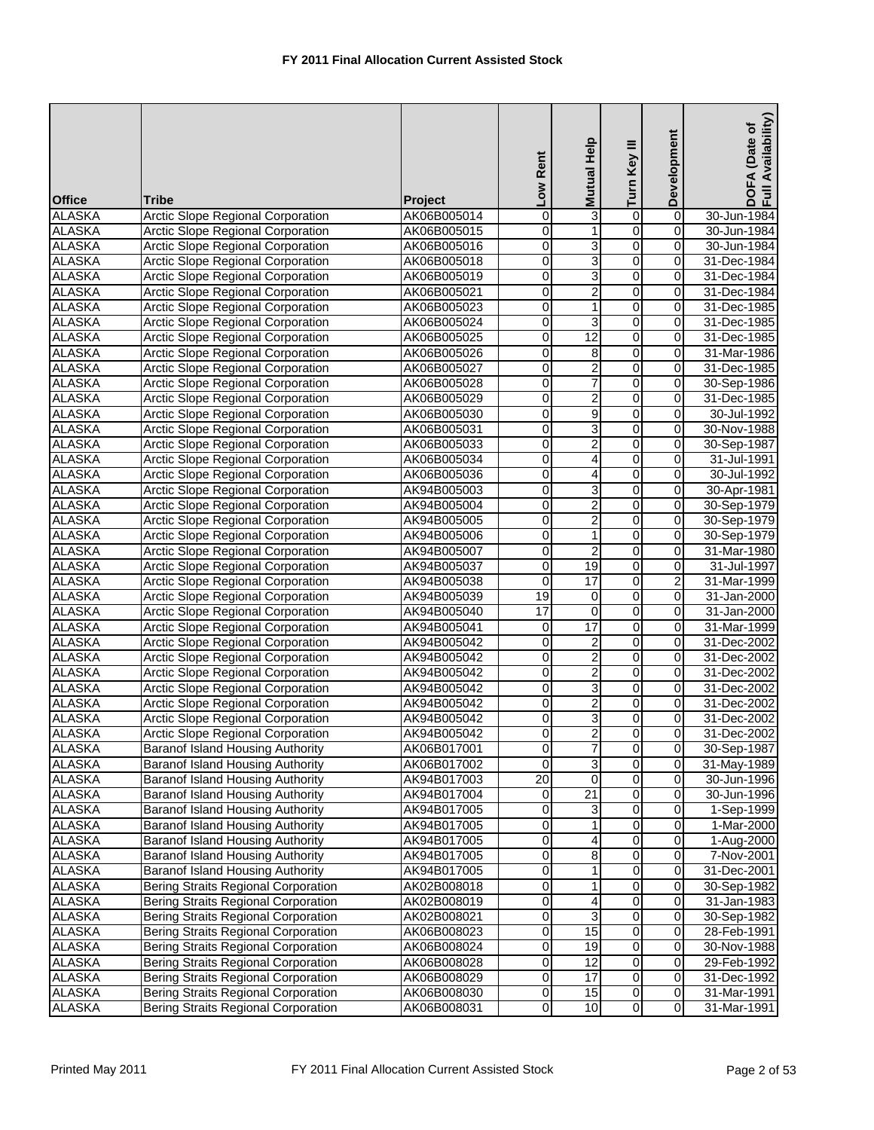| <b>Office</b>                  | <b>Tribe</b>                                                                         | Project                    | Low Rent                | <b>Mutual Help</b>      | Turn Key III        | Development              | Availability)<br>DOFA (Date of<br>Full Availability |
|--------------------------------|--------------------------------------------------------------------------------------|----------------------------|-------------------------|-------------------------|---------------------|--------------------------|-----------------------------------------------------|
| <b>ALASKA</b>                  | <b>Arctic Slope Regional Corporation</b>                                             | AK06B005014                | 0                       | 3                       | $\overline{0}$      | $\overline{0}$           | 30-Jun-1984                                         |
| <b>ALASKA</b>                  | <b>Arctic Slope Regional Corporation</b>                                             | AK06B005015                | 0                       | 1                       | 0                   | 0                        | 30-Jun-1984                                         |
| <b>ALASKA</b>                  | <b>Arctic Slope Regional Corporation</b>                                             | AK06B005016                | 0                       | 3                       | $\overline{0}$      | 0                        | 30-Jun-1984                                         |
| <b>ALASKA</b>                  | <b>Arctic Slope Regional Corporation</b>                                             | AK06B005018                | 0                       | $\overline{3}$          | $\overline{0}$      | $\pmb{0}$                | 31-Dec-1984                                         |
| <b>ALASKA</b>                  | <b>Arctic Slope Regional Corporation</b>                                             | AK06B005019                | 0                       | 3                       | 0                   | 0                        | 31-Dec-1984                                         |
| <b>ALASKA</b>                  | <b>Arctic Slope Regional Corporation</b>                                             | AK06B005021                | 0                       | $\overline{\mathbf{c}}$ | 0                   | $\mathbf 0$              | 31-Dec-1984                                         |
| <b>ALASKA</b>                  | <b>Arctic Slope Regional Corporation</b>                                             | AK06B005023                | 0                       | 1                       | 0                   | 0                        | 31-Dec-1985                                         |
| <b>ALASKA</b>                  | <b>Arctic Slope Regional Corporation</b>                                             | AK06B005024                | 0                       | 3                       | 0                   | $\mathbf 0$              | 31-Dec-1985                                         |
| <b>ALASKA</b>                  | <b>Arctic Slope Regional Corporation</b>                                             | AK06B005025                | 0                       | 12                      | 0                   | 0                        | 31-Dec-1985                                         |
| <b>ALASKA</b>                  | <b>Arctic Slope Regional Corporation</b>                                             | AK06B005026                | 0                       | 8                       | $\overline{0}$      | $\pmb{0}$                | 31-Mar-1986                                         |
| <b>ALASKA</b>                  | <b>Arctic Slope Regional Corporation</b>                                             | AK06B005027                | 0                       | 2                       | 0                   | 0                        | 31-Dec-1985                                         |
| <b>ALASKA</b>                  | <b>Arctic Slope Regional Corporation</b>                                             | AK06B005028                | 0                       | 7                       | o                   | 0                        | 30-Sep-1986                                         |
| <b>ALASKA</b><br><b>ALASKA</b> | <b>Arctic Slope Regional Corporation</b><br><b>Arctic Slope Regional Corporation</b> | AK06B005029<br>AK06B005030 | 0<br>0                  | $\overline{2}$          | $\overline{0}$<br>0 | $\pmb{0}$<br>$\mathbf 0$ | 31-Dec-1985<br>30-Jul-1992                          |
| <b>ALASKA</b>                  | <b>Arctic Slope Regional Corporation</b>                                             |                            | 0                       | 9<br>3                  | 0                   | 0                        | 30-Nov-1988                                         |
| <b>ALASKA</b>                  | <b>Arctic Slope Regional Corporation</b>                                             | AK06B005031<br>AK06B005033 | 0                       | $\overline{2}$          | 0                   | 0                        | 30-Sep-1987                                         |
| <b>ALASKA</b>                  | <b>Arctic Slope Regional Corporation</b>                                             | AK06B005034                | 0                       | 4                       | $\overline{0}$      | $\overline{0}$           | 31-Jul-1991                                         |
| <b>ALASKA</b>                  | <b>Arctic Slope Regional Corporation</b>                                             | AK06B005036                | 0                       | 4                       | 0                   | $\mathbf 0$              | 30-Jul-1992                                         |
| <b>ALASKA</b>                  | <b>Arctic Slope Regional Corporation</b>                                             | AK94B005003                | 0                       | 3                       | 0                   | 0                        | 30-Apr-1981                                         |
| <b>ALASKA</b>                  | <b>Arctic Slope Regional Corporation</b>                                             | AK94B005004                | 0                       | $\overline{2}$          | 0                   | 0                        | 30-Sep-1979                                         |
| <b>ALASKA</b>                  | <b>Arctic Slope Regional Corporation</b>                                             | AK94B005005                | 0                       | 2                       | $\overline{0}$      | 0                        | 30-Sep-1979                                         |
| <b>ALASKA</b>                  | Arctic Slope Regional Corporation                                                    | AK94B005006                | 0                       | 1                       | $\overline{0}$      | $\mathbf 0$              | 30-Sep-1979                                         |
| <b>ALASKA</b>                  | <b>Arctic Slope Regional Corporation</b>                                             | AK94B005007                | 0                       | $\overline{c}$          | 0                   | $\mathbf 0$              | 31-Mar-1980                                         |
| <b>ALASKA</b>                  | <b>Arctic Slope Regional Corporation</b>                                             | AK94B005037                | 0                       | 19                      | 0                   | $\mathbf 0$              | 31-Jul-1997                                         |
| <b>ALASKA</b>                  | <b>Arctic Slope Regional Corporation</b>                                             | AK94B005038                | 0                       | 17                      | o                   | 2                        | 31-Mar-1999                                         |
| <b>ALASKA</b>                  | <b>Arctic Slope Regional Corporation</b>                                             | AK94B005039                | 19                      | $\mathbf 0$             | $\overline{0}$      | $\overline{0}$           | 31-Jan-2000                                         |
| <b>ALASKA</b>                  | Arctic Slope Regional Corporation                                                    | AK94B005040                | 17                      | $\mathbf 0$             | 0                   | 0                        | 31-Jan-2000                                         |
| <b>ALASKA</b>                  | Arctic Slope Regional Corporation                                                    | AK94B005041                | 0                       | 17                      | 0                   | 0                        | 31-Mar-1999                                         |
| <b>ALASKA</b>                  | <b>Arctic Slope Regional Corporation</b>                                             | AK94B005042                | 0                       | $\overline{\mathbf{c}}$ | $\overline{0}$      | 0                        | 31-Dec-2002                                         |
| <b>ALASKA</b>                  | <b>Arctic Slope Regional Corporation</b>                                             | AK94B005042                | 0                       | 2                       | 0                   | 0                        | 31-Dec-2002                                         |
| <b>ALASKA</b>                  | Arctic Slope Regional Corporation                                                    | AK94B005042                | 0                       | $\overline{\mathbf{c}}$ | 0                   | $\mathbf 0$              | 31-Dec-2002                                         |
| <b>ALASKA</b>                  | <b>Arctic Slope Regional Corporation</b>                                             | AK94B005042                | 0                       | 3                       | 0                   | $\mathbf 0$              | 31-Dec-2002                                         |
| <b>ALASKA</b>                  | Arctic Slope Regional Corporation                                                    | AK94B005042                | 0                       | $\mathbf 2$             | 0                   | $\mathbf 0$              | 31-Dec-2002                                         |
| <b>ALASKA</b>                  | <b>Arctic Slope Regional Corporation</b>                                             | AK94B005042                | 0                       | 3                       | 0                   | 0                        | 31-Dec-2002                                         |
| <b>ALASKA</b>                  | Arctic Slope Regional Corporation                                                    | AK94B005042                | $\mathbf 0$             | $\overline{2}$          | $\overline{0}$      | $\overline{0}$           | 31-Dec-2002                                         |
| <b>ALASKA</b>                  | <b>Baranof Island Housing Authority</b>                                              | AK06B017001                | $\overline{\mathbf{0}}$ | 7                       | $\overline{0}$      | $\mathbf 0$              | 30-Sep-1987                                         |
| <b>ALASKA</b>                  | <b>Baranof Island Housing Authority</b>                                              | AK06B017002                | $\mathbf 0$             | 3                       | $\overline{0}$      | 0                        | 31-May-1989                                         |
| <b>ALASKA</b>                  | Baranof Island Housing Authority                                                     | AK94B017003                | $\overline{20}$         | 0                       | 0                   | $\overline{\mathbf{o}}$  | 30-Jun-1996                                         |
| <b>ALASKA</b>                  | Baranof Island Housing Authority                                                     | AK94B017004                | 0                       | $\overline{21}$         | 0                   | $\mathbf 0$              | 30-Jun-1996                                         |
| <b>ALASKA</b>                  | Baranof Island Housing Authority                                                     | AK94B017005                | 0                       | 3                       | 0                   | $\overline{\mathbf{o}}$  | 1-Sep-1999                                          |
| <b>ALASKA</b>                  | <b>Baranof Island Housing Authority</b>                                              | AK94B017005                | 0                       | 1                       | 0                   | 0                        | 1-Mar-2000                                          |
| <b>ALASKA</b>                  | <b>Baranof Island Housing Authority</b>                                              | AK94B017005                | 0                       | 4                       | 0                   | $\overline{\mathbf{o}}$  | 1-Aug-2000                                          |
| <b>ALASKA</b><br><b>ALASKA</b> | Baranof Island Housing Authority                                                     | AK94B017005                | 0                       | 8                       | 0                   | 0<br>$\overline{0}$      | 7-Nov-2001                                          |
| <b>ALASKA</b>                  | Baranof Island Housing Authority<br>Bering Straits Regional Corporation              | AK94B017005<br>AK02B008018 | 0<br>0                  | 1<br>1                  | 0<br>0              | 0                        | 31-Dec-2001                                         |
| <b>ALASKA</b>                  | <b>Bering Straits Regional Corporation</b>                                           | AK02B008019                | 0                       | 4                       | 0                   | $\mathbf 0$              | 30-Sep-1982<br>31-Jan-1983                          |
| <b>ALASKA</b>                  | Bering Straits Regional Corporation                                                  | AK02B008021                | 0                       | 3                       | 0                   | $\mathbf 0$              | 30-Sep-1982                                         |
| <b>ALASKA</b>                  | Bering Straits Regional Corporation                                                  | AK06B008023                | 0                       | 15                      | 0                   | $\mathbf 0$              | 28-Feb-1991                                         |
| <b>ALASKA</b>                  | Bering Straits Regional Corporation                                                  | AK06B008024                | $\overline{\mathbf{0}}$ | 19                      | 0                   | $\overline{\mathbf{o}}$  | 30-Nov-1988                                         |
| <b>ALASKA</b>                  | <b>Bering Straits Regional Corporation</b>                                           | AK06B008028                | 0                       | 12                      | 0                   | 0                        | 29-Feb-1992                                         |
| <b>ALASKA</b>                  | <b>Bering Straits Regional Corporation</b>                                           | AK06B008029                | $\overline{0}$          | $\overline{17}$         | $\overline{0}$      | $\mathbf 0$              | 31-Dec-1992                                         |
| <b>ALASKA</b>                  | Bering Straits Regional Corporation                                                  | AK06B008030                | $\mathbf 0$             | 15                      | $\overline{0}$      | $\mathbf 0$              | 31-Mar-1991                                         |
| <b>ALASKA</b>                  | Bering Straits Regional Corporation                                                  | AK06B008031                | 0                       | 10                      | o                   | 0                        | 31-Mar-1991                                         |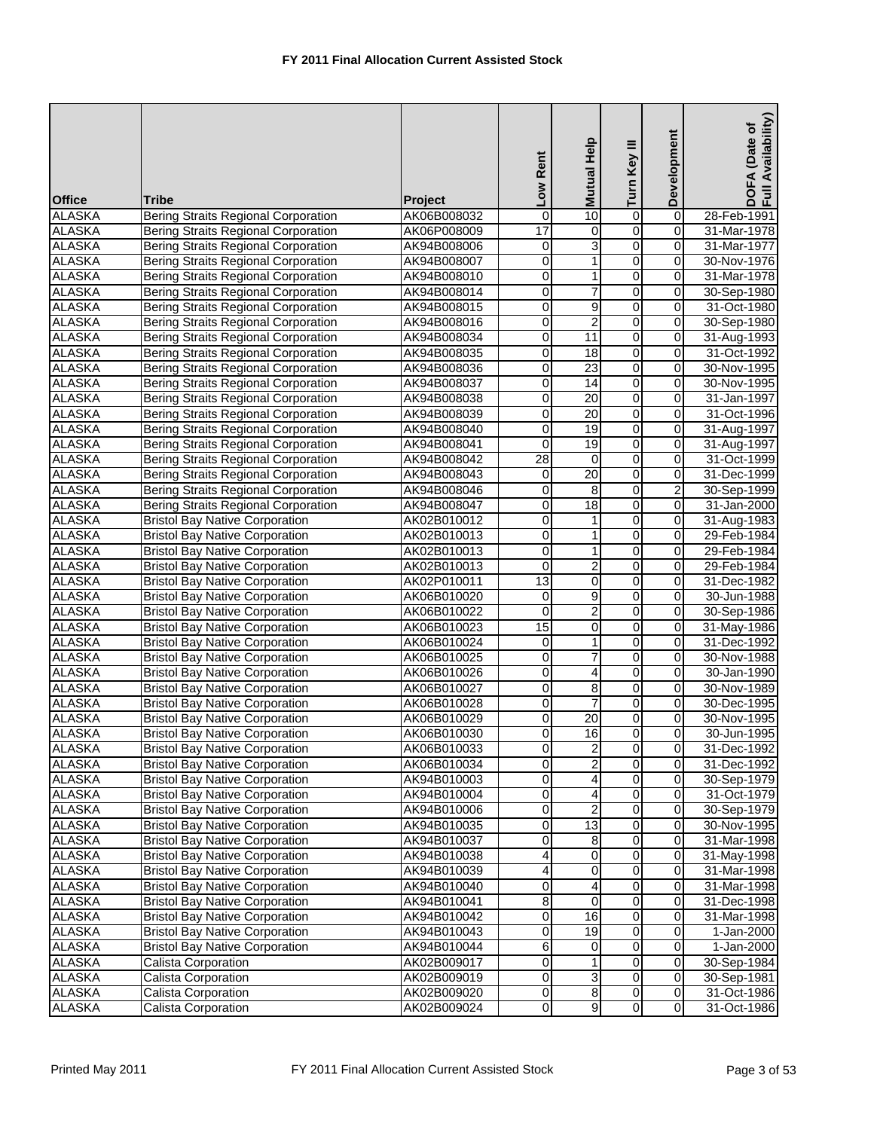| <b>Office</b> | <b>Tribe</b>                               | Project     | Low Rent                | <b>Mutual Help</b>      | Turn Key III   | Development             | Availability)<br>DOFA (Date of<br>Full Availability |
|---------------|--------------------------------------------|-------------|-------------------------|-------------------------|----------------|-------------------------|-----------------------------------------------------|
| <b>ALASKA</b> | <b>Bering Straits Regional Corporation</b> | AK06B008032 | 0                       | 10                      | $\overline{0}$ | $\overline{0}$          | 28-Feb-1991                                         |
| <b>ALASKA</b> | Bering Straits Regional Corporation        | AK06P008009 | 17                      | 0                       | 0              | $\mathbf 0$             | 31-Mar-1978                                         |
| <b>ALASKA</b> | <b>Bering Straits Regional Corporation</b> | AK94B008006 | 0                       | 3                       | o              | 0                       | 31-Mar-1977                                         |
| <b>ALASKA</b> | <b>Bering Straits Regional Corporation</b> | AK94B008007 | 0                       | $\mathbf{1}$            | $\overline{0}$ | $\mathbf 0$             | 30-Nov-1976                                         |
| <b>ALASKA</b> | <b>Bering Straits Regional Corporation</b> | AK94B008010 | 0                       | 1                       | 0              | $\mathbf 0$             | 31-Mar-1978                                         |
| <b>ALASKA</b> | <b>Bering Straits Regional Corporation</b> | AK94B008014 | 0                       | 7                       | 0              | $\overline{0}$          | 30-Sep-1980                                         |
| <b>ALASKA</b> | <b>Bering Straits Regional Corporation</b> | AK94B008015 | 0                       | 9                       | 0              | $\overline{0}$          | 31-Oct-1980                                         |
| <b>ALASKA</b> | Bering Straits Regional Corporation        | AK94B008016 | 0                       | $\overline{c}$          | O              | $\overline{\mathbf{0}}$ | 30-Sep-1980                                         |
| <b>ALASKA</b> | <b>Bering Straits Regional Corporation</b> | AK94B008034 | 0                       | 11                      | 0              | 0                       | 31-Aug-1993                                         |
| <b>ALASKA</b> | <b>Bering Straits Regional Corporation</b> | AK94B008035 | 0                       | 18                      | $\overline{0}$ | $\pmb{0}$               | 31-Oct-1992                                         |
| <b>ALASKA</b> | <b>Bering Straits Regional Corporation</b> | AK94B008036 | 0                       | 23                      | 0              | 0                       | 30-Nov-1995                                         |
| <b>ALASKA</b> | <b>Bering Straits Regional Corporation</b> | AK94B008037 | 0                       | 14                      | o              | 0                       | 30-Nov-1995                                         |
| <b>ALASKA</b> | <b>Bering Straits Regional Corporation</b> | AK94B008038 | 0                       | $\overline{20}$         | $\overline{0}$ | $\overline{0}$          | 31-Jan-1997                                         |
| <b>ALASKA</b> | <b>Bering Straits Regional Corporation</b> | AK94B008039 | 0                       | 20                      | 0              | $\mathbf 0$             | 31-Oct-1996                                         |
| <b>ALASKA</b> | <b>Bering Straits Regional Corporation</b> | AK94B008040 | 0                       | 19                      | 0              | $\overline{0}$          | 31-Aug-1997                                         |
| <b>ALASKA</b> | <b>Bering Straits Regional Corporation</b> | AK94B008041 | 0                       | 19                      | 0              | $\mathbf 0$             | 31-Aug-1997                                         |
| <b>ALASKA</b> | <b>Bering Straits Regional Corporation</b> | AK94B008042 | 28                      | $\boldsymbol{0}$        | $\overline{0}$ | $\overline{0}$          | 31-Oct-1999                                         |
| <b>ALASKA</b> | <b>Bering Straits Regional Corporation</b> | AK94B008043 | 0                       | $\overline{20}$         | 0              | $\mathbf 0$             | 31-Dec-1999                                         |
| <b>ALASKA</b> | <b>Bering Straits Regional Corporation</b> | AK94B008046 | 0                       | 8                       | 0              | $\overline{2}$          | 30-Sep-1999                                         |
| <b>ALASKA</b> | <b>Bering Straits Regional Corporation</b> | AK94B008047 | 0                       | $\overline{18}$         | 0              | $\mathbf 0$             | 31-Jan-2000                                         |
| <b>ALASKA</b> | <b>Bristol Bay Native Corporation</b>      |             |                         |                         | 0              | 0                       |                                                     |
| <b>ALASKA</b> |                                            | AK02B010012 | 0<br>0                  | 1<br>1                  | $\overline{0}$ | $\mathbf 0$             | 31-Aug-1983                                         |
|               | <b>Bristol Bay Native Corporation</b>      | AK02B010013 |                         |                         |                |                         | 29-Feb-1984                                         |
| <b>ALASKA</b> | <b>Bristol Bay Native Corporation</b>      | AK02B010013 | 0                       | 1                       | 0              | $\mathbf 0$             | 29-Feb-1984                                         |
| <b>ALASKA</b> | <b>Bristol Bay Native Corporation</b>      | AK02B010013 | 0                       | 2                       | 0              | $\mathbf 0$             | 29-Feb-1984                                         |
| <b>ALASKA</b> | <b>Bristol Bay Native Corporation</b>      | AK02P010011 | $\overline{13}$         | 0                       | $\overline{0}$ | 0                       | 31-Dec-1982                                         |
| <b>ALASKA</b> | <b>Bristol Bay Native Corporation</b>      | AK06B010020 | 0                       | $\overline{9}$          | $\overline{0}$ | $\mathbf 0$             | 30-Jun-1988                                         |
| <b>ALASKA</b> | <b>Bristol Bay Native Corporation</b>      | AK06B010022 | $\mathbf 0$             | $\overline{c}$          | 0              | $\mathbf 0$             | 30-Sep-1986                                         |
| <b>ALASKA</b> | <b>Bristol Bay Native Corporation</b>      | AK06B010023 | 15                      | 0                       | 0              | $\mathbf 0$             | 31-May-1986                                         |
| <b>ALASKA</b> | <b>Bristol Bay Native Corporation</b>      | AK06B010024 | 0                       | $\mathbf{1}$            | $\overline{0}$ | $\mathbf 0$             | 31-Dec-1992                                         |
| <b>ALASKA</b> | <b>Bristol Bay Native Corporation</b>      | AK06B010025 | 0                       | 7                       | 0              | 0                       | 30-Nov-1988                                         |
| <b>ALASKA</b> | <b>Bristol Bay Native Corporation</b>      | AK06B010026 | 0                       | 4                       | 0              | $\mathbf 0$             | 30-Jan-1990                                         |
| <b>ALASKA</b> | <b>Bristol Bay Native Corporation</b>      | AK06B010027 | 0                       | $\overline{8}$          | 0              | $\mathbf 0$             | 30-Nov-1989                                         |
| <b>ALASKA</b> | <b>Bristol Bay Native Corporation</b>      | AK06B010028 | $\overline{\mathsf{o}}$ | $\overline{7}$          | 0              | $\mathbf 0$             | 30-Dec-1995                                         |
| <b>ALASKA</b> | <b>Bristol Bay Native Corporation</b>      | AK06B010029 | 0                       | 20                      | 0              | 0                       | 30-Nov-1995                                         |
| <b>ALASKA</b> | <b>Bristol Bay Native Corporation</b>      | AK06B010030 | $\mathbf 0$             | 16                      | $\overline{0}$ | $\overline{0}$          | 30-Jun-1995                                         |
| <b>ALASKA</b> | <b>Bristol Bay Native Corporation</b>      | AK06B010033 | 0                       | $\overline{2}$          | $\overline{0}$ | $\mathbf 0$             | 31-Dec-1992                                         |
| <b>ALASKA</b> | <b>Bristol Bay Native Corporation</b>      | AK06B010034 | 0                       | $\overline{2}$          | $\overline{0}$ | $\mathbf 0$             | 31-Dec-1992                                         |
| <b>ALASKA</b> | <b>Bristol Bay Native Corporation</b>      | AK94B010003 | 0                       | 4                       | 0              | $\overline{\mathbf{o}}$ | 30-Sep-1979                                         |
| <b>ALASKA</b> | <b>Bristol Bay Native Corporation</b>      | AK94B010004 | 0                       | 4                       | 0              | $\mathbf 0$             | 31-Oct-1979                                         |
| <b>ALASKA</b> | <b>Bristol Bay Native Corporation</b>      | AK94B010006 | 0                       | $\overline{\mathbf{c}}$ | 0              | $\mathbf 0$             | 30-Sep-1979                                         |
| <b>ALASKA</b> | <b>Bristol Bay Native Corporation</b>      | AK94B010035 | 0                       | 13                      | 0              | 0                       | 30-Nov-1995                                         |
| <b>ALASKA</b> | <b>Bristol Bay Native Corporation</b>      | AK94B010037 | 0                       | 8                       | 0              | $\mathbf 0$             | 31-Mar-1998                                         |
| <b>ALASKA</b> | <b>Bristol Bay Native Corporation</b>      | AK94B010038 | 4                       | 0                       | 0              | 0                       | 31-May-1998                                         |
| <b>ALASKA</b> | <b>Bristol Bay Native Corporation</b>      | AK94B010039 | 4                       | $\pmb{0}$               | o              | 0                       | 31-Mar-1998                                         |
| <b>ALASKA</b> | <b>Bristol Bay Native Corporation</b>      | AK94B010040 | 0                       | 4                       | $\overline{0}$ | 0                       | 31-Mar-1998                                         |
| <b>ALASKA</b> | <b>Bristol Bay Native Corporation</b>      | AK94B010041 | $\overline{8}$          | $\mathbf 0$             | o              | 0                       | 31-Dec-1998                                         |
| <b>ALASKA</b> | <b>Bristol Bay Native Corporation</b>      | AK94B010042 | 0                       | 16                      | 0              | $\overline{\mathbf{o}}$ | 31-Mar-1998                                         |
| <b>ALASKA</b> | <b>Bristol Bay Native Corporation</b>      | AK94B010043 | 0                       | 19                      | 0              | 0                       | 1-Jan-2000                                          |
| <b>ALASKA</b> | <b>Bristol Bay Native Corporation</b>      | AK94B010044 | 6                       | 0                       | 0              | $\mathbf 0$             | 1-Jan-2000                                          |
| <b>ALASKA</b> | Calista Corporation                        | AK02B009017 | 0                       | 1                       | $\overline{0}$ | 0                       | 30-Sep-1984                                         |
| <b>ALASKA</b> | Calista Corporation                        | AK02B009019 | $\overline{0}$          | 3                       | o              | $\mathbf 0$             | 30-Sep-1981                                         |
| <b>ALASKA</b> | Calista Corporation                        | AK02B009020 | $\mathbf 0$             | $\infty$                | $\mathbf 0$    | $\mathbf 0$             | 31-Oct-1986                                         |
| <b>ALASKA</b> | Calista Corporation                        | AK02B009024 | 0                       | 9                       | 0              | 0                       | 31-Oct-1986                                         |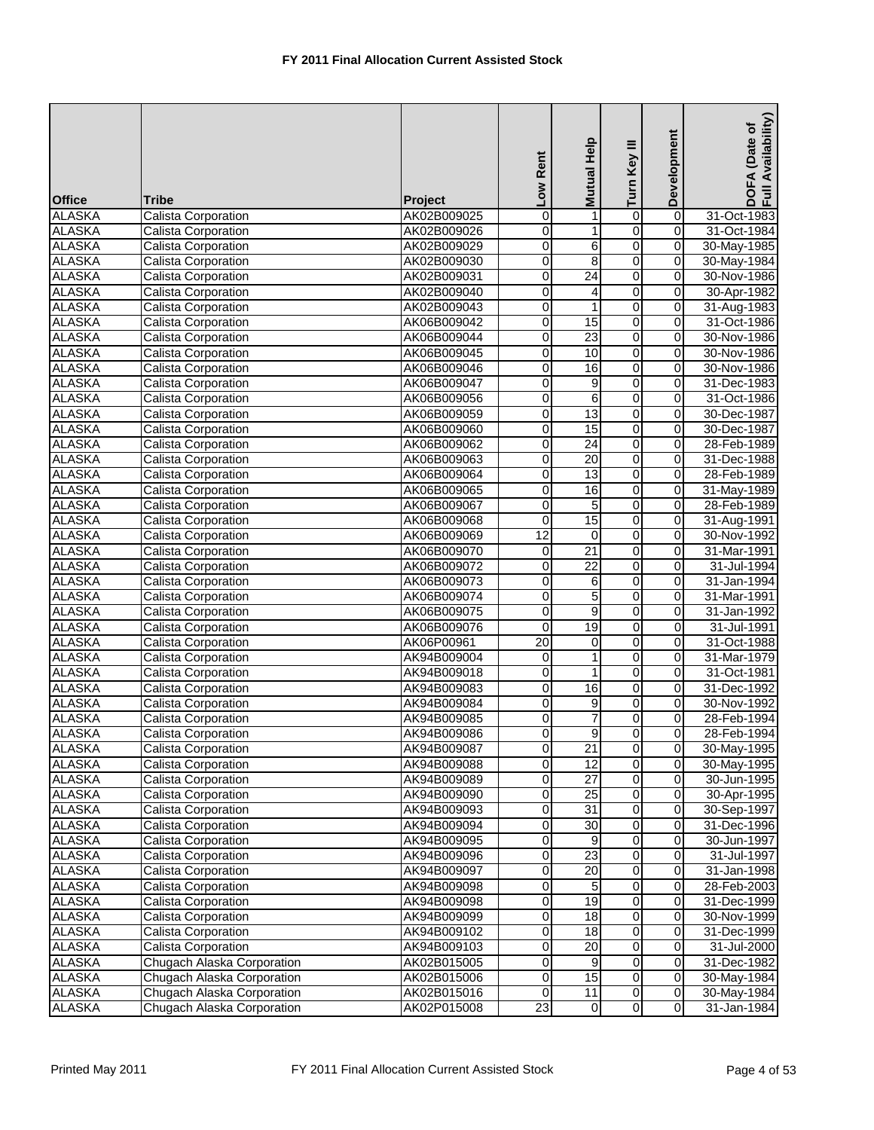| <b>Office</b>                  | Tribe                                                    | Project                    | Low Rent                                  | Mutual Help     | Turn Key III                     | Development                 | DOFA (Date of<br>Full Availability) |
|--------------------------------|----------------------------------------------------------|----------------------------|-------------------------------------------|-----------------|----------------------------------|-----------------------------|-------------------------------------|
| <b>ALASKA</b>                  | Calista Corporation                                      | AK02B009025                | 0                                         | 1               | 0                                | $\overline{0}$              | 31-Oct-1983                         |
| <b>ALASKA</b>                  | Calista Corporation                                      | AK02B009026                | 0                                         | 1               | 0                                | 0                           | 31-Oct-1984                         |
| <b>ALASKA</b>                  | Calista Corporation                                      | AK02B009029                | $\overline{0}$                            | $\overline{6}$  | $\overline{0}$                   | $\overline{0}$              | 30-May-1985                         |
| <b>ALASKA</b>                  | Calista Corporation                                      | AK02B009030                | 0                                         | 8               | $\overline{0}$                   | $\overline{0}$              | 30-May-1984                         |
| <b>ALASKA</b>                  | Calista Corporation                                      | AK02B009031                | O                                         | $\overline{24}$ | $\overline{0}$                   | 0                           | 30-Nov-1986                         |
| <b>ALASKA</b>                  | Calista Corporation                                      | AK02B009040                | 0                                         | 4               | o                                | 0                           | 30-Apr-1982                         |
| <b>ALASKA</b>                  | Calista Corporation                                      | AK02B009043                | $\overline{\mathbf{0}}$                   | 1               | $\overline{0}$                   | 0                           | 31-Aug-1983                         |
| <b>ALASKA</b>                  | Calista Corporation                                      | AK06B009042                | $\pmb{0}$                                 | 15              | 0                                | 0                           | 31-Oct-1986                         |
| <b>ALASKA</b>                  | Calista Corporation                                      | AK06B009044                | 0                                         | 23              | $\overline{0}$                   | 0                           | 30-Nov-1986                         |
| <b>ALASKA</b>                  | Calista Corporation                                      | AK06B009045                | 0                                         | 10              | 0                                | 0                           | 30-Nov-1986                         |
| <b>ALASKA</b>                  | Calista Corporation                                      | AK06B009046                | 0                                         | 16              | 0                                | 0                           | 30-Nov-1986                         |
| <b>ALASKA</b>                  | Calista Corporation                                      | AK06B009047                | $\overline{\mathbf{0}}$                   | $\overline{9}$  | $\overline{0}$                   | 0                           | 31-Dec-1983                         |
| <b>ALASKA</b>                  | Calista Corporation                                      | AK06B009056                | 0                                         | $\overline{6}$  | $\overline{0}$                   | $\mathbf 0$                 | 31-Oct-1986                         |
| <b>ALASKA</b>                  | <b>Calista Corporation</b>                               | AK06B009059                | $\overline{0}$                            | 13              | $\overline{0}$                   | 0                           | 30-Dec-1987                         |
| <b>ALASKA</b>                  | Calista Corporation                                      | AK06B009060                | $\overline{\mathbf{0}}$                   | 15              | o                                | 0                           | 30-Dec-1987                         |
| <b>ALASKA</b>                  | Calista Corporation                                      | AK06B009062                | $\overline{\mathbf{0}}$                   | $\overline{24}$ | $\overline{0}$                   | $\pmb{0}$                   | 28-Feb-1989                         |
| <b>ALASKA</b>                  | <b>Calista Corporation</b>                               |                            | $\mathbf 0$                               | $\overline{20}$ | $\overline{0}$                   | 0                           | 31-Dec-1988                         |
| <b>ALASKA</b>                  | Calista Corporation                                      | AK06B009063<br>AK06B009064 | 0                                         | 13              | 0                                | 0                           | 28-Feb-1989                         |
| <b>ALASKA</b>                  | <b>Calista Corporation</b>                               | AK06B009065                |                                           | 16              | $\overline{0}$                   | 0                           | 31-May-1989                         |
| <b>ALASKA</b>                  | Calista Corporation                                      | AK06B009067                | 0<br>0                                    | 5               | o                                | 0                           | 28-Feb-1989                         |
|                                |                                                          |                            | $\overline{0}$                            | 15              | $\overline{0}$                   | $\overline{0}$              |                                     |
| <b>ALASKA</b><br><b>ALASKA</b> | Calista Corporation<br>Calista Corporation               | AK06B009068<br>AK06B009069 | 12                                        | $\mathbf 0$     | $\overline{0}$                   | 0                           | 31-Aug-1991<br>30-Nov-1992          |
| <b>ALASKA</b>                  |                                                          |                            |                                           | 21              | $\overline{0}$                   |                             | 31-Mar-1991                         |
|                                | Calista Corporation                                      | AK06B009070                | $\overline{\mathbf{0}}$                   | $\overline{22}$ |                                  | 0                           |                                     |
| <b>ALASKA</b>                  | Calista Corporation                                      | AK06B009072                | 0                                         |                 | o                                | 0                           | 31-Jul-1994                         |
| <b>ALASKA</b><br><b>ALASKA</b> | Calista Corporation                                      | AK06B009073                | 0                                         | 6               | $\overline{0}$                   | $\pmb{0}$                   | 31-Jan-1994                         |
|                                | Calista Corporation                                      | AK06B009074                | 0                                         | 5<br>9          | $\overline{0}$                   | 0                           | 31-Mar-1991                         |
| <b>ALASKA</b><br><b>ALASKA</b> | Calista Corporation                                      | AK06B009075                | 0<br>$\mathbf 0$                          | 19              | 0<br>$\overline{0}$              | 0<br>0                      | 31-Jan-1992<br>31-Jul-1991          |
| <b>ALASKA</b>                  | Calista Corporation<br>Calista Corporation               | AK06B009076                | $\overline{20}$                           |                 | $\overline{0}$                   | 0                           | 31-Oct-1988                         |
| <b>ALASKA</b>                  | Calista Corporation                                      | AK06P00961<br>AK94B009004  | $\overline{\mathbf{0}}$                   | 0<br>1          | $\overline{0}$                   | $\overline{0}$              | 31-Mar-1979                         |
| <b>ALASKA</b>                  | Calista Corporation                                      | AK94B009018                | 0                                         | 1               | o                                | $\overline{0}$              | 31-Oct-1981                         |
| <b>ALASKA</b>                  | <b>Calista Corporation</b>                               | AK94B009083                | $\overline{0}$                            | 16              | $\overline{0}$                   | 0                           | 31-Dec-1992                         |
| <b>ALASKA</b>                  | Calista Corporation                                      | AK94B009084                | $\mathbf 0$                               | 9               | $\overline{0}$                   | 0                           | 30-Nov-1992                         |
| <b>ALASKA</b>                  | Calista Corporation                                      |                            |                                           |                 | $\overline{0}$                   | $\pmb{0}$                   | 28-Feb-1994                         |
| <b>ALASKA</b>                  |                                                          | AK94B009085                | $\mathbf 0$                               | 7               | $\overline{0}$                   | $\overline{0}$              |                                     |
| <b>ALASKA</b>                  | Calista Corporation                                      | AK94B009086                | $\overline{0}$                            | 9               |                                  | 0                           | 28-Feb-1994                         |
| <b>ALASKA</b>                  | Calista Corporation<br>Calista Corporation               | AK94B009087<br>AK94B009088 | 0<br>0                                    | 21<br>12        | $\overline{0}$<br>$\overline{0}$ | 0                           | 30-May-1995<br>30-May-1995          |
| <b>ALASKA</b>                  | Calista Corporation                                      | AK94B009089                | $\pmb{0}$                                 | $\overline{27}$ | $\overline{0}$                   | $\overline{\mathbf{o}}$     | 30-Jun-1995                         |
| <b>ALASKA</b>                  | Calista Corporation                                      | AK94B009090                | $\overline{0}$                            | 25              | $\overline{0}$                   | $\overline{0}$              | 30-Apr-1995                         |
| <b>ALASKA</b>                  | Calista Corporation                                      |                            |                                           | 31              | $\overline{0}$                   | 0                           | 30-Sep-1997                         |
| <b>ALASKA</b>                  | Calista Corporation                                      | AK94B009093<br>AK94B009094 | 0<br>$\overline{\mathbf{0}}$              | $\overline{30}$ | $\overline{0}$                   | $\pmb{0}$                   | 31-Dec-1996                         |
| <b>ALASKA</b>                  | Calista Corporation                                      | AK94B009095                | $\overline{\mathbf{0}}$                   | 9               |                                  |                             |                                     |
| <b>ALASKA</b>                  | Calista Corporation                                      |                            |                                           | $\overline{23}$ | $\overline{0}$<br>$\overline{0}$ | 0<br>0                      | 30-Jun-1997                         |
| <b>ALASKA</b>                  | Calista Corporation                                      | AK94B009096                | $\pmb{0}$<br>$\overline{0}$               | 20              | $\overline{0}$                   | $\overline{0}$              | 31-Jul-1997                         |
|                                |                                                          | AK94B009097                |                                           |                 |                                  |                             | 31-Jan-1998                         |
| <b>ALASKA</b><br><b>ALASKA</b> | Calista Corporation<br>Calista Corporation               | AK94B009098<br>AK94B009098 | $\overline{\mathbf{0}}$<br>$\overline{0}$ | 5<br>19         | $\overline{0}$<br>$\overline{0}$ | $\pmb{0}$<br>$\overline{0}$ | 28-Feb-2003                         |
|                                | Calista Corporation                                      |                            | $\overline{\mathbf{0}}$                   | 18              | o                                | 0                           | 31-Dec-1999                         |
| <b>ALASKA</b><br><b>ALASKA</b> | Calista Corporation                                      | AK94B009099                |                                           | 18              |                                  | $\overline{0}$              | 30-Nov-1999                         |
| <b>ALASKA</b>                  |                                                          | AK94B009102                | $\overline{\mathbf{o}}$                   | 20              | $\overline{0}$                   | $\pmb{0}$                   | 31-Dec-1999                         |
|                                | Calista Corporation                                      | AK94B009103                | 0                                         |                 | $\overline{0}$<br>$\overline{0}$ |                             | 31-Jul-2000                         |
| <b>ALASKA</b><br><b>ALASKA</b> | Chugach Alaska Corporation<br>Chugach Alaska Corporation | AK02B015005                | $\overline{\mathbf{0}}$                   | 9               | $\overline{0}$                   | $\pmb{0}$<br>0              | 31-Dec-1982                         |
| <b>ALASKA</b>                  | Chugach Alaska Corporation                               | AK02B015006                | 0                                         | 15              | $\overline{0}$                   | $\pmb{0}$                   | 30-May-1984                         |
|                                |                                                          | AK02B015016                | $\mathbf 0$<br>$\overline{23}$            | 11              | $\overline{0}$                   | 0                           | 30-May-1984                         |
| <b>ALASKA</b>                  | Chugach Alaska Corporation                               | AK02P015008                |                                           | $\mathbf 0$     |                                  |                             | 31-Jan-1984                         |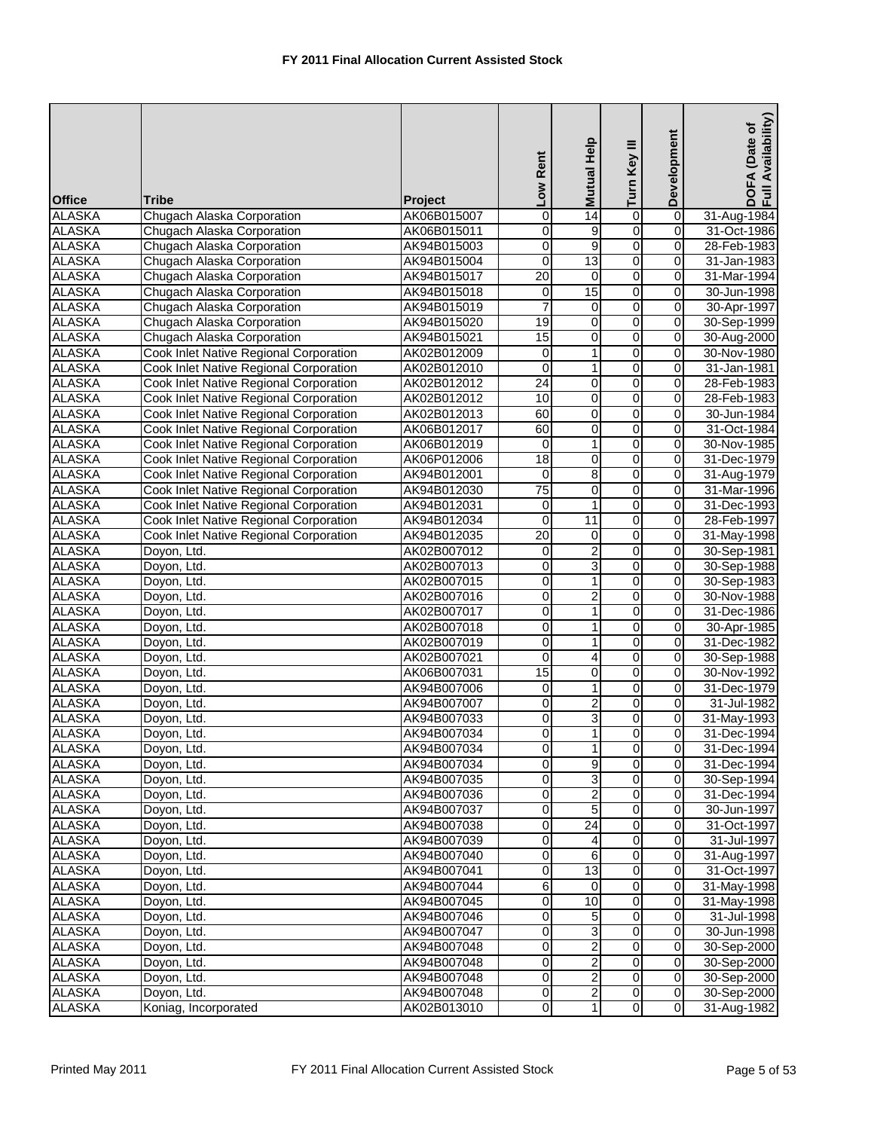|                                |                                                                                  |                            | Low Rent                       | Mutual Help      | Turn Key III   | Development                   | Availability)<br>DOFA (Date of<br>Full Availability |
|--------------------------------|----------------------------------------------------------------------------------|----------------------------|--------------------------------|------------------|----------------|-------------------------------|-----------------------------------------------------|
| <b>Office</b>                  | <b>Tribe</b>                                                                     | Project                    |                                |                  |                |                               |                                                     |
| <b>ALASKA</b>                  | Chugach Alaska Corporation                                                       | AK06B015007                | 0                              | 14               | 0              | $\overline{0}$                | 31-Aug-1984                                         |
| <b>ALASKA</b>                  | Chugach Alaska Corporation                                                       | AK06B015011                | 0                              | 9                | $\overline{0}$ | $\mathbf 0$                   | 31-Oct-1986                                         |
| <b>ALASKA</b>                  | Chugach Alaska Corporation                                                       | AK94B015003                | 0                              | 9                | $\overline{0}$ | $\overline{0}$                | 28-Feb-1983                                         |
| <b>ALASKA</b>                  | Chugach Alaska Corporation                                                       | AK94B015004                | $\mathbf 0$                    | $\overline{13}$  | $\overline{0}$ | 0                             | 31-Jan-1983                                         |
| <b>ALASKA</b>                  | Chugach Alaska Corporation                                                       | AK94B015017                | $\overline{20}$                | $\mathbf 0$      | 0              | 0                             | 31-Mar-1994                                         |
| <b>ALASKA</b>                  | Chugach Alaska Corporation                                                       | AK94B015018                | $\mathbf 0$                    | 15               | 0              | $\mathbf 0$                   | 30-Jun-1998                                         |
| <b>ALASKA</b>                  | Chugach Alaska Corporation                                                       | AK94B015019                | $\overline{7}$                 | 0                | 0              | $\mathbf 0$                   | 30-Apr-1997                                         |
| <b>ALASKA</b>                  | Chugach Alaska Corporation                                                       | AK94B015020                | 19                             | $\mathbf 0$      | 0              | $\mathbf 0$                   | 30-Sep-1999                                         |
| <b>ALASKA</b>                  | Chugach Alaska Corporation                                                       | AK94B015021                | 15                             | 0                | 0              | $\mathbf 0$                   | 30-Aug-2000                                         |
| <b>ALASKA</b>                  | Cook Inlet Native Regional Corporation                                           | AK02B012009                | 0                              | 1                | 0              | $\overline{0}$                | 30-Nov-1980                                         |
| <b>ALASKA</b>                  | Cook Inlet Native Regional Corporation                                           | AK02B012010                | $\mathbf 0$<br>$\overline{24}$ | 1                | $\overline{0}$ | $\mathbf 0$<br>$\overline{0}$ | 31-Jan-1981                                         |
| <b>ALASKA</b>                  | Cook Inlet Native Regional Corporation                                           | AK02B012012                |                                | $\overline{0}$   | $\overline{0}$ |                               | 28-Feb-1983                                         |
| <b>ALASKA</b>                  | Cook Inlet Native Regional Corporation                                           | AK02B012012                | 10                             | 0                | 0              | 0                             | 28-Feb-1983                                         |
| <b>ALASKA</b>                  | <b>Cook Inlet Native Regional Corporation</b>                                    | AK02B012013                | 60                             | 0                | 0              | 0                             | 30-Jun-1984                                         |
| <b>ALASKA</b><br><b>ALASKA</b> | <b>Cook Inlet Native Regional Corporation</b>                                    | AK06B012017                | 60                             | 0                | 0              | $\mathbf 0$                   | 31-Oct-1984<br>30-Nov-1985                          |
|                                | Cook Inlet Native Regional Corporation                                           | AK06B012019                | 0<br>18                        | 1                | 0              | 0<br>$\mathbf 0$              |                                                     |
| <b>ALASKA</b><br><b>ALASKA</b> | Cook Inlet Native Regional Corporation<br>Cook Inlet Native Regional Corporation | AK06P012006<br>AK94B012001 | 0                              | $\mathbf 0$<br>8 | 0<br>0         | $\mathbf 0$                   | 31-Dec-1979<br>31-Aug-1979                          |
| <b>ALASKA</b>                  | Cook Inlet Native Regional Corporation                                           | AK94B012030                | $\overline{75}$                | $\pmb{0}$        | ō              | $\overline{\mathsf{o}}$       | 31-Mar-1996                                         |
| <b>ALASKA</b>                  | Cook Inlet Native Regional Corporation                                           | AK94B012031                | 0                              | 1                | 0              | $\mathbf 0$                   | 31-Dec-1993                                         |
| <b>ALASKA</b>                  | Cook Inlet Native Regional Corporation                                           |                            | $\mathbf 0$                    | 11               | o              | 0                             | 28-Feb-1997                                         |
| <b>ALASKA</b>                  | Cook Inlet Native Regional Corporation                                           | AK94B012034<br>AK94B012035 | $\overline{20}$                | 0                | $\overline{0}$ | $\pmb{0}$                     | 31-May-1998                                         |
| <b>ALASKA</b>                  |                                                                                  | AK02B007012                | 0                              | $\overline{c}$   | 0              | $\mathbf 0$                   | 30-Sep-1981                                         |
| <b>ALASKA</b>                  | Doyon, Ltd.<br>Doyon, Ltd.                                                       | AK02B007013                | 0                              | 3                | 0              | $\mathbf 0$                   | 30-Sep-1988                                         |
| <b>ALASKA</b>                  | Doyon, Ltd.                                                                      | AK02B007015                | 0                              | 1                | 0              | 0                             | 30-Sep-1983                                         |
| <b>ALASKA</b>                  | Doyon, Ltd.                                                                      | AK02B007016                | 0                              | $\overline{2}$   | 0              | $\mathbf 0$                   | 30-Nov-1988                                         |
| <b>ALASKA</b>                  | Doyon, Ltd.                                                                      | AK02B007017                | 0                              | $\mathbf{1}$     | 0              | $\mathbf 0$                   | 31-Dec-1986                                         |
| <b>ALASKA</b>                  | Doyon, Ltd.                                                                      | AK02B007018                | 0                              | 1                | $\overline{0}$ | o                             | 30-Apr-1985                                         |
| <b>ALASKA</b>                  | Doyon, Ltd.                                                                      | AK02B007019                | 0                              | 1                | 0              | $\mathbf 0$                   | 31-Dec-1982                                         |
| <b>ALASKA</b>                  | Doyon, Ltd.                                                                      | AK02B007021                | 0                              | 4                | o              | 0                             | 30-Sep-1988                                         |
| <b>ALASKA</b>                  | Doyon, Ltd.                                                                      | AK06B007031                | 15                             | 0                | $\overline{0}$ | $\pmb{0}$                     | 30-Nov-1992                                         |
| <b>ALASKA</b>                  | Doyon, Ltd.                                                                      | AK94B007006                | 0                              | 1                | 0              | $\mathbf 0$                   | 31-Dec-1979                                         |
| <b>ALASKA</b>                  | Doyon, Ltd.                                                                      | AK94B007007                | 0                              | 2                | 0              | $\mathbf 0$                   | 31-Jul-1982                                         |
| <b>ALASKA</b>                  | Doyon, Ltd.                                                                      | AK94B007033                | 0                              | 3                | 0              | 0                             | 31-May-1993                                         |
| <b>ALASKA</b>                  | Doyon, Ltd.                                                                      | AK94B007034                | $\overline{0}$                 | $\mathbf{1}$     | $\overline{0}$ | $\overline{0}$                | 31-Dec-1994                                         |
| <b>ALASKA</b>                  | Doyon, Ltd.                                                                      | AK94B007034                | $\mathbf 0$                    | $\mathbf{1}$     | $\overline{0}$ | $\mathbf 0$                   | 31-Dec-1994                                         |
| <b>ALASKA</b>                  | Doyon, Ltd.                                                                      | AK94B007034                | 0                              | 9                | $\overline{0}$ | $\mathbf 0$                   | 31-Dec-1994                                         |
| <b>ALASKA</b>                  | Doyon, Ltd.                                                                      | AK94B007035                | $\mathbf 0$                    | 3                | 0              | $\mathbf 0$                   | 30-Sep-1994                                         |
| <b>ALASKA</b>                  | Doyon, Ltd.                                                                      | AK94B007036                | 0                              | $\overline{c}$   | 0              | $\mathbf 0$                   | 31-Dec-1994                                         |
| <b>ALASKA</b>                  | Doyon, Ltd.                                                                      | AK94B007037                | 0                              | $\overline{5}$   | 0              | $\mathbf 0$                   | 30-Jun-1997                                         |
| <b>ALASKA</b>                  | Doyon, Ltd.                                                                      | AK94B007038                | 0                              | $\overline{24}$  | 0              | 0                             | 31-Oct-1997                                         |
| <b>ALASKA</b>                  | Doyon, Ltd.                                                                      | AK94B007039                | 0                              | 4                | 0              | $\mathbf 0$                   | 31-Jul-1997                                         |
| <b>ALASKA</b>                  | Doyon, Ltd.                                                                      | AK94B007040                | 0                              | 6                | 0              | $\mathbf 0$                   | 31-Aug-1997                                         |
| <b>ALASKA</b>                  | Doyon, Ltd.                                                                      | AK94B007041                | $\overline{\mathsf{o}}$        | 13               | $\overline{0}$ | $\overline{0}$                | 31-Oct-1997                                         |
| <b>ALASKA</b>                  | Doyon, Ltd.                                                                      | AK94B007044                | 6                              | 0                | 0              | $\mathbf 0$                   | 31-May-1998                                         |
| <b>ALASKA</b>                  | Doyon, Ltd.                                                                      | AK94B007045                | 0                              | 10               | 0              | $\mathbf 0$                   | 31-May-1998                                         |
| <b>ALASKA</b>                  | Doyon, Ltd.                                                                      | AK94B007046                | 0                              | 5                | 0              | $\mathbf 0$                   | 31-Jul-1998                                         |
| <b>ALASKA</b>                  | Doyon, Ltd.                                                                      | AK94B007047                | 0                              | 3                | 0              | $\mathbf 0$                   | 30-Jun-1998                                         |
| <b>ALASKA</b>                  | Doyon, Ltd.                                                                      | AK94B007048                | 0                              | $\overline{2}$   | 0              | $\mathbf 0$                   | 30-Sep-2000                                         |
| <b>ALASKA</b>                  | Doyon, Ltd.                                                                      | AK94B007048                | 0                              | 2                | 0              | $\mathbf 0$                   | 30-Sep-2000                                         |
| <b>ALASKA</b>                  | Doyon, Ltd.                                                                      | AK94B007048                | $\mathbf 0$                    | $\overline{c}$   | $\overline{0}$ | $\overline{0}$                | 30-Sep-2000                                         |
| <b>ALASKA</b>                  | Doyon, Ltd.                                                                      | AK94B007048                | $\mathbf 0$                    | $\overline{a}$   | $\overline{0}$ | $\overline{0}$                | 30-Sep-2000                                         |
| <b>ALASKA</b>                  | Koniag, Incorporated                                                             | AK02B013010                | $\mathbf 0$                    | 1                | $\overline{0}$ | $\mathbf 0$                   | 31-Aug-1982                                         |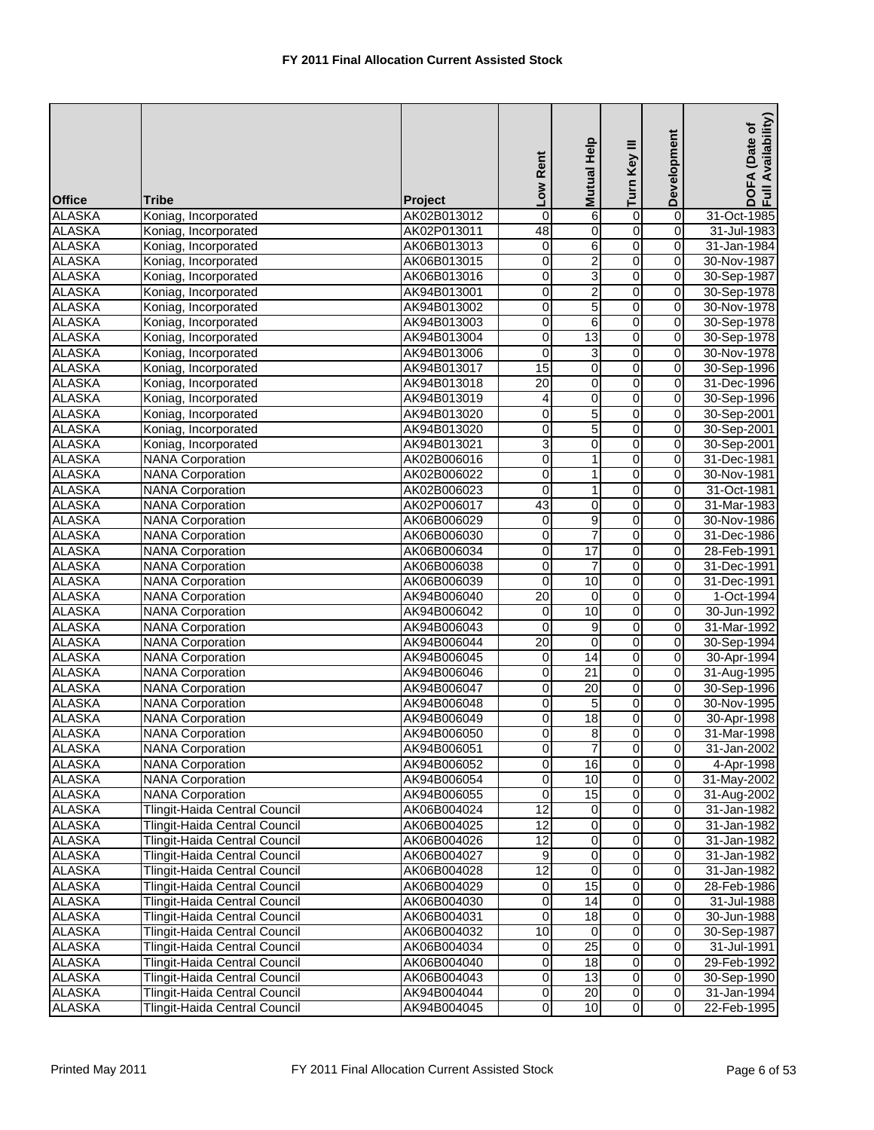| <b>Office</b> | Tribe                         | <b>Project</b> | Low Rent         | <b>Mutual Help</b>      | Turn Key III   | Development             | DOFA (Date of<br>Full Availability) |
|---------------|-------------------------------|----------------|------------------|-------------------------|----------------|-------------------------|-------------------------------------|
| <b>ALASKA</b> | Koniag, Incorporated          | AK02B013012    | $\mathbf 0$      | 6                       | $\overline{0}$ | 0                       | 31-Oct-1985                         |
| <b>ALASKA</b> | Koniag, Incorporated          | AK02P013011    | 48               | 0                       | 0              | 0                       | 31-Jul-1983                         |
| <b>ALASKA</b> | Koniag, Incorporated          | AK06B013013    | 0                | $\overline{6}$          | $\overline{0}$ | $\overline{0}$          | 31-Jan-1984                         |
| <b>ALASKA</b> | Koniag, Incorporated          | AK06B013015    | 0                | $\overline{2}$          | $\overline{0}$ | 0                       | 30-Nov-1987                         |
| <b>ALASKA</b> | Koniag, Incorporated          | AK06B013016    | $\overline{0}$   | 3                       | $\overline{0}$ | $\overline{0}$          | 30-Sep-1987                         |
| <b>ALASKA</b> | Koniag, Incorporated          | AK94B013001    | $\boldsymbol{0}$ | $\overline{2}$          | $\overline{0}$ | $\mathbf 0$             | 30-Sep-1978                         |
| <b>ALASKA</b> | Koniag, Incorporated          | AK94B013002    | 0                | $\overline{5}$          | $\overline{0}$ | $\mathbf 0$             | 30-Nov-1978                         |
| <b>ALASKA</b> | Koniag, Incorporated          | AK94B013003    | 0                | 6                       | $\overline{0}$ | 0                       | 30-Sep-1978                         |
| <b>ALASKA</b> | Koniag, Incorporated          | AK94B013004    | 0                | 13                      | 0              | 0                       | 30-Sep-1978                         |
| <b>ALASKA</b> | Koniag, Incorporated          | AK94B013006    | 0                | 3                       | 0              | $\mathbf 0$             | 30-Nov-1978                         |
| <b>ALASKA</b> | Koniag, Incorporated          | AK94B013017    | 15               | 0                       | 0              | 0                       | 30-Sep-1996                         |
| <b>ALASKA</b> | Koniag, Incorporated          | AK94B013018    | $\overline{20}$  | $\overline{0}$          | $\overline{0}$ | $\overline{0}$          | 31-Dec-1996                         |
| <b>ALASKA</b> | Koniag, Incorporated          | AK94B013019    | 4                | 0                       | $\overline{0}$ | 0                       | 30-Sep-1996                         |
| <b>ALASKA</b> | Koniag, Incorporated          | AK94B013020    | 0                | 5                       | $\overline{0}$ | $\overline{\mathsf{o}}$ | 30-Sep-2001                         |
| <b>ALASKA</b> | Koniag, Incorporated          | AK94B013020    | 0                | 5                       | 0              | 0                       | 30-Sep-2001                         |
| <b>ALASKA</b> | Koniag, Incorporated          | AK94B013021    | 3                | $\pmb{0}$               | $\overline{0}$ | 0                       | 30-Sep-2001                         |
| <b>ALASKA</b> | <b>NANA Corporation</b>       | AK02B006016    | 0                | 1                       | 0              | 0                       | 31-Dec-1981                         |
| <b>ALASKA</b> | <b>NANA Corporation</b>       | AK02B006022    | 0                | 1                       | $\overline{0}$ | 0                       | 30-Nov-1981                         |
| <b>ALASKA</b> | <b>NANA Corporation</b>       | AK02B006023    | 0                | 1                       | 0              | $\overline{0}$          | 31-Oct-1981                         |
| <b>ALASKA</b> | <b>NANA Corporation</b>       | AK02P006017    | $\overline{43}$  | 0                       | 0              | 0                       | 31-Mar-1983                         |
| <b>ALASKA</b> | <b>NANA Corporation</b>       | AK06B006029    | $\overline{0}$   | $\overline{9}$          | $\overline{0}$ | $\overline{0}$          | 30-Nov-1986                         |
| <b>ALASKA</b> | <b>NANA Corporation</b>       | AK06B006030    | $\mathbf 0$      | 7                       | $\overline{0}$ | 0                       | 31-Dec-1986                         |
| <b>ALASKA</b> | <b>NANA Corporation</b>       | AK06B006034    | 0                | 17                      | $\overline{0}$ | 0                       | 28-Feb-1991                         |
| <b>ALASKA</b> | <b>NANA Corporation</b>       | AK06B006038    | 0                | 7                       | 0              | 0                       | 31-Dec-1991                         |
| <b>ALASKA</b> | <b>NANA Corporation</b>       | AK06B006039    | $\mathbf 0$      | 10                      | 0              | 0                       | 31-Dec-1991                         |
| <b>ALASKA</b> | <b>NANA Corporation</b>       | AK94B006040    | 20               | 0                       | 0              | 0                       | 1-Oct-1994                          |
| <b>ALASKA</b> | <b>NANA Corporation</b>       | AK94B006042    | 0                | 10                      | 0              | 0                       | 30-Jun-1992                         |
| <b>ALASKA</b> | <b>NANA Corporation</b>       | AK94B006043    | 0                | 9                       | 0              | 0                       | 31-Mar-1992                         |
| <b>ALASKA</b> | <b>NANA Corporation</b>       | AK94B006044    | $\overline{20}$  | 0                       | $\overline{0}$ | 0                       | 30-Sep-1994                         |
| <b>ALASKA</b> | <b>NANA Corporation</b>       | AK94B006045    | $\pmb{0}$        | 14                      | $\overline{0}$ | $\overline{0}$          | 30-Apr-1994                         |
| <b>ALASKA</b> | <b>NANA Corporation</b>       | AK94B006046    | $\overline{0}$   | $\overline{21}$         | $\overline{0}$ | 0                       | 31-Aug-1995                         |
| <b>ALASKA</b> | <b>NANA Corporation</b>       | AK94B006047    | 0                | $\overline{20}$         | $\overline{0}$ | 0                       | 30-Sep-1996                         |
| <b>ALASKA</b> | <b>NANA Corporation</b>       | AK94B006048    | 0                | 5                       | $\overline{0}$ | 0                       | 30-Nov-1995                         |
| <b>ALASKA</b> | <b>NANA Corporation</b>       | AK94B006049    | 0                | $\overline{18}$         | 0              | 0                       | 30-Apr-1998                         |
| <b>ALASKA</b> | <b>NANA Corporation</b>       | AK94B006050    | $\overline{0}$   | $\infty$                | 0              | $\overline{0}$          | 31-Mar-1998                         |
| <b>ALASKA</b> | <b>NANA Corporation</b>       | AK94B006051    | 0                | $\overline{7}$          | $\overline{0}$ | $\mathbf 0$             | 31-Jan-2002                         |
| <b>ALASKA</b> | <b>NANA Corporation</b>       | AK94B006052    | 0                | 16                      | $\overline{0}$ | $\mathbf 0$             | 4-Apr-1998                          |
| <b>ALASKA</b> | <b>NANA Corporation</b>       | AK94B006054    | 0                | 10                      | 0              | $\mathbf 0$             | 31-May-2002                         |
| <b>ALASKA</b> | <b>NANA Corporation</b>       | AK94B006055    | $\pmb{0}$        | 15                      | $\overline{0}$ | $\mathbf 0$             | 31-Aug-2002                         |
| <b>ALASKA</b> | Tlingit-Haida Central Council | AK06B004024    | 12               | 0                       | 0              | 0                       | 31-Jan-1982                         |
| <b>ALASKA</b> | Tlingit-Haida Central Council | AK06B004025    | $\overline{12}$  | 0                       | 0              | $\mathbf 0$             | 31-Jan-1982                         |
| <b>ALASKA</b> | Tlingit-Haida Central Council | AK06B004026    | $\overline{12}$  | $\overline{\mathbf{o}}$ | $\overline{0}$ | $\mathbf 0$             | 31-Jan-1982                         |
| <b>ALASKA</b> | Tlingit-Haida Central Council | AK06B004027    | 9                | 0                       | 0              | 0                       | 31-Jan-1982                         |
| <b>ALASKA</b> | Tlingit-Haida Central Council | AK06B004028    | $\overline{12}$  | $\overline{\mathbf{0}}$ | o              | $\overline{0}$          | 31-Jan-1982                         |
| <b>ALASKA</b> | Tlingit-Haida Central Council | AK06B004029    | 0                | 15                      | 0              | 0                       | 28-Feb-1986                         |
| <b>ALASKA</b> | Tlingit-Haida Central Council | AK06B004030    | $\overline{0}$   | $\overline{14}$         | $\overline{0}$ | $\mathbf 0$             | 31-Jul-1988                         |
| <b>ALASKA</b> | Tlingit-Haida Central Council | AK06B004031    | 0                | $\overline{18}$         | 0              | $\mathbf 0$             | 30-Jun-1988                         |
| <b>ALASKA</b> | Tlingit-Haida Central Council | AK06B004032    | 10               | $\mathbf 0$             | 0              | $\mathbf 0$             | 30-Sep-1987                         |
| <b>ALASKA</b> | Tlingit-Haida Central Council | AK06B004034    | 0                | 25                      | 0              | $\mathbf 0$             | 31-Jul-1991                         |
| <b>ALASKA</b> | Tlingit-Haida Central Council | AK06B004040    | 0                | $\overline{18}$         | 0              | 0                       | 29-Feb-1992                         |
| <b>ALASKA</b> | Tlingit-Haida Central Council | AK06B004043    | 0                | $\overline{3}$          | 0              | $\mathbf 0$             | 30-Sep-1990                         |
| <b>ALASKA</b> | Tlingit-Haida Central Council | AK94B004044    | 0                | $\overline{20}$         | o              | $\mathbf 0$             | 31-Jan-1994                         |
| <b>ALASKA</b> | Tlingit-Haida Central Council | AK94B004045    | $\overline{0}$   | $\overline{10}$         | $\overline{0}$ | $\overline{0}$          | 22-Feb-1995                         |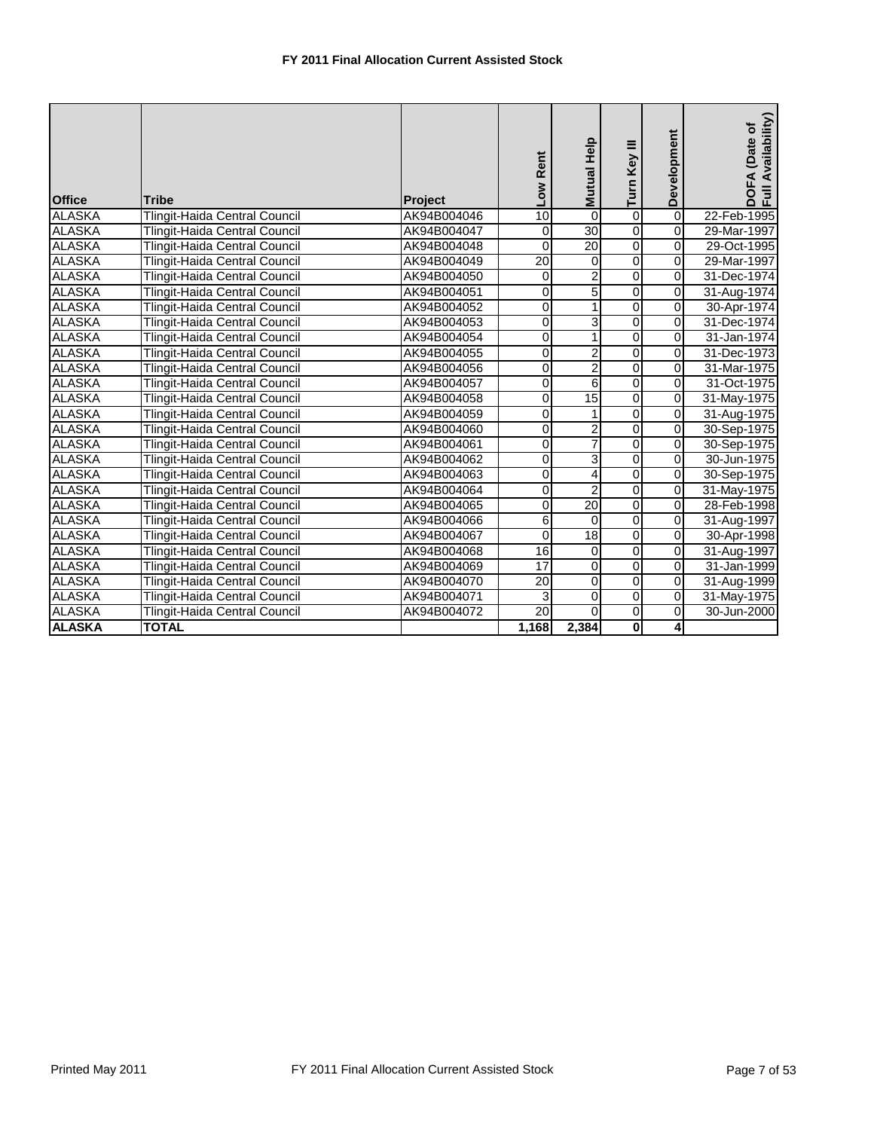| <b>Office</b> | <b>Tribe</b>                         | <b>Project</b> | Low Rent        | Mutual Help     | Turn Key III            | Development             | DOFA (Date of<br>Full Availability) |
|---------------|--------------------------------------|----------------|-----------------|-----------------|-------------------------|-------------------------|-------------------------------------|
| <b>ALASKA</b> | Tlingit-Haida Central Council        | AK94B004046    | 10              | $\mathbf 0$     | $\overline{0}$          | $\overline{0}$          | 22-Feb-1995                         |
| <b>ALASKA</b> | Tlingit-Haida Central Council        | AK94B004047    | 0               | 30              | $\overline{0}$          | $\overline{0}$          | 29-Mar-1997                         |
| <b>ALASKA</b> | Tlingit-Haida Central Council        | AK94B004048    | 0               | $\overline{20}$ | $\overline{0}$          | $\overline{0}$          | 29-Oct-1995                         |
| <b>ALASKA</b> | <b>Tlingit-Haida Central Council</b> | AK94B004049    | $\overline{20}$ | $\mathbf 0$     | $\overline{0}$          | $\overline{\mathbf{0}}$ | 29-Mar-1997                         |
| <b>ALASKA</b> | Tlingit-Haida Central Council        | AK94B004050    | 0               | 2               | $\overline{0}$          | 0                       | 31-Dec-1974                         |
| <b>ALASKA</b> | Tlingit-Haida Central Council        | AK94B004051    | 0               | 5               | $\overline{0}$          | $\Omega$                | 31-Aug-1974                         |
| <b>ALASKA</b> | Tlingit-Haida Central Council        | AK94B004052    | 0               | $\mathbf{1}$    | $\overline{0}$          | $\overline{0}$          | 30-Apr-1974                         |
| <b>ALASKA</b> | Tlingit-Haida Central Council        | AK94B004053    | 0               | 3               | $\overline{0}$          | $\overline{0}$          | 31-Dec-1974                         |
| <b>ALASKA</b> | Tlingit-Haida Central Council        | AK94B004054    | 0               | 1               | $\overline{0}$          | $\overline{0}$          | 31-Jan-1974                         |
| <b>ALASKA</b> | Tlingit-Haida Central Council        | AK94B004055    | 0               | 2               | 0                       | 0                       | 31-Dec-1973                         |
| <b>ALASKA</b> | Tlingit-Haida Central Council        | AK94B004056    | 0               | $\overline{2}$  | $\overline{0}$          | 0                       | 31-Mar-1975                         |
| <b>ALASKA</b> | Tlingit-Haida Central Council        | AK94B004057    | 0               | 6               | $\overline{0}$          | $\Omega$                | 31-Oct-1975                         |
| <b>ALASKA</b> | Tlingit-Haida Central Council        | AK94B004058    | 0               | 15              | $\overline{0}$          | $\Omega$                | 31-May-1975                         |
| <b>ALASKA</b> | Tlingit-Haida Central Council        | AK94B004059    | 0               |                 | $\overline{0}$          | 0                       | 31-Aug-1975                         |
| <b>ALASKA</b> | Tlingit-Haida Central Council        | AK94B004060    | 0               | 2               | $\overline{0}$          | 0                       | 30-Sep-1975                         |
| <b>ALASKA</b> | <b>Tlingit-Haida Central Council</b> | AK94B004061    | 0               | 7               | $\overline{0}$          | $\overline{\mathbf{0}}$ | 30-Sep-1975                         |
| <b>ALASKA</b> | Tlingit-Haida Central Council        | AK94B004062    | 0               | 3               | $\overline{0}$          | $\overline{0}$          | 30-Jun-1975                         |
| <b>ALASKA</b> | Tlingit-Haida Central Council        | AK94B004063    | 0               | 4               | $\overline{0}$          | $\overline{\mathbf{0}}$ | 30-Sep-1975                         |
| <b>ALASKA</b> | Tlingit-Haida Central Council        | AK94B004064    | 0               | $\overline{2}$  | $\overline{0}$          | 0                       | 31-May-1975                         |
| <b>ALASKA</b> | Tlingit-Haida Central Council        | AK94B004065    | 0               | $\overline{20}$ | $\overline{0}$          | $\overline{0}$          | 28-Feb-1998                         |
| <b>ALASKA</b> | Tlingit-Haida Central Council        | AK94B004066    | 6               | $\Omega$        | $\overline{0}$          | 0                       | 31-Aug-1997                         |
| <b>ALASKA</b> | Tlingit-Haida Central Council        | AK94B004067    | $\mathbf 0$     | 18              | $\overline{0}$          | $\overline{\mathbf{0}}$ | 30-Apr-1998                         |
| <b>ALASKA</b> | Tlingit-Haida Central Council        | AK94B004068    | 16              | $\Omega$        | $\overline{0}$          | $\overline{0}$          | 31-Aug-1997                         |
| <b>ALASKA</b> | Tlingit-Haida Central Council        | AK94B004069    | 17              | $\pmb{0}$       | $\overline{0}$          | $\overline{0}$          | $31 - Jan-1999$                     |
| <b>ALASKA</b> | Tlingit-Haida Central Council        | AK94B004070    | 20              | $\mathbf 0$     | $\overline{0}$          | $\overline{0}$          | 31-Aug-1999                         |
| <b>ALASKA</b> | Tlingit-Haida Central Council        | AK94B004071    | 3               | 0               | $\overline{0}$          | $\overline{\mathbf{0}}$ | 31-May-1975                         |
| <b>ALASKA</b> | Tlingit-Haida Central Council        | AK94B004072    | 20              | $\overline{0}$  | $\overline{0}$          | 0                       | 30-Jun-2000                         |
| <b>ALASKA</b> | <b>TOTAL</b>                         |                | 1,168           | 2,384           | $\overline{\mathbf{0}}$ | 4                       |                                     |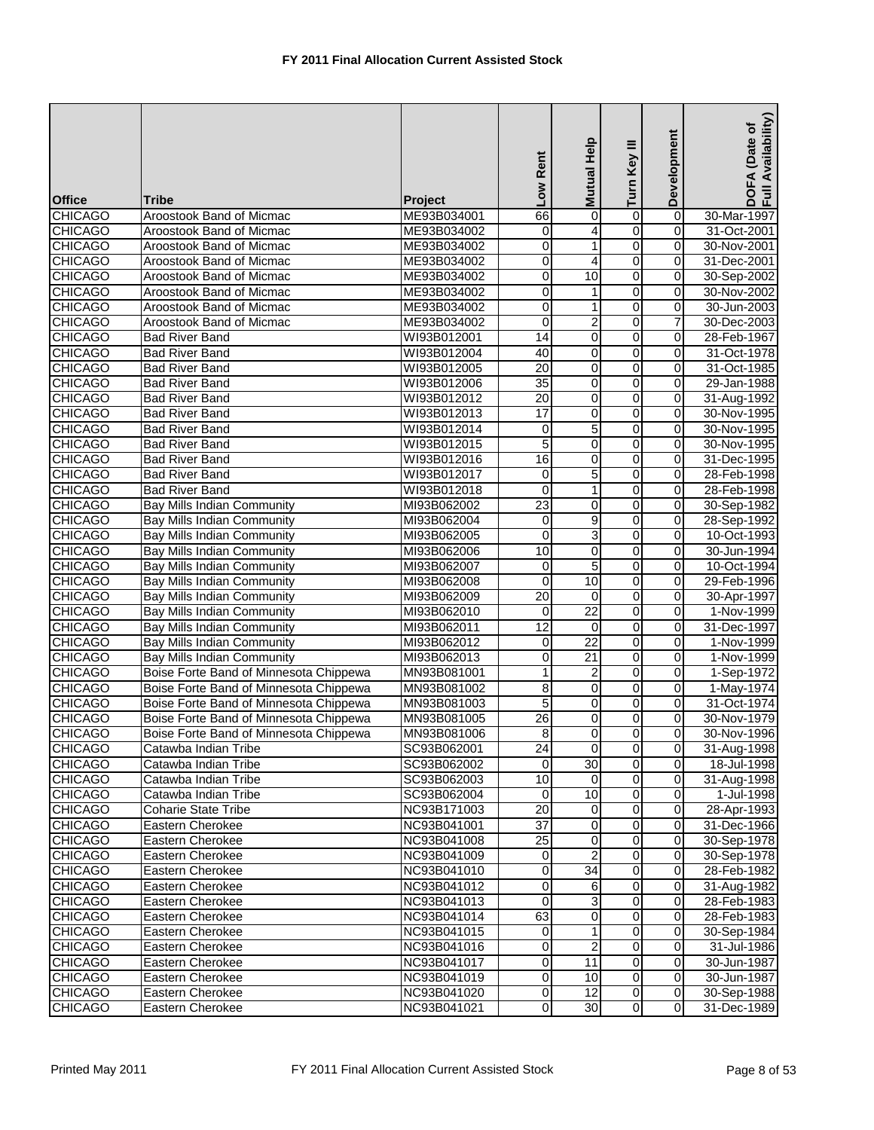|                                  |                                                                             |                            | Low Rent              | Help<br><b>Mutual</b>              | Turn Key III        | Development                | Availability)<br>(Date of<br>DOFA<br>Full Av |
|----------------------------------|-----------------------------------------------------------------------------|----------------------------|-----------------------|------------------------------------|---------------------|----------------------------|----------------------------------------------|
| <b>Office</b>                    | <b>Tribe</b>                                                                | Project                    |                       |                                    |                     |                            |                                              |
| <b>CHICAGO</b>                   | Aroostook Band of Micmac                                                    | ME93B034001                | 66                    | 0                                  | 0                   | $\overline{0}$             | 30-Mar-1997                                  |
| <b>CHICAGO</b>                   | Aroostook Band of Micmac                                                    | ME93B034002                | 0                     | 4                                  | 0                   | $\mathbf 0$                | 31-Oct-2001                                  |
| <b>CHICAGO</b>                   | Aroostook Band of Micmac                                                    | ME93B034002                | 0                     | 1                                  | $\overline{0}$      | $\mathbf 0$                | 30-Nov-2001                                  |
| <b>CHICAGO</b>                   | Aroostook Band of Micmac                                                    | ME93B034002                | 0                     | 4                                  | 0                   | $\mathbf 0$                | 31-Dec-2001                                  |
| <b>CHICAGO</b>                   | Aroostook Band of Micmac                                                    | ME93B034002                | 0                     | 10                                 | 0                   | 0                          | 30-Sep-2002                                  |
| <b>CHICAGO</b>                   | Aroostook Band of Micmac                                                    | ME93B034002                | 0                     | 1                                  | 0                   | 0                          | 30-Nov-2002                                  |
| <b>CHICAGO</b>                   | Aroostook Band of Micmac                                                    | ME93B034002                | 0                     | 1                                  | 0                   | 0                          | 30-Jun-2003                                  |
| <b>CHICAGO</b>                   | Aroostook Band of Micmac                                                    | ME93B034002                | 0                     | 2                                  | 0                   | 7                          | 30-Dec-2003                                  |
| <b>CHICAGO</b>                   | <b>Bad River Band</b>                                                       | WI93B012001                | 14                    | 0                                  | 0                   | 0                          | 28-Feb-1967                                  |
| <b>CHICAGO</b>                   | <b>Bad River Band</b>                                                       | WI93B012004                | 40                    | 0                                  | 0                   | $\mathbf 0$                | 31-Oct-1978                                  |
| <b>CHICAGO</b>                   | <b>Bad River Band</b>                                                       | WI93B012005                | $\overline{20}$<br>35 | 0                                  | 0                   | $\mathbf 0$                | 31-Oct-1985                                  |
| <b>CHICAGO</b><br><b>CHICAGO</b> | <b>Bad River Band</b><br><b>Bad River Band</b>                              | WI93B012006<br>WI93B012012 | 20                    | $\overline{0}$<br>0                | $\overline{0}$<br>0 | $\mathbf 0$<br>$\mathbf 0$ | 29-Jan-1988<br>31-Aug-1992                   |
| <b>CHICAGO</b>                   | <b>Bad River Band</b>                                                       | WI93B012013                | 17                    | 0                                  | 0                   | 0                          | 30-Nov-1995                                  |
| <b>CHICAGO</b>                   | <b>Bad River Band</b>                                                       | WI93B012014                | 0                     | 5                                  | 0                   | $\mathbf 0$                | 30-Nov-1995                                  |
| <b>CHICAGO</b>                   | <b>Bad River Band</b>                                                       | WI93B012015                | 5                     | 0                                  | 0                   | 0                          | 30-Nov-1995                                  |
| <b>CHICAGO</b>                   | <b>Bad River Band</b>                                                       | WI93B012016                | 16                    | 0                                  | 0                   | $\mathbf 0$                | 31-Dec-1995                                  |
| <b>CHICAGO</b>                   | <b>Bad River Band</b>                                                       | WI93B012017                | 0                     | 5                                  | 0                   | 0                          | 28-Feb-1998                                  |
| <b>CHICAGO</b>                   | <b>Bad River Band</b>                                                       | WI93B012018                | 0                     | 1                                  | 0                   | $\mathbf 0$                | 28-Feb-1998                                  |
| <b>CHICAGO</b>                   | <b>Bay Mills Indian Community</b>                                           | MI93B062002                | 23                    | 0                                  | 0                   | 0                          | 30-Sep-1982                                  |
| <b>CHICAGO</b>                   | Bay Mills Indian Community                                                  | MI93B062004                | $\mathbf 0$           | 9                                  | 0                   | 0                          | 28-Sep-1992                                  |
| <b>CHICAGO</b>                   | <b>Bay Mills Indian Community</b>                                           | MI93B062005                | 0                     | 3                                  | 0                   | 0                          | 10-Oct-1993                                  |
| <b>CHICAGO</b>                   | <b>Bay Mills Indian Community</b>                                           | MI93B062006                | 10                    | 0                                  | 0                   | $\mathbf 0$                | 30-Jun-1994                                  |
| <b>CHICAGO</b>                   | <b>Bay Mills Indian Community</b>                                           | MI93B062007                | 0                     | 5                                  | 0                   | 0                          | 10-Oct-1994                                  |
| <b>CHICAGO</b>                   | <b>Bay Mills Indian Community</b>                                           | MI93B062008                | 0                     | 10                                 | 0                   | 0                          | 29-Feb-1996                                  |
| <b>CHICAGO</b>                   | Bay Mills Indian Community                                                  | MI93B062009                | $\overline{20}$       | 0                                  | 0                   | $\mathbf 0$                | 30-Apr-1997                                  |
| <b>CHICAGO</b>                   | <b>Bay Mills Indian Community</b>                                           | MI93B062010                | 0                     | $\overline{22}$                    | 0                   | $\mathbf 0$                | 1-Nov-1999                                   |
| <b>CHICAGO</b>                   | <b>Bay Mills Indian Community</b>                                           | MI93B062011                | 12                    | 0                                  | 0                   | 0                          | 31-Dec-1997                                  |
| <b>CHICAGO</b>                   | <b>Bay Mills Indian Community</b>                                           | MI93B062012                | 0                     | $\overline{22}$<br>$\overline{21}$ | 0                   | 0                          | 1-Nov-1999                                   |
| <b>CHICAGO</b><br><b>CHICAGO</b> | <b>Bay Mills Indian Community</b><br>Boise Forte Band of Minnesota Chippewa | MI93B062013                | 0<br>$\mathbf{1}$     |                                    | 0<br>0              | 0<br>$\mathbf 0$           | 1-Nov-1999<br>1-Sep-1972                     |
| <b>CHICAGO</b>                   | Boise Forte Band of Minnesota Chippewa                                      | MN93B081001<br>MN93B081002 | 8                     | 2<br>0                             | 0                   | $\mathbf 0$                | 1-May-1974                                   |
| <b>CHICAGO</b>                   | Boise Forte Band of Minnesota Chippewa                                      | MN93B081003                | 5                     | 0                                  | 0                   | 0                          | 31-Oct-1974                                  |
| <b>CHICAGO</b>                   | Boise Forte Band of Minnesota Chippewa                                      | MN93B081005                | 26                    | 0                                  | 0                   | 0                          | 30-Nov-1979                                  |
| <b>CHICAGO</b>                   | Boise Forte Band of Minnesota Chippewa                                      | MN93B081006                | 8                     | $\overline{0}$                     | $\mathbf 0$         | $\overline{0}$             | 30-Nov-1996                                  |
| <b>CHICAGO</b>                   | Catawba Indian Tribe                                                        | SC93B062001                | 24                    | $\mathbf 0$                        | $\overline{0}$      | $\mathbf 0$                | 31-Aug-1998                                  |
| <b>CHICAGO</b>                   | Catawba Indian Tribe                                                        | SC93B062002                | $\Omega$              | 30                                 | $\overline{0}$      | $\mathbf 0$                | 18-Jul-1998                                  |
| <b>CHICAGO</b>                   | Catawba Indian Tribe                                                        | SC93B062003                | 10                    | 0                                  | 0                   | $\mathbf 0$                | 31-Aug-1998                                  |
| <b>CHICAGO</b>                   | Catawba Indian Tribe                                                        | SC93B062004                | 0                     | 10                                 | 0                   | $\mathbf 0$                | 1-Jul-1998                                   |
| <b>CHICAGO</b>                   | <b>Coharie State Tribe</b>                                                  | NC93B171003                | 20                    | 0                                  | 0                   | $\mathbf 0$                | 28-Apr-1993                                  |
| <b>CHICAGO</b>                   | Eastern Cherokee                                                            | NC93B041001                | 37                    | 0                                  | 0                   | $\mathbf 0$                | 31-Dec-1966                                  |
| <b>CHICAGO</b>                   | Eastern Cherokee                                                            | NC93B041008                | 25                    | $\mathbf 0$                        | 0                   | $\mathbf 0$                | 30-Sep-1978                                  |
| <b>CHICAGO</b>                   | Eastern Cherokee                                                            | NC93B041009                | 0                     | 2                                  | 0                   | $\mathbf 0$                | 30-Sep-1978                                  |
| <b>CHICAGO</b>                   | Eastern Cherokee                                                            | NC93B041010                | $\mathbf 0$           | 34                                 | $\overline{0}$      | $\overline{\mathsf{o}}$    | 28-Feb-1982                                  |
| <b>CHICAGO</b>                   | Eastern Cherokee                                                            | NC93B041012                | 0                     | 6                                  | 0                   | $\mathbf 0$                | 31-Aug-1982                                  |
| <b>CHICAGO</b>                   | Eastern Cherokee                                                            | NC93B041013                | 0                     | 3                                  | 0                   | $\mathbf 0$                | 28-Feb-1983                                  |
| <b>CHICAGO</b>                   | Eastern Cherokee<br>Eastern Cherokee                                        | NC93B041014                | 63                    | 0                                  | 0<br>0              | $\mathbf 0$<br>$\mathbf 0$ | 28-Feb-1983                                  |
| <b>CHICAGO</b><br><b>CHICAGO</b> | Eastern Cherokee                                                            | NC93B041015<br>NC93B041016 | 0<br>0                | 1<br>$\overline{2}$                | 0                   | $\mathsf{O}\xspace$        | 30-Sep-1984<br>31-Jul-1986                   |
| <b>CHICAGO</b>                   | Eastern Cherokee                                                            | NC93B041017                | 0                     | 11                                 | 0                   | $\overline{0}$             | 30-Jun-1987                                  |
| <b>CHICAGO</b>                   | Eastern Cherokee                                                            | NC93B041019                | $\mathbf 0$           | 10                                 | 0                   | $\overline{0}$             | 30-Jun-1987                                  |
| <b>CHICAGO</b>                   | Eastern Cherokee                                                            | NC93B041020                | $\mathbf 0$           | $\overline{12}$                    | 0                   | $\mathbf 0$                | 30-Sep-1988                                  |
| <b>CHICAGO</b>                   | Eastern Cherokee                                                            | NC93B041021                | $\mathbf 0$           | 30                                 | $\overline{0}$      | $\mathbf 0$                | 31-Dec-1989                                  |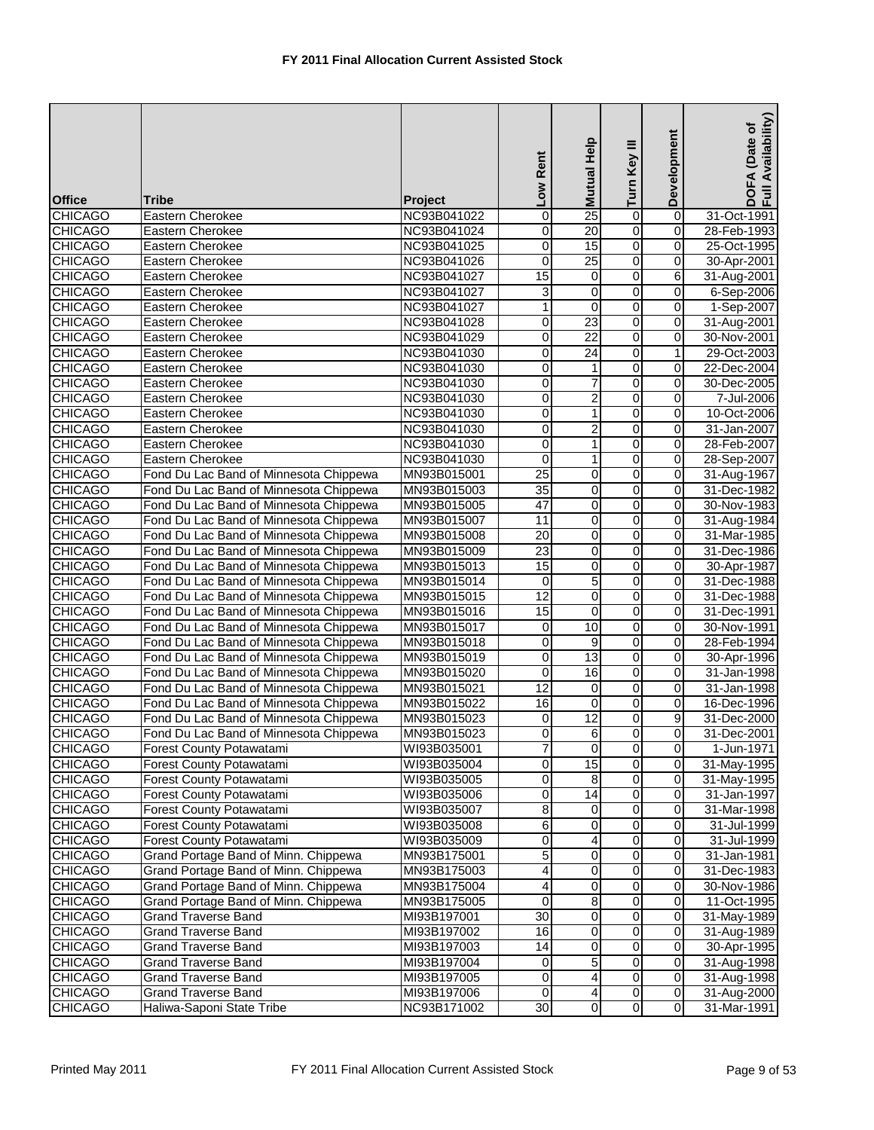| <b>Office</b>  | <b>Tribe</b>                           | <b>Project</b> | Low Rent        | Mutual Help      | Turn Key III   | Development             | Availability)<br>(Date of<br>DOFA<br>Full Av |
|----------------|----------------------------------------|----------------|-----------------|------------------|----------------|-------------------------|----------------------------------------------|
| <b>CHICAGO</b> | Eastern Cherokee                       | NC93B041022    | 0               | 25               | $\overline{0}$ | $\overline{0}$          | 31-Oct-1991                                  |
| <b>CHICAGO</b> | <b>Eastern Cherokee</b>                | NC93B041024    | 0               | 20               | 0              | 0                       | 28-Feb-1993                                  |
| <b>CHICAGO</b> | <b>Eastern Cherokee</b>                | NC93B041025    | 0               | 15               | $\overline{0}$ | 0                       | 25-Oct-1995                                  |
| <b>CHICAGO</b> | Eastern Cherokee                       | NC93B041026    | 0               | 25               | $\overline{0}$ | $\overline{0}$          | 30-Apr-2001                                  |
| <b>CHICAGO</b> | Eastern Cherokee                       | NC93B041027    | 15              | $\pmb{0}$        | $\overline{0}$ | 6                       | 31-Aug-2001                                  |
| <b>CHICAGO</b> | Eastern Cherokee                       | NC93B041027    | 3               | 0                | $\overline{0}$ | 0                       | 6-Sep-2006                                   |
| <b>CHICAGO</b> | Eastern Cherokee                       | NC93B041027    | 1               | $\boldsymbol{0}$ | 0              | $\boldsymbol{0}$        | 1-Sep-2007                                   |
| <b>CHICAGO</b> | Eastern Cherokee                       | NC93B041028    | 0               | 23               | 0              | 0                       | 31-Aug-2001                                  |
| <b>CHICAGO</b> | Eastern Cherokee                       | NC93B041029    | 0               | $\overline{22}$  | 0              | 0                       | 30-Nov-2001                                  |
| <b>CHICAGO</b> | Eastern Cherokee                       | NC93B041030    | 0               | 24               | $\overline{0}$ | 1                       | 29-Oct-2003                                  |
| <b>CHICAGO</b> | <b>Eastern Cherokee</b>                | NC93B041030    | 0               | 1                | 0              | 0                       | 22-Dec-2004                                  |
| <b>CHICAGO</b> | <b>Eastern Cherokee</b>                | NC93B041030    | 0               | 7                | $\overline{0}$ | $\overline{0}$          | 30-Dec-2005                                  |
| <b>CHICAGO</b> | Eastern Cherokee                       | NC93B041030    | 0               | $\overline{2}$   | $\overline{0}$ | $\pmb{0}$               | 7-Jul-2006                                   |
| <b>CHICAGO</b> | Eastern Cherokee                       | NC93B041030    | 0               | 1                | $\overline{0}$ | 0                       | 10-Oct-2006                                  |
| <b>CHICAGO</b> | <b>Eastern Cherokee</b>                | NC93B041030    | 0               | 2                | 0              | 0                       | 31-Jan-2007                                  |
| <b>CHICAGO</b> | Eastern Cherokee                       | NC93B041030    | 0               | 1                | $\overline{0}$ | $\overline{0}$          | 28-Feb-2007                                  |
| <b>CHICAGO</b> | Eastern Cherokee                       | NC93B041030    | 0               | 1                | $\overline{0}$ | 0                       | 28-Sep-2007                                  |
| <b>CHICAGO</b> | Fond Du Lac Band of Minnesota Chippewa | MN93B015001    | 25              | 0                | 0              | 0                       | 31-Aug-1967                                  |
| <b>CHICAGO</b> | Fond Du Lac Band of Minnesota Chippewa | MN93B015003    | $\overline{35}$ | 0                | $\overline{0}$ | 0                       | 31-Dec-1982                                  |
| <b>CHICAGO</b> | Fond Du Lac Band of Minnesota Chippewa | MN93B015005    | $\overline{47}$ | 0                | 0              | 0                       | 30-Nov-1983                                  |
| <b>CHICAGO</b> | Fond Du Lac Band of Minnesota Chippewa | MN93B015007    | 11              | $\overline{0}$   | $\overline{0}$ | $\overline{0}$          | 31-Aug-1984                                  |
| <b>CHICAGO</b> | Fond Du Lac Band of Minnesota Chippewa | MN93B015008    | 20              | 0                | $\overline{0}$ | $\overline{0}$          | 31-Mar-1985                                  |
| <b>CHICAGO</b> | Fond Du Lac Band of Minnesota Chippewa | MN93B015009    | 23              | $\overline{0}$   | $\overline{0}$ | 0                       | 31-Dec-1986                                  |
| <b>CHICAGO</b> | Fond Du Lac Band of Minnesota Chippewa | MN93B015013    | 15              | 0                | $\overline{0}$ | 0                       | 30-Apr-1987                                  |
| <b>CHICAGO</b> | Fond Du Lac Band of Minnesota Chippewa | MN93B015014    | $\pmb{0}$       | 5                | $\overline{0}$ | 0                       | 31-Dec-1988                                  |
| <b>CHICAGO</b> | Fond Du Lac Band of Minnesota Chippewa | MN93B015015    | 12              | 0                | $\overline{0}$ | 0                       | 31-Dec-1988                                  |
| <b>CHICAGO</b> | Fond Du Lac Band of Minnesota Chippewa | MN93B015016    | 15              | $\mathbf 0$      | 0              | 0                       | 31-Dec-1991                                  |
| <b>CHICAGO</b> | Fond Du Lac Band of Minnesota Chippewa | MN93B015017    | 0               | 10               | $\overline{0}$ | 0                       | 30-Nov-1991                                  |
| <b>CHICAGO</b> | Fond Du Lac Band of Minnesota Chippewa | MN93B015018    | 0               | 9                | $\overline{0}$ | 0                       | 28-Feb-1994                                  |
| <b>CHICAGO</b> | Fond Du Lac Band of Minnesota Chippewa | MN93B015019    | 0               | 13               | $\overline{0}$ | $\overline{0}$          | 30-Apr-1996                                  |
| <b>CHICAGO</b> | Fond Du Lac Band of Minnesota Chippewa | MN93B015020    | 0               | 16               | $\overline{0}$ | 0                       | 31-Jan-1998                                  |
| <b>CHICAGO</b> | Fond Du Lac Band of Minnesota Chippewa | MN93B015021    | 12              | $\pmb{0}$        | 0              | 0                       | 31-Jan-1998                                  |
| <b>CHICAGO</b> | Fond Du Lac Band of Minnesota Chippewa | MN93B015022    | 16              | 0                | 0              | 0                       | 16-Dec-1996                                  |
| <b>CHICAGO</b> | Fond Du Lac Band of Minnesota Chippewa | MN93B015023    | 0               | $\overline{12}$  | $\overline{0}$ | 9                       | 31-Dec-2000                                  |
| <b>CHICAGO</b> | Fond Du Lac Band of Minnesota Chippewa | MN93B015023    | $\overline{0}$  | 6                | $\overline{0}$ | $\overline{0}$          | 31-Dec-2001                                  |
| <b>CHICAGO</b> | Forest County Potawatami               | WI93B035001    | 7               | $\mathbf 0$      | $\overline{0}$ | 0                       | 1-Jun-1971                                   |
| <b>CHICAGO</b> | Forest County Potawatami               | WI93B035004    | 0               | 15               | $\overline{0}$ | 0                       | 31-May-1995                                  |
| <b>CHICAGO</b> | Forest County Potawatami               | WI93B035005    | 0               | 8                | $\overline{0}$ | 0                       | 31-May-1995                                  |
| <b>CHICAGO</b> | Forest County Potawatami               | WI93B035006    | 0               | 14               | $\overline{0}$ | $\overline{\mathbf{0}}$ | 31-Jan-1997                                  |
| <b>CHICAGO</b> | Forest County Potawatami               | WI93B035007    | 8               | 0                | $\overline{0}$ | 0                       | 31-Mar-1998                                  |
| <b>CHICAGO</b> | Forest County Potawatami               | WI93B035008    | 6               | 0                | $\overline{0}$ | $\mathbf 0$             | 31-Jul-1999                                  |
| <b>CHICAGO</b> | Forest County Potawatami               | WI93B035009    | 0               | 4                | $\overline{0}$ | 0                       | 31-Jul-1999                                  |
| <b>CHICAGO</b> | Grand Portage Band of Minn. Chippewa   | MN93B175001    | 5               | 0                | $\overline{0}$ | 0                       | 31-Jan-1981                                  |
| <b>CHICAGO</b> | Grand Portage Band of Minn. Chippewa   | MN93B175003    | 4               | 0                | $\overline{0}$ | $\overline{0}$          | 31-Dec-1983                                  |
| <b>CHICAGO</b> | Grand Portage Band of Minn. Chippewa   | MN93B175004    | 4               | 0                | 0              | 0                       | 30-Nov-1986                                  |
| <b>CHICAGO</b> | Grand Portage Band of Minn. Chippewa   | MN93B175005    | $\pmb{0}$       | $\overline{8}$   | $\pmb{0}$      | $\overline{0}$          | 11-Oct-1995                                  |
| <b>CHICAGO</b> | <b>Grand Traverse Band</b>             | MI93B197001    | 30              | 0                | $\overline{0}$ | 0                       | 31-May-1989                                  |
| <b>CHICAGO</b> | <b>Grand Traverse Band</b>             | MI93B197002    | 16              | 0                | $\overline{0}$ | $\mathbf 0$             | 31-Aug-1989                                  |
| <b>CHICAGO</b> | <b>Grand Traverse Band</b>             | MI93B197003    | 14              | 0                | $\overline{0}$ | $\boldsymbol{0}$        | 30-Apr-1995                                  |
| <b>CHICAGO</b> | <b>Grand Traverse Band</b>             | MI93B197004    | 0               | 5                | $\overline{0}$ | $\mathbf 0$             | 31-Aug-1998                                  |
| <b>CHICAGO</b> | <b>Grand Traverse Band</b>             | MI93B197005    | $\mathbf 0$     | 4                | $\overline{0}$ | $\mathbf 0$             | 31-Aug-1998                                  |
| <b>CHICAGO</b> | <b>Grand Traverse Band</b>             | MI93B197006    | 0               | 4                | $\overline{0}$ | $\overline{\mathbf{0}}$ | 31-Aug-2000                                  |
| <b>CHICAGO</b> | Haliwa-Saponi State Tribe              | NC93B171002    | 30              | $\overline{0}$   | $\overline{0}$ | $\overline{0}$          | 31-Mar-1991                                  |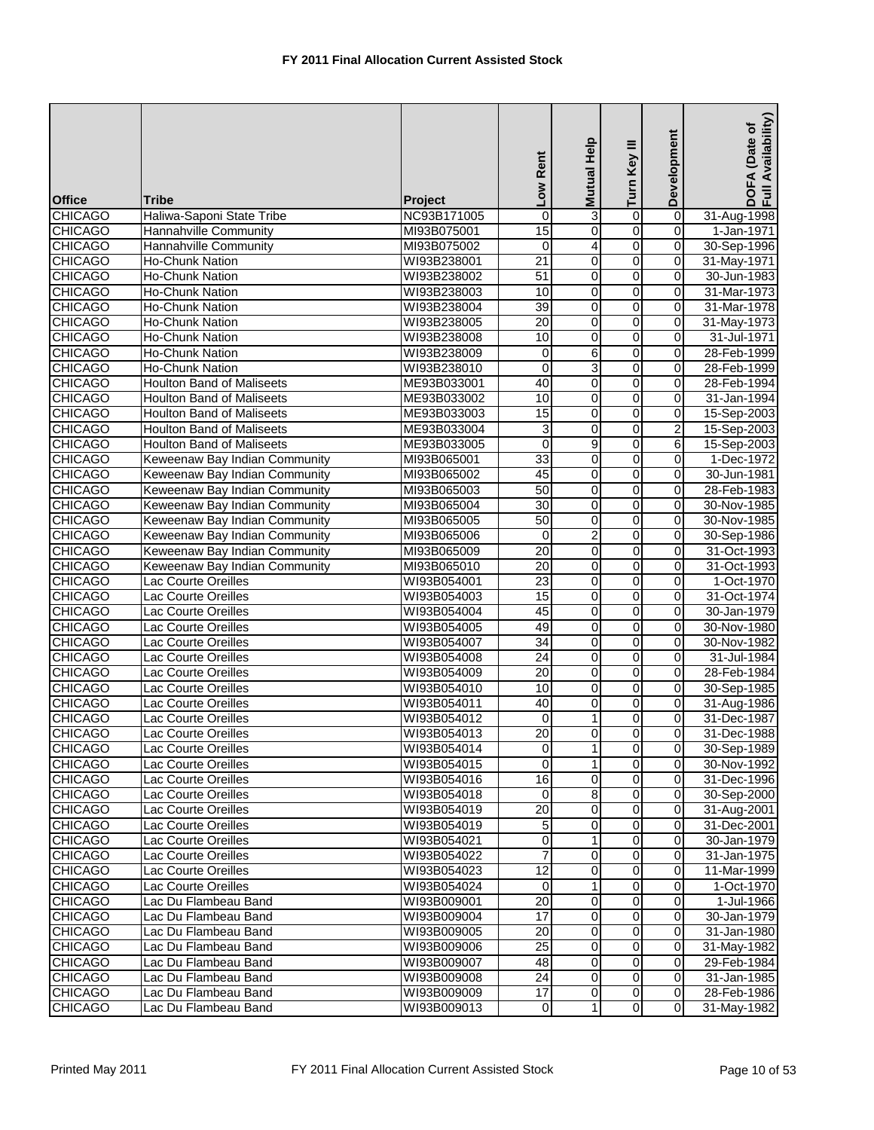|                |                                  |                | Low Rent                | Mutual Help    | Turn Key III   | Development             | Availability)<br>DOFA (Date of<br>Full Availability |
|----------------|----------------------------------|----------------|-------------------------|----------------|----------------|-------------------------|-----------------------------------------------------|
| <b>Office</b>  | <b>Tribe</b>                     | <b>Project</b> |                         |                |                |                         |                                                     |
| <b>CHICAGO</b> | Haliwa-Saponi State Tribe        | NC93B171005    | $\mathbf 0$             | 3              | $\overline{0}$ | $\overline{0}$          | 31-Aug-1998                                         |
| <b>CHICAGO</b> | Hannahville Community            | MI93B075001    | 15                      | 0              | 0              | $\mathbf 0$             | 1-Jan-1971                                          |
| <b>CHICAGO</b> | Hannahville Community            | MI93B075002    | 0                       | 4              | o              | $\mathbf 0$             | 30-Sep-1996                                         |
| <b>CHICAGO</b> | <b>Ho-Chunk Nation</b>           | WI93B238001    | $\overline{21}$         | 0              | 0              | $\overline{0}$          | 31-May-1971                                         |
| <b>CHICAGO</b> | <b>Ho-Chunk Nation</b>           | WI93B238002    | 51                      | 0              | 0              | $\mathbf 0$             | 30-Jun-1983                                         |
| <b>CHICAGO</b> | Ho-Chunk Nation                  | WI93B238003    | 10                      | 0              | 0              | $\overline{0}$          | 31-Mar-1973                                         |
| <b>CHICAGO</b> | <b>Ho-Chunk Nation</b>           | WI93B238004    | $\overline{39}$         | 0              | 0              | 0                       | 31-Mar-1978                                         |
| <b>CHICAGO</b> | <b>Ho-Chunk Nation</b>           | WI93B238005    | $\overline{20}$         | $\mathbf 0$    | 0              | $\overline{\mathbf{0}}$ | 31-May-1973                                         |
| <b>CHICAGO</b> | Ho-Chunk Nation                  | WI93B238008    | 10                      | 0              | 0              | $\mathbf 0$             | 31-Jul-1971                                         |
| <b>CHICAGO</b> | Ho-Chunk Nation                  | WI93B238009    | 0                       | 6              | $\overline{0}$ | $\pmb{0}$               | 28-Feb-1999                                         |
| <b>CHICAGO</b> | <b>Ho-Chunk Nation</b>           | WI93B238010    | $\mathbf 0$             | 3              | 0              | 0                       | 28-Feb-1999                                         |
| <b>CHICAGO</b> | <b>Houlton Band of Maliseets</b> | ME93B033001    | 40                      | $\pmb{0}$      | o              | 0                       | 28-Feb-1994                                         |
| <b>CHICAGO</b> | <b>Houlton Band of Maliseets</b> | ME93B033002    | 10                      | $\mathbf 0$    | $\overline{0}$ | $\overline{0}$          | 31-Jan-1994                                         |
| <b>CHICAGO</b> | <b>Houlton Band of Maliseets</b> | ME93B033003    | 15                      | 0              | 0              | $\mathbf 0$             | 15-Sep-2003                                         |
| <b>CHICAGO</b> | <b>Houlton Band of Maliseets</b> | ME93B033004    | 3                       | 0              | 0              | $\overline{2}$          | 15-Sep-2003                                         |
| <b>CHICAGO</b> | <b>Houlton Band of Maliseets</b> | ME93B033005    | 0                       | 9              | 0              | 6                       | 15-Sep-2003                                         |
| <b>CHICAGO</b> | Keweenaw Bay Indian Community    | MI93B065001    | 33                      | $\pmb{0}$      | 0              | $\overline{0}$          | 1-Dec-1972                                          |
| <b>CHICAGO</b> | Keweenaw Bay Indian Community    | MI93B065002    | 45                      | 0              | 0              | $\mathbf 0$             | 30-Jun-1981                                         |
| <b>CHICAGO</b> | Keweenaw Bay Indian Community    | MI93B065003    | 50                      | 0              | 0              | $\mathbf 0$             | 28-Feb-1983                                         |
| <b>CHICAGO</b> | Keweenaw Bay Indian Community    | MI93B065004    | $\overline{30}$         | 0              | 0              | $\mathbf 0$             | 30-Nov-1985                                         |
| <b>CHICAGO</b> | Keweenaw Bay Indian Community    | MI93B065005    | 50                      | 0              | 0              | 0                       | 30-Nov-1985                                         |
| <b>CHICAGO</b> | Keweenaw Bay Indian Community    | MI93B065006    | $\mathbf 0$             | $\overline{2}$ | 0              | $\mathbf 0$             | 30-Sep-1986                                         |
| <b>CHICAGO</b> | Keweenaw Bay Indian Community    | MI93B065009    | 20                      | 0              | 0              | $\mathbf 0$             | 31-Oct-1993                                         |
| <b>CHICAGO</b> | Keweenaw Bay Indian Community    | MI93B065010    | $\overline{20}$         | 0              | 0              | $\mathbf 0$             | 31-Oct-1993                                         |
| <b>CHICAGO</b> | Lac Courte Oreilles              | WI93B054001    | 23                      | 0              | 0              | 0                       | 1-Oct-1970                                          |
| <b>CHICAGO</b> | Lac Courte Oreilles              | WI93B054003    | 15                      | $\pmb{0}$      | 0              | $\mathbf 0$             | 31-Oct-1974                                         |
| <b>CHICAGO</b> | Lac Courte Oreilles              | WI93B054004    | 45                      | 0              | 0              | $\mathbf 0$             | 30-Jan-1979                                         |
| <b>CHICAGO</b> | Lac Courte Oreilles              | WI93B054005    | 49                      | 0              | 0              | 0                       | 30-Nov-1980                                         |
| <b>CHICAGO</b> | Lac Courte Oreilles              | WI93B054007    | $\overline{34}$         | 0              | 0              | 0                       | 30-Nov-1982                                         |
| <b>CHICAGO</b> | Lac Courte Oreilles              | WI93B054008    | $\overline{24}$         | 0              | 0              | 0                       | 31-Jul-1984                                         |
| <b>CHICAGO</b> | Lac Courte Oreilles              | WI93B054009    | 20                      | 0              | 0              | $\mathbf 0$             | 28-Feb-1984                                         |
| <b>CHICAGO</b> | Lac Courte Oreilles              | WI93B054010    | 10                      | 0              | 0              | $\mathbf 0$             | 30-Sep-1985                                         |
| <b>CHICAGO</b> | Lac Courte Oreilles              | WI93B054011    | 40                      | 0              | 0              | $\mathbf 0$             | 31-Aug-1986                                         |
| <b>CHICAGO</b> | Lac Courte Oreilles              | WI93B054012    | 0                       | 1              | 0              | 0                       | 31-Dec-1987                                         |
| <b>CHICAGO</b> | Lac Courte Oreilles              | WI93B054013    | 20                      | $\overline{O}$ | $\overline{0}$ | $\overline{0}$          | 31-Dec-1988                                         |
| <b>CHICAGO</b> | Lac Courte Oreilles              | WI93B054014    | $\overline{\mathbf{0}}$ | 1              | 0              | $\mathbf 0$             | 30-Sep-1989                                         |
| <b>CHICAGO</b> | Lac Courte Oreilles              | WI93B054015    | $\Omega$                | 1              | 0              | $\mathbf 0$             | 30-Nov-1992                                         |
| <b>CHICAGO</b> | Lac Courte Oreilles              | WI93B054016    | 16                      | 0              | 0              | $\mathbf 0$             | 31-Dec-1996                                         |
| <b>CHICAGO</b> | Lac Courte Oreilles              | WI93B054018    | 0                       | 8              | 0              | $\mathbf 0$             | 30-Sep-2000                                         |
| <b>CHICAGO</b> | Lac Courte Oreilles              | WI93B054019    | $\overline{20}$         | 0              | 0              | $\mathbf 0$             | 31-Aug-2001                                         |
| <b>CHICAGO</b> | Lac Courte Oreilles              | WI93B054019    | 5                       | 0              | 0              | $\mathbf 0$             | 31-Dec-2001                                         |
| <b>CHICAGO</b> | Lac Courte Oreilles              | WI93B054021    | 0                       |                | 0              | $\mathbf 0$             | 30-Jan-1979                                         |
| <b>CHICAGO</b> | Lac Courte Oreilles              | WI93B054022    |                         | 0              | 0              | $\mathbf 0$             | 31-Jan-1975                                         |
| <b>CHICAGO</b> | Lac Courte Oreilles              | WI93B054023    | $\overline{12}$         | 0              | 0              | $\boldsymbol{0}$        | 11-Mar-1999                                         |
| <b>CHICAGO</b> | Lac Courte Oreilles              | WI93B054024    | $\mathbf 0$             | 1              | 0              | $\mathbf 0$             | 1-Oct-1970                                          |
| <b>CHICAGO</b> | Lac Du Flambeau Band             | WI93B009001    | $\overline{20}$         | 0              | 0              | 0                       | 1-Jul-1966                                          |
| <b>CHICAGO</b> | Lac Du Flambeau Band             | WI93B009004    | 17                      | 0              | 0              | $\mathbf 0$             | 30-Jan-1979                                         |
| <b>CHICAGO</b> | Lac Du Flambeau Band             | WI93B009005    | 20                      | 0              | 0              | $\mathbf 0$             | 31-Jan-1980                                         |
| <b>CHICAGO</b> | Lac Du Flambeau Band             | WI93B009006    | $\overline{25}$         | $\mathbf 0$    | 0              | $\overline{0}$          | 31-May-1982                                         |
| <b>CHICAGO</b> | Lac Du Flambeau Band             | WI93B009007    | 48                      | 0              | 0              | $\mathbf 0$             | 29-Feb-1984                                         |
| <b>CHICAGO</b> | Lac Du Flambeau Band             | WI93B009008    | 24                      | $\pmb{0}$      | 0              | $\mathbf 0$             | 31-Jan-1985                                         |
| <b>CHICAGO</b> | Lac Du Flambeau Band             | WI93B009009    | 17                      | 0              | 0              | $\overline{0}$          | 28-Feb-1986                                         |
| <b>CHICAGO</b> | Lac Du Flambeau Band             | WI93B009013    | 0                       | 1              | 0              | 0                       | 31-May-1982                                         |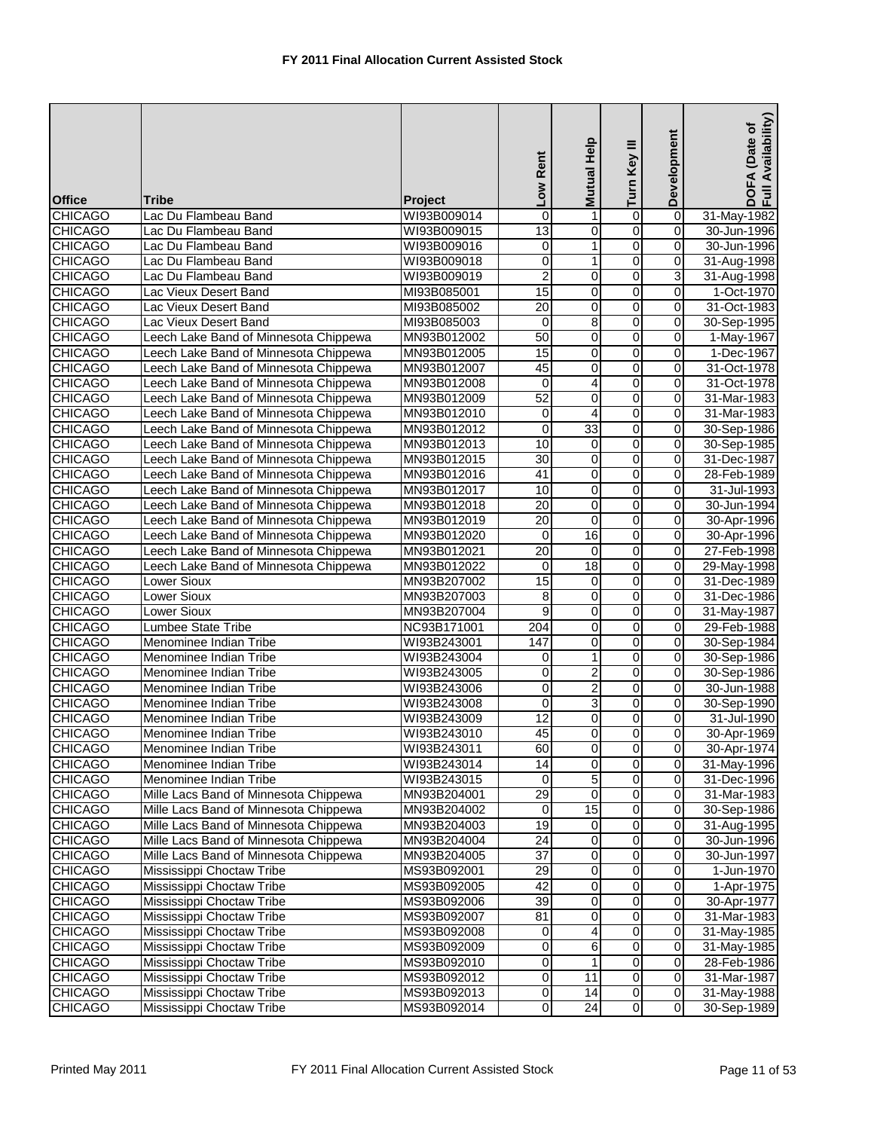| <b>Office</b>  | <b>Tribe</b>                          | Project     | Low Rent         | Help<br><b>Mutual</b>   | Turn Key III   | Development             | Availability)<br>DOFA (Date of<br>Full Availability |
|----------------|---------------------------------------|-------------|------------------|-------------------------|----------------|-------------------------|-----------------------------------------------------|
| <b>CHICAGO</b> | Lac Du Flambeau Band                  | WI93B009014 | 0                | 1                       | 0              | $\pmb{0}$               | 31-May-1982                                         |
| <b>CHICAGO</b> | Lac Du Flambeau Band                  | WI93B009015 | 13               | 0                       | 0              | 0                       | 30-Jun-1996                                         |
| <b>CHICAGO</b> | Lac Du Flambeau Band                  | WI93B009016 | 0                | 1                       | $\overline{0}$ | $\overline{0}$          | 30-Jun-1996                                         |
| <b>CHICAGO</b> | Lac Du Flambeau Band                  | WI93B009018 | 0                | 1                       | 0              | $\pmb{0}$               | 31-Aug-1998                                         |
| <b>CHICAGO</b> | Lac Du Flambeau Band                  | WI93B009019 | $\overline{2}$   | 0                       | 0              | 3                       | 31-Aug-1998                                         |
| <b>CHICAGO</b> | Lac Vieux Desert Band                 | MI93B085001 | 15               | 0                       | 0              | 0                       | 1-Oct-1970                                          |
| <b>CHICAGO</b> | Lac Vieux Desert Band                 | MI93B085002 | 20               | 0                       | 0              | 0                       | 31-Oct-1983                                         |
| <b>CHICAGO</b> | Lac Vieux Desert Band                 | MI93B085003 | 0                | 8                       | 0              | $\pmb{0}$               | 30-Sep-1995                                         |
| <b>CHICAGO</b> | Leech Lake Band of Minnesota Chippewa | MN93B012002 | 50               | 0                       | 0              | 0                       | 1-May-1967                                          |
| <b>CHICAGO</b> | Leech Lake Band of Minnesota Chippewa | MN93B012005 | 15               | 0                       | 0              | 0                       | 1-Dec-1967                                          |
| <b>CHICAGO</b> | Leech Lake Band of Minnesota Chippewa | MN93B012007 | 45               | 0                       | 0              | 0                       | 31-Oct-1978                                         |
| <b>CHICAGO</b> | Leech Lake Band of Minnesota Chippewa | MN93B012008 | $\mathbf 0$      | 4                       | $\overline{0}$ | $\overline{0}$          | 31-Oct-1978                                         |
| <b>CHICAGO</b> | Leech Lake Band of Minnesota Chippewa | MN93B012009 | 52               | 0                       | 0              | $\mathbf 0$             | 31-Mar-1983                                         |
| <b>CHICAGO</b> | Leech Lake Band of Minnesota Chippewa | MN93B012010 | 0                | 4                       | 0              | 0                       | 31-Mar-1983                                         |
| <b>CHICAGO</b> | Leech Lake Band of Minnesota Chippewa | MN93B012012 | $\boldsymbol{0}$ | 33                      | 0              | 0                       | 30-Sep-1986                                         |
| <b>CHICAGO</b> | Leech Lake Band of Minnesota Chippewa | MN93B012013 | 10               | 0                       | 0              | 0                       | 30-Sep-1985                                         |
| <b>CHICAGO</b> | Leech Lake Band of Minnesota Chippewa | MN93B012015 | 30               | 0                       | 0              | $\mathbf 0$             | 31-Dec-1987                                         |
| <b>CHICAGO</b> | Leech Lake Band of Minnesota Chippewa | MN93B012016 | $\overline{41}$  | 0                       | 0              | $\mathbf 0$             | 28-Feb-1989                                         |
| <b>CHICAGO</b> | Leech Lake Band of Minnesota Chippewa | MN93B012017 | 10               | 0                       | 0              | $\pmb{0}$               | 31-Jul-1993                                         |
| <b>CHICAGO</b> | Leech Lake Band of Minnesota Chippewa | MN93B012018 | 20               | 0                       | 0              | 0                       | 30-Jun-1994                                         |
| <b>CHICAGO</b> | Leech Lake Band of Minnesota Chippewa | MN93B012019 | 20               | $\mathbf 0$             | 0              | $\pmb{0}$               | 30-Apr-1996                                         |
| <b>CHICAGO</b> | Leech Lake Band of Minnesota Chippewa | MN93B012020 | 0                | 16                      | 0              | $\pmb{0}$               | 30-Apr-1996                                         |
| <b>CHICAGO</b> | Leech Lake Band of Minnesota Chippewa | MN93B012021 | $\overline{20}$  | $\mathbf 0$             | 0              | $\mathbf 0$             | 27-Feb-1998                                         |
| <b>CHICAGO</b> | Leech Lake Band of Minnesota Chippewa | MN93B012022 | 0                | 18                      | 0              | 0                       | 29-May-1998                                         |
| <b>CHICAGO</b> | Lower Sioux                           | MN93B207002 | 15               | 0                       | 0              | $\mathbf 0$             | 31-Dec-1989                                         |
| <b>CHICAGO</b> | Lower Sioux                           | MN93B207003 | 8                | $\mathbf 0$             | 0              | $\mathbf 0$             | 31-Dec-1986                                         |
| <b>CHICAGO</b> | Lower Sioux                           | MN93B207004 | 9                | 0                       | 0              | 0                       | 31-May-1987                                         |
| <b>CHICAGO</b> | <b>Lumbee State Tribe</b>             | NC93B171001 | 204              | 0                       | 0              | $\mathbf 0$             | 29-Feb-1988                                         |
| <b>CHICAGO</b> | Menominee Indian Tribe                | WI93B243001 | 147              | 0                       | 0              | 0                       | 30-Sep-1984                                         |
| <b>CHICAGO</b> | Menominee Indian Tribe                | WI93B243004 | 0                | 1                       | 0              | 0                       | 30-Sep-1986                                         |
| <b>CHICAGO</b> | Menominee Indian Tribe                | WI93B243005 | 0                | $\overline{\mathbf{c}}$ | 0              | $\pmb{0}$               | 30-Sep-1986                                         |
| <b>CHICAGO</b> | Menominee Indian Tribe                | WI93B243006 | 0                | $\overline{2}$          | 0              | 0                       | 30-Jun-1988                                         |
| <b>CHICAGO</b> | Menominee Indian Tribe                | WI93B243008 | 0                | 3                       | 0              | 0                       | 30-Sep-1990                                         |
| <b>CHICAGO</b> | Menominee Indian Tribe                | WI93B243009 | 12               | 0                       | 0              | 0                       | 31-Jul-1990                                         |
| <b>CHICAGO</b> | Menominee Indian Tribe                | WI93B243010 | 45               | $\overline{0}$          | O              | $\overline{0}$          | 30-Apr-1969                                         |
| <b>CHICAGO</b> | Menominee Indian Tribe                | WI93B243011 | 60               | $\overline{\mathbf{o}}$ | $\overline{0}$ | $\mathbf 0$             | 30-Apr-1974                                         |
| <b>CHICAGO</b> | Menominee Indian Tribe                | WI93B243014 | $\overline{14}$  | 0                       | $\overline{0}$ | $\overline{0}$          | 31-May-1996                                         |
| <b>CHICAGO</b> | Menominee Indian Tribe                | WI93B243015 | 0                | 5                       | 0              | $\mathbf 0$             | 31-Dec-1996                                         |
| <b>CHICAGO</b> | Mille Lacs Band of Minnesota Chippewa | MN93B204001 | 29               | 0                       | 0              | $\mathbf 0$             | 31-Mar-1983                                         |
| <b>CHICAGO</b> | Mille Lacs Band of Minnesota Chippewa | MN93B204002 | $\mathbf 0$      | 15                      | $\overline{0}$ | $\mathbf 0$             | 30-Sep-1986                                         |
| <b>CHICAGO</b> | Mille Lacs Band of Minnesota Chippewa | MN93B204003 | 19               | 0                       | 0              | 0                       | 31-Aug-1995                                         |
| <b>CHICAGO</b> | Mille Lacs Band of Minnesota Chippewa | MN93B204004 | 24               | 0                       | 0              | $\overline{\mathbf{o}}$ | 30-Jun-1996                                         |
| <b>CHICAGO</b> | Mille Lacs Band of Minnesota Chippewa | MN93B204005 | $\overline{37}$  | 0                       | 0              | $\mathbf 0$             | 30-Jun-1997                                         |
| <b>CHICAGO</b> | Mississippi Choctaw Tribe             | MS93B092001 | 29               | $\overline{\mathbf{o}}$ | $\overline{0}$ | $\overline{\mathbf{o}}$ | 1-Jun-1970                                          |
| <b>CHICAGO</b> | Mississippi Choctaw Tribe             | MS93B092005 | 42               | 0                       | 0              | $\boldsymbol{0}$        | 1-Apr-1975                                          |
| <b>CHICAGO</b> | Mississippi Choctaw Tribe             | MS93B092006 | 39               | $\mathbf 0$             | 0              | $\mathbf 0$             | 30-Apr-1977                                         |
| <b>CHICAGO</b> | Mississippi Choctaw Tribe             | MS93B092007 | 81               | 0                       | 0              | $\mathsf{O}\xspace$     | 31-Mar-1983                                         |
| <b>CHICAGO</b> | Mississippi Choctaw Tribe             | MS93B092008 | 0                | 4                       | 0              | $\mathbf 0$             | 31-May-1985                                         |
| <b>CHICAGO</b> | Mississippi Choctaw Tribe             | MS93B092009 | 0                | 6                       | 0              | $\mathsf{O}\xspace$     | 31-May-1985                                         |
| <b>CHICAGO</b> | Mississippi Choctaw Tribe             | MS93B092010 | 0                | 1                       | 0              | $\mathbf 0$             | 28-Feb-1986                                         |
| <b>CHICAGO</b> | Mississippi Choctaw Tribe             | MS93B092012 | $\mathbf 0$      | 11                      | 0              | $\mathbf 0$             | 31-Mar-1987                                         |
| <b>CHICAGO</b> | Mississippi Choctaw Tribe             | MS93B092013 | $\mathbf 0$      | $\overline{14}$         | 0              | $\mathbf 0$             | 31-May-1988                                         |
| <b>CHICAGO</b> | Mississippi Choctaw Tribe             | MS93B092014 | $\mathbf 0$      | 24                      | $\overline{0}$ | $\overline{0}$          | 30-Sep-1989                                         |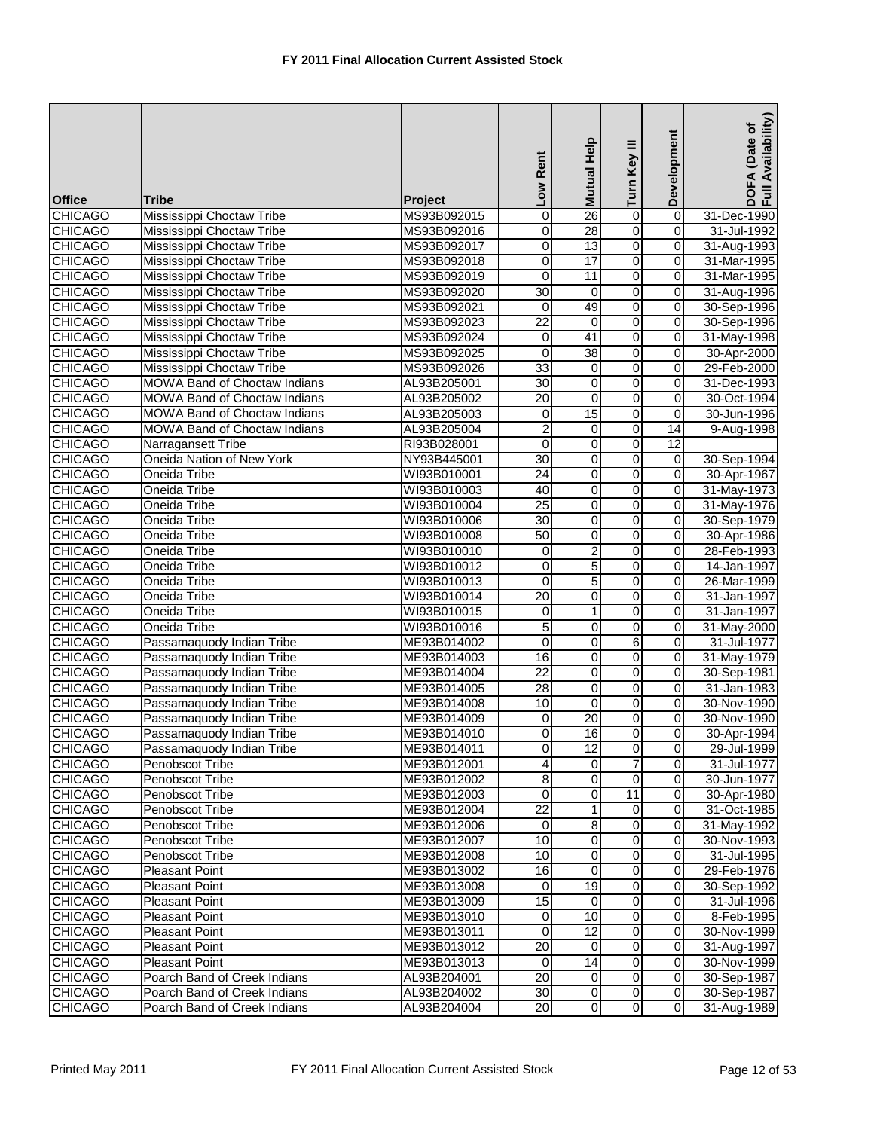| <b>Office</b>  | <b>Tribe</b>                 | <b>Project</b> | Low Rent                | Help<br><b>Mutual</b>   | Turn Key III   | Development             | Availability)<br>DOFA (Date of<br>Full Availability |
|----------------|------------------------------|----------------|-------------------------|-------------------------|----------------|-------------------------|-----------------------------------------------------|
| <b>CHICAGO</b> | Mississippi Choctaw Tribe    | MS93B092015    | 0                       | 26                      | 0              | $\overline{0}$          | 31-Dec-1990                                         |
| <b>CHICAGO</b> | Mississippi Choctaw Tribe    | MS93B092016    | 0                       | 28                      | $\overline{0}$ | $\mathbf 0$             | 31-Jul-1992                                         |
| <b>CHICAGO</b> | Mississippi Choctaw Tribe    | MS93B092017    | 0                       | 13                      | $\overline{0}$ | $\mathbf 0$             | 31-Aug-1993                                         |
| <b>CHICAGO</b> | Mississippi Choctaw Tribe    | MS93B092018    | 0                       | 17                      | 0              | 0                       | 31-Mar-1995                                         |
| <b>CHICAGO</b> | Mississippi Choctaw Tribe    | MS93B092019    | 0                       | 11                      | 0              | 0                       | 31-Mar-1995                                         |
| <b>CHICAGO</b> | Mississippi Choctaw Tribe    | MS93B092020    | 30                      | $\mathbf 0$             | 0              | $\mathbf 0$             | 31-Aug-1996                                         |
| <b>CHICAGO</b> | Mississippi Choctaw Tribe    | MS93B092021    | 0                       | 49                      | 0              | $\mathbf 0$             | 30-Sep-1996                                         |
| <b>CHICAGO</b> | Mississippi Choctaw Tribe    | MS93B092023    | $\overline{22}$         | $\mathbf 0$             | 0              | $\mathbf 0$             | 30-Sep-1996                                         |
| <b>CHICAGO</b> | Mississippi Choctaw Tribe    | MS93B092024    | 0                       | 41                      | 0              | $\mathbf 0$             | 31-May-1998                                         |
| <b>CHICAGO</b> | Mississippi Choctaw Tribe    | MS93B092025    | 0                       | 38                      | 0              | $\mathbf 0$             | 30-Apr-2000                                         |
| <b>CHICAGO</b> | Mississippi Choctaw Tribe    | MS93B092026    | 33                      | 0                       | $\overline{0}$ | $\mathbf 0$             | 29-Feb-2000                                         |
| <b>CHICAGO</b> | MOWA Band of Choctaw Indians | AL93B205001    | 30                      | $\overline{0}$          | $\overline{0}$ | $\mathbf 0$             | 31-Dec-1993                                         |
| <b>CHICAGO</b> | MOWA Band of Choctaw Indians | AL93B205002    | 20                      | $\mathbf 0$             | 0              | 0                       | 30-Oct-1994                                         |
| <b>CHICAGO</b> | MOWA Band of Choctaw Indians | AL93B205003    | 0                       | 15                      | 0              | 0                       | 30-Jun-1996                                         |
| <b>CHICAGO</b> | MOWA Band of Choctaw Indians | AL93B205004    | $\overline{2}$          | 0                       | 0              | 14                      | 9-Aug-1998                                          |
| <b>CHICAGO</b> | Narragansett Tribe           | RI93B028001    | 0                       | 0                       | 0              | 12                      |                                                     |
| <b>CHICAGO</b> | Oneida Nation of New York    | NY93B445001    | 30                      | $\mathbf 0$             | 0              | $\mathbf 0$             | 30-Sep-1994                                         |
| <b>CHICAGO</b> | Oneida Tribe                 | WI93B010001    | 24                      | 0                       | 0              | $\mathbf 0$             | 30-Apr-1967                                         |
| <b>CHICAGO</b> | Oneida Tribe                 | WI93B010003    | 40                      | $\pmb{0}$               | 0              | $\mathbf 0$             | 31-May-1973                                         |
| <b>CHICAGO</b> | Oneida Tribe                 | WI93B010004    | 25                      | 0                       | 0              | $\mathbf 0$             | 31-May-1976                                         |
| <b>CHICAGO</b> | Oneida Tribe                 | WI93B010006    | 30                      | $\mathbf 0$             | 0              | $\mathbf 0$             | 30-Sep-1979                                         |
| <b>CHICAGO</b> | Oneida Tribe                 | WI93B010008    | 50                      | $\mathbf 0$             | $\overline{0}$ | $\mathbf 0$             | 30-Apr-1986                                         |
| <b>CHICAGO</b> | Oneida Tribe                 | WI93B010010    | 0                       | $\overline{2}$          | 0              | $\mathbf 0$             | 28-Feb-1993                                         |
| <b>CHICAGO</b> | Oneida Tribe                 | WI93B010012    | 0                       | 5                       | 0              | $\mathbf 0$             | 14-Jan-1997                                         |
| <b>CHICAGO</b> | Oneida Tribe                 | WI93B010013    | 0                       | 5                       | 0              | $\overline{0}$          | 26-Mar-1999                                         |
| <b>CHICAGO</b> | Oneida Tribe                 | WI93B010014    | $\overline{20}$         | 0                       | 0              | $\mathbf 0$             | 31-Jan-1997                                         |
| <b>CHICAGO</b> | Oneida Tribe                 | WI93B010015    | 0                       | 1                       | 0              | $\mathbf 0$             | 31-Jan-1997                                         |
| <b>CHICAGO</b> | Oneida Tribe                 | WI93B010016    | 5                       | $\overline{0}$          | $\overline{0}$ | $\mathbf 0$             | 31-May-2000                                         |
| <b>CHICAGO</b> | Passamaquody Indian Tribe    | ME93B014002    | 0                       | 0                       | 6              | $\mathbf 0$             | 31-Jul-1977                                         |
| <b>CHICAGO</b> | Passamaquody Indian Tribe    | ME93B014003    | 16                      | $\mathbf 0$             | $\overline{0}$ | 0                       | 31-May-1979                                         |
| <b>CHICAGO</b> | Passamaquody Indian Tribe    | ME93B014004    | $\overline{22}$         | $\mathbf 0$             | $\overline{0}$ | $\overline{\mathbf{0}}$ | 30-Sep-1981                                         |
| <b>CHICAGO</b> | Passamaquody Indian Tribe    | ME93B014005    | $\overline{28}$         | $\mathbf 0$             | 0              | $\mathbf 0$             | 31-Jan-1983                                         |
| <b>CHICAGO</b> | Passamaquody Indian Tribe    | ME93B014008    | 10                      | 0                       | 0              | $\mathbf 0$             | 30-Nov-1990                                         |
| <b>CHICAGO</b> | Passamaquody Indian Tribe    | ME93B014009    | 0                       | $\overline{20}$         | 0              | 0                       | 30-Nov-1990                                         |
| <b>CHICAGO</b> | Passamaquody Indian Tribe    | ME93B014010    | $\overline{0}$          | 16                      | $\overline{0}$ | $\overline{0}$          | 30-Apr-1994                                         |
| <b>CHICAGO</b> | Passamaquody Indian Tribe    | ME93B014011    | $\overline{\mathbf{0}}$ | 12                      | $\overline{0}$ | $\mathbf 0$             | 29-Jul-1999                                         |
| <b>CHICAGO</b> | Penobscot Tribe              | ME93B012001    | 4                       | $\mathbf 0$             | 7              | 0                       | 31-Jul-1977                                         |
| <b>CHICAGO</b> | Penobscot Tribe              | ME93B012002    | 8                       | $\mathbf 0$             | 0              | $\mathbf 0$             | 30-Jun-1977                                         |
| <b>CHICAGO</b> | Penobscot Tribe              | ME93B012003    | 0                       | 0                       | 11             | $\mathbf 0$             | 30-Apr-1980                                         |
| <b>CHICAGO</b> | Penobscot Tribe              | ME93B012004    | $\overline{22}$         | 1                       | 0              | $\mathbf 0$             | 31-Oct-1985                                         |
| <b>CHICAGO</b> | Penobscot Tribe              | ME93B012006    | 0                       | 8                       | 0              | 0                       | 31-May-1992                                         |
| <b>CHICAGO</b> | Penobscot Tribe              | ME93B012007    | 10                      | $\mathbf 0$             | 0              | $\mathbf 0$             | 30-Nov-1993                                         |
| <b>CHICAGO</b> | Penobscot Tribe              | ME93B012008    | 10                      | $\mathbf 0$             | 0              | $\mathbf 0$             | 31-Jul-1995                                         |
| <b>CHICAGO</b> | Pleasant Point               | ME93B013002    | 16                      | $\mathbf 0$             | $\overline{0}$ | $\overline{\mathsf{o}}$ | 29-Feb-1976                                         |
| <b>CHICAGO</b> | <b>Pleasant Point</b>        | ME93B013008    | $\mathbf 0$             | 19                      | 0              | $\mathbf 0$             | 30-Sep-1992                                         |
| <b>CHICAGO</b> | <b>Pleasant Point</b>        | ME93B013009    | 15                      | 0                       | 0              | $\mathbf 0$             | 31-Jul-1996                                         |
| <b>CHICAGO</b> | <b>Pleasant Point</b>        | ME93B013010    | $\mathbf 0$             | 10                      | 0              | $\mathbf 0$             | 8-Feb-1995                                          |
| <b>CHICAGO</b> | <b>Pleasant Point</b>        | ME93B013011    | 0                       | $\overline{12}$         | 0              | $\mathbf 0$             | 30-Nov-1999                                         |
| <b>CHICAGO</b> | <b>Pleasant Point</b>        | ME93B013012    | $\overline{20}$         | 0                       | 0              | $\mathbf 0$             | 31-Aug-1997                                         |
| <b>CHICAGO</b> | <b>Pleasant Point</b>        | ME93B013013    | 0                       | $\overline{14}$         | 0              | $\mathbf 0$             | 30-Nov-1999                                         |
| <b>CHICAGO</b> | Poarch Band of Creek Indians | AL93B204001    | 20                      | $\mathbf 0$             | $\overline{0}$ | $\overline{0}$          | 30-Sep-1987                                         |
| <b>CHICAGO</b> | Poarch Band of Creek Indians | AL93B204002    | $30\,$                  | $\pmb{0}$               | $\mathbf 0$    | $\overline{0}$          | 30-Sep-1987                                         |
| <b>CHICAGO</b> | Poarch Band of Creek Indians | AL93B204004    | 20                      | $\overline{\mathbf{o}}$ | $\overline{0}$ | $\overline{\mathsf{o}}$ | 31-Aug-1989                                         |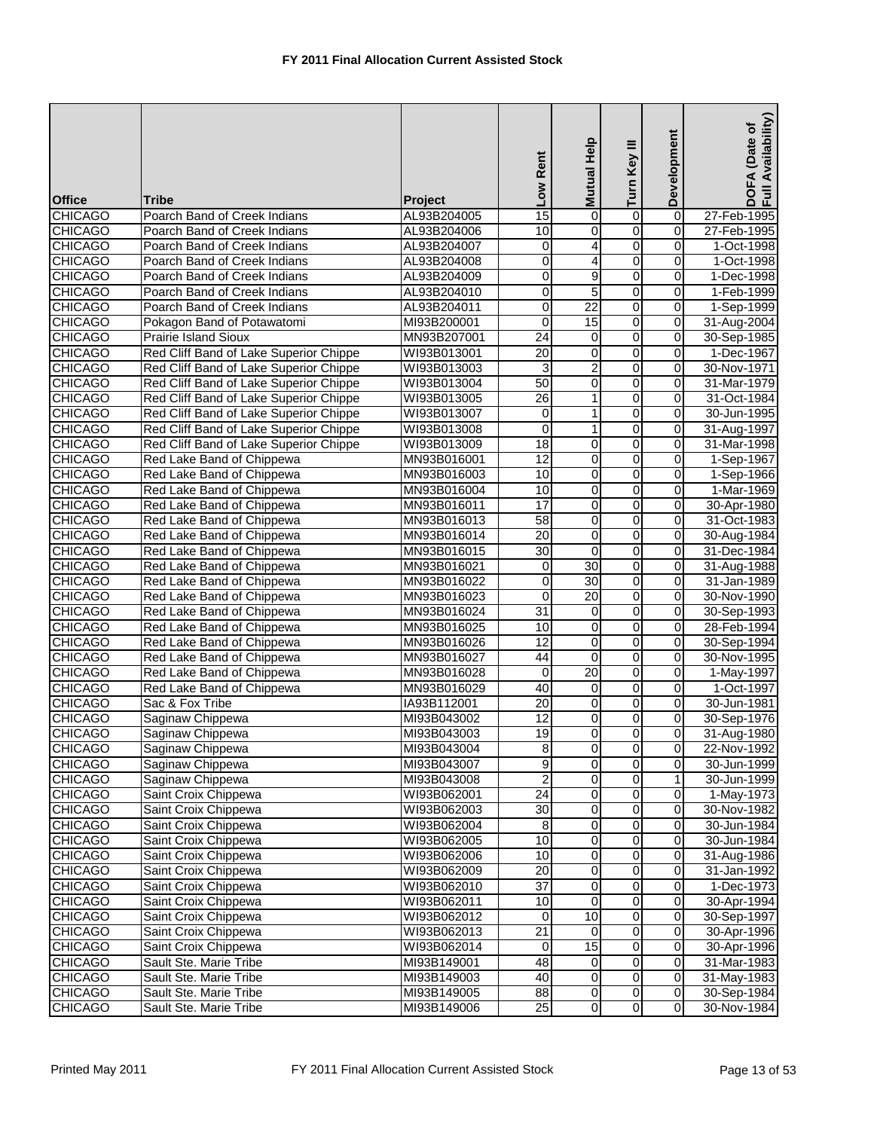| <b>Office</b>                    | <b>Tribe</b>                                     | <b>Project</b>             | Low Rent              | Mutual Help                               | Turn Key III                     | Development             | Availability)<br>DOFA (Date of<br>Full Availability |
|----------------------------------|--------------------------------------------------|----------------------------|-----------------------|-------------------------------------------|----------------------------------|-------------------------|-----------------------------------------------------|
| <b>CHICAGO</b>                   | Poarch Band of Creek Indians                     | AL93B204005                | 15                    | 0                                         | $\overline{0}$                   | $\overline{0}$          | 27-Feb-1995                                         |
| <b>CHICAGO</b>                   | Poarch Band of Creek Indians                     | AL93B204006                | 10                    | 0                                         | 0                                | 0                       | 27-Feb-1995                                         |
| <b>CHICAGO</b>                   | Poarch Band of Creek Indians                     | AL93B204007                | $\mathbf 0$           | 4                                         | $\overline{0}$                   | $\boldsymbol{0}$        | 1-Oct-1998                                          |
| <b>CHICAGO</b>                   | Poarch Band of Creek Indians                     | AL93B204008                | 0                     | 4                                         | $\overline{0}$                   | $\overline{0}$          | 1-Oct-1998                                          |
| <b>CHICAGO</b>                   | Poarch Band of Creek Indians                     | AL93B204009                | 0                     | 9                                         | $\overline{0}$                   | $\boldsymbol{0}$        | 1-Dec-1998                                          |
| <b>CHICAGO</b>                   | Poarch Band of Creek Indians                     | AL93B204010                | 0                     | 5                                         | $\overline{0}$                   | 0                       | 1-Feb-1999                                          |
| <b>CHICAGO</b>                   | Poarch Band of Creek Indians                     | AL93B204011                | 0                     | $\overline{22}$                           | 0                                | 0                       | 1-Sep-1999                                          |
| <b>CHICAGO</b>                   | Pokagon Band of Potawatomi                       | MI93B200001                | $\pmb{0}$             | 15                                        | $\overline{\mathbf{0}}$          | $\overline{\mathbf{0}}$ | 31-Aug-2004                                         |
| <b>CHICAGO</b>                   | Prairie Island Sioux                             | MN93B207001                | $\overline{24}$       | $\mathbf 0$                               | 0                                | 0                       | 30-Sep-1985                                         |
| <b>CHICAGO</b>                   | Red Cliff Band of Lake Superior Chippe           | WI93B013001                | 20                    | $\pmb{0}$                                 | $\overline{0}$                   | 0                       | 1-Dec-1967                                          |
| <b>CHICAGO</b>                   | Red Cliff Band of Lake Superior Chippe           | WI93B013003                | 3                     | $\overline{2}$                            | 0                                | 0                       | 30-Nov-1971                                         |
| <b>CHICAGO</b>                   | Red Cliff Band of Lake Superior Chippe           | WI93B013004                | 50                    | $\pmb{0}$                                 | $\overline{0}$                   | $\overline{0}$          | 31-Mar-1979                                         |
| <b>CHICAGO</b>                   | Red Cliff Band of Lake Superior Chippe           | WI93B013005                | 26                    | 1                                         | $\overline{0}$                   | 0                       | 31-Oct-1984                                         |
| <b>CHICAGO</b>                   | Red Cliff Band of Lake Superior Chippe           | WI93B013007                | 0                     | 1                                         | $\overline{0}$                   | 0                       | 30-Jun-1995                                         |
| <b>CHICAGO</b>                   | Red Cliff Band of Lake Superior Chippe           | WI93B013008                | $\pmb{0}$             | 1                                         | $\overline{0}$                   | 0                       | 31-Aug-1997                                         |
| <b>CHICAGO</b>                   | Red Cliff Band of Lake Superior Chippe           | WI93B013009                | 18                    | 0                                         | 0                                | 0                       | 31-Mar-1998                                         |
| <b>CHICAGO</b>                   | Red Lake Band of Chippewa                        | MN93B016001                | $\overline{12}$       | $\pmb{0}$                                 | $\overline{0}$                   | $\overline{0}$          | 1-Sep-1967                                          |
| <b>CHICAGO</b>                   | Red Lake Band of Chippewa                        | MN93B016003                | 10                    | 0                                         | $\overline{0}$                   | 0                       | 1-Sep-1966                                          |
| <b>CHICAGO</b>                   | Red Lake Band of Chippewa                        | MN93B016004                | 10                    | $\pmb{0}$                                 | 0                                | 0                       | 1-Mar-1969                                          |
| <b>CHICAGO</b>                   | Red Lake Band of Chippewa                        | MN93B016011                | 17                    | 0                                         | 0                                | 0                       | 30-Apr-1980                                         |
| <b>CHICAGO</b>                   | Red Lake Band of Chippewa                        | MN93B016013                | 58                    | 0                                         | $\overline{0}$                   | 0                       | 31-Oct-1983                                         |
| <b>CHICAGO</b>                   | Red Lake Band of Chippewa                        | MN93B016014                | $\overline{20}$       | 0                                         | $\overline{0}$                   | 0                       | 30-Aug-1984                                         |
| <b>CHICAGO</b>                   | Red Lake Band of Chippewa                        | MN93B016015                | $\overline{30}$       | $\mathbf 0$                               | $\overline{0}$                   | 0                       | 31-Dec-1984                                         |
| <b>CHICAGO</b>                   | Red Lake Band of Chippewa                        | MN93B016021                | $\mathbf 0$           | 30                                        | $\overline{0}$                   | $\overline{0}$          | 31-Aug-1988                                         |
| <b>CHICAGO</b>                   | Red Lake Band of Chippewa                        | MN93B016022                | 0                     | 30                                        | $\overline{0}$                   | 0                       | 31-Jan-1989                                         |
| <b>CHICAGO</b>                   | Red Lake Band of Chippewa                        | MN93B016023                | $\mathbf 0$           | $\overline{20}$                           | $\overline{0}$                   | $\overline{0}$          | 30-Nov-1990                                         |
| <b>CHICAGO</b>                   | Red Lake Band of Chippewa                        | MN93B016024                | 31                    | $\mathbf 0$                               | 0                                | 0                       | 30-Sep-1993                                         |
| <b>CHICAGO</b>                   | Red Lake Band of Chippewa                        | MN93B016025                | 10                    | 0                                         | $\overline{0}$                   | 0                       | 28-Feb-1994                                         |
| <b>CHICAGO</b>                   | Red Lake Band of Chippewa                        | MN93B016026                | $\overline{12}$       | 0                                         | $\overline{0}$                   | 0                       | 30-Sep-1994                                         |
| <b>CHICAGO</b>                   | Red Lake Band of Chippewa                        | MN93B016027                | 44                    | 0                                         | $\overline{0}$                   | 0                       | 30-Nov-1995                                         |
| <b>CHICAGO</b>                   | Red Lake Band of Chippewa                        | MN93B016028                | $\overline{0}$        | $\overline{20}$                           | $\overline{0}$                   | 0                       | 1-May-1997                                          |
| <b>CHICAGO</b>                   | Red Lake Band of Chippewa                        | MN93B016029                | 40                    | 0                                         | $\overline{0}$                   | 0                       | 1-Oct-1997                                          |
| <b>CHICAGO</b>                   | Sac & Fox Tribe                                  | IA93B112001                | 20                    | 0                                         | $\overline{0}$                   | 0                       | 30-Jun-1981                                         |
| <b>CHICAGO</b>                   | Saginaw Chippewa                                 | MI93B043002                | $\overline{12}$       | 0                                         | $\overline{0}$                   | 0                       | 30-Sep-1976                                         |
| <b>CHICAGO</b>                   | Saginaw Chippewa                                 | MI93B043003                | 19                    | $\overline{0}$                            | $\overline{0}$                   | $\overline{0}$          | 31-Aug-1980                                         |
| <b>CHICAGO</b>                   | Saginaw Chippewa                                 | MI93B043004                | $\overline{8}$        | 0                                         | $\overline{0}$                   | 0                       | 22-Nov-1992                                         |
| <b>CHICAGO</b>                   | Saginaw Chippewa                                 | MI93B043007                | 9                     | 0                                         | $\overline{0}$                   | 0                       | 30-Jun-1999                                         |
| <b>CHICAGO</b>                   | Saginaw Chippewa                                 | MI93B043008                | $\overline{2}$        | 0                                         | $\overline{0}$                   | 1                       | 30-Jun-1999                                         |
| <b>CHICAGO</b>                   | Saint Croix Chippewa                             | WI93B062001                | 24                    | 0                                         | $\overline{0}$                   | $\mathbf 0$             | 1-May-1973                                          |
| <b>CHICAGO</b>                   | Saint Croix Chippewa                             | WI93B062003                | 30                    | 0                                         | $\overline{0}$                   | $\overline{0}$          | 30-Nov-1982                                         |
| <b>CHICAGO</b>                   | Saint Croix Chippewa                             | WI93B062004                | 8                     | 0                                         | 0                                | 0                       | 30-Jun-1984                                         |
| <b>CHICAGO</b>                   | Saint Croix Chippewa                             | WI93B062005                | 10                    | $\overline{0}$                            | $\overline{\mathbf{0}}$          | $\overline{0}$          | 30-Jun-1984                                         |
| <b>CHICAGO</b>                   | Saint Croix Chippewa                             | WI93B062006                | 10                    | 0                                         | $\overline{0}$                   | $\boldsymbol{0}$        | 31-Aug-1986                                         |
| <b>CHICAGO</b>                   | Saint Croix Chippewa                             | WI93B062009                | $\overline{20}$       | 0                                         | $\overline{0}$                   | $\overline{0}$          | 31-Jan-1992                                         |
| <b>CHICAGO</b>                   | Saint Croix Chippewa                             | WI93B062010                | $\overline{37}$       | $\overline{0}$                            | $\overline{0}$                   | $\overline{0}$          | 1-Dec-1973                                          |
| <b>CHICAGO</b>                   | Saint Croix Chippewa                             | WI93B062011                | 10                    | 0                                         | $\overline{0}$                   | $\boldsymbol{0}$        | 30-Apr-1994                                         |
| <b>CHICAGO</b>                   | Saint Croix Chippewa                             | WI93B062012                | 0                     | 10                                        | $\overline{0}$                   | 0                       | 30-Sep-1997                                         |
| <b>CHICAGO</b>                   | Saint Croix Chippewa                             | WI93B062013                | $\overline{21}$       | 0                                         | 0                                | $\boldsymbol{0}$        | 30-Apr-1996                                         |
| <b>CHICAGO</b>                   | Saint Croix Chippewa                             | WI93B062014                | $\mathbf 0$           | 15                                        | $\overline{0}$                   | $\overline{0}$          | 30-Apr-1996                                         |
| <b>CHICAGO</b>                   | Sault Ste. Marie Tribe                           | MI93B149001                | 48                    | $\boldsymbol{0}$                          | $\overline{0}$                   | $\pmb{0}$               | 31-Mar-1983                                         |
| <b>CHICAGO</b>                   | Sault Ste. Marie Tribe                           | MI93B149003                | $\overline{40}$       | $\overline{0}$                            | $\overline{0}$                   | $\boldsymbol{0}$        | 31-May-1983                                         |
| <b>CHICAGO</b><br><b>CHICAGO</b> | Sault Ste. Marie Tribe<br>Sault Ste. Marie Tribe | MI93B149005<br>MI93B149006 | 88<br>$\overline{25}$ | $\overline{\mathsf{o}}$<br>$\overline{0}$ | $\overline{0}$<br>$\overline{0}$ | 0<br>$\boldsymbol{0}$   | 30-Sep-1984<br>30-Nov-1984                          |
|                                  |                                                  |                            |                       |                                           |                                  |                         |                                                     |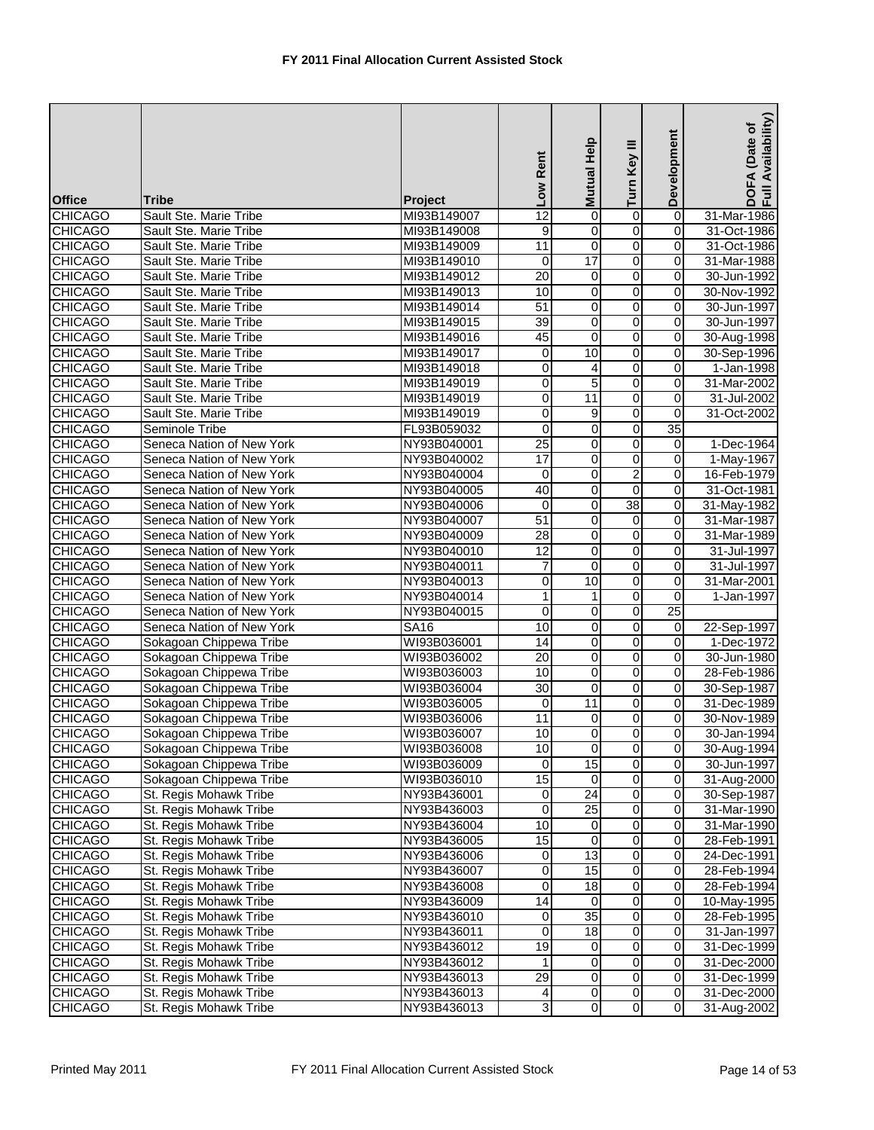| <b>Office</b>  | <b>Tribe</b>              | <b>Project</b> | Low Rent        | Mutual Help             | Turn Key III   | Development             | DOFA (Date of<br>Full Availability) |
|----------------|---------------------------|----------------|-----------------|-------------------------|----------------|-------------------------|-------------------------------------|
| <b>CHICAGO</b> | Sault Ste. Marie Tribe    | MI93B149007    | 12              | 0                       | 0              | $\overline{0}$          | 31-Mar-1986                         |
| <b>CHICAGO</b> | Sault Ste. Marie Tribe    | MI93B149008    | 9               | $\mathbf 0$             | 0              | 0                       | 31-Oct-1986                         |
| <b>CHICAGO</b> | Sault Ste. Marie Tribe    | MI93B149009    | 11              | $\mathbf 0$             | $\overline{0}$ | $\pmb{0}$               | 31-Oct-1986                         |
| <b>CHICAGO</b> | Sault Ste. Marie Tribe    | MI93B149010    | $\mathbf 0$     | 17                      | $\overline{0}$ | $\overline{0}$          | 31-Mar-1988                         |
| <b>CHICAGO</b> | Sault Ste. Marie Tribe    | MI93B149012    | $\overline{20}$ | $\pmb{0}$               | $\overline{0}$ | $\overline{\mathbf{0}}$ | 30-Jun-1992                         |
| <b>CHICAGO</b> | Sault Ste. Marie Tribe    | MI93B149013    | 10              | 0                       | $\overline{0}$ | 0                       | 30-Nov-1992                         |
| <b>CHICAGO</b> | Sault Ste. Marie Tribe    | MI93B149014    | 51              | $\pmb{0}$               | $\overline{0}$ | $\pmb{0}$               | 30-Jun-1997                         |
| <b>CHICAGO</b> | Sault Ste. Marie Tribe    | MI93B149015    | $\overline{39}$ | 0                       | $\overline{0}$ | 0                       | 30-Jun-1997                         |
| <b>CHICAGO</b> | Sault Ste. Marie Tribe    | MI93B149016    | 45              | $\mathbf 0$             | 0              | 0                       | 30-Aug-1998                         |
| <b>CHICAGO</b> | Sault Ste. Marie Tribe    | MI93B149017    | 0               | 10                      | $\overline{0}$ | 0                       | 30-Sep-1996                         |
| <b>CHICAGO</b> | Sault Ste. Marie Tribe    | MI93B149018    | 0               | 4                       | 0              | 0                       | 1-Jan-1998                          |
| <b>CHICAGO</b> | Sault Ste. Marie Tribe    | MI93B149019    | $\overline{0}$  | $\overline{5}$          | $\overline{0}$ | $\pmb{0}$               | 31-Mar-2002                         |
| <b>CHICAGO</b> | Sault Ste. Marie Tribe    | MI93B149019    | 0               | 11                      | $\overline{0}$ | 0                       | 31-Jul-2002                         |
| <b>CHICAGO</b> | Sault Ste. Marie Tribe    | MI93B149019    | $\pmb{0}$       | 9                       | $\overline{0}$ | 0                       | 31-Oct-2002                         |
| <b>CHICAGO</b> | Seminole Tribe            | FL93B059032    | $\mathbf 0$     | 0                       | $\overline{0}$ | 35                      |                                     |
| <b>CHICAGO</b> | Seneca Nation of New York | NY93B040001    | 25              | $\overline{0}$          | $\overline{0}$ | $\mathbf 0$             | 1-Dec-1964                          |
| <b>CHICAGO</b> | Seneca Nation of New York | NY93B040002    | 17              | 0                       | $\overline{0}$ | $\mathbf 0$             | 1-May-1967                          |
| <b>CHICAGO</b> | Seneca Nation of New York | NY93B040004    | 0               | 0                       | $\overline{2}$ | 0                       | 16-Feb-1979                         |
| <b>CHICAGO</b> | Seneca Nation of New York | NY93B040005    | 40              | 0                       | $\overline{0}$ | 0                       | 31-Oct-1981                         |
| <b>CHICAGO</b> | Seneca Nation of New York | NY93B040006    | 0               | 0                       | 38             | 0                       | 31-May-1982                         |
| <b>CHICAGO</b> | Seneca Nation of New York | NY93B040007    | 51              | $\overline{0}$          | $\overline{0}$ | $\overline{0}$          | 31-Mar-1987                         |
| <b>CHICAGO</b> | Seneca Nation of New York | NY93B040009    | 28              | 0                       | $\overline{0}$ | $\overline{0}$          | 31-Mar-1989                         |
| <b>CHICAGO</b> | Seneca Nation of New York | NY93B040010    | 12              | $\pmb{0}$               | $\overline{0}$ | 0                       | 31-Jul-1997                         |
| <b>CHICAGO</b> | Seneca Nation of New York | NY93B040011    | 7               | $\mathbf 0$             | $\overline{0}$ | 0                       | 31-Jul-1997                         |
| <b>CHICAGO</b> | Seneca Nation of New York | NY93B040013    | 0               | 10                      | $\overline{0}$ | $\boldsymbol{0}$        | 31-Mar-2001                         |
| <b>CHICAGO</b> | Seneca Nation of New York | NY93B040014    | 1               | 1                       | $\overline{0}$ | $\boldsymbol{0}$        | 1-Jan-1997                          |
| <b>CHICAGO</b> | Seneca Nation of New York | NY93B040015    | 0               | $\mathbf 0$             | $\overline{0}$ | 25                      |                                     |
| <b>CHICAGO</b> | Seneca Nation of New York | <b>SA16</b>    | 10              | 0                       | $\overline{0}$ | $\pmb{0}$               | 22-Sep-1997                         |
| <b>CHICAGO</b> | Sokagoan Chippewa Tribe   | WI93B036001    | 14              | 0                       | $\overline{0}$ | 0                       | 1-Dec-1972                          |
| <b>CHICAGO</b> | Sokagoan Chippewa Tribe   | WI93B036002    | 20              | $\pmb{0}$               | $\overline{0}$ | $\mathbf 0$             | 30-Jun-1980                         |
| <b>CHICAGO</b> | Sokagoan Chippewa Tribe   | WI93B036003    | 10              | 0                       | $\overline{0}$ | 0                       | 28-Feb-1986                         |
| <b>CHICAGO</b> | Sokagoan Chippewa Tribe   | WI93B036004    | $\overline{30}$ | $\pmb{0}$               | 0              | 0                       | 30-Sep-1987                         |
| <b>CHICAGO</b> | Sokagoan Chippewa Tribe   | WI93B036005    | $\mathbf 0$     | 11                      | $\overline{0}$ | 0                       | 31-Dec-1989                         |
| <b>CHICAGO</b> | Sokagoan Chippewa Tribe   | WI93B036006    | 11              | 0                       | $\overline{0}$ | $\mathbf 0$             | 30-Nov-1989                         |
| <b>CHICAGO</b> | Sokagoan Chippewa Tribe   | WI93B036007    | 10              | $\overline{0}$          | $\overline{0}$ | $\overline{0}$          | 30-Jan-1994                         |
| <b>CHICAGO</b> | Sokagoan Chippewa Tribe   | WI93B036008    | 10              | $\mathbf 0$             | $\overline{0}$ | $\mathbf 0$             | 30-Aug-1994                         |
| <b>CHICAGO</b> | Sokagoan Chippewa Tribe   | WI93B036009    | $\Omega$        | 15                      | $\overline{0}$ | $\overline{0}$          | 30-Jun-1997                         |
| <b>CHICAGO</b> | Sokagoan Chippewa Tribe   | WI93B036010    | 15              | 0                       | $\overline{0}$ | $\overline{\mathbf{0}}$ | 31-Aug-2000                         |
| <b>CHICAGO</b> | St. Regis Mohawk Tribe    | NY93B436001    | $\mathbf 0$     | 24                      | $\overline{0}$ | $\overline{\mathbf{o}}$ | 30-Sep-1987                         |
| <b>CHICAGO</b> | St. Regis Mohawk Tribe    | NY93B436003    | 0               | 25                      | $\overline{0}$ | $\boldsymbol{0}$        | 31-Mar-1990                         |
| <b>CHICAGO</b> | St. Regis Mohawk Tribe    | NY93B436004    | 10              | $\mathbf 0$             | $\overline{0}$ | $\mathbf 0$             | 31-Mar-1990                         |
| <b>CHICAGO</b> | St. Regis Mohawk Tribe    | NY93B436005    | 15              | 0                       | $\overline{0}$ | $\pmb{0}$               | 28-Feb-1991                         |
| <b>CHICAGO</b> | St. Regis Mohawk Tribe    | NY93B436006    | 0               | 13                      | $\overline{0}$ | $\mathbf 0$             | 24-Dec-1991                         |
| <b>CHICAGO</b> | St. Regis Mohawk Tribe    | NY93B436007    | $\mathbf 0$     | 15                      | $\overline{0}$ | $\overline{0}$          | 28-Feb-1994                         |
| <b>CHICAGO</b> | St. Regis Mohawk Tribe    | NY93B436008    | 0               | $\overline{18}$         | $\overline{0}$ | $\mathbf 0$             | 28-Feb-1994                         |
| <b>CHICAGO</b> | St. Regis Mohawk Tribe    | NY93B436009    | $\overline{14}$ | $\mathbf 0$             | $\pmb{0}$      | $\mathbf 0$             | 10-May-1995                         |
| <b>CHICAGO</b> | St. Regis Mohawk Tribe    | NY93B436010    | 0               | 35                      | $\overline{0}$ | $\boldsymbol{0}$        | 28-Feb-1995                         |
| <b>CHICAGO</b> | St. Regis Mohawk Tribe    | NY93B436011    | 0               | $\overline{18}$         | $\overline{0}$ | $\overline{0}$          | 31-Jan-1997                         |
| <b>CHICAGO</b> | St. Regis Mohawk Tribe    | NY93B436012    | 19              | 0                       | $\overline{0}$ | $\boldsymbol{0}$        | 31-Dec-1999                         |
| <b>CHICAGO</b> | St. Regis Mohawk Tribe    | NY93B436012    |                 | $\overline{\mathbf{o}}$ | $\overline{0}$ | $\mathbf 0$             | 31-Dec-2000                         |
| <b>CHICAGO</b> | St. Regis Mohawk Tribe    | NY93B436013    | 29              | 0                       | $\overline{0}$ | $\mathbf 0$             | 31-Dec-1999                         |
| <b>CHICAGO</b> | St. Regis Mohawk Tribe    | NY93B436013    | 4               | $\mathbf 0$             | $\overline{0}$ | $\mathbf 0$             | 31-Dec-2000                         |
| <b>CHICAGO</b> | St. Regis Mohawk Tribe    | NY93B436013    | 3               | $\overline{0}$          | $\overline{0}$ | $\overline{0}$          | 31-Aug-2002                         |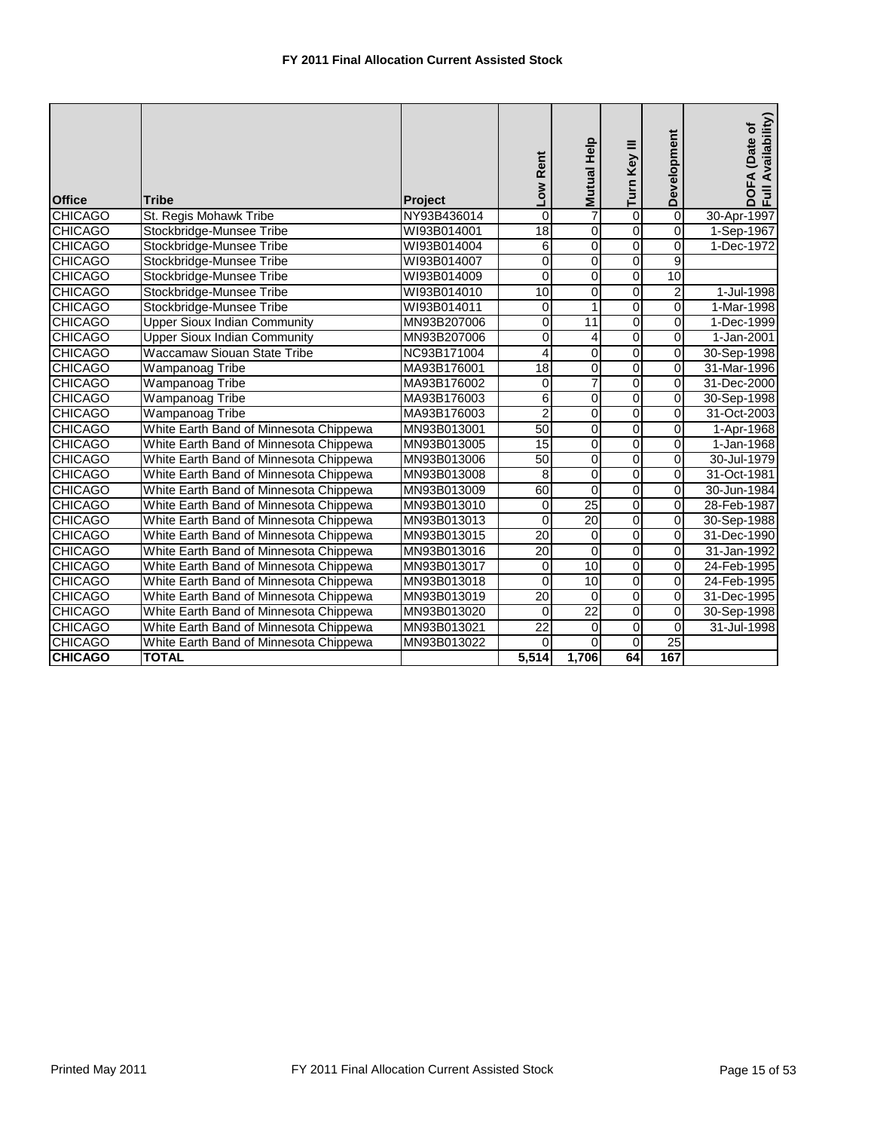| <b>Office</b>  | <b>Tribe</b>                           | <b>Project</b> | Low Rent         | Mutual Help     | Turn Key III   | Development    | Availability)<br>DOFA (Date of<br>Full. |
|----------------|----------------------------------------|----------------|------------------|-----------------|----------------|----------------|-----------------------------------------|
| <b>CHICAGO</b> | St. Regis Mohawk Tribe                 | NY93B436014    | 0                | 7               | $\overline{0}$ | $\overline{0}$ | 30-Apr-1997                             |
| <b>CHICAGO</b> | Stockbridge-Munsee Tribe               | WI93B014001    | 18               | $\mathbf 0$     | $\overline{0}$ | $\overline{0}$ | 1-Sep-1967                              |
| <b>CHICAGO</b> | Stockbridge-Munsee Tribe               | WI93B014004    | 6                | $\mathbf 0$     | $\overline{0}$ | $\overline{0}$ | 1-Dec-1972                              |
| <b>CHICAGO</b> | Stockbridge-Munsee Tribe               | WI93B014007    | $\boldsymbol{0}$ | $\overline{0}$  | $\overline{0}$ | $\overline{9}$ |                                         |
| <b>CHICAGO</b> | Stockbridge-Munsee Tribe               | WI93B014009    | $\mathbf 0$      | $\mathbf 0$     | $\overline{0}$ | 10             |                                         |
| <b>CHICAGO</b> | Stockbridge-Munsee Tribe               | WI93B014010    | 10               | 0               | 0              | $\mathbf 2$    | 1-Jul-1998                              |
| <b>CHICAGO</b> | Stockbridge-Munsee Tribe               | WI93B014011    | $\mathbf 0$      | 1               | $\overline{0}$ | $\overline{0}$ | 1-Mar-1998                              |
| <b>CHICAGO</b> | <b>Upper Sioux Indian Community</b>    | MN93B207006    | $\mathbf 0$      | 11              | 0              | $\mathbf 0$    | 1-Dec-1999                              |
| <b>CHICAGO</b> | <b>Upper Sioux Indian Community</b>    | MN93B207006    | $\mathbf 0$      | 4               | $\overline{0}$ | $\overline{0}$ | 1-Jan-2001                              |
| <b>CHICAGO</b> | <b>Waccamaw Siouan State Tribe</b>     | NC93B171004    | 4                | 0               | $\overline{0}$ | $\overline{0}$ | 30-Sep-1998                             |
| <b>CHICAGO</b> | Wampanoag Tribe                        | MA93B176001    | 18               | $\mathbf 0$     | $\overline{0}$ | 0              | 31-Mar-1996                             |
| <b>CHICAGO</b> | Wampanoag Tribe                        | MA93B176002    | $\mathbf 0$      | 7               | $\overline{0}$ | $\overline{0}$ | 31-Dec-2000                             |
| <b>CHICAGO</b> | <b>Wampanoag Tribe</b>                 | MA93B176003    | 6                | $\mathbf 0$     | $\overline{0}$ | 0              | 30-Sep-1998                             |
| <b>CHICAGO</b> | Wampanoag Tribe                        | MA93B176003    | $\overline{2}$   | $\overline{0}$  | $\overline{0}$ | $\overline{0}$ | 31-Oct-2003                             |
| <b>CHICAGO</b> | White Earth Band of Minnesota Chippewa | MN93B013001    | 50               | $\overline{0}$  | $\overline{0}$ | $\overline{0}$ | 1-Apr-1968                              |
| <b>CHICAGO</b> | White Earth Band of Minnesota Chippewa | MN93B013005    | 15               | $\mathbf 0$     | $\overline{0}$ | 0              | 1-Jan-1968                              |
| <b>CHICAGO</b> | White Earth Band of Minnesota Chippewa | MN93B013006    | 50               | 0               | $\overline{0}$ | 0              | 30-Jul-1979                             |
| <b>CHICAGO</b> | White Earth Band of Minnesota Chippewa | MN93B013008    | 8                | $\overline{0}$  | $\overline{0}$ | $\overline{0}$ | 31-Oct-1981                             |
| <b>CHICAGO</b> | White Earth Band of Minnesota Chippewa | MN93B013009    | 60               | $\Omega$        | 0              | 0              | 30-Jun-1984                             |
| <b>CHICAGO</b> | White Earth Band of Minnesota Chippewa | MN93B013010    | 0                | $\overline{25}$ | $\overline{0}$ | 0              | 28-Feb-1987                             |
| <b>CHICAGO</b> | White Earth Band of Minnesota Chippewa | MN93B013013    | $\mathbf 0$      | 20              | $\overline{0}$ | 0              | 30-Sep-1988                             |
| <b>CHICAGO</b> | White Earth Band of Minnesota Chippewa | MN93B013015    | $\overline{20}$  | $\mathbf 0$     | $\overline{0}$ | 0              | 31-Dec-1990                             |
| <b>CHICAGO</b> | White Earth Band of Minnesota Chippewa | MN93B013016    | 20               | $\mathbf 0$     | 0              | 0              | 31-Jan-1992                             |
| <b>CHICAGO</b> | White Earth Band of Minnesota Chippewa | MN93B013017    | 0                | 10              | 0              | 0              | 24-Feb-1995                             |
| <b>CHICAGO</b> | White Earth Band of Minnesota Chippewa | MN93B013018    | 0                | 10              | 0              | 0              | 24-Feb-1995                             |
| <b>CHICAGO</b> | White Earth Band of Minnesota Chippewa | MN93B013019    | $\overline{20}$  | $\Omega$        | $\overline{0}$ | 0              | 31-Dec-1995                             |
| <b>CHICAGO</b> | White Earth Band of Minnesota Chippewa | MN93B013020    | 0                | $\overline{22}$ | 0              | 0              | 30-Sep-1998                             |
| <b>CHICAGO</b> | White Earth Band of Minnesota Chippewa | MN93B013021    | $\overline{22}$  | 0               | $\overline{0}$ | 0              | 31-Jul-1998                             |
| <b>CHICAGO</b> | White Earth Band of Minnesota Chippewa | MN93B013022    | $\Omega$         | $\Omega$        | $\overline{0}$ | 25             |                                         |
| <b>CHICAGO</b> | <b>TOTAL</b>                           |                | 5,514            | 1,706           | 64             | 167            |                                         |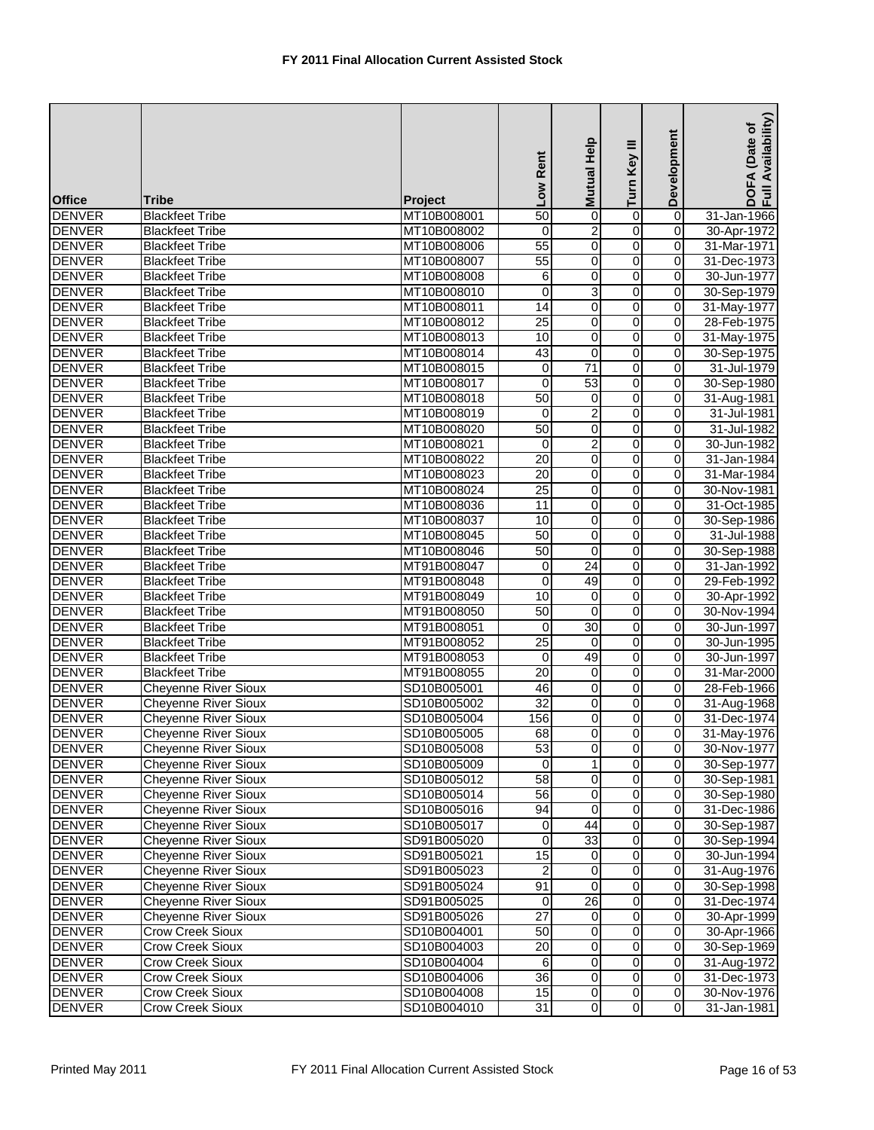| $\overline{0}$<br><b>DENVER</b><br>$\overline{0}$<br><b>Blackfeet Tribe</b><br>MT10B008001<br>$\overline{50}$<br>0<br>31-Jan-1966<br>0<br><b>DENVER</b><br>2<br>$\mathbf 0$<br><b>Blackfeet Tribe</b><br>MT10B008002<br>0<br>30-Apr-1972<br>$\overline{0}$<br>$\pmb{0}$<br><b>DENVER</b><br>55<br>$\overline{0}$<br><b>Blackfeet Tribe</b><br>MT10B008006<br>31-Mar-1971<br>0<br><b>DENVER</b><br>MT10B008007<br>55<br>0<br>0<br>31-Dec-1973<br><b>Blackfeet Tribe</b><br>$\overline{0}$<br><b>DENVER</b><br>6<br>0<br>$\mathbf 0$<br>30-Jun-1977<br><b>Blackfeet Tribe</b><br>MT10B008008<br><b>DENVER</b><br>$\ensuremath{\mathsf{3}}$<br>0<br>0<br>$\mathbf 0$<br><b>Blackfeet Tribe</b><br>MT10B008010<br>30-Sep-1979<br>0<br><b>DENVER</b><br>$\overline{14}$<br><b>Blackfeet Tribe</b><br>0<br>$\mathbf 0$<br>31-May-1977<br>MT10B008011<br>$\overline{25}$<br>0<br><b>DENVER</b><br>0<br>$\mathbf 0$<br><b>Blackfeet Tribe</b><br>MT10B008012<br>28-Feb-1975<br>0<br><b>DENVER</b><br>10<br>$\mathbf 0$<br>0<br>31-May-1975<br><b>Blackfeet Tribe</b><br>MT10B008013<br>$\overline{0}$<br><b>DENVER</b><br>MT10B008014<br>43<br>0<br>$\mathbf 0$<br><b>Blackfeet Tribe</b><br>30-Sep-1975<br>0<br><b>DENVER</b><br>71<br>$\mathbf 0$<br>31-Jul-1979<br><b>Blackfeet Tribe</b><br>MT10B008015<br>0<br>53<br>$\overline{0}$<br><b>DENVER</b><br>$\mathbf 0$<br>$\mathbf 0$<br><b>Blackfeet Tribe</b><br>MT10B008017<br>30-Sep-1980<br>0<br><b>DENVER</b><br>MT10B008018<br>50<br>0<br><b>Blackfeet Tribe</b><br>0<br>31-Aug-1981<br>$\overline{0}$<br><b>DENVER</b><br>$\overline{c}$<br><b>Blackfeet Tribe</b><br>0<br>31-Jul-1981<br>MT10B008019<br>0<br>0<br><b>DENVER</b><br>50<br>0<br>$\mathbf 0$<br>31-Jul-1982<br><b>Blackfeet Tribe</b><br>MT10B008020<br>0<br><b>DENVER</b><br><b>Blackfeet Tribe</b><br>2<br>30-Jun-1982<br>MT10B008021<br>0<br>0<br>20<br>0<br><b>DENVER</b><br>0<br>$\mathbf 0$<br><b>Blackfeet Tribe</b><br>MT10B008022<br>31-Jan-1984<br>0<br><b>DENVER</b><br>20<br>0<br>0<br>31-Mar-1984<br><b>Blackfeet Tribe</b><br>MT10B008023<br><b>DENVER</b><br>25<br>$\overline{0}$<br>0<br><b>Blackfeet Tribe</b><br>MT10B008024<br>$\mathbf 0$<br>30-Nov-1981<br>0<br><b>DENVER</b><br>11<br>0<br><b>Blackfeet Tribe</b><br>MT10B008036<br>$\overline{0}$<br>31-Oct-1985<br>0<br><b>DENVER</b><br>10<br>0<br>$\mathbf 0$<br><b>Blackfeet Tribe</b><br>MT10B008037<br>30-Sep-1986<br>0<br><b>DENVER</b><br>MT10B008045<br>50<br>0<br>0<br><b>Blackfeet Tribe</b><br>31-Jul-1988<br>$\overline{0}$<br><b>DENVER</b><br><b>Blackfeet Tribe</b><br>MT10B008046<br>50<br>0<br>0<br>30-Sep-1988<br>0<br><b>DENVER</b><br>0<br>24<br>$\mathbf 0$<br><b>Blackfeet Tribe</b><br>MT91B008047<br>31-Jan-1992<br>0<br><b>DENVER</b><br><b>Blackfeet Tribe</b><br>MT91B008048<br>0<br>49<br>0<br>29-Feb-1992<br>$\overline{0}$<br><b>DENVER</b><br>10<br>$\overline{0}$<br><b>Blackfeet Tribe</b><br>0<br>MT91B008049<br>30-Apr-1992<br>$\overline{0}$<br>50<br>0<br><b>DENVER</b><br>30-Nov-1994<br><b>Blackfeet Tribe</b><br>MT91B008050<br>0<br><b>DENVER</b><br>30<br>0<br>$\mathbf 0$<br>30-Jun-1997<br><b>Blackfeet Tribe</b><br>MT91B008051<br>0<br><b>DENVER</b><br>$\overline{25}$<br>0<br><b>Blackfeet Tribe</b><br>MT91B008052<br>$\mathbf 0$<br>$\overline{0}$<br>30-Jun-1995<br>49<br>$\overline{0}$<br><b>DENVER</b><br>$\mathbf 0$<br><b>Blackfeet Tribe</b><br>MT91B008053<br>30-Jun-1997<br>0<br>$\overline{0}$<br>$\overline{20}$<br>$\mathbf 0$<br><b>DENVER</b><br>0<br>31-Mar-2000<br><b>Blackfeet Tribe</b><br>MT91B008055<br>0<br><b>DENVER</b><br>46<br>0<br>$\mathbf 0$<br>28-Feb-1966<br><b>Cheyenne River Sioux</b><br>SD10B005001<br>$\overline{32}$<br>0<br><b>DENVER</b><br>0<br><b>Cheyenne River Sioux</b><br>SD10B005002<br>$\mathbf 0$<br>31-Aug-1968<br>0<br><b>DENVER</b><br><b>Cheyenne River Sioux</b><br>156<br>$\overline{0}$<br>31-Dec-1974<br>SD10B005004<br>0<br>$\overline{0}$<br>$\overline{0}$<br>$\overline{0}$<br><b>DENVER</b><br>68<br><b>Cheyenne River Sioux</b><br>SD10B005005<br><b>Cheyenne River Sioux</b><br>53<br>$\overline{0}$<br>$\overline{0}$<br><b>DENVER</b><br>SD10B005008<br>$\mathbf 0$<br>30-Nov-1977<br>$\overline{0}$<br><b>DENVER</b><br><b>Cheyenne River Sioux</b><br>$\Omega$<br>$\mathbf 0$<br>SD10B005009<br>30-Sep-1977<br><b>Cheyenne River Sioux</b><br>$\overline{58}$<br>0<br><b>DENVER</b><br>SD10B005012<br>$\mathbf 0$<br>$\mathbf 0$<br>30-Sep-1981<br><b>Cheyenne River Sioux</b><br>0<br><b>DENVER</b><br>56<br>0<br>$\mathbf 0$<br>30-Sep-1980<br>SD10B005014<br>$\overline{0}$<br><b>Cheyenne River Sioux</b><br>94<br>$\mathbf 0$<br>$\mathbf 0$<br><b>DENVER</b><br>SD10B005016<br>31-Dec-1986<br><b>Cheyenne River Sioux</b><br>$\overline{44}$<br>0<br><b>DENVER</b><br>0<br>0<br>30-Sep-1987<br>SD10B005017<br><b>DENVER</b><br><b>Cheyenne River Sioux</b><br>0<br>33<br>0<br>SD91B005020<br>$\mathbf 0$<br>30-Sep-1994<br>15<br>0<br><b>DENVER</b><br>Cheyenne River Sioux<br>$\mathbf 0$<br>30-Jun-1994<br>SD91B005021<br>0<br>$\overline{0}$<br>$\overline{0}$<br><b>DENVER</b><br>Cheyenne River Sioux<br>$\overline{\mathbf{o}}$<br>SD91B005023<br>2<br>91<br>0<br><b>Cheyenne River Sioux</b><br>$\mathbf 0$<br>0<br><b>DENVER</b><br>SD91B005024<br>30-Sep-1998<br>0<br><b>DENVER</b><br><b>Cheyenne River Sioux</b><br>$\overline{26}$<br>$\mathbf 0$<br>SD91B005025<br>$\mathbf 0$<br>31-Dec-1974<br><b>Cheyenne River Sioux</b><br>27<br>0<br><b>DENVER</b><br>SD91B005026<br>$\mathbf 0$<br>30-Apr-1999<br>0<br>0<br>$\mathbf 0$<br><b>DENVER</b><br><b>Crow Creek Sioux</b><br>50<br>0<br>30-Apr-1966<br>SD10B004001<br>$\overline{20}$<br>$\overline{\mathbf{o}}$<br>0<br>$\mathbf 0$<br><b>DENVER</b><br>Crow Creek Sioux<br>30-Sep-1969<br>SD10B004003<br>0<br>0<br>0<br><b>DENVER</b><br><b>Crow Creek Sioux</b><br>SD10B004004<br>6<br>31-Aug-1972<br>$\overline{0}$<br>$\overline{0}$<br><b>DENVER</b><br>$\overline{36}$<br>$\overline{0}$<br>Crow Creek Sioux<br>SD10B004006<br>31-Dec-1973<br>$\overline{0}$<br><b>DENVER</b><br>Crow Creek Sioux<br>SD10B004008<br>15<br>$\overline{0}$<br>$\mathbf 0$<br>$\overline{0}$<br><b>DENVER</b><br>$\overline{0}$<br>$\mathbf 0$<br>Crow Creek Sioux<br>SD10B004010<br>31<br>31-Jan-1981 | <b>Office</b> | <b>Tribe</b> | Project | Low Rent | Help<br><b>Mutual</b> | Turn Key III | Development | Availability)<br>(Date of<br>DOFA<br>Full Av |
|----------------------------------------------------------------------------------------------------------------------------------------------------------------------------------------------------------------------------------------------------------------------------------------------------------------------------------------------------------------------------------------------------------------------------------------------------------------------------------------------------------------------------------------------------------------------------------------------------------------------------------------------------------------------------------------------------------------------------------------------------------------------------------------------------------------------------------------------------------------------------------------------------------------------------------------------------------------------------------------------------------------------------------------------------------------------------------------------------------------------------------------------------------------------------------------------------------------------------------------------------------------------------------------------------------------------------------------------------------------------------------------------------------------------------------------------------------------------------------------------------------------------------------------------------------------------------------------------------------------------------------------------------------------------------------------------------------------------------------------------------------------------------------------------------------------------------------------------------------------------------------------------------------------------------------------------------------------------------------------------------------------------------------------------------------------------------------------------------------------------------------------------------------------------------------------------------------------------------------------------------------------------------------------------------------------------------------------------------------------------------------------------------------------------------------------------------------------------------------------------------------------------------------------------------------------------------------------------------------------------------------------------------------------------------------------------------------------------------------------------------------------------------------------------------------------------------------------------------------------------------------------------------------------------------------------------------------------------------------------------------------------------------------------------------------------------------------------------------------------------------------------------------------------------------------------------------------------------------------------------------------------------------------------------------------------------------------------------------------------------------------------------------------------------------------------------------------------------------------------------------------------------------------------------------------------------------------------------------------------------------------------------------------------------------------------------------------------------------------------------------------------------------------------------------------------------------------------------------------------------------------------------------------------------------------------------------------------------------------------------------------------------------------------------------------------------------------------------------------------------------------------------------------------------------------------------------------------------------------------------------------------------------------------------------------------------------------------------------------------------------------------------------------------------------------------------------------------------------------------------------------------------------------------------------------------------------------------------------------------------------------------------------------------------------------------------------------------------------------------------------------------------------------------------------------------------------------------------------------------------------------------------------------------------------------------------------------------------------------------------------------------------------------------------------------------------------------------------------------------------------------------------------------------------------------------------------------------------------------------------------------------------------------------------------------------------------------------------------------------------------------------------------------------------------------------------------------------------------------------------------------------------------------------------------------------------------------------------------------------------------------------------------------------------------------------------------------------------------------------------------------------------------------------------------------------------------------------------------------------------------------------------------------------------------------------------------------------------------------------------------------------------------------------------------------------------------------------------------------------------------------------------------------------------------------------------------------------------------------------------------------------------------|---------------|--------------|---------|----------|-----------------------|--------------|-------------|----------------------------------------------|
| 31-May-1976<br>31-Aug-1976<br>30-Nov-1976                                                                                                                                                                                                                                                                                                                                                                                                                                                                                                                                                                                                                                                                                                                                                                                                                                                                                                                                                                                                                                                                                                                                                                                                                                                                                                                                                                                                                                                                                                                                                                                                                                                                                                                                                                                                                                                                                                                                                                                                                                                                                                                                                                                                                                                                                                                                                                                                                                                                                                                                                                                                                                                                                                                                                                                                                                                                                                                                                                                                                                                                                                                                                                                                                                                                                                                                                                                                                                                                                                                                                                                                                                                                                                                                                                                                                                                                                                                                                                                                                                                                                                                                                                                                                                                                                                                                                                                                                                                                                                                                                                                                                                                                                                                                                                                                                                                                                                                                                                                                                                                                                                                                                                                                                                                                                                                                                                                                                                                                                                                                                                                                                                                                                                                                                                                                                                                                                                                                                                                                                                                                                                                                                                                                                                  |               |              |         |          |                       |              |             |                                              |
|                                                                                                                                                                                                                                                                                                                                                                                                                                                                                                                                                                                                                                                                                                                                                                                                                                                                                                                                                                                                                                                                                                                                                                                                                                                                                                                                                                                                                                                                                                                                                                                                                                                                                                                                                                                                                                                                                                                                                                                                                                                                                                                                                                                                                                                                                                                                                                                                                                                                                                                                                                                                                                                                                                                                                                                                                                                                                                                                                                                                                                                                                                                                                                                                                                                                                                                                                                                                                                                                                                                                                                                                                                                                                                                                                                                                                                                                                                                                                                                                                                                                                                                                                                                                                                                                                                                                                                                                                                                                                                                                                                                                                                                                                                                                                                                                                                                                                                                                                                                                                                                                                                                                                                                                                                                                                                                                                                                                                                                                                                                                                                                                                                                                                                                                                                                                                                                                                                                                                                                                                                                                                                                                                                                                                                                                            |               |              |         |          |                       |              |             |                                              |
|                                                                                                                                                                                                                                                                                                                                                                                                                                                                                                                                                                                                                                                                                                                                                                                                                                                                                                                                                                                                                                                                                                                                                                                                                                                                                                                                                                                                                                                                                                                                                                                                                                                                                                                                                                                                                                                                                                                                                                                                                                                                                                                                                                                                                                                                                                                                                                                                                                                                                                                                                                                                                                                                                                                                                                                                                                                                                                                                                                                                                                                                                                                                                                                                                                                                                                                                                                                                                                                                                                                                                                                                                                                                                                                                                                                                                                                                                                                                                                                                                                                                                                                                                                                                                                                                                                                                                                                                                                                                                                                                                                                                                                                                                                                                                                                                                                                                                                                                                                                                                                                                                                                                                                                                                                                                                                                                                                                                                                                                                                                                                                                                                                                                                                                                                                                                                                                                                                                                                                                                                                                                                                                                                                                                                                                                            |               |              |         |          |                       |              |             |                                              |
|                                                                                                                                                                                                                                                                                                                                                                                                                                                                                                                                                                                                                                                                                                                                                                                                                                                                                                                                                                                                                                                                                                                                                                                                                                                                                                                                                                                                                                                                                                                                                                                                                                                                                                                                                                                                                                                                                                                                                                                                                                                                                                                                                                                                                                                                                                                                                                                                                                                                                                                                                                                                                                                                                                                                                                                                                                                                                                                                                                                                                                                                                                                                                                                                                                                                                                                                                                                                                                                                                                                                                                                                                                                                                                                                                                                                                                                                                                                                                                                                                                                                                                                                                                                                                                                                                                                                                                                                                                                                                                                                                                                                                                                                                                                                                                                                                                                                                                                                                                                                                                                                                                                                                                                                                                                                                                                                                                                                                                                                                                                                                                                                                                                                                                                                                                                                                                                                                                                                                                                                                                                                                                                                                                                                                                                                            |               |              |         |          |                       |              |             |                                              |
|                                                                                                                                                                                                                                                                                                                                                                                                                                                                                                                                                                                                                                                                                                                                                                                                                                                                                                                                                                                                                                                                                                                                                                                                                                                                                                                                                                                                                                                                                                                                                                                                                                                                                                                                                                                                                                                                                                                                                                                                                                                                                                                                                                                                                                                                                                                                                                                                                                                                                                                                                                                                                                                                                                                                                                                                                                                                                                                                                                                                                                                                                                                                                                                                                                                                                                                                                                                                                                                                                                                                                                                                                                                                                                                                                                                                                                                                                                                                                                                                                                                                                                                                                                                                                                                                                                                                                                                                                                                                                                                                                                                                                                                                                                                                                                                                                                                                                                                                                                                                                                                                                                                                                                                                                                                                                                                                                                                                                                                                                                                                                                                                                                                                                                                                                                                                                                                                                                                                                                                                                                                                                                                                                                                                                                                                            |               |              |         |          |                       |              |             |                                              |
|                                                                                                                                                                                                                                                                                                                                                                                                                                                                                                                                                                                                                                                                                                                                                                                                                                                                                                                                                                                                                                                                                                                                                                                                                                                                                                                                                                                                                                                                                                                                                                                                                                                                                                                                                                                                                                                                                                                                                                                                                                                                                                                                                                                                                                                                                                                                                                                                                                                                                                                                                                                                                                                                                                                                                                                                                                                                                                                                                                                                                                                                                                                                                                                                                                                                                                                                                                                                                                                                                                                                                                                                                                                                                                                                                                                                                                                                                                                                                                                                                                                                                                                                                                                                                                                                                                                                                                                                                                                                                                                                                                                                                                                                                                                                                                                                                                                                                                                                                                                                                                                                                                                                                                                                                                                                                                                                                                                                                                                                                                                                                                                                                                                                                                                                                                                                                                                                                                                                                                                                                                                                                                                                                                                                                                                                            |               |              |         |          |                       |              |             |                                              |
|                                                                                                                                                                                                                                                                                                                                                                                                                                                                                                                                                                                                                                                                                                                                                                                                                                                                                                                                                                                                                                                                                                                                                                                                                                                                                                                                                                                                                                                                                                                                                                                                                                                                                                                                                                                                                                                                                                                                                                                                                                                                                                                                                                                                                                                                                                                                                                                                                                                                                                                                                                                                                                                                                                                                                                                                                                                                                                                                                                                                                                                                                                                                                                                                                                                                                                                                                                                                                                                                                                                                                                                                                                                                                                                                                                                                                                                                                                                                                                                                                                                                                                                                                                                                                                                                                                                                                                                                                                                                                                                                                                                                                                                                                                                                                                                                                                                                                                                                                                                                                                                                                                                                                                                                                                                                                                                                                                                                                                                                                                                                                                                                                                                                                                                                                                                                                                                                                                                                                                                                                                                                                                                                                                                                                                                                            |               |              |         |          |                       |              |             |                                              |
|                                                                                                                                                                                                                                                                                                                                                                                                                                                                                                                                                                                                                                                                                                                                                                                                                                                                                                                                                                                                                                                                                                                                                                                                                                                                                                                                                                                                                                                                                                                                                                                                                                                                                                                                                                                                                                                                                                                                                                                                                                                                                                                                                                                                                                                                                                                                                                                                                                                                                                                                                                                                                                                                                                                                                                                                                                                                                                                                                                                                                                                                                                                                                                                                                                                                                                                                                                                                                                                                                                                                                                                                                                                                                                                                                                                                                                                                                                                                                                                                                                                                                                                                                                                                                                                                                                                                                                                                                                                                                                                                                                                                                                                                                                                                                                                                                                                                                                                                                                                                                                                                                                                                                                                                                                                                                                                                                                                                                                                                                                                                                                                                                                                                                                                                                                                                                                                                                                                                                                                                                                                                                                                                                                                                                                                                            |               |              |         |          |                       |              |             |                                              |
|                                                                                                                                                                                                                                                                                                                                                                                                                                                                                                                                                                                                                                                                                                                                                                                                                                                                                                                                                                                                                                                                                                                                                                                                                                                                                                                                                                                                                                                                                                                                                                                                                                                                                                                                                                                                                                                                                                                                                                                                                                                                                                                                                                                                                                                                                                                                                                                                                                                                                                                                                                                                                                                                                                                                                                                                                                                                                                                                                                                                                                                                                                                                                                                                                                                                                                                                                                                                                                                                                                                                                                                                                                                                                                                                                                                                                                                                                                                                                                                                                                                                                                                                                                                                                                                                                                                                                                                                                                                                                                                                                                                                                                                                                                                                                                                                                                                                                                                                                                                                                                                                                                                                                                                                                                                                                                                                                                                                                                                                                                                                                                                                                                                                                                                                                                                                                                                                                                                                                                                                                                                                                                                                                                                                                                                                            |               |              |         |          |                       |              |             |                                              |
|                                                                                                                                                                                                                                                                                                                                                                                                                                                                                                                                                                                                                                                                                                                                                                                                                                                                                                                                                                                                                                                                                                                                                                                                                                                                                                                                                                                                                                                                                                                                                                                                                                                                                                                                                                                                                                                                                                                                                                                                                                                                                                                                                                                                                                                                                                                                                                                                                                                                                                                                                                                                                                                                                                                                                                                                                                                                                                                                                                                                                                                                                                                                                                                                                                                                                                                                                                                                                                                                                                                                                                                                                                                                                                                                                                                                                                                                                                                                                                                                                                                                                                                                                                                                                                                                                                                                                                                                                                                                                                                                                                                                                                                                                                                                                                                                                                                                                                                                                                                                                                                                                                                                                                                                                                                                                                                                                                                                                                                                                                                                                                                                                                                                                                                                                                                                                                                                                                                                                                                                                                                                                                                                                                                                                                                                            |               |              |         |          |                       |              |             |                                              |
|                                                                                                                                                                                                                                                                                                                                                                                                                                                                                                                                                                                                                                                                                                                                                                                                                                                                                                                                                                                                                                                                                                                                                                                                                                                                                                                                                                                                                                                                                                                                                                                                                                                                                                                                                                                                                                                                                                                                                                                                                                                                                                                                                                                                                                                                                                                                                                                                                                                                                                                                                                                                                                                                                                                                                                                                                                                                                                                                                                                                                                                                                                                                                                                                                                                                                                                                                                                                                                                                                                                                                                                                                                                                                                                                                                                                                                                                                                                                                                                                                                                                                                                                                                                                                                                                                                                                                                                                                                                                                                                                                                                                                                                                                                                                                                                                                                                                                                                                                                                                                                                                                                                                                                                                                                                                                                                                                                                                                                                                                                                                                                                                                                                                                                                                                                                                                                                                                                                                                                                                                                                                                                                                                                                                                                                                            |               |              |         |          |                       |              |             |                                              |
|                                                                                                                                                                                                                                                                                                                                                                                                                                                                                                                                                                                                                                                                                                                                                                                                                                                                                                                                                                                                                                                                                                                                                                                                                                                                                                                                                                                                                                                                                                                                                                                                                                                                                                                                                                                                                                                                                                                                                                                                                                                                                                                                                                                                                                                                                                                                                                                                                                                                                                                                                                                                                                                                                                                                                                                                                                                                                                                                                                                                                                                                                                                                                                                                                                                                                                                                                                                                                                                                                                                                                                                                                                                                                                                                                                                                                                                                                                                                                                                                                                                                                                                                                                                                                                                                                                                                                                                                                                                                                                                                                                                                                                                                                                                                                                                                                                                                                                                                                                                                                                                                                                                                                                                                                                                                                                                                                                                                                                                                                                                                                                                                                                                                                                                                                                                                                                                                                                                                                                                                                                                                                                                                                                                                                                                                            |               |              |         |          |                       |              |             |                                              |
|                                                                                                                                                                                                                                                                                                                                                                                                                                                                                                                                                                                                                                                                                                                                                                                                                                                                                                                                                                                                                                                                                                                                                                                                                                                                                                                                                                                                                                                                                                                                                                                                                                                                                                                                                                                                                                                                                                                                                                                                                                                                                                                                                                                                                                                                                                                                                                                                                                                                                                                                                                                                                                                                                                                                                                                                                                                                                                                                                                                                                                                                                                                                                                                                                                                                                                                                                                                                                                                                                                                                                                                                                                                                                                                                                                                                                                                                                                                                                                                                                                                                                                                                                                                                                                                                                                                                                                                                                                                                                                                                                                                                                                                                                                                                                                                                                                                                                                                                                                                                                                                                                                                                                                                                                                                                                                                                                                                                                                                                                                                                                                                                                                                                                                                                                                                                                                                                                                                                                                                                                                                                                                                                                                                                                                                                            |               |              |         |          |                       |              |             |                                              |
|                                                                                                                                                                                                                                                                                                                                                                                                                                                                                                                                                                                                                                                                                                                                                                                                                                                                                                                                                                                                                                                                                                                                                                                                                                                                                                                                                                                                                                                                                                                                                                                                                                                                                                                                                                                                                                                                                                                                                                                                                                                                                                                                                                                                                                                                                                                                                                                                                                                                                                                                                                                                                                                                                                                                                                                                                                                                                                                                                                                                                                                                                                                                                                                                                                                                                                                                                                                                                                                                                                                                                                                                                                                                                                                                                                                                                                                                                                                                                                                                                                                                                                                                                                                                                                                                                                                                                                                                                                                                                                                                                                                                                                                                                                                                                                                                                                                                                                                                                                                                                                                                                                                                                                                                                                                                                                                                                                                                                                                                                                                                                                                                                                                                                                                                                                                                                                                                                                                                                                                                                                                                                                                                                                                                                                                                            |               |              |         |          |                       |              |             |                                              |
|                                                                                                                                                                                                                                                                                                                                                                                                                                                                                                                                                                                                                                                                                                                                                                                                                                                                                                                                                                                                                                                                                                                                                                                                                                                                                                                                                                                                                                                                                                                                                                                                                                                                                                                                                                                                                                                                                                                                                                                                                                                                                                                                                                                                                                                                                                                                                                                                                                                                                                                                                                                                                                                                                                                                                                                                                                                                                                                                                                                                                                                                                                                                                                                                                                                                                                                                                                                                                                                                                                                                                                                                                                                                                                                                                                                                                                                                                                                                                                                                                                                                                                                                                                                                                                                                                                                                                                                                                                                                                                                                                                                                                                                                                                                                                                                                                                                                                                                                                                                                                                                                                                                                                                                                                                                                                                                                                                                                                                                                                                                                                                                                                                                                                                                                                                                                                                                                                                                                                                                                                                                                                                                                                                                                                                                                            |               |              |         |          |                       |              |             |                                              |
|                                                                                                                                                                                                                                                                                                                                                                                                                                                                                                                                                                                                                                                                                                                                                                                                                                                                                                                                                                                                                                                                                                                                                                                                                                                                                                                                                                                                                                                                                                                                                                                                                                                                                                                                                                                                                                                                                                                                                                                                                                                                                                                                                                                                                                                                                                                                                                                                                                                                                                                                                                                                                                                                                                                                                                                                                                                                                                                                                                                                                                                                                                                                                                                                                                                                                                                                                                                                                                                                                                                                                                                                                                                                                                                                                                                                                                                                                                                                                                                                                                                                                                                                                                                                                                                                                                                                                                                                                                                                                                                                                                                                                                                                                                                                                                                                                                                                                                                                                                                                                                                                                                                                                                                                                                                                                                                                                                                                                                                                                                                                                                                                                                                                                                                                                                                                                                                                                                                                                                                                                                                                                                                                                                                                                                                                            |               |              |         |          |                       |              |             |                                              |
|                                                                                                                                                                                                                                                                                                                                                                                                                                                                                                                                                                                                                                                                                                                                                                                                                                                                                                                                                                                                                                                                                                                                                                                                                                                                                                                                                                                                                                                                                                                                                                                                                                                                                                                                                                                                                                                                                                                                                                                                                                                                                                                                                                                                                                                                                                                                                                                                                                                                                                                                                                                                                                                                                                                                                                                                                                                                                                                                                                                                                                                                                                                                                                                                                                                                                                                                                                                                                                                                                                                                                                                                                                                                                                                                                                                                                                                                                                                                                                                                                                                                                                                                                                                                                                                                                                                                                                                                                                                                                                                                                                                                                                                                                                                                                                                                                                                                                                                                                                                                                                                                                                                                                                                                                                                                                                                                                                                                                                                                                                                                                                                                                                                                                                                                                                                                                                                                                                                                                                                                                                                                                                                                                                                                                                                                            |               |              |         |          |                       |              |             |                                              |
|                                                                                                                                                                                                                                                                                                                                                                                                                                                                                                                                                                                                                                                                                                                                                                                                                                                                                                                                                                                                                                                                                                                                                                                                                                                                                                                                                                                                                                                                                                                                                                                                                                                                                                                                                                                                                                                                                                                                                                                                                                                                                                                                                                                                                                                                                                                                                                                                                                                                                                                                                                                                                                                                                                                                                                                                                                                                                                                                                                                                                                                                                                                                                                                                                                                                                                                                                                                                                                                                                                                                                                                                                                                                                                                                                                                                                                                                                                                                                                                                                                                                                                                                                                                                                                                                                                                                                                                                                                                                                                                                                                                                                                                                                                                                                                                                                                                                                                                                                                                                                                                                                                                                                                                                                                                                                                                                                                                                                                                                                                                                                                                                                                                                                                                                                                                                                                                                                                                                                                                                                                                                                                                                                                                                                                                                            |               |              |         |          |                       |              |             |                                              |
|                                                                                                                                                                                                                                                                                                                                                                                                                                                                                                                                                                                                                                                                                                                                                                                                                                                                                                                                                                                                                                                                                                                                                                                                                                                                                                                                                                                                                                                                                                                                                                                                                                                                                                                                                                                                                                                                                                                                                                                                                                                                                                                                                                                                                                                                                                                                                                                                                                                                                                                                                                                                                                                                                                                                                                                                                                                                                                                                                                                                                                                                                                                                                                                                                                                                                                                                                                                                                                                                                                                                                                                                                                                                                                                                                                                                                                                                                                                                                                                                                                                                                                                                                                                                                                                                                                                                                                                                                                                                                                                                                                                                                                                                                                                                                                                                                                                                                                                                                                                                                                                                                                                                                                                                                                                                                                                                                                                                                                                                                                                                                                                                                                                                                                                                                                                                                                                                                                                                                                                                                                                                                                                                                                                                                                                                            |               |              |         |          |                       |              |             |                                              |
|                                                                                                                                                                                                                                                                                                                                                                                                                                                                                                                                                                                                                                                                                                                                                                                                                                                                                                                                                                                                                                                                                                                                                                                                                                                                                                                                                                                                                                                                                                                                                                                                                                                                                                                                                                                                                                                                                                                                                                                                                                                                                                                                                                                                                                                                                                                                                                                                                                                                                                                                                                                                                                                                                                                                                                                                                                                                                                                                                                                                                                                                                                                                                                                                                                                                                                                                                                                                                                                                                                                                                                                                                                                                                                                                                                                                                                                                                                                                                                                                                                                                                                                                                                                                                                                                                                                                                                                                                                                                                                                                                                                                                                                                                                                                                                                                                                                                                                                                                                                                                                                                                                                                                                                                                                                                                                                                                                                                                                                                                                                                                                                                                                                                                                                                                                                                                                                                                                                                                                                                                                                                                                                                                                                                                                                                            |               |              |         |          |                       |              |             |                                              |
|                                                                                                                                                                                                                                                                                                                                                                                                                                                                                                                                                                                                                                                                                                                                                                                                                                                                                                                                                                                                                                                                                                                                                                                                                                                                                                                                                                                                                                                                                                                                                                                                                                                                                                                                                                                                                                                                                                                                                                                                                                                                                                                                                                                                                                                                                                                                                                                                                                                                                                                                                                                                                                                                                                                                                                                                                                                                                                                                                                                                                                                                                                                                                                                                                                                                                                                                                                                                                                                                                                                                                                                                                                                                                                                                                                                                                                                                                                                                                                                                                                                                                                                                                                                                                                                                                                                                                                                                                                                                                                                                                                                                                                                                                                                                                                                                                                                                                                                                                                                                                                                                                                                                                                                                                                                                                                                                                                                                                                                                                                                                                                                                                                                                                                                                                                                                                                                                                                                                                                                                                                                                                                                                                                                                                                                                            |               |              |         |          |                       |              |             |                                              |
|                                                                                                                                                                                                                                                                                                                                                                                                                                                                                                                                                                                                                                                                                                                                                                                                                                                                                                                                                                                                                                                                                                                                                                                                                                                                                                                                                                                                                                                                                                                                                                                                                                                                                                                                                                                                                                                                                                                                                                                                                                                                                                                                                                                                                                                                                                                                                                                                                                                                                                                                                                                                                                                                                                                                                                                                                                                                                                                                                                                                                                                                                                                                                                                                                                                                                                                                                                                                                                                                                                                                                                                                                                                                                                                                                                                                                                                                                                                                                                                                                                                                                                                                                                                                                                                                                                                                                                                                                                                                                                                                                                                                                                                                                                                                                                                                                                                                                                                                                                                                                                                                                                                                                                                                                                                                                                                                                                                                                                                                                                                                                                                                                                                                                                                                                                                                                                                                                                                                                                                                                                                                                                                                                                                                                                                                            |               |              |         |          |                       |              |             |                                              |
|                                                                                                                                                                                                                                                                                                                                                                                                                                                                                                                                                                                                                                                                                                                                                                                                                                                                                                                                                                                                                                                                                                                                                                                                                                                                                                                                                                                                                                                                                                                                                                                                                                                                                                                                                                                                                                                                                                                                                                                                                                                                                                                                                                                                                                                                                                                                                                                                                                                                                                                                                                                                                                                                                                                                                                                                                                                                                                                                                                                                                                                                                                                                                                                                                                                                                                                                                                                                                                                                                                                                                                                                                                                                                                                                                                                                                                                                                                                                                                                                                                                                                                                                                                                                                                                                                                                                                                                                                                                                                                                                                                                                                                                                                                                                                                                                                                                                                                                                                                                                                                                                                                                                                                                                                                                                                                                                                                                                                                                                                                                                                                                                                                                                                                                                                                                                                                                                                                                                                                                                                                                                                                                                                                                                                                                                            |               |              |         |          |                       |              |             |                                              |
|                                                                                                                                                                                                                                                                                                                                                                                                                                                                                                                                                                                                                                                                                                                                                                                                                                                                                                                                                                                                                                                                                                                                                                                                                                                                                                                                                                                                                                                                                                                                                                                                                                                                                                                                                                                                                                                                                                                                                                                                                                                                                                                                                                                                                                                                                                                                                                                                                                                                                                                                                                                                                                                                                                                                                                                                                                                                                                                                                                                                                                                                                                                                                                                                                                                                                                                                                                                                                                                                                                                                                                                                                                                                                                                                                                                                                                                                                                                                                                                                                                                                                                                                                                                                                                                                                                                                                                                                                                                                                                                                                                                                                                                                                                                                                                                                                                                                                                                                                                                                                                                                                                                                                                                                                                                                                                                                                                                                                                                                                                                                                                                                                                                                                                                                                                                                                                                                                                                                                                                                                                                                                                                                                                                                                                                                            |               |              |         |          |                       |              |             |                                              |
|                                                                                                                                                                                                                                                                                                                                                                                                                                                                                                                                                                                                                                                                                                                                                                                                                                                                                                                                                                                                                                                                                                                                                                                                                                                                                                                                                                                                                                                                                                                                                                                                                                                                                                                                                                                                                                                                                                                                                                                                                                                                                                                                                                                                                                                                                                                                                                                                                                                                                                                                                                                                                                                                                                                                                                                                                                                                                                                                                                                                                                                                                                                                                                                                                                                                                                                                                                                                                                                                                                                                                                                                                                                                                                                                                                                                                                                                                                                                                                                                                                                                                                                                                                                                                                                                                                                                                                                                                                                                                                                                                                                                                                                                                                                                                                                                                                                                                                                                                                                                                                                                                                                                                                                                                                                                                                                                                                                                                                                                                                                                                                                                                                                                                                                                                                                                                                                                                                                                                                                                                                                                                                                                                                                                                                                                            |               |              |         |          |                       |              |             |                                              |
|                                                                                                                                                                                                                                                                                                                                                                                                                                                                                                                                                                                                                                                                                                                                                                                                                                                                                                                                                                                                                                                                                                                                                                                                                                                                                                                                                                                                                                                                                                                                                                                                                                                                                                                                                                                                                                                                                                                                                                                                                                                                                                                                                                                                                                                                                                                                                                                                                                                                                                                                                                                                                                                                                                                                                                                                                                                                                                                                                                                                                                                                                                                                                                                                                                                                                                                                                                                                                                                                                                                                                                                                                                                                                                                                                                                                                                                                                                                                                                                                                                                                                                                                                                                                                                                                                                                                                                                                                                                                                                                                                                                                                                                                                                                                                                                                                                                                                                                                                                                                                                                                                                                                                                                                                                                                                                                                                                                                                                                                                                                                                                                                                                                                                                                                                                                                                                                                                                                                                                                                                                                                                                                                                                                                                                                                            |               |              |         |          |                       |              |             |                                              |
|                                                                                                                                                                                                                                                                                                                                                                                                                                                                                                                                                                                                                                                                                                                                                                                                                                                                                                                                                                                                                                                                                                                                                                                                                                                                                                                                                                                                                                                                                                                                                                                                                                                                                                                                                                                                                                                                                                                                                                                                                                                                                                                                                                                                                                                                                                                                                                                                                                                                                                                                                                                                                                                                                                                                                                                                                                                                                                                                                                                                                                                                                                                                                                                                                                                                                                                                                                                                                                                                                                                                                                                                                                                                                                                                                                                                                                                                                                                                                                                                                                                                                                                                                                                                                                                                                                                                                                                                                                                                                                                                                                                                                                                                                                                                                                                                                                                                                                                                                                                                                                                                                                                                                                                                                                                                                                                                                                                                                                                                                                                                                                                                                                                                                                                                                                                                                                                                                                                                                                                                                                                                                                                                                                                                                                                                            |               |              |         |          |                       |              |             |                                              |
|                                                                                                                                                                                                                                                                                                                                                                                                                                                                                                                                                                                                                                                                                                                                                                                                                                                                                                                                                                                                                                                                                                                                                                                                                                                                                                                                                                                                                                                                                                                                                                                                                                                                                                                                                                                                                                                                                                                                                                                                                                                                                                                                                                                                                                                                                                                                                                                                                                                                                                                                                                                                                                                                                                                                                                                                                                                                                                                                                                                                                                                                                                                                                                                                                                                                                                                                                                                                                                                                                                                                                                                                                                                                                                                                                                                                                                                                                                                                                                                                                                                                                                                                                                                                                                                                                                                                                                                                                                                                                                                                                                                                                                                                                                                                                                                                                                                                                                                                                                                                                                                                                                                                                                                                                                                                                                                                                                                                                                                                                                                                                                                                                                                                                                                                                                                                                                                                                                                                                                                                                                                                                                                                                                                                                                                                            |               |              |         |          |                       |              |             |                                              |
|                                                                                                                                                                                                                                                                                                                                                                                                                                                                                                                                                                                                                                                                                                                                                                                                                                                                                                                                                                                                                                                                                                                                                                                                                                                                                                                                                                                                                                                                                                                                                                                                                                                                                                                                                                                                                                                                                                                                                                                                                                                                                                                                                                                                                                                                                                                                                                                                                                                                                                                                                                                                                                                                                                                                                                                                                                                                                                                                                                                                                                                                                                                                                                                                                                                                                                                                                                                                                                                                                                                                                                                                                                                                                                                                                                                                                                                                                                                                                                                                                                                                                                                                                                                                                                                                                                                                                                                                                                                                                                                                                                                                                                                                                                                                                                                                                                                                                                                                                                                                                                                                                                                                                                                                                                                                                                                                                                                                                                                                                                                                                                                                                                                                                                                                                                                                                                                                                                                                                                                                                                                                                                                                                                                                                                                                            |               |              |         |          |                       |              |             |                                              |
|                                                                                                                                                                                                                                                                                                                                                                                                                                                                                                                                                                                                                                                                                                                                                                                                                                                                                                                                                                                                                                                                                                                                                                                                                                                                                                                                                                                                                                                                                                                                                                                                                                                                                                                                                                                                                                                                                                                                                                                                                                                                                                                                                                                                                                                                                                                                                                                                                                                                                                                                                                                                                                                                                                                                                                                                                                                                                                                                                                                                                                                                                                                                                                                                                                                                                                                                                                                                                                                                                                                                                                                                                                                                                                                                                                                                                                                                                                                                                                                                                                                                                                                                                                                                                                                                                                                                                                                                                                                                                                                                                                                                                                                                                                                                                                                                                                                                                                                                                                                                                                                                                                                                                                                                                                                                                                                                                                                                                                                                                                                                                                                                                                                                                                                                                                                                                                                                                                                                                                                                                                                                                                                                                                                                                                                                            |               |              |         |          |                       |              |             |                                              |
|                                                                                                                                                                                                                                                                                                                                                                                                                                                                                                                                                                                                                                                                                                                                                                                                                                                                                                                                                                                                                                                                                                                                                                                                                                                                                                                                                                                                                                                                                                                                                                                                                                                                                                                                                                                                                                                                                                                                                                                                                                                                                                                                                                                                                                                                                                                                                                                                                                                                                                                                                                                                                                                                                                                                                                                                                                                                                                                                                                                                                                                                                                                                                                                                                                                                                                                                                                                                                                                                                                                                                                                                                                                                                                                                                                                                                                                                                                                                                                                                                                                                                                                                                                                                                                                                                                                                                                                                                                                                                                                                                                                                                                                                                                                                                                                                                                                                                                                                                                                                                                                                                                                                                                                                                                                                                                                                                                                                                                                                                                                                                                                                                                                                                                                                                                                                                                                                                                                                                                                                                                                                                                                                                                                                                                                                            |               |              |         |          |                       |              |             |                                              |
|                                                                                                                                                                                                                                                                                                                                                                                                                                                                                                                                                                                                                                                                                                                                                                                                                                                                                                                                                                                                                                                                                                                                                                                                                                                                                                                                                                                                                                                                                                                                                                                                                                                                                                                                                                                                                                                                                                                                                                                                                                                                                                                                                                                                                                                                                                                                                                                                                                                                                                                                                                                                                                                                                                                                                                                                                                                                                                                                                                                                                                                                                                                                                                                                                                                                                                                                                                                                                                                                                                                                                                                                                                                                                                                                                                                                                                                                                                                                                                                                                                                                                                                                                                                                                                                                                                                                                                                                                                                                                                                                                                                                                                                                                                                                                                                                                                                                                                                                                                                                                                                                                                                                                                                                                                                                                                                                                                                                                                                                                                                                                                                                                                                                                                                                                                                                                                                                                                                                                                                                                                                                                                                                                                                                                                                                            |               |              |         |          |                       |              |             |                                              |
|                                                                                                                                                                                                                                                                                                                                                                                                                                                                                                                                                                                                                                                                                                                                                                                                                                                                                                                                                                                                                                                                                                                                                                                                                                                                                                                                                                                                                                                                                                                                                                                                                                                                                                                                                                                                                                                                                                                                                                                                                                                                                                                                                                                                                                                                                                                                                                                                                                                                                                                                                                                                                                                                                                                                                                                                                                                                                                                                                                                                                                                                                                                                                                                                                                                                                                                                                                                                                                                                                                                                                                                                                                                                                                                                                                                                                                                                                                                                                                                                                                                                                                                                                                                                                                                                                                                                                                                                                                                                                                                                                                                                                                                                                                                                                                                                                                                                                                                                                                                                                                                                                                                                                                                                                                                                                                                                                                                                                                                                                                                                                                                                                                                                                                                                                                                                                                                                                                                                                                                                                                                                                                                                                                                                                                                                            |               |              |         |          |                       |              |             |                                              |
|                                                                                                                                                                                                                                                                                                                                                                                                                                                                                                                                                                                                                                                                                                                                                                                                                                                                                                                                                                                                                                                                                                                                                                                                                                                                                                                                                                                                                                                                                                                                                                                                                                                                                                                                                                                                                                                                                                                                                                                                                                                                                                                                                                                                                                                                                                                                                                                                                                                                                                                                                                                                                                                                                                                                                                                                                                                                                                                                                                                                                                                                                                                                                                                                                                                                                                                                                                                                                                                                                                                                                                                                                                                                                                                                                                                                                                                                                                                                                                                                                                                                                                                                                                                                                                                                                                                                                                                                                                                                                                                                                                                                                                                                                                                                                                                                                                                                                                                                                                                                                                                                                                                                                                                                                                                                                                                                                                                                                                                                                                                                                                                                                                                                                                                                                                                                                                                                                                                                                                                                                                                                                                                                                                                                                                                                            |               |              |         |          |                       |              |             |                                              |
|                                                                                                                                                                                                                                                                                                                                                                                                                                                                                                                                                                                                                                                                                                                                                                                                                                                                                                                                                                                                                                                                                                                                                                                                                                                                                                                                                                                                                                                                                                                                                                                                                                                                                                                                                                                                                                                                                                                                                                                                                                                                                                                                                                                                                                                                                                                                                                                                                                                                                                                                                                                                                                                                                                                                                                                                                                                                                                                                                                                                                                                                                                                                                                                                                                                                                                                                                                                                                                                                                                                                                                                                                                                                                                                                                                                                                                                                                                                                                                                                                                                                                                                                                                                                                                                                                                                                                                                                                                                                                                                                                                                                                                                                                                                                                                                                                                                                                                                                                                                                                                                                                                                                                                                                                                                                                                                                                                                                                                                                                                                                                                                                                                                                                                                                                                                                                                                                                                                                                                                                                                                                                                                                                                                                                                                                            |               |              |         |          |                       |              |             |                                              |
|                                                                                                                                                                                                                                                                                                                                                                                                                                                                                                                                                                                                                                                                                                                                                                                                                                                                                                                                                                                                                                                                                                                                                                                                                                                                                                                                                                                                                                                                                                                                                                                                                                                                                                                                                                                                                                                                                                                                                                                                                                                                                                                                                                                                                                                                                                                                                                                                                                                                                                                                                                                                                                                                                                                                                                                                                                                                                                                                                                                                                                                                                                                                                                                                                                                                                                                                                                                                                                                                                                                                                                                                                                                                                                                                                                                                                                                                                                                                                                                                                                                                                                                                                                                                                                                                                                                                                                                                                                                                                                                                                                                                                                                                                                                                                                                                                                                                                                                                                                                                                                                                                                                                                                                                                                                                                                                                                                                                                                                                                                                                                                                                                                                                                                                                                                                                                                                                                                                                                                                                                                                                                                                                                                                                                                                                            |               |              |         |          |                       |              |             |                                              |
|                                                                                                                                                                                                                                                                                                                                                                                                                                                                                                                                                                                                                                                                                                                                                                                                                                                                                                                                                                                                                                                                                                                                                                                                                                                                                                                                                                                                                                                                                                                                                                                                                                                                                                                                                                                                                                                                                                                                                                                                                                                                                                                                                                                                                                                                                                                                                                                                                                                                                                                                                                                                                                                                                                                                                                                                                                                                                                                                                                                                                                                                                                                                                                                                                                                                                                                                                                                                                                                                                                                                                                                                                                                                                                                                                                                                                                                                                                                                                                                                                                                                                                                                                                                                                                                                                                                                                                                                                                                                                                                                                                                                                                                                                                                                                                                                                                                                                                                                                                                                                                                                                                                                                                                                                                                                                                                                                                                                                                                                                                                                                                                                                                                                                                                                                                                                                                                                                                                                                                                                                                                                                                                                                                                                                                                                            |               |              |         |          |                       |              |             |                                              |
|                                                                                                                                                                                                                                                                                                                                                                                                                                                                                                                                                                                                                                                                                                                                                                                                                                                                                                                                                                                                                                                                                                                                                                                                                                                                                                                                                                                                                                                                                                                                                                                                                                                                                                                                                                                                                                                                                                                                                                                                                                                                                                                                                                                                                                                                                                                                                                                                                                                                                                                                                                                                                                                                                                                                                                                                                                                                                                                                                                                                                                                                                                                                                                                                                                                                                                                                                                                                                                                                                                                                                                                                                                                                                                                                                                                                                                                                                                                                                                                                                                                                                                                                                                                                                                                                                                                                                                                                                                                                                                                                                                                                                                                                                                                                                                                                                                                                                                                                                                                                                                                                                                                                                                                                                                                                                                                                                                                                                                                                                                                                                                                                                                                                                                                                                                                                                                                                                                                                                                                                                                                                                                                                                                                                                                                                            |               |              |         |          |                       |              |             |                                              |
|                                                                                                                                                                                                                                                                                                                                                                                                                                                                                                                                                                                                                                                                                                                                                                                                                                                                                                                                                                                                                                                                                                                                                                                                                                                                                                                                                                                                                                                                                                                                                                                                                                                                                                                                                                                                                                                                                                                                                                                                                                                                                                                                                                                                                                                                                                                                                                                                                                                                                                                                                                                                                                                                                                                                                                                                                                                                                                                                                                                                                                                                                                                                                                                                                                                                                                                                                                                                                                                                                                                                                                                                                                                                                                                                                                                                                                                                                                                                                                                                                                                                                                                                                                                                                                                                                                                                                                                                                                                                                                                                                                                                                                                                                                                                                                                                                                                                                                                                                                                                                                                                                                                                                                                                                                                                                                                                                                                                                                                                                                                                                                                                                                                                                                                                                                                                                                                                                                                                                                                                                                                                                                                                                                                                                                                                            |               |              |         |          |                       |              |             |                                              |
|                                                                                                                                                                                                                                                                                                                                                                                                                                                                                                                                                                                                                                                                                                                                                                                                                                                                                                                                                                                                                                                                                                                                                                                                                                                                                                                                                                                                                                                                                                                                                                                                                                                                                                                                                                                                                                                                                                                                                                                                                                                                                                                                                                                                                                                                                                                                                                                                                                                                                                                                                                                                                                                                                                                                                                                                                                                                                                                                                                                                                                                                                                                                                                                                                                                                                                                                                                                                                                                                                                                                                                                                                                                                                                                                                                                                                                                                                                                                                                                                                                                                                                                                                                                                                                                                                                                                                                                                                                                                                                                                                                                                                                                                                                                                                                                                                                                                                                                                                                                                                                                                                                                                                                                                                                                                                                                                                                                                                                                                                                                                                                                                                                                                                                                                                                                                                                                                                                                                                                                                                                                                                                                                                                                                                                                                            |               |              |         |          |                       |              |             |                                              |
|                                                                                                                                                                                                                                                                                                                                                                                                                                                                                                                                                                                                                                                                                                                                                                                                                                                                                                                                                                                                                                                                                                                                                                                                                                                                                                                                                                                                                                                                                                                                                                                                                                                                                                                                                                                                                                                                                                                                                                                                                                                                                                                                                                                                                                                                                                                                                                                                                                                                                                                                                                                                                                                                                                                                                                                                                                                                                                                                                                                                                                                                                                                                                                                                                                                                                                                                                                                                                                                                                                                                                                                                                                                                                                                                                                                                                                                                                                                                                                                                                                                                                                                                                                                                                                                                                                                                                                                                                                                                                                                                                                                                                                                                                                                                                                                                                                                                                                                                                                                                                                                                                                                                                                                                                                                                                                                                                                                                                                                                                                                                                                                                                                                                                                                                                                                                                                                                                                                                                                                                                                                                                                                                                                                                                                                                            |               |              |         |          |                       |              |             |                                              |
|                                                                                                                                                                                                                                                                                                                                                                                                                                                                                                                                                                                                                                                                                                                                                                                                                                                                                                                                                                                                                                                                                                                                                                                                                                                                                                                                                                                                                                                                                                                                                                                                                                                                                                                                                                                                                                                                                                                                                                                                                                                                                                                                                                                                                                                                                                                                                                                                                                                                                                                                                                                                                                                                                                                                                                                                                                                                                                                                                                                                                                                                                                                                                                                                                                                                                                                                                                                                                                                                                                                                                                                                                                                                                                                                                                                                                                                                                                                                                                                                                                                                                                                                                                                                                                                                                                                                                                                                                                                                                                                                                                                                                                                                                                                                                                                                                                                                                                                                                                                                                                                                                                                                                                                                                                                                                                                                                                                                                                                                                                                                                                                                                                                                                                                                                                                                                                                                                                                                                                                                                                                                                                                                                                                                                                                                            |               |              |         |          |                       |              |             |                                              |
|                                                                                                                                                                                                                                                                                                                                                                                                                                                                                                                                                                                                                                                                                                                                                                                                                                                                                                                                                                                                                                                                                                                                                                                                                                                                                                                                                                                                                                                                                                                                                                                                                                                                                                                                                                                                                                                                                                                                                                                                                                                                                                                                                                                                                                                                                                                                                                                                                                                                                                                                                                                                                                                                                                                                                                                                                                                                                                                                                                                                                                                                                                                                                                                                                                                                                                                                                                                                                                                                                                                                                                                                                                                                                                                                                                                                                                                                                                                                                                                                                                                                                                                                                                                                                                                                                                                                                                                                                                                                                                                                                                                                                                                                                                                                                                                                                                                                                                                                                                                                                                                                                                                                                                                                                                                                                                                                                                                                                                                                                                                                                                                                                                                                                                                                                                                                                                                                                                                                                                                                                                                                                                                                                                                                                                                                            |               |              |         |          |                       |              |             |                                              |
|                                                                                                                                                                                                                                                                                                                                                                                                                                                                                                                                                                                                                                                                                                                                                                                                                                                                                                                                                                                                                                                                                                                                                                                                                                                                                                                                                                                                                                                                                                                                                                                                                                                                                                                                                                                                                                                                                                                                                                                                                                                                                                                                                                                                                                                                                                                                                                                                                                                                                                                                                                                                                                                                                                                                                                                                                                                                                                                                                                                                                                                                                                                                                                                                                                                                                                                                                                                                                                                                                                                                                                                                                                                                                                                                                                                                                                                                                                                                                                                                                                                                                                                                                                                                                                                                                                                                                                                                                                                                                                                                                                                                                                                                                                                                                                                                                                                                                                                                                                                                                                                                                                                                                                                                                                                                                                                                                                                                                                                                                                                                                                                                                                                                                                                                                                                                                                                                                                                                                                                                                                                                                                                                                                                                                                                                            |               |              |         |          |                       |              |             |                                              |
|                                                                                                                                                                                                                                                                                                                                                                                                                                                                                                                                                                                                                                                                                                                                                                                                                                                                                                                                                                                                                                                                                                                                                                                                                                                                                                                                                                                                                                                                                                                                                                                                                                                                                                                                                                                                                                                                                                                                                                                                                                                                                                                                                                                                                                                                                                                                                                                                                                                                                                                                                                                                                                                                                                                                                                                                                                                                                                                                                                                                                                                                                                                                                                                                                                                                                                                                                                                                                                                                                                                                                                                                                                                                                                                                                                                                                                                                                                                                                                                                                                                                                                                                                                                                                                                                                                                                                                                                                                                                                                                                                                                                                                                                                                                                                                                                                                                                                                                                                                                                                                                                                                                                                                                                                                                                                                                                                                                                                                                                                                                                                                                                                                                                                                                                                                                                                                                                                                                                                                                                                                                                                                                                                                                                                                                                            |               |              |         |          |                       |              |             |                                              |
|                                                                                                                                                                                                                                                                                                                                                                                                                                                                                                                                                                                                                                                                                                                                                                                                                                                                                                                                                                                                                                                                                                                                                                                                                                                                                                                                                                                                                                                                                                                                                                                                                                                                                                                                                                                                                                                                                                                                                                                                                                                                                                                                                                                                                                                                                                                                                                                                                                                                                                                                                                                                                                                                                                                                                                                                                                                                                                                                                                                                                                                                                                                                                                                                                                                                                                                                                                                                                                                                                                                                                                                                                                                                                                                                                                                                                                                                                                                                                                                                                                                                                                                                                                                                                                                                                                                                                                                                                                                                                                                                                                                                                                                                                                                                                                                                                                                                                                                                                                                                                                                                                                                                                                                                                                                                                                                                                                                                                                                                                                                                                                                                                                                                                                                                                                                                                                                                                                                                                                                                                                                                                                                                                                                                                                                                            |               |              |         |          |                       |              |             |                                              |
|                                                                                                                                                                                                                                                                                                                                                                                                                                                                                                                                                                                                                                                                                                                                                                                                                                                                                                                                                                                                                                                                                                                                                                                                                                                                                                                                                                                                                                                                                                                                                                                                                                                                                                                                                                                                                                                                                                                                                                                                                                                                                                                                                                                                                                                                                                                                                                                                                                                                                                                                                                                                                                                                                                                                                                                                                                                                                                                                                                                                                                                                                                                                                                                                                                                                                                                                                                                                                                                                                                                                                                                                                                                                                                                                                                                                                                                                                                                                                                                                                                                                                                                                                                                                                                                                                                                                                                                                                                                                                                                                                                                                                                                                                                                                                                                                                                                                                                                                                                                                                                                                                                                                                                                                                                                                                                                                                                                                                                                                                                                                                                                                                                                                                                                                                                                                                                                                                                                                                                                                                                                                                                                                                                                                                                                                            |               |              |         |          |                       |              |             |                                              |
|                                                                                                                                                                                                                                                                                                                                                                                                                                                                                                                                                                                                                                                                                                                                                                                                                                                                                                                                                                                                                                                                                                                                                                                                                                                                                                                                                                                                                                                                                                                                                                                                                                                                                                                                                                                                                                                                                                                                                                                                                                                                                                                                                                                                                                                                                                                                                                                                                                                                                                                                                                                                                                                                                                                                                                                                                                                                                                                                                                                                                                                                                                                                                                                                                                                                                                                                                                                                                                                                                                                                                                                                                                                                                                                                                                                                                                                                                                                                                                                                                                                                                                                                                                                                                                                                                                                                                                                                                                                                                                                                                                                                                                                                                                                                                                                                                                                                                                                                                                                                                                                                                                                                                                                                                                                                                                                                                                                                                                                                                                                                                                                                                                                                                                                                                                                                                                                                                                                                                                                                                                                                                                                                                                                                                                                                            |               |              |         |          |                       |              |             |                                              |
|                                                                                                                                                                                                                                                                                                                                                                                                                                                                                                                                                                                                                                                                                                                                                                                                                                                                                                                                                                                                                                                                                                                                                                                                                                                                                                                                                                                                                                                                                                                                                                                                                                                                                                                                                                                                                                                                                                                                                                                                                                                                                                                                                                                                                                                                                                                                                                                                                                                                                                                                                                                                                                                                                                                                                                                                                                                                                                                                                                                                                                                                                                                                                                                                                                                                                                                                                                                                                                                                                                                                                                                                                                                                                                                                                                                                                                                                                                                                                                                                                                                                                                                                                                                                                                                                                                                                                                                                                                                                                                                                                                                                                                                                                                                                                                                                                                                                                                                                                                                                                                                                                                                                                                                                                                                                                                                                                                                                                                                                                                                                                                                                                                                                                                                                                                                                                                                                                                                                                                                                                                                                                                                                                                                                                                                                            |               |              |         |          |                       |              |             |                                              |
|                                                                                                                                                                                                                                                                                                                                                                                                                                                                                                                                                                                                                                                                                                                                                                                                                                                                                                                                                                                                                                                                                                                                                                                                                                                                                                                                                                                                                                                                                                                                                                                                                                                                                                                                                                                                                                                                                                                                                                                                                                                                                                                                                                                                                                                                                                                                                                                                                                                                                                                                                                                                                                                                                                                                                                                                                                                                                                                                                                                                                                                                                                                                                                                                                                                                                                                                                                                                                                                                                                                                                                                                                                                                                                                                                                                                                                                                                                                                                                                                                                                                                                                                                                                                                                                                                                                                                                                                                                                                                                                                                                                                                                                                                                                                                                                                                                                                                                                                                                                                                                                                                                                                                                                                                                                                                                                                                                                                                                                                                                                                                                                                                                                                                                                                                                                                                                                                                                                                                                                                                                                                                                                                                                                                                                                                            |               |              |         |          |                       |              |             |                                              |
|                                                                                                                                                                                                                                                                                                                                                                                                                                                                                                                                                                                                                                                                                                                                                                                                                                                                                                                                                                                                                                                                                                                                                                                                                                                                                                                                                                                                                                                                                                                                                                                                                                                                                                                                                                                                                                                                                                                                                                                                                                                                                                                                                                                                                                                                                                                                                                                                                                                                                                                                                                                                                                                                                                                                                                                                                                                                                                                                                                                                                                                                                                                                                                                                                                                                                                                                                                                                                                                                                                                                                                                                                                                                                                                                                                                                                                                                                                                                                                                                                                                                                                                                                                                                                                                                                                                                                                                                                                                                                                                                                                                                                                                                                                                                                                                                                                                                                                                                                                                                                                                                                                                                                                                                                                                                                                                                                                                                                                                                                                                                                                                                                                                                                                                                                                                                                                                                                                                                                                                                                                                                                                                                                                                                                                                                            |               |              |         |          |                       |              |             |                                              |
|                                                                                                                                                                                                                                                                                                                                                                                                                                                                                                                                                                                                                                                                                                                                                                                                                                                                                                                                                                                                                                                                                                                                                                                                                                                                                                                                                                                                                                                                                                                                                                                                                                                                                                                                                                                                                                                                                                                                                                                                                                                                                                                                                                                                                                                                                                                                                                                                                                                                                                                                                                                                                                                                                                                                                                                                                                                                                                                                                                                                                                                                                                                                                                                                                                                                                                                                                                                                                                                                                                                                                                                                                                                                                                                                                                                                                                                                                                                                                                                                                                                                                                                                                                                                                                                                                                                                                                                                                                                                                                                                                                                                                                                                                                                                                                                                                                                                                                                                                                                                                                                                                                                                                                                                                                                                                                                                                                                                                                                                                                                                                                                                                                                                                                                                                                                                                                                                                                                                                                                                                                                                                                                                                                                                                                                                            |               |              |         |          |                       |              |             |                                              |
|                                                                                                                                                                                                                                                                                                                                                                                                                                                                                                                                                                                                                                                                                                                                                                                                                                                                                                                                                                                                                                                                                                                                                                                                                                                                                                                                                                                                                                                                                                                                                                                                                                                                                                                                                                                                                                                                                                                                                                                                                                                                                                                                                                                                                                                                                                                                                                                                                                                                                                                                                                                                                                                                                                                                                                                                                                                                                                                                                                                                                                                                                                                                                                                                                                                                                                                                                                                                                                                                                                                                                                                                                                                                                                                                                                                                                                                                                                                                                                                                                                                                                                                                                                                                                                                                                                                                                                                                                                                                                                                                                                                                                                                                                                                                                                                                                                                                                                                                                                                                                                                                                                                                                                                                                                                                                                                                                                                                                                                                                                                                                                                                                                                                                                                                                                                                                                                                                                                                                                                                                                                                                                                                                                                                                                                                            |               |              |         |          |                       |              |             |                                              |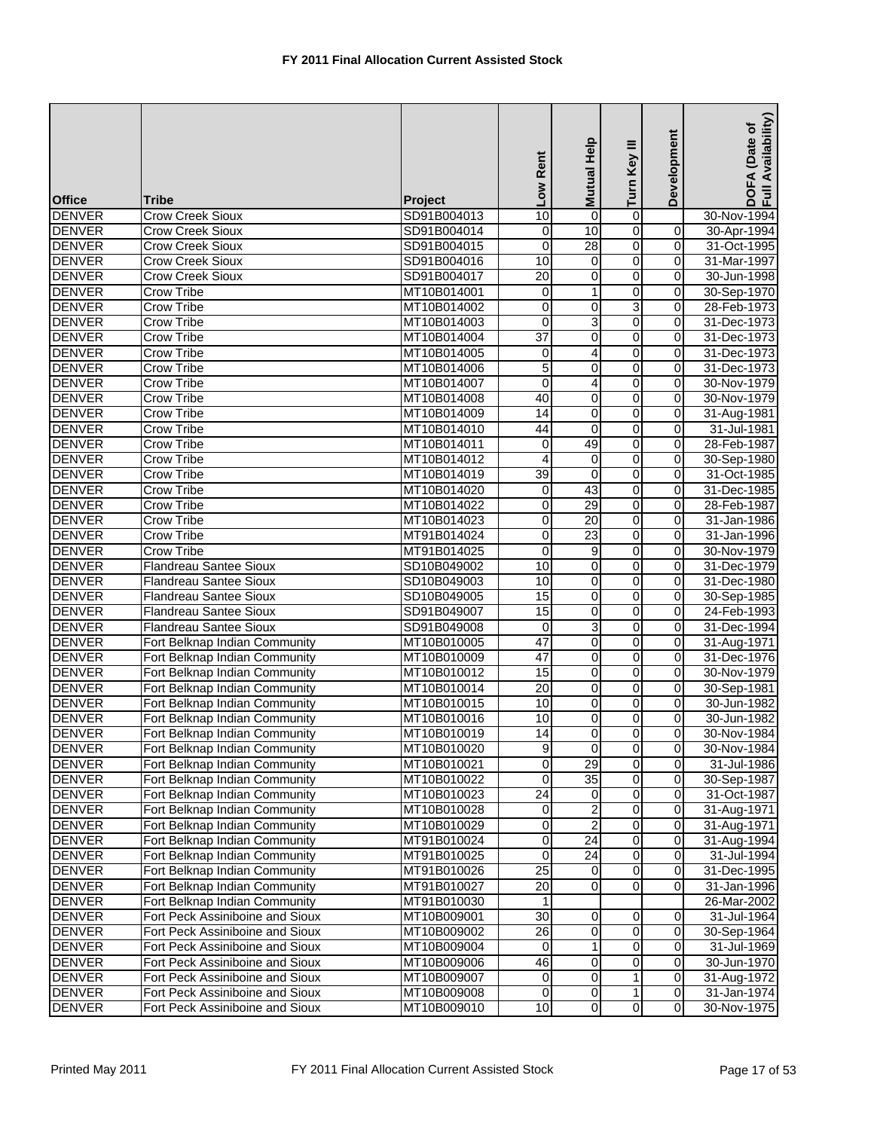| <b>Office</b> | <b>Tribe</b>                    | Project     | Low Rent        | Help<br><b>Mutual</b> | Turn Key III   | Development             | Availability)<br>(Date of<br>DOFA<br>Full Av |
|---------------|---------------------------------|-------------|-----------------|-----------------------|----------------|-------------------------|----------------------------------------------|
| <b>DENVER</b> | <b>Crow Creek Sioux</b>         | SD91B004013 | 10              | $\mathbf 0$           | 0              |                         | 30-Nov-1994                                  |
| <b>DENVER</b> | <b>Crow Creek Sioux</b>         | SD91B004014 | 0               | 10                    | 0              | 0                       | 30-Apr-1994                                  |
| <b>DENVER</b> | <b>Crow Creek Sioux</b>         | SD91B004015 | 0               | 28                    | o              | $\mathbf 0$             | 31-Oct-1995                                  |
| <b>DENVER</b> | <b>Crow Creek Sioux</b>         | SD91B004016 | 10              | 0                     | $\overline{0}$ | $\mathbf 0$             | 31-Mar-1997                                  |
| <b>DENVER</b> | <b>Crow Creek Sioux</b>         | SD91B004017 | $\overline{20}$ | 0                     | $\overline{0}$ | $\mathbf 0$             | 30-Jun-1998                                  |
| <b>DENVER</b> | <b>Crow Tribe</b>               | MT10B014001 | 0               | 1                     | 0              | $\mathbf 0$             | 30-Sep-1970                                  |
| <b>DENVER</b> | <b>Crow Tribe</b>               | MT10B014002 | 0               | 0                     | 3              | 0                       | 28-Feb-1973                                  |
| <b>DENVER</b> | Crow Tribe                      | MT10B014003 | 0               | 3                     | $\overline{0}$ | $\mathbf 0$             | 31-Dec-1973                                  |
| <b>DENVER</b> | <b>Crow Tribe</b>               | MT10B014004 | 37              | 0                     | 0              | 0                       | 31-Dec-1973                                  |
| <b>DENVER</b> | <b>Crow Tribe</b>               | MT10B014005 | 0               | 4                     | 0              | $\overline{0}$          | 31-Dec-1973                                  |
| <b>DENVER</b> | <b>Crow Tribe</b>               | MT10B014006 | 5               | 0                     | 0              | 0                       | 31-Dec-1973                                  |
| <b>DENVER</b> | <b>Crow Tribe</b>               | MT10B014007 | 0               | 4                     | 0              | $\mathbf 0$             | 30-Nov-1979                                  |
| <b>DENVER</b> | <b>Crow Tribe</b>               | MT10B014008 | 40              | 0                     | 0              | $\mathbf 0$             | 30-Nov-1979                                  |
| <b>DENVER</b> | <b>Crow Tribe</b>               | MT10B014009 | 14              | 0                     | 0              | $\mathbf 0$             | 31-Aug-1981                                  |
| <b>DENVER</b> | <b>Crow Tribe</b>               | MT10B014010 | 44              | 0                     | 0              | 0                       | 31-Jul-1981                                  |
| <b>DENVER</b> | <b>Crow Tribe</b>               | MT10B014011 | 0               | 49                    | 0              | 0                       | 28-Feb-1987                                  |
| <b>DENVER</b> | <b>Crow Tribe</b>               | MT10B014012 | 4               | $\mathbf 0$           | 0              | $\mathbf 0$             | 30-Sep-1980                                  |
| <b>DENVER</b> | <b>Crow Tribe</b>               | MT10B014019 | $\overline{39}$ | $\mathbf 0$           | 0              | 0                       | 31-Oct-1985                                  |
| <b>DENVER</b> | <b>Crow Tribe</b>               | MT10B014020 | 0               | 43                    | 0              | $\overline{0}$          | 31-Dec-1985                                  |
| <b>DENVER</b> | <b>Crow Tribe</b>               | MT10B014022 | 0               | 29                    | 0              | 0                       | 28-Feb-1987                                  |
| <b>DENVER</b> | <b>Crow Tribe</b>               | MT10B014023 | 0               | $\overline{20}$       | $\overline{0}$ | $\mathbf 0$             | 31-Jan-1986                                  |
| <b>DENVER</b> | Crow Tribe                      | MT91B014024 | $\mathbf 0$     | $\overline{23}$       | 0              | $\mathbf 0$             | 31-Jan-1996                                  |
| <b>DENVER</b> | Crow Tribe                      | MT91B014025 | $\mathbf 0$     | 9                     | 0              | $\mathbf 0$             | 30-Nov-1979                                  |
| <b>DENVER</b> | <b>Flandreau Santee Sioux</b>   | SD10B049002 | 10              | 0                     | 0              | 0                       | 31-Dec-1979                                  |
| <b>DENVER</b> | <b>Flandreau Santee Sioux</b>   | SD10B049003 | 10              | 0                     | 0              | 0                       | 31-Dec-1980                                  |
| <b>DENVER</b> | <b>Flandreau Santee Sioux</b>   | SD10B049005 | 15              | 0                     | 0              | $\mathbf 0$             | 30-Sep-1985                                  |
| <b>DENVER</b> | <b>Flandreau Santee Sioux</b>   | SD91B049007 | 15              | 0                     | 0              | $\mathbf 0$             | 24-Feb-1993                                  |
| <b>DENVER</b> | <b>Flandreau Santee Sioux</b>   | SD91B049008 | 0               | 3                     | 0              | $\mathbf 0$             | 31-Dec-1994                                  |
| <b>DENVER</b> | Fort Belknap Indian Community   | MT10B010005 | $\overline{47}$ | $\mathbf 0$           | $\overline{0}$ | $\mathbf 0$             | 31-Aug-1971                                  |
| <b>DENVER</b> | Fort Belknap Indian Community   | MT10B010009 | 47              | $\pmb{0}$             | o              | $\mathbf 0$             | 31-Dec-1976                                  |
| <b>DENVER</b> | Fort Belknap Indian Community   | MT10B010012 | 15              | 0                     | 0              | $\mathbf 0$             | 30-Nov-1979                                  |
| <b>DENVER</b> | Fort Belknap Indian Community   | MT10B010014 | $\overline{20}$ | 0                     | 0              | 0                       | 30-Sep-1981                                  |
| <b>DENVER</b> | Fort Belknap Indian Community   | MT10B010015 | 10              | 0                     | 0              | $\mathbf 0$             | 30-Jun-1982                                  |
| <b>DENVER</b> | Fort Belknap Indian Community   | MT10B010016 | 10              | 0                     | 0              | 0                       | 30-Jun-1982                                  |
| <b>DENVER</b> | Fort Belknap Indian Community   | MT10B010019 | 14              | 0                     | $\overline{0}$ | $\overline{0}$          | 30-Nov-1984                                  |
| <b>DENVER</b> | Fort Belknap Indian Community   | MT10B010020 | 9               | 0                     | $\overline{0}$ | $\mathbf 0$             | 30-Nov-1984                                  |
| <b>DENVER</b> | Fort Belknap Indian Community   | MT10B010021 | 0               | 29                    | 0              | $\mathbf 0$             | 31-Jul-1986                                  |
| <b>DENVER</b> | Fort Belknap Indian Community   | MT10B010022 | 0               | $\overline{35}$       | 0              | $\mathbf 0$             | 30-Sep-1987                                  |
| <b>DENVER</b> | Fort Belknap Indian Community   | MT10B010023 | $\overline{24}$ | 0                     | o              | $\overline{\mathbf{o}}$ | 31-Oct-1987                                  |
| <b>DENVER</b> | Fort Belknap Indian Community   | MT10B010028 | 0               | $\overline{c}$        | 0              | 0                       | 31-Aug-1971                                  |
| <b>DENVER</b> | Fort Belknap Indian Community   | MT10B010029 | 0               | $\overline{2}$        | 0              | 0                       | 31-Aug-1971                                  |
| <b>DENVER</b> | Fort Belknap Indian Community   | MT91B010024 | 0               | $\overline{24}$       | 0              | $\mathbf 0$             | 31-Aug-1994                                  |
| <b>DENVER</b> | Fort Belknap Indian Community   | MT91B010025 | 0               | $\overline{24}$       | 0              | 0                       | 31-Jul-1994                                  |
| <b>DENVER</b> | Fort Belknap Indian Community   | MT91B010026 | $\overline{25}$ | 0                     | 0              | $\mathbf 0$             | 31-Dec-1995                                  |
| <b>DENVER</b> | Fort Belknap Indian Community   | MT91B010027 | 20              | 0                     | 0              | 0                       | 31-Jan-1996                                  |
| <b>DENVER</b> | Fort Belknap Indian Community   | MT91B010030 |                 |                       |                |                         | 26-Mar-2002                                  |
| <b>DENVER</b> | Fort Peck Assiniboine and Sioux | MT10B009001 | 30              | 0                     | 0              | 0                       | 31-Jul-1964                                  |
| <b>DENVER</b> | Fort Peck Assiniboine and Sioux | MT10B009002 | $\overline{26}$ | 0                     | 0              | 0                       | 30-Sep-1964                                  |
| <b>DENVER</b> | Fort Peck Assiniboine and Sioux | MT10B009004 | 0               | 1                     | 0              | 0                       | 31-Jul-1969                                  |
| <b>DENVER</b> | Fort Peck Assiniboine and Sioux | MT10B009006 | 46              | 0                     | 0              | 0                       | 30-Jun-1970                                  |
| <b>DENVER</b> | Fort Peck Assiniboine and Sioux | MT10B009007 | 0               | 0                     | 1              | 0                       | 31-Aug-1972                                  |
| <b>DENVER</b> | Fort Peck Assiniboine and Sioux | MT10B009008 | 0               | $\pmb{0}$             | 1              | $\mathbf 0$             | 31-Jan-1974                                  |
| <b>DENVER</b> | Fort Peck Assiniboine and Sioux | MT10B009010 | 10              | 0                     | o              | $\mathbf 0$             | 30-Nov-1975                                  |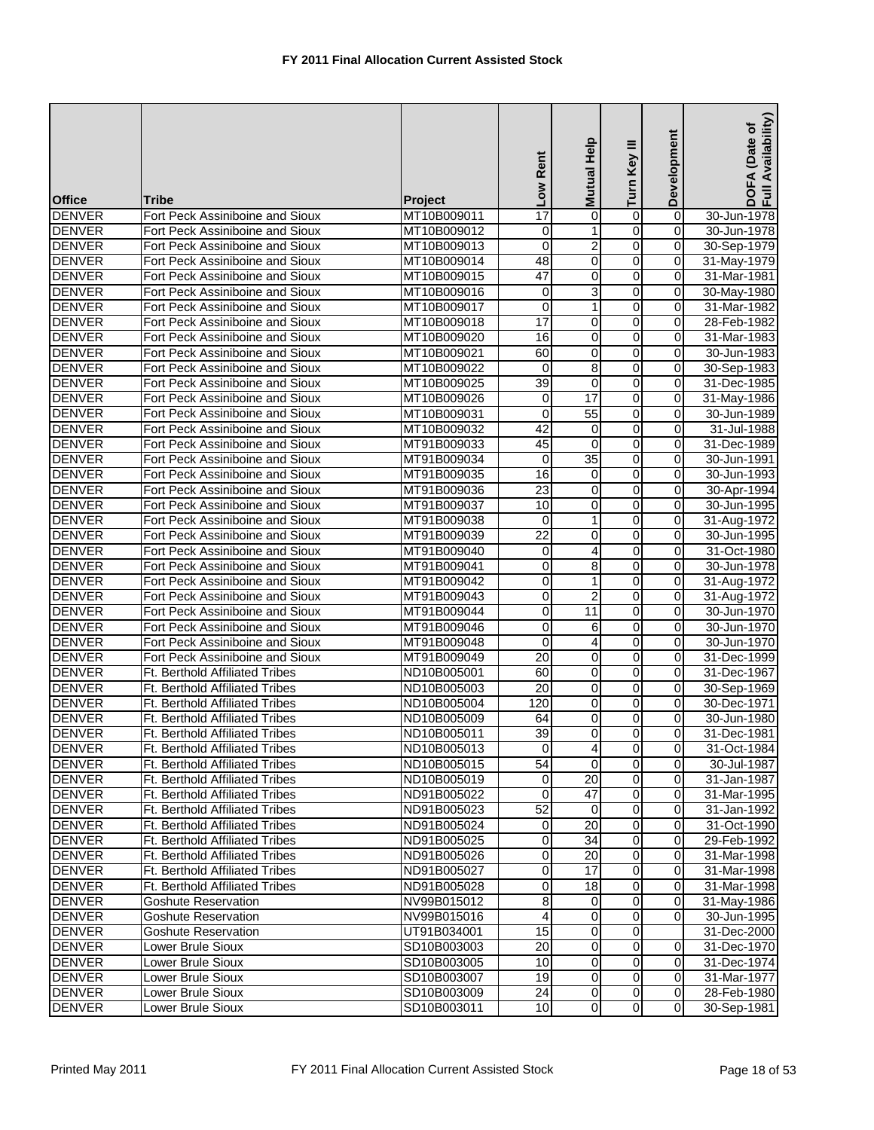| <b>Office</b> | <b>Tribe</b>                          | <b>Project</b> | Low Rent        | Help<br><b>Mutual</b>   | Turn Key III            | Development    | Availability)<br>DOFA (Date of<br>Full Availability |
|---------------|---------------------------------------|----------------|-----------------|-------------------------|-------------------------|----------------|-----------------------------------------------------|
| <b>DENVER</b> | Fort Peck Assiniboine and Sioux       | MT10B009011    | 17              | 0                       | $\overline{0}$          | $\overline{0}$ | 30-Jun-1978                                         |
| <b>DENVER</b> | Fort Peck Assiniboine and Sioux       | MT10B009012    | 0               | 1                       | 0                       | 0              | 30-Jun-1978                                         |
| <b>DENVER</b> | Fort Peck Assiniboine and Sioux       | MT10B009013    | $\mathbf 0$     | $\overline{\mathbf{c}}$ | 0                       | 0              | 30-Sep-1979                                         |
| <b>DENVER</b> | Fort Peck Assiniboine and Sioux       | MT10B009014    | 48              | $\overline{0}$          | $\overline{0}$          | 0              | 31-May-1979                                         |
| <b>DENVER</b> | Fort Peck Assiniboine and Sioux       | MT10B009015    | $\overline{47}$ | 0                       | 0                       | $\mathbf 0$    | 31-Mar-1981                                         |
| <b>DENVER</b> | Fort Peck Assiniboine and Sioux       | MT10B009016    | 0               | 3                       | 0                       | 0              | 30-May-1980                                         |
| <b>DENVER</b> | Fort Peck Assiniboine and Sioux       | MT10B009017    | 0               | 1                       | 0                       | 0              | 31-Mar-1982                                         |
| <b>DENVER</b> | Fort Peck Assiniboine and Sioux       | MT10B009018    | 17              | $\pmb{0}$               | 0                       | $\mathbf 0$    | 28-Feb-1982                                         |
| <b>DENVER</b> | Fort Peck Assiniboine and Sioux       | MT10B009020    | 16              | 0                       | 0                       | 0              | 31-Mar-1983                                         |
| <b>DENVER</b> | Fort Peck Assiniboine and Sioux       | MT10B009021    | 60              | 0                       | $\overline{0}$          | $\mathbf 0$    | 30-Jun-1983                                         |
| <b>DENVER</b> | Fort Peck Assiniboine and Sioux       | MT10B009022    | 0               | 8                       | 0                       | 0              | 30-Sep-1983                                         |
| <b>DENVER</b> | Fort Peck Assiniboine and Sioux       | MT10B009025    | 39              | 0                       | 0                       | 0              | 31-Dec-1985                                         |
| <b>DENVER</b> | Fort Peck Assiniboine and Sioux       | MT10B009026    | $\mathbf 0$     | 17                      | $\overline{0}$          | 0              | 31-May-1986                                         |
| <b>DENVER</b> | Fort Peck Assiniboine and Sioux       | MT10B009031    | $\mathbf 0$     | 55                      | 0                       | $\mathbf 0$    | 30-Jun-1989                                         |
| <b>DENVER</b> | Fort Peck Assiniboine and Sioux       | MT10B009032    | 42              | $\mathbf 0$             | 0                       | 0              | 31-Jul-1988                                         |
| <b>DENVER</b> | Fort Peck Assiniboine and Sioux       | MT91B009033    | 45              | 0                       | 0                       | 0              | 31-Dec-1989                                         |
| <b>DENVER</b> | Fort Peck Assiniboine and Sioux       | MT91B009034    | $\mathbf 0$     | 35                      | 0                       | $\mathbf 0$    | 30-Jun-1991                                         |
| <b>DENVER</b> | Fort Peck Assiniboine and Sioux       | MT91B009035    | 16              | $\mathbf 0$             | 0                       | $\mathbf 0$    | 30-Jun-1993                                         |
| <b>DENVER</b> | Fort Peck Assiniboine and Sioux       | MT91B009036    | $\overline{23}$ | 0                       | 0                       | 0              | 30-Apr-1994                                         |
| <b>DENVER</b> | Fort Peck Assiniboine and Sioux       | MT91B009037    | 10              | 0                       | 0                       | 0              | 30-Jun-1995                                         |
| <b>DENVER</b> | Fort Peck Assiniboine and Sioux       | MT91B009038    | 0               | 1                       | 0                       | 0              | 31-Aug-1972                                         |
| <b>DENVER</b> | Fort Peck Assiniboine and Sioux       | MT91B009039    | $\overline{22}$ | 0                       | 0                       | 0              | 30-Jun-1995                                         |
| <b>DENVER</b> | Fort Peck Assiniboine and Sioux       | MT91B009040    | 0               | 4                       | 0                       | $\mathbf 0$    | 31-Oct-1980                                         |
| <b>DENVER</b> | Fort Peck Assiniboine and Sioux       | MT91B009041    | 0               | 8                       | 0                       | $\mathbf 0$    | 30-Jun-1978                                         |
| <b>DENVER</b> | Fort Peck Assiniboine and Sioux       | MT91B009042    | 0               | 1                       | 0                       | 0              | 31-Aug-1972                                         |
| <b>DENVER</b> | Fort Peck Assiniboine and Sioux       | MT91B009043    | 0               | $\overline{2}$          | 0                       | $\mathbf 0$    | 31-Aug-1972                                         |
| <b>DENVER</b> | Fort Peck Assiniboine and Sioux       | MT91B009044    | 0               | 11                      | 0                       | $\mathbf 0$    | 30-Jun-1970                                         |
| <b>DENVER</b> | Fort Peck Assiniboine and Sioux       | MT91B009046    | 0               | 6                       | 0                       | 0              | 30-Jun-1970                                         |
| <b>DENVER</b> | Fort Peck Assiniboine and Sioux       | MT91B009048    | 0               | 4                       | 0                       | 0              | 30-Jun-1970                                         |
| <b>DENVER</b> | Fort Peck Assiniboine and Sioux       | MT91B009049    | 20              | 0                       | 0                       | 0              | 31-Dec-1999                                         |
| <b>DENVER</b> | <b>Ft. Berthold Affiliated Tribes</b> | ND10B005001    | 60              | 0                       | 0                       | $\mathbf 0$    | 31-Dec-1967                                         |
| <b>DENVER</b> | Ft. Berthold Affiliated Tribes        | ND10B005003    | 20              | 0                       | 0                       | $\mathbf 0$    | 30-Sep-1969                                         |
| <b>DENVER</b> | <b>Ft. Berthold Affiliated Tribes</b> | ND10B005004    | 120             | 0                       | 0                       | $\mathbf 0$    | 30-Dec-1971                                         |
| <b>DENVER</b> | <b>Ft. Berthold Affiliated Tribes</b> | ND10B005009    | 64              | 0                       | 0                       | 0              | 30-Jun-1980                                         |
| <b>DENVER</b> | Ft. Berthold Affiliated Tribes        | ND10B005011    | 39              | $\overline{0}$          | O                       | $\overline{0}$ | 31-Dec-1981                                         |
| <b>DENVER</b> | Ft. Berthold Affiliated Tribes        | ND10B005013    | $\mathbf 0$     | $\overline{4}$          | $\overline{\mathbf{o}}$ | 0              | 31-Oct-1984                                         |
| <b>DENVER</b> | <b>Ft. Berthold Affiliated Tribes</b> | ND10B005015    | 54              | $\Omega$                | 0                       | 0              | 30-Jul-1987                                         |
| <b>DENVER</b> | Ft. Berthold Affiliated Tribes        | ND10B005019    | 0               | $\overline{20}$         | 0                       | $\mathbf 0$    | 31-Jan-1987                                         |
| <b>DENVER</b> | Ft. Berthold Affiliated Tribes        | ND91B005022    | 0               | 47                      | 0                       | $\mathbf 0$    | 31-Mar-1995                                         |
| <b>DENVER</b> | Ft. Berthold Affiliated Tribes        | ND91B005023    | 52              | $\overline{0}$          | 0                       | $\mathbf 0$    | 31-Jan-1992                                         |
| <b>DENVER</b> | <b>Ft. Berthold Affiliated Tribes</b> | ND91B005024    | 0               | 20                      | 0                       | $\mathbf 0$    | 31-Oct-1990                                         |
| <b>DENVER</b> | Ft. Berthold Affiliated Tribes        | ND91B005025    | $\mathbf 0$     | 34                      | $\mathbf 0$             | $\mathbf 0$    | 29-Feb-1992                                         |
| <b>DENVER</b> | Ft. Berthold Affiliated Tribes        | ND91B005026    | 0               | 20                      | 0                       | $\mathbf 0$    | 31-Mar-1998                                         |
| <b>DENVER</b> | <b>Ft. Berthold Affiliated Tribes</b> | ND91B005027    | 0               | 17                      | 0                       | $\mathbf 0$    | 31-Mar-1998                                         |
| <b>DENVER</b> | Ft. Berthold Affiliated Tribes        | ND91B005028    | 0               | $\overline{18}$         | 0                       | $\mathbf 0$    | 31-Mar-1998                                         |
| <b>DENVER</b> | <b>Goshute Reservation</b>            | NV99B015012    | 8               | 0                       | 0                       | $\mathbf 0$    | 31-May-1986                                         |
| <b>DENVER</b> | <b>Goshute Reservation</b>            | NV99B015016    | 4               | 0                       | 0                       | $\overline{0}$ | 30-Jun-1995                                         |
| <b>DENVER</b> | Goshute Reservation                   | UT91B034001    | 15              | 0                       | 0                       |                | 31-Dec-2000                                         |
| <b>DENVER</b> | Lower Brule Sioux                     | SD10B003003    | 20              | $\mathbf 0$             | $\overline{0}$          | $\mathbf 0$    | 31-Dec-1970                                         |
| <b>DENVER</b> | Lower Brule Sioux                     | SD10B003005    | 10              | 0                       | 0                       | $\overline{0}$ | 31-Dec-1974                                         |
| <b>DENVER</b> | Lower Brule Sioux                     | SD10B003007    | 19              | $\mathbf 0$             | $\overline{0}$          | $\mathbf 0$    | 31-Mar-1977                                         |
| <b>DENVER</b> | Lower Brule Sioux                     | SD10B003009    | 24              | $\overline{0}$          | $\overline{0}$          | $\overline{0}$ | 28-Feb-1980                                         |
| <b>DENVER</b> | Lower Brule Sioux                     | SD10B003011    | 10              | $\mathbf 0$             | 0                       | 0              | 30-Sep-1981                                         |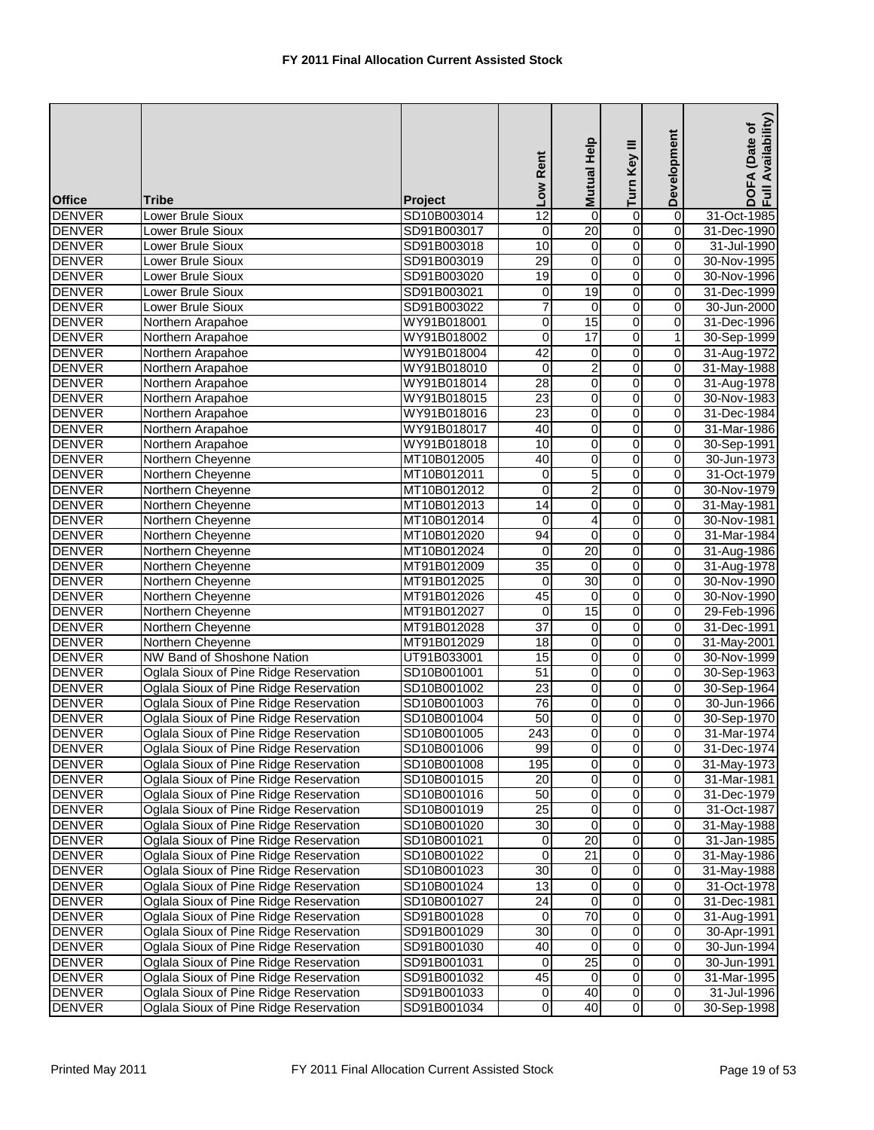| <b>Office</b> | Tribe                                  | <b>Project</b> | Low Rent                      | Mutual Help             | Turn Key III        | Development         | DOFA (Date of<br>Full Availability) |
|---------------|----------------------------------------|----------------|-------------------------------|-------------------------|---------------------|---------------------|-------------------------------------|
| <b>DENVER</b> | Lower Brule Sioux                      | SD10B003014    | 12                            | 0                       | 0                   | $\overline{0}$      | 31-Oct-1985                         |
| <b>DENVER</b> | Lower Brule Sioux                      | SD91B003017    | 0                             | 20                      | 0                   | 0                   | 31-Dec-1990                         |
| <b>DENVER</b> | Lower Brule Sioux                      | SD91B003018    | 10                            | $\overline{0}$          | $\overline{0}$      | $\overline{0}$      | 31-Jul-1990                         |
| <b>DENVER</b> | Lower Brule Sioux                      | SD91B003019    | 29                            | 0                       | $\overline{0}$      | $\pmb{0}$           | 30-Nov-1995                         |
| <b>DENVER</b> | Lower Brule Sioux                      | SD91B003020    | 19                            | 0                       | $\overline{0}$      | 0                   | 30-Nov-1996                         |
| <b>DENVER</b> | Lower Brule Sioux                      | SD91B003021    | 0                             | 19                      | O                   | 0                   | 31-Dec-1999                         |
| <b>DENVER</b> | Lower Brule Sioux                      | SD91B003022    | 7                             | $\boldsymbol{0}$        | $\overline{0}$      | 0                   | 30-Jun-2000                         |
| <b>DENVER</b> | Northern Arapahoe                      | WY91B018001    | $\mathbf 0$                   | 15                      | $\overline{0}$      | 0                   | 31-Dec-1996                         |
| <b>DENVER</b> | Northern Arapahoe                      | WY91B018002    | 0                             | 17                      | $\overline{0}$      | $\mathbf{1}$        | 30-Sep-1999                         |
| <b>DENVER</b> | Northern Arapahoe                      | WY91B018004    | 42                            | 0                       | $\overline{0}$      | 0                   | 31-Aug-1972                         |
| <b>DENVER</b> | Northern Arapahoe                      | WY91B018010    | 0                             | 2                       | 0                   | 0                   | 31-May-1988                         |
| <b>DENVER</b> | Northern Arapahoe                      | WY91B018014    | 28                            | 0                       | $\overline{0}$      | $\pmb{0}$           | 31-Aug-1978                         |
| <b>DENVER</b> | Northern Arapahoe                      | WY91B018015    | 23                            | 0                       | $\overline{0}$      | $\pmb{0}$           | 30-Nov-1983                         |
| <b>DENVER</b> | Northern Arapahoe                      | WY91B018016    | 23                            | $\overline{0}$          | $\overline{0}$      | 0                   | 31-Dec-1984                         |
| <b>DENVER</b> | Northern Arapahoe                      | WY91B018017    | 40                            | 0                       | o                   | 0                   | 31-Mar-1986                         |
| <b>DENVER</b> | Northern Arapahoe                      | WY91B018018    | 10                            | 0                       | o                   | $\pmb{0}$           | 30-Sep-1991                         |
| <b>DENVER</b> | Northern Cheyenne                      | MT10B012005    | 40                            | 0                       | $\overline{0}$      | $\overline{0}$      | 30-Jun-1973                         |
| <b>DENVER</b> | Northern Cheyenne                      | MT10B012011    | 0                             | 5                       | 0                   | 0                   | 31-Oct-1979                         |
| <b>DENVER</b> |                                        |                | 0                             | $\overline{2}$          | 0                   | 0                   | 30-Nov-1979                         |
|               | Northern Cheyenne                      | MT10B012012    | $\overline{14}$               |                         | o                   |                     |                                     |
| <b>DENVER</b> | Northern Cheyenne                      | MT10B012013    |                               | 0                       |                     | 0<br>$\overline{0}$ | 31-May-1981                         |
| <b>DENVER</b> | Northern Cheyenne                      | MT10B012014    | $\overline{\mathsf{o}}$<br>94 | 4                       | $\overline{0}$      | $\overline{0}$      | 30-Nov-1981                         |
| <b>DENVER</b> | Northern Cheyenne                      | MT10B012020    |                               | $\mathbf 0$             | $\overline{0}$      |                     | 31-Mar-1984                         |
| <b>DENVER</b> | Northern Cheyenne                      | MT10B012024    | $\mathbf 0$                   | 20                      | $\overline{0}$      | 0                   | 31-Aug-1986                         |
| <b>DENVER</b> | Northern Cheyenne                      | MT91B012009    | 35                            | 0                       | o                   | 0                   | 31-Aug-1978                         |
| <b>DENVER</b> | Northern Cheyenne                      | MT91B012025    | $\mathbf 0$                   | 30                      | $\overline{0}$      | $\overline{0}$      | 30-Nov-1990                         |
| <b>DENVER</b> | Northern Cheyenne                      | MT91B012026    | 45                            | $\mathbf 0$             | $\overline{0}$      | 0                   | 30-Nov-1990                         |
| <b>DENVER</b> | Northern Cheyenne                      | MT91B012027    | 0                             | 15                      | 0                   | 0                   | 29-Feb-1996                         |
| <b>DENVER</b> | Northern Cheyenne                      | MT91B012028    | $\overline{37}$               | 0                       | $\overline{0}$      | 0                   | 31-Dec-1991                         |
| <b>DENVER</b> | Northern Cheyenne                      | MT91B012029    | $\overline{18}$               | 0                       | O                   | 0                   | 31-May-2001                         |
| <b>DENVER</b> | NW Band of Shoshone Nation             | UT91B033001    | 15                            | $\overline{0}$          | $\overline{0}$      | $\overline{0}$      | 30-Nov-1999                         |
| <b>DENVER</b> | Oglala Sioux of Pine Ridge Reservation | SD10B001001    | $\overline{51}$               | 0                       | O                   | $\pmb{0}$           | 30-Sep-1963                         |
| <b>DENVER</b> | Oglala Sioux of Pine Ridge Reservation | SD10B001002    | 23                            | 0                       | $\overline{0}$      | $\pmb{0}$           | 30-Sep-1964                         |
| <b>DENVER</b> | Oglala Sioux of Pine Ridge Reservation | SD10B001003    | 76                            | 0                       | $\mathsf{O}\xspace$ | $\pmb{0}$           | 30-Jun-1966                         |
| <b>DENVER</b> | Oglala Sioux of Pine Ridge Reservation | SD10B001004    | 50                            | 0                       | $\overline{0}$      | 0                   | 30-Sep-1970                         |
| <b>DENVER</b> | Oglala Sioux of Pine Ridge Reservation | SD10B001005    | 243                           | $\overline{0}$          | $\overline{0}$      | $\overline{0}$      | 31-Mar-1974                         |
| <b>DENVER</b> | Oglala Sioux of Pine Ridge Reservation | SD10B001006    | 99                            | $\overline{\mathbf{0}}$ | $\overline{0}$      | 0                   | 31-Dec-1974                         |
| <b>DENVER</b> | Oglala Sioux of Pine Ridge Reservation | SD10B001008    | 195                           | 0                       | $\overline{0}$      | 0                   | 31-May-1973                         |
| <b>DENVER</b> | Oglala Sioux of Pine Ridge Reservation | SD10B001015    | 20                            | 0                       | O                   | $\overline{0}$      | 31-Mar-1981                         |
| <b>DENVER</b> | Oglala Sioux of Pine Ridge Reservation | SD10B001016    | 50                            | $\pmb{0}$               | $\overline{0}$      | $\overline{0}$      | 31-Dec-1979                         |
| <b>DENVER</b> | Oglala Sioux of Pine Ridge Reservation | SD10B001019    | 25                            | 0                       | $\overline{0}$      | $\pmb{0}$           | 31-Oct-1987                         |
| <b>DENVER</b> | Oglala Sioux of Pine Ridge Reservation | SD10B001020    | 30                            | 0                       | $\overline{0}$      | 0                   | 31-May-1988                         |
| <b>DENVER</b> | Oglala Sioux of Pine Ridge Reservation | SD10B001021    | $\mathbf 0$                   | $\overline{20}$         | $\overline{0}$      | 0                   | 31-Jan-1985                         |
| <b>DENVER</b> | Oglala Sioux of Pine Ridge Reservation | SD10B001022    | 0                             | $\overline{21}$         | $\overline{0}$      | 0                   | 31-May-1986                         |
| <b>DENVER</b> | Oglala Sioux of Pine Ridge Reservation | SD10B001023    | $\overline{30}$               | $\mathbf 0$             | $\overline{0}$      | $\overline{0}$      | 31-May-1988                         |
| <b>DENVER</b> | Oglala Sioux of Pine Ridge Reservation | SD10B001024    | 13                            | 0                       | O                   | 0                   | 31-Oct-1978                         |
| <b>DENVER</b> | Oglala Sioux of Pine Ridge Reservation | SD10B001027    | $\overline{24}$               | $\pmb{0}$               | $\overline{0}$      | $\pmb{0}$           | 31-Dec-1981                         |
| <b>DENVER</b> | Oglala Sioux of Pine Ridge Reservation | SD91B001028    | 0                             | 70                      | O                   | $\pmb{0}$           | 31-Aug-1991                         |
| <b>DENVER</b> | Oglala Sioux of Pine Ridge Reservation | SD91B001029    | 30                            | $\mathbf 0$             | $\overline{0}$      | $\overline{0}$      | 30-Apr-1991                         |
| <b>DENVER</b> | Oglala Sioux of Pine Ridge Reservation | SD91B001030    | 40                            | 0                       | O                   | $\pmb{0}$           | 30-Jun-1994                         |
| <b>DENVER</b> | Oglala Sioux of Pine Ridge Reservation | SD91B001031    | 0                             | 25                      | $\overline{0}$      | 0                   | 30-Jun-1991                         |
| <b>DENVER</b> | Oglala Sioux of Pine Ridge Reservation | SD91B001032    | 45                            | 0                       | $\overline{0}$      | 0                   | 31-Mar-1995                         |
| <b>DENVER</b> | Oglala Sioux of Pine Ridge Reservation | SD91B001033    | 0                             | 40                      | $\overline{0}$      | 0                   | 31-Jul-1996                         |
| <b>DENVER</b> | Oglala Sioux of Pine Ridge Reservation | SD91B001034    | $\overline{0}$                | $\overline{40}$         | $\overline{0}$      | $\pmb{0}$           | 30-Sep-1998                         |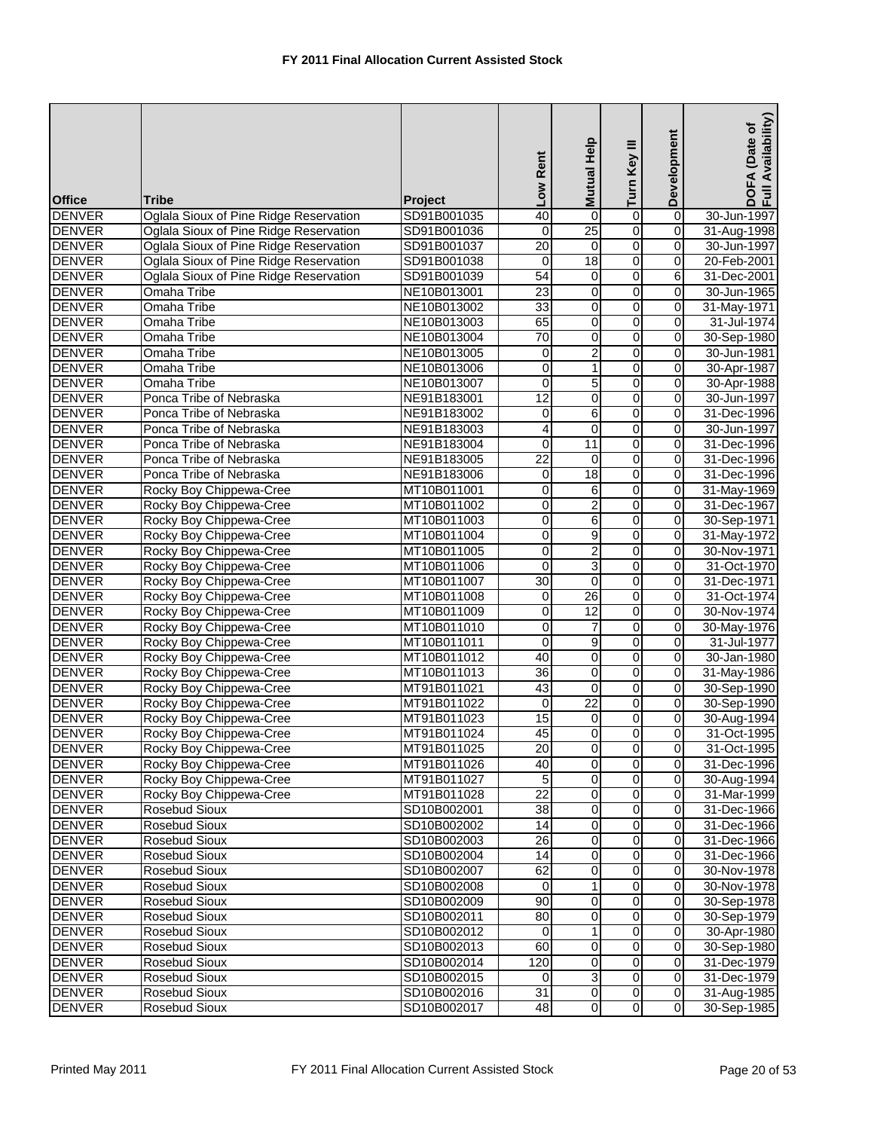| <b>Office</b>                  | Tribe                                              | <b>Project</b>             | Low Rent                     | Mutual Help             | Turn Key III                     | Development            | DOFA (Date of<br>Full Availability) |
|--------------------------------|----------------------------------------------------|----------------------------|------------------------------|-------------------------|----------------------------------|------------------------|-------------------------------------|
| <b>DENVER</b>                  | Oglala Sioux of Pine Ridge Reservation             | SD91B001035                | 40                           | $\overline{0}$          | $\overline{0}$                   | $\overline{0}$         | 30-Jun-1997                         |
|                                |                                                    |                            |                              | 25                      |                                  |                        |                                     |
| <b>DENVER</b>                  | Oglala Sioux of Pine Ridge Reservation             | SD91B001036                | 0<br>20                      |                         | $\overline{0}$<br>$\overline{0}$ | 0                      | 31-Aug-1998                         |
| <b>DENVER</b>                  | Oglala Sioux of Pine Ridge Reservation             | SD91B001037                |                              | $\boldsymbol{0}$        |                                  | $\pmb{0}$              | 30-Jun-1997                         |
| <b>DENVER</b>                  | Oglala Sioux of Pine Ridge Reservation             | SD91B001038                | $\mathbf 0$                  | 18                      | $\overline{0}$                   | 0                      | 20-Feb-2001                         |
| <b>DENVER</b>                  | Oglala Sioux of Pine Ridge Reservation             | SD91B001039                | 54                           | 0                       | $\overline{0}$                   | 6                      | 31-Dec-2001                         |
| <b>DENVER</b>                  | Omaha Tribe<br><b>Omaha Tribe</b>                  | NE10B013001                | 23                           | 0<br>0                  | $\overline{0}$                   | 0<br>0                 | 30-Jun-1965                         |
| <b>DENVER</b>                  |                                                    | NE10B013002                | 33                           |                         | 0                                | $\overline{0}$         | 31-May-1971                         |
| <b>DENVER</b><br><b>DENVER</b> | Omaha Tribe                                        | NE10B013003                | 65<br>70                     | 0                       | $\overline{0}$<br>$\overline{0}$ |                        | 31-Jul-1974                         |
| <b>DENVER</b>                  | <b>Omaha Tribe</b>                                 | NE10B013004                |                              | 0                       | O                                | 0<br>0                 | 30-Sep-1980                         |
| <b>DENVER</b>                  | Omaha Tribe<br>Omaha Tribe                         | NE10B013005<br>NE10B013006 | $\pmb{0}$<br>0               | 2<br>1                  | 0                                | 0                      | 30-Jun-1981<br>30-Apr-1987          |
| <b>DENVER</b>                  | Omaha Tribe                                        |                            |                              | 5                       | $\overline{0}$                   | $\pmb{0}$              |                                     |
| <b>DENVER</b>                  | Ponca Tribe of Nebraska                            | NE10B013007<br>NE91B183001 | 0<br>12                      | 0                       | $\overline{0}$                   | 0                      | 30-Apr-1988                         |
| <b>DENVER</b>                  | Ponca Tribe of Nebraska                            | NE91B183002                |                              | 6                       | 0                                | 0                      | 30-Jun-1997                         |
|                                |                                                    |                            | 0                            | 0                       |                                  | 0                      | 31-Dec-1996                         |
| <b>DENVER</b>                  | Ponca Tribe of Nebraska<br>Ponca Tribe of Nebraska | NE91B183003<br>NE91B183004 | 4<br>0                       | 11                      | $\overline{0}$<br>0              |                        | 30-Jun-1997<br>31-Dec-1996          |
| <b>DENVER</b><br><b>DENVER</b> | Ponca Tribe of Nebraska                            |                            | $\overline{22}$              | $\overline{0}$          | $\overline{0}$                   | 0<br>$\overline{0}$    |                                     |
| <b>DENVER</b>                  | Ponca Tribe of Nebraska                            | NE91B183005<br>NE91B183006 | 0                            | 18                      | 0                                | $\overline{0}$         | 31-Dec-1996<br>31-Dec-1996          |
|                                |                                                    |                            |                              |                         |                                  |                        |                                     |
| <b>DENVER</b><br><b>DENVER</b> | Rocky Boy Chippewa-Cree                            | MT10B011001<br>MT10B011002 | 0                            | 6                       | 0                                | 0<br>0                 | 31-May-1969<br>31-Dec-1967          |
|                                | Rocky Boy Chippewa-Cree                            |                            | 0                            | 2                       | 0                                |                        |                                     |
| <b>DENVER</b><br><b>DENVER</b> | Rocky Boy Chippewa-Cree<br>Rocky Boy Chippewa-Cree | MT10B011003<br>MT10B011004 | 0<br>$\overline{\mathbf{0}}$ | 6<br>$\overline{9}$     | $\overline{0}$<br>$\overline{0}$ | $\pmb{0}$<br>$\pmb{0}$ | 30-Sep-1971                         |
| <b>DENVER</b>                  | Rocky Boy Chippewa-Cree                            | MT10B011005                | 0                            | $\overline{2}$          | $\overline{0}$                   | 0                      | 31-May-1972<br>30-Nov-1971          |
| <b>DENVER</b>                  | Rocky Boy Chippewa-Cree                            | MT10B011006                | $\overline{0}$               | 3                       | $\overline{0}$                   | 0                      | 31-Oct-1970                         |
| <b>DENVER</b>                  | Rocky Boy Chippewa-Cree                            |                            | $\overline{30}$              | $\mathbf 0$             | $\overline{0}$                   | 0                      | 31-Dec-1971                         |
| <b>DENVER</b>                  | Rocky Boy Chippewa-Cree                            | MT10B011007<br>MT10B011008 | 0                            | $\overline{26}$         | O                                | $\overline{0}$         | 31-Oct-1974                         |
| <b>DENVER</b>                  | Rocky Boy Chippewa-Cree                            | MT10B011009                | 0                            | 12                      | 0                                | 0                      | 30-Nov-1974                         |
| <b>DENVER</b>                  | Rocky Boy Chippewa-Cree                            | MT10B011010                | 0                            | 7                       | O                                | 0                      | 30-May-1976                         |
| <b>DENVER</b>                  | Rocky Boy Chippewa-Cree                            | MT10B011011                | 0                            | 9                       | O                                | 0                      | 31-Jul-1977                         |
| <b>DENVER</b>                  | Rocky Boy Chippewa-Cree                            | MT10B011012                | 40                           | 0                       | $\overline{0}$                   | 0                      | 30-Jan-1980                         |
| <b>DENVER</b>                  | Rocky Boy Chippewa-Cree                            | MT10B011013                | 36                           | 0                       | $\overline{0}$                   | 0                      | 31-May-1986                         |
| <b>DENVER</b>                  | Rocky Boy Chippewa-Cree                            | MT91B011021                | 43                           | 0                       | $\overline{0}$                   | 0                      | 30-Sep-1990                         |
| <b>DENVER</b>                  | Rocky Boy Chippewa-Cree                            | MT91B011022                | $\mathbf 0$                  | $\overline{22}$         | $\overline{0}$                   | 0                      | 30-Sep-1990                         |
| <b>DENVER</b>                  | Rocky Boy Chippewa-Cree                            | MT91B011023                | 15                           | 0                       | o                                | 0                      | 30-Aug-1994                         |
| <b>DENVER</b>                  | Rocky Boy Chippewa-Cree                            | MT91B011024                | 45                           | $\overline{0}$          | $\overline{0}$                   | $\overline{0}$         | 31-Oct-1995                         |
| <b>DENVER</b>                  | Rocky Boy Chippewa-Cree                            | MT91B011025                | 20                           | $\overline{0}$          | $\overline{0}$                   | $\mathbf 0$            | 31-Oct-1995                         |
| <b>DENVER</b>                  | Rocky Boy Chippewa-Cree                            | MT91B011026                | 40                           | 0                       | $\overline{0}$                   | $\mathbf 0$            | 31-Dec-1996                         |
| <b>DENVER</b>                  | Rocky Boy Chippewa-Cree                            | MT91B011027                | 5                            | 0                       | $\overline{0}$                   | $\mathbf 0$            | 30-Aug-1994                         |
| <b>DENVER</b>                  | Rocky Boy Chippewa-Cree                            | MT91B011028                | 22                           | 0                       | $\overline{0}$                   | $\mathbf 0$            | 31-Mar-1999                         |
| <b>DENVER</b>                  | Rosebud Sioux                                      | SD10B002001                | $\overline{38}$              | 0                       | $\overline{0}$                   | $\mathbf 0$            | 31-Dec-1966                         |
| <b>DENVER</b>                  | <b>Rosebud Sioux</b>                               | SD10B002002                | 14                           | 0                       | 0                                | 0                      | 31-Dec-1966                         |
| <b>DENVER</b>                  | Rosebud Sioux                                      | SD10B002003                | $\overline{26}$              | $\overline{0}$          | $\overline{0}$                   | $\pmb{0}$              | 31-Dec-1966                         |
| <b>DENVER</b>                  | Rosebud Sioux                                      | SD10B002004                | 14                           | 0                       | $\overline{0}$                   | 0                      | 31-Dec-1966                         |
| <b>DENVER</b>                  | Rosebud Sioux                                      | SD10B002007                | 62                           | 0                       | $\overline{0}$                   | $\mathbf 0$            | 30-Nov-1978                         |
| <b>DENVER</b>                  | Rosebud Sioux                                      | SD10B002008                | $\mathbf 0$                  | 1                       | $\overline{0}$                   | 0                      | 30-Nov-1978                         |
| <b>DENVER</b>                  | <b>Rosebud Sioux</b>                               | SD10B002009                | 90                           | 0                       | $\overline{0}$                   | $\mathbf 0$            | 30-Sep-1978                         |
| <b>DENVER</b>                  | Rosebud Sioux                                      | SD10B002011                | 80                           | 0                       | $\overline{0}$                   | $\pmb{0}$              | 30-Sep-1979                         |
| <b>DENVER</b>                  | Rosebud Sioux                                      | SD10B002012                | 0                            | 1                       | $\overline{0}$                   | $\mathbf 0$            | 30-Apr-1980                         |
| <b>DENVER</b>                  | Rosebud Sioux                                      | SD10B002013                | 60                           | $\pmb{0}$               | $\overline{0}$                   | $\overline{0}$         | 30-Sep-1980                         |
| <b>DENVER</b>                  | Rosebud Sioux                                      | SD10B002014                | 120                          | 0                       | 0                                | $\pmb{0}$              | 31-Dec-1979                         |
| <b>DENVER</b>                  | Rosebud Sioux                                      | SD10B002015                | $\overline{0}$               | 3                       | $\overline{0}$                   | $\mathbf 0$            | 31-Dec-1979                         |
| <b>DENVER</b>                  | Rosebud Sioux                                      | SD10B002016                | $\overline{31}$              | $\overline{\mathbf{0}}$ | $\overline{0}$                   | $\mathbf 0$            | 31-Aug-1985                         |
| <b>DENVER</b>                  | Rosebud Sioux                                      | SD10B002017                | 48                           | $\overline{\mathbf{o}}$ | $\overline{0}$                   | $\mathbf 0$            | 30-Sep-1985                         |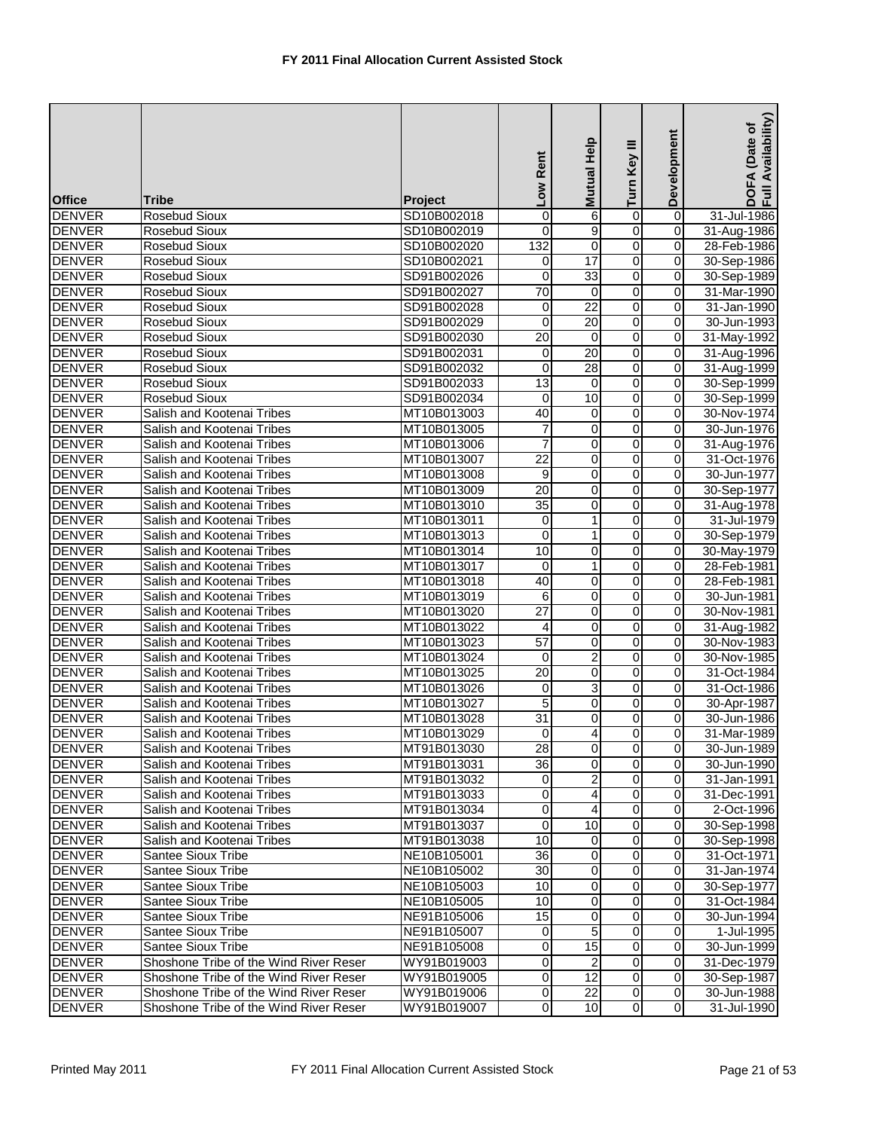| 0<br>$\overline{0}$<br><b>Rosebud Sioux</b><br>SD10B002018<br>6<br>31-Jul-1986<br>0<br>$\overline{0}$<br><b>DENVER</b><br>9<br>0<br>31-Aug-1986<br><b>Rosebud Sioux</b><br>SD10B002019<br>0<br>$\overline{0}$<br>132<br><b>DENVER</b><br>0<br>$\mathbf 0$<br><b>Rosebud Sioux</b><br>SD10B002020<br>28-Feb-1986<br>17<br>0<br><b>DENVER</b><br>SD10B002021<br>0<br>30-Sep-1986<br><b>Rosebud Sioux</b><br>0<br><b>DENVER</b><br>33<br>0<br>SD91B002026<br>$\mathbf 0$<br>0<br>30-Sep-1989<br><b>Rosebud Sioux</b><br>$\mathbf 0$<br><b>DENVER</b><br>Rosebud Sioux<br>70<br>0<br>31-Mar-1990<br>SD91B002027<br>$\mathbf 0$<br>$\overline{22}$<br>0<br>0<br><b>DENVER</b><br><b>Rosebud Sioux</b><br>31-Jan-1990<br>SD91B002028<br>0<br>$\overline{20}$<br><b>DENVER</b><br>0<br>0<br>$\mathbf 0$<br>Rosebud Sioux<br>SD91B002029<br>30-Jun-1993<br>0<br><b>DENVER</b><br><b>Rosebud Sioux</b><br>20<br>0<br>31-May-1992<br>SD91B002030<br>0<br>$\overline{0}$<br><b>DENVER</b><br>Rosebud Sioux<br>20<br>$\mathbf 0$<br>31-Aug-1996<br>SD91B002031<br>0<br>28<br>$\overline{0}$<br><b>DENVER</b><br>$\mathbf 0$<br>$\mathbf 0$<br>Rosebud Sioux<br>SD91B002032<br>31-Aug-1999<br>13<br>$\overline{0}$<br><b>DENVER</b><br>$\boldsymbol{0}$<br>$\mathbf 0$<br><b>Rosebud Sioux</b><br>SD91B002033<br>30-Sep-1999<br>0<br><b>DENVER</b><br><b>Rosebud Sioux</b><br>SD91B002034<br>10<br>0<br>0<br>30-Sep-1999<br>$\overline{0}$<br><b>DENVER</b><br>Salish and Kootenai Tribes<br>MT10B013003<br>40<br>0<br>0<br>30-Nov-1974<br>0<br><b>DENVER</b><br>7<br>0<br>0<br>30-Jun-1976<br>Salish and Kootenai Tribes<br>MT10B013005<br>0<br><b>DENVER</b><br>$\overline{7}$<br>0<br>31-Aug-1976<br>Salish and Kootenai Tribes<br>MT10B013006<br>0<br>$\overline{22}$<br>0<br><b>DENVER</b><br>0<br>$\mathbf 0$<br>Salish and Kootenai Tribes<br>MT10B013007<br>31-Oct-1976<br>0<br><b>DENVER</b><br>9<br>0<br>0<br>30-Jun-1977<br>Salish and Kootenai Tribes<br>MT10B013008<br><b>DENVER</b><br>20<br>$\overline{0}$<br>0<br>Salish and Kootenai Tribes<br>MT10B013009<br>$\mathbf 0$<br>30-Sep-1977<br>0<br><b>DENVER</b><br>$\overline{35}$<br>0<br>Salish and Kootenai Tribes<br>MT10B013010<br>0<br>31-Aug-1978<br>0<br>0<br><b>DENVER</b><br>Salish and Kootenai Tribes<br>MT10B013011<br>0<br>1<br>31-Jul-1979<br>0<br><b>DENVER</b><br>MT10B013013<br>$\mathbf 0$<br>0<br>Salish and Kootenai Tribes<br>1<br>30-Sep-1979<br>$\overline{0}$<br><b>DENVER</b><br>Salish and Kootenai Tribes<br>MT10B013014<br>10<br>0<br>0<br>30-May-1979<br>0<br><b>DENVER</b><br>1<br>0<br>Salish and Kootenai Tribes<br>MT10B013017<br>0<br>28-Feb-1981<br>0<br><b>DENVER</b><br>Salish and Kootenai Tribes<br>MT10B013018<br>40<br>0<br>0<br>28-Feb-1981<br>0<br>6<br>0<br>$\mathbf 0$<br><b>DENVER</b><br>Salish and Kootenai Tribes<br>30-Jun-1981<br>MT10B013019<br>$\overline{27}$<br>0<br><b>DENVER</b><br>Salish and Kootenai Tribes<br>0<br>0<br>30-Nov-1981<br>MT10B013020<br><b>DENVER</b><br>0<br>0<br>Salish and Kootenai Tribes<br>$\mathsf{O}\xspace$<br>31-Aug-1982<br>MT10B013022<br>4<br><b>DENVER</b><br>$\overline{57}$<br>0<br>0<br>Salish and Kootenai Tribes<br>MT10B013023<br>0<br>30-Nov-1983<br>$\overline{2}$<br>$\overline{0}$<br><b>DENVER</b><br>0<br>Salish and Kootenai Tribes<br>MT10B013024<br>30-Nov-1985<br>0<br>$\overline{0}$<br>$\overline{20}$<br>$\pmb{0}$<br>0<br><b>DENVER</b><br>Salish and Kootenai Tribes<br>MT10B013025<br>31-Oct-1984<br>3<br>0<br><b>DENVER</b><br>0<br>Salish and Kootenai Tribes<br>MT10B013026<br>0<br>31-Oct-1986<br>0<br><b>DENVER</b><br>5<br>0<br>0<br>Salish and Kootenai Tribes<br>MT10B013027<br>30-Apr-1987<br>0<br><b>DENVER</b><br>Salish and Kootenai Tribes<br>MT10B013028<br>31<br>0<br>30-Jun-1986<br>0<br>$\overline{0}$<br>4<br>$\overline{0}$<br><b>DENVER</b><br>$\overline{0}$<br>31-Mar-1989<br>Salish and Kootenai Tribes<br>MT10B013029<br><b>DENVER</b><br>Salish and Kootenai Tribes<br>MT91B013030<br>28<br>$\overline{0}$<br>$\overline{O}$<br>30-Jun-1989<br>0<br>$\overline{0}$<br>$\mathbf 0$<br><b>DENVER</b><br>$\mathbf 0$<br>Salish and Kootenai Tribes<br>MT91B013031<br>36<br>30-Jun-1990<br>0<br><b>DENVER</b><br>Salish and Kootenai Tribes<br>MT91B013032<br>2<br>$\mathbf 0$<br>0<br>31-Jan-1991<br>$\pmb{0}$<br><b>DENVER</b><br>$\mathbf 0$<br>Salish and Kootenai Tribes<br>MT91B013033<br>0<br>4<br>31-Dec-1991<br>0<br>$\mathbf 0$<br><b>DENVER</b><br>Salish and Kootenai Tribes<br>MT91B013034<br>0<br>2-Oct-1996<br>4<br>0<br><b>DENVER</b><br>Salish and Kootenai Tribes<br>$\Omega$<br>10<br>0<br>30-Sep-1998<br>MT91B013037<br><b>DENVER</b><br>0<br>Salish and Kootenai Tribes<br>MT91B013038<br>10<br>$\overline{0}$<br>$\mathbf 0$<br>30-Sep-1998<br>0<br>Santee Sioux Tribe<br>36<br>$\mathbf 0$<br><b>DENVER</b><br>NE10B105001<br>0<br>31-Oct-1971<br>$\overline{0}$<br>$\overline{30}$<br>$\overline{0}$<br><b>DENVER</b><br>Santee Sioux Tribe<br>$\mathbf 0$<br>NE10B105002<br>31-Jan-1974<br>0<br>10<br>0<br>$\mathbf 0$<br><b>DENVER</b><br>Santee Sioux Tribe<br>NE10B105003<br>30-Sep-1977<br>0<br><b>DENVER</b><br>Santee Sioux Tribe<br>NE10B105005<br>10<br>0<br>$\mathbf 0$<br>31-Oct-1984<br>0<br><b>DENVER</b><br>Santee Sioux Tribe<br>NE91B105006<br>15<br>$\mathbf 0$<br>$\mathbf 0$<br>30-Jun-1994<br>0<br><b>DENVER</b><br>Santee Sioux Tribe<br>5<br>$\mathbf 0$<br>NE91B105007<br>1-Jul-1995<br>0<br>15<br>0<br>$\mathbf 0$<br><b>DENVER</b><br>Santee Sioux Tribe<br>0<br>NE91B105008<br>30-Jun-1999<br>0<br>Shoshone Tribe of the Wind River Reser<br>2<br><b>DENVER</b><br>WY91B019003<br>0<br>0<br>31-Dec-1979<br>0<br><b>DENVER</b><br>$\overline{0}$<br>12<br>Shoshone Tribe of the Wind River Reser<br>WY91B019005<br>$\overline{0}$<br>30-Sep-1987<br>$\overline{22}$<br>$\overline{0}$<br><b>DENVER</b><br>Shoshone Tribe of the Wind River Reser<br>WY91B019006<br>$\overline{0}$<br>30-Jun-1988<br>0<br>$\overline{0}$<br>$\overline{10}$<br>$\mathbf 0$<br><b>DENVER</b><br>Shoshone Tribe of the Wind River Reser<br>$\overline{0}$<br>WY91B019007 | <b>Office</b> | Tribe | Project | Low Rent | <b>Help</b><br><b>Mutual</b> | Turn Key III | Development | Availability)<br>(Date of<br>DOFA<br>Full Av |
|------------------------------------------------------------------------------------------------------------------------------------------------------------------------------------------------------------------------------------------------------------------------------------------------------------------------------------------------------------------------------------------------------------------------------------------------------------------------------------------------------------------------------------------------------------------------------------------------------------------------------------------------------------------------------------------------------------------------------------------------------------------------------------------------------------------------------------------------------------------------------------------------------------------------------------------------------------------------------------------------------------------------------------------------------------------------------------------------------------------------------------------------------------------------------------------------------------------------------------------------------------------------------------------------------------------------------------------------------------------------------------------------------------------------------------------------------------------------------------------------------------------------------------------------------------------------------------------------------------------------------------------------------------------------------------------------------------------------------------------------------------------------------------------------------------------------------------------------------------------------------------------------------------------------------------------------------------------------------------------------------------------------------------------------------------------------------------------------------------------------------------------------------------------------------------------------------------------------------------------------------------------------------------------------------------------------------------------------------------------------------------------------------------------------------------------------------------------------------------------------------------------------------------------------------------------------------------------------------------------------------------------------------------------------------------------------------------------------------------------------------------------------------------------------------------------------------------------------------------------------------------------------------------------------------------------------------------------------------------------------------------------------------------------------------------------------------------------------------------------------------------------------------------------------------------------------------------------------------------------------------------------------------------------------------------------------------------------------------------------------------------------------------------------------------------------------------------------------------------------------------------------------------------------------------------------------------------------------------------------------------------------------------------------------------------------------------------------------------------------------------------------------------------------------------------------------------------------------------------------------------------------------------------------------------------------------------------------------------------------------------------------------------------------------------------------------------------------------------------------------------------------------------------------------------------------------------------------------------------------------------------------------------------------------------------------------------------------------------------------------------------------------------------------------------------------------------------------------------------------------------------------------------------------------------------------------------------------------------------------------------------------------------------------------------------------------------------------------------------------------------------------------------------------------------------------------------------------------------------------------------------------------------------------------------------------------------------------------------------------------------------------------------------------------------------------------------------------------------------------------------------------------------------------------------------------------------------------------------------------------------------------------------------------------------------------------------------------------------------------------------------------------------------------------------------------------------------------------------------------------------------------------------------------------------------------------------------------------------------------------------------------------------------------------------------------------------------------------------------------------------------------------------------------------------------------------------------------------------------------------------------------------------------------------------------------------------------------------------------------------------------------------------------------------------------------------------------------------|---------------|-------|---------|----------|------------------------------|--------------|-------------|----------------------------------------------|
|                                                                                                                                                                                                                                                                                                                                                                                                                                                                                                                                                                                                                                                                                                                                                                                                                                                                                                                                                                                                                                                                                                                                                                                                                                                                                                                                                                                                                                                                                                                                                                                                                                                                                                                                                                                                                                                                                                                                                                                                                                                                                                                                                                                                                                                                                                                                                                                                                                                                                                                                                                                                                                                                                                                                                                                                                                                                                                                                                                                                                                                                                                                                                                                                                                                                                                                                                                                                                                                                                                                                                                                                                                                                                                                                                                                                                                                                                                                                                                                                                                                                                                                                                                                                                                                                                                                                                                                                                                                                                                                                                                                                                                                                                                                                                                                                                                                                                                                                                                                                                                                                                                                                                                                                                                                                                                                                                                                                                                                                                                                                                                                                                                                                                                                                                                                                                                                                                                                                                                                                                                                                                                | <b>DENVER</b> |       |         |          |                              |              |             |                                              |
| 31-Jul-1990                                                                                                                                                                                                                                                                                                                                                                                                                                                                                                                                                                                                                                                                                                                                                                                                                                                                                                                                                                                                                                                                                                                                                                                                                                                                                                                                                                                                                                                                                                                                                                                                                                                                                                                                                                                                                                                                                                                                                                                                                                                                                                                                                                                                                                                                                                                                                                                                                                                                                                                                                                                                                                                                                                                                                                                                                                                                                                                                                                                                                                                                                                                                                                                                                                                                                                                                                                                                                                                                                                                                                                                                                                                                                                                                                                                                                                                                                                                                                                                                                                                                                                                                                                                                                                                                                                                                                                                                                                                                                                                                                                                                                                                                                                                                                                                                                                                                                                                                                                                                                                                                                                                                                                                                                                                                                                                                                                                                                                                                                                                                                                                                                                                                                                                                                                                                                                                                                                                                                                                                                                                                                    |               |       |         |          |                              |              |             |                                              |
|                                                                                                                                                                                                                                                                                                                                                                                                                                                                                                                                                                                                                                                                                                                                                                                                                                                                                                                                                                                                                                                                                                                                                                                                                                                                                                                                                                                                                                                                                                                                                                                                                                                                                                                                                                                                                                                                                                                                                                                                                                                                                                                                                                                                                                                                                                                                                                                                                                                                                                                                                                                                                                                                                                                                                                                                                                                                                                                                                                                                                                                                                                                                                                                                                                                                                                                                                                                                                                                                                                                                                                                                                                                                                                                                                                                                                                                                                                                                                                                                                                                                                                                                                                                                                                                                                                                                                                                                                                                                                                                                                                                                                                                                                                                                                                                                                                                                                                                                                                                                                                                                                                                                                                                                                                                                                                                                                                                                                                                                                                                                                                                                                                                                                                                                                                                                                                                                                                                                                                                                                                                                                                |               |       |         |          |                              |              |             |                                              |
|                                                                                                                                                                                                                                                                                                                                                                                                                                                                                                                                                                                                                                                                                                                                                                                                                                                                                                                                                                                                                                                                                                                                                                                                                                                                                                                                                                                                                                                                                                                                                                                                                                                                                                                                                                                                                                                                                                                                                                                                                                                                                                                                                                                                                                                                                                                                                                                                                                                                                                                                                                                                                                                                                                                                                                                                                                                                                                                                                                                                                                                                                                                                                                                                                                                                                                                                                                                                                                                                                                                                                                                                                                                                                                                                                                                                                                                                                                                                                                                                                                                                                                                                                                                                                                                                                                                                                                                                                                                                                                                                                                                                                                                                                                                                                                                                                                                                                                                                                                                                                                                                                                                                                                                                                                                                                                                                                                                                                                                                                                                                                                                                                                                                                                                                                                                                                                                                                                                                                                                                                                                                                                |               |       |         |          |                              |              |             |                                              |
|                                                                                                                                                                                                                                                                                                                                                                                                                                                                                                                                                                                                                                                                                                                                                                                                                                                                                                                                                                                                                                                                                                                                                                                                                                                                                                                                                                                                                                                                                                                                                                                                                                                                                                                                                                                                                                                                                                                                                                                                                                                                                                                                                                                                                                                                                                                                                                                                                                                                                                                                                                                                                                                                                                                                                                                                                                                                                                                                                                                                                                                                                                                                                                                                                                                                                                                                                                                                                                                                                                                                                                                                                                                                                                                                                                                                                                                                                                                                                                                                                                                                                                                                                                                                                                                                                                                                                                                                                                                                                                                                                                                                                                                                                                                                                                                                                                                                                                                                                                                                                                                                                                                                                                                                                                                                                                                                                                                                                                                                                                                                                                                                                                                                                                                                                                                                                                                                                                                                                                                                                                                                                                |               |       |         |          |                              |              |             |                                              |
|                                                                                                                                                                                                                                                                                                                                                                                                                                                                                                                                                                                                                                                                                                                                                                                                                                                                                                                                                                                                                                                                                                                                                                                                                                                                                                                                                                                                                                                                                                                                                                                                                                                                                                                                                                                                                                                                                                                                                                                                                                                                                                                                                                                                                                                                                                                                                                                                                                                                                                                                                                                                                                                                                                                                                                                                                                                                                                                                                                                                                                                                                                                                                                                                                                                                                                                                                                                                                                                                                                                                                                                                                                                                                                                                                                                                                                                                                                                                                                                                                                                                                                                                                                                                                                                                                                                                                                                                                                                                                                                                                                                                                                                                                                                                                                                                                                                                                                                                                                                                                                                                                                                                                                                                                                                                                                                                                                                                                                                                                                                                                                                                                                                                                                                                                                                                                                                                                                                                                                                                                                                                                                |               |       |         |          |                              |              |             |                                              |
|                                                                                                                                                                                                                                                                                                                                                                                                                                                                                                                                                                                                                                                                                                                                                                                                                                                                                                                                                                                                                                                                                                                                                                                                                                                                                                                                                                                                                                                                                                                                                                                                                                                                                                                                                                                                                                                                                                                                                                                                                                                                                                                                                                                                                                                                                                                                                                                                                                                                                                                                                                                                                                                                                                                                                                                                                                                                                                                                                                                                                                                                                                                                                                                                                                                                                                                                                                                                                                                                                                                                                                                                                                                                                                                                                                                                                                                                                                                                                                                                                                                                                                                                                                                                                                                                                                                                                                                                                                                                                                                                                                                                                                                                                                                                                                                                                                                                                                                                                                                                                                                                                                                                                                                                                                                                                                                                                                                                                                                                                                                                                                                                                                                                                                                                                                                                                                                                                                                                                                                                                                                                                                |               |       |         |          |                              |              |             |                                              |
|                                                                                                                                                                                                                                                                                                                                                                                                                                                                                                                                                                                                                                                                                                                                                                                                                                                                                                                                                                                                                                                                                                                                                                                                                                                                                                                                                                                                                                                                                                                                                                                                                                                                                                                                                                                                                                                                                                                                                                                                                                                                                                                                                                                                                                                                                                                                                                                                                                                                                                                                                                                                                                                                                                                                                                                                                                                                                                                                                                                                                                                                                                                                                                                                                                                                                                                                                                                                                                                                                                                                                                                                                                                                                                                                                                                                                                                                                                                                                                                                                                                                                                                                                                                                                                                                                                                                                                                                                                                                                                                                                                                                                                                                                                                                                                                                                                                                                                                                                                                                                                                                                                                                                                                                                                                                                                                                                                                                                                                                                                                                                                                                                                                                                                                                                                                                                                                                                                                                                                                                                                                                                                |               |       |         |          |                              |              |             |                                              |
|                                                                                                                                                                                                                                                                                                                                                                                                                                                                                                                                                                                                                                                                                                                                                                                                                                                                                                                                                                                                                                                                                                                                                                                                                                                                                                                                                                                                                                                                                                                                                                                                                                                                                                                                                                                                                                                                                                                                                                                                                                                                                                                                                                                                                                                                                                                                                                                                                                                                                                                                                                                                                                                                                                                                                                                                                                                                                                                                                                                                                                                                                                                                                                                                                                                                                                                                                                                                                                                                                                                                                                                                                                                                                                                                                                                                                                                                                                                                                                                                                                                                                                                                                                                                                                                                                                                                                                                                                                                                                                                                                                                                                                                                                                                                                                                                                                                                                                                                                                                                                                                                                                                                                                                                                                                                                                                                                                                                                                                                                                                                                                                                                                                                                                                                                                                                                                                                                                                                                                                                                                                                                                |               |       |         |          |                              |              |             |                                              |
|                                                                                                                                                                                                                                                                                                                                                                                                                                                                                                                                                                                                                                                                                                                                                                                                                                                                                                                                                                                                                                                                                                                                                                                                                                                                                                                                                                                                                                                                                                                                                                                                                                                                                                                                                                                                                                                                                                                                                                                                                                                                                                                                                                                                                                                                                                                                                                                                                                                                                                                                                                                                                                                                                                                                                                                                                                                                                                                                                                                                                                                                                                                                                                                                                                                                                                                                                                                                                                                                                                                                                                                                                                                                                                                                                                                                                                                                                                                                                                                                                                                                                                                                                                                                                                                                                                                                                                                                                                                                                                                                                                                                                                                                                                                                                                                                                                                                                                                                                                                                                                                                                                                                                                                                                                                                                                                                                                                                                                                                                                                                                                                                                                                                                                                                                                                                                                                                                                                                                                                                                                                                                                |               |       |         |          |                              |              |             |                                              |
|                                                                                                                                                                                                                                                                                                                                                                                                                                                                                                                                                                                                                                                                                                                                                                                                                                                                                                                                                                                                                                                                                                                                                                                                                                                                                                                                                                                                                                                                                                                                                                                                                                                                                                                                                                                                                                                                                                                                                                                                                                                                                                                                                                                                                                                                                                                                                                                                                                                                                                                                                                                                                                                                                                                                                                                                                                                                                                                                                                                                                                                                                                                                                                                                                                                                                                                                                                                                                                                                                                                                                                                                                                                                                                                                                                                                                                                                                                                                                                                                                                                                                                                                                                                                                                                                                                                                                                                                                                                                                                                                                                                                                                                                                                                                                                                                                                                                                                                                                                                                                                                                                                                                                                                                                                                                                                                                                                                                                                                                                                                                                                                                                                                                                                                                                                                                                                                                                                                                                                                                                                                                                                |               |       |         |          |                              |              |             |                                              |
|                                                                                                                                                                                                                                                                                                                                                                                                                                                                                                                                                                                                                                                                                                                                                                                                                                                                                                                                                                                                                                                                                                                                                                                                                                                                                                                                                                                                                                                                                                                                                                                                                                                                                                                                                                                                                                                                                                                                                                                                                                                                                                                                                                                                                                                                                                                                                                                                                                                                                                                                                                                                                                                                                                                                                                                                                                                                                                                                                                                                                                                                                                                                                                                                                                                                                                                                                                                                                                                                                                                                                                                                                                                                                                                                                                                                                                                                                                                                                                                                                                                                                                                                                                                                                                                                                                                                                                                                                                                                                                                                                                                                                                                                                                                                                                                                                                                                                                                                                                                                                                                                                                                                                                                                                                                                                                                                                                                                                                                                                                                                                                                                                                                                                                                                                                                                                                                                                                                                                                                                                                                                                                |               |       |         |          |                              |              |             |                                              |
|                                                                                                                                                                                                                                                                                                                                                                                                                                                                                                                                                                                                                                                                                                                                                                                                                                                                                                                                                                                                                                                                                                                                                                                                                                                                                                                                                                                                                                                                                                                                                                                                                                                                                                                                                                                                                                                                                                                                                                                                                                                                                                                                                                                                                                                                                                                                                                                                                                                                                                                                                                                                                                                                                                                                                                                                                                                                                                                                                                                                                                                                                                                                                                                                                                                                                                                                                                                                                                                                                                                                                                                                                                                                                                                                                                                                                                                                                                                                                                                                                                                                                                                                                                                                                                                                                                                                                                                                                                                                                                                                                                                                                                                                                                                                                                                                                                                                                                                                                                                                                                                                                                                                                                                                                                                                                                                                                                                                                                                                                                                                                                                                                                                                                                                                                                                                                                                                                                                                                                                                                                                                                                |               |       |         |          |                              |              |             |                                              |
|                                                                                                                                                                                                                                                                                                                                                                                                                                                                                                                                                                                                                                                                                                                                                                                                                                                                                                                                                                                                                                                                                                                                                                                                                                                                                                                                                                                                                                                                                                                                                                                                                                                                                                                                                                                                                                                                                                                                                                                                                                                                                                                                                                                                                                                                                                                                                                                                                                                                                                                                                                                                                                                                                                                                                                                                                                                                                                                                                                                                                                                                                                                                                                                                                                                                                                                                                                                                                                                                                                                                                                                                                                                                                                                                                                                                                                                                                                                                                                                                                                                                                                                                                                                                                                                                                                                                                                                                                                                                                                                                                                                                                                                                                                                                                                                                                                                                                                                                                                                                                                                                                                                                                                                                                                                                                                                                                                                                                                                                                                                                                                                                                                                                                                                                                                                                                                                                                                                                                                                                                                                                                                |               |       |         |          |                              |              |             |                                              |
|                                                                                                                                                                                                                                                                                                                                                                                                                                                                                                                                                                                                                                                                                                                                                                                                                                                                                                                                                                                                                                                                                                                                                                                                                                                                                                                                                                                                                                                                                                                                                                                                                                                                                                                                                                                                                                                                                                                                                                                                                                                                                                                                                                                                                                                                                                                                                                                                                                                                                                                                                                                                                                                                                                                                                                                                                                                                                                                                                                                                                                                                                                                                                                                                                                                                                                                                                                                                                                                                                                                                                                                                                                                                                                                                                                                                                                                                                                                                                                                                                                                                                                                                                                                                                                                                                                                                                                                                                                                                                                                                                                                                                                                                                                                                                                                                                                                                                                                                                                                                                                                                                                                                                                                                                                                                                                                                                                                                                                                                                                                                                                                                                                                                                                                                                                                                                                                                                                                                                                                                                                                                                                |               |       |         |          |                              |              |             |                                              |
|                                                                                                                                                                                                                                                                                                                                                                                                                                                                                                                                                                                                                                                                                                                                                                                                                                                                                                                                                                                                                                                                                                                                                                                                                                                                                                                                                                                                                                                                                                                                                                                                                                                                                                                                                                                                                                                                                                                                                                                                                                                                                                                                                                                                                                                                                                                                                                                                                                                                                                                                                                                                                                                                                                                                                                                                                                                                                                                                                                                                                                                                                                                                                                                                                                                                                                                                                                                                                                                                                                                                                                                                                                                                                                                                                                                                                                                                                                                                                                                                                                                                                                                                                                                                                                                                                                                                                                                                                                                                                                                                                                                                                                                                                                                                                                                                                                                                                                                                                                                                                                                                                                                                                                                                                                                                                                                                                                                                                                                                                                                                                                                                                                                                                                                                                                                                                                                                                                                                                                                                                                                                                                |               |       |         |          |                              |              |             |                                              |
|                                                                                                                                                                                                                                                                                                                                                                                                                                                                                                                                                                                                                                                                                                                                                                                                                                                                                                                                                                                                                                                                                                                                                                                                                                                                                                                                                                                                                                                                                                                                                                                                                                                                                                                                                                                                                                                                                                                                                                                                                                                                                                                                                                                                                                                                                                                                                                                                                                                                                                                                                                                                                                                                                                                                                                                                                                                                                                                                                                                                                                                                                                                                                                                                                                                                                                                                                                                                                                                                                                                                                                                                                                                                                                                                                                                                                                                                                                                                                                                                                                                                                                                                                                                                                                                                                                                                                                                                                                                                                                                                                                                                                                                                                                                                                                                                                                                                                                                                                                                                                                                                                                                                                                                                                                                                                                                                                                                                                                                                                                                                                                                                                                                                                                                                                                                                                                                                                                                                                                                                                                                                                                |               |       |         |          |                              |              |             |                                              |
|                                                                                                                                                                                                                                                                                                                                                                                                                                                                                                                                                                                                                                                                                                                                                                                                                                                                                                                                                                                                                                                                                                                                                                                                                                                                                                                                                                                                                                                                                                                                                                                                                                                                                                                                                                                                                                                                                                                                                                                                                                                                                                                                                                                                                                                                                                                                                                                                                                                                                                                                                                                                                                                                                                                                                                                                                                                                                                                                                                                                                                                                                                                                                                                                                                                                                                                                                                                                                                                                                                                                                                                                                                                                                                                                                                                                                                                                                                                                                                                                                                                                                                                                                                                                                                                                                                                                                                                                                                                                                                                                                                                                                                                                                                                                                                                                                                                                                                                                                                                                                                                                                                                                                                                                                                                                                                                                                                                                                                                                                                                                                                                                                                                                                                                                                                                                                                                                                                                                                                                                                                                                                                |               |       |         |          |                              |              |             |                                              |
|                                                                                                                                                                                                                                                                                                                                                                                                                                                                                                                                                                                                                                                                                                                                                                                                                                                                                                                                                                                                                                                                                                                                                                                                                                                                                                                                                                                                                                                                                                                                                                                                                                                                                                                                                                                                                                                                                                                                                                                                                                                                                                                                                                                                                                                                                                                                                                                                                                                                                                                                                                                                                                                                                                                                                                                                                                                                                                                                                                                                                                                                                                                                                                                                                                                                                                                                                                                                                                                                                                                                                                                                                                                                                                                                                                                                                                                                                                                                                                                                                                                                                                                                                                                                                                                                                                                                                                                                                                                                                                                                                                                                                                                                                                                                                                                                                                                                                                                                                                                                                                                                                                                                                                                                                                                                                                                                                                                                                                                                                                                                                                                                                                                                                                                                                                                                                                                                                                                                                                                                                                                                                                |               |       |         |          |                              |              |             |                                              |
|                                                                                                                                                                                                                                                                                                                                                                                                                                                                                                                                                                                                                                                                                                                                                                                                                                                                                                                                                                                                                                                                                                                                                                                                                                                                                                                                                                                                                                                                                                                                                                                                                                                                                                                                                                                                                                                                                                                                                                                                                                                                                                                                                                                                                                                                                                                                                                                                                                                                                                                                                                                                                                                                                                                                                                                                                                                                                                                                                                                                                                                                                                                                                                                                                                                                                                                                                                                                                                                                                                                                                                                                                                                                                                                                                                                                                                                                                                                                                                                                                                                                                                                                                                                                                                                                                                                                                                                                                                                                                                                                                                                                                                                                                                                                                                                                                                                                                                                                                                                                                                                                                                                                                                                                                                                                                                                                                                                                                                                                                                                                                                                                                                                                                                                                                                                                                                                                                                                                                                                                                                                                                                |               |       |         |          |                              |              |             |                                              |
|                                                                                                                                                                                                                                                                                                                                                                                                                                                                                                                                                                                                                                                                                                                                                                                                                                                                                                                                                                                                                                                                                                                                                                                                                                                                                                                                                                                                                                                                                                                                                                                                                                                                                                                                                                                                                                                                                                                                                                                                                                                                                                                                                                                                                                                                                                                                                                                                                                                                                                                                                                                                                                                                                                                                                                                                                                                                                                                                                                                                                                                                                                                                                                                                                                                                                                                                                                                                                                                                                                                                                                                                                                                                                                                                                                                                                                                                                                                                                                                                                                                                                                                                                                                                                                                                                                                                                                                                                                                                                                                                                                                                                                                                                                                                                                                                                                                                                                                                                                                                                                                                                                                                                                                                                                                                                                                                                                                                                                                                                                                                                                                                                                                                                                                                                                                                                                                                                                                                                                                                                                                                                                |               |       |         |          |                              |              |             |                                              |
|                                                                                                                                                                                                                                                                                                                                                                                                                                                                                                                                                                                                                                                                                                                                                                                                                                                                                                                                                                                                                                                                                                                                                                                                                                                                                                                                                                                                                                                                                                                                                                                                                                                                                                                                                                                                                                                                                                                                                                                                                                                                                                                                                                                                                                                                                                                                                                                                                                                                                                                                                                                                                                                                                                                                                                                                                                                                                                                                                                                                                                                                                                                                                                                                                                                                                                                                                                                                                                                                                                                                                                                                                                                                                                                                                                                                                                                                                                                                                                                                                                                                                                                                                                                                                                                                                                                                                                                                                                                                                                                                                                                                                                                                                                                                                                                                                                                                                                                                                                                                                                                                                                                                                                                                                                                                                                                                                                                                                                                                                                                                                                                                                                                                                                                                                                                                                                                                                                                                                                                                                                                                                                |               |       |         |          |                              |              |             |                                              |
|                                                                                                                                                                                                                                                                                                                                                                                                                                                                                                                                                                                                                                                                                                                                                                                                                                                                                                                                                                                                                                                                                                                                                                                                                                                                                                                                                                                                                                                                                                                                                                                                                                                                                                                                                                                                                                                                                                                                                                                                                                                                                                                                                                                                                                                                                                                                                                                                                                                                                                                                                                                                                                                                                                                                                                                                                                                                                                                                                                                                                                                                                                                                                                                                                                                                                                                                                                                                                                                                                                                                                                                                                                                                                                                                                                                                                                                                                                                                                                                                                                                                                                                                                                                                                                                                                                                                                                                                                                                                                                                                                                                                                                                                                                                                                                                                                                                                                                                                                                                                                                                                                                                                                                                                                                                                                                                                                                                                                                                                                                                                                                                                                                                                                                                                                                                                                                                                                                                                                                                                                                                                                                |               |       |         |          |                              |              |             |                                              |
|                                                                                                                                                                                                                                                                                                                                                                                                                                                                                                                                                                                                                                                                                                                                                                                                                                                                                                                                                                                                                                                                                                                                                                                                                                                                                                                                                                                                                                                                                                                                                                                                                                                                                                                                                                                                                                                                                                                                                                                                                                                                                                                                                                                                                                                                                                                                                                                                                                                                                                                                                                                                                                                                                                                                                                                                                                                                                                                                                                                                                                                                                                                                                                                                                                                                                                                                                                                                                                                                                                                                                                                                                                                                                                                                                                                                                                                                                                                                                                                                                                                                                                                                                                                                                                                                                                                                                                                                                                                                                                                                                                                                                                                                                                                                                                                                                                                                                                                                                                                                                                                                                                                                                                                                                                                                                                                                                                                                                                                                                                                                                                                                                                                                                                                                                                                                                                                                                                                                                                                                                                                                                                |               |       |         |          |                              |              |             |                                              |
|                                                                                                                                                                                                                                                                                                                                                                                                                                                                                                                                                                                                                                                                                                                                                                                                                                                                                                                                                                                                                                                                                                                                                                                                                                                                                                                                                                                                                                                                                                                                                                                                                                                                                                                                                                                                                                                                                                                                                                                                                                                                                                                                                                                                                                                                                                                                                                                                                                                                                                                                                                                                                                                                                                                                                                                                                                                                                                                                                                                                                                                                                                                                                                                                                                                                                                                                                                                                                                                                                                                                                                                                                                                                                                                                                                                                                                                                                                                                                                                                                                                                                                                                                                                                                                                                                                                                                                                                                                                                                                                                                                                                                                                                                                                                                                                                                                                                                                                                                                                                                                                                                                                                                                                                                                                                                                                                                                                                                                                                                                                                                                                                                                                                                                                                                                                                                                                                                                                                                                                                                                                                                                |               |       |         |          |                              |              |             |                                              |
|                                                                                                                                                                                                                                                                                                                                                                                                                                                                                                                                                                                                                                                                                                                                                                                                                                                                                                                                                                                                                                                                                                                                                                                                                                                                                                                                                                                                                                                                                                                                                                                                                                                                                                                                                                                                                                                                                                                                                                                                                                                                                                                                                                                                                                                                                                                                                                                                                                                                                                                                                                                                                                                                                                                                                                                                                                                                                                                                                                                                                                                                                                                                                                                                                                                                                                                                                                                                                                                                                                                                                                                                                                                                                                                                                                                                                                                                                                                                                                                                                                                                                                                                                                                                                                                                                                                                                                                                                                                                                                                                                                                                                                                                                                                                                                                                                                                                                                                                                                                                                                                                                                                                                                                                                                                                                                                                                                                                                                                                                                                                                                                                                                                                                                                                                                                                                                                                                                                                                                                                                                                                                                |               |       |         |          |                              |              |             |                                              |
|                                                                                                                                                                                                                                                                                                                                                                                                                                                                                                                                                                                                                                                                                                                                                                                                                                                                                                                                                                                                                                                                                                                                                                                                                                                                                                                                                                                                                                                                                                                                                                                                                                                                                                                                                                                                                                                                                                                                                                                                                                                                                                                                                                                                                                                                                                                                                                                                                                                                                                                                                                                                                                                                                                                                                                                                                                                                                                                                                                                                                                                                                                                                                                                                                                                                                                                                                                                                                                                                                                                                                                                                                                                                                                                                                                                                                                                                                                                                                                                                                                                                                                                                                                                                                                                                                                                                                                                                                                                                                                                                                                                                                                                                                                                                                                                                                                                                                                                                                                                                                                                                                                                                                                                                                                                                                                                                                                                                                                                                                                                                                                                                                                                                                                                                                                                                                                                                                                                                                                                                                                                                                                |               |       |         |          |                              |              |             |                                              |
|                                                                                                                                                                                                                                                                                                                                                                                                                                                                                                                                                                                                                                                                                                                                                                                                                                                                                                                                                                                                                                                                                                                                                                                                                                                                                                                                                                                                                                                                                                                                                                                                                                                                                                                                                                                                                                                                                                                                                                                                                                                                                                                                                                                                                                                                                                                                                                                                                                                                                                                                                                                                                                                                                                                                                                                                                                                                                                                                                                                                                                                                                                                                                                                                                                                                                                                                                                                                                                                                                                                                                                                                                                                                                                                                                                                                                                                                                                                                                                                                                                                                                                                                                                                                                                                                                                                                                                                                                                                                                                                                                                                                                                                                                                                                                                                                                                                                                                                                                                                                                                                                                                                                                                                                                                                                                                                                                                                                                                                                                                                                                                                                                                                                                                                                                                                                                                                                                                                                                                                                                                                                                                |               |       |         |          |                              |              |             |                                              |
|                                                                                                                                                                                                                                                                                                                                                                                                                                                                                                                                                                                                                                                                                                                                                                                                                                                                                                                                                                                                                                                                                                                                                                                                                                                                                                                                                                                                                                                                                                                                                                                                                                                                                                                                                                                                                                                                                                                                                                                                                                                                                                                                                                                                                                                                                                                                                                                                                                                                                                                                                                                                                                                                                                                                                                                                                                                                                                                                                                                                                                                                                                                                                                                                                                                                                                                                                                                                                                                                                                                                                                                                                                                                                                                                                                                                                                                                                                                                                                                                                                                                                                                                                                                                                                                                                                                                                                                                                                                                                                                                                                                                                                                                                                                                                                                                                                                                                                                                                                                                                                                                                                                                                                                                                                                                                                                                                                                                                                                                                                                                                                                                                                                                                                                                                                                                                                                                                                                                                                                                                                                                                                |               |       |         |          |                              |              |             |                                              |
|                                                                                                                                                                                                                                                                                                                                                                                                                                                                                                                                                                                                                                                                                                                                                                                                                                                                                                                                                                                                                                                                                                                                                                                                                                                                                                                                                                                                                                                                                                                                                                                                                                                                                                                                                                                                                                                                                                                                                                                                                                                                                                                                                                                                                                                                                                                                                                                                                                                                                                                                                                                                                                                                                                                                                                                                                                                                                                                                                                                                                                                                                                                                                                                                                                                                                                                                                                                                                                                                                                                                                                                                                                                                                                                                                                                                                                                                                                                                                                                                                                                                                                                                                                                                                                                                                                                                                                                                                                                                                                                                                                                                                                                                                                                                                                                                                                                                                                                                                                                                                                                                                                                                                                                                                                                                                                                                                                                                                                                                                                                                                                                                                                                                                                                                                                                                                                                                                                                                                                                                                                                                                                |               |       |         |          |                              |              |             |                                              |
|                                                                                                                                                                                                                                                                                                                                                                                                                                                                                                                                                                                                                                                                                                                                                                                                                                                                                                                                                                                                                                                                                                                                                                                                                                                                                                                                                                                                                                                                                                                                                                                                                                                                                                                                                                                                                                                                                                                                                                                                                                                                                                                                                                                                                                                                                                                                                                                                                                                                                                                                                                                                                                                                                                                                                                                                                                                                                                                                                                                                                                                                                                                                                                                                                                                                                                                                                                                                                                                                                                                                                                                                                                                                                                                                                                                                                                                                                                                                                                                                                                                                                                                                                                                                                                                                                                                                                                                                                                                                                                                                                                                                                                                                                                                                                                                                                                                                                                                                                                                                                                                                                                                                                                                                                                                                                                                                                                                                                                                                                                                                                                                                                                                                                                                                                                                                                                                                                                                                                                                                                                                                                                |               |       |         |          |                              |              |             |                                              |
|                                                                                                                                                                                                                                                                                                                                                                                                                                                                                                                                                                                                                                                                                                                                                                                                                                                                                                                                                                                                                                                                                                                                                                                                                                                                                                                                                                                                                                                                                                                                                                                                                                                                                                                                                                                                                                                                                                                                                                                                                                                                                                                                                                                                                                                                                                                                                                                                                                                                                                                                                                                                                                                                                                                                                                                                                                                                                                                                                                                                                                                                                                                                                                                                                                                                                                                                                                                                                                                                                                                                                                                                                                                                                                                                                                                                                                                                                                                                                                                                                                                                                                                                                                                                                                                                                                                                                                                                                                                                                                                                                                                                                                                                                                                                                                                                                                                                                                                                                                                                                                                                                                                                                                                                                                                                                                                                                                                                                                                                                                                                                                                                                                                                                                                                                                                                                                                                                                                                                                                                                                                                                                |               |       |         |          |                              |              |             |                                              |
|                                                                                                                                                                                                                                                                                                                                                                                                                                                                                                                                                                                                                                                                                                                                                                                                                                                                                                                                                                                                                                                                                                                                                                                                                                                                                                                                                                                                                                                                                                                                                                                                                                                                                                                                                                                                                                                                                                                                                                                                                                                                                                                                                                                                                                                                                                                                                                                                                                                                                                                                                                                                                                                                                                                                                                                                                                                                                                                                                                                                                                                                                                                                                                                                                                                                                                                                                                                                                                                                                                                                                                                                                                                                                                                                                                                                                                                                                                                                                                                                                                                                                                                                                                                                                                                                                                                                                                                                                                                                                                                                                                                                                                                                                                                                                                                                                                                                                                                                                                                                                                                                                                                                                                                                                                                                                                                                                                                                                                                                                                                                                                                                                                                                                                                                                                                                                                                                                                                                                                                                                                                                                                |               |       |         |          |                              |              |             |                                              |
|                                                                                                                                                                                                                                                                                                                                                                                                                                                                                                                                                                                                                                                                                                                                                                                                                                                                                                                                                                                                                                                                                                                                                                                                                                                                                                                                                                                                                                                                                                                                                                                                                                                                                                                                                                                                                                                                                                                                                                                                                                                                                                                                                                                                                                                                                                                                                                                                                                                                                                                                                                                                                                                                                                                                                                                                                                                                                                                                                                                                                                                                                                                                                                                                                                                                                                                                                                                                                                                                                                                                                                                                                                                                                                                                                                                                                                                                                                                                                                                                                                                                                                                                                                                                                                                                                                                                                                                                                                                                                                                                                                                                                                                                                                                                                                                                                                                                                                                                                                                                                                                                                                                                                                                                                                                                                                                                                                                                                                                                                                                                                                                                                                                                                                                                                                                                                                                                                                                                                                                                                                                                                                |               |       |         |          |                              |              |             |                                              |
|                                                                                                                                                                                                                                                                                                                                                                                                                                                                                                                                                                                                                                                                                                                                                                                                                                                                                                                                                                                                                                                                                                                                                                                                                                                                                                                                                                                                                                                                                                                                                                                                                                                                                                                                                                                                                                                                                                                                                                                                                                                                                                                                                                                                                                                                                                                                                                                                                                                                                                                                                                                                                                                                                                                                                                                                                                                                                                                                                                                                                                                                                                                                                                                                                                                                                                                                                                                                                                                                                                                                                                                                                                                                                                                                                                                                                                                                                                                                                                                                                                                                                                                                                                                                                                                                                                                                                                                                                                                                                                                                                                                                                                                                                                                                                                                                                                                                                                                                                                                                                                                                                                                                                                                                                                                                                                                                                                                                                                                                                                                                                                                                                                                                                                                                                                                                                                                                                                                                                                                                                                                                                                |               |       |         |          |                              |              |             |                                              |
|                                                                                                                                                                                                                                                                                                                                                                                                                                                                                                                                                                                                                                                                                                                                                                                                                                                                                                                                                                                                                                                                                                                                                                                                                                                                                                                                                                                                                                                                                                                                                                                                                                                                                                                                                                                                                                                                                                                                                                                                                                                                                                                                                                                                                                                                                                                                                                                                                                                                                                                                                                                                                                                                                                                                                                                                                                                                                                                                                                                                                                                                                                                                                                                                                                                                                                                                                                                                                                                                                                                                                                                                                                                                                                                                                                                                                                                                                                                                                                                                                                                                                                                                                                                                                                                                                                                                                                                                                                                                                                                                                                                                                                                                                                                                                                                                                                                                                                                                                                                                                                                                                                                                                                                                                                                                                                                                                                                                                                                                                                                                                                                                                                                                                                                                                                                                                                                                                                                                                                                                                                                                                                |               |       |         |          |                              |              |             |                                              |
|                                                                                                                                                                                                                                                                                                                                                                                                                                                                                                                                                                                                                                                                                                                                                                                                                                                                                                                                                                                                                                                                                                                                                                                                                                                                                                                                                                                                                                                                                                                                                                                                                                                                                                                                                                                                                                                                                                                                                                                                                                                                                                                                                                                                                                                                                                                                                                                                                                                                                                                                                                                                                                                                                                                                                                                                                                                                                                                                                                                                                                                                                                                                                                                                                                                                                                                                                                                                                                                                                                                                                                                                                                                                                                                                                                                                                                                                                                                                                                                                                                                                                                                                                                                                                                                                                                                                                                                                                                                                                                                                                                                                                                                                                                                                                                                                                                                                                                                                                                                                                                                                                                                                                                                                                                                                                                                                                                                                                                                                                                                                                                                                                                                                                                                                                                                                                                                                                                                                                                                                                                                                                                |               |       |         |          |                              |              |             |                                              |
|                                                                                                                                                                                                                                                                                                                                                                                                                                                                                                                                                                                                                                                                                                                                                                                                                                                                                                                                                                                                                                                                                                                                                                                                                                                                                                                                                                                                                                                                                                                                                                                                                                                                                                                                                                                                                                                                                                                                                                                                                                                                                                                                                                                                                                                                                                                                                                                                                                                                                                                                                                                                                                                                                                                                                                                                                                                                                                                                                                                                                                                                                                                                                                                                                                                                                                                                                                                                                                                                                                                                                                                                                                                                                                                                                                                                                                                                                                                                                                                                                                                                                                                                                                                                                                                                                                                                                                                                                                                                                                                                                                                                                                                                                                                                                                                                                                                                                                                                                                                                                                                                                                                                                                                                                                                                                                                                                                                                                                                                                                                                                                                                                                                                                                                                                                                                                                                                                                                                                                                                                                                                                                |               |       |         |          |                              |              |             |                                              |
|                                                                                                                                                                                                                                                                                                                                                                                                                                                                                                                                                                                                                                                                                                                                                                                                                                                                                                                                                                                                                                                                                                                                                                                                                                                                                                                                                                                                                                                                                                                                                                                                                                                                                                                                                                                                                                                                                                                                                                                                                                                                                                                                                                                                                                                                                                                                                                                                                                                                                                                                                                                                                                                                                                                                                                                                                                                                                                                                                                                                                                                                                                                                                                                                                                                                                                                                                                                                                                                                                                                                                                                                                                                                                                                                                                                                                                                                                                                                                                                                                                                                                                                                                                                                                                                                                                                                                                                                                                                                                                                                                                                                                                                                                                                                                                                                                                                                                                                                                                                                                                                                                                                                                                                                                                                                                                                                                                                                                                                                                                                                                                                                                                                                                                                                                                                                                                                                                                                                                                                                                                                                                                |               |       |         |          |                              |              |             |                                              |
|                                                                                                                                                                                                                                                                                                                                                                                                                                                                                                                                                                                                                                                                                                                                                                                                                                                                                                                                                                                                                                                                                                                                                                                                                                                                                                                                                                                                                                                                                                                                                                                                                                                                                                                                                                                                                                                                                                                                                                                                                                                                                                                                                                                                                                                                                                                                                                                                                                                                                                                                                                                                                                                                                                                                                                                                                                                                                                                                                                                                                                                                                                                                                                                                                                                                                                                                                                                                                                                                                                                                                                                                                                                                                                                                                                                                                                                                                                                                                                                                                                                                                                                                                                                                                                                                                                                                                                                                                                                                                                                                                                                                                                                                                                                                                                                                                                                                                                                                                                                                                                                                                                                                                                                                                                                                                                                                                                                                                                                                                                                                                                                                                                                                                                                                                                                                                                                                                                                                                                                                                                                                                                |               |       |         |          |                              |              |             |                                              |
|                                                                                                                                                                                                                                                                                                                                                                                                                                                                                                                                                                                                                                                                                                                                                                                                                                                                                                                                                                                                                                                                                                                                                                                                                                                                                                                                                                                                                                                                                                                                                                                                                                                                                                                                                                                                                                                                                                                                                                                                                                                                                                                                                                                                                                                                                                                                                                                                                                                                                                                                                                                                                                                                                                                                                                                                                                                                                                                                                                                                                                                                                                                                                                                                                                                                                                                                                                                                                                                                                                                                                                                                                                                                                                                                                                                                                                                                                                                                                                                                                                                                                                                                                                                                                                                                                                                                                                                                                                                                                                                                                                                                                                                                                                                                                                                                                                                                                                                                                                                                                                                                                                                                                                                                                                                                                                                                                                                                                                                                                                                                                                                                                                                                                                                                                                                                                                                                                                                                                                                                                                                                                                |               |       |         |          |                              |              |             |                                              |
|                                                                                                                                                                                                                                                                                                                                                                                                                                                                                                                                                                                                                                                                                                                                                                                                                                                                                                                                                                                                                                                                                                                                                                                                                                                                                                                                                                                                                                                                                                                                                                                                                                                                                                                                                                                                                                                                                                                                                                                                                                                                                                                                                                                                                                                                                                                                                                                                                                                                                                                                                                                                                                                                                                                                                                                                                                                                                                                                                                                                                                                                                                                                                                                                                                                                                                                                                                                                                                                                                                                                                                                                                                                                                                                                                                                                                                                                                                                                                                                                                                                                                                                                                                                                                                                                                                                                                                                                                                                                                                                                                                                                                                                                                                                                                                                                                                                                                                                                                                                                                                                                                                                                                                                                                                                                                                                                                                                                                                                                                                                                                                                                                                                                                                                                                                                                                                                                                                                                                                                                                                                                                                |               |       |         |          |                              |              |             |                                              |
|                                                                                                                                                                                                                                                                                                                                                                                                                                                                                                                                                                                                                                                                                                                                                                                                                                                                                                                                                                                                                                                                                                                                                                                                                                                                                                                                                                                                                                                                                                                                                                                                                                                                                                                                                                                                                                                                                                                                                                                                                                                                                                                                                                                                                                                                                                                                                                                                                                                                                                                                                                                                                                                                                                                                                                                                                                                                                                                                                                                                                                                                                                                                                                                                                                                                                                                                                                                                                                                                                                                                                                                                                                                                                                                                                                                                                                                                                                                                                                                                                                                                                                                                                                                                                                                                                                                                                                                                                                                                                                                                                                                                                                                                                                                                                                                                                                                                                                                                                                                                                                                                                                                                                                                                                                                                                                                                                                                                                                                                                                                                                                                                                                                                                                                                                                                                                                                                                                                                                                                                                                                                                                |               |       |         |          |                              |              |             |                                              |
|                                                                                                                                                                                                                                                                                                                                                                                                                                                                                                                                                                                                                                                                                                                                                                                                                                                                                                                                                                                                                                                                                                                                                                                                                                                                                                                                                                                                                                                                                                                                                                                                                                                                                                                                                                                                                                                                                                                                                                                                                                                                                                                                                                                                                                                                                                                                                                                                                                                                                                                                                                                                                                                                                                                                                                                                                                                                                                                                                                                                                                                                                                                                                                                                                                                                                                                                                                                                                                                                                                                                                                                                                                                                                                                                                                                                                                                                                                                                                                                                                                                                                                                                                                                                                                                                                                                                                                                                                                                                                                                                                                                                                                                                                                                                                                                                                                                                                                                                                                                                                                                                                                                                                                                                                                                                                                                                                                                                                                                                                                                                                                                                                                                                                                                                                                                                                                                                                                                                                                                                                                                                                                |               |       |         |          |                              |              |             |                                              |
|                                                                                                                                                                                                                                                                                                                                                                                                                                                                                                                                                                                                                                                                                                                                                                                                                                                                                                                                                                                                                                                                                                                                                                                                                                                                                                                                                                                                                                                                                                                                                                                                                                                                                                                                                                                                                                                                                                                                                                                                                                                                                                                                                                                                                                                                                                                                                                                                                                                                                                                                                                                                                                                                                                                                                                                                                                                                                                                                                                                                                                                                                                                                                                                                                                                                                                                                                                                                                                                                                                                                                                                                                                                                                                                                                                                                                                                                                                                                                                                                                                                                                                                                                                                                                                                                                                                                                                                                                                                                                                                                                                                                                                                                                                                                                                                                                                                                                                                                                                                                                                                                                                                                                                                                                                                                                                                                                                                                                                                                                                                                                                                                                                                                                                                                                                                                                                                                                                                                                                                                                                                                                                |               |       |         |          |                              |              |             |                                              |
|                                                                                                                                                                                                                                                                                                                                                                                                                                                                                                                                                                                                                                                                                                                                                                                                                                                                                                                                                                                                                                                                                                                                                                                                                                                                                                                                                                                                                                                                                                                                                                                                                                                                                                                                                                                                                                                                                                                                                                                                                                                                                                                                                                                                                                                                                                                                                                                                                                                                                                                                                                                                                                                                                                                                                                                                                                                                                                                                                                                                                                                                                                                                                                                                                                                                                                                                                                                                                                                                                                                                                                                                                                                                                                                                                                                                                                                                                                                                                                                                                                                                                                                                                                                                                                                                                                                                                                                                                                                                                                                                                                                                                                                                                                                                                                                                                                                                                                                                                                                                                                                                                                                                                                                                                                                                                                                                                                                                                                                                                                                                                                                                                                                                                                                                                                                                                                                                                                                                                                                                                                                                                                |               |       |         |          |                              |              |             |                                              |
|                                                                                                                                                                                                                                                                                                                                                                                                                                                                                                                                                                                                                                                                                                                                                                                                                                                                                                                                                                                                                                                                                                                                                                                                                                                                                                                                                                                                                                                                                                                                                                                                                                                                                                                                                                                                                                                                                                                                                                                                                                                                                                                                                                                                                                                                                                                                                                                                                                                                                                                                                                                                                                                                                                                                                                                                                                                                                                                                                                                                                                                                                                                                                                                                                                                                                                                                                                                                                                                                                                                                                                                                                                                                                                                                                                                                                                                                                                                                                                                                                                                                                                                                                                                                                                                                                                                                                                                                                                                                                                                                                                                                                                                                                                                                                                                                                                                                                                                                                                                                                                                                                                                                                                                                                                                                                                                                                                                                                                                                                                                                                                                                                                                                                                                                                                                                                                                                                                                                                                                                                                                                                                |               |       |         |          |                              |              |             |                                              |
|                                                                                                                                                                                                                                                                                                                                                                                                                                                                                                                                                                                                                                                                                                                                                                                                                                                                                                                                                                                                                                                                                                                                                                                                                                                                                                                                                                                                                                                                                                                                                                                                                                                                                                                                                                                                                                                                                                                                                                                                                                                                                                                                                                                                                                                                                                                                                                                                                                                                                                                                                                                                                                                                                                                                                                                                                                                                                                                                                                                                                                                                                                                                                                                                                                                                                                                                                                                                                                                                                                                                                                                                                                                                                                                                                                                                                                                                                                                                                                                                                                                                                                                                                                                                                                                                                                                                                                                                                                                                                                                                                                                                                                                                                                                                                                                                                                                                                                                                                                                                                                                                                                                                                                                                                                                                                                                                                                                                                                                                                                                                                                                                                                                                                                                                                                                                                                                                                                                                                                                                                                                                                                |               |       |         |          |                              |              |             |                                              |
|                                                                                                                                                                                                                                                                                                                                                                                                                                                                                                                                                                                                                                                                                                                                                                                                                                                                                                                                                                                                                                                                                                                                                                                                                                                                                                                                                                                                                                                                                                                                                                                                                                                                                                                                                                                                                                                                                                                                                                                                                                                                                                                                                                                                                                                                                                                                                                                                                                                                                                                                                                                                                                                                                                                                                                                                                                                                                                                                                                                                                                                                                                                                                                                                                                                                                                                                                                                                                                                                                                                                                                                                                                                                                                                                                                                                                                                                                                                                                                                                                                                                                                                                                                                                                                                                                                                                                                                                                                                                                                                                                                                                                                                                                                                                                                                                                                                                                                                                                                                                                                                                                                                                                                                                                                                                                                                                                                                                                                                                                                                                                                                                                                                                                                                                                                                                                                                                                                                                                                                                                                                                                                |               |       |         |          |                              |              |             |                                              |
|                                                                                                                                                                                                                                                                                                                                                                                                                                                                                                                                                                                                                                                                                                                                                                                                                                                                                                                                                                                                                                                                                                                                                                                                                                                                                                                                                                                                                                                                                                                                                                                                                                                                                                                                                                                                                                                                                                                                                                                                                                                                                                                                                                                                                                                                                                                                                                                                                                                                                                                                                                                                                                                                                                                                                                                                                                                                                                                                                                                                                                                                                                                                                                                                                                                                                                                                                                                                                                                                                                                                                                                                                                                                                                                                                                                                                                                                                                                                                                                                                                                                                                                                                                                                                                                                                                                                                                                                                                                                                                                                                                                                                                                                                                                                                                                                                                                                                                                                                                                                                                                                                                                                                                                                                                                                                                                                                                                                                                                                                                                                                                                                                                                                                                                                                                                                                                                                                                                                                                                                                                                                                                |               |       |         |          |                              |              |             |                                              |
|                                                                                                                                                                                                                                                                                                                                                                                                                                                                                                                                                                                                                                                                                                                                                                                                                                                                                                                                                                                                                                                                                                                                                                                                                                                                                                                                                                                                                                                                                                                                                                                                                                                                                                                                                                                                                                                                                                                                                                                                                                                                                                                                                                                                                                                                                                                                                                                                                                                                                                                                                                                                                                                                                                                                                                                                                                                                                                                                                                                                                                                                                                                                                                                                                                                                                                                                                                                                                                                                                                                                                                                                                                                                                                                                                                                                                                                                                                                                                                                                                                                                                                                                                                                                                                                                                                                                                                                                                                                                                                                                                                                                                                                                                                                                                                                                                                                                                                                                                                                                                                                                                                                                                                                                                                                                                                                                                                                                                                                                                                                                                                                                                                                                                                                                                                                                                                                                                                                                                                                                                                                                                                |               |       |         |          |                              |              |             |                                              |
|                                                                                                                                                                                                                                                                                                                                                                                                                                                                                                                                                                                                                                                                                                                                                                                                                                                                                                                                                                                                                                                                                                                                                                                                                                                                                                                                                                                                                                                                                                                                                                                                                                                                                                                                                                                                                                                                                                                                                                                                                                                                                                                                                                                                                                                                                                                                                                                                                                                                                                                                                                                                                                                                                                                                                                                                                                                                                                                                                                                                                                                                                                                                                                                                                                                                                                                                                                                                                                                                                                                                                                                                                                                                                                                                                                                                                                                                                                                                                                                                                                                                                                                                                                                                                                                                                                                                                                                                                                                                                                                                                                                                                                                                                                                                                                                                                                                                                                                                                                                                                                                                                                                                                                                                                                                                                                                                                                                                                                                                                                                                                                                                                                                                                                                                                                                                                                                                                                                                                                                                                                                                                                |               |       |         |          |                              |              |             |                                              |
|                                                                                                                                                                                                                                                                                                                                                                                                                                                                                                                                                                                                                                                                                                                                                                                                                                                                                                                                                                                                                                                                                                                                                                                                                                                                                                                                                                                                                                                                                                                                                                                                                                                                                                                                                                                                                                                                                                                                                                                                                                                                                                                                                                                                                                                                                                                                                                                                                                                                                                                                                                                                                                                                                                                                                                                                                                                                                                                                                                                                                                                                                                                                                                                                                                                                                                                                                                                                                                                                                                                                                                                                                                                                                                                                                                                                                                                                                                                                                                                                                                                                                                                                                                                                                                                                                                                                                                                                                                                                                                                                                                                                                                                                                                                                                                                                                                                                                                                                                                                                                                                                                                                                                                                                                                                                                                                                                                                                                                                                                                                                                                                                                                                                                                                                                                                                                                                                                                                                                                                                                                                                                                |               |       |         |          |                              |              |             |                                              |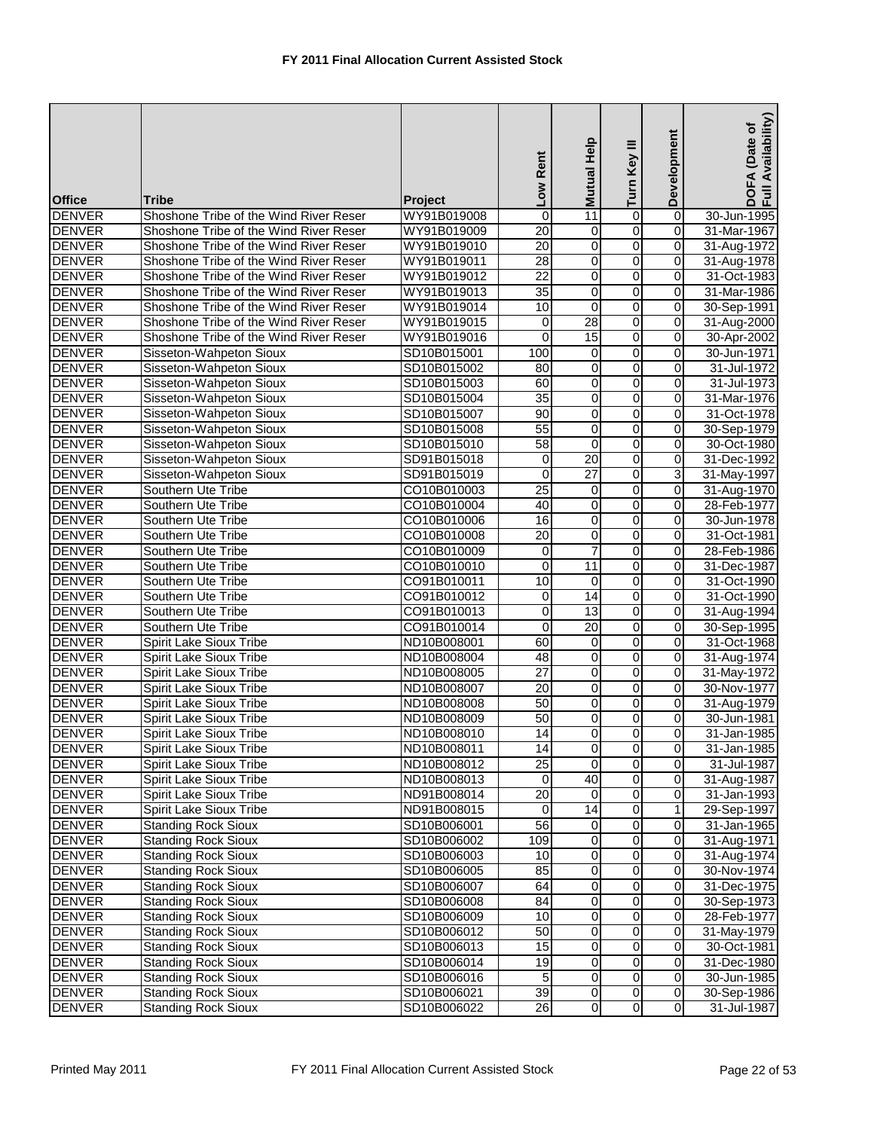| <b>Office</b> | <b>Tribe</b>                           | <b>Project</b> | Low Rent        | Mutual Help             | Turn Key III   | Development    | Availability)<br>DOFA (Date of<br>Full Availability |
|---------------|----------------------------------------|----------------|-----------------|-------------------------|----------------|----------------|-----------------------------------------------------|
| <b>DENVER</b> | Shoshone Tribe of the Wind River Reser | WY91B019008    | $\mathbf 0$     | 11                      | $\overline{0}$ | $\overline{0}$ | 30-Jun-1995                                         |
| <b>DENVER</b> | Shoshone Tribe of the Wind River Reser | WY91B019009    | $\overline{20}$ | 0                       | 0              | $\mathbf 0$    | 31-Mar-1967                                         |
| <b>DENVER</b> | Shoshone Tribe of the Wind River Reser | WY91B019010    | $\overline{20}$ | $\mathbf 0$             | $\overline{0}$ | $\mathbf 0$    | 31-Aug-1972                                         |
| <b>DENVER</b> | Shoshone Tribe of the Wind River Reser | WY91B019011    | 28              | $\mathbf 0$             | $\overline{0}$ | $\overline{0}$ | 31-Aug-1978                                         |
| <b>DENVER</b> | Shoshone Tribe of the Wind River Reser | WY91B019012    | $\overline{22}$ | 0                       | 0              | $\mathbf 0$    | 31-Oct-1983                                         |
| <b>DENVER</b> | Shoshone Tribe of the Wind River Reser | WY91B019013    | 35              | 0                       | 0              | $\mathbf 0$    | 31-Mar-1986                                         |
| <b>DENVER</b> | Shoshone Tribe of the Wind River Reser | WY91B019014    | 10              | 0                       | 0              | 0              | 30-Sep-1991                                         |
| <b>DENVER</b> | Shoshone Tribe of the Wind River Reser | WY91B019015    | $\mathbf 0$     | $\overline{28}$         | 0              | $\mathbf 0$    | 31-Aug-2000                                         |
| <b>DENVER</b> | Shoshone Tribe of the Wind River Reser | WY91B019016    | $\mathbf 0$     | 15                      | 0              | 0              | 30-Apr-2002                                         |
| <b>DENVER</b> | Sisseton-Wahpeton Sioux                | SD10B015001    | 100             | $\pmb{0}$               | $\overline{0}$ | $\mathbf 0$    | 30-Jun-1971                                         |
| <b>DENVER</b> | Sisseton-Wahpeton Sioux                | SD10B015002    | 80              | 0                       | 0              | 0              | 31-Jul-1972                                         |
| <b>DENVER</b> | Sisseton-Wahpeton Sioux                | SD10B015003    | 60              | $\mathbf 0$             | o              | 0              | 31-Jul-1973                                         |
| <b>DENVER</b> | Sisseton-Wahpeton Sioux                | SD10B015004    | 35              | $\mathbf 0$             | $\overline{0}$ | $\overline{0}$ | 31-Mar-1976                                         |
| <b>DENVER</b> | Sisseton-Wahpeton Sioux                | SD10B015007    | 90              | 0                       | 0              | $\mathbf 0$    | 31-Oct-1978                                         |
| <b>DENVER</b> | Sisseton-Wahpeton Sioux                | SD10B015008    | $\overline{55}$ | 0                       | 0              | $\mathbf 0$    | 30-Sep-1979                                         |
| <b>DENVER</b> | Sisseton-Wahpeton Sioux                | SD10B015010    | $\overline{58}$ | 0                       | 0              | $\overline{0}$ | 30-Oct-1980                                         |
| <b>DENVER</b> | Sisseton-Wahpeton Sioux                | SD91B015018    | $\mathbf 0$     | $\overline{20}$         | $\overline{0}$ | $\mathbf 0$    | 31-Dec-1992                                         |
| <b>DENVER</b> | Sisseton-Wahpeton Sioux                | SD91B015019    | $\Omega$        | $\overline{27}$         | 0              | 3              | 31-May-1997                                         |
| <b>DENVER</b> | Southern Ute Tribe                     | CO10B010003    | $\overline{25}$ | $\mathbf 0$             | 0              | 0              | 31-Aug-1970                                         |
| <b>DENVER</b> | Southern Ute Tribe                     | CO10B010004    | 40              | 0                       | 0              | $\mathbf 0$    | 28-Feb-1977                                         |
| <b>DENVER</b> | Southern Ute Tribe                     | CO10B010006    | 16              | 0                       | 0              | $\mathbf 0$    | 30-Jun-1978                                         |
| <b>DENVER</b> | Southern Ute Tribe                     | CO10B010008    | 20              | 0                       | 0              | $\mathbf 0$    | 31-Oct-1981                                         |
| <b>DENVER</b> | Southern Ute Tribe                     | CO10B010009    | 0               | $\overline{7}$          | 0              | $\mathbf 0$    | 28-Feb-1986                                         |
| <b>DENVER</b> | Southern Ute Tribe                     | CO10B010010    | 0               | 11                      | 0              | $\mathbf 0$    | 31-Dec-1987                                         |
| <b>DENVER</b> | Southern Ute Tribe                     | CO91B010011    | 10              | 0                       | 0              | $\mathbf 0$    | 31-Oct-1990                                         |
| <b>DENVER</b> | Southern Ute Tribe                     | CO91B010012    | 0               | $\overline{14}$         | $\overline{0}$ | $\mathbf 0$    | 31-Oct-1990                                         |
| <b>DENVER</b> | Southern Ute Tribe                     | CO91B010013    | $\mathbf 0$     | 13                      | 0              | $\mathbf 0$    | 31-Aug-1994                                         |
| <b>DENVER</b> | Southern Ute Tribe                     | CO91B010014    | 0               | 20                      | 0              | $\mathbf 0$    | 30-Sep-1995                                         |
| <b>DENVER</b> | Spirit Lake Sioux Tribe                | ND10B008001    | 60              | 0                       | 0              | $\mathbf 0$    | 31-Oct-1968                                         |
| <b>DENVER</b> | Spirit Lake Sioux Tribe                | ND10B008004    | 48              | 0                       | 0              | $\mathbf 0$    | 31-Aug-1974                                         |
| <b>DENVER</b> | Spirit Lake Sioux Tribe                | ND10B008005    | $\overline{27}$ | 0                       | 0              | $\mathbf 0$    | 31-May-1972                                         |
| <b>DENVER</b> | Spirit Lake Sioux Tribe                | ND10B008007    | $\overline{20}$ | 0                       | 0              | $\mathbf 0$    | 30-Nov-1977                                         |
| <b>DENVER</b> | Spirit Lake Sioux Tribe                | ND10B008008    | 50              | 0                       | 0              | $\mathbf 0$    | 31-Aug-1979                                         |
| <b>DENVER</b> | Spirit Lake Sioux Tribe                | ND10B008009    | 50              | 0                       | 0              | $\mathbf 0$    | 30-Jun-1981                                         |
| <b>DENVER</b> | Spirit Lake Sioux Tribe                | ND10B008010    | 14              | $\overline{0}$          | $\overline{0}$ | $\overline{0}$ | 31-Jan-1985                                         |
| <b>DENVER</b> | Spirit Lake Sioux Tribe                | ND10B008011    | 14              | $\overline{\mathbf{o}}$ | $\overline{0}$ | $\mathbf 0$    | 31-Jan-1985                                         |
| <b>DENVER</b> | Spirit Lake Sioux Tribe                | ND10B008012    | $\overline{25}$ | $\Omega$                | 0              | 0              | 31-Jul-1987                                         |
| <b>DENVER</b> | Spirit Lake Sioux Tribe                | ND10B008013    | 0               | 40                      | 0              | $\mathbf 0$    | 31-Aug-1987                                         |
| <b>DENVER</b> | Spirit Lake Sioux Tribe                | ND91B008014    | $\overline{20}$ | 0                       | 0              | $\mathbf 0$    | 31-Jan-1993                                         |
| <b>DENVER</b> | Spirit Lake Sioux Tribe                | ND91B008015    | 0               | $\overline{14}$         | 0              | 1              | 29-Sep-1997                                         |
| <b>DENVER</b> | <b>Standing Rock Sioux</b>             | SD10B006001    | $\overline{56}$ | 0                       | 0              | 0              | 31-Jan-1965                                         |
| <b>DENVER</b> | <b>Standing Rock Sioux</b>             | SD10B006002    | 109             | $\mathbf 0$             | 0              | $\mathbf 0$    | 31-Aug-1971                                         |
| <b>DENVER</b> | <b>Standing Rock Sioux</b>             | SD10B006003    | 10              | 0                       | 0              | $\mathbf 0$    | 31-Aug-1974                                         |
| <b>DENVER</b> | <b>Standing Rock Sioux</b>             | SD10B006005    | 85              | 0                       | o              | $\mathbf 0$    | 30-Nov-1974                                         |
| <b>DENVER</b> | <b>Standing Rock Sioux</b>             | SD10B006007    | 64              | 0                       | 0              | $\mathbf 0$    | 31-Dec-1975                                         |
| <b>DENVER</b> | <b>Standing Rock Sioux</b>             | SD10B006008    | 84              | 0                       | o              | $\mathbf 0$    | 30-Sep-1973                                         |
| <b>DENVER</b> | <b>Standing Rock Sioux</b>             | SD10B006009    | 10              | 0                       | 0              | $\mathbf 0$    | 28-Feb-1977                                         |
| <b>DENVER</b> | <b>Standing Rock Sioux</b>             | SD10B006012    | 50              | 0                       | 0              | $\mathbf 0$    | 31-May-1979                                         |
| <b>DENVER</b> | <b>Standing Rock Sioux</b>             | SD10B006013    | 15              | $\mathbf 0$             | 0              | $\mathbf 0$    | 30-Oct-1981                                         |
| <b>DENVER</b> | <b>Standing Rock Sioux</b>             | SD10B006014    | 19              | 0                       | 0              | 0              | 31-Dec-1980                                         |
| <b>DENVER</b> | <b>Standing Rock Sioux</b>             | SD10B006016    | 5               | $\overline{0}$          | $\overline{0}$ | $\mathbf 0$    | 30-Jun-1985                                         |
| <b>DENVER</b> | <b>Standing Rock Sioux</b>             | SD10B006021    | 39              | $\overline{0}$          | $\overline{0}$ | $\mathbf 0$    | 30-Sep-1986                                         |
| <b>DENVER</b> | <b>Standing Rock Sioux</b>             | SD10B006022    | $\overline{26}$ | $\pmb{0}$               | 0              | 0              | 31-Jul-1987                                         |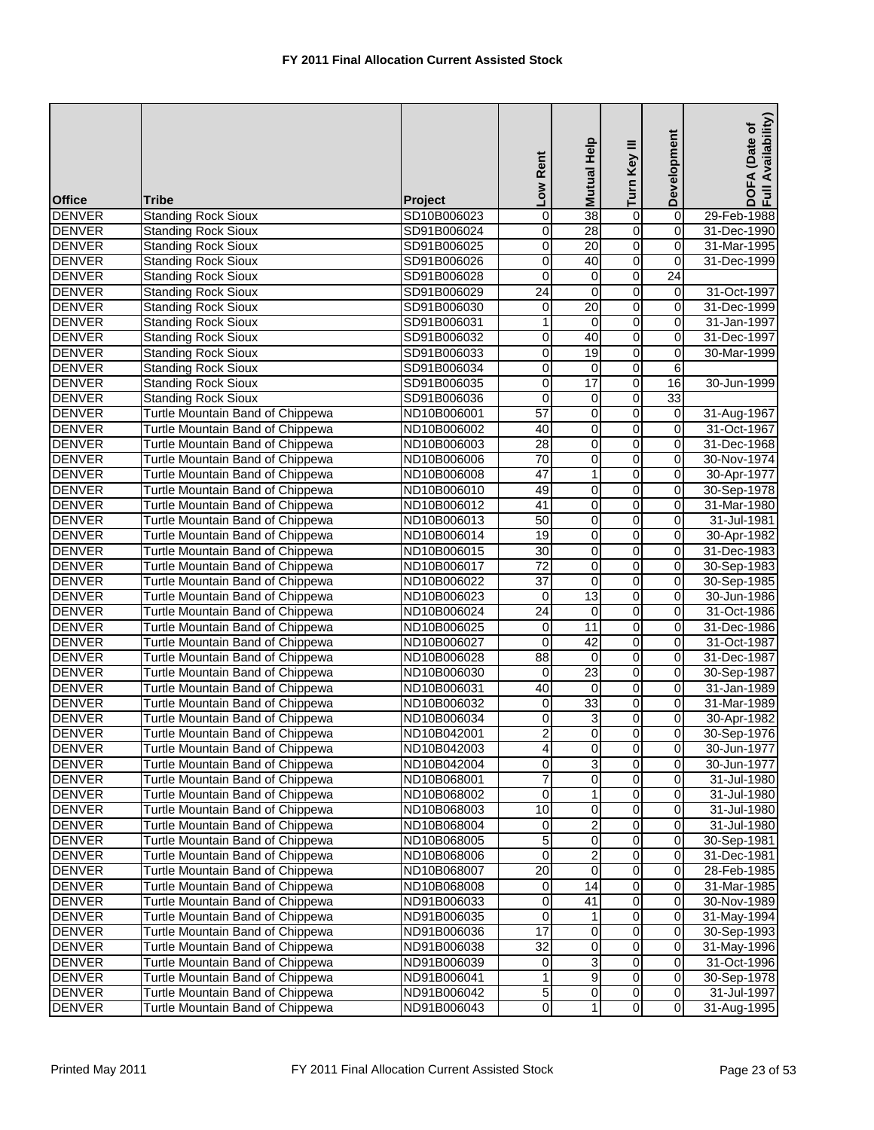|                                |                                                          |                            | Low Rent                 | Mutual Help             | Turn Key III            | Development    | Availability)<br>(Date of<br>DOFA<br>Full Av |
|--------------------------------|----------------------------------------------------------|----------------------------|--------------------------|-------------------------|-------------------------|----------------|----------------------------------------------|
| <b>Office</b>                  | Tribe                                                    | <b>Project</b>             |                          |                         |                         |                |                                              |
| <b>DENVER</b>                  | <b>Standing Rock Sioux</b>                               | SD10B006023                | 0                        | $\overline{38}$         | $\overline{0}$          | $\overline{0}$ | 29-Feb-1988                                  |
| <b>DENVER</b>                  | <b>Standing Rock Sioux</b>                               | SD91B006024                | 0                        | 28                      | 0                       | 0              | 31-Dec-1990                                  |
| <b>DENVER</b>                  | <b>Standing Rock Sioux</b>                               | SD91B006025                | 0                        | $\overline{20}$         | $\overline{0}$          | 0              | 31-Mar-1995                                  |
| <b>DENVER</b>                  | <b>Standing Rock Sioux</b>                               | SD91B006026                | 0                        | 40                      | o                       | 0              | 31-Dec-1999                                  |
| <b>DENVER</b>                  | <b>Standing Rock Sioux</b>                               | SD91B006028                | 0                        | 0                       | $\overline{0}$          | 24             |                                              |
| <b>DENVER</b>                  | <b>Standing Rock Sioux</b>                               | SD91B006029                | 24                       | 0                       | $\mathbf 0$             | 0              | 31-Oct-1997                                  |
| <b>DENVER</b>                  | <b>Standing Rock Sioux</b>                               | SD91B006030                | 0                        | 20                      | $\overline{0}$          | 0              | 31-Dec-1999                                  |
| <b>DENVER</b><br><b>DENVER</b> | <b>Standing Rock Sioux</b>                               | SD91B006031<br>SD91B006032 | 1<br>0                   | $\mathbf 0$<br>40       | $\overline{0}$<br>0     | 0<br>0         | 31-Jan-1997                                  |
|                                | <b>Standing Rock Sioux</b>                               |                            |                          | 19                      |                         | 0              | 31-Dec-1997                                  |
| <b>DENVER</b>                  | <b>Standing Rock Sioux</b>                               | SD91B006033                | $\mathsf{O}\xspace$<br>0 | 0                       | $\overline{0}$<br>o     | 6              | 30-Mar-1999                                  |
| <b>DENVER</b><br><b>DENVER</b> | <b>Standing Rock Sioux</b><br><b>Standing Rock Sioux</b> | SD91B006034<br>SD91B006035 | $\overline{0}$           | 17                      | $\overline{0}$          | 16             | 30-Jun-1999                                  |
| <b>DENVER</b>                  | <b>Standing Rock Sioux</b>                               | SD91B006036                | 0                        | 0                       | o                       | 33             |                                              |
| <b>DENVER</b>                  | Turtle Mountain Band of Chippewa                         | ND10B006001                | 57                       | 0                       | O                       | 0              | 31-Aug-1967                                  |
| <b>DENVER</b>                  | Turtle Mountain Band of Chippewa                         | ND10B006002                | 40                       | 0                       | O                       | 0              | 31-Oct-1967                                  |
| <b>DENVER</b>                  | Turtle Mountain Band of Chippewa                         | ND10B006003                | 28                       | 0                       | 0                       | 0              | 31-Dec-1968                                  |
| <b>DENVER</b>                  | Turtle Mountain Band of Chippewa                         | ND10B006006                | 70                       | 0                       | 0                       | 0              | 30-Nov-1974                                  |
| <b>DENVER</b>                  | Turtle Mountain Band of Chippewa                         | ND10B006008                | $\overline{47}$          | 1                       | 0                       | 0              | 30-Apr-1977                                  |
| <b>DENVER</b>                  | Turtle Mountain Band of Chippewa                         | ND10B006010                | 49                       | 0                       | $\overline{0}$          | 0              | 30-Sep-1978                                  |
| <b>DENVER</b>                  | Turtle Mountain Band of Chippewa                         | ND10B006012                | $\overline{41}$          | 0                       | 0                       | 0              | 31-Mar-1980                                  |
| <b>DENVER</b>                  | Turtle Mountain Band of Chippewa                         | ND10B006013                | 50                       | 0                       | O                       | $\pmb{0}$      | 31-Jul-1981                                  |
| <b>DENVER</b>                  | Turtle Mountain Band of Chippewa                         | ND10B006014                | 19                       | 0                       | O                       | 0              | 30-Apr-1982                                  |
| <b>DENVER</b>                  | Turtle Mountain Band of Chippewa                         | ND10B006015                | $\overline{30}$          | 0                       | $\overline{0}$          | 0              | 31-Dec-1983                                  |
| <b>DENVER</b>                  | Turtle Mountain Band of Chippewa                         | ND10B006017                | $\overline{72}$          | 0                       | 0                       | 0              | 30-Sep-1983                                  |
| <b>DENVER</b>                  | Turtle Mountain Band of Chippewa                         | ND10B006022                | $\overline{37}$          | 0                       | 0                       | 0              | 30-Sep-1985                                  |
| <b>DENVER</b>                  | Turtle Mountain Band of Chippewa                         | ND10B006023                | $\boldsymbol{0}$         | 13                      | $\overline{0}$          | $\pmb{0}$      | 30-Jun-1986                                  |
| <b>DENVER</b>                  | Turtle Mountain Band of Chippewa                         | ND10B006024                | $\overline{24}$          | $\mathbf 0$             | $\overline{0}$          | 0              | 31-Oct-1986                                  |
| <b>DENVER</b>                  | Turtle Mountain Band of Chippewa                         | ND10B006025                | $\overline{\mathsf{o}}$  | 11                      | 0                       | 0              | 31-Dec-1986                                  |
| <b>DENVER</b>                  | Turtle Mountain Band of Chippewa                         | ND10B006027                | 0                        | 42                      | 0                       | 0              | 31-Oct-1987                                  |
| <b>DENVER</b>                  | Turtle Mountain Band of Chippewa                         | ND10B006028                | $\overline{88}$          | $\overline{0}$          | $\overline{0}$          | 0              | 31-Dec-1987                                  |
| <b>DENVER</b>                  | Turtle Mountain Band of Chippewa                         | ND10B006030                | $\mathbf 0$              | 23                      | $\overline{0}$          | 0              | 30-Sep-1987                                  |
| <b>DENVER</b>                  | Turtle Mountain Band of Chippewa                         | ND10B006031                | 40                       | $\boldsymbol{0}$        | $\overline{0}$          | $\pmb{0}$      | 31-Jan-1989                                  |
| <b>DENVER</b>                  | Turtle Mountain Band of Chippewa                         | ND10B006032                | $\mathbf 0$              | 33                      | $\overline{0}$          | 0              | 31-Mar-1989                                  |
| <b>DENVER</b>                  | Turtle Mountain Band of Chippewa                         | ND10B006034                | 0                        | 3                       | 0                       | 0              | 30-Apr-1982                                  |
| <b>DENVER</b>                  | Turtle Mountain Band of Chippewa                         | ND10B042001                | $\overline{a}$           | $\overline{0}$          | $\overline{0}$          | $\overline{0}$ | 30-Sep-1976                                  |
| <b>DENVER</b>                  | Turtle Mountain Band of Chippewa                         | ND10B042003                | 4                        | $\overline{\mathbf{o}}$ | $\overline{0}$          | 0              | 30-Jun-1977                                  |
| <b>DENVER</b>                  | Turtle Mountain Band of Chippewa                         | ND10B042004                | $\overline{0}$           | $\overline{3}$          | $\overline{0}$          | 0              | 30-Jun-1977                                  |
| <b>DENVER</b>                  | Turtle Mountain Band of Chippewa                         | ND10B068001                | 7                        | 0                       | 0                       | 0              | 31-Jul-1980                                  |
| <b>DENVER</b>                  | Turtle Mountain Band of Chippewa                         | ND10B068002                | 0                        | 1                       | $\overline{0}$          | $\pmb{0}$      | 31-Jul-1980                                  |
| <b>DENVER</b>                  | Turtle Mountain Band of Chippewa                         | ND10B068003                | $\overline{10}$          | 0                       | $\overline{0}$          | $\overline{0}$ | 31-Jul-1980                                  |
| <b>DENVER</b>                  | Turtle Mountain Band of Chippewa                         | ND10B068004                | 0                        | 2                       | 0                       | 0              | 31-Jul-1980                                  |
| <b>DENVER</b>                  | Turtle Mountain Band of Chippewa                         | ND10B068005                | 5                        | 0                       | $\overline{0}$          | 0              | 30-Sep-1981                                  |
| <b>DENVER</b>                  | Turtle Mountain Band of Chippewa                         | ND10B068006                | 0                        | 2                       | o                       | 0              | 31-Dec-1981                                  |
| <b>DENVER</b>                  | Turtle Mountain Band of Chippewa                         | ND10B068007                | 20                       | $\overline{0}$          | $\overline{0}$          | $\overline{0}$ | 28-Feb-1985                                  |
| <b>DENVER</b>                  | Turtle Mountain Band of Chippewa                         | ND10B068008                | 0                        | 14                      | $\overline{\mathsf{o}}$ | $\pmb{0}$      | 31-Mar-1985                                  |
| <b>DENVER</b>                  | Turtle Mountain Band of Chippewa                         | ND91B006033                | $\overline{\mathbf{o}}$  | $\overline{41}$         | $\overline{0}$          | $\pmb{0}$      | 30-Nov-1989                                  |
| <b>DENVER</b>                  | Turtle Mountain Band of Chippewa                         | ND91B006035                | 0                        | 1                       | $\overline{0}$          | 0              | 31-May-1994                                  |
| <b>DENVER</b>                  | Turtle Mountain Band of Chippewa                         | ND91B006036                | 17                       | 0                       | $\overline{0}$          | $\pmb{0}$      | 30-Sep-1993                                  |
| <b>DENVER</b>                  | Turtle Mountain Band of Chippewa                         | ND91B006038                | $\overline{32}$          | 0                       | $\overline{0}$          | 0              | 31-May-1996                                  |
| <b>DENVER</b>                  | Turtle Mountain Band of Chippewa                         | ND91B006039                | 0                        | 3                       | 0                       | 0              | 31-Oct-1996                                  |
| <b>DENVER</b>                  | Turtle Mountain Band of Chippewa                         | ND91B006041                | 1                        | 9                       | $\overline{0}$          | 0              | 30-Sep-1978                                  |
| <b>DENVER</b>                  | Turtle Mountain Band of Chippewa                         | ND91B006042                | 5                        | 0                       | $\overline{0}$          | 0              | 31-Jul-1997                                  |
| <b>DENVER</b>                  | Turtle Mountain Band of Chippewa                         | ND91B006043                | $\overline{0}$           | 1                       | $\overline{0}$          | $\overline{0}$ | 31-Aug-1995                                  |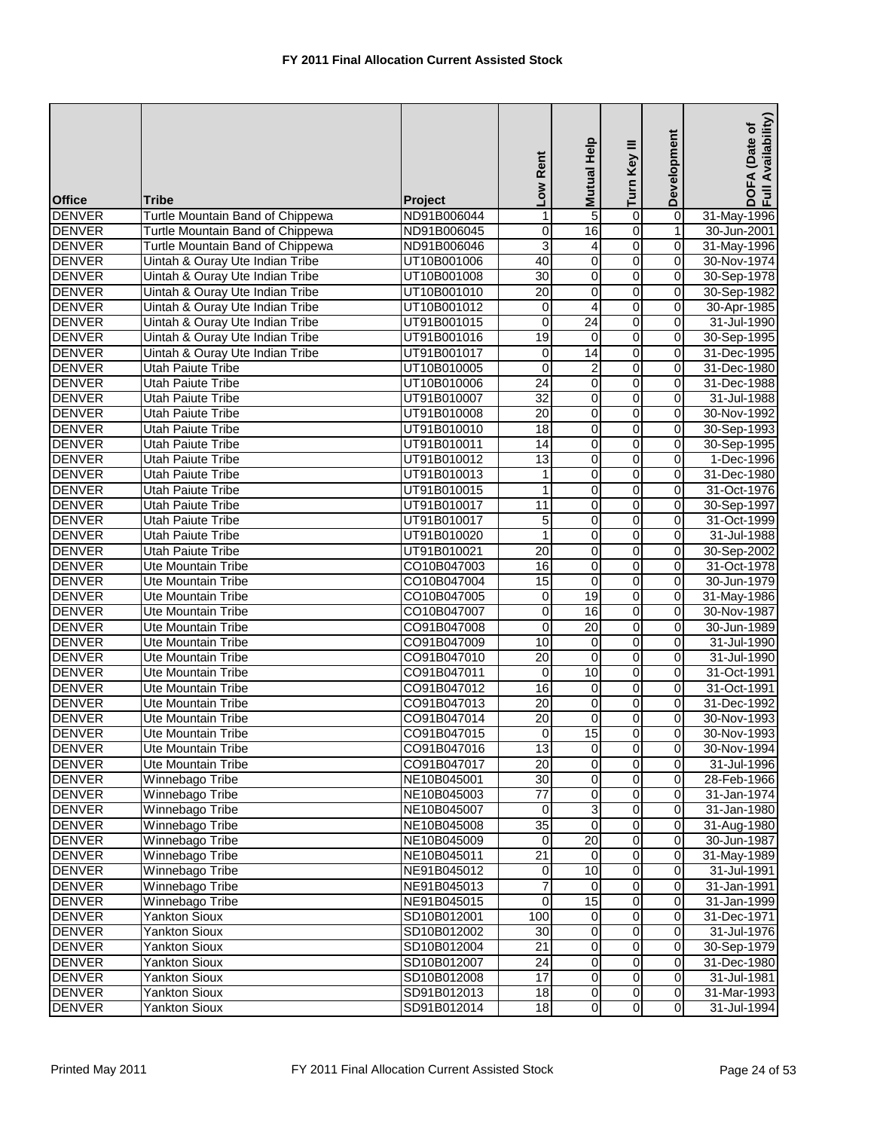| <b>Office</b> | Tribe                            | <b>Project</b> | Low Rent                | Mutual Help             | Turn Key III            | Development             | DOFA (Date of<br>Full Availability) |
|---------------|----------------------------------|----------------|-------------------------|-------------------------|-------------------------|-------------------------|-------------------------------------|
| <b>DENVER</b> | Turtle Mountain Band of Chippewa | ND91B006044    | 1                       | 5                       | 0                       | $\overline{0}$          | 31-May-1996                         |
| <b>DENVER</b> | Turtle Mountain Band of Chippewa | ND91B006045    | 0                       | 16                      | O                       | 1                       | 30-Jun-2001                         |
| <b>DENVER</b> | Turtle Mountain Band of Chippewa | ND91B006046    | 3                       | 4                       | $\overline{0}$          | $\pmb{0}$               | 31-May-1996                         |
| <b>DENVER</b> | Uintah & Ouray Ute Indian Tribe  | UT10B001006    | 40                      | 0                       | $\overline{0}$          | $\mathbf 0$             | 30-Nov-1974                         |
| <b>DENVER</b> | Uintah & Ouray Ute Indian Tribe  | UT10B001008    | 30                      | 0                       | $\overline{0}$          | $\pmb{0}$               | 30-Sep-1978                         |
| <b>DENVER</b> | Uintah & Ouray Ute Indian Tribe  | UT10B001010    | 20                      | 0                       | $\overline{0}$          | 0                       | 30-Sep-1982                         |
| <b>DENVER</b> | Uintah & Ouray Ute Indian Tribe  | UT10B001012    | 0                       | 4                       | 0                       | 0                       | 30-Apr-1985                         |
| <b>DENVER</b> | Uintah & Ouray Ute Indian Tribe  | UT91B001015    | $\mathbf 0$             | $\overline{24}$         | $\overline{0}$          | $\overline{\mathsf{o}}$ | 31-Jul-1990                         |
| <b>DENVER</b> | Uintah & Ouray Ute Indian Tribe  | UT91B001016    | 19                      | $\mathbf 0$             | $\overline{0}$          | 0                       | 30-Sep-1995                         |
| <b>DENVER</b> | Uintah & Ouray Ute Indian Tribe  | UT91B001017    | 0                       | $\overline{14}$         | O                       | 0                       | 31-Dec-1995                         |
| <b>DENVER</b> | <b>Utah Paiute Tribe</b>         |                |                         |                         | O                       | 0                       |                                     |
|               |                                  | UT10B010005    | 0<br>$\overline{24}$    | 2<br>$\overline{0}$     | O                       | $\pmb{0}$               | 31-Dec-1980                         |
| <b>DENVER</b> | Utah Paiute Tribe                | UT10B010006    | 32                      |                         | $\overline{0}$          |                         | 31-Dec-1988                         |
| <b>DENVER</b> | <b>Utah Paiute Tribe</b>         | UT91B010007    |                         | 0                       |                         | 0                       | 31-Jul-1988                         |
| <b>DENVER</b> | <b>Utah Paiute Tribe</b>         | UT91B010008    | 20                      | 0                       | 0                       | 0                       | 30-Nov-1992                         |
| <b>DENVER</b> | Utah Paiute Tribe                | UT91B010010    | $\overline{18}$         | 0                       | 0                       | 0                       | 30-Sep-1993                         |
| <b>DENVER</b> | <b>Utah Paiute Tribe</b>         | UT91B010011    | 14                      | 0                       | O                       | 0                       | 30-Sep-1995                         |
| <b>DENVER</b> | Utah Paiute Tribe                | UT91B010012    | 13                      | 0                       | $\overline{0}$          | $\overline{0}$          | 1-Dec-1996                          |
| <b>DENVER</b> | <b>Utah Paiute Tribe</b>         | UT91B010013    | 1                       | $\overline{0}$          | $\overline{0}$          | $\mathbf 0$             | 31-Dec-1980                         |
| <b>DENVER</b> | <b>Utah Paiute Tribe</b>         | UT91B010015    | 1                       | 0                       | 0                       | 0                       | 31-Oct-1976                         |
| <b>DENVER</b> | Utah Paiute Tribe                | UT91B010017    | 11                      | 0                       | 0                       | 0                       | 30-Sep-1997                         |
| <b>DENVER</b> | Utah Paiute Tribe                | UT91B010017    | 5                       | 0                       | O                       | $\mathbf 0$             | 31-Oct-1999                         |
| <b>DENVER</b> | Utah Paiute Tribe                | UT91B010020    | 1                       | 0                       | $\overline{0}$          | $\pmb{0}$               | 31-Jul-1988                         |
| <b>DENVER</b> | <b>Utah Paiute Tribe</b>         | UT91B010021    | 20                      | 0                       | $\overline{0}$          | 0                       | 30-Sep-2002                         |
| <b>DENVER</b> | Ute Mountain Tribe               | CO10B047003    | $\overline{6}$          | 0                       | $\overline{0}$          | $\overline{0}$          | 31-Oct-1978                         |
| <b>DENVER</b> | Ute Mountain Tribe               | CO10B047004    | 15                      | $\mathbf 0$             | O                       | 0                       | 30-Jun-1979                         |
| <b>DENVER</b> | Ute Mountain Tribe               | CO10B047005    | $\overline{\mathbf{0}}$ | 19                      | O                       | $\pmb{0}$               | 31-May-1986                         |
| <b>DENVER</b> | Ute Mountain Tribe               | CO10B047007    | 0                       | 16                      | O                       | 0                       | 30-Nov-1987                         |
| <b>DENVER</b> | Ute Mountain Tribe               | CO91B047008    | 0                       | 20                      | ō                       | 0                       | 30-Jun-1989                         |
| <b>DENVER</b> | Ute Mountain Tribe               | CO91B047009    | 10                      | 0                       | O                       | 0                       | 31-Jul-1990                         |
| <b>DENVER</b> | <b>Ute Mountain Tribe</b>        | CO91B047010    | $\overline{20}$         | $\boldsymbol{0}$        | $\overline{0}$          | $\pmb{0}$               | 31-Jul-1990                         |
| <b>DENVER</b> | <b>Ute Mountain Tribe</b>        | CO91B047011    | $\mathbf 0$             | 10                      | $\overline{0}$          | 0                       | 31-Oct-1991                         |
| <b>DENVER</b> | <b>Ute Mountain Tribe</b>        | CO91B047012    | 16                      | 0                       | $\overline{0}$          | 0                       | 31-Oct-1991                         |
| <b>DENVER</b> | Ute Mountain Tribe               | CO91B047013    | 20                      | 0                       | $\overline{0}$          | 0                       | 31-Dec-1992                         |
| <b>DENVER</b> | <b>Ute Mountain Tribe</b>        | CO91B047014    | $\overline{20}$         | 0                       | O                       | 0                       | 30-Nov-1993                         |
| <b>DENVER</b> | Ute Mountain Tribe               | CO91B047015    | $\overline{0}$          | 15                      | $\overline{0}$          | $\overline{O}$          | 30-Nov-1993                         |
| <b>DENVER</b> | <b>Ute Mountain Tribe</b>        | CO91B047016    | $\overline{3}$          | $\overline{0}$          | $\overline{0}$          | 0                       | 30-Nov-1994                         |
| <b>DENVER</b> | Ute Mountain Tribe               | CO91B047017    | $\overline{20}$         | 0                       | $\overline{0}$          | $\pmb{0}$               | 31-Jul-1996                         |
| <b>DENVER</b> | Winnebago Tribe                  | NE10B045001    | 30                      | 0                       | $\overline{0}$          | 0                       | 28-Feb-1966                         |
| <b>DENVER</b> | Winnebago Tribe                  | NE10B045003    | $\overline{77}$         | 0                       | $\overline{0}$          | $\mathbf 0$             | 31-Jan-1974                         |
| <b>DENVER</b> | Winnebago Tribe                  | NE10B045007    | $\overline{0}$          | 3                       | $\overline{0}$          | $\mathbf 0$             | 31-Jan-1980                         |
| <b>DENVER</b> | Winnebago Tribe                  | NE10B045008    | $\overline{35}$         | 0                       | 0                       | 0                       | 31-Aug-1980                         |
| <b>DENVER</b> | Winnebago Tribe                  | NE10B045009    | $\overline{0}$          | 20                      | $\overline{0}$          | $\overline{0}$          | 30-Jun-1987                         |
| <b>DENVER</b> | Winnebago Tribe                  | NE10B045011    | $\overline{21}$         | 0                       | 0                       | 0                       | 31-May-1989                         |
| <b>DENVER</b> | Winnebago Tribe                  | NE91B045012    | $\pmb{0}$               | 10                      | $\overline{0}$          | $\overline{\mathbf{o}}$ | 31-Jul-1991                         |
| <b>DENVER</b> | Winnebago Tribe                  | NE91B045013    | 7                       | 0                       | $\overline{0}$          | $\pmb{0}$               | 31-Jan-1991                         |
| <b>DENVER</b> | Winnebago Tribe                  | NE91B045015    | $\mathbf 0$             | 15                      | $\overline{\mathbf{0}}$ | $\pmb{0}$               | 31-Jan-1999                         |
| <b>DENVER</b> | <b>Yankton Sioux</b>             | SD10B012001    | 100                     | 0                       | $\overline{0}$          | 0                       | 31-Dec-1971                         |
| <b>DENVER</b> | Yankton Sioux                    | SD10B012002    | 30                      | 0                       | $\overline{0}$          | 0                       | 31-Jul-1976                         |
| <b>DENVER</b> | Yankton Sioux                    | SD10B012004    | $\overline{21}$         | $\overline{\mathbf{0}}$ | $\overline{0}$          | $\mathbf 0$             | 30-Sep-1979                         |
| <b>DENVER</b> | Yankton Sioux                    | SD10B012007    | $\overline{24}$         | 0                       | $\overline{0}$          | $\overline{0}$          | 31-Dec-1980                         |
| <b>DENVER</b> | Yankton Sioux                    | SD10B012008    | 17                      | $\overline{0}$          | $\overline{0}$          | $\mathbf 0$             | 31-Jul-1981                         |
| <b>DENVER</b> | Yankton Sioux                    | SD91B012013    | 18                      | $\overline{\mathbf{0}}$ | $\overline{0}$          | $\mathbf 0$             | 31-Mar-1993                         |
| <b>DENVER</b> | Yankton Sioux                    | SD91B012014    | 18                      | $\overline{0}$          | $\overline{0}$          | $\pmb{0}$               | 31-Jul-1994                         |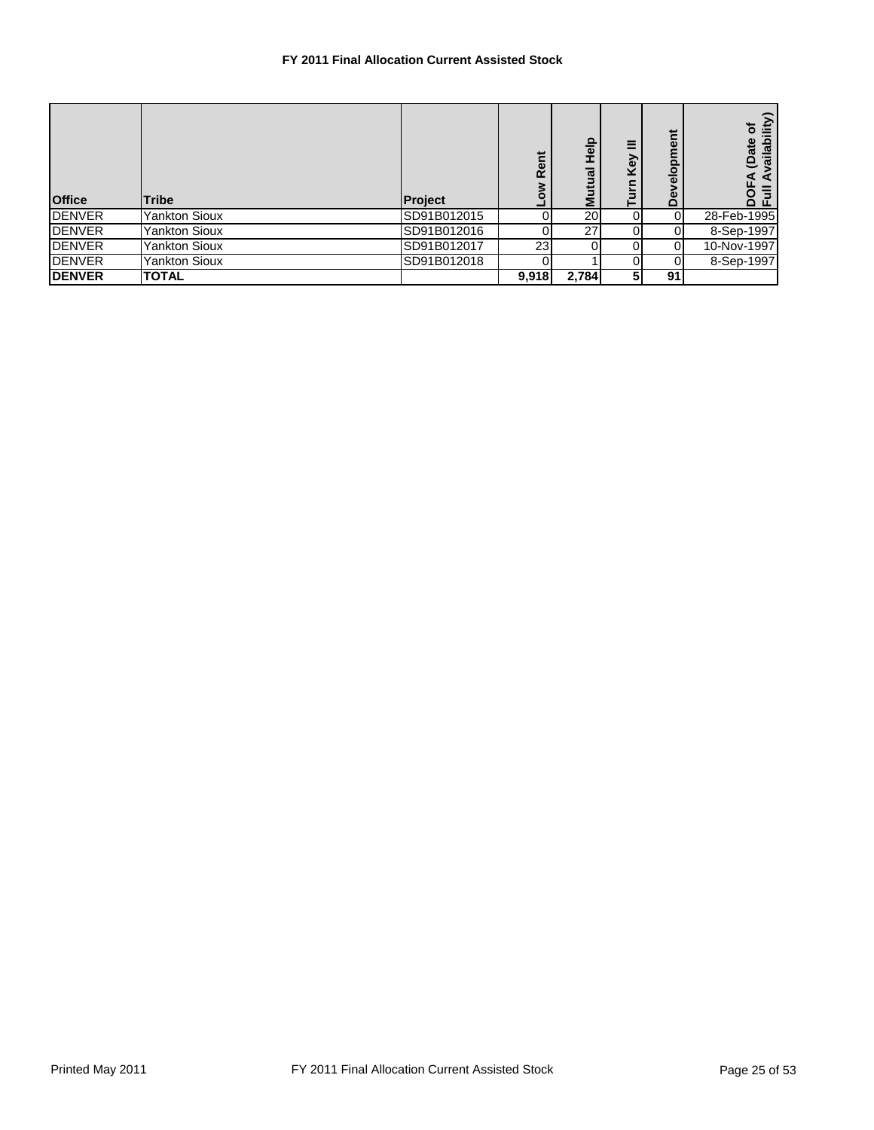## **FY 2011 Final Allocation Current Assisted Stock**

| <b>Office</b> | <b>Tribe</b>         | Project     | Rent  | <b>Help</b><br>$\overline{a}$<br>ΣĒ | Key | velopment<br>ق | (vailability<br>۰á<br>(Date<br>효 |
|---------------|----------------------|-------------|-------|-------------------------------------|-----|----------------|----------------------------------|
| <b>DENVER</b> | <b>Yankton Sioux</b> | SD91B012015 |       | <b>20</b>                           | 0   | ΩI             | 28-Feb-1995                      |
| <b>DENVER</b> | <b>Yankton Sioux</b> | SD91B012016 |       | 27                                  |     |                | 8-Sep-1997                       |
| <b>DENVER</b> | <b>Yankton Sioux</b> | SD91B012017 | 23    |                                     |     | 0              | 10-Nov-1997                      |
| <b>DENVER</b> | <b>Yankton Sioux</b> | SD91B012018 |       |                                     |     |                | 8-Sep-1997                       |
| <b>DENVER</b> | <b>TOTAL</b>         |             | 9,918 | 2,784                               | 51  | 91             |                                  |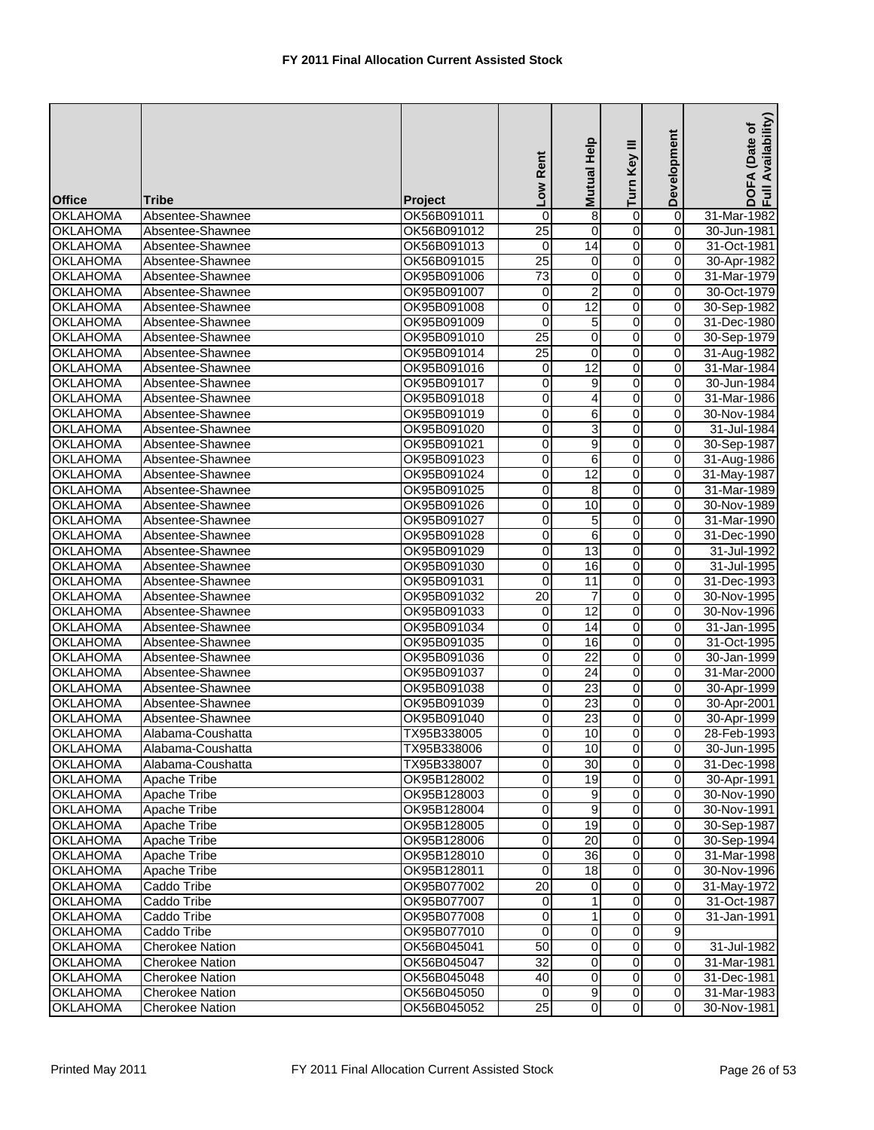| <b>Office</b>   | Tribe                  | Project     | Low Rent                | Help<br><b>Mutual</b> | Turn Key III        | Development         | Availability)<br>(Date of<br><b>DOFA</b><br>Ful |
|-----------------|------------------------|-------------|-------------------------|-----------------------|---------------------|---------------------|-------------------------------------------------|
| <b>OKLAHOMA</b> | Absentee-Shawnee       | OK56B091011 | 0                       | 8                     | o                   | 0                   | 31-Mar-1982                                     |
| <b>OKLAHOMA</b> | Absentee-Shawnee       | OK56B091012 | 25                      | 0                     | o                   | 0                   | 30-Jun-1981                                     |
| <b>OKLAHOMA</b> | Absentee-Shawnee       | OK56B091013 | $\overline{\mathsf{o}}$ | 14                    | $\overline{0}$      | $\overline{0}$      | 31-Oct-1981                                     |
| <b>OKLAHOMA</b> | Absentee-Shawnee       | OK56B091015 | 25                      | 0                     | o                   | 0                   | 30-Apr-1982                                     |
| <b>OKLAHOMA</b> | Absentee-Shawnee       | OK95B091006 | 73                      | 0                     | $\overline{0}$      | 0                   | 31-Mar-1979                                     |
| <b>OKLAHOMA</b> | Absentee-Shawnee       | OK95B091007 | $\mathbf 0$             | 2                     | $\mathbf 0$         | 0                   | 30-Oct-1979                                     |
| <b>OKLAHOMA</b> | Absentee-Shawnee       | OK95B091008 | 0                       | 12                    | O                   | 0                   | 30-Sep-1982                                     |
| <b>OKLAHOMA</b> | Absentee-Shawnee       | OK95B091009 | 0                       | 5                     | $\overline{0}$      | 0                   | 31-Dec-1980                                     |
| <b>OKLAHOMA</b> | Absentee-Shawnee       | OK95B091010 | $\overline{25}$         | 0                     | 0                   | 0                   |                                                 |
|                 |                        |             |                         | 0                     |                     |                     | 30-Sep-1979                                     |
| <b>OKLAHOMA</b> | Absentee-Shawnee       | OK95B091014 | 25                      |                       | $\mathsf{O}\xspace$ | $\pmb{0}$           | 31-Aug-1982                                     |
| <b>OKLAHOMA</b> | Absentee-Shawnee       | OK95B091016 | 0                       | 12                    | o                   | 0<br>$\overline{0}$ | 31-Mar-1984                                     |
| <b>OKLAHOMA</b> | Absentee-Shawnee       | OK95B091017 | $\overline{\mathbf{0}}$ | 9                     | $\overline{0}$      |                     | 30-Jun-1984                                     |
| <b>OKLAHOMA</b> | Absentee-Shawnee       | OK95B091018 | 0                       | 4                     | o                   | 0                   | 31-Mar-1986                                     |
| <b>OKLAHOMA</b> | Absentee-Shawnee       | OK95B091019 | 0                       | 6                     | O                   | 0                   | 30-Nov-1984                                     |
| <b>OKLAHOMA</b> | Absentee-Shawnee       | OK95B091020 | 0                       | 3                     | $\overline{0}$      | 0                   | 31-Jul-1984                                     |
| <b>OKLAHOMA</b> | Absentee-Shawnee       | OK95B091021 | 0                       | 9                     | 0                   | 0                   | 30-Sep-1987                                     |
| <b>OKLAHOMA</b> | Absentee-Shawnee       | OK95B091023 | 0                       | 6                     | O                   | 0                   | 31-Aug-1986                                     |
| <b>OKLAHOMA</b> | Absentee-Shawnee       | OK95B091024 | 0                       | 12                    | O                   | 0                   | 31-May-1987                                     |
| <b>OKLAHOMA</b> | Absentee-Shawnee       | OK95B091025 | O                       | 8                     | $\overline{0}$      | 0                   | 31-Mar-1989                                     |
| <b>OKLAHOMA</b> | Absentee-Shawnee       | OK95B091026 | 0                       | 10                    | O                   | 0                   | 30-Nov-1989                                     |
| <b>OKLAHOMA</b> | Absentee-Shawnee       | OK95B091027 | 0                       | 5                     | o                   | $\pmb{0}$           | 31-Mar-1990                                     |
| <b>OKLAHOMA</b> | Absentee-Shawnee       | OK95B091028 | 0                       | 6                     | o                   | 0                   | 31-Dec-1990                                     |
| <b>OKLAHOMA</b> | Absentee-Shawnee       | OK95B091029 | 0                       | 13                    | $\overline{0}$      | $\pmb{0}$           | 31-Jul-1992                                     |
| <b>OKLAHOMA</b> | Absentee-Shawnee       | OK95B091030 | 0                       | 16                    | $\overline{0}$      | 0                   | 31-Jul-1995                                     |
| <b>OKLAHOMA</b> | Absentee-Shawnee       | OK95B091031 | 0                       | 11                    | 0                   | 0                   | 31-Dec-1993                                     |
| <b>OKLAHOMA</b> | Absentee-Shawnee       | OK95B091032 | $\overline{20}$         | $\overline{7}$        | $\overline{0}$      | 0                   | 30-Nov-1995                                     |
| <b>OKLAHOMA</b> | Absentee-Shawnee       | OK95B091033 | 0                       | 12                    | O                   | 0                   | 30-Nov-1996                                     |
| <b>OKLAHOMA</b> | Absentee-Shawnee       | OK95B091034 | O                       | 14                    | o                   | 0                   | 31-Jan-1995                                     |
| <b>OKLAHOMA</b> | Absentee-Shawnee       | OK95B091035 | 0                       | 16                    | 0                   | 0                   | 31-Oct-1995                                     |
| <b>OKLAHOMA</b> | Absentee-Shawnee       | OK95B091036 | $\overline{\mathbf{0}}$ | $\overline{22}$       | $\overline{0}$      | 0                   | 30-Jan-1999                                     |
| <b>OKLAHOMA</b> | Absentee-Shawnee       | OK95B091037 | 0                       | $\overline{24}$       | $\overline{0}$      | 0                   | 31-Mar-2000                                     |
| <b>OKLAHOMA</b> | Absentee-Shawnee       | OK95B091038 | $\overline{\mathbf{0}}$ | 23                    | $\overline{0}$      | 0                   | 30-Apr-1999                                     |
| <b>OKLAHOMA</b> | Absentee-Shawnee       | OK95B091039 | 0                       | 23                    | $\overline{0}$      | 0                   | 30-Apr-2001                                     |
| <b>OKLAHOMA</b> | Absentee-Shawnee       | OK95B091040 | 0                       | $\overline{23}$       | 0                   | 0                   | 30-Apr-1999                                     |
| <b>OKLAHOMA</b> | Alabama-Coushatta      | TX95B338005 | $\overline{0}$          | 10                    | $\overline{0}$      | $\overline{0}$      | 28-Feb-1993                                     |
| <b>OKLAHOMA</b> | Alabama-Coushatta      | TX95B338006 | $\mathbf 0$             | 10                    | $\overline{O}$      | $\overline{0}$      | 30-Jun-1995                                     |
| <b>OKLAHOMA</b> | Alabama-Coushatta      | TX95B338007 | $\pmb{0}$               | 30                    | $\overline{0}$      | 0                   | 31-Dec-1998                                     |
|                 |                        | OK95B128002 |                         | 19                    | $\overline{0}$      | $\mathbf 0$         |                                                 |
| <b>OKLAHOMA</b> | Apache Tribe           |             | $\mathbf 0$             | 9                     | $\overline{0}$      | $\mathbf 0$         | 30-Apr-1991                                     |
| <b>OKLAHOMA</b> | Apache Tribe           | OK95B128003 | $\mathbf 0$             |                       |                     |                     | 30-Nov-1990                                     |
| <b>OKLAHOMA</b> | Apache Tribe           | OK95B128004 | $\overline{0}$          | 9                     | $\overline{0}$      | $\mathbf 0$         | 30-Nov-1991                                     |
| <b>OKLAHOMA</b> | <b>Apache Tribe</b>    | OK95B128005 | $\mathbf 0$             | 19                    | 0                   | 0                   | 30-Sep-1987                                     |
| <b>OKLAHOMA</b> | Apache Tribe           | OK95B128006 | $\overline{\mathbf{0}}$ | 20                    | $\overline{0}$      | $\Omega$            | 30-Sep-1994                                     |
| <b>OKLAHOMA</b> | Apache Tribe           | OK95B128010 | 0                       | 36                    | $\overline{0}$      | $\mathbf 0$         | 31-Mar-1998                                     |
| <b>OKLAHOMA</b> | Apache Tribe           | OK95B128011 | $\overline{0}$          | 18                    | $\overline{0}$      | $\overline{0}$      | 30-Nov-1996                                     |
| <b>OKLAHOMA</b> | Caddo Tribe            | OK95B077002 | 20                      | 0                     | $\pmb{0}$           | $\mathbf 0$         | 31-May-1972                                     |
| <b>OKLAHOMA</b> | Caddo Tribe            | OK95B077007 | $\mathbf 0$             | 1                     | $\overline{0}$      | $\mathbf 0$         | 31-Oct-1987                                     |
| <b>OKLAHOMA</b> | Caddo Tribe            | OK95B077008 | $\mathbf 0$             | 1                     | $\overline{0}$      | 0                   | 31-Jan-1991                                     |
| <b>OKLAHOMA</b> | Caddo Tribe            | OK95B077010 | 0                       | 0                     | $\overline{0}$      | $9\,$               |                                                 |
| <b>OKLAHOMA</b> | <b>Cherokee Nation</b> | OK56B045041 | 50                      | 0                     | $\overline{0}$      | $\mathbf 0$         | 31-Jul-1982                                     |
| <b>OKLAHOMA</b> | <b>Cherokee Nation</b> | OK56B045047 | 32                      | 0                     | $\overline{0}$      | 0                   | 31-Mar-1981                                     |
| <b>OKLAHOMA</b> | <b>Cherokee Nation</b> | OK56B045048 | 40                      | $\overline{0}$        | $\overline{0}$      | $\overline{0}$      | 31-Dec-1981                                     |
| <b>OKLAHOMA</b> | <b>Cherokee Nation</b> | OK56B045050 | 0                       | $\overline{9}$        | $\overline{0}$      | $\mathbf 0$         | 31-Mar-1983                                     |
| <b>OKLAHOMA</b> | <b>Cherokee Nation</b> | OK56B045052 | $\overline{25}$         | $\overline{0}$        | $\overline{0}$      | $\mathbf 0$         | 30-Nov-1981                                     |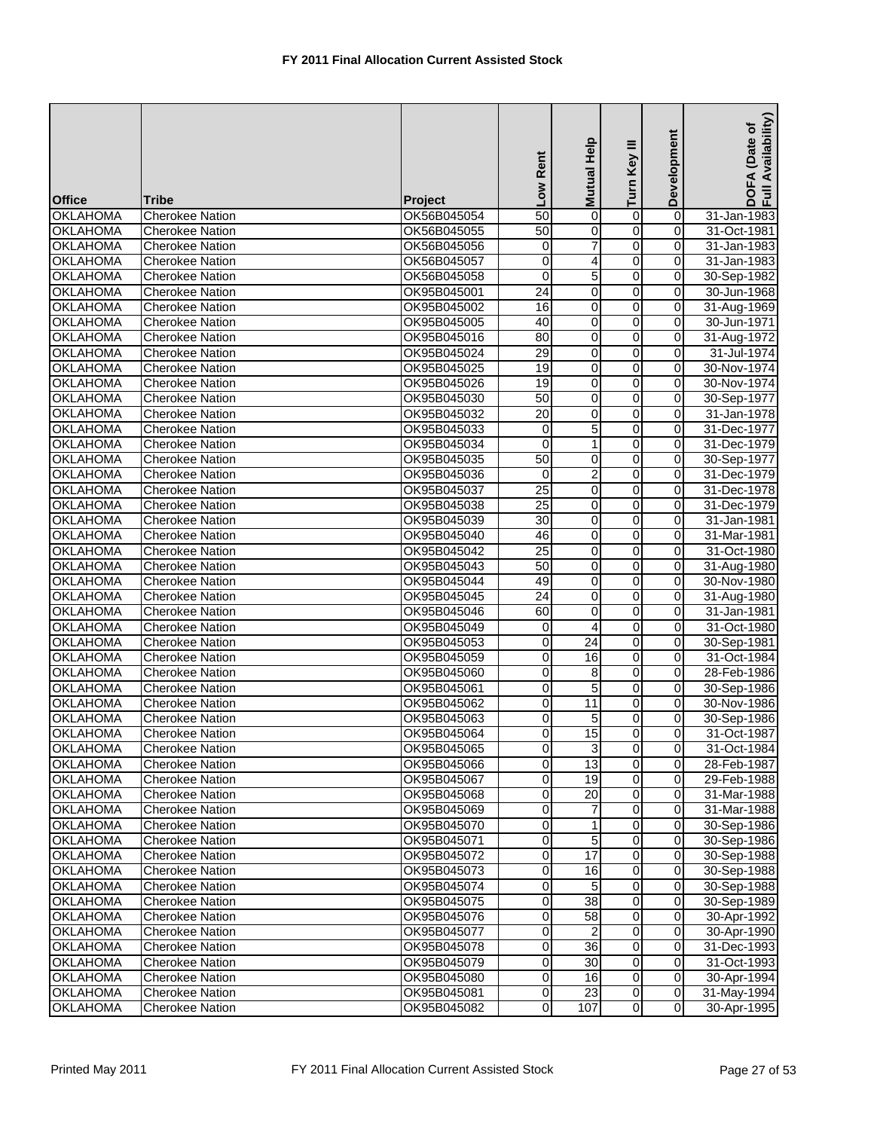| <b>Office</b>   | <b>Tribe</b>           | Project     | Low Rent                | Mutual Help     | Turn Key III   | Development             | Availability)<br>(Date of<br>DOFA<br>Full Av |
|-----------------|------------------------|-------------|-------------------------|-----------------|----------------|-------------------------|----------------------------------------------|
| <b>OKLAHOMA</b> | <b>Cherokee Nation</b> | OK56B045054 | 50                      | 0               | 0              | $\overline{0}$          | 31-Jan-1983                                  |
| <b>OKLAHOMA</b> | <b>Cherokee Nation</b> | OK56B045055 | 50                      | 0               | 0              | 0                       | 31-Oct-1981                                  |
| <b>OKLAHOMA</b> | <b>Cherokee Nation</b> | OK56B045056 | $\overline{\mathbf{o}}$ | 7               | $\overline{0}$ | $\overline{0}$          | 31-Jan-1983                                  |
| <b>OKLAHOMA</b> | <b>Cherokee Nation</b> | OK56B045057 | 0                       | 4               | $\overline{0}$ | 0                       | 31-Jan-1983                                  |
| <b>OKLAHOMA</b> | <b>Cherokee Nation</b> | OK56B045058 | $\overline{0}$          | 5               | $\overline{0}$ | $\pmb{0}$               | 30-Sep-1982                                  |
| <b>OKLAHOMA</b> | <b>Cherokee Nation</b> | OK95B045001 | $\overline{24}$         | 0               | O              | $\pmb{0}$               | 30-Jun-1968                                  |
| <b>OKLAHOMA</b> | <b>Cherokee Nation</b> | OK95B045002 | 16                      | 0               | o              | $\pmb{0}$               | 31-Aug-1969                                  |
| <b>OKLAHOMA</b> | <b>Cherokee Nation</b> | OK95B045005 | 40                      | 0               | $\overline{0}$ | 0                       | 30-Jun-1971                                  |
| <b>OKLAHOMA</b> | <b>Cherokee Nation</b> | OK95B045016 | 80                      | 0               | $\overline{0}$ | 0                       | 31-Aug-1972                                  |
| <b>OKLAHOMA</b> | <b>Cherokee Nation</b> | OK95B045024 | 29                      | 0               | 0              | 0                       | 31-Jul-1974                                  |
| <b>OKLAHOMA</b> | <b>Cherokee Nation</b> | OK95B045025 | 19                      | 0               | 0              | 0                       | 30-Nov-1974                                  |
| <b>OKLAHOMA</b> | <b>Cherokee Nation</b> | OK95B045026 | 19                      | 0               | $\overline{0}$ | $\pmb{0}$               | 30-Nov-1974                                  |
| <b>OKLAHOMA</b> | <b>Cherokee Nation</b> | OK95B045030 | 50                      | 0               | o              | $\pmb{0}$               | 30-Sep-1977                                  |
| <b>OKLAHOMA</b> |                        |             | $\overline{20}$         | 0               | $\overline{0}$ | $\overline{\mathbf{0}}$ |                                              |
|                 | <b>Cherokee Nation</b> | OK95B045032 |                         |                 |                |                         | 31-Jan-1978                                  |
| <b>OKLAHOMA</b> | <b>Cherokee Nation</b> | OK95B045033 | $\mathbf 0$             | 5               | 0              | 0                       | 31-Dec-1977                                  |
| <b>OKLAHOMA</b> | <b>Cherokee Nation</b> | OK95B045034 | 0                       | 1               | $\overline{0}$ | $\pmb{0}$               | 31-Dec-1979                                  |
| <b>OKLAHOMA</b> | <b>Cherokee Nation</b> | OK95B045035 | 50                      | 0               | $\overline{0}$ | $\pmb{0}$               | 30-Sep-1977                                  |
| <b>OKLAHOMA</b> | <b>Cherokee Nation</b> | OK95B045036 | 0                       | 2               | 0              | 0                       | 31-Dec-1979                                  |
| <b>OKLAHOMA</b> | <b>Cherokee Nation</b> | OK95B045037 | $\overline{25}$         | 0               | $\overline{0}$ | 0                       | 31-Dec-1978                                  |
| <b>OKLAHOMA</b> | <b>Cherokee Nation</b> | OK95B045038 | 25                      | 0               | 0              | 0                       | 31-Dec-1979                                  |
| <b>OKLAHOMA</b> | <b>Cherokee Nation</b> | OK95B045039 | 30                      | 0               | $\overline{0}$ | $\overline{0}$          | 31-Jan-1981                                  |
| <b>OKLAHOMA</b> | <b>Cherokee Nation</b> | OK95B045040 | 46                      | 0               | 0              | 0                       | 31-Mar-1981                                  |
| <b>OKLAHOMA</b> | <b>Cherokee Nation</b> | OK95B045042 | $\overline{25}$         | 0               | o              | 0                       | 31-Oct-1980                                  |
| <b>OKLAHOMA</b> | <b>Cherokee Nation</b> | OK95B045043 | 50                      | 0               | 0              | 0                       | 31-Aug-1980                                  |
| <b>OKLAHOMA</b> | <b>Cherokee Nation</b> | OK95B045044 | 49                      | 0               | $\overline{0}$ | $\pmb{0}$               | 30-Nov-1980                                  |
| <b>OKLAHOMA</b> | <b>Cherokee Nation</b> | OK95B045045 | 24                      | 0               | $\overline{0}$ | $\pmb{0}$               | 31-Aug-1980                                  |
| <b>OKLAHOMA</b> | <b>Cherokee Nation</b> | OK95B045046 | 60                      | 0               | 0              | 0                       | 31-Jan-1981                                  |
| <b>OKLAHOMA</b> | <b>Cherokee Nation</b> | OK95B045049 | $\mathbf 0$             | 4               | $\overline{0}$ | 0                       | 31-Oct-1980                                  |
| <b>OKLAHOMA</b> | <b>Cherokee Nation</b> | OK95B045053 | $\mathbf 0$             | 24              | o              | 0                       | 30-Sep-1981                                  |
| <b>OKLAHOMA</b> | <b>Cherokee Nation</b> | OK95B045059 | $\overline{\mathbf{0}}$ | 16              | $\overline{0}$ | $\mathbf 0$             | 31-Oct-1984                                  |
| <b>OKLAHOMA</b> | <b>Cherokee Nation</b> | OK95B045060 | 0                       | 8               | o              | $\overline{0}$          | 28-Feb-1986                                  |
| <b>OKLAHOMA</b> | <b>Cherokee Nation</b> | OK95B045061 | $\overline{\mathbf{0}}$ | 5               | o              | 0                       | 30-Sep-1986                                  |
| <b>OKLAHOMA</b> | Cherokee Nation        | OK95B045062 | $\mathbf 0$             | 11              | $\overline{0}$ | 0                       | 30-Nov-1986                                  |
| <b>OKLAHOMA</b> | <b>Cherokee Nation</b> | OK95B045063 | 0                       | 5               | $\overline{0}$ | $\mathbf 0$             | 30-Sep-1986                                  |
| <b>OKLAHOMA</b> | <b>Cherokee Nation</b> | OK95B045064 | $\overline{O}$          | 15              | $\overline{0}$ | $\overline{0}$          | 31-Oct-1987                                  |
| <b>OKLAHOMA</b> | <b>Cherokee Nation</b> | OK95B045065 | $\mathbf 0$             | 3               | $\overline{0}$ | $\overline{0}$          | 31-Oct-1984                                  |
| <b>OKLAHOMA</b> | <b>Cherokee Nation</b> | OK95B045066 | $\overline{0}$          | 13              | $\overline{0}$ | 0                       | 28-Feb-1987                                  |
| <b>OKLAHOMA</b> | <b>Cherokee Nation</b> | OK95B045067 | $\mathbf 0$             | 19              | $\overline{0}$ | $\mathbf 0$             | 29-Feb-1988                                  |
| <b>OKLAHOMA</b> | <b>Cherokee Nation</b> | OK95B045068 | $\overline{\mathbf{0}}$ | 20              | $\overline{0}$ | $\mathbf 0$             | 31-Mar-1988                                  |
| <b>OKLAHOMA</b> | <b>Cherokee Nation</b> | OK95B045069 | 0                       | 7               | $\overline{0}$ | 0                       | 31-Mar-1988                                  |
| <b>OKLAHOMA</b> | <b>Cherokee Nation</b> | OK95B045070 | $\overline{\mathbf{0}}$ | 1               | $\overline{0}$ | $\mathbf 0$             | 30-Sep-1986                                  |
| <b>OKLAHOMA</b> | <b>Cherokee Nation</b> | OK95B045071 | $\mathbf 0$             | 5               | $\overline{0}$ | $\mathbf 0$             | 30-Sep-1986                                  |
| <b>OKLAHOMA</b> | Cherokee Nation        | OK95B045072 | $\mathbf 0$             | 17              | $\overline{0}$ | $\mathbf 0$             | 30-Sep-1988                                  |
| <b>OKLAHOMA</b> | <b>Cherokee Nation</b> | OK95B045073 | $\mathbf 0$             | 16              | $\overline{0}$ | $\pmb{0}$               | 30-Sep-1988                                  |
| <b>OKLAHOMA</b> | <b>Cherokee Nation</b> | OK95B045074 | $\mathbf 0$             | 5               | $\overline{0}$ | 0                       | 30-Sep-1988                                  |
| <b>OKLAHOMA</b> | <b>Cherokee Nation</b> | OK95B045075 | $\overline{0}$          | $\overline{38}$ | $\overline{0}$ | $\mathbf 0$             | 30-Sep-1989                                  |
| <b>OKLAHOMA</b> | <b>Cherokee Nation</b> | OK95B045076 | $\mathbf 0$             | 58              | 0              | $\pmb{0}$               | 30-Apr-1992                                  |
| <b>OKLAHOMA</b> | <b>Cherokee Nation</b> | OK95B045077 | $\pmb{0}$               | 2               | $\overline{0}$ | $\mathbf 0$             | 30-Apr-1990                                  |
| <b>OKLAHOMA</b> | <b>Cherokee Nation</b> | OK95B045078 | 0                       | 36              | $\overline{0}$ | 0                       | 31-Dec-1993                                  |
| <b>OKLAHOMA</b> | <b>Cherokee Nation</b> | OK95B045079 | $\overline{\mathbf{0}}$ | 30              | $\overline{0}$ | $\mathbf 0$             | 31-Oct-1993                                  |
| <b>OKLAHOMA</b> | <b>Cherokee Nation</b> | OK95B045080 | $\mathbf 0$             | 16              | $\overline{0}$ | $\mathbf 0$             | 30-Apr-1994                                  |
| <b>OKLAHOMA</b> | <b>Cherokee Nation</b> | OK95B045081 | $\overline{0}$          | 23              | $\overline{0}$ | 0                       | 31-May-1994                                  |
| <b>OKLAHOMA</b> | Cherokee Nation        | OK95B045082 | $\overline{0}$          | 107             | $\overline{0}$ | 0                       | 30-Apr-1995                                  |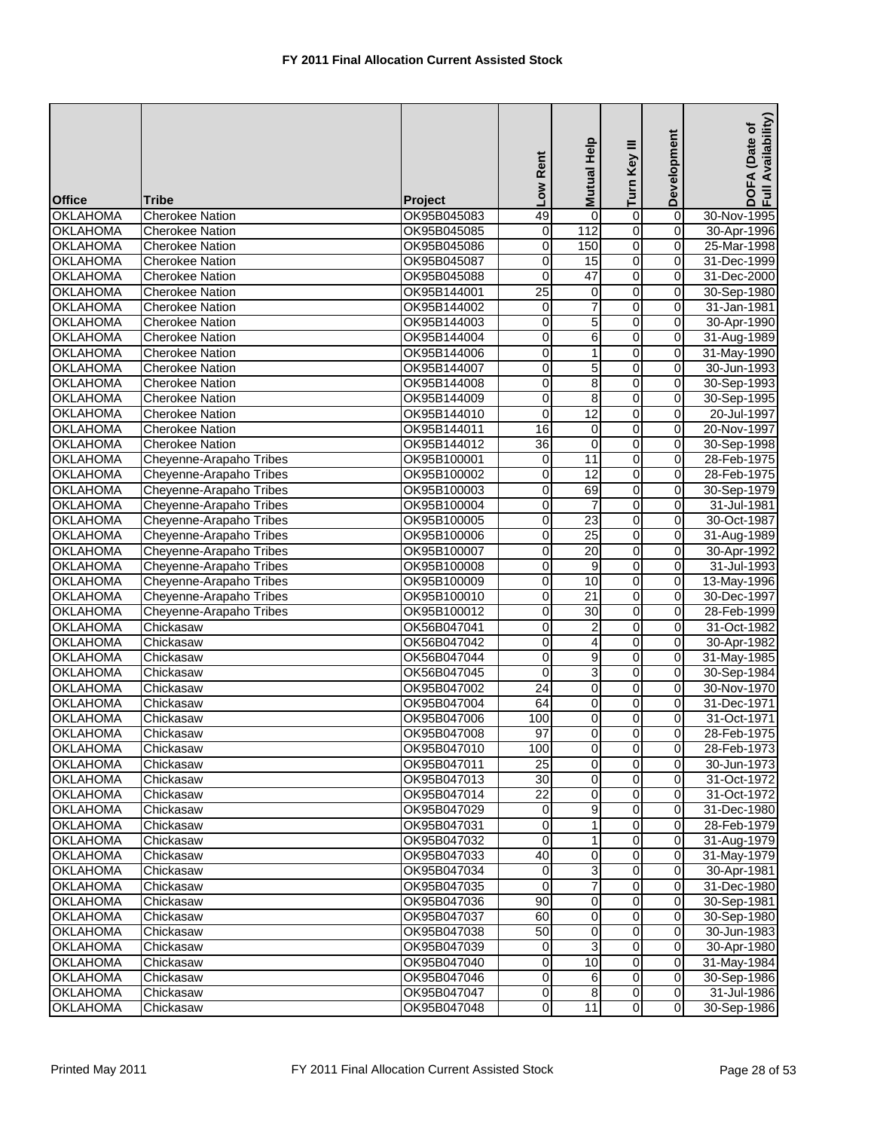| <b>Office</b>   | <b>Tribe</b>            | <b>Project</b> | Low Rent        | Mutual Help     | Turn Key III            | Development    | Availability)<br>(Date of<br>DOFA<br>Full Av |
|-----------------|-------------------------|----------------|-----------------|-----------------|-------------------------|----------------|----------------------------------------------|
| <b>OKLAHOMA</b> | <b>Cherokee Nation</b>  | OK95B045083    | 49              | $\Omega$        | 0                       | $\overline{0}$ | 30-Nov-1995                                  |
| <b>OKLAHOMA</b> | <b>Cherokee Nation</b>  | OK95B045085    | 0               | 112             | 0                       | 0              | 30-Apr-1996                                  |
| <b>OKLAHOMA</b> | <b>Cherokee Nation</b>  | OK95B045086    | 0               | 150             | $\overline{0}$          | $\overline{0}$ | 25-Mar-1998                                  |
| <b>OKLAHOMA</b> | <b>Cherokee Nation</b>  | OK95B045087    | 0               | 15              | O                       | $\pmb{0}$      | 31-Dec-1999                                  |
| <b>OKLAHOMA</b> | <b>Cherokee Nation</b>  | OK95B045088    | 0               | 47              | $\overline{\mathbf{0}}$ | $\overline{0}$ | 31-Dec-2000                                  |
| <b>OKLAHOMA</b> | <b>Cherokee Nation</b>  | OK95B144001    | $\overline{25}$ |                 | 0                       | 0              |                                              |
|                 |                         |                |                 | 0               | 0                       | $\pmb{0}$      | 30-Sep-1980                                  |
| <b>OKLAHOMA</b> | <b>Cherokee Nation</b>  | OK95B144002    | 0               |                 | $\overline{0}$          | $\overline{0}$ | 31-Jan-1981                                  |
| <b>OKLAHOMA</b> | <b>Cherokee Nation</b>  | OK95B144003    | 0               | 5               |                         | $\mathbf 0$    | 30-Apr-1990                                  |
| <b>OKLAHOMA</b> | <b>Cherokee Nation</b>  | OK95B144004    | 0               | 6               | 0                       |                | 31-Aug-1989                                  |
| <b>OKLAHOMA</b> | <b>Cherokee Nation</b>  | OK95B144006    | 0               | 1               | 0                       | $\overline{0}$ | 31-May-1990                                  |
| <b>OKLAHOMA</b> | <b>Cherokee Nation</b>  | OK95B144007    | 0               | 5               | 0                       | 0              | 30-Jun-1993                                  |
| <b>OKLAHOMA</b> | <b>Cherokee Nation</b>  | OK95B144008    | $\mathbf 0$     | 8               | $\overline{0}$          | $\overline{0}$ | 30-Sep-1993                                  |
| <b>OKLAHOMA</b> | <b>Cherokee Nation</b>  | OK95B144009    | 0               | 8               | $\overline{0}$          | $\overline{0}$ | 30-Sep-1995                                  |
| <b>OKLAHOMA</b> | <b>Cherokee Nation</b>  | OK95B144010    | 0               | 12              | O                       | 0              | 20-Jul-1997                                  |
| <b>OKLAHOMA</b> | <b>Cherokee Nation</b>  | OK95B144011    | 16              | 0               | 0                       | 0              | 20-Nov-1997                                  |
| <b>OKLAHOMA</b> | <b>Cherokee Nation</b>  | OK95B144012    | 36              | $\mathbf 0$     | O                       | $\pmb{0}$      | 30-Sep-1998                                  |
| <b>OKLAHOMA</b> | Cheyenne-Arapaho Tribes | OK95B100001    | 0               | 11              | 0                       | 0              | 28-Feb-1975                                  |
| <b>OKLAHOMA</b> | Cheyenne-Arapaho Tribes | OK95B100002    | 0               | 12              | 0                       | 0              | 28-Feb-1975                                  |
| <b>OKLAHOMA</b> | Cheyenne-Arapaho Tribes | OK95B100003    | 0               | 69              | 0                       | 0              | 30-Sep-1979                                  |
| <b>OKLAHOMA</b> | Cheyenne-Arapaho Tribes | OK95B100004    | 0               | 7               | 0                       | 0              | 31-Jul-1981                                  |
| <b>OKLAHOMA</b> | Cheyenne-Arapaho Tribes | OK95B100005    | 0               | 23              | $\overline{0}$          | $\overline{0}$ | 30-Oct-1987                                  |
| <b>OKLAHOMA</b> | Cheyenne-Arapaho Tribes | OK95B100006    | $\mathbf 0$     | $\overline{25}$ | ō                       | $\overline{0}$ | 31-Aug-1989                                  |
| <b>OKLAHOMA</b> | Cheyenne-Arapaho Tribes | OK95B100007    | 0               | 20              | 0                       | 0              | 30-Apr-1992                                  |
| <b>OKLAHOMA</b> | Cheyenne-Arapaho Tribes | OK95B100008    | 0               | 9               | o                       | 0              | 31-Jul-1993                                  |
| <b>OKLAHOMA</b> | Cheyenne-Arapaho Tribes | OK95B100009    | 0               | 10              | 0                       | $\pmb{0}$      | 13-May-1996                                  |
| <b>OKLAHOMA</b> | Cheyenne-Arapaho Tribes | OK95B100010    | 0               | $\overline{21}$ | 0                       | $\pmb{0}$      | 30-Dec-1997                                  |
| <b>OKLAHOMA</b> | Cheyenne-Arapaho Tribes | OK95B100012    | 0               | 30              | 0                       | 0              | 28-Feb-1999                                  |
| <b>OKLAHOMA</b> | Chickasaw               | OK56B047041    | 0               | 2               | $\overline{0}$          | 0              | 31-Oct-1982                                  |
| <b>OKLAHOMA</b> | Chickasaw               | OK56B047042    | 0               | 4               | O                       | 0              | 30-Apr-1982                                  |
| <b>OKLAHOMA</b> | Chickasaw               | OK56B047044    | 0               | 9               | $\overline{0}$          | $\overline{0}$ | 31-May-1985                                  |
| <b>OKLAHOMA</b> | Chickasaw               | OK56B047045    | $\mathbf 0$     | 3               | o                       | 0              | 30-Sep-1984                                  |
| <b>OKLAHOMA</b> | Chickasaw               | OK95B047002    | 24              | 0               | O                       | $\pmb{0}$      | 30-Nov-1970                                  |
| <b>OKLAHOMA</b> | Chickasaw               | OK95B047004    | 64              | 0               | 0                       | 0              | 31-Dec-1971                                  |
| <b>OKLAHOMA</b> | Chickasaw               | OK95B047006    | 100             | 0               | $\overline{0}$          | $\overline{0}$ | 31-Oct-1971                                  |
| <b>OKLAHOMA</b> | Chickasaw               | OK95B047008    | 97              | $\overline{0}$  | $\overline{0}$          | <sub>0</sub>   | 28-Feb-1975                                  |
| <b>OKLAHOMA</b> | Chickasaw               | OK95B047010    | 100             | 0               | $\overline{0}$          | 0              | 28-Feb-1973                                  |
| <b>OKLAHOMA</b> | Chickasaw               | OK95B047011    | 25              | 0               | $\overline{0}$          | 0              | 30-Jun-1973                                  |
| <b>OKLAHOMA</b> | Chickasaw               | OK95B047013    | 30              | 0               | 0                       | $\overline{0}$ | 31-Oct-1972                                  |
| <b>OKLAHOMA</b> | Chickasaw               | OK95B047014    | 22              | 0               | $\overline{0}$          | $\overline{0}$ | 31-Oct-1972                                  |
| <b>OKLAHOMA</b> | Chickasaw               | OK95B047029    | 0               | 9               | 0                       | 0              | 31-Dec-1980                                  |
| <b>OKLAHOMA</b> | Chickasaw               | OK95B047031    | 0               | 1               | $\overline{0}$          | 0              | 28-Feb-1979                                  |
| <b>OKLAHOMA</b> | Chickasaw               | OK95B047032    | 0               | 1               | $\overline{0}$          | $\overline{0}$ | 31-Aug-1979                                  |
| <b>OKLAHOMA</b> | Chickasaw               | OK95B047033    | 40              | 0               | $\overline{0}$          | 0              | 31-May-1979                                  |
| <b>OKLAHOMA</b> | Chickasaw               | OK95B047034    | $\mathbf 0$     | 3               | $\overline{O}$          | $\overline{0}$ | 30-Apr-1981                                  |
| <b>OKLAHOMA</b> | Chickasaw               | OK95B047035    | 0               | 7               | $\overline{0}$          | 0              | 31-Dec-1980                                  |
| <b>OKLAHOMA</b> | Chickasaw               | OK95B047036    | 90              | 0               | $\overline{0}$          | $\overline{0}$ | 30-Sep-1981                                  |
| <b>OKLAHOMA</b> | Chickasaw               | OK95B047037    | 60              | 0               | 0                       | 0              | 30-Sep-1980                                  |
| <b>OKLAHOMA</b> | Chickasaw               | OK95B047038    | 50              | 0               | 0                       | 0              | 30-Jun-1983                                  |
| <b>OKLAHOMA</b> | Chickasaw               | OK95B047039    | 0               | 3               | $\overline{0}$          | 0              | 30-Apr-1980                                  |
| <b>OKLAHOMA</b> | Chickasaw               | OK95B047040    | 0               | 10              | $\overline{O}$          | 0              | 31-May-1984                                  |
| <b>OKLAHOMA</b> | Chickasaw               | OK95B047046    | $\mathbf 0$     | 6               | $\overline{0}$          | 0              | 30-Sep-1986                                  |
| <b>OKLAHOMA</b> | Chickasaw               | OK95B047047    | $\mathbf 0$     | 8               | $\overline{0}$          | 0              | 31-Jul-1986                                  |
| <b>OKLAHOMA</b> | Chickasaw               | OK95B047048    | $\mathbf 0$     | 11              | $\overline{0}$          | $\overline{0}$ | 30-Sep-1986                                  |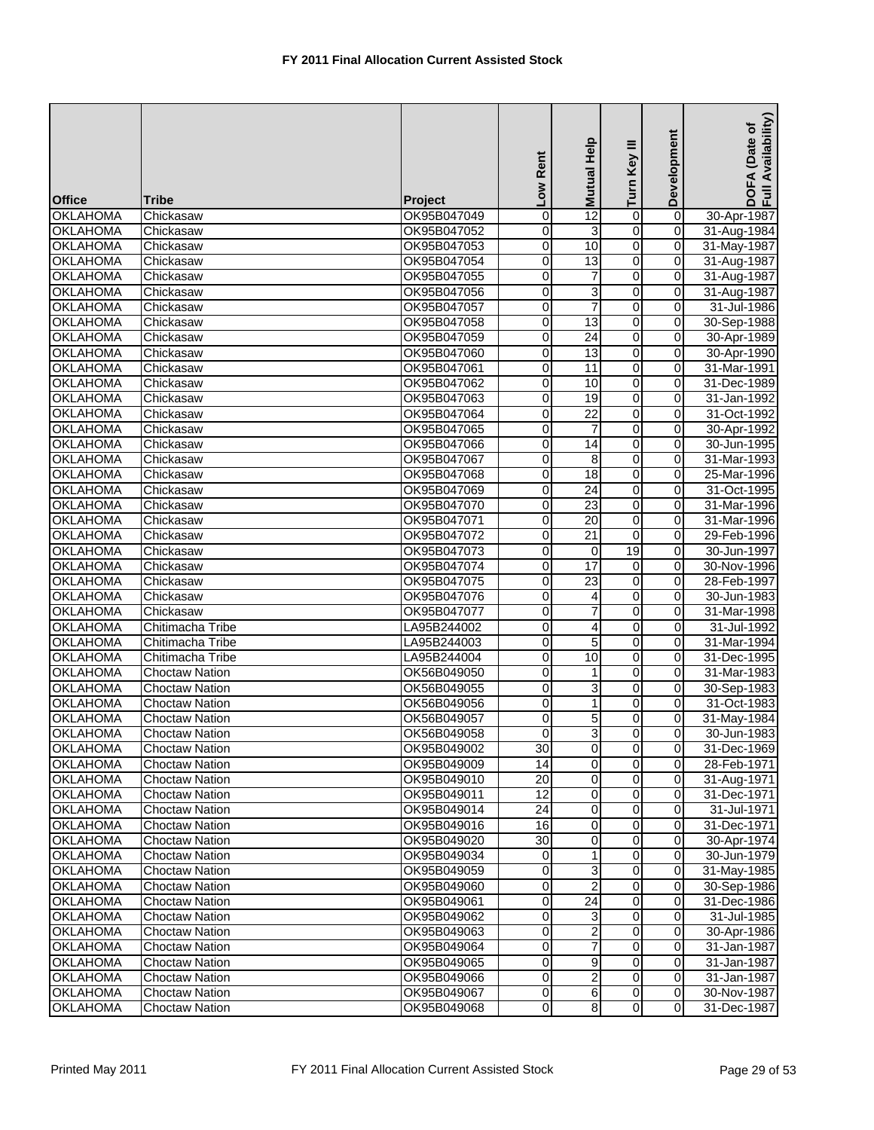| Development<br>Turn Key III<br>Low Rent<br><b>Mutual</b><br><b>Office</b><br>Tribe<br>Project                             | DOFA<br>Full Av<br>30-Apr-1987<br>31-Aug-1984 |
|---------------------------------------------------------------------------------------------------------------------------|-----------------------------------------------|
| 0<br>$\overline{0}$<br><b>OKLAHOMA</b><br>OK95B047049<br>0<br>12<br>Chickasaw                                             |                                               |
| 0<br>$\mathbf 0$<br><b>OKLAHOMA</b><br>Chickasaw<br>OK95B047052<br>0<br>3                                                 |                                               |
| $\overline{0}$<br>10<br>0<br>$\mathbf 0$<br><b>OKLAHOMA</b><br>OK95B047053<br>Chickasaw                                   | 31-May-1987                                   |
| 13<br>0<br><b>OKLAHOMA</b><br>0<br>0<br>OK95B047054<br>Chickasaw                                                          | 31-Aug-1987                                   |
| 0<br><b>OKLAHOMA</b><br>0<br>$\overline{7}$<br>0<br>OK95B047055<br>Chickasaw                                              | 31-Aug-1987                                   |
| 0<br><b>OKLAHOMA</b><br>0<br>3<br>$\mathbf 0$<br>Chickasaw<br>OK95B047056                                                 | 31-Aug-1987                                   |
| $\overline{7}$<br>0<br><b>OKLAHOMA</b><br>0<br>0<br>Chickasaw<br>OK95B047057                                              | 31-Jul-1986                                   |
| 0<br>13<br>0<br>$\mathbf 0$<br><b>OKLAHOMA</b><br>Chickasaw<br>OK95B047058                                                | 30-Sep-1988                                   |
| 0<br><b>OKLAHOMA</b><br>$\mathbf 0$<br>24<br>OK95B047059<br>0<br>Chickasaw                                                | 30-Apr-1989                                   |
| $\overline{0}$<br><b>OKLAHOMA</b><br>0<br>$\mathbf 0$<br>Chickasaw<br>OK95B047060<br>13                                   | 30-Apr-1990                                   |
| 0<br><b>OKLAHOMA</b><br>Chickasaw<br>OK95B047061<br>0<br>11<br>0                                                          | 31-Mar-1991                                   |
| $\overline{0}$<br>0<br>10<br>$\mathbf 0$<br><b>OKLAHOMA</b><br>OK95B047062<br>Chickasaw                                   | 31-Dec-1989                                   |
| 0<br><b>OKLAHOMA</b><br>$\mathbf 0$<br>19<br>0<br>OK95B047063<br>Chickasaw                                                | 31-Jan-1992                                   |
| $\overline{0}$<br>$\overline{22}$<br><b>OKLAHOMA</b><br>0<br>0<br>Chickasaw<br>OK95B047064                                | 31-Oct-1992                                   |
| 0<br><b>OKLAHOMA</b><br>0<br>$\mathbf 0$<br>OK95B047065<br>7<br>Chickasaw                                                 | 30-Apr-1992                                   |
| 0<br><b>OKLAHOMA</b><br>0<br>14<br>0<br>Chickasaw<br>OK95B047066                                                          | 30-Jun-1995                                   |
| 0<br>8<br>0<br>$\mathbf 0$<br><b>OKLAHOMA</b><br>OK95B047067<br>Chickasaw                                                 | 31-Mar-1993                                   |
| <b>OKLAHOMA</b><br>0<br>OK95B047068<br>0<br>18<br>0<br>Chickasaw                                                          | 25-Mar-1996                                   |
| <b>OKLAHOMA</b><br>0<br>OK95B047069<br>0<br>24<br>$\mathbf 0$<br>Chickasaw                                                | 31-Oct-1995                                   |
| 23<br>0<br><b>OKLAHOMA</b><br>Chickasaw<br>OK95B047070<br>0<br>0                                                          | 31-Mar-1996                                   |
| 20<br>0<br>0<br><b>OKLAHOMA</b><br>OK95B047071<br>0<br>Chickasaw                                                          | 31-Mar-1996                                   |
| $\overline{21}$<br>0<br>0<br>0<br><b>OKLAHOMA</b><br>OK95B047072<br>Chickasaw                                             | 29-Feb-1996                                   |
| 19<br><b>OKLAHOMA</b><br>OK95B047073<br>0<br>0<br>Chickasaw<br>0                                                          | 30-Jun-1997                                   |
| 0<br>17<br>0<br><b>OKLAHOMA</b><br>0<br>Chickasaw<br>OK95B047074                                                          | 30-Nov-1996                                   |
| 23<br>0<br><b>OKLAHOMA</b><br>OK95B047075<br>0<br>Chickasaw<br>0                                                          | 28-Feb-1997                                   |
| 0<br><b>OKLAHOMA</b><br>0<br>$\mathbf 0$<br>Chickasaw<br>OK95B047076<br>4                                                 | 30-Jun-1983                                   |
| 0<br><b>OKLAHOMA</b><br>$\mathbf 0$<br>0<br>OK95B047077<br>7<br>Chickasaw                                                 | 31-Mar-1998                                   |
| <b>OKLAHOMA</b><br>0<br>0<br>0<br>Chitimacha Tribe<br>LA95B244002<br>4                                                    | 31-Jul-1992                                   |
| 0<br><b>OKLAHOMA</b><br>Chitimacha Tribe<br>LA95B244003<br>0<br>5<br>0                                                    | 31-Mar-1994                                   |
| 10<br>0<br>0<br><b>OKLAHOMA</b><br>Chitimacha Tribe<br>LA95B244004<br>0                                                   | 31-Dec-1995                                   |
| 0<br>0<br><b>OKLAHOMA</b><br>0<br>$\mathbf{1}$<br><b>Choctaw Nation</b><br>OK56B049050                                    | 31-Mar-1983                                   |
| 0<br><b>OKLAHOMA</b><br>0<br>3<br>0<br><b>Choctaw Nation</b><br>OK56B049055                                               | 30-Sep-1983                                   |
| <b>OKLAHOMA</b><br>1<br>0<br><b>Choctaw Nation</b><br>OK56B049056<br>0<br>$\mathbf 0$                                     | 31-Oct-1983                                   |
| <b>OKLAHOMA</b><br><b>Choctaw Nation</b><br>0<br>OK56B049057<br>0<br>5<br>0                                               | 31-May-1984                                   |
| 3 <br>$\overline{0}$<br>$\overline{0}$<br>$\overline{0}$<br><b>OKLAHOMA</b><br><b>Choctaw Nation</b><br>OK56B049058       | 30-Jun-1983                                   |
| <b>OKLAHOMA</b><br>OK95B049002<br>30<br>$\overline{0}$<br>$\overline{O}$<br><b>Choctaw Nation</b><br>$\overline{0}$       | 31-Dec-1969                                   |
| $\overline{0}$<br>$\overline{0}$<br>$\mathbf 0$<br><b>OKLAHOMA</b><br>Choctaw Nation<br>OK95B049009<br>14                 | 28-Feb-1971                                   |
| 0<br><b>OKLAHOMA</b><br>OK95B049010<br>20<br>$\mathbf 0$<br>$\overline{0}$<br><b>Choctaw Nation</b>                       | 31-Aug-1971                                   |
| 0<br>12<br>$\mathbf 0$<br><b>OKLAHOMA</b><br><b>Choctaw Nation</b><br>OK95B049011<br>0                                    | 31-Dec-1971                                   |
| 24<br>$\mathbf 0$<br>0<br>$\mathbf 0$<br><b>OKLAHOMA</b><br><b>Choctaw Nation</b><br>OK95B049014                          | 31-Jul-1971                                   |
| <b>OKLAHOMA</b><br>16<br>0<br>0<br>0<br><b>Choctaw Nation</b><br>OK95B049016                                              | 31-Dec-1971                                   |
| 0<br><b>OKLAHOMA</b><br>OK95B049020<br>30<br>$\mathbf 0$<br>$\overline{0}$<br><b>Choctaw Nation</b>                       | 30-Apr-1974                                   |
| <b>OKLAHOMA</b><br>0<br>$\mathbf 0$<br><b>Choctaw Nation</b><br>OK95B049034<br>1<br>0                                     | 30-Jun-1979                                   |
| 0<br>$\overline{0}$<br><b>OKLAHOMA</b><br>0<br>3<br><b>Choctaw Nation</b><br>OK95B049059                                  | 31-May-1985                                   |
| $\mathbf 0$<br>2<br>0<br>$\mathbf 0$<br><b>OKLAHOMA</b><br>Choctaw Nation<br>OK95B049060                                  | 30-Sep-1986                                   |
| $\overline{24}$<br>0<br><b>OKLAHOMA</b><br>OK95B049061<br>0<br>$\mathbf 0$<br><b>Choctaw Nation</b>                       | 31-Dec-1986                                   |
| <b>OKLAHOMA</b><br>OK95B049062<br>0<br>3<br>0<br>$\mathbf 0$<br><b>Choctaw Nation</b>                                     | 31-Jul-1985                                   |
| <b>OKLAHOMA</b><br>2<br>0<br>$\mathbf 0$<br><b>Choctaw Nation</b><br>OK95B049063<br>0                                     | 30-Apr-1986                                   |
| $\mathbf 0$<br><b>OKLAHOMA</b><br>0<br>7<br>0<br><b>Choctaw Nation</b><br>OK95B049064                                     | 31-Jan-1987                                   |
| 9<br>0<br><b>OKLAHOMA</b><br>0<br>0<br><b>Choctaw Nation</b><br>OK95B049065                                               | 31-Jan-1987                                   |
| $\overline{2}$<br>0<br>$\overline{0}$<br><b>OKLAHOMA</b><br>OK95B049066<br>$\overline{0}$<br><b>Choctaw Nation</b>        | 31-Jan-1987                                   |
| <b>OKLAHOMA</b><br><b>Choctaw Nation</b><br>OK95B049067<br>$6 \mid$<br>0<br>$\mathbf 0$<br>0                              | 30-Nov-1987                                   |
| $\overline{0}$<br>$\infty$<br><b>OKLAHOMA</b><br>$\overline{0}$<br><b>Choctaw Nation</b><br>OK95B049068<br>$\overline{0}$ | 31-Dec-1987                                   |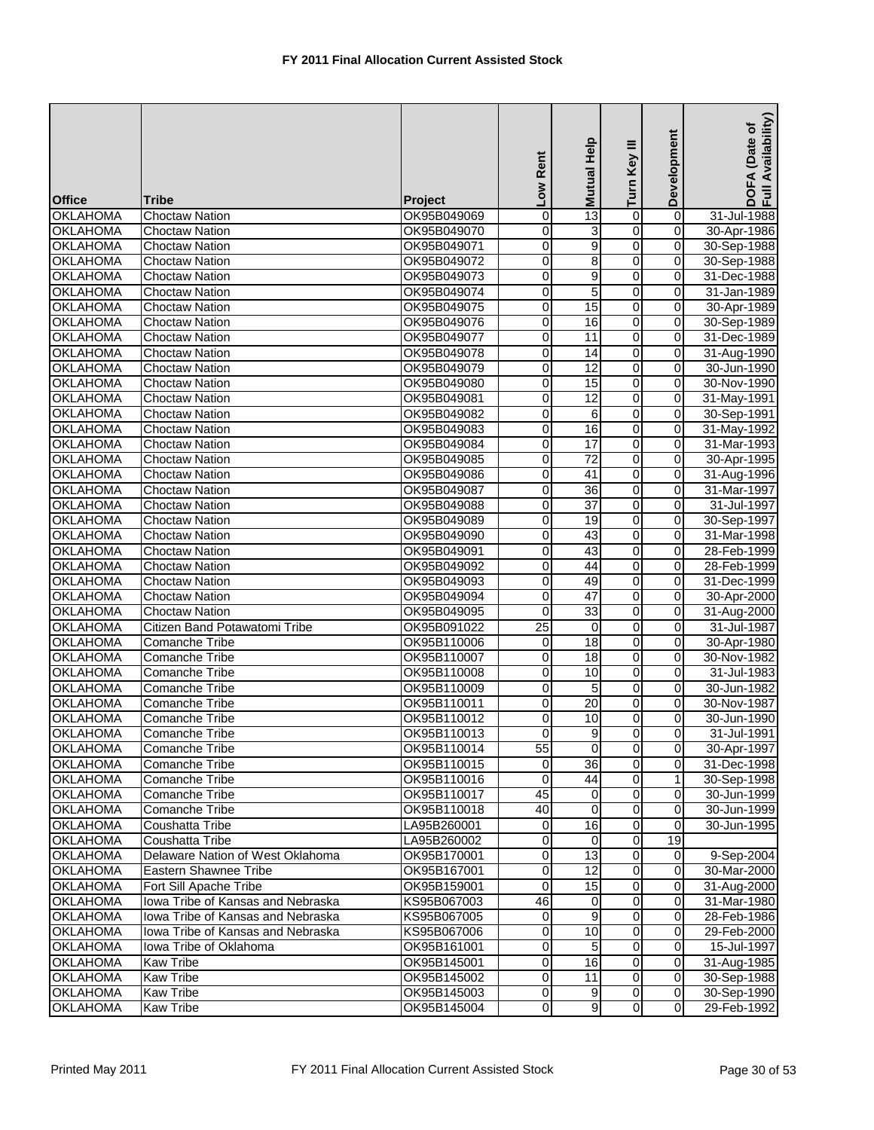| <b>Office</b>                      | Tribe                                                  | <b>Project</b>             | Low Rent                   | Help<br><b>Mutual</b> | Turn Key III        | Development             | Availability)<br>(Date of<br>DOFA<br>Full Av |
|------------------------------------|--------------------------------------------------------|----------------------------|----------------------------|-----------------------|---------------------|-------------------------|----------------------------------------------|
| <b>OKLAHOMA</b>                    | <b>Choctaw Nation</b>                                  | OK95B049069                | 0                          | 13                    | $\pmb{0}$           | $\overline{0}$          | 31-Jul-1988                                  |
| <b>OKLAHOMA</b>                    | <b>Choctaw Nation</b>                                  | OK95B049070                | 0                          | 3                     | $\pmb{0}$           | 0                       | 30-Apr-1986                                  |
| <b>OKLAHOMA</b>                    | <b>Choctaw Nation</b>                                  | OK95B049071                | 0                          | $\overline{9}$        | $\overline{0}$      | $\pmb{0}$               | 30-Sep-1988                                  |
| <b>OKLAHOMA</b>                    | <b>Choctaw Nation</b>                                  | OK95B049072                | 0                          | $\overline{8}$        | o                   | 0                       | 30-Sep-1988                                  |
| <b>OKLAHOMA</b>                    | <b>Choctaw Nation</b>                                  | OK95B049073                | 0                          | 9                     | $\overline{0}$      | 0                       | 31-Dec-1988                                  |
| <b>OKLAHOMA</b>                    | <b>Choctaw Nation</b>                                  | OK95B049074                | 0                          | 5                     | $\mathbf 0$         | 0                       | 31-Jan-1989                                  |
| <b>OKLAHOMA</b>                    | <b>Choctaw Nation</b>                                  | OK95B049075                | $\mathbf 0$                | 15                    | $\overline{0}$      | $\pmb{0}$               | 30-Apr-1989                                  |
| <b>OKLAHOMA</b>                    | <b>Choctaw Nation</b>                                  | OK95B049076                | 0                          | 16                    | $\overline{0}$      | $\pmb{0}$               | 30-Sep-1989                                  |
| <b>OKLAHOMA</b>                    | Choctaw Nation                                         | OK95B049077                | 0                          | 11                    | 0                   | 0                       | 31-Dec-1989                                  |
| <b>OKLAHOMA</b>                    | <b>Choctaw Nation</b>                                  | OK95B049078                | $\mathsf{O}\xspace$        | 14                    | $\overline{0}$      | $\overline{0}$          | 31-Aug-1990                                  |
| <b>OKLAHOMA</b>                    | <b>Choctaw Nation</b>                                  | OK95B049079                | 0                          | 12                    | $\pmb{0}$           | 0                       | 30-Jun-1990                                  |
| <b>OKLAHOMA</b>                    | Choctaw Nation                                         | OK95B049080                | $\overline{\mathbf{0}}$    | 15                    | $\overline{0}$      | $\pmb{0}$               | 30-Nov-1990                                  |
| <b>OKLAHOMA</b>                    | <b>Choctaw Nation</b>                                  | OK95B049081                | 0                          | 12                    | o                   | 0                       | 31-May-1991                                  |
| <b>OKLAHOMA</b>                    | <b>Choctaw Nation</b>                                  | OK95B049082                | 0                          | 6                     | $\overline{0}$      | 0                       | 30-Sep-1991                                  |
| <b>OKLAHOMA</b>                    | <b>Choctaw Nation</b>                                  | OK95B049083                | 0                          | 16                    | $\overline{0}$      | 0                       | 31-May-1992                                  |
| <b>OKLAHOMA</b>                    | Choctaw Nation                                         | OK95B049084                | 0                          | 17                    | $\overline{0}$      | 0                       | 31-Mar-1993                                  |
| <b>OKLAHOMA</b>                    | <b>Choctaw Nation</b>                                  | OK95B049085                | 0                          | $\overline{72}$       | $\overline{0}$      | $\pmb{0}$               | 30-Apr-1995                                  |
| <b>OKLAHOMA</b>                    | <b>Choctaw Nation</b>                                  | OK95B049086                | 0                          | 41                    | 0                   | 0                       | 31-Aug-1996                                  |
| <b>OKLAHOMA</b>                    | <b>Choctaw Nation</b>                                  | OK95B049087                | $\pmb{0}$                  | 36                    | $\overline{0}$      | $\overline{\mathbf{0}}$ | 31-Mar-1997                                  |
| <b>OKLAHOMA</b>                    | <b>Choctaw Nation</b>                                  | OK95B049088                | 0                          | 37                    | 0                   | 0                       | 31-Jul-1997                                  |
| <b>OKLAHOMA</b>                    | <b>Choctaw Nation</b>                                  | OK95B049089                | 0                          | 19                    | o                   | 0                       | 30-Sep-1997                                  |
| <b>OKLAHOMA</b>                    | <b>Choctaw Nation</b>                                  | OK95B049090                | 0                          | 43                    | $\overline{0}$      | 0                       | 31-Mar-1998                                  |
| <b>OKLAHOMA</b>                    | <b>Choctaw Nation</b>                                  |                            | 0                          | 43                    | $\overline{0}$      | $\pmb{0}$               | 28-Feb-1999                                  |
| <b>OKLAHOMA</b>                    |                                                        | OK95B049091                | 0                          | 44                    | $\overline{0}$      | 0                       |                                              |
|                                    | <b>Choctaw Nation</b>                                  | OK95B049092<br>OK95B049093 |                            |                       |                     |                         | 28-Feb-1999                                  |
| <b>OKLAHOMA</b>                    | <b>Choctaw Nation</b>                                  |                            | $\mathbf 0$<br>$\mathbf 0$ | 49<br>$\overline{47}$ | 0<br>$\overline{0}$ | 0<br>$\pmb{0}$          | 31-Dec-1999                                  |
| <b>OKLAHOMA</b>                    | <b>Choctaw Nation</b>                                  | OK95B049094                | $\mathbf 0$                | 33                    |                     |                         | 30-Apr-2000                                  |
| <b>OKLAHOMA</b><br><b>OKLAHOMA</b> | <b>Choctaw Nation</b><br>Citizen Band Potawatomi Tribe | OK95B049095                | 25                         | $\mathbf 0$           | 0<br>0              | 0<br>0                  | 31-Aug-2000<br>31-Jul-1987                   |
|                                    |                                                        | OK95B091022                |                            |                       |                     |                         |                                              |
| <b>OKLAHOMA</b>                    | <b>Comanche Tribe</b>                                  | OK95B110006                | 0                          | 18                    | 0                   | 0                       | 30-Apr-1980                                  |
| <b>OKLAHOMA</b>                    | <b>Comanche Tribe</b>                                  | OK95B110007                | $\overline{\mathbf{0}}$    | 18                    | O                   | 0                       | 30-Nov-1982                                  |
| <b>OKLAHOMA</b>                    | <b>Comanche Tribe</b>                                  | OK95B110008                | 0                          | 10                    | $\overline{0}$      | 0<br>$\mathbf 0$        | 31-Jul-1983                                  |
| <b>OKLAHOMA</b>                    | <b>Comanche Tribe</b>                                  | OK95B110009                | $\mathbf 0$                | 5                     | $\overline{0}$      |                         | 30-Jun-1982                                  |
| <b>OKLAHOMA</b>                    | <b>Comanche Tribe</b>                                  | OK95B110011                | 0                          | 20                    | $\overline{0}$      | 0                       | 30-Nov-1987                                  |
| <b>OKLAHOMA</b>                    | <b>Comanche Tribe</b>                                  | OK95B110012                | $\overline{0}$             | 10                    | 0                   | 0                       | 30-Jun-1990                                  |
| <b>OKLAHOMA</b>                    | Comanche Tribe                                         | OK95B110013                | $\overline{0}$             | 9                     | $\overline{0}$      | $\overline{0}$          | 31-Jul-1991                                  |
| <b>OKLAHOMA</b>                    | Comanche Tribe                                         | OK95B110014                | 55                         | $\mathbf 0$           | $\overline{0}$      | 0                       | 30-Apr-1997                                  |
| <b>OKLAHOMA</b>                    | <b>Comanche Tribe</b>                                  | OK95B110015                | $\mathbf 0$                | 36                    | $\overline{0}$      | 0                       | 31-Dec-1998                                  |
| <b>OKLAHOMA</b>                    | Comanche Tribe                                         | OK95B110016                | $\mathbf 0$                | 44                    | 0                   | 1                       | 30-Sep-1998                                  |
| <b>OKLAHOMA</b>                    | Comanche Tribe                                         | OK95B110017                | 45                         | $\mathbf 0$           | $\overline{0}$      | $\mathbf 0$             | 30-Jun-1999                                  |
| <b>OKLAHOMA</b>                    | Comanche Tribe                                         | OK95B110018                | $\overline{40}$            | $\mathbf 0$           | $\overline{0}$      | $\mathbf 0$             | 30-Jun-1999                                  |
| <b>OKLAHOMA</b>                    | Coushatta Tribe                                        | LA95B260001                | $\mathbf 0$                | 16                    | 0                   | 0                       | 30-Jun-1995                                  |
| <b>OKLAHOMA</b>                    | Coushatta Tribe                                        | LA95B260002                | $\overline{\mathbf{0}}$    | 0                     | $\overline{0}$      | 19                      |                                              |
| <b>OKLAHOMA</b>                    | Delaware Nation of West Oklahoma                       | OK95B170001                | 0                          | 13                    | $\overline{0}$      | 0                       | 9-Sep-2004                                   |
| <b>OKLAHOMA</b>                    | Eastern Shawnee Tribe                                  | OK95B167001                | $\overline{0}$             | 12                    | $\overline{0}$      | $\overline{0}$          | 30-Mar-2000                                  |
| <b>OKLAHOMA</b>                    | Fort Sill Apache Tribe                                 | OK95B159001                | 0                          | 15                    | $\overline{0}$      | $\pmb{0}$               | 31-Aug-2000                                  |
| <b>OKLAHOMA</b>                    | Iowa Tribe of Kansas and Nebraska                      | KS95B067003                | 46                         | $\mathbf 0$           | $\overline{0}$      | $\mathbf 0$             | 31-Mar-1980                                  |
| <b>OKLAHOMA</b>                    | Iowa Tribe of Kansas and Nebraska                      | KS95B067005                | $\mathbf 0$                | 9                     | $\overline{0}$      | 0                       | 28-Feb-1986                                  |
| <b>OKLAHOMA</b>                    | Iowa Tribe of Kansas and Nebraska                      | KS95B067006                | $\mathbf 0$                | 10                    | $\overline{0}$      | $\mathbf 0$             | 29-Feb-2000                                  |
| <b>OKLAHOMA</b>                    | Iowa Tribe of Oklahoma                                 | OK95B161001                | 0                          | 5                     | $\overline{0}$      | $\mathbf 0$             | 15-Jul-1997                                  |
| <b>OKLAHOMA</b>                    | <b>Kaw Tribe</b>                                       | OK95B145001                | $\mathbf 0$                | 16                    | $\overline{0}$      | 0                       | 31-Aug-1985                                  |
| <b>OKLAHOMA</b>                    | <b>Kaw Tribe</b>                                       | OK95B145002                | $\overline{0}$             | 11                    | $\overline{0}$      | $\mathbf 0$             | 30-Sep-1988                                  |
| <b>OKLAHOMA</b>                    | Kaw Tribe                                              | OK95B145003                | $\mathbf 0$                | $\boldsymbol{9}$      | $\overline{0}$      | $\overline{0}$          | 30-Sep-1990                                  |
| <b>OKLAHOMA</b>                    | Kaw Tribe                                              | OK95B145004                | $\overline{0}$             | 9                     | $\overline{0}$      | $\overline{0}$          | 29-Feb-1992                                  |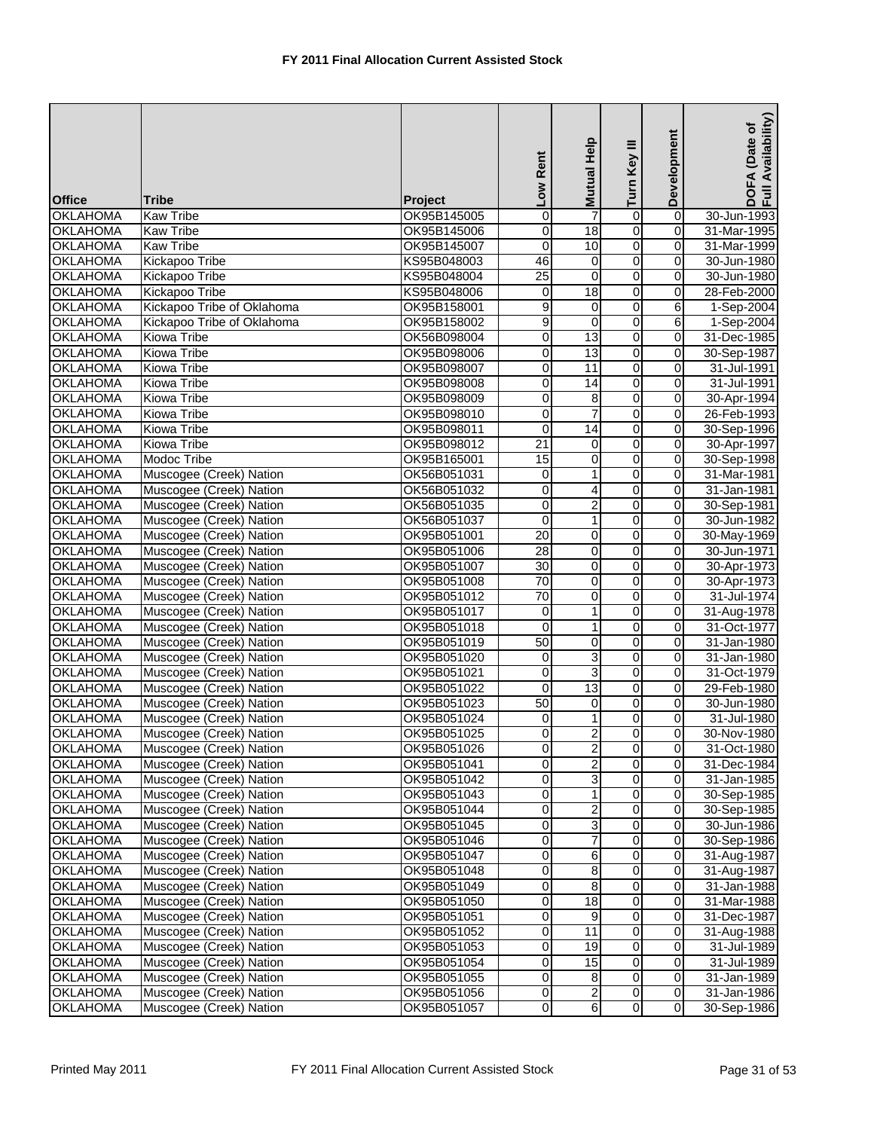| <b>Office</b>   | <b>Tribe</b>               | <b>Project</b> | Low Rent                | Mutual Help     | Turn Key III        | Development             | Availability)<br>(Date of<br>DOFA<br>Full Av |
|-----------------|----------------------------|----------------|-------------------------|-----------------|---------------------|-------------------------|----------------------------------------------|
| <b>OKLAHOMA</b> | <b>Kaw Tribe</b>           | OK95B145005    | 0                       |                 | $\overline{0}$      | $\overline{\mathsf{o}}$ | 30-Jun-1993                                  |
| <b>OKLAHOMA</b> | <b>Kaw Tribe</b>           | OK95B145006    | $\mathbf 0$             | 18              | 0                   | $\overline{0}$          | 31-Mar-1995                                  |
| <b>OKLAHOMA</b> | <b>Kaw Tribe</b>           | OK95B145007    | $\overline{0}$          | 10              | $\overline{0}$      | $\overline{0}$          | 31-Mar-1999                                  |
| <b>OKLAHOMA</b> | <b>Kickapoo Tribe</b>      | KS95B048003    | 46                      | $\mathbf 0$     | o                   | 0                       | 30-Jun-1980                                  |
| <b>OKLAHOMA</b> | <b>Kickapoo Tribe</b>      | KS95B048004    | $\overline{25}$         | 0               | $\overline{0}$      | 0                       | 30-Jun-1980                                  |
| <b>OKLAHOMA</b> | Kickapoo Tribe             | KS95B048006    | $\mathbf 0$             | $\overline{18}$ | $\overline{0}$      | $\pmb{0}$               | 28-Feb-2000                                  |
| <b>OKLAHOMA</b> | Kickapoo Tribe of Oklahoma | OK95B158001    | $\overline{9}$          | 0               | $\overline{0}$      | 6                       | 1-Sep-2004                                   |
| <b>OKLAHOMA</b> | Kickapoo Tribe of Oklahoma | OK95B158002    | 9                       | $\mathbf 0$     | $\overline{0}$      | 6                       | 1-Sep-2004                                   |
| <b>OKLAHOMA</b> | Kiowa Tribe                | OK56B098004    | 0                       | 13              | 0                   | $\mathbf 0$             | 31-Dec-1985                                  |
| <b>OKLAHOMA</b> | Kiowa Tribe                |                | $\mathsf{O}\xspace$     | 13              | $\overline{0}$      | $\overline{0}$          |                                              |
|                 |                            | OK95B098006    |                         |                 |                     |                         | 30-Sep-1987                                  |
| <b>OKLAHOMA</b> | Kiowa Tribe                | OK95B098007    | 0                       | 11              | 0<br>$\overline{0}$ | 0<br>$\overline{0}$     | 31-Jul-1991                                  |
| <b>OKLAHOMA</b> | Kiowa Tribe                | OK95B098008    | $\overline{\mathbf{0}}$ | 14              |                     |                         | 31-Jul-1991                                  |
| <b>OKLAHOMA</b> | Kiowa Tribe                | OK95B098009    | 0                       | 8               | o                   | 0                       | 30-Apr-1994                                  |
| <b>OKLAHOMA</b> | <b>Kiowa Tribe</b>         | OK95B098010    | $\overline{\mathbf{0}}$ | 7               | $\overline{0}$      | $\pmb{0}$               | 26-Feb-1993                                  |
| <b>OKLAHOMA</b> | <b>Kiowa Tribe</b>         | OK95B098011    | $\mathbf 0$             | 14              | $\overline{0}$      | $\pmb{0}$               | 30-Sep-1996                                  |
| <b>OKLAHOMA</b> | Kiowa Tribe                | OK95B098012    | 21                      | 0               | $\overline{0}$      | $\mathbf 0$             | 30-Apr-1997                                  |
| <b>OKLAHOMA</b> | Modoc Tribe                | OK95B165001    | 15                      | 0               | $\overline{0}$      | $\pmb{0}$               | 30-Sep-1998                                  |
| <b>OKLAHOMA</b> | Muscogee (Creek) Nation    | OK56B051031    | $\mathbf 0$             | 1               | 0                   | 0                       | 31-Mar-1981                                  |
| <b>OKLAHOMA</b> | Muscogee (Creek) Nation    | OK56B051032    | $\overline{0}$          | 4               | $\overline{0}$      | $\overline{\mathbf{0}}$ | 31-Jan-1981                                  |
| <b>OKLAHOMA</b> | Muscogee (Creek) Nation    | OK56B051035    | 0                       | 2               | 0                   | $\overline{0}$          | 30-Sep-1981                                  |
| <b>OKLAHOMA</b> | Muscogee (Creek) Nation    | OK56B051037    | $\overline{\mathbf{0}}$ | 1               | O                   | $\mathbf 0$             | 30-Jun-1982                                  |
| <b>OKLAHOMA</b> | Muscogee (Creek) Nation    | OK95B051001    | 20                      | 0               | O                   | 0                       | 30-May-1969                                  |
| <b>OKLAHOMA</b> | Muscogee (Creek) Nation    | OK95B051006    | $\overline{28}$         | 0               | $\overline{0}$      | $\mathbf 0$             | 30-Jun-1971                                  |
| <b>OKLAHOMA</b> | Muscogee (Creek) Nation    | OK95B051007    | 30                      | 0               | $\overline{0}$      | $\overline{0}$          | 30-Apr-1973                                  |
| <b>OKLAHOMA</b> | Muscogee (Creek) Nation    | OK95B051008    | 70                      | 0               | 0                   | $\overline{0}$          | 30-Apr-1973                                  |
| <b>OKLAHOMA</b> | Muscogee (Creek) Nation    | OK95B051012    | 70                      | 0               | $\overline{0}$      | $\pmb{0}$               | 31-Jul-1974                                  |
| <b>OKLAHOMA</b> | Muscogee (Creek) Nation    | OK95B051017    | 0                       | 1               | $\overline{0}$      | 0                       | 31-Aug-1978                                  |
| <b>OKLAHOMA</b> | Muscogee (Creek) Nation    | OK95B051018    | $\overline{0}$          | 1               | 0                   | $\Omega$                | 31-Oct-1977                                  |
| <b>OKLAHOMA</b> | Muscogee (Creek) Nation    | OK95B051019    | 50                      | 0               | 0                   | 0                       | 31-Jan-1980                                  |
| <b>OKLAHOMA</b> | Muscogee (Creek) Nation    | OK95B051020    | $\mathbf 0$             | 3               | O                   | $\mathbf 0$             | 31-Jan-1980                                  |
| <b>OKLAHOMA</b> | Muscogee (Creek) Nation    | OK95B051021    | $\overline{\mathsf{o}}$ | 3               | $\overline{0}$      | 0                       | 31-Oct-1979                                  |
| <b>OKLAHOMA</b> | Muscogee (Creek) Nation    | OK95B051022    | $\mathbf 0$             | 13              | $\overline{0}$      | $\mathbf 0$             | 29-Feb-1980                                  |
| <b>OKLAHOMA</b> | Muscogee (Creek) Nation    | OK95B051023    | 50                      | 0               | $\overline{0}$      | $\overline{0}$          | 30-Jun-1980                                  |
| <b>OKLAHOMA</b> | Muscogee (Creek) Nation    | OK95B051024    | 0                       | 1               | 0                   | 0                       | 31-Jul-1980                                  |
| <b>OKLAHOMA</b> | Muscogee (Creek) Nation    | OK95B051025    | $\overline{0}$          | $\overline{a}$  | $\overline{0}$      | $\overline{0}$          | 30-Nov-1980                                  |
| <b>OKLAHOMA</b> | Muscogee (Creek) Nation    | OK95B051026    | $\mathbf 0$             | 2               | $\overline{0}$      | 0                       | 31-Oct-1980                                  |
| <b>OKLAHOMA</b> | Muscogee (Creek) Nation    | OK95B051041    | $\pmb{0}$               | $\overline{2}$  | $\overline{0}$      | 0                       | 31-Dec-1984                                  |
| <b>OKLAHOMA</b> | Muscogee (Creek) Nation    | OK95B051042    | $\overline{0}$          | 3               | 0                   | $\mathbf 0$             | 31-Jan-1985                                  |
| <b>OKLAHOMA</b> | Muscogee (Creek) Nation    | OK95B051043    | $\mathbf 0$             | 1               | $\overline{0}$      | $\mathbf 0$             | 30-Sep-1985                                  |
| <b>OKLAHOMA</b> | Muscogee (Creek) Nation    | OK95B051044    | $\overline{0}$          | 2               | $\overline{0}$      | $\pmb{0}$               | 30-Sep-1985                                  |
|                 |                            | OK95B051045    |                         | 3               | 0                   | 0                       | 30-Jun-1986                                  |
| <b>OKLAHOMA</b> | Muscogee (Creek) Nation    |                | 0                       | 7               |                     |                         |                                              |
| <b>OKLAHOMA</b> | Muscogee (Creek) Nation    | OK95B051046    | 0                       |                 | $\overline{0}$      | $\overline{0}$          | 30-Sep-1986                                  |
| <b>OKLAHOMA</b> | Muscogee (Creek) Nation    | OK95B051047    | $\mathbf 0$             | 6               | 0                   | 0                       | 31-Aug-1987                                  |
| <b>OKLAHOMA</b> | Muscogee (Creek) Nation    | OK95B051048    | $\overline{0}$          | $\overline{8}$  | $\overline{0}$      | $\overline{0}$          | 31-Aug-1987                                  |
| <b>OKLAHOMA</b> | Muscogee (Creek) Nation    | OK95B051049    | $\pmb{0}$               | $\overline{8}$  | O                   | $\pmb{0}$               | 31-Jan-1988                                  |
| <b>OKLAHOMA</b> | Muscogee (Creek) Nation    | OK95B051050    | $\overline{\mathbf{0}}$ | $\overline{18}$ | O                   | $\mathbf 0$             | 31-Mar-1988                                  |
| <b>OKLAHOMA</b> | Muscogee (Creek) Nation    | OK95B051051    | 0                       | 9               | $\overline{0}$      | 0                       | 31-Dec-1987                                  |
| <b>OKLAHOMA</b> | Muscogee (Creek) Nation    | OK95B051052    | $\mathbf 0$             | 11              | $\overline{0}$      | $\mathbf 0$             | 31-Aug-1988                                  |
| <b>OKLAHOMA</b> | Muscogee (Creek) Nation    | OK95B051053    | 0                       | 19              | $\overline{0}$      | $\pmb{0}$               | 31-Jul-1989                                  |
| <b>OKLAHOMA</b> | Muscogee (Creek) Nation    | OK95B051054    | 0                       | 15              | 0                   | 0                       | 31-Jul-1989                                  |
| <b>OKLAHOMA</b> | Muscogee (Creek) Nation    | OK95B051055    | $\overline{0}$          | 8               | $\overline{0}$      | $\mathbf 0$             | 31-Jan-1989                                  |
| <b>OKLAHOMA</b> | Muscogee (Creek) Nation    | OK95B051056    | $\mathbf 0$             | 2               | $\overline{0}$      | $\mathbf 0$             | 31-Jan-1986                                  |
| <b>OKLAHOMA</b> | Muscogee (Creek) Nation    | OK95B051057    | $\overline{0}$          | 6               | $\overline{0}$      | $\overline{0}$          | 30-Sep-1986                                  |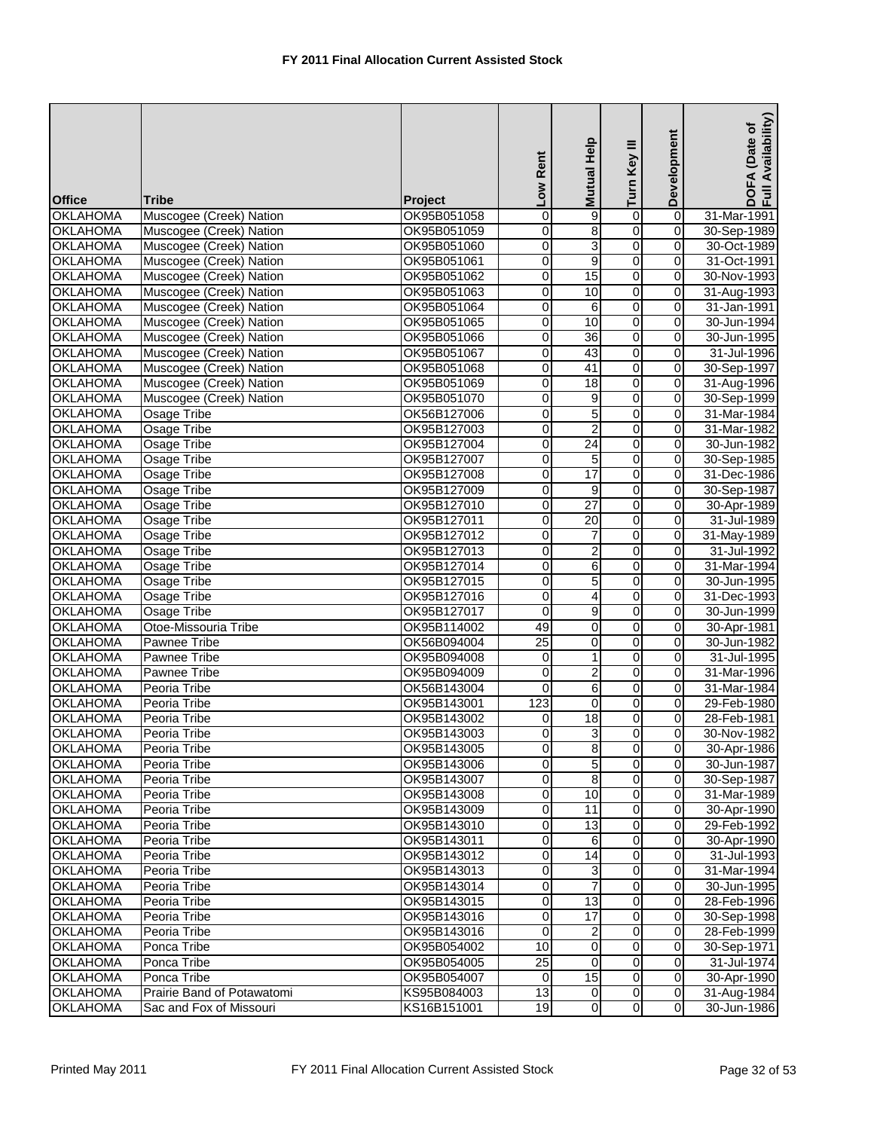| <b>Office</b>                      | Tribe                      | <b>Project</b> | Low Rent                | Mutual Help     | Turn Key III        | Development             | Availability)<br>(Date of<br>DOFA<br>Full Av |
|------------------------------------|----------------------------|----------------|-------------------------|-----------------|---------------------|-------------------------|----------------------------------------------|
| <b>OKLAHOMA</b>                    | Muscogee (Creek) Nation    | OK95B051058    | 0                       | 9               | $\overline{0}$      | $\overline{\mathsf{o}}$ | 31-Mar-1991                                  |
| <b>OKLAHOMA</b>                    | Muscogee (Creek) Nation    | OK95B051059    | $\mathbf 0$             | 8               | 0                   | $\overline{0}$          | 30-Sep-1989                                  |
| <b>OKLAHOMA</b>                    | Muscogee (Creek) Nation    | OK95B051060    | $\overline{0}$          | 3               | $\overline{0}$      | $\overline{0}$          | 30-Oct-1989                                  |
| <b>OKLAHOMA</b>                    | Muscogee (Creek) Nation    | OK95B051061    | 0                       | 9               | O                   | 0                       | 31-Oct-1991                                  |
| <b>OKLAHOMA</b>                    | Muscogee (Creek) Nation    | OK95B051062    | $\overline{\mathbf{0}}$ | 15              | O                   | 0                       | 30-Nov-1993                                  |
| <b>OKLAHOMA</b>                    | Muscogee (Creek) Nation    | OK95B051063    | 0                       | 10              | $\mathsf{O}\xspace$ | 0                       | 31-Aug-1993                                  |
| <b>OKLAHOMA</b>                    | Muscogee (Creek) Nation    | OK95B051064    | $\mathbf 0$             | 6               | $\overline{0}$      | $\mathbf 0$             | 31-Jan-1991                                  |
| <b>OKLAHOMA</b>                    | Muscogee (Creek) Nation    | OK95B051065    | 0                       | 10              | $\overline{0}$      | $\mathbf 0$             | 30-Jun-1994                                  |
| <b>OKLAHOMA</b>                    | Muscogee (Creek) Nation    | OK95B051066    | 0                       | 36              | 0                   | 0                       | 30-Jun-1995                                  |
| <b>OKLAHOMA</b>                    | Muscogee (Creek) Nation    |                | $\mathsf{O}\xspace$     | 43              | $\overline{0}$      | 0                       | 31-Jul-1996                                  |
|                                    |                            | OK95B051067    | 0                       | 41              | 0                   | 0                       | 30-Sep-1997                                  |
| <b>OKLAHOMA</b><br><b>OKLAHOMA</b> | Muscogee (Creek) Nation    | OK95B051068    | $\overline{\mathbf{0}}$ | 18              | $\overline{0}$      | $\overline{O}$          |                                              |
|                                    | Muscogee (Creek) Nation    | OK95B051069    |                         |                 |                     |                         | 31-Aug-1996                                  |
| <b>OKLAHOMA</b>                    | Muscogee (Creek) Nation    | OK95B051070    | 0                       | 9               | O                   | 0                       | 30-Sep-1999                                  |
| <b>OKLAHOMA</b>                    | <b>Osage Tribe</b>         | OK56B127006    | 0                       | 5               | $\overline{0}$      | 0                       | 31-Mar-1984                                  |
| <b>OKLAHOMA</b>                    | <b>Osage Tribe</b>         | OK95B127003    | 0                       | $\overline{c}$  | $\overline{0}$      | 0                       | 31-Mar-1982                                  |
| <b>OKLAHOMA</b>                    | <b>Osage Tribe</b>         | OK95B127004    | 0                       | $\overline{24}$ | $\overline{0}$      | $\overline{0}$          | 30-Jun-1982                                  |
| <b>OKLAHOMA</b>                    | Osage Tribe                | OK95B127007    | 0                       | 5               | $\overline{0}$      | $\pmb{0}$               | 30-Sep-1985                                  |
| <b>OKLAHOMA</b>                    | <b>Osage Tribe</b>         | OK95B127008    | 0                       | 17              | 0                   | 0                       | 31-Dec-1986                                  |
| <b>OKLAHOMA</b>                    | <b>Osage Tribe</b>         | OK95B127009    | $\pmb{0}$               | 9               | $\overline{0}$      | $\overline{\mathbf{0}}$ | 30-Sep-1987                                  |
| <b>OKLAHOMA</b>                    | Osage Tribe                | OK95B127010    | 0                       | $\overline{27}$ | 0                   | $\overline{0}$          | 30-Apr-1989                                  |
| <b>OKLAHOMA</b>                    | Osage Tribe                | OK95B127011    | $\mathbf 0$             | 20              | $\overline{0}$      | $\mathbf 0$             | 31-Jul-1989                                  |
| <b>OKLAHOMA</b>                    | Osage Tribe                | OK95B127012    | 0                       | 7               | O                   | 0                       | 31-May-1989                                  |
| <b>OKLAHOMA</b>                    | <b>Osage Tribe</b>         | OK95B127013    | $\mathbf 0$             | 2               | $\overline{0}$      | $\pmb{0}$               | 31-Jul-1992                                  |
| <b>OKLAHOMA</b>                    | <b>Osage Tribe</b>         | OK95B127014    | 0                       | 6               | $\overline{0}$      | 0                       | 31-Mar-1994                                  |
| <b>OKLAHOMA</b>                    | Osage Tribe                | OK95B127015    | $\overline{0}$          | 5               | 0                   | 0                       | 30-Jun-1995                                  |
| <b>OKLAHOMA</b>                    | <b>Osage Tribe</b>         | OK95B127016    | $\overline{0}$          | 4               | $\overline{0}$      | $\pmb{0}$               | 31-Dec-1993                                  |
| <b>OKLAHOMA</b>                    | <b>Osage Tribe</b>         | OK95B127017    | 0                       | 9               | 0                   | 0                       | 30-Jun-1999                                  |
| <b>OKLAHOMA</b>                    | Otoe-Missouria Tribe       | OK95B114002    | 49                      | 0               | 0                   | $\Omega$                | 30-Apr-1981                                  |
| <b>OKLAHOMA</b>                    | Pawnee Tribe               | OK56B094004    | $\overline{25}$         | 0               | 0                   | 0                       | 30-Jun-1982                                  |
| <b>OKLAHOMA</b>                    | Pawnee Tribe               | OK95B094008    | $\mathbf 0$             | 1               | $\overline{0}$      | 0                       | 31-Jul-1995                                  |
| <b>OKLAHOMA</b>                    | Pawnee Tribe               | OK95B094009    | $\mathbf 0$             | 2               | $\overline{0}$      | 0                       | 31-Mar-1996                                  |
| <b>OKLAHOMA</b>                    | Peoria Tribe               | OK56B143004    | $\mathbf 0$             | 6               | $\overline{0}$      | $\mathbf 0$             | 31-Mar-1984                                  |
| <b>OKLAHOMA</b>                    | Peoria Tribe               | OK95B143001    | 123                     | 0               | $\overline{0}$      | $\overline{0}$          | 29-Feb-1980                                  |
| <b>OKLAHOMA</b>                    | Peoria Tribe               | OK95B143002    | 0                       | 18              | 0                   | 0                       | 28-Feb-1981                                  |
| <b>OKLAHOMA</b>                    | Peoria Tribe               | OK95B143003    | $\overline{0}$          | 3               | $\overline{0}$      | $\overline{0}$          | 30-Nov-1982                                  |
| <b>OKLAHOMA</b>                    | Peoria Tribe               | OK95B143005    | $\mathbf 0$             | 8               | $\overline{O}$      | $\overline{0}$          | 30-Apr-1986                                  |
| <b>OKLAHOMA</b>                    | Peoria Tribe               | OK95B143006    | $\pmb{0}$               | 5               | $\overline{0}$      | 0                       | 30-Jun-1987                                  |
| <b>OKLAHOMA</b>                    | Peoria Tribe               | OK95B143007    | $\mathbf 0$             | 8               | $\overline{0}$      | $\mathbf 0$             | 30-Sep-1987                                  |
| <b>OKLAHOMA</b>                    | Peoria Tribe               | OK95B143008    | $\mathbf 0$             | 10              | $\overline{0}$      | $\mathbf 0$             | 31-Mar-1989                                  |
| <b>OKLAHOMA</b>                    | Peoria Tribe               | OK95B143009    | $\overline{0}$          | 11              | $\overline{0}$      | $\mathbf 0$             | 30-Apr-1990                                  |
| <b>OKLAHOMA</b>                    | Peoria Tribe               | OK95B143010    | $\mathbf 0$             | 13              | $\overline{0}$      | 0                       | 29-Feb-1992                                  |
| <b>OKLAHOMA</b>                    | Peoria Tribe               | OK95B143011    | $\overline{\mathbf{0}}$ | 6               | $\overline{0}$      | $\overline{0}$          | 30-Apr-1990                                  |
| <b>OKLAHOMA</b>                    | Peoria Tribe               | OK95B143012    | 0                       | 14              | $\overline{0}$      | $\mathbf 0$             | 31-Jul-1993                                  |
| <b>OKLAHOMA</b>                    | Peoria Tribe               | OK95B143013    | $\overline{0}$          | 3               | $\overline{0}$      | $\overline{0}$          | 31-Mar-1994                                  |
| <b>OKLAHOMA</b>                    | Peoria Tribe               | OK95B143014    | $\overline{0}$          | 7               | $\pmb{0}$           | $\mathbf 0$             | 30-Jun-1995                                  |
| <b>OKLAHOMA</b>                    | Peoria Tribe               | OK95B143015    | $\overline{0}$          | 13              | $\overline{0}$      | $\mathbf 0$             | 28-Feb-1996                                  |
| <b>OKLAHOMA</b>                    | Peoria Tribe               | OK95B143016    | $\mathbf 0$             | 17              | $\overline{0}$      | $\mathbf 0$             | 30-Sep-1998                                  |
| <b>OKLAHOMA</b>                    | Peoria Tribe               | OK95B143016    | $\mathbf 0$             | 2               | $\overline{0}$      | $\mathbf 0$             | 28-Feb-1999                                  |
| <b>OKLAHOMA</b>                    | Ponca Tribe                | OK95B054002    | 10                      | 0               | $\overline{0}$      | $\pmb{0}$               | 30-Sep-1971                                  |
| <b>OKLAHOMA</b>                    | Ponca Tribe                | OK95B054005    | 25                      | 0               | $\overline{0}$      | 0                       | 31-Jul-1974                                  |
| <b>OKLAHOMA</b>                    | Ponca Tribe                | OK95B054007    | $\overline{0}$          | 15              | $\overline{0}$      | $\overline{0}$          | 30-Apr-1990                                  |
| <b>OKLAHOMA</b>                    | Prairie Band of Potawatomi | KS95B084003    | 13                      | $\mathbf 0$     | $\overline{0}$      | $\mathbf 0$             | 31-Aug-1984                                  |
| <b>OKLAHOMA</b>                    | Sac and Fox of Missouri    | KS16B151001    | 19                      | $\overline{0}$  | $\overline{0}$      | $\mathbf 0$             | 30-Jun-1986                                  |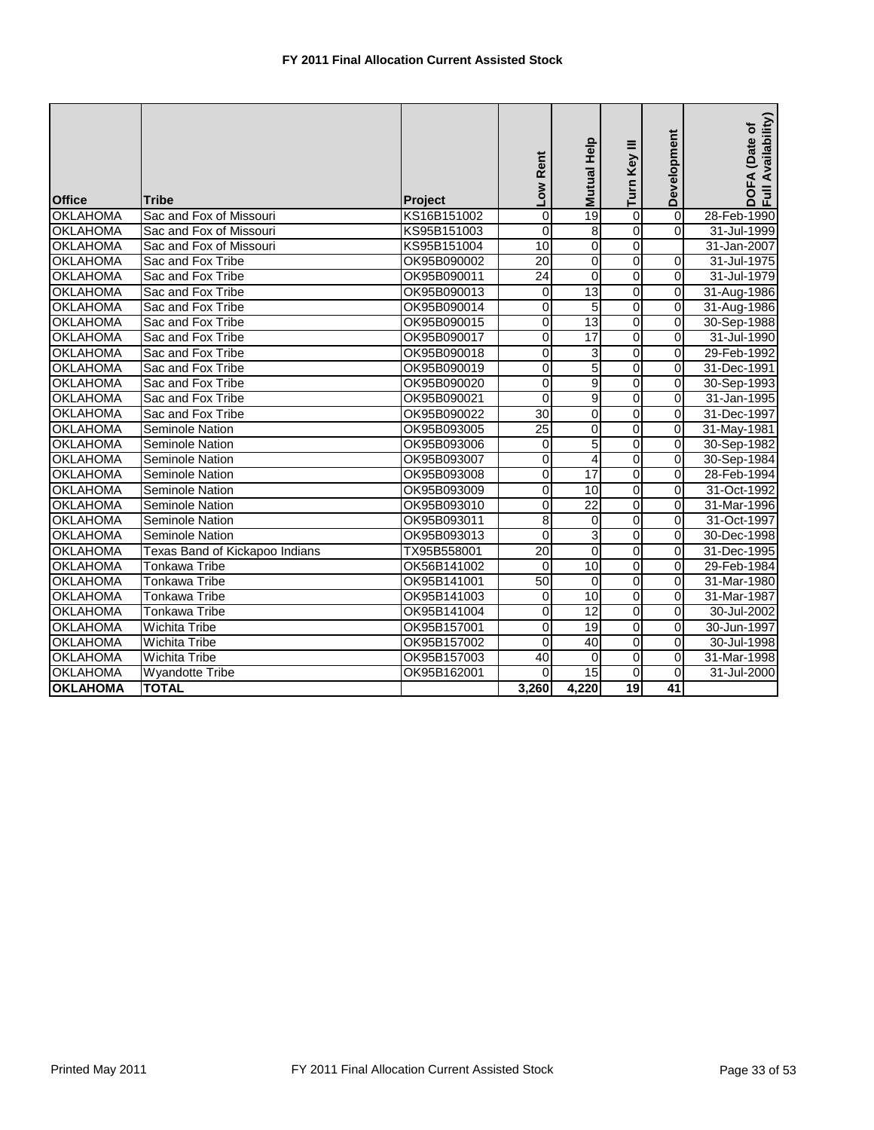| <b>Office</b>   | Tribe                          | <b>Project</b> | Low Rent        | Mutual Help     | Turn Key III   | Development             | Full Availability)<br>(Date of<br>DOFA |
|-----------------|--------------------------------|----------------|-----------------|-----------------|----------------|-------------------------|----------------------------------------|
| <b>OKLAHOMA</b> | Sac and Fox of Missouri        | KS16B151002    | 0               | 19              | 0              | $\mathbf 0$             | 28-Feb-1990                            |
| <b>OKLAHOMA</b> | Sac and Fox of Missouri        | KS95B151003    | 0               | 8               | ō              | $\Omega$                | 31-Jul-1999                            |
| <b>OKLAHOMA</b> | Sac and Fox of Missouri        | KS95B151004    | 10              | 0               | 0              |                         | 31-Jan-2007                            |
| <b>OKLAHOMA</b> | Sac and Fox Tribe              | OK95B090002    | 20              | 0               | 0              | $\mathbf 0$             | 31-Jul-1975                            |
| <b>OKLAHOMA</b> | Sac and Fox Tribe              | OK95B090011    | 24              | $\Omega$        | $\overline{0}$ | $\overline{0}$          | 31-Jul-1979                            |
| <b>OKLAHOMA</b> | Sac and Fox Tribe              | OK95B090013    | $\mathbf 0$     | 13              | $\overline{0}$ | $\overline{0}$          | 31-Aug-1986                            |
| <b>OKLAHOMA</b> | Sac and Fox Tribe              | OK95B090014    | 0               | 5               | $\overline{0}$ | 0                       | 31-Aug-1986                            |
| <b>OKLAHOMA</b> | Sac and Fox Tribe              | OK95B090015    | 0               | 13              | 0              | 0                       | 30-Sep-1988                            |
| <b>OKLAHOMA</b> | Sac and Fox Tribe              | OK95B090017    | 0               | 17              | 0              | $\Omega$                | 31-Jul-1990                            |
| <b>OKLAHOMA</b> | Sac and Fox Tribe              | OK95B090018    | $\mathbf 0$     | 3               | $\overline{0}$ | 0                       | 29-Feb-1992                            |
| <b>OKLAHOMA</b> | Sac and Fox Tribe              | OK95B090019    | $\overline{0}$  | 5               | $\overline{0}$ | $\Omega$                | 31-Dec-1991                            |
| <b>OKLAHOMA</b> | Sac and Fox Tribe              | OK95B090020    | $\Omega$        | $\overline{9}$  | $\overline{0}$ | 0                       | 30-Sep-1993                            |
| <b>OKLAHOMA</b> | Sac and Fox Tribe              | OK95B090021    | $\Omega$        | 9               | 0              | 0                       | 31-Jan-1995                            |
| <b>OKLAHOMA</b> | Sac and Fox Tribe              | OK95B090022    | $\overline{30}$ | 0               | ō              | 0                       | 31-Dec-1997                            |
| <b>OKLAHOMA</b> | <b>Seminole Nation</b>         | OK95B093005    | $\overline{25}$ | 0               | $\overline{0}$ | $\overline{\mathsf{o}}$ | 31-May-1981                            |
| <b>OKLAHOMA</b> | <b>Seminole Nation</b>         | OK95B093006    | $\mathbf 0$     | 5               | $\overline{0}$ | $\overline{\mathbf{0}}$ | 30-Sep-1982                            |
| <b>OKLAHOMA</b> | <b>Seminole Nation</b>         | OK95B093007    | 0               | 4               | $\overline{0}$ | $\overline{0}$          | 30-Sep-1984                            |
| <b>OKLAHOMA</b> | <b>Seminole Nation</b>         | OK95B093008    | $\mathbf 0$     | $\overline{17}$ | $\overline{0}$ | 0                       | 28-Feb-1994                            |
| <b>OKLAHOMA</b> | Seminole Nation                | OK95B093009    | 0               | 10              | $\overline{0}$ | 0                       | 31-Oct-1992                            |
| <b>OKLAHOMA</b> | Seminole Nation                | OK95B093010    | 0               | $\overline{22}$ | ō              | 0                       | 31-Mar-1996                            |
| <b>OKLAHOMA</b> | Seminole Nation                | OK95B093011    | 8               | 0               | $\overline{0}$ | $\overline{\mathbf{0}}$ | 31-Oct-1997                            |
| <b>OKLAHOMA</b> | Seminole Nation                | OK95B093013    | 0               | 3               | 0              | 0                       | 30-Dec-1998                            |
| <b>OKLAHOMA</b> | Texas Band of Kickapoo Indians | TX95B558001    | 20              | 0               | 0              | 0                       | 31-Dec-1995                            |
| <b>OKLAHOMA</b> | Tonkawa Tribe                  | OK56B141002    | 0               | 10              | 0              | 0                       | 29-Feb-1984                            |
| <b>OKLAHOMA</b> | Tonkawa Tribe                  | OK95B141001    | 50              | 0               | 0              | 0                       | 31-Mar-1980                            |
| <b>OKLAHOMA</b> | Tonkawa Tribe                  | OK95B141003    | $\mathbf 0$     | 10              | $\overline{0}$ | $\overline{0}$          | 31-Mar-1987                            |
| <b>OKLAHOMA</b> | Tonkawa Tribe                  | OK95B141004    | $\mathbf 0$     | $\overline{12}$ | $\overline{0}$ | $\overline{0}$          | 30-Jul-2002                            |
| <b>OKLAHOMA</b> | <b>Wichita Tribe</b>           | OK95B157001    | 0               | 19              | $\overline{0}$ | $\Omega$                | 30-Jun-1997                            |
| <b>OKLAHOMA</b> | <b>Wichita Tribe</b>           | OK95B157002    | $\Omega$        | 40              | 0              | $\Omega$                | 30-Jul-1998                            |
| <b>OKLAHOMA</b> | <b>Wichita Tribe</b>           | OK95B157003    | 40              | $\Omega$        | $\Omega$       | $\Omega$                | 31-Mar-1998                            |
| <b>OKLAHOMA</b> | <b>Wyandotte Tribe</b>         | OK95B162001    | $\Omega$        | 15              | 0              | $\mathbf 0$             | 31-Jul-2000                            |
| <b>OKLAHOMA</b> | <b>TOTAL</b>                   |                | 3,260           | 4,220           | 19             | 41                      |                                        |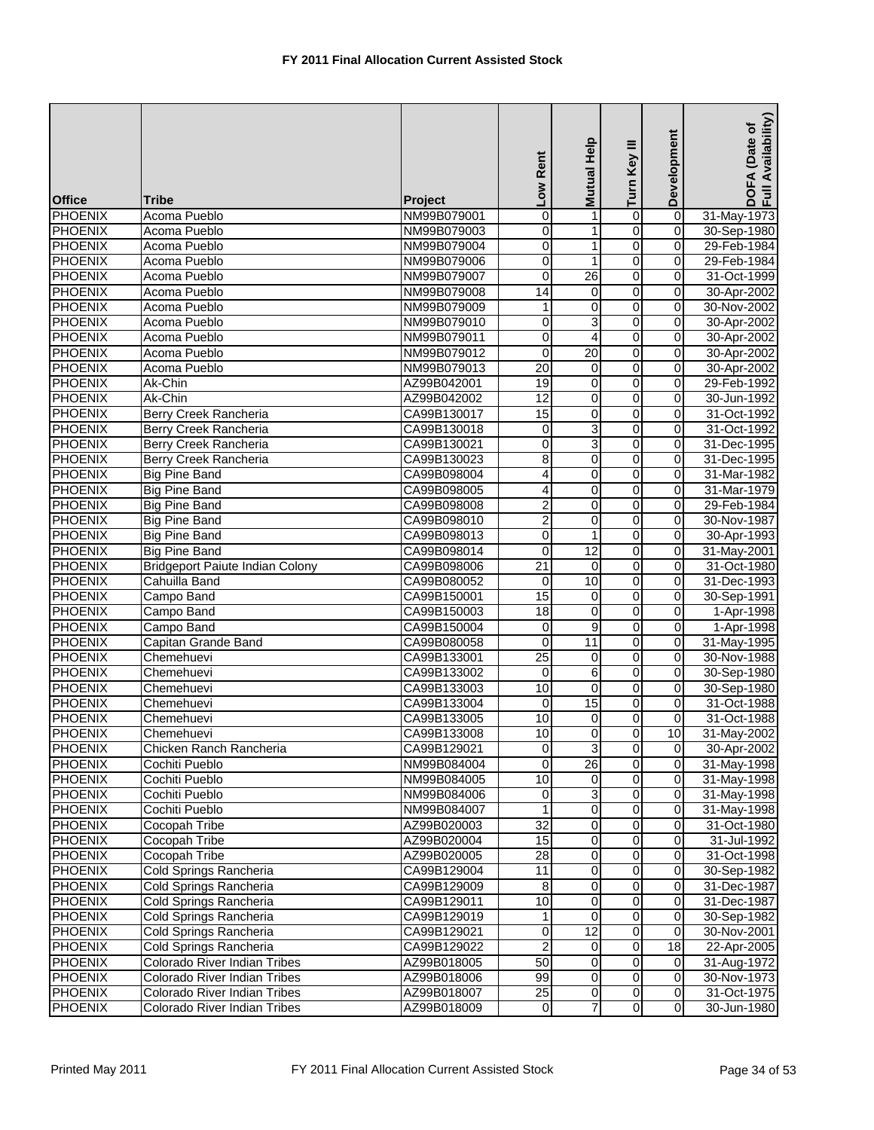| <b>Office</b>                    | Tribe                                        | <b>Project</b> | Low Rent                | Mutual Help             | Turn Key III        | Development                 | Availability)<br>(Date of<br>DOFA<br>Full Av |
|----------------------------------|----------------------------------------------|----------------|-------------------------|-------------------------|---------------------|-----------------------------|----------------------------------------------|
| <b>PHOENIX</b>                   | <b>Acoma Pueblo</b>                          | NM99B079001    | 0                       | 1                       | $\overline{0}$      | $\overline{0}$              | 31-May-1973                                  |
| <b>PHOENIX</b>                   | Acoma Pueblo                                 | NM99B079003    | $\mathbf 0$             | 1                       | o                   | 0                           | 30-Sep-1980                                  |
| <b>PHOENIX</b>                   | Acoma Pueblo                                 | NM99B079004    | $\overline{\mathbf{0}}$ | 1                       | $\overline{0}$      | $\overline{0}$              | 29-Feb-1984                                  |
| <b>PHOENIX</b>                   | Acoma Pueblo                                 | NM99B079006    | 0                       | 1                       | o                   | 0                           | 29-Feb-1984                                  |
| <b>PHOENIX</b>                   | Acoma Pueblo                                 | NM99B079007    | $\mathbf 0$             | $\overline{26}$         | $\overline{0}$      | 0                           | 31-Oct-1999                                  |
| <b>PHOENIX</b>                   | Acoma Pueblo                                 | NM99B079008    | 14                      | 0                       | $\mathbf 0$         | 0                           | 30-Apr-2002                                  |
| <b>PHOENIX</b>                   | Acoma Pueblo                                 | NM99B079009    | 1                       | 0                       | $\overline{0}$      | 0                           | 30-Nov-2002                                  |
| <b>PHOENIX</b>                   | Acoma Pueblo                                 | NM99B079010    | 0                       | 3                       | $\overline{0}$      | 0                           | 30-Apr-2002                                  |
| <b>PHOENIX</b>                   | Acoma Pueblo                                 | NM99B079011    | 0                       | 4                       | 0                   | 0                           | 30-Apr-2002                                  |
| <b>PHOENIX</b>                   | Acoma Pueblo                                 | NM99B079012    | $\overline{0}$          | $\overline{20}$         | $\overline{0}$      | $\mathbf 0$                 | 30-Apr-2002                                  |
| <b>PHOENIX</b>                   | Acoma Pueblo                                 | NM99B079013    | $\overline{20}$         | 0                       | o                   | 0                           | 30-Apr-2002                                  |
| <b>PHOENIX</b>                   | Ak-Chin                                      | AZ99B042001    | 19                      | 0                       | $\overline{0}$      | $\overline{0}$              | 29-Feb-1992                                  |
| <b>PHOENIX</b>                   | Ak-Chin                                      | AZ99B042002    | 12                      | 0                       | $\overline{0}$      | 0                           | 30-Jun-1992                                  |
| <b>PHOENIX</b>                   | <b>Berry Creek Rancheria</b>                 | CA99B130017    | 15                      | 0                       | O                   | 0                           | 31-Oct-1992                                  |
| <b>PHOENIX</b>                   | Berry Creek Rancheria                        | CA99B130018    | $\overline{\mathbf{0}}$ | 3                       | $\overline{0}$      | 0                           | 31-Oct-1992                                  |
| <b>PHOENIX</b>                   | Berry Creek Rancheria                        | CA99B130021    | 0                       | 3                       | 0                   | 0                           | 31-Dec-1995                                  |
| <b>PHOENIX</b>                   | Berry Creek Rancheria                        | CA99B130023    | $\overline{8}$          | 0                       | $\overline{0}$      | 0                           | 31-Dec-1995                                  |
| <b>PHOENIX</b>                   | <b>Big Pine Band</b>                         | CA99B098004    | 4                       | 0                       | 0                   | 0                           | 31-Mar-1982                                  |
| <b>PHOENIX</b>                   | <b>Big Pine Band</b>                         | CA99B098005    | 4                       | 0                       | $\overline{0}$      | $\overline{\mathbf{0}}$     | 31-Mar-1979                                  |
| <b>PHOENIX</b>                   | <b>Big Pine Band</b>                         | CA99B098008    | 2                       | 0                       | 0                   | 0                           | 29-Feb-1984                                  |
| <b>PHOENIX</b>                   |                                              | CA99B098010    | $\overline{2}$          | 0                       | O                   | $\pmb{0}$                   |                                              |
| <b>PHOENIX</b>                   | <b>Big Pine Band</b><br><b>Big Pine Band</b> | CA99B098013    |                         | 1                       | o                   | 0                           | 30-Nov-1987<br>30-Apr-1993                   |
|                                  | <b>Big Pine Band</b>                         |                | 0                       |                         | $\overline{0}$      |                             |                                              |
| <b>PHOENIX</b>                   |                                              | CA99B098014    | $\mathbf 0$             | $\overline{12}$         |                     | $\pmb{0}$                   | 31-May-2001                                  |
| <b>PHOENIX</b>                   | <b>Bridgeport Paiute Indian Colony</b>       | CA99B098006    | $\overline{21}$         | 0                       | $\overline{0}$      | 0                           | 31-Oct-1980                                  |
| <b>PHOENIX</b>                   | Cahuilla Band                                | CA99B080052    | 0<br>15                 | 10                      | 0<br>$\overline{0}$ | 0                           | 31-Dec-1993                                  |
| <b>PHOENIX</b>                   | Campo Band                                   | CA99B150001    |                         | 0                       | $\overline{0}$      | $\pmb{0}$                   | 30-Sep-1991                                  |
| <b>PHOENIX</b><br><b>PHOENIX</b> | Campo Band                                   | CA99B150003    | 18                      | 0<br>9                  |                     | $\pmb{0}$<br>$\mathbf 0$    | 1-Apr-1998                                   |
|                                  | Campo Band                                   | CA99B150004    | $\overline{\mathsf{o}}$ |                         | 0                   |                             | 1-Apr-1998                                   |
| <b>PHOENIX</b><br><b>PHOENIX</b> | Capitan Grande Band                          | CA99B080058    | 0<br>$\overline{25}$    | 11                      | 0<br>$\overline{0}$ | 0                           | 31-May-1995                                  |
|                                  | Chemehuevi                                   | CA99B133001    |                         | $\overline{0}$          | $\overline{0}$      | $\pmb{0}$<br>$\overline{0}$ | 30-Nov-1988                                  |
| <b>PHOENIX</b>                   | Chemehuevi                                   | CA99B133002    | $\mathbf 0$             | 6                       | $\overline{0}$      |                             | 30-Sep-1980                                  |
| <b>PHOENIX</b>                   | Chemehuevi                                   | CA99B133003    | 10                      | 0                       |                     | $\mathbf 0$                 | 30-Sep-1980                                  |
| <b>PHOENIX</b>                   | Chemehuevi                                   | CA99B133004    | $\overline{0}$          | 15                      | $\overline{0}$      | 0                           | 31-Oct-1988                                  |
| <b>PHOENIX</b>                   | Chemehuevi                                   | CA99B133005    | 10                      | 0                       | 0<br>$\overline{0}$ | 0                           | 31-Oct-1988                                  |
| PHOENIX                          | Chemehuevi                                   | CA99B133008    | 10                      | $\overline{0}$          |                     | 10 <sup>1</sup>             | 31-May-2002                                  |
| <b>PHOENIX</b>                   | Chicken Ranch Rancheria                      | CA99B129021    | $\overline{0}$<br>o     | دن<br>26                | $\overline{0}$<br>0 | $\mathbf 0$<br>0            | 30-Apr-2002                                  |
| <b>PHOENIX</b>                   | Cochiti Pueblo                               | NM99B084004    |                         |                         |                     |                             | 31-May-1998                                  |
| <b>PHOENIX</b>                   | Cochiti Pueblo                               | NM99B084005    | $\overline{10}$         | 0                       | O<br>$\overline{0}$ | 0                           | 31-May-1998                                  |
| <b>PHOENIX</b>                   | Cochiti Pueblo                               | NM99B084006    | $\mathbf 0$             | 3                       |                     | $\mathbf 0$                 | 31-May-1998                                  |
| <b>PHOENIX</b>                   | Cochiti Pueblo                               | NM99B084007    | 1                       | 0                       | $\overline{0}$      | $\overline{\mathbf{o}}$     | 31-May-1998                                  |
| <b>PHOENIX</b>                   | Cocopah Tribe<br><b>Cocopah Tribe</b>        | AZ99B020003    | 32                      | 0                       | 0                   | 0                           | 31-Oct-1980                                  |
| <b>PHOENIX</b>                   |                                              | AZ99B020004    | 15                      | 0                       | $\overline{0}$      | 0                           | 31-Jul-1992                                  |
| <b>PHOENIX</b>                   | <b>Cocopah Tribe</b>                         | AZ99B020005    | 28                      | 0                       | $\overline{0}$      | 0                           | 31-Oct-1998                                  |
| <b>PHOENIX</b>                   | Cold Springs Rancheria                       | CA99B129004    | $\overline{11}$         | $\overline{0}$          | $\overline{0}$      | $\overline{0}$              | 30-Sep-1982                                  |
| <b>PHOENIX</b>                   | Cold Springs Rancheria                       | CA99B129009    | $\infty$                | 0                       | O                   | $\pmb{0}$                   | 31-Dec-1987                                  |
| <b>PHOENIX</b>                   | Cold Springs Rancheria                       | CA99B129011    | 10                      | $\overline{0}$          | $\overline{0}$      | $\mathbf 0$                 | 31-Dec-1987                                  |
| <b>PHOENIX</b>                   | Cold Springs Rancheria                       | CA99B129019    | 1                       | 0                       | $\overline{0}$      | 0                           | 30-Sep-1982                                  |
| <b>PHOENIX</b>                   | Cold Springs Rancheria                       | CA99B129021    | $\pmb{0}$               | 12                      | $\overline{0}$      | $\pmb{0}$                   | 30-Nov-2001                                  |
| <b>PHOENIX</b>                   | Cold Springs Rancheria                       | CA99B129022    | $\overline{2}$          | 0                       | $\overline{0}$      | 18                          | 22-Apr-2005                                  |
| <b>PHOENIX</b>                   | Colorado River Indian Tribes                 | AZ99B018005    | 50                      | 0                       | 0                   | 0                           | 31-Aug-1972                                  |
| <b>PHOENIX</b>                   | Colorado River Indian Tribes                 | AZ99B018006    | 99                      | $\pmb{0}$               | $\overline{0}$      | $\pmb{0}$                   | 30-Nov-1973                                  |
| <b>PHOENIX</b>                   | Colorado River Indian Tribes                 | AZ99B018007    | $\overline{25}$         | $\overline{\mathbf{o}}$ | $\overline{0}$      | $\overline{\mathbf{o}}$     | 31-Oct-1975                                  |
| <b>PHOENIX</b>                   | Colorado River Indian Tribes                 | AZ99B018009    | $\overline{\mathbf{o}}$ | 7                       | $\overline{0}$      | $\overline{\mathsf{o}}$     | 30-Jun-1980                                  |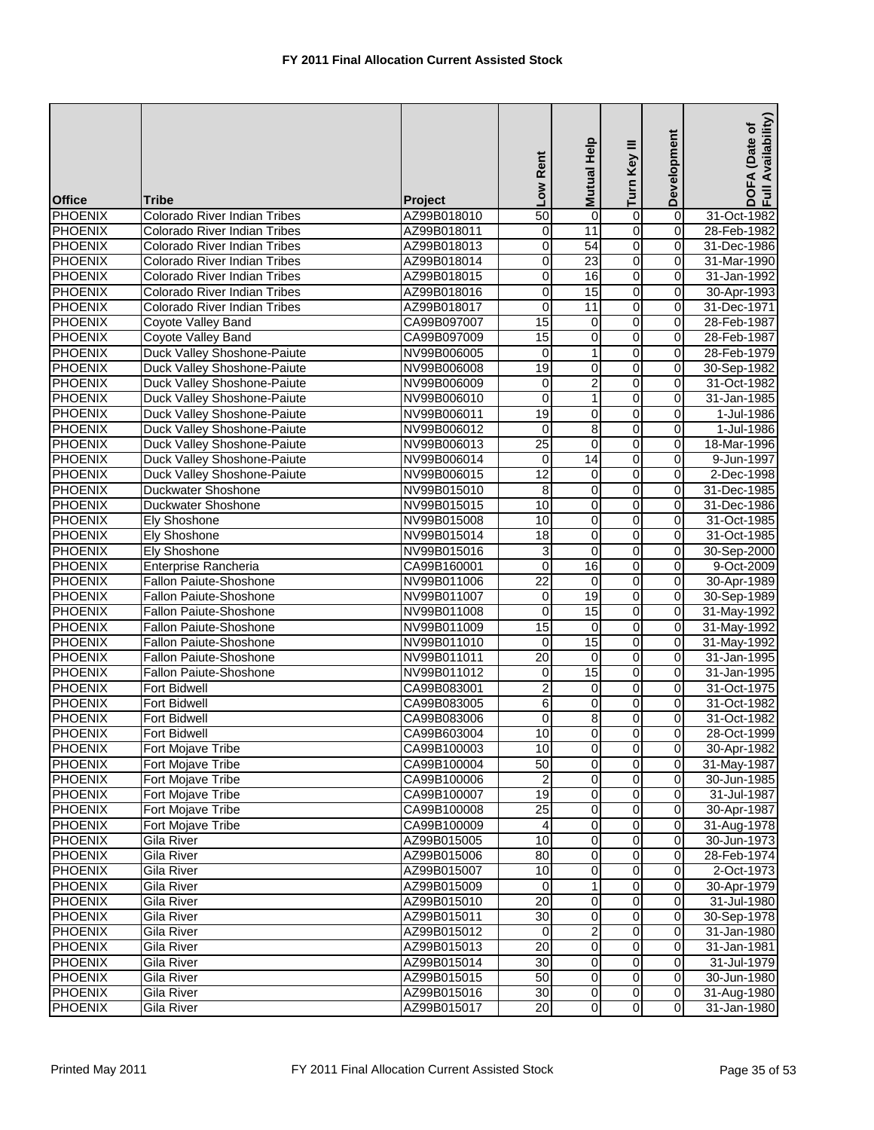| <b>Office</b>  | Tribe                              | <b>Project</b> | Low Rent                | Mutual Help             | Turn Key III   | Development             | DOFA (Date of<br>Full Availability) |
|----------------|------------------------------------|----------------|-------------------------|-------------------------|----------------|-------------------------|-------------------------------------|
| <b>PHOENIX</b> | Colorado River Indian Tribes       | AZ99B018010    | 50                      | $\overline{0}$          | $\overline{0}$ | $\overline{0}$          | 31-Oct-1982                         |
| <b>PHOENIX</b> | Colorado River Indian Tribes       | AZ99B018011    | $\mathbf 0$             | 11                      | 0              | 0                       | 28-Feb-1982                         |
| <b>PHOENIX</b> | Colorado River Indian Tribes       | AZ99B018013    | $\overline{\mathbf{0}}$ | 54                      | $\overline{0}$ | 0                       | 31-Dec-1986                         |
| <b>PHOENIX</b> | Colorado River Indian Tribes       | AZ99B018014    | $\overline{\mathbf{0}}$ | $\overline{23}$         | $\overline{0}$ | 0                       | 31-Mar-1990                         |
| <b>PHOENIX</b> | Colorado River Indian Tribes       | AZ99B018015    | $\mathbf 0$             | 16                      | $\overline{0}$ | 0                       | 31-Jan-1992                         |
| <b>PHOENIX</b> | Colorado River Indian Tribes       | AZ99B018016    | 0                       | 15                      | $\overline{0}$ | 0                       | 30-Apr-1993                         |
| <b>PHOENIX</b> | Colorado River Indian Tribes       | AZ99B018017    | 0                       | 11                      | 0              | 0                       | 31-Dec-1971                         |
| <b>PHOENIX</b> | Coyote Valley Band                 | CA99B097007    | 15                      | $\boldsymbol{0}$        | $\overline{0}$ | $\overline{\mathbf{0}}$ | 28-Feb-1987                         |
| <b>PHOENIX</b> | Coyote Valley Band                 | CA99B097009    | 15                      | 0                       | $\overline{0}$ | 0                       | 28-Feb-1987                         |
| <b>PHOENIX</b> | Duck Valley Shoshone-Paiute        | NV99B006005    | 0                       | 1                       | O              | 0                       | 28-Feb-1979                         |
| <b>PHOENIX</b> | Duck Valley Shoshone-Paiute        | NV99B006008    | 19                      | 0                       | 0              | 0                       | 30-Sep-1982                         |
| <b>PHOENIX</b> | Duck Valley Shoshone-Paiute        | NV99B006009    | 0                       | $\overline{2}$          | o              | $\pmb{0}$               | 31-Oct-1982                         |
| <b>PHOENIX</b> | Duck Valley Shoshone-Paiute        | NV99B006010    | $\overline{0}$          | 1                       | $\overline{0}$ | $\overline{0}$          | 31-Jan-1985                         |
| <b>PHOENIX</b> | Duck Valley Shoshone-Paiute        | NV99B006011    | 19                      | 0                       | 0              | 0                       | 1-Jul-1986                          |
| <b>PHOENIX</b> | <b>Duck Valley Shoshone-Paiute</b> | NV99B006012    | $\mathbf 0$             | 8                       | 0              | 0                       | 1-Jul-1986                          |
| <b>PHOENIX</b> | Duck Valley Shoshone-Paiute        | NV99B006013    | $\overline{25}$         | 0                       | 0              | 0                       | 18-Mar-1996                         |
| <b>PHOENIX</b> | Duck Valley Shoshone-Paiute        | NV99B006014    | $\mathbf 0$             | 14                      | $\overline{0}$ | $\overline{0}$          | 9-Jun-1997                          |
| <b>PHOENIX</b> | Duck Valley Shoshone-Paiute        | NV99B006015    | 12                      | 0                       | 0              | $\overline{0}$          | 2-Dec-1998                          |
| <b>PHOENIX</b> | <b>Duckwater Shoshone</b>          | NV99B015010    | 8                       | 0                       | 0              | 0                       | 31-Dec-1985                         |
| <b>PHOENIX</b> | Duckwater Shoshone                 | NV99B015015    | 10                      | 0                       | 0              | 0                       | 31-Dec-1986                         |
| <b>PHOENIX</b> | Ely Shoshone                       | NV99B015008    | 10                      | 0                       | $\overline{0}$ | $\pmb{0}$               | 31-Oct-1985                         |
| <b>PHOENIX</b> | <b>Ely Shoshone</b>                | NV99B015014    | $\overline{18}$         | 0                       | $\overline{0}$ | $\mathbf 0$             | 31-Oct-1985                         |
| <b>PHOENIX</b> | Ely Shoshone                       | NV99B015016    | 3                       | 0                       | $\overline{0}$ | 0                       | 30-Sep-2000                         |
| <b>PHOENIX</b> | Enterprise Rancheria               | CA99B160001    | $\pmb{0}$               | 16                      | $\overline{0}$ | 0                       | 9-Oct-2009                          |
| <b>PHOENIX</b> | Fallon Paiute-Shoshone             | NV99B011006    | $\overline{22}$         | 0                       | $\overline{0}$ | 0                       | 30-Apr-1989                         |
| <b>PHOENIX</b> | Fallon Paiute-Shoshone             | NV99B011007    | 0                       | 19                      | O              | $\pmb{0}$               | 30-Sep-1989                         |
| <b>PHOENIX</b> | Fallon Paiute-Shoshone             | NV99B011008    | 0                       | 15                      | O              | 0                       | 31-May-1992                         |
| <b>PHOENIX</b> | Fallon Paiute-Shoshone             | NV99B011009    | 15                      | 0                       | Ō              | 0                       | 31-May-1992                         |
| <b>PHOENIX</b> | Fallon Paiute-Shoshone             | NV99B011010    | 0                       | 15                      | O              | 0                       | 31-May-1992                         |
| <b>PHOENIX</b> | Fallon Paiute-Shoshone             | NV99B011011    | $\overline{20}$         | 0                       | O              | $\mathbf 0$             | 31-Jan-1995                         |
| <b>PHOENIX</b> | Fallon Paiute-Shoshone             | NV99B011012    | 0                       | $\overline{15}$         | $\overline{0}$ | 0                       | 31-Jan-1995                         |
| <b>PHOENIX</b> | <b>Fort Bidwell</b>                | CA99B083001    | 2                       | 0                       | $\overline{0}$ | 0                       | 31-Oct-1975                         |
| <b>PHOENIX</b> | <b>Fort Bidwell</b>                | CA99B083005    | 6                       | 0                       | $\overline{0}$ | 0                       | 31-Oct-1982                         |
| <b>PHOENIX</b> | <b>Fort Bidwell</b>                | CA99B083006    | 0                       | 8                       | o              | 0                       | 31-Oct-1982                         |
| PHOENIX        | <b>Fort Bidwell</b>                | CA99B603004    | 10                      | $\overline{0}$          | $\overline{0}$ | $\overline{0}$          | 28-Oct-1999                         |
| <b>PHOENIX</b> | Fort Mojave Tribe                  | CA99B100003    | 10                      | $\overline{0}$          | $\overline{0}$ | $\mathbf 0$             | 30-Apr-1982                         |
| <b>PHOENIX</b> | Fort Mojave Tribe                  | CA99B100004    | 50                      | 0                       | $\pmb{0}$      | $\pmb{0}$               | 31-May-1987                         |
| <b>PHOENIX</b> | Fort Mojave Tribe                  | CA99B100006    | $\overline{\mathbf{c}}$ | 0                       | $\overline{0}$ | $\pmb{0}$               | 30-Jun-1985                         |
| <b>PHOENIX</b> | Fort Mojave Tribe                  | CA99B100007    | 19                      | 0                       | $\overline{0}$ | $\mathbf 0$             | 31-Jul-1987                         |
| <b>PHOENIX</b> | Fort Mojave Tribe                  | CA99B100008    | 25                      | 0                       | $\overline{0}$ | $\mathbf 0$             | 30-Apr-1987                         |
| <b>PHOENIX</b> | Fort Mojave Tribe                  | CA99B100009    | 4                       | 0                       | 0              | 0                       | 31-Aug-1978                         |
| <b>PHOENIX</b> | <b>Gila River</b>                  | AZ99B015005    | 10                      | $\overline{0}$          | $\overline{0}$ | $\overline{0}$          | 30-Jun-1973                         |
| <b>PHOENIX</b> | Gila River                         | AZ99B015006    | 80                      | 0                       | $\overline{0}$ | 0                       | 28-Feb-1974                         |
| <b>PHOENIX</b> | Gila River                         | AZ99B015007    | $\overline{10}$         | 0                       | $\overline{0}$ | $\overline{\mathbf{o}}$ | 2-Oct-1973                          |
| <b>PHOENIX</b> | <b>Gila River</b>                  | AZ99B015009    | $\mathbf 0$             | 1                       | $\overline{0}$ | $\pmb{0}$               | 30-Apr-1979                         |
| <b>PHOENIX</b> | <b>Gila River</b>                  | AZ99B015010    | $\overline{20}$         | $\overline{\mathbf{0}}$ | $\overline{0}$ | $\mathbf 0$             | 31-Jul-1980                         |
| <b>PHOENIX</b> | Gila River                         | AZ99B015011    | 30                      | 0                       | $\overline{0}$ | 0                       | 30-Sep-1978                         |
| <b>PHOENIX</b> | Gila River                         | AZ99B015012    | 0                       | 2                       | $\overline{0}$ | $\pmb{0}$               | 31-Jan-1980                         |
| <b>PHOENIX</b> | Gila River                         | AZ99B015013    | 20                      | $\overline{\mathbf{0}}$ | $\overline{0}$ | $\overline{0}$          | 31-Jan-1981                         |
| <b>PHOENIX</b> | Gila River                         | AZ99B015014    | $\overline{30}$         | 0                       | $\overline{0}$ | $\pmb{0}$               | 31-Jul-1979                         |
| <b>PHOENIX</b> | Gila River                         | AZ99B015015    | 50                      | $\overline{0}$          | $\overline{0}$ | $\mathbf 0$             | 30-Jun-1980                         |
| <b>PHOENIX</b> | Gila River                         | AZ99B015016    | 30                      | $\overline{\mathbf{0}}$ | $\overline{0}$ | $\mathbf 0$             | 31-Aug-1980                         |
| <b>PHOENIX</b> | Gila River                         | AZ99B015017    | $\overline{20}$         | $\overline{0}$          | $\overline{0}$ | $\mathbf 0$             | 31-Jan-1980                         |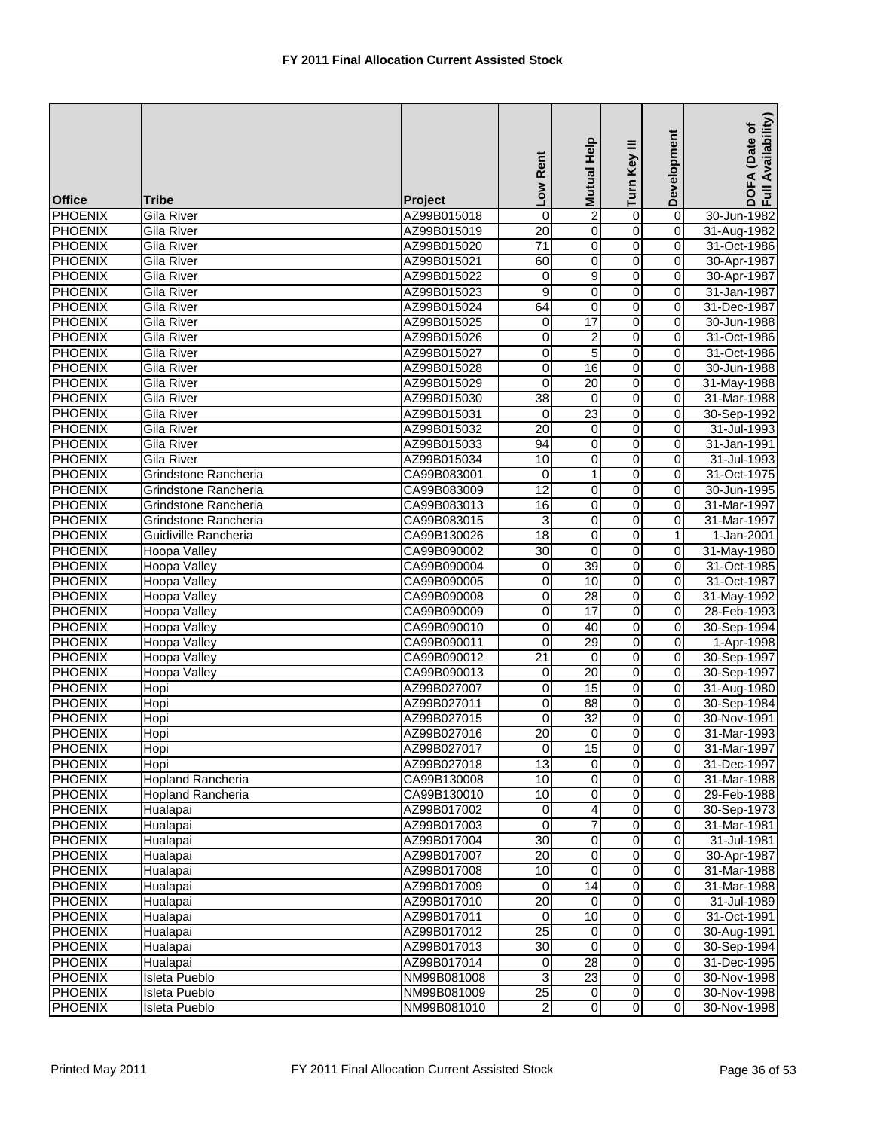| <b>Office</b>  | <b>Tribe</b>             | Project     | Low Rent        | Help<br><b>Mutual</b>   | Turn Key III   | Development         | Availability)<br>DOFA (Date of<br>Full Availability |
|----------------|--------------------------|-------------|-----------------|-------------------------|----------------|---------------------|-----------------------------------------------------|
| <b>PHOENIX</b> | Gila River               | AZ99B015018 | $\mathbf 0$     | $\overline{c}$          | $\overline{0}$ | $\overline{0}$      | 30-Jun-1982                                         |
| <b>PHOENIX</b> | Gila River               | AZ99B015019 | 20              | 0                       | 0              | 0                   | 31-Aug-1982                                         |
| <b>PHOENIX</b> | Gila River               | AZ99B015020 | $\overline{71}$ | $\overline{0}$          | $\overline{0}$ | $\overline{0}$      | 31-Oct-1986                                         |
| <b>PHOENIX</b> | <b>Gila River</b>        | AZ99B015021 | 60              | 0                       | $\overline{0}$ | 0                   | 30-Apr-1987                                         |
| <b>PHOENIX</b> | <b>Gila River</b>        | AZ99B015022 | $\overline{0}$  | $\overline{9}$          | $\overline{0}$ | $\overline{0}$      | 30-Apr-1987                                         |
| <b>PHOENIX</b> | Gila River               | AZ99B015023 | 9               | 0                       | $\overline{0}$ | $\mathbf 0$         | 31-Jan-1987                                         |
| <b>PHOENIX</b> | <b>Gila River</b>        | AZ99B015024 | 64              | 0                       | 0              | 0                   | 31-Dec-1987                                         |
| <b>PHOENIX</b> | <b>Gila River</b>        | AZ99B015025 | 0               | 17                      | 0              | 0                   | 30-Jun-1988                                         |
| <b>PHOENIX</b> | <b>Gila River</b>        | AZ99B015026 | 0               | $\overline{2}$          | 0              | 0                   | 31-Oct-1986                                         |
| <b>PHOENIX</b> | Gila River               | AZ99B015027 | 0               | 5                       | 0              | 0                   | 31-Oct-1986                                         |
| <b>PHOENIX</b> | Gila River               | AZ99B015028 | 0               | 16                      | 0              | 0                   | 30-Jun-1988                                         |
| <b>PHOENIX</b> | <b>Gila River</b>        | AZ99B015029 | $\pmb{0}$       | $\overline{20}$         | o              | $\overline{0}$      | 31-May-1988                                         |
| <b>PHOENIX</b> | <b>Gila River</b>        | AZ99B015030 | 38              | $\mathbf 0$             | $\overline{0}$ | 0                   | 31-Mar-1988                                         |
| <b>PHOENIX</b> | <b>Gila River</b>        | AZ99B015031 | 0               | 23                      | $\overline{0}$ | 0                   | 30-Sep-1992                                         |
| <b>PHOENIX</b> | Gila River               | AZ99B015032 | 20              | 0                       | 0              | 0                   | 31-Jul-1993                                         |
| <b>PHOENIX</b> | Gila River               | AZ99B015033 | 94              | 0                       | $\overline{0}$ | 0                   | 31-Jan-1991                                         |
| <b>PHOENIX</b> | Gila River               | AZ99B015034 | 10              | 0                       | 0              | 0                   | 31-Jul-1993                                         |
| <b>PHOENIX</b> | Grindstone Rancheria     | CA99B083001 | 0               | 1                       | $\overline{0}$ | 0                   | 31-Oct-1975                                         |
| <b>PHOENIX</b> | Grindstone Rancheria     | CA99B083009 | 12              | 0                       | 0              | 0                   | 30-Jun-1995                                         |
| <b>PHOENIX</b> | Grindstone Rancheria     | CA99B083013 | 16              | 0                       | 0              | 0                   | 31-Mar-1997                                         |
| <b>PHOENIX</b> | Grindstone Rancheria     | CA99B083015 | 3               | $\overline{0}$          | $\overline{0}$ | $\overline{0}$      | 31-Mar-1997                                         |
| <b>PHOENIX</b> | Guidiville Rancheria     | CA99B130026 | 18              | $\pmb{0}$               | $\overline{0}$ | $\mathbf{1}$        | 1-Jan-2001                                          |
| <b>PHOENIX</b> | <b>Hoopa Valley</b>      | CA99B090002 | $\overline{30}$ | 0                       | $\overline{0}$ | 0                   | 31-May-1980                                         |
| <b>PHOENIX</b> | <b>Hoopa Valley</b>      | CA99B090004 | 0               | 39                      | 0              | $\mathbf 0$         | 31-Oct-1985                                         |
| <b>PHOENIX</b> | <b>Hoopa Valley</b>      | CA99B090005 | 0               | 10                      | $\overline{0}$ | 0                   | 31-Oct-1987                                         |
| <b>PHOENIX</b> | Hoopa Valley             | CA99B090008 | 0               | 28                      | 0              | $\mathbf 0$         | 31-May-1992                                         |
| <b>PHOENIX</b> | <b>Hoopa Valley</b>      | CA99B090009 | $\mathbf 0$     | 17                      | 0              | $\Omega$            | 28-Feb-1993                                         |
| <b>PHOENIX</b> | <b>Hoopa Valley</b>      | CA99B090010 | 0               | 40                      | 0              | $\mathsf{O}\xspace$ | 30-Sep-1994                                         |
| <b>PHOENIX</b> | <b>Hoopa Valley</b>      | CA99B090011 | 0               | 29                      | $\overline{0}$ | 0                   | 1-Apr-1998                                          |
| <b>PHOENIX</b> | <b>Hoopa Valley</b>      | CA99B090012 | $\overline{21}$ | $\boldsymbol{0}$        | $\overline{0}$ | $\overline{0}$      | 30-Sep-1997                                         |
| <b>PHOENIX</b> | Hoopa Valley             | CA99B090013 | 0               | $\overline{20}$         | $\overline{0}$ | 0                   | 30-Sep-1997                                         |
| <b>PHOENIX</b> | Hopi                     | AZ99B027007 | 0               | 15                      | $\overline{0}$ | 0                   | 31-Aug-1980                                         |
| <b>PHOENIX</b> | Hopi                     | AZ99B027011 | 0               | 88                      | 0              | $\mathbf 0$         | 30-Sep-1984                                         |
| <b>PHOENIX</b> | Hopi                     | AZ99B027015 | 0               | $\overline{32}$         | 0              | 0                   | 30-Nov-1991                                         |
| <b>PHOENIX</b> | Hopi                     | AZ99B027016 | 20              | $\mathbf 0$             | 0              | $\overline{0}$      | 31-Mar-1993                                         |
| <b>PHOENIX</b> | Hopi                     | AZ99B027017 | 0               | 15                      | $\overline{0}$ | $\mathbf 0$         | 31-Mar-1997                                         |
| <b>PHOENIX</b> | Hopi                     | AZ99B027018 | 13              | $\Omega$                | 0              | $\mathbf 0$         | 31-Dec-1997                                         |
| <b>PHOENIX</b> | <b>Hopland Rancheria</b> | CA99B130008 | 10              | 0                       | 0              | $\mathbf 0$         | 31-Mar-1988                                         |
| <b>PHOENIX</b> | Hopland Rancheria        | CA99B130010 | 10              | 0                       | $\overline{0}$ | $\mathbf 0$         | 29-Feb-1988                                         |
| <b>PHOENIX</b> | Hualapai                 | AZ99B017002 | 0               | 4                       | 0              | 0                   | 30-Sep-1973                                         |
| <b>PHOENIX</b> | Hualapai                 | AZ99B017003 | $\Omega$        | 7                       | 0              | 0                   | 31-Mar-1981                                         |
| <b>PHOENIX</b> | Hualapai                 | AZ99B017004 | $\overline{30}$ | $\overline{\mathbf{o}}$ | 0              | $\mathbf 0$         | 31-Jul-1981                                         |
| <b>PHOENIX</b> | Hualapai                 | AZ99B017007 | 20              | 0                       | 0              | 0                   | 30-Apr-1987                                         |
| <b>PHOENIX</b> | Hualapai                 | AZ99B017008 | 10              | $\mathbf 0$             | 0              | $\overline{0}$      | 31-Mar-1988                                         |
| <b>PHOENIX</b> | Hualapai                 | AZ99B017009 | 0               | $\overline{14}$         | 0              | 0                   | 31-Mar-1988                                         |
| <b>PHOENIX</b> | Hualapai                 | AZ99B017010 | 20              | $\mathbf 0$             | 0              | $\mathbf 0$         | 31-Jul-1989                                         |
| <b>PHOENIX</b> | Hualapai                 | AZ99B017011 | 0               | 10                      | 0              | $\mathbf 0$         | 31-Oct-1991                                         |
| <b>PHOENIX</b> | Hualapai                 | AZ99B017012 | $\overline{25}$ | 0                       | 0              | $\mathbf 0$         | 30-Aug-1991                                         |
| <b>PHOENIX</b> | Hualapai                 | AZ99B017013 | 30              | 0                       | 0              | 0                   | 30-Sep-1994                                         |
| <b>PHOENIX</b> | Hualapai                 | AZ99B017014 | 0               | $\overline{28}$         | 0              | 0                   | 31-Dec-1995                                         |
| <b>PHOENIX</b> | Isleta Pueblo            | NM99B081008 | 3               | $\overline{23}$         | 0              | $\mathbf 0$         | 30-Nov-1998                                         |
| <b>PHOENIX</b> | Isleta Pueblo            | NM99B081009 | 25              | $\mathbf 0$             | 0              | $\mathbf 0$         | 30-Nov-1998                                         |
| <b>PHOENIX</b> | Isleta Pueblo            | NM99B081010 | 2               | $\overline{0}$          | $\overline{0}$ | $\mathbf 0$         | 30-Nov-1998                                         |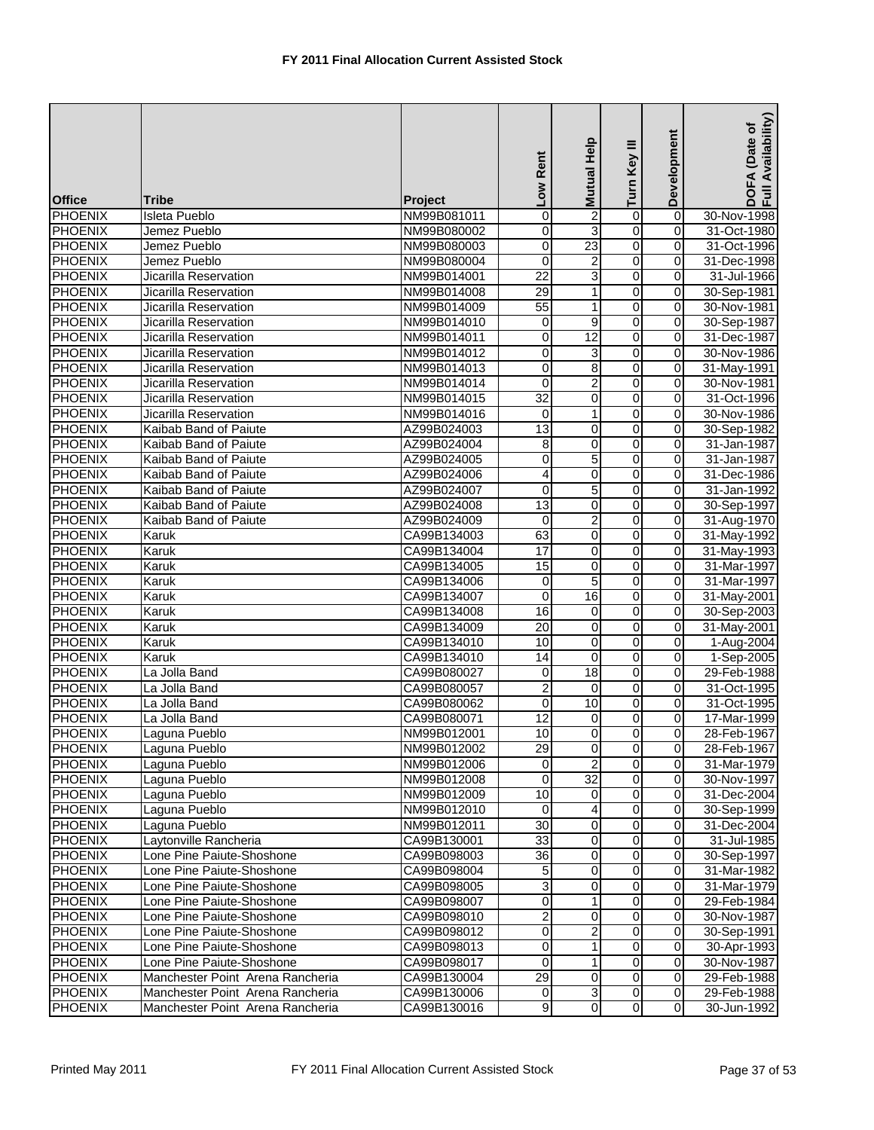| O<br>$\overline{2}$<br>$\overline{0}$<br><b>PHOENIX</b><br><b>Isleta Pueblo</b><br>0<br>30-Nov-1998<br>NM99B081011<br>3<br>o<br><b>PHOENIX</b><br>0<br>Jemez Pueblo<br>NM99B080002<br>0<br>31-Oct-1980<br>23<br>$\overline{0}$<br><b>PHOENIX</b><br>$\overline{\mathbf{0}}$<br>$\pmb{0}$<br>Jemez Pueblo<br>31-Oct-1996<br>NM99B080003<br>$\overline{2}$<br>o<br><b>PHOENIX</b><br>0<br>0<br>31-Dec-1998<br>Jemez Pueblo<br>NM99B080004<br>$\overline{3}$<br>O<br><b>PHOENIX</b><br>$\overline{22}$<br>31-Jul-1966<br>Jicarilla Reservation<br>NM99B014001<br>0<br><b>PHOENIX</b><br>$\mathsf{O}\xspace$<br>Jicarilla Reservation<br>29<br>1<br>0<br>30-Sep-1981<br>NM99B014008<br>O<br>55<br><b>PHOENIX</b><br>0<br>30-Nov-1981<br>Jicarilla Reservation<br>NM99B014009<br>1<br>$\overline{0}$<br><b>PHOENIX</b><br>0<br>9<br>0<br>30-Sep-1987<br>Jicarilla Reservation<br>NM99B014010<br>12<br>0<br><b>PHOENIX</b><br>0<br>0<br>Jicarilla Reservation<br>NM99B014011<br>31-Dec-1987<br>3<br>$\mathsf{O}\xspace$<br><b>PHOENIX</b><br>Jicarilla Reservation<br>0<br>0<br>30-Nov-1986<br>NM99B014012<br>O<br>8<br><b>PHOENIX</b><br>0<br>Jicarilla Reservation<br>NM99B014013<br>0<br>31-May-1991<br>$\overline{2}$<br>$\overline{0}$<br>$\overline{0}$<br><b>PHOENIX</b><br>0<br>Jicarilla Reservation<br>NM99B014014<br>30-Nov-1981<br>O<br>$\overline{32}$<br>$\pmb{0}$<br><b>PHOENIX</b><br>Jicarilla Reservation<br>0<br>31-Oct-1996<br>NM99B014015<br><b>PHOENIX</b><br>O<br>0<br>30-Nov-1986<br>Jicarilla Reservation<br>NM99B014016<br>0<br>1<br>$\overline{0}$<br><b>PHOENIX</b><br>$\overline{13}$<br>0<br>0<br>Kaibab Band of Paiute<br>AZ99B024003<br>30-Sep-1982<br>0<br><b>PHOENIX</b><br>31-Jan-1987<br>Kaibab Band of Paiute<br>8<br>0<br>0<br>AZ99B024004<br>$\overline{0}$<br><b>PHOENIX</b><br>0<br>5<br>0<br>Kaibab Band of Paiute<br>AZ99B024005<br>31-Jan-1987<br>0<br><b>PHOENIX</b><br>Kaibab Band of Paiute<br>0<br>0<br>31-Dec-1986<br>AZ99B024006<br>4<br>$\overline{0}$<br><b>PHOENIX</b><br>$\overline{0}$<br>5<br>0<br>Kaibab Band of Paiute<br>31-Jan-1992<br>AZ99B024007<br>0<br><b>PHOENIX</b><br>$\overline{13}$<br>0<br>0<br>30-Sep-1997<br>Kaibab Band of Paiute<br>AZ99B024008<br>$\overline{2}$<br>o<br><b>PHOENIX</b><br>$\pmb{0}$<br>Kaibab Band of Paiute<br>AZ99B024009<br>$\mathbf 0$<br>31-Aug-1970<br><b>PHOENIX</b><br>63<br>$\pmb{0}$<br>O<br>CA99B134003<br>0<br>31-May-1992<br>Karuk<br>$\overline{0}$<br><b>PHOENIX</b><br>0<br>17<br>$\pmb{0}$<br>31-May-1993<br>Karuk<br>CA99B134004<br><b>PHOENIX</b><br>15<br>0<br>$\overline{0}$<br>0<br>31-Mar-1997<br>Karuk<br>CA99B134005<br>0<br><b>PHOENIX</b><br>5<br>31-Mar-1997<br>Karuk<br>CA99B134006<br>0<br>0<br>16<br>$\overline{0}$<br><b>PHOENIX</b><br>$\mathbf 0$<br>$\pmb{0}$<br>31-May-2001<br>Karuk<br>CA99B134007<br>$\overline{0}$<br><b>PHOENIX</b><br>CA99B134008<br>16<br>$\mathbf 0$<br>0<br>30-Sep-2003<br>Karuk<br>Ō<br><b>PHOENIX</b><br>$\overline{20}$<br>0<br>0<br>31-May-2001<br>Karuk<br>CA99B134009<br><b>PHOENIX</b><br>0<br>0<br>0<br>CA99B134010<br>10<br>1-Aug-2004<br>Karuk<br>O<br><b>PHOENIX</b><br>$\overline{14}$<br>$\boldsymbol{0}$<br>$\pmb{0}$<br>CA99B134010<br>1-Sep-2005<br>Karuk<br>$\overline{18}$<br>$\overline{0}$<br>0<br><b>PHOENIX</b><br>La Jolla Band<br>CA99B080027<br>0<br>29-Feb-1988<br>$\overline{0}$<br><b>PHOENIX</b><br>$\overline{2}$<br>$\mathbf 0$<br>$\pmb{0}$<br>31-Oct-1995<br>La Jolla Band<br>CA99B080057<br>$\overline{0}$<br><b>PHOENIX</b><br>0<br>10<br>0<br>31-Oct-1995<br>La Jolla Band<br>CA99B080062<br><b>PHOENIX</b><br>0<br>17-Mar-1999<br>La Jolla Band<br>CA99B080071<br>12<br>0<br>0<br>$\overline{0}$<br>10<br>$\overline{0}$<br>$\overline{0}$<br>PHOENIX<br>Laguna Pueblo<br>28-Feb-1967<br>NM99B012001<br>$\overline{\mathsf{o}}$<br>$\overline{0}$<br>Laguna Pueblo<br>NM99B012002<br>29<br>$\mathbf 0$<br>28-Feb-1967<br>0<br><b>PHOENIX</b><br>$\mathbf 0$<br>0<br>Laguna Pueblo<br>NM99B012006<br>31-Mar-1979<br>32<br><b>PHOENIX</b><br>Laguna Pueblo<br>0<br>NM99B012008<br>$\mathbf 0$<br>0<br>30-Nov-1997<br>$\overline{10}$<br>$\overline{0}$<br><b>PHOENIX</b><br>Laguna Pueblo<br>$\mathbf 0$<br>$\mathbf 0$<br>31-Dec-2004<br>NM99B012009<br><b>PHOENIX</b><br>$\overline{0}$<br>$\overline{\mathbf{o}}$<br>Laguna Pueblo<br>$\mathbf 0$<br>30-Sep-1999<br>NM99B012010<br>4<br>0<br>0<br><b>PHOENIX</b><br>Laguna Pueblo<br>NM99B012011<br>30<br>0<br>31-Dec-2004<br>0<br>$\overline{0}$<br><b>PHOENIX</b><br>Laytonville Rancheria<br>CA99B130001<br>33<br>$\mathbf 0$<br>31-Jul-1985<br>0<br><b>PHOENIX</b><br>Lone Pine Paiute-Shoshone<br>36<br>0<br>0<br>30-Sep-1997<br>CA99B098003<br>$\overline{0}$<br>$\overline{0}$<br><b>PHOENIX</b><br>G<br>$\overline{\mathbf{0}}$<br>Lone Pine Paiute-Shoshone<br>CA99B098004<br>31-Mar-1982<br>ω<br>O<br>Lone Pine Paiute-Shoshone<br>0<br>$\pmb{0}$<br><b>PHOENIX</b><br>CA99B098005<br>31-Mar-1979<br>$\overline{0}$<br><b>PHOENIX</b><br>Lone Pine Paiute-Shoshone<br>$\overline{\mathbf{0}}$<br>$\mathbf 0$<br>CA99B098007<br>29-Feb-1984<br>1<br><b>PHOENIX</b><br>Lone Pine Paiute-Shoshone<br>$\boldsymbol{2}$<br>0<br>CA99B098010<br>0<br>0<br>30-Nov-1987<br>$\overline{0}$<br><b>PHOENIX</b><br>$\mathbf 0$<br>Lone Pine Paiute-Shoshone<br>$\mathbf 0$<br>2<br>30-Sep-1991<br>CA99B098012<br>0<br>$\overline{0}$<br>$\mathbf 0$<br><b>PHOENIX</b><br>Lone Pine Paiute-Shoshone<br>30-Apr-1993<br>CA99B098013<br>0<br>$\mathbf 0$<br><b>PHOENIX</b><br>Lone Pine Paiute-Shoshone<br>CA99B098017<br>$\mathbf 0$<br>30-Nov-1987<br>1<br>0<br>$\overline{0}$<br><b>PHOENIX</b><br>Manchester Point Arena Rancheria<br>CA99B130004<br>29<br>$\mathbf 0$<br>29-Feb-1988<br>ω<br>$\overline{0}$<br><b>PHOENIX</b><br>Manchester Point Arena Rancheria<br>CA99B130006<br>$\mathbf 0$<br>29-Feb-1988<br>$\overline{0}$ | <b>Office</b>  | <b>Tribe</b> | <b>Project</b> | Low Rent | Help<br><b>Mutual</b> | Turn Key III | Development | Availability)<br>(Date of<br>DOFA<br>Full Av |
|-------------------------------------------------------------------------------------------------------------------------------------------------------------------------------------------------------------------------------------------------------------------------------------------------------------------------------------------------------------------------------------------------------------------------------------------------------------------------------------------------------------------------------------------------------------------------------------------------------------------------------------------------------------------------------------------------------------------------------------------------------------------------------------------------------------------------------------------------------------------------------------------------------------------------------------------------------------------------------------------------------------------------------------------------------------------------------------------------------------------------------------------------------------------------------------------------------------------------------------------------------------------------------------------------------------------------------------------------------------------------------------------------------------------------------------------------------------------------------------------------------------------------------------------------------------------------------------------------------------------------------------------------------------------------------------------------------------------------------------------------------------------------------------------------------------------------------------------------------------------------------------------------------------------------------------------------------------------------------------------------------------------------------------------------------------------------------------------------------------------------------------------------------------------------------------------------------------------------------------------------------------------------------------------------------------------------------------------------------------------------------------------------------------------------------------------------------------------------------------------------------------------------------------------------------------------------------------------------------------------------------------------------------------------------------------------------------------------------------------------------------------------------------------------------------------------------------------------------------------------------------------------------------------------------------------------------------------------------------------------------------------------------------------------------------------------------------------------------------------------------------------------------------------------------------------------------------------------------------------------------------------------------------------------------------------------------------------------------------------------------------------------------------------------------------------------------------------------------------------------------------------------------------------------------------------------------------------------------------------------------------------------------------------------------------------------------------------------------------------------------------------------------------------------------------------------------------------------------------------------------------------------------------------------------------------------------------------------------------------------------------------------------------------------------------------------------------------------------------------------------------------------------------------------------------------------------------------------------------------------------------------------------------------------------------------------------------------------------------------------------------------------------------------------------------------------------------------------------------------------------------------------------------------------------------------------------------------------------------------------------------------------------------------------------------------------------------------------------------------------------------------------------------------------------------------------------------------------------------------------------------------------------------------------------------------------------------------------------------------------------------------------------------------------------------------------------------------------------------------------------------------------------------------------------------------------------------------------------------------------------------------------------------------------------------------------------------------------------------------------------------------------------------------------------------------------------------------------------------------------------------------------------------------------------------------------------------------------------------------------------------------------------------------------------------------------------------------------------------------------------------------------------------------------------------------------------------------------------------------------------|----------------|--------------|----------------|----------|-----------------------|--------------|-------------|----------------------------------------------|
|                                                                                                                                                                                                                                                                                                                                                                                                                                                                                                                                                                                                                                                                                                                                                                                                                                                                                                                                                                                                                                                                                                                                                                                                                                                                                                                                                                                                                                                                                                                                                                                                                                                                                                                                                                                                                                                                                                                                                                                                                                                                                                                                                                                                                                                                                                                                                                                                                                                                                                                                                                                                                                                                                                                                                                                                                                                                                                                                                                                                                                                                                                                                                                                                                                                                                                                                                                                                                                                                                                                                                                                                                                                                                                                                                                                                                                                                                                                                                                                                                                                                                                                                                                                                                                                                                                                                                                                                                                                                                                                                                                                                                                                                                                                                                                                                                                                                                                                                                                                                                                                                                                                                                                                                                                                                                                                                                                                                                                                                                                                                                                                                                                                                                                                                                                                                                                                                         |                |              |                |          |                       |              |             |                                              |
|                                                                                                                                                                                                                                                                                                                                                                                                                                                                                                                                                                                                                                                                                                                                                                                                                                                                                                                                                                                                                                                                                                                                                                                                                                                                                                                                                                                                                                                                                                                                                                                                                                                                                                                                                                                                                                                                                                                                                                                                                                                                                                                                                                                                                                                                                                                                                                                                                                                                                                                                                                                                                                                                                                                                                                                                                                                                                                                                                                                                                                                                                                                                                                                                                                                                                                                                                                                                                                                                                                                                                                                                                                                                                                                                                                                                                                                                                                                                                                                                                                                                                                                                                                                                                                                                                                                                                                                                                                                                                                                                                                                                                                                                                                                                                                                                                                                                                                                                                                                                                                                                                                                                                                                                                                                                                                                                                                                                                                                                                                                                                                                                                                                                                                                                                                                                                                                                         |                |              |                |          |                       |              |             |                                              |
|                                                                                                                                                                                                                                                                                                                                                                                                                                                                                                                                                                                                                                                                                                                                                                                                                                                                                                                                                                                                                                                                                                                                                                                                                                                                                                                                                                                                                                                                                                                                                                                                                                                                                                                                                                                                                                                                                                                                                                                                                                                                                                                                                                                                                                                                                                                                                                                                                                                                                                                                                                                                                                                                                                                                                                                                                                                                                                                                                                                                                                                                                                                                                                                                                                                                                                                                                                                                                                                                                                                                                                                                                                                                                                                                                                                                                                                                                                                                                                                                                                                                                                                                                                                                                                                                                                                                                                                                                                                                                                                                                                                                                                                                                                                                                                                                                                                                                                                                                                                                                                                                                                                                                                                                                                                                                                                                                                                                                                                                                                                                                                                                                                                                                                                                                                                                                                                                         |                |              |                |          |                       |              |             |                                              |
|                                                                                                                                                                                                                                                                                                                                                                                                                                                                                                                                                                                                                                                                                                                                                                                                                                                                                                                                                                                                                                                                                                                                                                                                                                                                                                                                                                                                                                                                                                                                                                                                                                                                                                                                                                                                                                                                                                                                                                                                                                                                                                                                                                                                                                                                                                                                                                                                                                                                                                                                                                                                                                                                                                                                                                                                                                                                                                                                                                                                                                                                                                                                                                                                                                                                                                                                                                                                                                                                                                                                                                                                                                                                                                                                                                                                                                                                                                                                                                                                                                                                                                                                                                                                                                                                                                                                                                                                                                                                                                                                                                                                                                                                                                                                                                                                                                                                                                                                                                                                                                                                                                                                                                                                                                                                                                                                                                                                                                                                                                                                                                                                                                                                                                                                                                                                                                                                         |                |              |                |          |                       |              |             |                                              |
|                                                                                                                                                                                                                                                                                                                                                                                                                                                                                                                                                                                                                                                                                                                                                                                                                                                                                                                                                                                                                                                                                                                                                                                                                                                                                                                                                                                                                                                                                                                                                                                                                                                                                                                                                                                                                                                                                                                                                                                                                                                                                                                                                                                                                                                                                                                                                                                                                                                                                                                                                                                                                                                                                                                                                                                                                                                                                                                                                                                                                                                                                                                                                                                                                                                                                                                                                                                                                                                                                                                                                                                                                                                                                                                                                                                                                                                                                                                                                                                                                                                                                                                                                                                                                                                                                                                                                                                                                                                                                                                                                                                                                                                                                                                                                                                                                                                                                                                                                                                                                                                                                                                                                                                                                                                                                                                                                                                                                                                                                                                                                                                                                                                                                                                                                                                                                                                                         |                |              |                |          |                       |              |             |                                              |
|                                                                                                                                                                                                                                                                                                                                                                                                                                                                                                                                                                                                                                                                                                                                                                                                                                                                                                                                                                                                                                                                                                                                                                                                                                                                                                                                                                                                                                                                                                                                                                                                                                                                                                                                                                                                                                                                                                                                                                                                                                                                                                                                                                                                                                                                                                                                                                                                                                                                                                                                                                                                                                                                                                                                                                                                                                                                                                                                                                                                                                                                                                                                                                                                                                                                                                                                                                                                                                                                                                                                                                                                                                                                                                                                                                                                                                                                                                                                                                                                                                                                                                                                                                                                                                                                                                                                                                                                                                                                                                                                                                                                                                                                                                                                                                                                                                                                                                                                                                                                                                                                                                                                                                                                                                                                                                                                                                                                                                                                                                                                                                                                                                                                                                                                                                                                                                                                         |                |              |                |          |                       |              |             |                                              |
|                                                                                                                                                                                                                                                                                                                                                                                                                                                                                                                                                                                                                                                                                                                                                                                                                                                                                                                                                                                                                                                                                                                                                                                                                                                                                                                                                                                                                                                                                                                                                                                                                                                                                                                                                                                                                                                                                                                                                                                                                                                                                                                                                                                                                                                                                                                                                                                                                                                                                                                                                                                                                                                                                                                                                                                                                                                                                                                                                                                                                                                                                                                                                                                                                                                                                                                                                                                                                                                                                                                                                                                                                                                                                                                                                                                                                                                                                                                                                                                                                                                                                                                                                                                                                                                                                                                                                                                                                                                                                                                                                                                                                                                                                                                                                                                                                                                                                                                                                                                                                                                                                                                                                                                                                                                                                                                                                                                                                                                                                                                                                                                                                                                                                                                                                                                                                                                                         |                |              |                |          |                       |              |             |                                              |
|                                                                                                                                                                                                                                                                                                                                                                                                                                                                                                                                                                                                                                                                                                                                                                                                                                                                                                                                                                                                                                                                                                                                                                                                                                                                                                                                                                                                                                                                                                                                                                                                                                                                                                                                                                                                                                                                                                                                                                                                                                                                                                                                                                                                                                                                                                                                                                                                                                                                                                                                                                                                                                                                                                                                                                                                                                                                                                                                                                                                                                                                                                                                                                                                                                                                                                                                                                                                                                                                                                                                                                                                                                                                                                                                                                                                                                                                                                                                                                                                                                                                                                                                                                                                                                                                                                                                                                                                                                                                                                                                                                                                                                                                                                                                                                                                                                                                                                                                                                                                                                                                                                                                                                                                                                                                                                                                                                                                                                                                                                                                                                                                                                                                                                                                                                                                                                                                         |                |              |                |          |                       |              |             |                                              |
|                                                                                                                                                                                                                                                                                                                                                                                                                                                                                                                                                                                                                                                                                                                                                                                                                                                                                                                                                                                                                                                                                                                                                                                                                                                                                                                                                                                                                                                                                                                                                                                                                                                                                                                                                                                                                                                                                                                                                                                                                                                                                                                                                                                                                                                                                                                                                                                                                                                                                                                                                                                                                                                                                                                                                                                                                                                                                                                                                                                                                                                                                                                                                                                                                                                                                                                                                                                                                                                                                                                                                                                                                                                                                                                                                                                                                                                                                                                                                                                                                                                                                                                                                                                                                                                                                                                                                                                                                                                                                                                                                                                                                                                                                                                                                                                                                                                                                                                                                                                                                                                                                                                                                                                                                                                                                                                                                                                                                                                                                                                                                                                                                                                                                                                                                                                                                                                                         |                |              |                |          |                       |              |             |                                              |
|                                                                                                                                                                                                                                                                                                                                                                                                                                                                                                                                                                                                                                                                                                                                                                                                                                                                                                                                                                                                                                                                                                                                                                                                                                                                                                                                                                                                                                                                                                                                                                                                                                                                                                                                                                                                                                                                                                                                                                                                                                                                                                                                                                                                                                                                                                                                                                                                                                                                                                                                                                                                                                                                                                                                                                                                                                                                                                                                                                                                                                                                                                                                                                                                                                                                                                                                                                                                                                                                                                                                                                                                                                                                                                                                                                                                                                                                                                                                                                                                                                                                                                                                                                                                                                                                                                                                                                                                                                                                                                                                                                                                                                                                                                                                                                                                                                                                                                                                                                                                                                                                                                                                                                                                                                                                                                                                                                                                                                                                                                                                                                                                                                                                                                                                                                                                                                                                         |                |              |                |          |                       |              |             |                                              |
|                                                                                                                                                                                                                                                                                                                                                                                                                                                                                                                                                                                                                                                                                                                                                                                                                                                                                                                                                                                                                                                                                                                                                                                                                                                                                                                                                                                                                                                                                                                                                                                                                                                                                                                                                                                                                                                                                                                                                                                                                                                                                                                                                                                                                                                                                                                                                                                                                                                                                                                                                                                                                                                                                                                                                                                                                                                                                                                                                                                                                                                                                                                                                                                                                                                                                                                                                                                                                                                                                                                                                                                                                                                                                                                                                                                                                                                                                                                                                                                                                                                                                                                                                                                                                                                                                                                                                                                                                                                                                                                                                                                                                                                                                                                                                                                                                                                                                                                                                                                                                                                                                                                                                                                                                                                                                                                                                                                                                                                                                                                                                                                                                                                                                                                                                                                                                                                                         |                |              |                |          |                       |              |             |                                              |
|                                                                                                                                                                                                                                                                                                                                                                                                                                                                                                                                                                                                                                                                                                                                                                                                                                                                                                                                                                                                                                                                                                                                                                                                                                                                                                                                                                                                                                                                                                                                                                                                                                                                                                                                                                                                                                                                                                                                                                                                                                                                                                                                                                                                                                                                                                                                                                                                                                                                                                                                                                                                                                                                                                                                                                                                                                                                                                                                                                                                                                                                                                                                                                                                                                                                                                                                                                                                                                                                                                                                                                                                                                                                                                                                                                                                                                                                                                                                                                                                                                                                                                                                                                                                                                                                                                                                                                                                                                                                                                                                                                                                                                                                                                                                                                                                                                                                                                                                                                                                                                                                                                                                                                                                                                                                                                                                                                                                                                                                                                                                                                                                                                                                                                                                                                                                                                                                         |                |              |                |          |                       |              |             |                                              |
|                                                                                                                                                                                                                                                                                                                                                                                                                                                                                                                                                                                                                                                                                                                                                                                                                                                                                                                                                                                                                                                                                                                                                                                                                                                                                                                                                                                                                                                                                                                                                                                                                                                                                                                                                                                                                                                                                                                                                                                                                                                                                                                                                                                                                                                                                                                                                                                                                                                                                                                                                                                                                                                                                                                                                                                                                                                                                                                                                                                                                                                                                                                                                                                                                                                                                                                                                                                                                                                                                                                                                                                                                                                                                                                                                                                                                                                                                                                                                                                                                                                                                                                                                                                                                                                                                                                                                                                                                                                                                                                                                                                                                                                                                                                                                                                                                                                                                                                                                                                                                                                                                                                                                                                                                                                                                                                                                                                                                                                                                                                                                                                                                                                                                                                                                                                                                                                                         |                |              |                |          |                       |              |             |                                              |
|                                                                                                                                                                                                                                                                                                                                                                                                                                                                                                                                                                                                                                                                                                                                                                                                                                                                                                                                                                                                                                                                                                                                                                                                                                                                                                                                                                                                                                                                                                                                                                                                                                                                                                                                                                                                                                                                                                                                                                                                                                                                                                                                                                                                                                                                                                                                                                                                                                                                                                                                                                                                                                                                                                                                                                                                                                                                                                                                                                                                                                                                                                                                                                                                                                                                                                                                                                                                                                                                                                                                                                                                                                                                                                                                                                                                                                                                                                                                                                                                                                                                                                                                                                                                                                                                                                                                                                                                                                                                                                                                                                                                                                                                                                                                                                                                                                                                                                                                                                                                                                                                                                                                                                                                                                                                                                                                                                                                                                                                                                                                                                                                                                                                                                                                                                                                                                                                         |                |              |                |          |                       |              |             |                                              |
|                                                                                                                                                                                                                                                                                                                                                                                                                                                                                                                                                                                                                                                                                                                                                                                                                                                                                                                                                                                                                                                                                                                                                                                                                                                                                                                                                                                                                                                                                                                                                                                                                                                                                                                                                                                                                                                                                                                                                                                                                                                                                                                                                                                                                                                                                                                                                                                                                                                                                                                                                                                                                                                                                                                                                                                                                                                                                                                                                                                                                                                                                                                                                                                                                                                                                                                                                                                                                                                                                                                                                                                                                                                                                                                                                                                                                                                                                                                                                                                                                                                                                                                                                                                                                                                                                                                                                                                                                                                                                                                                                                                                                                                                                                                                                                                                                                                                                                                                                                                                                                                                                                                                                                                                                                                                                                                                                                                                                                                                                                                                                                                                                                                                                                                                                                                                                                                                         |                |              |                |          |                       |              |             |                                              |
|                                                                                                                                                                                                                                                                                                                                                                                                                                                                                                                                                                                                                                                                                                                                                                                                                                                                                                                                                                                                                                                                                                                                                                                                                                                                                                                                                                                                                                                                                                                                                                                                                                                                                                                                                                                                                                                                                                                                                                                                                                                                                                                                                                                                                                                                                                                                                                                                                                                                                                                                                                                                                                                                                                                                                                                                                                                                                                                                                                                                                                                                                                                                                                                                                                                                                                                                                                                                                                                                                                                                                                                                                                                                                                                                                                                                                                                                                                                                                                                                                                                                                                                                                                                                                                                                                                                                                                                                                                                                                                                                                                                                                                                                                                                                                                                                                                                                                                                                                                                                                                                                                                                                                                                                                                                                                                                                                                                                                                                                                                                                                                                                                                                                                                                                                                                                                                                                         |                |              |                |          |                       |              |             |                                              |
|                                                                                                                                                                                                                                                                                                                                                                                                                                                                                                                                                                                                                                                                                                                                                                                                                                                                                                                                                                                                                                                                                                                                                                                                                                                                                                                                                                                                                                                                                                                                                                                                                                                                                                                                                                                                                                                                                                                                                                                                                                                                                                                                                                                                                                                                                                                                                                                                                                                                                                                                                                                                                                                                                                                                                                                                                                                                                                                                                                                                                                                                                                                                                                                                                                                                                                                                                                                                                                                                                                                                                                                                                                                                                                                                                                                                                                                                                                                                                                                                                                                                                                                                                                                                                                                                                                                                                                                                                                                                                                                                                                                                                                                                                                                                                                                                                                                                                                                                                                                                                                                                                                                                                                                                                                                                                                                                                                                                                                                                                                                                                                                                                                                                                                                                                                                                                                                                         |                |              |                |          |                       |              |             |                                              |
|                                                                                                                                                                                                                                                                                                                                                                                                                                                                                                                                                                                                                                                                                                                                                                                                                                                                                                                                                                                                                                                                                                                                                                                                                                                                                                                                                                                                                                                                                                                                                                                                                                                                                                                                                                                                                                                                                                                                                                                                                                                                                                                                                                                                                                                                                                                                                                                                                                                                                                                                                                                                                                                                                                                                                                                                                                                                                                                                                                                                                                                                                                                                                                                                                                                                                                                                                                                                                                                                                                                                                                                                                                                                                                                                                                                                                                                                                                                                                                                                                                                                                                                                                                                                                                                                                                                                                                                                                                                                                                                                                                                                                                                                                                                                                                                                                                                                                                                                                                                                                                                                                                                                                                                                                                                                                                                                                                                                                                                                                                                                                                                                                                                                                                                                                                                                                                                                         |                |              |                |          |                       |              |             |                                              |
|                                                                                                                                                                                                                                                                                                                                                                                                                                                                                                                                                                                                                                                                                                                                                                                                                                                                                                                                                                                                                                                                                                                                                                                                                                                                                                                                                                                                                                                                                                                                                                                                                                                                                                                                                                                                                                                                                                                                                                                                                                                                                                                                                                                                                                                                                                                                                                                                                                                                                                                                                                                                                                                                                                                                                                                                                                                                                                                                                                                                                                                                                                                                                                                                                                                                                                                                                                                                                                                                                                                                                                                                                                                                                                                                                                                                                                                                                                                                                                                                                                                                                                                                                                                                                                                                                                                                                                                                                                                                                                                                                                                                                                                                                                                                                                                                                                                                                                                                                                                                                                                                                                                                                                                                                                                                                                                                                                                                                                                                                                                                                                                                                                                                                                                                                                                                                                                                         |                |              |                |          |                       |              |             |                                              |
|                                                                                                                                                                                                                                                                                                                                                                                                                                                                                                                                                                                                                                                                                                                                                                                                                                                                                                                                                                                                                                                                                                                                                                                                                                                                                                                                                                                                                                                                                                                                                                                                                                                                                                                                                                                                                                                                                                                                                                                                                                                                                                                                                                                                                                                                                                                                                                                                                                                                                                                                                                                                                                                                                                                                                                                                                                                                                                                                                                                                                                                                                                                                                                                                                                                                                                                                                                                                                                                                                                                                                                                                                                                                                                                                                                                                                                                                                                                                                                                                                                                                                                                                                                                                                                                                                                                                                                                                                                                                                                                                                                                                                                                                                                                                                                                                                                                                                                                                                                                                                                                                                                                                                                                                                                                                                                                                                                                                                                                                                                                                                                                                                                                                                                                                                                                                                                                                         |                |              |                |          |                       |              |             |                                              |
|                                                                                                                                                                                                                                                                                                                                                                                                                                                                                                                                                                                                                                                                                                                                                                                                                                                                                                                                                                                                                                                                                                                                                                                                                                                                                                                                                                                                                                                                                                                                                                                                                                                                                                                                                                                                                                                                                                                                                                                                                                                                                                                                                                                                                                                                                                                                                                                                                                                                                                                                                                                                                                                                                                                                                                                                                                                                                                                                                                                                                                                                                                                                                                                                                                                                                                                                                                                                                                                                                                                                                                                                                                                                                                                                                                                                                                                                                                                                                                                                                                                                                                                                                                                                                                                                                                                                                                                                                                                                                                                                                                                                                                                                                                                                                                                                                                                                                                                                                                                                                                                                                                                                                                                                                                                                                                                                                                                                                                                                                                                                                                                                                                                                                                                                                                                                                                                                         |                |              |                |          |                       |              |             |                                              |
|                                                                                                                                                                                                                                                                                                                                                                                                                                                                                                                                                                                                                                                                                                                                                                                                                                                                                                                                                                                                                                                                                                                                                                                                                                                                                                                                                                                                                                                                                                                                                                                                                                                                                                                                                                                                                                                                                                                                                                                                                                                                                                                                                                                                                                                                                                                                                                                                                                                                                                                                                                                                                                                                                                                                                                                                                                                                                                                                                                                                                                                                                                                                                                                                                                                                                                                                                                                                                                                                                                                                                                                                                                                                                                                                                                                                                                                                                                                                                                                                                                                                                                                                                                                                                                                                                                                                                                                                                                                                                                                                                                                                                                                                                                                                                                                                                                                                                                                                                                                                                                                                                                                                                                                                                                                                                                                                                                                                                                                                                                                                                                                                                                                                                                                                                                                                                                                                         |                |              |                |          |                       |              |             |                                              |
|                                                                                                                                                                                                                                                                                                                                                                                                                                                                                                                                                                                                                                                                                                                                                                                                                                                                                                                                                                                                                                                                                                                                                                                                                                                                                                                                                                                                                                                                                                                                                                                                                                                                                                                                                                                                                                                                                                                                                                                                                                                                                                                                                                                                                                                                                                                                                                                                                                                                                                                                                                                                                                                                                                                                                                                                                                                                                                                                                                                                                                                                                                                                                                                                                                                                                                                                                                                                                                                                                                                                                                                                                                                                                                                                                                                                                                                                                                                                                                                                                                                                                                                                                                                                                                                                                                                                                                                                                                                                                                                                                                                                                                                                                                                                                                                                                                                                                                                                                                                                                                                                                                                                                                                                                                                                                                                                                                                                                                                                                                                                                                                                                                                                                                                                                                                                                                                                         |                |              |                |          |                       |              |             |                                              |
|                                                                                                                                                                                                                                                                                                                                                                                                                                                                                                                                                                                                                                                                                                                                                                                                                                                                                                                                                                                                                                                                                                                                                                                                                                                                                                                                                                                                                                                                                                                                                                                                                                                                                                                                                                                                                                                                                                                                                                                                                                                                                                                                                                                                                                                                                                                                                                                                                                                                                                                                                                                                                                                                                                                                                                                                                                                                                                                                                                                                                                                                                                                                                                                                                                                                                                                                                                                                                                                                                                                                                                                                                                                                                                                                                                                                                                                                                                                                                                                                                                                                                                                                                                                                                                                                                                                                                                                                                                                                                                                                                                                                                                                                                                                                                                                                                                                                                                                                                                                                                                                                                                                                                                                                                                                                                                                                                                                                                                                                                                                                                                                                                                                                                                                                                                                                                                                                         |                |              |                |          |                       |              |             |                                              |
|                                                                                                                                                                                                                                                                                                                                                                                                                                                                                                                                                                                                                                                                                                                                                                                                                                                                                                                                                                                                                                                                                                                                                                                                                                                                                                                                                                                                                                                                                                                                                                                                                                                                                                                                                                                                                                                                                                                                                                                                                                                                                                                                                                                                                                                                                                                                                                                                                                                                                                                                                                                                                                                                                                                                                                                                                                                                                                                                                                                                                                                                                                                                                                                                                                                                                                                                                                                                                                                                                                                                                                                                                                                                                                                                                                                                                                                                                                                                                                                                                                                                                                                                                                                                                                                                                                                                                                                                                                                                                                                                                                                                                                                                                                                                                                                                                                                                                                                                                                                                                                                                                                                                                                                                                                                                                                                                                                                                                                                                                                                                                                                                                                                                                                                                                                                                                                                                         |                |              |                |          |                       |              |             |                                              |
|                                                                                                                                                                                                                                                                                                                                                                                                                                                                                                                                                                                                                                                                                                                                                                                                                                                                                                                                                                                                                                                                                                                                                                                                                                                                                                                                                                                                                                                                                                                                                                                                                                                                                                                                                                                                                                                                                                                                                                                                                                                                                                                                                                                                                                                                                                                                                                                                                                                                                                                                                                                                                                                                                                                                                                                                                                                                                                                                                                                                                                                                                                                                                                                                                                                                                                                                                                                                                                                                                                                                                                                                                                                                                                                                                                                                                                                                                                                                                                                                                                                                                                                                                                                                                                                                                                                                                                                                                                                                                                                                                                                                                                                                                                                                                                                                                                                                                                                                                                                                                                                                                                                                                                                                                                                                                                                                                                                                                                                                                                                                                                                                                                                                                                                                                                                                                                                                         |                |              |                |          |                       |              |             |                                              |
|                                                                                                                                                                                                                                                                                                                                                                                                                                                                                                                                                                                                                                                                                                                                                                                                                                                                                                                                                                                                                                                                                                                                                                                                                                                                                                                                                                                                                                                                                                                                                                                                                                                                                                                                                                                                                                                                                                                                                                                                                                                                                                                                                                                                                                                                                                                                                                                                                                                                                                                                                                                                                                                                                                                                                                                                                                                                                                                                                                                                                                                                                                                                                                                                                                                                                                                                                                                                                                                                                                                                                                                                                                                                                                                                                                                                                                                                                                                                                                                                                                                                                                                                                                                                                                                                                                                                                                                                                                                                                                                                                                                                                                                                                                                                                                                                                                                                                                                                                                                                                                                                                                                                                                                                                                                                                                                                                                                                                                                                                                                                                                                                                                                                                                                                                                                                                                                                         |                |              |                |          |                       |              |             |                                              |
|                                                                                                                                                                                                                                                                                                                                                                                                                                                                                                                                                                                                                                                                                                                                                                                                                                                                                                                                                                                                                                                                                                                                                                                                                                                                                                                                                                                                                                                                                                                                                                                                                                                                                                                                                                                                                                                                                                                                                                                                                                                                                                                                                                                                                                                                                                                                                                                                                                                                                                                                                                                                                                                                                                                                                                                                                                                                                                                                                                                                                                                                                                                                                                                                                                                                                                                                                                                                                                                                                                                                                                                                                                                                                                                                                                                                                                                                                                                                                                                                                                                                                                                                                                                                                                                                                                                                                                                                                                                                                                                                                                                                                                                                                                                                                                                                                                                                                                                                                                                                                                                                                                                                                                                                                                                                                                                                                                                                                                                                                                                                                                                                                                                                                                                                                                                                                                                                         |                |              |                |          |                       |              |             |                                              |
|                                                                                                                                                                                                                                                                                                                                                                                                                                                                                                                                                                                                                                                                                                                                                                                                                                                                                                                                                                                                                                                                                                                                                                                                                                                                                                                                                                                                                                                                                                                                                                                                                                                                                                                                                                                                                                                                                                                                                                                                                                                                                                                                                                                                                                                                                                                                                                                                                                                                                                                                                                                                                                                                                                                                                                                                                                                                                                                                                                                                                                                                                                                                                                                                                                                                                                                                                                                                                                                                                                                                                                                                                                                                                                                                                                                                                                                                                                                                                                                                                                                                                                                                                                                                                                                                                                                                                                                                                                                                                                                                                                                                                                                                                                                                                                                                                                                                                                                                                                                                                                                                                                                                                                                                                                                                                                                                                                                                                                                                                                                                                                                                                                                                                                                                                                                                                                                                         |                |              |                |          |                       |              |             |                                              |
|                                                                                                                                                                                                                                                                                                                                                                                                                                                                                                                                                                                                                                                                                                                                                                                                                                                                                                                                                                                                                                                                                                                                                                                                                                                                                                                                                                                                                                                                                                                                                                                                                                                                                                                                                                                                                                                                                                                                                                                                                                                                                                                                                                                                                                                                                                                                                                                                                                                                                                                                                                                                                                                                                                                                                                                                                                                                                                                                                                                                                                                                                                                                                                                                                                                                                                                                                                                                                                                                                                                                                                                                                                                                                                                                                                                                                                                                                                                                                                                                                                                                                                                                                                                                                                                                                                                                                                                                                                                                                                                                                                                                                                                                                                                                                                                                                                                                                                                                                                                                                                                                                                                                                                                                                                                                                                                                                                                                                                                                                                                                                                                                                                                                                                                                                                                                                                                                         |                |              |                |          |                       |              |             |                                              |
|                                                                                                                                                                                                                                                                                                                                                                                                                                                                                                                                                                                                                                                                                                                                                                                                                                                                                                                                                                                                                                                                                                                                                                                                                                                                                                                                                                                                                                                                                                                                                                                                                                                                                                                                                                                                                                                                                                                                                                                                                                                                                                                                                                                                                                                                                                                                                                                                                                                                                                                                                                                                                                                                                                                                                                                                                                                                                                                                                                                                                                                                                                                                                                                                                                                                                                                                                                                                                                                                                                                                                                                                                                                                                                                                                                                                                                                                                                                                                                                                                                                                                                                                                                                                                                                                                                                                                                                                                                                                                                                                                                                                                                                                                                                                                                                                                                                                                                                                                                                                                                                                                                                                                                                                                                                                                                                                                                                                                                                                                                                                                                                                                                                                                                                                                                                                                                                                         |                |              |                |          |                       |              |             |                                              |
|                                                                                                                                                                                                                                                                                                                                                                                                                                                                                                                                                                                                                                                                                                                                                                                                                                                                                                                                                                                                                                                                                                                                                                                                                                                                                                                                                                                                                                                                                                                                                                                                                                                                                                                                                                                                                                                                                                                                                                                                                                                                                                                                                                                                                                                                                                                                                                                                                                                                                                                                                                                                                                                                                                                                                                                                                                                                                                                                                                                                                                                                                                                                                                                                                                                                                                                                                                                                                                                                                                                                                                                                                                                                                                                                                                                                                                                                                                                                                                                                                                                                                                                                                                                                                                                                                                                                                                                                                                                                                                                                                                                                                                                                                                                                                                                                                                                                                                                                                                                                                                                                                                                                                                                                                                                                                                                                                                                                                                                                                                                                                                                                                                                                                                                                                                                                                                                                         |                |              |                |          |                       |              |             |                                              |
|                                                                                                                                                                                                                                                                                                                                                                                                                                                                                                                                                                                                                                                                                                                                                                                                                                                                                                                                                                                                                                                                                                                                                                                                                                                                                                                                                                                                                                                                                                                                                                                                                                                                                                                                                                                                                                                                                                                                                                                                                                                                                                                                                                                                                                                                                                                                                                                                                                                                                                                                                                                                                                                                                                                                                                                                                                                                                                                                                                                                                                                                                                                                                                                                                                                                                                                                                                                                                                                                                                                                                                                                                                                                                                                                                                                                                                                                                                                                                                                                                                                                                                                                                                                                                                                                                                                                                                                                                                                                                                                                                                                                                                                                                                                                                                                                                                                                                                                                                                                                                                                                                                                                                                                                                                                                                                                                                                                                                                                                                                                                                                                                                                                                                                                                                                                                                                                                         |                |              |                |          |                       |              |             |                                              |
|                                                                                                                                                                                                                                                                                                                                                                                                                                                                                                                                                                                                                                                                                                                                                                                                                                                                                                                                                                                                                                                                                                                                                                                                                                                                                                                                                                                                                                                                                                                                                                                                                                                                                                                                                                                                                                                                                                                                                                                                                                                                                                                                                                                                                                                                                                                                                                                                                                                                                                                                                                                                                                                                                                                                                                                                                                                                                                                                                                                                                                                                                                                                                                                                                                                                                                                                                                                                                                                                                                                                                                                                                                                                                                                                                                                                                                                                                                                                                                                                                                                                                                                                                                                                                                                                                                                                                                                                                                                                                                                                                                                                                                                                                                                                                                                                                                                                                                                                                                                                                                                                                                                                                                                                                                                                                                                                                                                                                                                                                                                                                                                                                                                                                                                                                                                                                                                                         |                |              |                |          |                       |              |             |                                              |
|                                                                                                                                                                                                                                                                                                                                                                                                                                                                                                                                                                                                                                                                                                                                                                                                                                                                                                                                                                                                                                                                                                                                                                                                                                                                                                                                                                                                                                                                                                                                                                                                                                                                                                                                                                                                                                                                                                                                                                                                                                                                                                                                                                                                                                                                                                                                                                                                                                                                                                                                                                                                                                                                                                                                                                                                                                                                                                                                                                                                                                                                                                                                                                                                                                                                                                                                                                                                                                                                                                                                                                                                                                                                                                                                                                                                                                                                                                                                                                                                                                                                                                                                                                                                                                                                                                                                                                                                                                                                                                                                                                                                                                                                                                                                                                                                                                                                                                                                                                                                                                                                                                                                                                                                                                                                                                                                                                                                                                                                                                                                                                                                                                                                                                                                                                                                                                                                         |                |              |                |          |                       |              |             |                                              |
|                                                                                                                                                                                                                                                                                                                                                                                                                                                                                                                                                                                                                                                                                                                                                                                                                                                                                                                                                                                                                                                                                                                                                                                                                                                                                                                                                                                                                                                                                                                                                                                                                                                                                                                                                                                                                                                                                                                                                                                                                                                                                                                                                                                                                                                                                                                                                                                                                                                                                                                                                                                                                                                                                                                                                                                                                                                                                                                                                                                                                                                                                                                                                                                                                                                                                                                                                                                                                                                                                                                                                                                                                                                                                                                                                                                                                                                                                                                                                                                                                                                                                                                                                                                                                                                                                                                                                                                                                                                                                                                                                                                                                                                                                                                                                                                                                                                                                                                                                                                                                                                                                                                                                                                                                                                                                                                                                                                                                                                                                                                                                                                                                                                                                                                                                                                                                                                                         |                |              |                |          |                       |              |             |                                              |
|                                                                                                                                                                                                                                                                                                                                                                                                                                                                                                                                                                                                                                                                                                                                                                                                                                                                                                                                                                                                                                                                                                                                                                                                                                                                                                                                                                                                                                                                                                                                                                                                                                                                                                                                                                                                                                                                                                                                                                                                                                                                                                                                                                                                                                                                                                                                                                                                                                                                                                                                                                                                                                                                                                                                                                                                                                                                                                                                                                                                                                                                                                                                                                                                                                                                                                                                                                                                                                                                                                                                                                                                                                                                                                                                                                                                                                                                                                                                                                                                                                                                                                                                                                                                                                                                                                                                                                                                                                                                                                                                                                                                                                                                                                                                                                                                                                                                                                                                                                                                                                                                                                                                                                                                                                                                                                                                                                                                                                                                                                                                                                                                                                                                                                                                                                                                                                                                         | <b>PHOENIX</b> |              |                |          |                       |              |             |                                              |
|                                                                                                                                                                                                                                                                                                                                                                                                                                                                                                                                                                                                                                                                                                                                                                                                                                                                                                                                                                                                                                                                                                                                                                                                                                                                                                                                                                                                                                                                                                                                                                                                                                                                                                                                                                                                                                                                                                                                                                                                                                                                                                                                                                                                                                                                                                                                                                                                                                                                                                                                                                                                                                                                                                                                                                                                                                                                                                                                                                                                                                                                                                                                                                                                                                                                                                                                                                                                                                                                                                                                                                                                                                                                                                                                                                                                                                                                                                                                                                                                                                                                                                                                                                                                                                                                                                                                                                                                                                                                                                                                                                                                                                                                                                                                                                                                                                                                                                                                                                                                                                                                                                                                                                                                                                                                                                                                                                                                                                                                                                                                                                                                                                                                                                                                                                                                                                                                         |                |              |                |          |                       |              |             |                                              |
|                                                                                                                                                                                                                                                                                                                                                                                                                                                                                                                                                                                                                                                                                                                                                                                                                                                                                                                                                                                                                                                                                                                                                                                                                                                                                                                                                                                                                                                                                                                                                                                                                                                                                                                                                                                                                                                                                                                                                                                                                                                                                                                                                                                                                                                                                                                                                                                                                                                                                                                                                                                                                                                                                                                                                                                                                                                                                                                                                                                                                                                                                                                                                                                                                                                                                                                                                                                                                                                                                                                                                                                                                                                                                                                                                                                                                                                                                                                                                                                                                                                                                                                                                                                                                                                                                                                                                                                                                                                                                                                                                                                                                                                                                                                                                                                                                                                                                                                                                                                                                                                                                                                                                                                                                                                                                                                                                                                                                                                                                                                                                                                                                                                                                                                                                                                                                                                                         |                |              |                |          |                       |              |             |                                              |
|                                                                                                                                                                                                                                                                                                                                                                                                                                                                                                                                                                                                                                                                                                                                                                                                                                                                                                                                                                                                                                                                                                                                                                                                                                                                                                                                                                                                                                                                                                                                                                                                                                                                                                                                                                                                                                                                                                                                                                                                                                                                                                                                                                                                                                                                                                                                                                                                                                                                                                                                                                                                                                                                                                                                                                                                                                                                                                                                                                                                                                                                                                                                                                                                                                                                                                                                                                                                                                                                                                                                                                                                                                                                                                                                                                                                                                                                                                                                                                                                                                                                                                                                                                                                                                                                                                                                                                                                                                                                                                                                                                                                                                                                                                                                                                                                                                                                                                                                                                                                                                                                                                                                                                                                                                                                                                                                                                                                                                                                                                                                                                                                                                                                                                                                                                                                                                                                         |                |              |                |          |                       |              |             |                                              |
|                                                                                                                                                                                                                                                                                                                                                                                                                                                                                                                                                                                                                                                                                                                                                                                                                                                                                                                                                                                                                                                                                                                                                                                                                                                                                                                                                                                                                                                                                                                                                                                                                                                                                                                                                                                                                                                                                                                                                                                                                                                                                                                                                                                                                                                                                                                                                                                                                                                                                                                                                                                                                                                                                                                                                                                                                                                                                                                                                                                                                                                                                                                                                                                                                                                                                                                                                                                                                                                                                                                                                                                                                                                                                                                                                                                                                                                                                                                                                                                                                                                                                                                                                                                                                                                                                                                                                                                                                                                                                                                                                                                                                                                                                                                                                                                                                                                                                                                                                                                                                                                                                                                                                                                                                                                                                                                                                                                                                                                                                                                                                                                                                                                                                                                                                                                                                                                                         |                |              |                |          |                       |              |             |                                              |
|                                                                                                                                                                                                                                                                                                                                                                                                                                                                                                                                                                                                                                                                                                                                                                                                                                                                                                                                                                                                                                                                                                                                                                                                                                                                                                                                                                                                                                                                                                                                                                                                                                                                                                                                                                                                                                                                                                                                                                                                                                                                                                                                                                                                                                                                                                                                                                                                                                                                                                                                                                                                                                                                                                                                                                                                                                                                                                                                                                                                                                                                                                                                                                                                                                                                                                                                                                                                                                                                                                                                                                                                                                                                                                                                                                                                                                                                                                                                                                                                                                                                                                                                                                                                                                                                                                                                                                                                                                                                                                                                                                                                                                                                                                                                                                                                                                                                                                                                                                                                                                                                                                                                                                                                                                                                                                                                                                                                                                                                                                                                                                                                                                                                                                                                                                                                                                                                         |                |              |                |          |                       |              |             |                                              |
|                                                                                                                                                                                                                                                                                                                                                                                                                                                                                                                                                                                                                                                                                                                                                                                                                                                                                                                                                                                                                                                                                                                                                                                                                                                                                                                                                                                                                                                                                                                                                                                                                                                                                                                                                                                                                                                                                                                                                                                                                                                                                                                                                                                                                                                                                                                                                                                                                                                                                                                                                                                                                                                                                                                                                                                                                                                                                                                                                                                                                                                                                                                                                                                                                                                                                                                                                                                                                                                                                                                                                                                                                                                                                                                                                                                                                                                                                                                                                                                                                                                                                                                                                                                                                                                                                                                                                                                                                                                                                                                                                                                                                                                                                                                                                                                                                                                                                                                                                                                                                                                                                                                                                                                                                                                                                                                                                                                                                                                                                                                                                                                                                                                                                                                                                                                                                                                                         |                |              |                |          |                       |              |             |                                              |
|                                                                                                                                                                                                                                                                                                                                                                                                                                                                                                                                                                                                                                                                                                                                                                                                                                                                                                                                                                                                                                                                                                                                                                                                                                                                                                                                                                                                                                                                                                                                                                                                                                                                                                                                                                                                                                                                                                                                                                                                                                                                                                                                                                                                                                                                                                                                                                                                                                                                                                                                                                                                                                                                                                                                                                                                                                                                                                                                                                                                                                                                                                                                                                                                                                                                                                                                                                                                                                                                                                                                                                                                                                                                                                                                                                                                                                                                                                                                                                                                                                                                                                                                                                                                                                                                                                                                                                                                                                                                                                                                                                                                                                                                                                                                                                                                                                                                                                                                                                                                                                                                                                                                                                                                                                                                                                                                                                                                                                                                                                                                                                                                                                                                                                                                                                                                                                                                         |                |              |                |          |                       |              |             |                                              |
|                                                                                                                                                                                                                                                                                                                                                                                                                                                                                                                                                                                                                                                                                                                                                                                                                                                                                                                                                                                                                                                                                                                                                                                                                                                                                                                                                                                                                                                                                                                                                                                                                                                                                                                                                                                                                                                                                                                                                                                                                                                                                                                                                                                                                                                                                                                                                                                                                                                                                                                                                                                                                                                                                                                                                                                                                                                                                                                                                                                                                                                                                                                                                                                                                                                                                                                                                                                                                                                                                                                                                                                                                                                                                                                                                                                                                                                                                                                                                                                                                                                                                                                                                                                                                                                                                                                                                                                                                                                                                                                                                                                                                                                                                                                                                                                                                                                                                                                                                                                                                                                                                                                                                                                                                                                                                                                                                                                                                                                                                                                                                                                                                                                                                                                                                                                                                                                                         |                |              |                |          |                       |              |             |                                              |
|                                                                                                                                                                                                                                                                                                                                                                                                                                                                                                                                                                                                                                                                                                                                                                                                                                                                                                                                                                                                                                                                                                                                                                                                                                                                                                                                                                                                                                                                                                                                                                                                                                                                                                                                                                                                                                                                                                                                                                                                                                                                                                                                                                                                                                                                                                                                                                                                                                                                                                                                                                                                                                                                                                                                                                                                                                                                                                                                                                                                                                                                                                                                                                                                                                                                                                                                                                                                                                                                                                                                                                                                                                                                                                                                                                                                                                                                                                                                                                                                                                                                                                                                                                                                                                                                                                                                                                                                                                                                                                                                                                                                                                                                                                                                                                                                                                                                                                                                                                                                                                                                                                                                                                                                                                                                                                                                                                                                                                                                                                                                                                                                                                                                                                                                                                                                                                                                         |                |              |                |          |                       |              |             |                                              |
|                                                                                                                                                                                                                                                                                                                                                                                                                                                                                                                                                                                                                                                                                                                                                                                                                                                                                                                                                                                                                                                                                                                                                                                                                                                                                                                                                                                                                                                                                                                                                                                                                                                                                                                                                                                                                                                                                                                                                                                                                                                                                                                                                                                                                                                                                                                                                                                                                                                                                                                                                                                                                                                                                                                                                                                                                                                                                                                                                                                                                                                                                                                                                                                                                                                                                                                                                                                                                                                                                                                                                                                                                                                                                                                                                                                                                                                                                                                                                                                                                                                                                                                                                                                                                                                                                                                                                                                                                                                                                                                                                                                                                                                                                                                                                                                                                                                                                                                                                                                                                                                                                                                                                                                                                                                                                                                                                                                                                                                                                                                                                                                                                                                                                                                                                                                                                                                                         |                |              |                |          |                       |              |             |                                              |
|                                                                                                                                                                                                                                                                                                                                                                                                                                                                                                                                                                                                                                                                                                                                                                                                                                                                                                                                                                                                                                                                                                                                                                                                                                                                                                                                                                                                                                                                                                                                                                                                                                                                                                                                                                                                                                                                                                                                                                                                                                                                                                                                                                                                                                                                                                                                                                                                                                                                                                                                                                                                                                                                                                                                                                                                                                                                                                                                                                                                                                                                                                                                                                                                                                                                                                                                                                                                                                                                                                                                                                                                                                                                                                                                                                                                                                                                                                                                                                                                                                                                                                                                                                                                                                                                                                                                                                                                                                                                                                                                                                                                                                                                                                                                                                                                                                                                                                                                                                                                                                                                                                                                                                                                                                                                                                                                                                                                                                                                                                                                                                                                                                                                                                                                                                                                                                                                         |                |              |                |          |                       |              |             |                                              |
|                                                                                                                                                                                                                                                                                                                                                                                                                                                                                                                                                                                                                                                                                                                                                                                                                                                                                                                                                                                                                                                                                                                                                                                                                                                                                                                                                                                                                                                                                                                                                                                                                                                                                                                                                                                                                                                                                                                                                                                                                                                                                                                                                                                                                                                                                                                                                                                                                                                                                                                                                                                                                                                                                                                                                                                                                                                                                                                                                                                                                                                                                                                                                                                                                                                                                                                                                                                                                                                                                                                                                                                                                                                                                                                                                                                                                                                                                                                                                                                                                                                                                                                                                                                                                                                                                                                                                                                                                                                                                                                                                                                                                                                                                                                                                                                                                                                                                                                                                                                                                                                                                                                                                                                                                                                                                                                                                                                                                                                                                                                                                                                                                                                                                                                                                                                                                                                                         |                |              |                |          |                       |              |             |                                              |
|                                                                                                                                                                                                                                                                                                                                                                                                                                                                                                                                                                                                                                                                                                                                                                                                                                                                                                                                                                                                                                                                                                                                                                                                                                                                                                                                                                                                                                                                                                                                                                                                                                                                                                                                                                                                                                                                                                                                                                                                                                                                                                                                                                                                                                                                                                                                                                                                                                                                                                                                                                                                                                                                                                                                                                                                                                                                                                                                                                                                                                                                                                                                                                                                                                                                                                                                                                                                                                                                                                                                                                                                                                                                                                                                                                                                                                                                                                                                                                                                                                                                                                                                                                                                                                                                                                                                                                                                                                                                                                                                                                                                                                                                                                                                                                                                                                                                                                                                                                                                                                                                                                                                                                                                                                                                                                                                                                                                                                                                                                                                                                                                                                                                                                                                                                                                                                                                         |                |              |                |          |                       |              |             |                                              |
|                                                                                                                                                                                                                                                                                                                                                                                                                                                                                                                                                                                                                                                                                                                                                                                                                                                                                                                                                                                                                                                                                                                                                                                                                                                                                                                                                                                                                                                                                                                                                                                                                                                                                                                                                                                                                                                                                                                                                                                                                                                                                                                                                                                                                                                                                                                                                                                                                                                                                                                                                                                                                                                                                                                                                                                                                                                                                                                                                                                                                                                                                                                                                                                                                                                                                                                                                                                                                                                                                                                                                                                                                                                                                                                                                                                                                                                                                                                                                                                                                                                                                                                                                                                                                                                                                                                                                                                                                                                                                                                                                                                                                                                                                                                                                                                                                                                                                                                                                                                                                                                                                                                                                                                                                                                                                                                                                                                                                                                                                                                                                                                                                                                                                                                                                                                                                                                                         |                |              |                |          |                       |              |             |                                              |
|                                                                                                                                                                                                                                                                                                                                                                                                                                                                                                                                                                                                                                                                                                                                                                                                                                                                                                                                                                                                                                                                                                                                                                                                                                                                                                                                                                                                                                                                                                                                                                                                                                                                                                                                                                                                                                                                                                                                                                                                                                                                                                                                                                                                                                                                                                                                                                                                                                                                                                                                                                                                                                                                                                                                                                                                                                                                                                                                                                                                                                                                                                                                                                                                                                                                                                                                                                                                                                                                                                                                                                                                                                                                                                                                                                                                                                                                                                                                                                                                                                                                                                                                                                                                                                                                                                                                                                                                                                                                                                                                                                                                                                                                                                                                                                                                                                                                                                                                                                                                                                                                                                                                                                                                                                                                                                                                                                                                                                                                                                                                                                                                                                                                                                                                                                                                                                                                         |                |              |                |          |                       |              |             |                                              |
|                                                                                                                                                                                                                                                                                                                                                                                                                                                                                                                                                                                                                                                                                                                                                                                                                                                                                                                                                                                                                                                                                                                                                                                                                                                                                                                                                                                                                                                                                                                                                                                                                                                                                                                                                                                                                                                                                                                                                                                                                                                                                                                                                                                                                                                                                                                                                                                                                                                                                                                                                                                                                                                                                                                                                                                                                                                                                                                                                                                                                                                                                                                                                                                                                                                                                                                                                                                                                                                                                                                                                                                                                                                                                                                                                                                                                                                                                                                                                                                                                                                                                                                                                                                                                                                                                                                                                                                                                                                                                                                                                                                                                                                                                                                                                                                                                                                                                                                                                                                                                                                                                                                                                                                                                                                                                                                                                                                                                                                                                                                                                                                                                                                                                                                                                                                                                                                                         |                |              |                |          |                       |              |             |                                              |
| $\overline{0}$<br>$\overline{0}$<br>$\mathbf 0$<br><b>PHOENIX</b><br>Manchester Point Arena Rancheria<br>CA99B130016<br>9<br>30-Jun-1992                                                                                                                                                                                                                                                                                                                                                                                                                                                                                                                                                                                                                                                                                                                                                                                                                                                                                                                                                                                                                                                                                                                                                                                                                                                                                                                                                                                                                                                                                                                                                                                                                                                                                                                                                                                                                                                                                                                                                                                                                                                                                                                                                                                                                                                                                                                                                                                                                                                                                                                                                                                                                                                                                                                                                                                                                                                                                                                                                                                                                                                                                                                                                                                                                                                                                                                                                                                                                                                                                                                                                                                                                                                                                                                                                                                                                                                                                                                                                                                                                                                                                                                                                                                                                                                                                                                                                                                                                                                                                                                                                                                                                                                                                                                                                                                                                                                                                                                                                                                                                                                                                                                                                                                                                                                                                                                                                                                                                                                                                                                                                                                                                                                                                                                                |                |              |                |          |                       |              |             |                                              |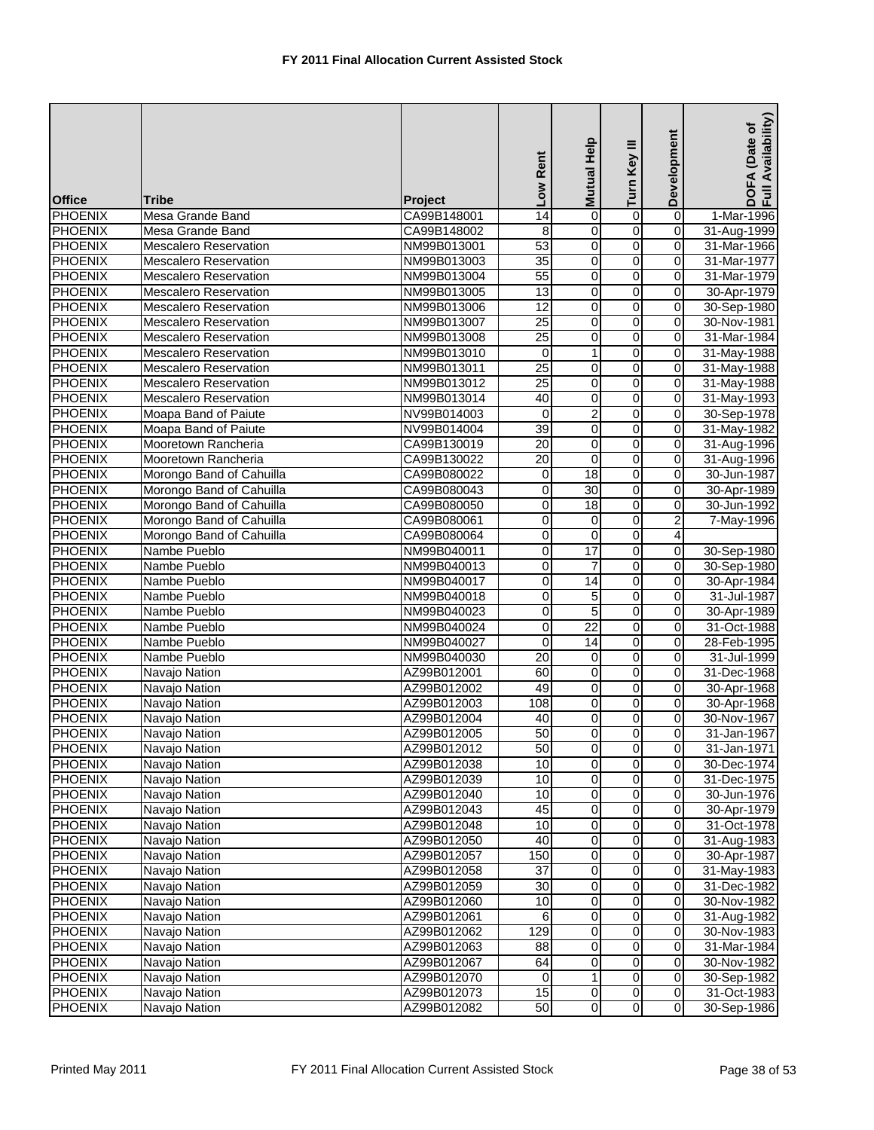| <b>Office</b>  | Tribe                        | <b>Project</b> | Low Rent        | <b>Help</b><br><b>Mutual</b> | Turn Key III   | Development    | Availability)<br>DOFA (Date of<br>Full Availability |
|----------------|------------------------------|----------------|-----------------|------------------------------|----------------|----------------|-----------------------------------------------------|
| <b>PHOENIX</b> | Mesa Grande Band             | CA99B148001    | 14              | 0                            | $\overline{0}$ | 0              | 1-Mar-1996                                          |
| <b>PHOENIX</b> | Mesa Grande Band             | CA99B148002    | 8               | 0                            | $\overline{0}$ | 0              | 31-Aug-1999                                         |
| <b>PHOENIX</b> | <b>Mescalero Reservation</b> | NM99B013001    | 53              | $\pmb{0}$                    | $\overline{0}$ | $\overline{0}$ | 31-Mar-1966                                         |
| <b>PHOENIX</b> | <b>Mescalero Reservation</b> | NM99B013003    | 35              | 0                            | 0              | 0              | 31-Mar-1977                                         |
| <b>PHOENIX</b> | <b>Mescalero Reservation</b> | NM99B013004    | 55              | $\pmb{0}$                    | $\overline{0}$ | 0              | 31-Mar-1979                                         |
| <b>PHOENIX</b> | <b>Mescalero Reservation</b> | NM99B013005    | 13              | 0                            | $\overline{0}$ | $\mathbf 0$    | 30-Apr-1979                                         |
| <b>PHOENIX</b> | <b>Mescalero Reservation</b> | NM99B013006    | 12              | 0                            | 0              | 0              | 30-Sep-1980                                         |
| <b>PHOENIX</b> | Mescalero Reservation        | NM99B013007    | $\overline{25}$ | 0                            | 0              | $\mathbf 0$    | 30-Nov-1981                                         |
| <b>PHOENIX</b> | <b>Mescalero Reservation</b> | NM99B013008    | 25              | 0                            | 0              | 0              | 31-Mar-1984                                         |
| <b>PHOENIX</b> | <b>Mescalero Reservation</b> | NM99B013010    | 0               | $\mathbf{1}$                 | $\overline{0}$ | $\mathbf 0$    | 31-May-1988                                         |
| <b>PHOENIX</b> | <b>Mescalero Reservation</b> | NM99B013011    | 25              | 0                            | 0              | $\mathbf 0$    | 31-May-1988                                         |
| <b>PHOENIX</b> | Mescalero Reservation        | NM99B013012    | 25              | $\overline{0}$               | $\overline{0}$ | $\overline{0}$ | 31-May-1988                                         |
| <b>PHOENIX</b> | <b>Mescalero Reservation</b> | NM99B013014    | 40              | 0                            | 0              | 0              | 31-May-1993                                         |
| <b>PHOENIX</b> | Moapa Band of Paiute         | NV99B014003    | 0               | $\overline{2}$               | $\overline{0}$ | $\overline{0}$ | 30-Sep-1978                                         |
| <b>PHOENIX</b> | Moapa Band of Paiute         | NV99B014004    | 39              | 0                            | 0              | $\mathbf 0$    | 31-May-1982                                         |
| <b>PHOENIX</b> | Mooretown Rancheria          | CA99B130019    | 20              | 0                            | 0              | 0              | 31-Aug-1996                                         |
| <b>PHOENIX</b> | Mooretown Rancheria          | CA99B130022    | 20              | $\pmb{0}$                    | 0              | $\overline{0}$ | 31-Aug-1996                                         |
| <b>PHOENIX</b> | Morongo Band of Cahuilla     | CA99B080022    | 0               | 18                           | 0              | 0              | 30-Jun-1987                                         |
| <b>PHOENIX</b> | Morongo Band of Cahuilla     | CA99B080043    | 0               | 30                           | $\overline{0}$ | $\overline{0}$ | 30-Apr-1989                                         |
| <b>PHOENIX</b> | Morongo Band of Cahuilla     | CA99B080050    | $\mathbf 0$     | 18                           | 0              | 0              | 30-Jun-1992                                         |
| <b>PHOENIX</b> | Morongo Band of Cahuilla     | CA99B080061    | 0               | 0                            | 0              | $\overline{2}$ | 7-May-1996                                          |
| <b>PHOENIX</b> | Morongo Band of Cahuilla     | CA99B080064    | 0               | 0                            | 0              | 4              |                                                     |
| <b>PHOENIX</b> | Nambe Pueblo                 | NM99B040011    | 0               | $\overline{17}$              | $\overline{0}$ | 0              | 30-Sep-1980                                         |
| <b>PHOENIX</b> | Nambe Pueblo                 | NM99B040013    | 0               | $\overline{7}$               | 0              | 0              | 30-Sep-1980                                         |
| <b>PHOENIX</b> | Nambe Pueblo                 | NM99B040017    | 0               | $\overline{14}$              | 0              | 0              | 30-Apr-1984                                         |
| <b>PHOENIX</b> | Nambe Pueblo                 | NM99B040018    | 0               | 5                            | 0              | $\mathbf 0$    | 31-Jul-1987                                         |
| <b>PHOENIX</b> | Nambe Pueblo                 | NM99B040023    | 0               | 5                            | $\overline{0}$ | 0              | 30-Apr-1989                                         |
| <b>PHOENIX</b> | Nambe Pueblo                 | NM99B040024    | 0               | $\overline{22}$              | $\overline{0}$ | 0              | 31-Oct-1988                                         |
| <b>PHOENIX</b> | Nambe Pueblo                 | NM99B040027    | 0               | 14                           | 0              | 0              | 28-Feb-1995                                         |
| <b>PHOENIX</b> | Nambe Pueblo                 | NM99B040030    | $\overline{20}$ | 0                            | $\overline{0}$ | 0              | 31-Jul-1999                                         |
| <b>PHOENIX</b> | Navajo Nation                | AZ99B012001    | 60              | $\pmb{0}$                    | $\overline{0}$ | 0              | 31-Dec-1968                                         |
| <b>PHOENIX</b> | Navajo Nation                | AZ99B012002    | 49              | 0                            | 0              | 0              | 30-Apr-1968                                         |
| <b>PHOENIX</b> | Navajo Nation                | AZ99B012003    | 108             | 0                            | 0              | $\mathbf 0$    | 30-Apr-1968                                         |
| <b>PHOENIX</b> | Navajo Nation                | AZ99B012004    | 40              | $\mathbf 0$                  | 0              | 0              | 30-Nov-1967                                         |
| PHOENIX        | Navajo Nation                | AZ99B012005    | 50              | $\overline{0}$               | $\overline{0}$ | $\overline{0}$ | 31-Jan-1967                                         |
| <b>PHOENIX</b> | Navajo Nation                | AZ99B012012    | 50              | $\pmb{0}$                    | $\overline{0}$ | $\mathbf 0$    | 31-Jan-1971                                         |
| <b>PHOENIX</b> | Navajo Nation                | AZ99B012038    | 10              | 0                            | $\overline{0}$ | $\overline{0}$ | 30-Dec-1974                                         |
| <b>PHOENIX</b> | Navajo Nation                | AZ99B012039    | 10              | 0                            | 0              | $\mathbf 0$    | 31-Dec-1975                                         |
| <b>PHOENIX</b> | Navajo Nation                | AZ99B012040    | 10              | 0                            | 0              | $\mathbf 0$    | 30-Jun-1976                                         |
| <b>PHOENIX</b> | Navajo Nation                | AZ99B012043    | 45              | $\overline{\mathbf{o}}$      | 0              | $\mathbf 0$    | 30-Apr-1979                                         |
| <b>PHOENIX</b> | Navajo Nation                | AZ99B012048    | 10              | 0                            | 0              | 0              | 31-Oct-1978                                         |
| <b>PHOENIX</b> | Navajo Nation                | AZ99B012050    | 40              | $\overline{\mathbf{o}}$      | 0              | $\mathbf 0$    | 31-Aug-1983                                         |
| <b>PHOENIX</b> | Navajo Nation                | AZ99B012057    | 150             | $\mathbf 0$                  | 0              | $\mathbf 0$    | 30-Apr-1987                                         |
| <b>PHOENIX</b> | Navajo Nation                | AZ99B012058    | $\overline{37}$ | $\overline{\mathbf{o}}$      | o              | $\overline{0}$ | 31-May-1983                                         |
| <b>PHOENIX</b> | Navajo Nation                | AZ99B012059    | $\overline{30}$ | 0                            | 0              | $\mathbf 0$    | 31-Dec-1982                                         |
| <b>PHOENIX</b> | Navajo Nation                | AZ99B012060    | 10              | 0                            | 0              | $\mathbf 0$    | 30-Nov-1982                                         |
| <b>PHOENIX</b> | Navajo Nation                | AZ99B012061    | 6               | 0                            | 0              | $\mathbf 0$    | 31-Aug-1982                                         |
| <b>PHOENIX</b> | Navajo Nation                | AZ99B012062    | 129             | 0                            | 0              | 0              | 30-Nov-1983                                         |
| <b>PHOENIX</b> | Navajo Nation                | AZ99B012063    | 88              | $\mathbf 0$                  | 0              | $\mathbf 0$    | 31-Mar-1984                                         |
| <b>PHOENIX</b> | Navajo Nation                | AZ99B012067    | 64              | 0                            | 0              | 0              | 30-Nov-1982                                         |
| <b>PHOENIX</b> | Navajo Nation                | AZ99B012070    | 0               | 1                            | 0              | $\mathbf 0$    | 30-Sep-1982                                         |
| <b>PHOENIX</b> | Navajo Nation                | AZ99B012073    | 15              | $\mathbf 0$                  | $\overline{0}$ | $\mathbf 0$    | 31-Oct-1983                                         |
| <b>PHOENIX</b> | Navajo Nation                | AZ99B012082    | 50              | $\overline{0}$               | $\overline{0}$ | $\mathbf 0$    | 30-Sep-1986                                         |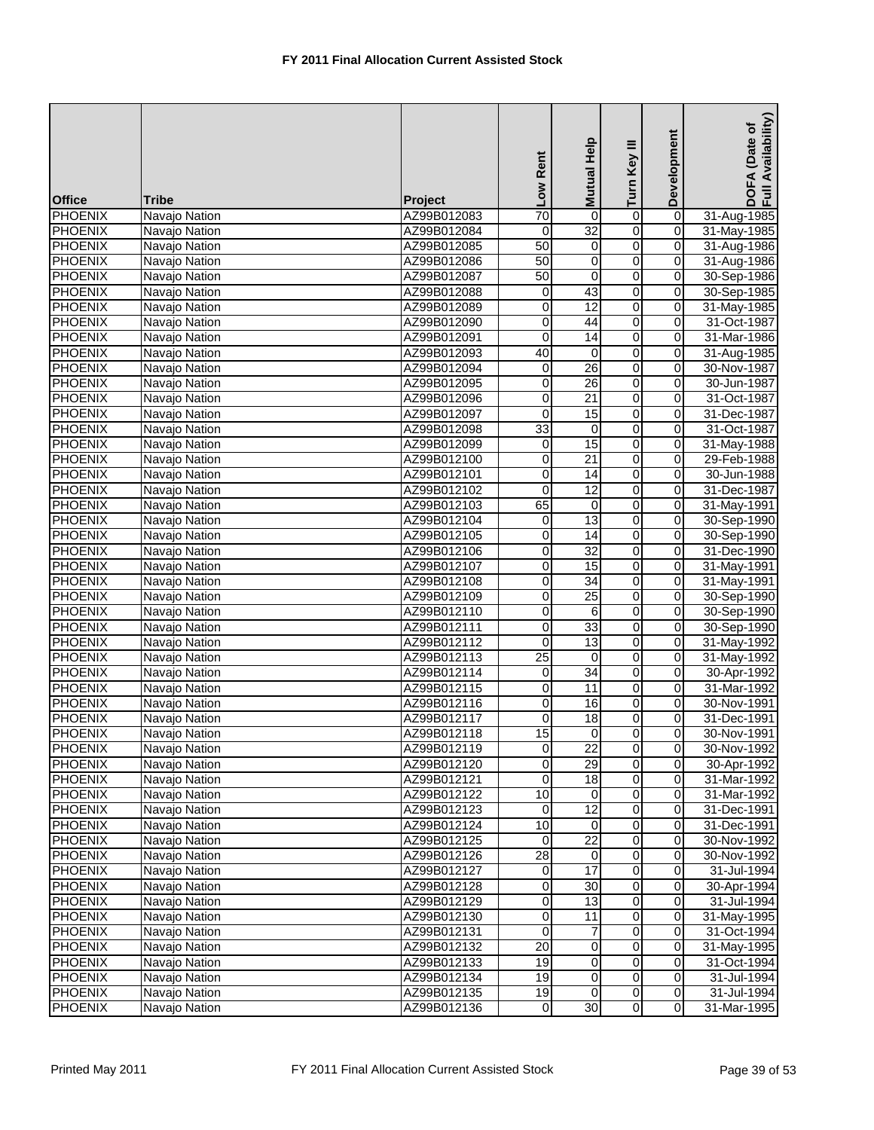| <b>Office</b>  | <b>Tribe</b>  | <b>Project</b> | Low Rent        | Help<br><b>Mutual</b>   | Turn Key III   | Development             | Availability)<br>DOFA (Date of<br>Full Availability |
|----------------|---------------|----------------|-----------------|-------------------------|----------------|-------------------------|-----------------------------------------------------|
| <b>PHOENIX</b> | Navajo Nation | AZ99B012083    | $\overline{70}$ | $\mathbf 0$             | $\overline{0}$ | $\overline{0}$          | 31-Aug-1985                                         |
| <b>PHOENIX</b> | Navajo Nation | AZ99B012084    | 0               | $\overline{32}$         | $\overline{0}$ | 0                       | 31-May-1985                                         |
| <b>PHOENIX</b> | Navajo Nation | AZ99B012085    | 50              | 0                       | $\overline{0}$ | $\overline{0}$          | 31-Aug-1986                                         |
| <b>PHOENIX</b> | Navajo Nation | AZ99B012086    | 50              | $\mathbf 0$             | $\overline{0}$ | 0                       | 31-Aug-1986                                         |
| <b>PHOENIX</b> | Navajo Nation | AZ99B012087    | 50              | 0                       | $\overline{0}$ | 0                       | 30-Sep-1986                                         |
| <b>PHOENIX</b> | Navajo Nation | AZ99B012088    | 0               | 43                      | 0              | 0                       | 30-Sep-1985                                         |
| <b>PHOENIX</b> | Navajo Nation | AZ99B012089    | 0               | 12                      | 0              | 0                       | 31-May-1985                                         |
| <b>PHOENIX</b> | Navajo Nation | AZ99B012090    | 0               | 44                      | 0              | $\mathbf 0$             | 31-Oct-1987                                         |
| <b>PHOENIX</b> | Navajo Nation | AZ99B012091    | $\mathbf 0$     | 14                      | 0              | 0                       | 31-Mar-1986                                         |
| <b>PHOENIX</b> | Navajo Nation | AZ99B012093    | 40              | 0                       | $\overline{0}$ | $\mathbf 0$             | 31-Aug-1985                                         |
| <b>PHOENIX</b> | Navajo Nation | AZ99B012094    | 0               | 26                      | $\overline{0}$ | 0                       | 30-Nov-1987                                         |
| <b>PHOENIX</b> | Navajo Nation | AZ99B012095    | 0               | $\overline{26}$         | $\overline{0}$ | $\overline{0}$          | 30-Jun-1987                                         |
| <b>PHOENIX</b> | Navajo Nation | AZ99B012096    | 0               | $\overline{21}$         | 0              | 0                       | 31-Oct-1987                                         |
| <b>PHOENIX</b> | Navajo Nation | AZ99B012097    | 0               | 15                      | $\overline{0}$ | 0                       | 31-Dec-1987                                         |
| <b>PHOENIX</b> | Navajo Nation | AZ99B012098    | 33              | 0                       | $\overline{0}$ | 0                       | 31-Oct-1987                                         |
| <b>PHOENIX</b> | Navajo Nation | AZ99B012099    | 0               | 15                      | 0              | 0                       | 31-May-1988                                         |
| <b>PHOENIX</b> | Navajo Nation | AZ99B012100    | 0               | $\overline{21}$         | 0              | $\mathbf 0$             | 29-Feb-1988                                         |
| <b>PHOENIX</b> | Navajo Nation | AZ99B012101    | 0               | 14                      | 0              | 0                       | 30-Jun-1988                                         |
| <b>PHOENIX</b> | Navajo Nation | AZ99B012102    | $\overline{0}$  | 12                      | $\overline{0}$ | $\overline{0}$          | 31-Dec-1987                                         |
| <b>PHOENIX</b> | Navajo Nation | AZ99B012103    | 65              | 0                       | 0              | 0                       | 31-May-1991                                         |
| <b>PHOENIX</b> | Navajo Nation | AZ99B012104    | 0               | 13                      | $\overline{0}$ | 0                       | 30-Sep-1990                                         |
| <b>PHOENIX</b> | Navajo Nation | AZ99B012105    | 0               | 14                      | 0              | 0                       | 30-Sep-1990                                         |
| <b>PHOENIX</b> | Navajo Nation | AZ99B012106    | 0               | $\overline{32}$         | $\overline{0}$ | 0                       | 31-Dec-1990                                         |
| <b>PHOENIX</b> | Navajo Nation | AZ99B012107    | 0               | 15                      | 0              | 0                       | 31-May-1991                                         |
| <b>PHOENIX</b> | Navajo Nation | AZ99B012108    | 0               | 34                      | 0              | 0                       | 31-May-1991                                         |
| <b>PHOENIX</b> | Navajo Nation | AZ99B012109    | 0               | $\overline{25}$         | o              | $\mathbf 0$             | 30-Sep-1990                                         |
| <b>PHOENIX</b> | Navajo Nation | AZ99B012110    | 0               | 6                       | $\overline{0}$ | 0                       | 30-Sep-1990                                         |
| <b>PHOENIX</b> | Navajo Nation | AZ99B012111    | 0               | 33                      | $\overline{0}$ | o                       | 30-Sep-1990                                         |
| <b>PHOENIX</b> | Navajo Nation | AZ99B012112    | 0               | 13                      | 0              | 0                       | 31-May-1992                                         |
| <b>PHOENIX</b> | Navajo Nation | AZ99B012113    | 25              | $\mathbf 0$             | $\overline{0}$ | 0                       | 31-May-1992                                         |
| <b>PHOENIX</b> | Navajo Nation | AZ99B012114    | 0               | 34                      | $\overline{0}$ | $\overline{0}$          | 30-Apr-1992                                         |
| <b>PHOENIX</b> | Navajo Nation | AZ99B012115    | 0               | 11                      | $\overline{0}$ | 0                       | 31-Mar-1992                                         |
| <b>PHOENIX</b> | Navajo Nation | AZ99B012116    | 0               | 16                      | 0              | $\mathbf 0$             | 30-Nov-1991                                         |
| <b>PHOENIX</b> | Navajo Nation | AZ99B012117    | 0               | 18                      | 0              | 0                       | 31-Dec-1991                                         |
| <b>PHOENIX</b> | Navajo Nation | AZ99B012118    | 15              | $\overline{0}$          | $\overline{0}$ | $\overline{0}$          | 30-Nov-1991                                         |
| <b>PHOENIX</b> | Navajo Nation | AZ99B012119    | $\overline{0}$  | 22                      | $\overline{0}$ | $\mathbf 0$             | 30-Nov-1992                                         |
| <b>PHOENIX</b> | Navajo Nation | AZ99B012120    | 0               | 29                      | $\overline{0}$ | $\overline{0}$          | 30-Apr-1992                                         |
| <b>PHOENIX</b> | Navajo Nation | AZ99B012121    | 0               | 18                      | 0              | $\mathbf 0$             | 31-Mar-1992                                         |
| <b>PHOENIX</b> | Navajo Nation | AZ99B012122    | 10              | 0                       | 0              | $\mathbf 0$             | 31-Mar-1992                                         |
| <b>PHOENIX</b> | Navajo Nation | AZ99B012123    | 0               | 12                      | 0              | $\mathbf 0$             | 31-Dec-1991                                         |
| <b>PHOENIX</b> | Navajo Nation | AZ99B012124    | 10              | 0                       | 0              | 0                       | 31-Dec-1991                                         |
| <b>PHOENIX</b> | Navajo Nation | AZ99B012125    | 0               | $\overline{22}$         | 0              | $\mathbf 0$             | 30-Nov-1992                                         |
| <b>PHOENIX</b> | Navajo Nation | AZ99B012126    | $\overline{28}$ | 0                       | 0              | 0                       | 30-Nov-1992                                         |
| <b>PHOENIX</b> | Navajo Nation | AZ99B012127    | $\pmb{0}$       | 17                      | o              | $\overline{0}$          | 31-Jul-1994                                         |
| <b>PHOENIX</b> | Navajo Nation | AZ99B012128    | 0               | $\overline{30}$         | 0              | 0                       | 30-Apr-1994                                         |
| <b>PHOENIX</b> | Navajo Nation | AZ99B012129    | 0               | 13                      | 0              | $\mathbf 0$             | 31-Jul-1994                                         |
| <b>PHOENIX</b> | Navajo Nation | AZ99B012130    | 0               | $\overline{11}$         | 0              | 0                       | 31-May-1995                                         |
| <b>PHOENIX</b> | Navajo Nation | AZ99B012131    | 0               | 7                       | 0              | $\mathbf 0$             | 31-Oct-1994                                         |
| <b>PHOENIX</b> | Navajo Nation | AZ99B012132    | 20              | 0                       | 0              | $\mathbf 0$             | 31-May-1995                                         |
| <b>PHOENIX</b> | Navajo Nation | AZ99B012133    | 19              | 0                       | 0              | 0                       | 31-Oct-1994                                         |
| <b>PHOENIX</b> | Navajo Nation | AZ99B012134    | 19              | $\overline{\mathbf{o}}$ | 0              | $\overline{\mathbf{o}}$ | 31-Jul-1994                                         |
| <b>PHOENIX</b> | Navajo Nation | AZ99B012135    | 19              | $\mathbf 0$             | $\overline{0}$ | $\mathbf 0$             | 31-Jul-1994                                         |
| <b>PHOENIX</b> | Navajo Nation | AZ99B012136    | 0               | 30                      | $\overline{0}$ | $\mathbf 0$             | 31-Mar-1995                                         |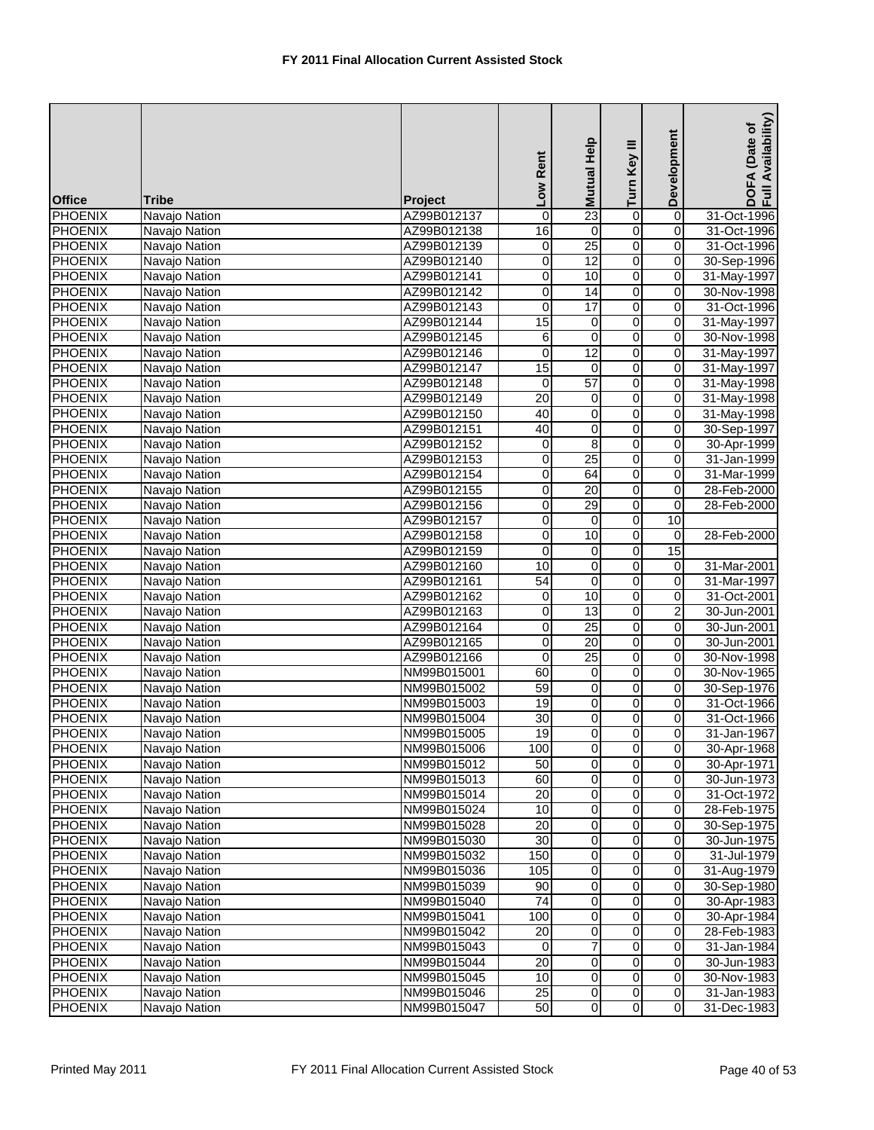| <b>Office</b>                    | <b>Tribe</b>                   | <b>Project</b>             | Low Rent                | Mutual Help                 | Turn Key III                     | Development             | Availability)<br>(Date of<br>DOFA<br>Full Av |
|----------------------------------|--------------------------------|----------------------------|-------------------------|-----------------------------|----------------------------------|-------------------------|----------------------------------------------|
| <b>PHOENIX</b>                   | Navajo Nation                  | AZ99B012137                | 0                       | 23                          | o                                | $\overline{0}$          | 31-Oct-1996                                  |
| <b>PHOENIX</b>                   | Navajo Nation                  | AZ99B012138                | 16                      | 0                           | 0                                | 0                       | 31-Oct-1996                                  |
| <b>PHOENIX</b>                   | Navajo Nation                  | AZ99B012139                | $\overline{0}$          | 25                          | $\overline{0}$                   | $\overline{0}$          | 31-Oct-1996                                  |
| <b>PHOENIX</b>                   | Navajo Nation                  | AZ99B012140                | 0                       | 12                          | $\overline{0}$                   | 0                       | 30-Sep-1996                                  |
| <b>PHOENIX</b>                   | Navajo Nation                  | AZ99B012141                | O                       | 10                          | $\overline{0}$                   | $\overline{0}$          | 31-May-1997                                  |
| <b>PHOENIX</b>                   | Navajo Nation                  | AZ99B012142                | 0                       | 14                          | o                                | 0                       | 30-Nov-1998                                  |
| <b>PHOENIX</b>                   | Navajo Nation                  | AZ99B012143                | 0                       | $\overline{17}$             | $\overline{0}$                   | 0                       | 31-Oct-1996                                  |
| <b>PHOENIX</b>                   | Navajo Nation                  | AZ99B012144                | 15                      | 0                           | $\overline{0}$                   | 0                       | 31-May-1997                                  |
| <b>PHOENIX</b>                   | Navajo Nation                  | AZ99B012145                | 6                       | 0                           | $\overline{0}$                   | 0                       | 30-Nov-1998                                  |
| <b>PHOENIX</b>                   | Navajo Nation                  | AZ99B012146                | $\overline{0}$          | $\overline{12}$             | $\overline{0}$                   | 0                       | 31-May-1997                                  |
| <b>PHOENIX</b>                   | Navajo Nation                  | AZ99B012147                | 15                      | 0                           | 0                                | 0                       | 31-May-1997                                  |
| <b>PHOENIX</b>                   | Navajo Nation                  | AZ99B012148                | $\mathbf 0$             | 57                          | $\overline{0}$                   | $\pmb{0}$               | 31-May-1998                                  |
| <b>PHOENIX</b>                   | Navajo Nation                  | AZ99B012149                | $\overline{20}$         | 0                           | $\overline{0}$                   | $\pmb{0}$               | 31-May-1998                                  |
| <b>PHOENIX</b>                   | Navajo Nation                  | AZ99B012150                | 40                      | 0                           | $\overline{0}$                   | 0                       | 31-May-1998                                  |
| <b>PHOENIX</b>                   | Navajo Nation                  | AZ99B012151                | 40                      | 0                           | o                                | 0                       | 30-Sep-1997                                  |
| <b>PHOENIX</b>                   | Navajo Nation                  | AZ99B012152                | 0                       | 8                           | $\overline{0}$                   | $\pmb{0}$               | 30-Apr-1999                                  |
| <b>PHOENIX</b>                   | Navajo Nation                  | AZ99B012153                | 0                       | $\overline{25}$             | $\overline{0}$                   | 0                       | 31-Jan-1999                                  |
| <b>PHOENIX</b>                   | Navajo Nation                  | AZ99B012154                | 0                       | 64                          | 0                                | 0                       | 31-Mar-1999                                  |
| <b>PHOENIX</b>                   | Navajo Nation                  | AZ99B012155                | 0                       | $\overline{20}$             | $\overline{0}$                   | 0                       | 28-Feb-2000                                  |
| <b>PHOENIX</b>                   | Navajo Nation                  | AZ99B012156                | 0                       | 29                          | o                                | 0                       | 28-Feb-2000                                  |
| <b>PHOENIX</b>                   | Navajo Nation                  | AZ99B012157                | $\overline{0}$          | $\overline{0}$              | $\overline{\mathbf{0}}$          | 10                      |                                              |
| <b>PHOENIX</b>                   | Navajo Nation                  | AZ99B012158                | 0                       | 10                          | $\overline{0}$                   | $\mathbf 0$             | 28-Feb-2000                                  |
| <b>PHOENIX</b>                   |                                | AZ99B012159                | 0                       | 0                           | $\overline{0}$                   | 15                      |                                              |
| <b>PHOENIX</b>                   | Navajo Nation<br>Navajo Nation | AZ99B012160                | 10                      | 0                           | o                                |                         | 31-Mar-2001                                  |
| <b>PHOENIX</b>                   |                                |                            | 54                      | $\boldsymbol{0}$            | $\overline{0}$                   | 0<br>$\pmb{0}$          |                                              |
| <b>PHOENIX</b>                   | Navajo Nation                  | AZ99B012161<br>AZ99B012162 |                         | 10                          | $\overline{0}$                   | 0                       | 31-Mar-1997<br>31-Oct-2001                   |
| <b>PHOENIX</b>                   | Navajo Nation                  |                            | 0<br>0                  | 13                          | $\overline{0}$                   | 2                       | 30-Jun-2001                                  |
| <b>PHOENIX</b>                   | Navajo Nation<br>Navajo Nation | AZ99B012163<br>AZ99B012164 | 0                       | $\overline{25}$             | $\overline{0}$                   | 0                       | 30-Jun-2001                                  |
| <b>PHOENIX</b>                   | Navajo Nation                  | AZ99B012165                | 0                       | 20                          | $\overline{0}$                   | 0                       | 30-Jun-2001                                  |
| <b>PHOENIX</b>                   | Navajo Nation                  | AZ99B012166                | $\overline{\mathbf{0}}$ | 25                          | $\overline{0}$                   | $\overline{0}$          | 30-Nov-1998                                  |
| <b>PHOENIX</b>                   | Navajo Nation                  | NM99B015001                | 60                      | 0                           | O                                | 0                       | 30-Nov-1965                                  |
| <b>PHOENIX</b>                   | Navajo Nation                  | NM99B015002                | 59                      | 0                           | O                                | 0                       | 30-Sep-1976                                  |
| <b>PHOENIX</b>                   |                                |                            | 19                      | 0                           | $\overline{0}$                   | 0                       | 31-Oct-1966                                  |
| <b>PHOENIX</b>                   | Navajo Nation<br>Navajo Nation | NM99B015003<br>NM99B015004 | $\overline{30}$         | 0                           | $\overline{0}$                   | $\mathbf 0$             | 31-Oct-1966                                  |
| <b>PHOENIX</b>                   | Navajo Nation                  | NM99B015005                | $\overline{19}$         | $\overline{0}$              | $\overline{0}$                   | $\overline{0}$          | 31-Jan-1967                                  |
| <b>PHOENIX</b>                   | Navajo Nation                  | NM99B015006                | 100                     | $\pmb{0}$                   | $\overline{0}$                   | $\mathbf 0$             | 30-Apr-1968                                  |
| <b>PHOENIX</b>                   | Navajo Nation                  | NM99B015012                | 50                      | 0                           | $\overline{0}$                   | 0                       | 30-Apr-1971                                  |
| <b>PHOENIX</b>                   | Navajo Nation                  | NM99B015013                | 60                      | 0                           | O                                | $\pmb{0}$               | 30-Jun-1973                                  |
| <b>PHOENIX</b>                   | Navajo Nation                  | NM99B015014                | 20                      | 0                           | $\overline{0}$                   | $\mathbf 0$             |                                              |
| <b>PHOENIX</b>                   | Navajo Nation                  | NM99B015024                | 10                      | 0                           | 0                                | 0                       | 31-Oct-1972<br>28-Feb-1975                   |
| <b>PHOENIX</b>                   | Navajo Nation                  | NM99B015028                | $\overline{20}$         | $\pmb{0}$                   | $\overline{0}$                   | 0                       | 30-Sep-1975                                  |
| <b>PHOENIX</b>                   | Navajo Nation                  | NM99B015030                | 30                      | 0                           | $\overline{0}$                   | 0                       | 30-Jun-1975                                  |
| <b>PHOENIX</b>                   | Navajo Nation                  | NM99B015032                | 150                     | 0                           | $\overline{0}$                   | 0                       | 31-Jul-1979                                  |
| <b>PHOENIX</b>                   |                                | NM99B015036                | 105                     | $\overline{\mathbf{0}}$     | $\overline{0}$                   | $\overline{0}$          | 31-Aug-1979                                  |
| <b>PHOENIX</b>                   | Navajo Nation                  |                            |                         | 0                           | 0                                | 0                       |                                              |
| <b>PHOENIX</b>                   | Navajo Nation<br>Navajo Nation | NM99B015039<br>NM99B015040 | 90<br>$\overline{74}$   | $\overline{0}$              | $\overline{0}$                   | $\overline{0}$          | 30-Sep-1980                                  |
| <b>PHOENIX</b>                   | Navajo Nation                  | NM99B015041                | 100                     | 0                           | 0                                | $\pmb{0}$               | 30-Apr-1983<br>30-Apr-1984                   |
|                                  |                                |                            |                         |                             | $\overline{0}$                   | $\overline{\mathbf{o}}$ |                                              |
| <b>PHOENIX</b><br><b>PHOENIX</b> | Navajo Nation                  | NM99B015042<br>NM99B015043 | 20<br>$\mathbf 0$       | 0<br>7                      | 0                                | 0                       | 28-Feb-1983                                  |
| <b>PHOENIX</b>                   | Navajo Nation                  |                            |                         |                             | $\overline{0}$                   | 0                       | 31-Jan-1984                                  |
| <b>PHOENIX</b>                   | Navajo Nation<br>Navajo Nation | NM99B015044<br>NM99B015045 | 20<br>10                | 0<br>0                      | $\overline{0}$                   | 0                       | 30-Jun-1983                                  |
|                                  |                                |                            |                         |                             |                                  |                         | 30-Nov-1983                                  |
| <b>PHOENIX</b><br><b>PHOENIX</b> | Navajo Nation                  | NM99B015046<br>NM99B015047 | 25<br>50                | $\pmb{0}$<br>$\overline{0}$ | $\overline{0}$<br>$\overline{0}$ | 0<br>0                  | 31-Jan-1983<br>31-Dec-1983                   |
|                                  | Navajo Nation                  |                            |                         |                             |                                  |                         |                                              |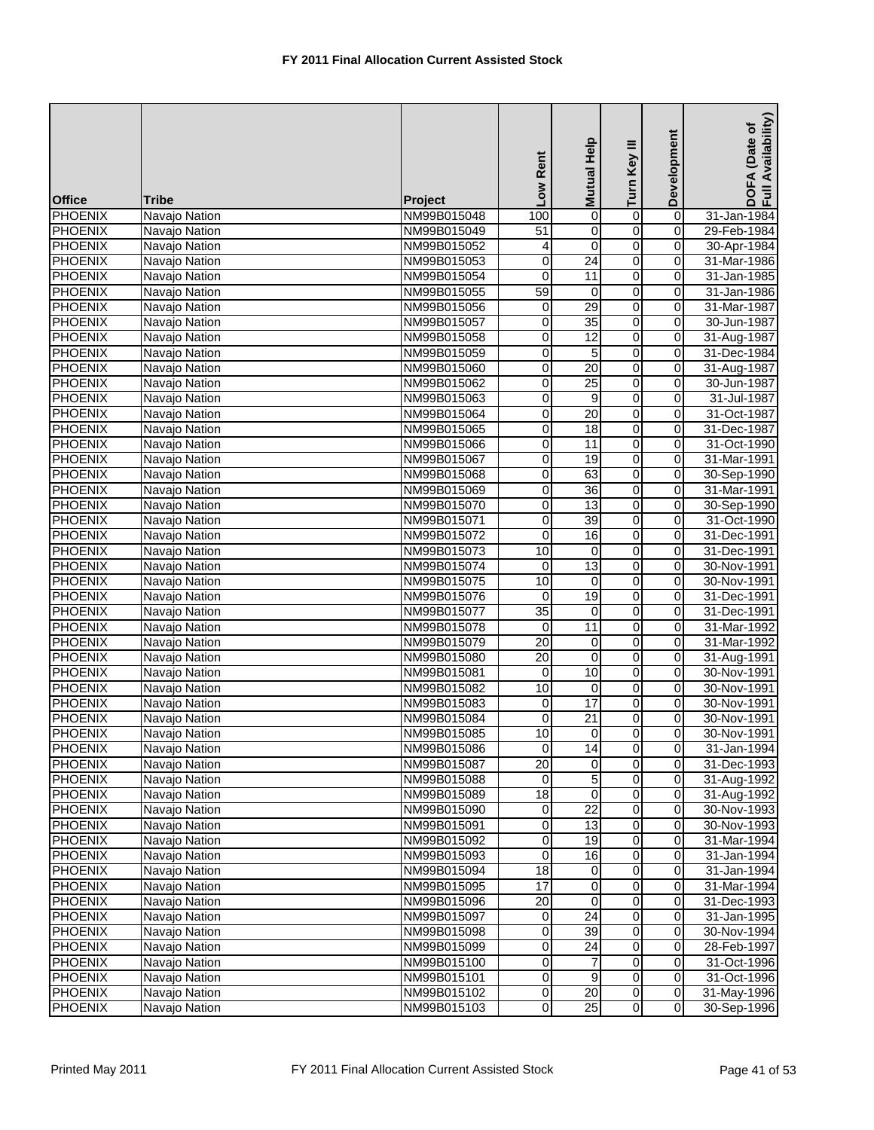| $\overline{0}$<br>$\overline{0}$<br><b>PHOENIX</b><br>100<br>Navajo Nation<br>NM99B015048<br>0<br>31-Jan-1984<br>0<br><b>PHOENIX</b><br>Navajo Nation<br>$\overline{51}$<br>0<br>NM99B015049<br>29-Feb-1984<br>0<br>o<br>$\overline{0}$<br><b>PHOENIX</b><br>0<br>Navajo Nation<br>NM99B015052<br>30-Apr-1984<br>4<br>$\overline{0}$<br><b>PHOENIX</b><br>24<br>0<br>Navajo Nation<br>NM99B015053<br>0<br>31-Mar-1986<br>$\overline{0}$<br>11<br>$\overline{0}$<br>0<br>31-Jan-1985<br>Navajo Nation<br>NM99B015054<br>$\overline{0}$<br><b>PHOENIX</b><br>59<br>0<br>31-Jan-1986<br>Navajo Nation<br>NM99B015055<br>0<br>29<br>$\overline{0}$<br><b>PHOENIX</b><br>0<br>0<br>31-Mar-1987<br>Navajo Nation<br>NM99B015056<br>35<br><b>PHOENIX</b><br>$\boldsymbol{0}$<br>0<br>0<br>NM99B015057<br>30-Jun-1987<br>Navajo Nation<br>$\overline{0}$<br><b>PHOENIX</b><br>0<br>12<br>0<br>31-Aug-1987<br>Navajo Nation<br>NM99B015058<br><b>PHOENIX</b><br>0<br>Navajo Nation<br>0<br>5<br>0<br>31-Dec-1984<br>NM99B015059<br>0<br><b>PHOENIX</b><br>Navajo Nation<br>20<br>0<br>31-Aug-1987<br>0<br>NM99B015060<br>$\overline{25}$<br>O<br>$\overline{0}$<br><b>PHOENIX</b><br>0<br>Navajo Nation<br>30-Jun-1987<br>NM99B015062<br>$\overline{0}$<br><b>PHOENIX</b><br>9<br>Navajo Nation<br>NM99B015063<br>0<br>0<br>31-Jul-1987<br>$\overline{0}$<br><b>PHOENIX</b><br>0<br>$\overline{20}$<br>0<br>31-Oct-1987<br>Navajo Nation<br>NM99B015064<br><b>PHOENIX</b><br>0<br>$\overline{18}$<br>0<br>0<br>31-Dec-1987<br>Navajo Nation<br>NM99B015065<br>11<br>$\overline{0}$<br>0<br><b>PHOENIX</b><br>0<br>31-Oct-1990<br>Navajo Nation<br>NM99B015066<br>19<br>0<br><b>PHOENIX</b><br>0<br>0<br>31-Mar-1991<br>Navajo Nation<br>NM99B015067<br>$\overline{0}$<br><b>PHOENIX</b><br>63<br>Navajo Nation<br>0<br>0<br>30-Sep-1990<br>NM99B015068<br>0<br><b>PHOENIX</b><br>0<br>$\overline{36}$<br>0<br>31-Mar-1991<br>Navajo Nation<br>NM99B015069<br>$\overline{0}$<br><b>PHOENIX</b><br>Navajo Nation<br>13<br>0<br>30-Sep-1990<br>NM99B015070<br>0<br>39<br>$\overline{0}$<br>o<br>$\overline{0}$<br><b>PHOENIX</b><br>Navajo Nation<br>NM99B015071<br>31-Oct-1990<br>16<br>$\overline{0}$<br><b>PHOENIX</b><br>$\mathbf 0$<br>0<br>31-Dec-1991<br>Navajo Nation<br>NM99B015072<br>10<br>0<br><b>PHOENIX</b><br>NM99B015073<br>0<br>0<br>31-Dec-1991<br>Navajo Nation<br>0<br><b>PHOENIX</b><br>13<br>0<br>30-Nov-1991<br>Navajo Nation<br>NM99B015074<br>0<br><b>PHOENIX</b><br>10<br>$\overline{0}$<br>0<br>30-Nov-1991<br>Navajo Nation<br>NM99B015075<br>0<br>19<br>0<br><b>PHOENIX</b><br>0<br>Navajo Nation<br>NM99B015076<br>0<br>31-Dec-1991<br>0<br><b>PHOENIX</b><br>$\overline{35}$<br>0<br>31-Dec-1991<br>Navajo Nation<br>NM99B015077<br>0<br>0<br><b>PHOENIX</b><br>11<br>$\mathsf{O}\xspace$<br>Navajo Nation<br>NM99B015078<br>0<br>31-Mar-1992<br>$\overline{0}$<br><b>PHOENIX</b><br>20<br>0<br>31-Mar-1992<br>Navajo Nation<br>NM99B015079<br>$\mathbf 0$<br>$\overline{0}$<br>20<br>$\overline{0}$<br><b>PHOENIX</b><br>0<br>NM99B015080<br>31-Aug-1991<br>Navajo Nation<br>$\overline{0}$<br><b>PHOENIX</b><br>10<br>0<br>NM99B015081<br>$\mathbf 0$<br>30-Nov-1991<br>Navajo Nation<br>$\overline{0}$<br><b>PHOENIX</b><br>10<br>0<br>0<br>30-Nov-1991<br>Navajo Nation<br>NM99B015082<br>0<br><b>PHOENIX</b><br>17<br>0<br>30-Nov-1991<br>Navajo Nation<br>NM99B015083<br>0<br>$\overline{21}$<br><b>PHOENIX</b><br>0<br>30-Nov-1991<br>Navajo Nation<br>0<br>NM99B015084<br>0<br>10<br>0<br><b>PHOENIX</b><br>Navajo Nation<br>$\mathbf 0$<br>$\overline{0}$<br>30-Nov-1991<br>NM99B015085<br>$\overline{0}$<br><b>PHOENIX</b><br>Navajo Nation<br>0<br>14<br>$\mathbf 0$<br>NM99B015086<br>31-Jan-1994<br>0<br>$\overline{20}$<br><b>PHOENIX</b><br>Navajo Nation<br>0<br>$\mathbf 0$<br>NM99B015087<br>31-Dec-1993<br>0<br><b>PHOENIX</b><br>Navajo Nation<br>5<br>$\mathbf 0$<br>31-Aug-1992<br>NM99B015088<br>0<br>$\overline{0}$<br>$\overline{18}$<br>$\mathbf 0$<br>$\mathbf 0$<br><b>PHOENIX</b><br>31-Aug-1992<br>Navajo Nation<br>NM99B015089<br>$\overline{22}$<br>0<br>0<br><b>PHOENIX</b><br>Navajo Nation<br>0<br>NM99B015090<br>30-Nov-1993<br>0<br><b>PHOENIX</b><br>13<br>0<br>$\mathbf 0$<br>30-Nov-1993<br>Navajo Nation<br>NM99B015091<br>0<br>0<br><b>PHOENIX</b><br>Navajo Nation<br>19<br>$\mathbf 0$<br>NM99B015092<br>31-Mar-1994<br><b>PHOENIX</b><br>16<br>0<br>0<br>Navajo Nation<br>0<br>31-Jan-1994<br>NM99B015093<br>$\overline{18}$<br>0<br>$\mathbf 0$<br><b>PHOENIX</b><br>Navajo Nation<br>NM99B015094<br>$\mathbf 0$<br>31-Jan-1994<br>17<br>0<br><b>PHOENIX</b><br>Navajo Nation<br>0<br>0<br>31-Mar-1994<br>NM99B015095<br>0<br><b>PHOENIX</b><br>$\overline{20}$<br>$\mathbf 0$<br>$\mathbf 0$<br>Navajo Nation<br>31-Dec-1993<br>NM99B015096<br>24<br>0<br><b>PHOENIX</b><br>Navajo Nation<br>$\mathbf 0$<br>NM99B015097<br>0<br>31-Jan-1995<br>39<br>0<br><b>PHOENIX</b><br>0<br>$\mathbf 0$<br>Navajo Nation<br>30-Nov-1994<br>NM99B015098<br>$\overline{24}$<br>0<br>0<br>0<br><b>PHOENIX</b><br>Navajo Nation<br>NM99B015099<br>28-Feb-1997<br>o<br>0<br>$\overline{7}$<br><b>PHOENIX</b><br>0<br>Navajo Nation<br>NM99B015100<br>31-Oct-1996<br><b>PHOENIX</b><br>$9\,$<br>0<br>Navajo Nation<br>$\overline{0}$<br>$\mathbf 0$<br>31-Oct-1996<br>NM99B015101<br>$\overline{20}$<br>$\overline{0}$<br><b>PHOENIX</b><br>Navajo Nation<br>$\mathbf 0$<br>NM99B015102<br>$\overline{0}$<br>31-May-1996 | <b>Office</b>  | <b>Tribe</b>  | Project     | Low Rent       | Help<br><b>Mutual</b> | Turn Key III   | Development    | Availability)<br>(Date of<br>DOFA<br>Full Av |
|---------------------------------------------------------------------------------------------------------------------------------------------------------------------------------------------------------------------------------------------------------------------------------------------------------------------------------------------------------------------------------------------------------------------------------------------------------------------------------------------------------------------------------------------------------------------------------------------------------------------------------------------------------------------------------------------------------------------------------------------------------------------------------------------------------------------------------------------------------------------------------------------------------------------------------------------------------------------------------------------------------------------------------------------------------------------------------------------------------------------------------------------------------------------------------------------------------------------------------------------------------------------------------------------------------------------------------------------------------------------------------------------------------------------------------------------------------------------------------------------------------------------------------------------------------------------------------------------------------------------------------------------------------------------------------------------------------------------------------------------------------------------------------------------------------------------------------------------------------------------------------------------------------------------------------------------------------------------------------------------------------------------------------------------------------------------------------------------------------------------------------------------------------------------------------------------------------------------------------------------------------------------------------------------------------------------------------------------------------------------------------------------------------------------------------------------------------------------------------------------------------------------------------------------------------------------------------------------------------------------------------------------------------------------------------------------------------------------------------------------------------------------------------------------------------------------------------------------------------------------------------------------------------------------------------------------------------------------------------------------------------------------------------------------------------------------------------------------------------------------------------------------------------------------------------------------------------------------------------------------------------------------------------------------------------------------------------------------------------------------------------------------------------------------------------------------------------------------------------------------------------------------------------------------------------------------------------------------------------------------------------------------------------------------------------------------------------------------------------------------------------------------------------------------------------------------------------------------------------------------------------------------------------------------------------------------------------------------------------------------------------------------------------------------------------------------------------------------------------------------------------------------------------------------------------------------------------------------------------------------------------------------------------------------------------------------------------------------------------------------------------------------------------------------------------------------------------------------------------------------------------------------------------------------------------------------------------------------------------------------------------------------------------------------------------------------------------------------------------------------------------------------------------------------------------------------------------------------------------------------------------------------------------------------------------------------------------------------------------------------------------------------------------------------------------------------------------------------------------------------------------------------------------------------------------------------------------------------------------------------------------------------------------------------------------------------------------------------------------------------------------------------------------------------------------------------------------------------------|----------------|---------------|-------------|----------------|-----------------------|----------------|----------------|----------------------------------------------|
|                                                                                                                                                                                                                                                                                                                                                                                                                                                                                                                                                                                                                                                                                                                                                                                                                                                                                                                                                                                                                                                                                                                                                                                                                                                                                                                                                                                                                                                                                                                                                                                                                                                                                                                                                                                                                                                                                                                                                                                                                                                                                                                                                                                                                                                                                                                                                                                                                                                                                                                                                                                                                                                                                                                                                                                                                                                                                                                                                                                                                                                                                                                                                                                                                                                                                                                                                                                                                                                                                                                                                                                                                                                                                                                                                                                                                                                                                                                                                                                                                                                                                                                                                                                                                                                                                                                                                                                                                                                                                                                                                                                                                                                                                                                                                                                                                                                                                                                                                                                                                                                                                                                                                                                                                                                                                                                                                                                                                                                                           |                |               |             |                |                       |                |                |                                              |
|                                                                                                                                                                                                                                                                                                                                                                                                                                                                                                                                                                                                                                                                                                                                                                                                                                                                                                                                                                                                                                                                                                                                                                                                                                                                                                                                                                                                                                                                                                                                                                                                                                                                                                                                                                                                                                                                                                                                                                                                                                                                                                                                                                                                                                                                                                                                                                                                                                                                                                                                                                                                                                                                                                                                                                                                                                                                                                                                                                                                                                                                                                                                                                                                                                                                                                                                                                                                                                                                                                                                                                                                                                                                                                                                                                                                                                                                                                                                                                                                                                                                                                                                                                                                                                                                                                                                                                                                                                                                                                                                                                                                                                                                                                                                                                                                                                                                                                                                                                                                                                                                                                                                                                                                                                                                                                                                                                                                                                                                           |                |               |             |                |                       |                |                |                                              |
|                                                                                                                                                                                                                                                                                                                                                                                                                                                                                                                                                                                                                                                                                                                                                                                                                                                                                                                                                                                                                                                                                                                                                                                                                                                                                                                                                                                                                                                                                                                                                                                                                                                                                                                                                                                                                                                                                                                                                                                                                                                                                                                                                                                                                                                                                                                                                                                                                                                                                                                                                                                                                                                                                                                                                                                                                                                                                                                                                                                                                                                                                                                                                                                                                                                                                                                                                                                                                                                                                                                                                                                                                                                                                                                                                                                                                                                                                                                                                                                                                                                                                                                                                                                                                                                                                                                                                                                                                                                                                                                                                                                                                                                                                                                                                                                                                                                                                                                                                                                                                                                                                                                                                                                                                                                                                                                                                                                                                                                                           |                |               |             |                |                       |                |                |                                              |
|                                                                                                                                                                                                                                                                                                                                                                                                                                                                                                                                                                                                                                                                                                                                                                                                                                                                                                                                                                                                                                                                                                                                                                                                                                                                                                                                                                                                                                                                                                                                                                                                                                                                                                                                                                                                                                                                                                                                                                                                                                                                                                                                                                                                                                                                                                                                                                                                                                                                                                                                                                                                                                                                                                                                                                                                                                                                                                                                                                                                                                                                                                                                                                                                                                                                                                                                                                                                                                                                                                                                                                                                                                                                                                                                                                                                                                                                                                                                                                                                                                                                                                                                                                                                                                                                                                                                                                                                                                                                                                                                                                                                                                                                                                                                                                                                                                                                                                                                                                                                                                                                                                                                                                                                                                                                                                                                                                                                                                                                           |                |               |             |                |                       |                |                |                                              |
|                                                                                                                                                                                                                                                                                                                                                                                                                                                                                                                                                                                                                                                                                                                                                                                                                                                                                                                                                                                                                                                                                                                                                                                                                                                                                                                                                                                                                                                                                                                                                                                                                                                                                                                                                                                                                                                                                                                                                                                                                                                                                                                                                                                                                                                                                                                                                                                                                                                                                                                                                                                                                                                                                                                                                                                                                                                                                                                                                                                                                                                                                                                                                                                                                                                                                                                                                                                                                                                                                                                                                                                                                                                                                                                                                                                                                                                                                                                                                                                                                                                                                                                                                                                                                                                                                                                                                                                                                                                                                                                                                                                                                                                                                                                                                                                                                                                                                                                                                                                                                                                                                                                                                                                                                                                                                                                                                                                                                                                                           | <b>PHOENIX</b> |               |             |                |                       |                |                |                                              |
|                                                                                                                                                                                                                                                                                                                                                                                                                                                                                                                                                                                                                                                                                                                                                                                                                                                                                                                                                                                                                                                                                                                                                                                                                                                                                                                                                                                                                                                                                                                                                                                                                                                                                                                                                                                                                                                                                                                                                                                                                                                                                                                                                                                                                                                                                                                                                                                                                                                                                                                                                                                                                                                                                                                                                                                                                                                                                                                                                                                                                                                                                                                                                                                                                                                                                                                                                                                                                                                                                                                                                                                                                                                                                                                                                                                                                                                                                                                                                                                                                                                                                                                                                                                                                                                                                                                                                                                                                                                                                                                                                                                                                                                                                                                                                                                                                                                                                                                                                                                                                                                                                                                                                                                                                                                                                                                                                                                                                                                                           |                |               |             |                |                       |                |                |                                              |
|                                                                                                                                                                                                                                                                                                                                                                                                                                                                                                                                                                                                                                                                                                                                                                                                                                                                                                                                                                                                                                                                                                                                                                                                                                                                                                                                                                                                                                                                                                                                                                                                                                                                                                                                                                                                                                                                                                                                                                                                                                                                                                                                                                                                                                                                                                                                                                                                                                                                                                                                                                                                                                                                                                                                                                                                                                                                                                                                                                                                                                                                                                                                                                                                                                                                                                                                                                                                                                                                                                                                                                                                                                                                                                                                                                                                                                                                                                                                                                                                                                                                                                                                                                                                                                                                                                                                                                                                                                                                                                                                                                                                                                                                                                                                                                                                                                                                                                                                                                                                                                                                                                                                                                                                                                                                                                                                                                                                                                                                           |                |               |             |                |                       |                |                |                                              |
|                                                                                                                                                                                                                                                                                                                                                                                                                                                                                                                                                                                                                                                                                                                                                                                                                                                                                                                                                                                                                                                                                                                                                                                                                                                                                                                                                                                                                                                                                                                                                                                                                                                                                                                                                                                                                                                                                                                                                                                                                                                                                                                                                                                                                                                                                                                                                                                                                                                                                                                                                                                                                                                                                                                                                                                                                                                                                                                                                                                                                                                                                                                                                                                                                                                                                                                                                                                                                                                                                                                                                                                                                                                                                                                                                                                                                                                                                                                                                                                                                                                                                                                                                                                                                                                                                                                                                                                                                                                                                                                                                                                                                                                                                                                                                                                                                                                                                                                                                                                                                                                                                                                                                                                                                                                                                                                                                                                                                                                                           |                |               |             |                |                       |                |                |                                              |
|                                                                                                                                                                                                                                                                                                                                                                                                                                                                                                                                                                                                                                                                                                                                                                                                                                                                                                                                                                                                                                                                                                                                                                                                                                                                                                                                                                                                                                                                                                                                                                                                                                                                                                                                                                                                                                                                                                                                                                                                                                                                                                                                                                                                                                                                                                                                                                                                                                                                                                                                                                                                                                                                                                                                                                                                                                                                                                                                                                                                                                                                                                                                                                                                                                                                                                                                                                                                                                                                                                                                                                                                                                                                                                                                                                                                                                                                                                                                                                                                                                                                                                                                                                                                                                                                                                                                                                                                                                                                                                                                                                                                                                                                                                                                                                                                                                                                                                                                                                                                                                                                                                                                                                                                                                                                                                                                                                                                                                                                           |                |               |             |                |                       |                |                |                                              |
|                                                                                                                                                                                                                                                                                                                                                                                                                                                                                                                                                                                                                                                                                                                                                                                                                                                                                                                                                                                                                                                                                                                                                                                                                                                                                                                                                                                                                                                                                                                                                                                                                                                                                                                                                                                                                                                                                                                                                                                                                                                                                                                                                                                                                                                                                                                                                                                                                                                                                                                                                                                                                                                                                                                                                                                                                                                                                                                                                                                                                                                                                                                                                                                                                                                                                                                                                                                                                                                                                                                                                                                                                                                                                                                                                                                                                                                                                                                                                                                                                                                                                                                                                                                                                                                                                                                                                                                                                                                                                                                                                                                                                                                                                                                                                                                                                                                                                                                                                                                                                                                                                                                                                                                                                                                                                                                                                                                                                                                                           |                |               |             |                |                       |                |                |                                              |
|                                                                                                                                                                                                                                                                                                                                                                                                                                                                                                                                                                                                                                                                                                                                                                                                                                                                                                                                                                                                                                                                                                                                                                                                                                                                                                                                                                                                                                                                                                                                                                                                                                                                                                                                                                                                                                                                                                                                                                                                                                                                                                                                                                                                                                                                                                                                                                                                                                                                                                                                                                                                                                                                                                                                                                                                                                                                                                                                                                                                                                                                                                                                                                                                                                                                                                                                                                                                                                                                                                                                                                                                                                                                                                                                                                                                                                                                                                                                                                                                                                                                                                                                                                                                                                                                                                                                                                                                                                                                                                                                                                                                                                                                                                                                                                                                                                                                                                                                                                                                                                                                                                                                                                                                                                                                                                                                                                                                                                                                           |                |               |             |                |                       |                |                |                                              |
|                                                                                                                                                                                                                                                                                                                                                                                                                                                                                                                                                                                                                                                                                                                                                                                                                                                                                                                                                                                                                                                                                                                                                                                                                                                                                                                                                                                                                                                                                                                                                                                                                                                                                                                                                                                                                                                                                                                                                                                                                                                                                                                                                                                                                                                                                                                                                                                                                                                                                                                                                                                                                                                                                                                                                                                                                                                                                                                                                                                                                                                                                                                                                                                                                                                                                                                                                                                                                                                                                                                                                                                                                                                                                                                                                                                                                                                                                                                                                                                                                                                                                                                                                                                                                                                                                                                                                                                                                                                                                                                                                                                                                                                                                                                                                                                                                                                                                                                                                                                                                                                                                                                                                                                                                                                                                                                                                                                                                                                                           |                |               |             |                |                       |                |                |                                              |
|                                                                                                                                                                                                                                                                                                                                                                                                                                                                                                                                                                                                                                                                                                                                                                                                                                                                                                                                                                                                                                                                                                                                                                                                                                                                                                                                                                                                                                                                                                                                                                                                                                                                                                                                                                                                                                                                                                                                                                                                                                                                                                                                                                                                                                                                                                                                                                                                                                                                                                                                                                                                                                                                                                                                                                                                                                                                                                                                                                                                                                                                                                                                                                                                                                                                                                                                                                                                                                                                                                                                                                                                                                                                                                                                                                                                                                                                                                                                                                                                                                                                                                                                                                                                                                                                                                                                                                                                                                                                                                                                                                                                                                                                                                                                                                                                                                                                                                                                                                                                                                                                                                                                                                                                                                                                                                                                                                                                                                                                           |                |               |             |                |                       |                |                |                                              |
|                                                                                                                                                                                                                                                                                                                                                                                                                                                                                                                                                                                                                                                                                                                                                                                                                                                                                                                                                                                                                                                                                                                                                                                                                                                                                                                                                                                                                                                                                                                                                                                                                                                                                                                                                                                                                                                                                                                                                                                                                                                                                                                                                                                                                                                                                                                                                                                                                                                                                                                                                                                                                                                                                                                                                                                                                                                                                                                                                                                                                                                                                                                                                                                                                                                                                                                                                                                                                                                                                                                                                                                                                                                                                                                                                                                                                                                                                                                                                                                                                                                                                                                                                                                                                                                                                                                                                                                                                                                                                                                                                                                                                                                                                                                                                                                                                                                                                                                                                                                                                                                                                                                                                                                                                                                                                                                                                                                                                                                                           |                |               |             |                |                       |                |                |                                              |
|                                                                                                                                                                                                                                                                                                                                                                                                                                                                                                                                                                                                                                                                                                                                                                                                                                                                                                                                                                                                                                                                                                                                                                                                                                                                                                                                                                                                                                                                                                                                                                                                                                                                                                                                                                                                                                                                                                                                                                                                                                                                                                                                                                                                                                                                                                                                                                                                                                                                                                                                                                                                                                                                                                                                                                                                                                                                                                                                                                                                                                                                                                                                                                                                                                                                                                                                                                                                                                                                                                                                                                                                                                                                                                                                                                                                                                                                                                                                                                                                                                                                                                                                                                                                                                                                                                                                                                                                                                                                                                                                                                                                                                                                                                                                                                                                                                                                                                                                                                                                                                                                                                                                                                                                                                                                                                                                                                                                                                                                           |                |               |             |                |                       |                |                |                                              |
|                                                                                                                                                                                                                                                                                                                                                                                                                                                                                                                                                                                                                                                                                                                                                                                                                                                                                                                                                                                                                                                                                                                                                                                                                                                                                                                                                                                                                                                                                                                                                                                                                                                                                                                                                                                                                                                                                                                                                                                                                                                                                                                                                                                                                                                                                                                                                                                                                                                                                                                                                                                                                                                                                                                                                                                                                                                                                                                                                                                                                                                                                                                                                                                                                                                                                                                                                                                                                                                                                                                                                                                                                                                                                                                                                                                                                                                                                                                                                                                                                                                                                                                                                                                                                                                                                                                                                                                                                                                                                                                                                                                                                                                                                                                                                                                                                                                                                                                                                                                                                                                                                                                                                                                                                                                                                                                                                                                                                                                                           |                |               |             |                |                       |                |                |                                              |
|                                                                                                                                                                                                                                                                                                                                                                                                                                                                                                                                                                                                                                                                                                                                                                                                                                                                                                                                                                                                                                                                                                                                                                                                                                                                                                                                                                                                                                                                                                                                                                                                                                                                                                                                                                                                                                                                                                                                                                                                                                                                                                                                                                                                                                                                                                                                                                                                                                                                                                                                                                                                                                                                                                                                                                                                                                                                                                                                                                                                                                                                                                                                                                                                                                                                                                                                                                                                                                                                                                                                                                                                                                                                                                                                                                                                                                                                                                                                                                                                                                                                                                                                                                                                                                                                                                                                                                                                                                                                                                                                                                                                                                                                                                                                                                                                                                                                                                                                                                                                                                                                                                                                                                                                                                                                                                                                                                                                                                                                           |                |               |             |                |                       |                |                |                                              |
|                                                                                                                                                                                                                                                                                                                                                                                                                                                                                                                                                                                                                                                                                                                                                                                                                                                                                                                                                                                                                                                                                                                                                                                                                                                                                                                                                                                                                                                                                                                                                                                                                                                                                                                                                                                                                                                                                                                                                                                                                                                                                                                                                                                                                                                                                                                                                                                                                                                                                                                                                                                                                                                                                                                                                                                                                                                                                                                                                                                                                                                                                                                                                                                                                                                                                                                                                                                                                                                                                                                                                                                                                                                                                                                                                                                                                                                                                                                                                                                                                                                                                                                                                                                                                                                                                                                                                                                                                                                                                                                                                                                                                                                                                                                                                                                                                                                                                                                                                                                                                                                                                                                                                                                                                                                                                                                                                                                                                                                                           |                |               |             |                |                       |                |                |                                              |
|                                                                                                                                                                                                                                                                                                                                                                                                                                                                                                                                                                                                                                                                                                                                                                                                                                                                                                                                                                                                                                                                                                                                                                                                                                                                                                                                                                                                                                                                                                                                                                                                                                                                                                                                                                                                                                                                                                                                                                                                                                                                                                                                                                                                                                                                                                                                                                                                                                                                                                                                                                                                                                                                                                                                                                                                                                                                                                                                                                                                                                                                                                                                                                                                                                                                                                                                                                                                                                                                                                                                                                                                                                                                                                                                                                                                                                                                                                                                                                                                                                                                                                                                                                                                                                                                                                                                                                                                                                                                                                                                                                                                                                                                                                                                                                                                                                                                                                                                                                                                                                                                                                                                                                                                                                                                                                                                                                                                                                                                           |                |               |             |                |                       |                |                |                                              |
|                                                                                                                                                                                                                                                                                                                                                                                                                                                                                                                                                                                                                                                                                                                                                                                                                                                                                                                                                                                                                                                                                                                                                                                                                                                                                                                                                                                                                                                                                                                                                                                                                                                                                                                                                                                                                                                                                                                                                                                                                                                                                                                                                                                                                                                                                                                                                                                                                                                                                                                                                                                                                                                                                                                                                                                                                                                                                                                                                                                                                                                                                                                                                                                                                                                                                                                                                                                                                                                                                                                                                                                                                                                                                                                                                                                                                                                                                                                                                                                                                                                                                                                                                                                                                                                                                                                                                                                                                                                                                                                                                                                                                                                                                                                                                                                                                                                                                                                                                                                                                                                                                                                                                                                                                                                                                                                                                                                                                                                                           |                |               |             |                |                       |                |                |                                              |
|                                                                                                                                                                                                                                                                                                                                                                                                                                                                                                                                                                                                                                                                                                                                                                                                                                                                                                                                                                                                                                                                                                                                                                                                                                                                                                                                                                                                                                                                                                                                                                                                                                                                                                                                                                                                                                                                                                                                                                                                                                                                                                                                                                                                                                                                                                                                                                                                                                                                                                                                                                                                                                                                                                                                                                                                                                                                                                                                                                                                                                                                                                                                                                                                                                                                                                                                                                                                                                                                                                                                                                                                                                                                                                                                                                                                                                                                                                                                                                                                                                                                                                                                                                                                                                                                                                                                                                                                                                                                                                                                                                                                                                                                                                                                                                                                                                                                                                                                                                                                                                                                                                                                                                                                                                                                                                                                                                                                                                                                           |                |               |             |                |                       |                |                |                                              |
|                                                                                                                                                                                                                                                                                                                                                                                                                                                                                                                                                                                                                                                                                                                                                                                                                                                                                                                                                                                                                                                                                                                                                                                                                                                                                                                                                                                                                                                                                                                                                                                                                                                                                                                                                                                                                                                                                                                                                                                                                                                                                                                                                                                                                                                                                                                                                                                                                                                                                                                                                                                                                                                                                                                                                                                                                                                                                                                                                                                                                                                                                                                                                                                                                                                                                                                                                                                                                                                                                                                                                                                                                                                                                                                                                                                                                                                                                                                                                                                                                                                                                                                                                                                                                                                                                                                                                                                                                                                                                                                                                                                                                                                                                                                                                                                                                                                                                                                                                                                                                                                                                                                                                                                                                                                                                                                                                                                                                                                                           |                |               |             |                |                       |                |                |                                              |
|                                                                                                                                                                                                                                                                                                                                                                                                                                                                                                                                                                                                                                                                                                                                                                                                                                                                                                                                                                                                                                                                                                                                                                                                                                                                                                                                                                                                                                                                                                                                                                                                                                                                                                                                                                                                                                                                                                                                                                                                                                                                                                                                                                                                                                                                                                                                                                                                                                                                                                                                                                                                                                                                                                                                                                                                                                                                                                                                                                                                                                                                                                                                                                                                                                                                                                                                                                                                                                                                                                                                                                                                                                                                                                                                                                                                                                                                                                                                                                                                                                                                                                                                                                                                                                                                                                                                                                                                                                                                                                                                                                                                                                                                                                                                                                                                                                                                                                                                                                                                                                                                                                                                                                                                                                                                                                                                                                                                                                                                           |                |               |             |                |                       |                |                |                                              |
|                                                                                                                                                                                                                                                                                                                                                                                                                                                                                                                                                                                                                                                                                                                                                                                                                                                                                                                                                                                                                                                                                                                                                                                                                                                                                                                                                                                                                                                                                                                                                                                                                                                                                                                                                                                                                                                                                                                                                                                                                                                                                                                                                                                                                                                                                                                                                                                                                                                                                                                                                                                                                                                                                                                                                                                                                                                                                                                                                                                                                                                                                                                                                                                                                                                                                                                                                                                                                                                                                                                                                                                                                                                                                                                                                                                                                                                                                                                                                                                                                                                                                                                                                                                                                                                                                                                                                                                                                                                                                                                                                                                                                                                                                                                                                                                                                                                                                                                                                                                                                                                                                                                                                                                                                                                                                                                                                                                                                                                                           |                |               |             |                |                       |                |                |                                              |
|                                                                                                                                                                                                                                                                                                                                                                                                                                                                                                                                                                                                                                                                                                                                                                                                                                                                                                                                                                                                                                                                                                                                                                                                                                                                                                                                                                                                                                                                                                                                                                                                                                                                                                                                                                                                                                                                                                                                                                                                                                                                                                                                                                                                                                                                                                                                                                                                                                                                                                                                                                                                                                                                                                                                                                                                                                                                                                                                                                                                                                                                                                                                                                                                                                                                                                                                                                                                                                                                                                                                                                                                                                                                                                                                                                                                                                                                                                                                                                                                                                                                                                                                                                                                                                                                                                                                                                                                                                                                                                                                                                                                                                                                                                                                                                                                                                                                                                                                                                                                                                                                                                                                                                                                                                                                                                                                                                                                                                                                           |                |               |             |                |                       |                |                |                                              |
|                                                                                                                                                                                                                                                                                                                                                                                                                                                                                                                                                                                                                                                                                                                                                                                                                                                                                                                                                                                                                                                                                                                                                                                                                                                                                                                                                                                                                                                                                                                                                                                                                                                                                                                                                                                                                                                                                                                                                                                                                                                                                                                                                                                                                                                                                                                                                                                                                                                                                                                                                                                                                                                                                                                                                                                                                                                                                                                                                                                                                                                                                                                                                                                                                                                                                                                                                                                                                                                                                                                                                                                                                                                                                                                                                                                                                                                                                                                                                                                                                                                                                                                                                                                                                                                                                                                                                                                                                                                                                                                                                                                                                                                                                                                                                                                                                                                                                                                                                                                                                                                                                                                                                                                                                                                                                                                                                                                                                                                                           |                |               |             |                |                       |                |                |                                              |
|                                                                                                                                                                                                                                                                                                                                                                                                                                                                                                                                                                                                                                                                                                                                                                                                                                                                                                                                                                                                                                                                                                                                                                                                                                                                                                                                                                                                                                                                                                                                                                                                                                                                                                                                                                                                                                                                                                                                                                                                                                                                                                                                                                                                                                                                                                                                                                                                                                                                                                                                                                                                                                                                                                                                                                                                                                                                                                                                                                                                                                                                                                                                                                                                                                                                                                                                                                                                                                                                                                                                                                                                                                                                                                                                                                                                                                                                                                                                                                                                                                                                                                                                                                                                                                                                                                                                                                                                                                                                                                                                                                                                                                                                                                                                                                                                                                                                                                                                                                                                                                                                                                                                                                                                                                                                                                                                                                                                                                                                           |                |               |             |                |                       |                |                |                                              |
|                                                                                                                                                                                                                                                                                                                                                                                                                                                                                                                                                                                                                                                                                                                                                                                                                                                                                                                                                                                                                                                                                                                                                                                                                                                                                                                                                                                                                                                                                                                                                                                                                                                                                                                                                                                                                                                                                                                                                                                                                                                                                                                                                                                                                                                                                                                                                                                                                                                                                                                                                                                                                                                                                                                                                                                                                                                                                                                                                                                                                                                                                                                                                                                                                                                                                                                                                                                                                                                                                                                                                                                                                                                                                                                                                                                                                                                                                                                                                                                                                                                                                                                                                                                                                                                                                                                                                                                                                                                                                                                                                                                                                                                                                                                                                                                                                                                                                                                                                                                                                                                                                                                                                                                                                                                                                                                                                                                                                                                                           |                |               |             |                |                       |                |                |                                              |
|                                                                                                                                                                                                                                                                                                                                                                                                                                                                                                                                                                                                                                                                                                                                                                                                                                                                                                                                                                                                                                                                                                                                                                                                                                                                                                                                                                                                                                                                                                                                                                                                                                                                                                                                                                                                                                                                                                                                                                                                                                                                                                                                                                                                                                                                                                                                                                                                                                                                                                                                                                                                                                                                                                                                                                                                                                                                                                                                                                                                                                                                                                                                                                                                                                                                                                                                                                                                                                                                                                                                                                                                                                                                                                                                                                                                                                                                                                                                                                                                                                                                                                                                                                                                                                                                                                                                                                                                                                                                                                                                                                                                                                                                                                                                                                                                                                                                                                                                                                                                                                                                                                                                                                                                                                                                                                                                                                                                                                                                           |                |               |             |                |                       |                |                |                                              |
|                                                                                                                                                                                                                                                                                                                                                                                                                                                                                                                                                                                                                                                                                                                                                                                                                                                                                                                                                                                                                                                                                                                                                                                                                                                                                                                                                                                                                                                                                                                                                                                                                                                                                                                                                                                                                                                                                                                                                                                                                                                                                                                                                                                                                                                                                                                                                                                                                                                                                                                                                                                                                                                                                                                                                                                                                                                                                                                                                                                                                                                                                                                                                                                                                                                                                                                                                                                                                                                                                                                                                                                                                                                                                                                                                                                                                                                                                                                                                                                                                                                                                                                                                                                                                                                                                                                                                                                                                                                                                                                                                                                                                                                                                                                                                                                                                                                                                                                                                                                                                                                                                                                                                                                                                                                                                                                                                                                                                                                                           |                |               |             |                |                       |                |                |                                              |
|                                                                                                                                                                                                                                                                                                                                                                                                                                                                                                                                                                                                                                                                                                                                                                                                                                                                                                                                                                                                                                                                                                                                                                                                                                                                                                                                                                                                                                                                                                                                                                                                                                                                                                                                                                                                                                                                                                                                                                                                                                                                                                                                                                                                                                                                                                                                                                                                                                                                                                                                                                                                                                                                                                                                                                                                                                                                                                                                                                                                                                                                                                                                                                                                                                                                                                                                                                                                                                                                                                                                                                                                                                                                                                                                                                                                                                                                                                                                                                                                                                                                                                                                                                                                                                                                                                                                                                                                                                                                                                                                                                                                                                                                                                                                                                                                                                                                                                                                                                                                                                                                                                                                                                                                                                                                                                                                                                                                                                                                           |                |               |             |                |                       |                |                |                                              |
|                                                                                                                                                                                                                                                                                                                                                                                                                                                                                                                                                                                                                                                                                                                                                                                                                                                                                                                                                                                                                                                                                                                                                                                                                                                                                                                                                                                                                                                                                                                                                                                                                                                                                                                                                                                                                                                                                                                                                                                                                                                                                                                                                                                                                                                                                                                                                                                                                                                                                                                                                                                                                                                                                                                                                                                                                                                                                                                                                                                                                                                                                                                                                                                                                                                                                                                                                                                                                                                                                                                                                                                                                                                                                                                                                                                                                                                                                                                                                                                                                                                                                                                                                                                                                                                                                                                                                                                                                                                                                                                                                                                                                                                                                                                                                                                                                                                                                                                                                                                                                                                                                                                                                                                                                                                                                                                                                                                                                                                                           |                |               |             |                |                       |                |                |                                              |
|                                                                                                                                                                                                                                                                                                                                                                                                                                                                                                                                                                                                                                                                                                                                                                                                                                                                                                                                                                                                                                                                                                                                                                                                                                                                                                                                                                                                                                                                                                                                                                                                                                                                                                                                                                                                                                                                                                                                                                                                                                                                                                                                                                                                                                                                                                                                                                                                                                                                                                                                                                                                                                                                                                                                                                                                                                                                                                                                                                                                                                                                                                                                                                                                                                                                                                                                                                                                                                                                                                                                                                                                                                                                                                                                                                                                                                                                                                                                                                                                                                                                                                                                                                                                                                                                                                                                                                                                                                                                                                                                                                                                                                                                                                                                                                                                                                                                                                                                                                                                                                                                                                                                                                                                                                                                                                                                                                                                                                                                           |                |               |             |                |                       |                |                |                                              |
|                                                                                                                                                                                                                                                                                                                                                                                                                                                                                                                                                                                                                                                                                                                                                                                                                                                                                                                                                                                                                                                                                                                                                                                                                                                                                                                                                                                                                                                                                                                                                                                                                                                                                                                                                                                                                                                                                                                                                                                                                                                                                                                                                                                                                                                                                                                                                                                                                                                                                                                                                                                                                                                                                                                                                                                                                                                                                                                                                                                                                                                                                                                                                                                                                                                                                                                                                                                                                                                                                                                                                                                                                                                                                                                                                                                                                                                                                                                                                                                                                                                                                                                                                                                                                                                                                                                                                                                                                                                                                                                                                                                                                                                                                                                                                                                                                                                                                                                                                                                                                                                                                                                                                                                                                                                                                                                                                                                                                                                                           |                |               |             |                |                       |                |                |                                              |
|                                                                                                                                                                                                                                                                                                                                                                                                                                                                                                                                                                                                                                                                                                                                                                                                                                                                                                                                                                                                                                                                                                                                                                                                                                                                                                                                                                                                                                                                                                                                                                                                                                                                                                                                                                                                                                                                                                                                                                                                                                                                                                                                                                                                                                                                                                                                                                                                                                                                                                                                                                                                                                                                                                                                                                                                                                                                                                                                                                                                                                                                                                                                                                                                                                                                                                                                                                                                                                                                                                                                                                                                                                                                                                                                                                                                                                                                                                                                                                                                                                                                                                                                                                                                                                                                                                                                                                                                                                                                                                                                                                                                                                                                                                                                                                                                                                                                                                                                                                                                                                                                                                                                                                                                                                                                                                                                                                                                                                                                           |                |               |             |                |                       |                |                |                                              |
|                                                                                                                                                                                                                                                                                                                                                                                                                                                                                                                                                                                                                                                                                                                                                                                                                                                                                                                                                                                                                                                                                                                                                                                                                                                                                                                                                                                                                                                                                                                                                                                                                                                                                                                                                                                                                                                                                                                                                                                                                                                                                                                                                                                                                                                                                                                                                                                                                                                                                                                                                                                                                                                                                                                                                                                                                                                                                                                                                                                                                                                                                                                                                                                                                                                                                                                                                                                                                                                                                                                                                                                                                                                                                                                                                                                                                                                                                                                                                                                                                                                                                                                                                                                                                                                                                                                                                                                                                                                                                                                                                                                                                                                                                                                                                                                                                                                                                                                                                                                                                                                                                                                                                                                                                                                                                                                                                                                                                                                                           |                |               |             |                |                       |                |                |                                              |
|                                                                                                                                                                                                                                                                                                                                                                                                                                                                                                                                                                                                                                                                                                                                                                                                                                                                                                                                                                                                                                                                                                                                                                                                                                                                                                                                                                                                                                                                                                                                                                                                                                                                                                                                                                                                                                                                                                                                                                                                                                                                                                                                                                                                                                                                                                                                                                                                                                                                                                                                                                                                                                                                                                                                                                                                                                                                                                                                                                                                                                                                                                                                                                                                                                                                                                                                                                                                                                                                                                                                                                                                                                                                                                                                                                                                                                                                                                                                                                                                                                                                                                                                                                                                                                                                                                                                                                                                                                                                                                                                                                                                                                                                                                                                                                                                                                                                                                                                                                                                                                                                                                                                                                                                                                                                                                                                                                                                                                                                           |                |               |             |                |                       |                |                |                                              |
|                                                                                                                                                                                                                                                                                                                                                                                                                                                                                                                                                                                                                                                                                                                                                                                                                                                                                                                                                                                                                                                                                                                                                                                                                                                                                                                                                                                                                                                                                                                                                                                                                                                                                                                                                                                                                                                                                                                                                                                                                                                                                                                                                                                                                                                                                                                                                                                                                                                                                                                                                                                                                                                                                                                                                                                                                                                                                                                                                                                                                                                                                                                                                                                                                                                                                                                                                                                                                                                                                                                                                                                                                                                                                                                                                                                                                                                                                                                                                                                                                                                                                                                                                                                                                                                                                                                                                                                                                                                                                                                                                                                                                                                                                                                                                                                                                                                                                                                                                                                                                                                                                                                                                                                                                                                                                                                                                                                                                                                                           |                |               |             |                |                       |                |                |                                              |
|                                                                                                                                                                                                                                                                                                                                                                                                                                                                                                                                                                                                                                                                                                                                                                                                                                                                                                                                                                                                                                                                                                                                                                                                                                                                                                                                                                                                                                                                                                                                                                                                                                                                                                                                                                                                                                                                                                                                                                                                                                                                                                                                                                                                                                                                                                                                                                                                                                                                                                                                                                                                                                                                                                                                                                                                                                                                                                                                                                                                                                                                                                                                                                                                                                                                                                                                                                                                                                                                                                                                                                                                                                                                                                                                                                                                                                                                                                                                                                                                                                                                                                                                                                                                                                                                                                                                                                                                                                                                                                                                                                                                                                                                                                                                                                                                                                                                                                                                                                                                                                                                                                                                                                                                                                                                                                                                                                                                                                                                           |                |               |             |                |                       |                |                |                                              |
|                                                                                                                                                                                                                                                                                                                                                                                                                                                                                                                                                                                                                                                                                                                                                                                                                                                                                                                                                                                                                                                                                                                                                                                                                                                                                                                                                                                                                                                                                                                                                                                                                                                                                                                                                                                                                                                                                                                                                                                                                                                                                                                                                                                                                                                                                                                                                                                                                                                                                                                                                                                                                                                                                                                                                                                                                                                                                                                                                                                                                                                                                                                                                                                                                                                                                                                                                                                                                                                                                                                                                                                                                                                                                                                                                                                                                                                                                                                                                                                                                                                                                                                                                                                                                                                                                                                                                                                                                                                                                                                                                                                                                                                                                                                                                                                                                                                                                                                                                                                                                                                                                                                                                                                                                                                                                                                                                                                                                                                                           |                |               |             |                |                       |                |                |                                              |
|                                                                                                                                                                                                                                                                                                                                                                                                                                                                                                                                                                                                                                                                                                                                                                                                                                                                                                                                                                                                                                                                                                                                                                                                                                                                                                                                                                                                                                                                                                                                                                                                                                                                                                                                                                                                                                                                                                                                                                                                                                                                                                                                                                                                                                                                                                                                                                                                                                                                                                                                                                                                                                                                                                                                                                                                                                                                                                                                                                                                                                                                                                                                                                                                                                                                                                                                                                                                                                                                                                                                                                                                                                                                                                                                                                                                                                                                                                                                                                                                                                                                                                                                                                                                                                                                                                                                                                                                                                                                                                                                                                                                                                                                                                                                                                                                                                                                                                                                                                                                                                                                                                                                                                                                                                                                                                                                                                                                                                                                           |                |               |             |                |                       |                |                |                                              |
|                                                                                                                                                                                                                                                                                                                                                                                                                                                                                                                                                                                                                                                                                                                                                                                                                                                                                                                                                                                                                                                                                                                                                                                                                                                                                                                                                                                                                                                                                                                                                                                                                                                                                                                                                                                                                                                                                                                                                                                                                                                                                                                                                                                                                                                                                                                                                                                                                                                                                                                                                                                                                                                                                                                                                                                                                                                                                                                                                                                                                                                                                                                                                                                                                                                                                                                                                                                                                                                                                                                                                                                                                                                                                                                                                                                                                                                                                                                                                                                                                                                                                                                                                                                                                                                                                                                                                                                                                                                                                                                                                                                                                                                                                                                                                                                                                                                                                                                                                                                                                                                                                                                                                                                                                                                                                                                                                                                                                                                                           |                |               |             |                |                       |                |                |                                              |
|                                                                                                                                                                                                                                                                                                                                                                                                                                                                                                                                                                                                                                                                                                                                                                                                                                                                                                                                                                                                                                                                                                                                                                                                                                                                                                                                                                                                                                                                                                                                                                                                                                                                                                                                                                                                                                                                                                                                                                                                                                                                                                                                                                                                                                                                                                                                                                                                                                                                                                                                                                                                                                                                                                                                                                                                                                                                                                                                                                                                                                                                                                                                                                                                                                                                                                                                                                                                                                                                                                                                                                                                                                                                                                                                                                                                                                                                                                                                                                                                                                                                                                                                                                                                                                                                                                                                                                                                                                                                                                                                                                                                                                                                                                                                                                                                                                                                                                                                                                                                                                                                                                                                                                                                                                                                                                                                                                                                                                                                           |                |               |             |                |                       |                |                |                                              |
|                                                                                                                                                                                                                                                                                                                                                                                                                                                                                                                                                                                                                                                                                                                                                                                                                                                                                                                                                                                                                                                                                                                                                                                                                                                                                                                                                                                                                                                                                                                                                                                                                                                                                                                                                                                                                                                                                                                                                                                                                                                                                                                                                                                                                                                                                                                                                                                                                                                                                                                                                                                                                                                                                                                                                                                                                                                                                                                                                                                                                                                                                                                                                                                                                                                                                                                                                                                                                                                                                                                                                                                                                                                                                                                                                                                                                                                                                                                                                                                                                                                                                                                                                                                                                                                                                                                                                                                                                                                                                                                                                                                                                                                                                                                                                                                                                                                                                                                                                                                                                                                                                                                                                                                                                                                                                                                                                                                                                                                                           |                |               |             |                |                       |                |                |                                              |
|                                                                                                                                                                                                                                                                                                                                                                                                                                                                                                                                                                                                                                                                                                                                                                                                                                                                                                                                                                                                                                                                                                                                                                                                                                                                                                                                                                                                                                                                                                                                                                                                                                                                                                                                                                                                                                                                                                                                                                                                                                                                                                                                                                                                                                                                                                                                                                                                                                                                                                                                                                                                                                                                                                                                                                                                                                                                                                                                                                                                                                                                                                                                                                                                                                                                                                                                                                                                                                                                                                                                                                                                                                                                                                                                                                                                                                                                                                                                                                                                                                                                                                                                                                                                                                                                                                                                                                                                                                                                                                                                                                                                                                                                                                                                                                                                                                                                                                                                                                                                                                                                                                                                                                                                                                                                                                                                                                                                                                                                           |                |               |             |                |                       |                |                |                                              |
|                                                                                                                                                                                                                                                                                                                                                                                                                                                                                                                                                                                                                                                                                                                                                                                                                                                                                                                                                                                                                                                                                                                                                                                                                                                                                                                                                                                                                                                                                                                                                                                                                                                                                                                                                                                                                                                                                                                                                                                                                                                                                                                                                                                                                                                                                                                                                                                                                                                                                                                                                                                                                                                                                                                                                                                                                                                                                                                                                                                                                                                                                                                                                                                                                                                                                                                                                                                                                                                                                                                                                                                                                                                                                                                                                                                                                                                                                                                                                                                                                                                                                                                                                                                                                                                                                                                                                                                                                                                                                                                                                                                                                                                                                                                                                                                                                                                                                                                                                                                                                                                                                                                                                                                                                                                                                                                                                                                                                                                                           |                |               |             |                |                       |                |                |                                              |
|                                                                                                                                                                                                                                                                                                                                                                                                                                                                                                                                                                                                                                                                                                                                                                                                                                                                                                                                                                                                                                                                                                                                                                                                                                                                                                                                                                                                                                                                                                                                                                                                                                                                                                                                                                                                                                                                                                                                                                                                                                                                                                                                                                                                                                                                                                                                                                                                                                                                                                                                                                                                                                                                                                                                                                                                                                                                                                                                                                                                                                                                                                                                                                                                                                                                                                                                                                                                                                                                                                                                                                                                                                                                                                                                                                                                                                                                                                                                                                                                                                                                                                                                                                                                                                                                                                                                                                                                                                                                                                                                                                                                                                                                                                                                                                                                                                                                                                                                                                                                                                                                                                                                                                                                                                                                                                                                                                                                                                                                           |                |               |             |                |                       |                |                |                                              |
|                                                                                                                                                                                                                                                                                                                                                                                                                                                                                                                                                                                                                                                                                                                                                                                                                                                                                                                                                                                                                                                                                                                                                                                                                                                                                                                                                                                                                                                                                                                                                                                                                                                                                                                                                                                                                                                                                                                                                                                                                                                                                                                                                                                                                                                                                                                                                                                                                                                                                                                                                                                                                                                                                                                                                                                                                                                                                                                                                                                                                                                                                                                                                                                                                                                                                                                                                                                                                                                                                                                                                                                                                                                                                                                                                                                                                                                                                                                                                                                                                                                                                                                                                                                                                                                                                                                                                                                                                                                                                                                                                                                                                                                                                                                                                                                                                                                                                                                                                                                                                                                                                                                                                                                                                                                                                                                                                                                                                                                                           |                |               |             |                |                       |                |                |                                              |
|                                                                                                                                                                                                                                                                                                                                                                                                                                                                                                                                                                                                                                                                                                                                                                                                                                                                                                                                                                                                                                                                                                                                                                                                                                                                                                                                                                                                                                                                                                                                                                                                                                                                                                                                                                                                                                                                                                                                                                                                                                                                                                                                                                                                                                                                                                                                                                                                                                                                                                                                                                                                                                                                                                                                                                                                                                                                                                                                                                                                                                                                                                                                                                                                                                                                                                                                                                                                                                                                                                                                                                                                                                                                                                                                                                                                                                                                                                                                                                                                                                                                                                                                                                                                                                                                                                                                                                                                                                                                                                                                                                                                                                                                                                                                                                                                                                                                                                                                                                                                                                                                                                                                                                                                                                                                                                                                                                                                                                                                           |                |               |             |                |                       |                |                |                                              |
|                                                                                                                                                                                                                                                                                                                                                                                                                                                                                                                                                                                                                                                                                                                                                                                                                                                                                                                                                                                                                                                                                                                                                                                                                                                                                                                                                                                                                                                                                                                                                                                                                                                                                                                                                                                                                                                                                                                                                                                                                                                                                                                                                                                                                                                                                                                                                                                                                                                                                                                                                                                                                                                                                                                                                                                                                                                                                                                                                                                                                                                                                                                                                                                                                                                                                                                                                                                                                                                                                                                                                                                                                                                                                                                                                                                                                                                                                                                                                                                                                                                                                                                                                                                                                                                                                                                                                                                                                                                                                                                                                                                                                                                                                                                                                                                                                                                                                                                                                                                                                                                                                                                                                                                                                                                                                                                                                                                                                                                                           | <b>PHOENIX</b> | Navajo Nation | NM99B015103 | $\overline{0}$ | 25                    | $\overline{0}$ | $\overline{0}$ | 30-Sep-1996                                  |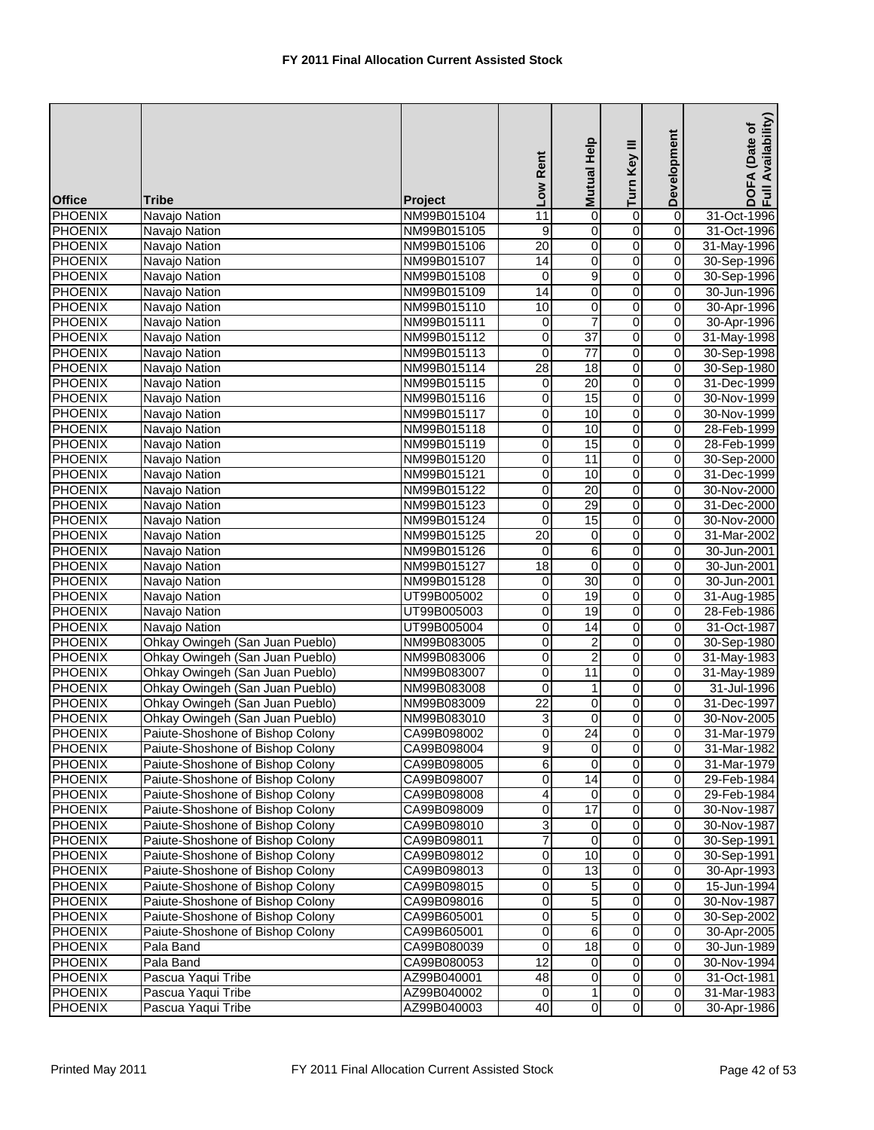| <b>Office</b>  | <b>Tribe</b>                     | Project     | Low Rent         | Help<br><b>Mutual</b>   | Turn Key III   | Development             | Availability)<br>(Date of<br>DOFA |
|----------------|----------------------------------|-------------|------------------|-------------------------|----------------|-------------------------|-----------------------------------|
| <b>PHOENIX</b> | Navajo Nation                    | NM99B015104 | 11               | 0                       | $\overline{0}$ | 0                       | 31-Oct-1996                       |
| <b>PHOENIX</b> | Navajo Nation                    | NM99B015105 | 9                | 0                       | 0              | 0                       | 31-Oct-1996                       |
| <b>PHOENIX</b> | Navajo Nation                    | NM99B015106 | 20               | $\overline{\mathbf{o}}$ | $\overline{0}$ | $\overline{0}$          | 31-May-1996                       |
| <b>PHOENIX</b> | Navajo Nation                    | NM99B015107 | $\overline{14}$  | 0                       | $\overline{0}$ | 0                       | 30-Sep-1996                       |
| <b>PHOENIX</b> | Navajo Nation                    | NM99B015108 | 0                | 9                       | $\overline{0}$ | $\overline{0}$          | 30-Sep-1996                       |
| <b>PHOENIX</b> | Navajo Nation                    | NM99B015109 | 14               | 0                       | $\overline{0}$ | $\mathbf 0$             | 30-Jun-1996                       |
| <b>PHOENIX</b> | Navajo Nation                    | NM99B015110 | 10               | 0                       | 0              | $\mathbf 0$             | 30-Apr-1996                       |
| <b>PHOENIX</b> | Navajo Nation                    | NM99B015111 | 0                | $\overline{7}$          | 0              | $\mathbf 0$             | 30-Apr-1996                       |
| <b>PHOENIX</b> | Navajo Nation                    | NM99B015112 | 0                | $\overline{37}$         | 0              | 0                       | 31-May-1998                       |
| <b>PHOENIX</b> | Navajo Nation                    | NM99B015113 | 0                | 77                      | 0              | $\mathbf 0$             | 30-Sep-1998                       |
| <b>PHOENIX</b> | Navajo Nation                    | NM99B015114 | $\overline{28}$  | 18                      | 0              | 0                       | 30-Sep-1980                       |
| <b>PHOENIX</b> | Navajo Nation                    | NM99B015115 | $\pmb{0}$        | 20                      | o              | $\overline{0}$          | 31-Dec-1999                       |
| <b>PHOENIX</b> | Navajo Nation                    | NM99B015116 | 0                | 15                      | 0              | 0                       | 30-Nov-1999                       |
| <b>PHOENIX</b> | Navajo Nation                    | NM99B015117 | 0                | 10                      | 0              | 0                       | 30-Nov-1999                       |
| <b>PHOENIX</b> | Navajo Nation                    | NM99B015118 | $\mathbf 0$      | 10                      | 0              | 0                       | 28-Feb-1999                       |
| <b>PHOENIX</b> | Navajo Nation                    | NM99B015119 | 0                | 15                      | $\overline{0}$ | 0                       | 28-Feb-1999                       |
| <b>PHOENIX</b> | Navajo Nation                    | NM99B015120 | 0                | 11                      | 0              | $\mathbf 0$             | 30-Sep-2000                       |
| <b>PHOENIX</b> | Navajo Nation                    | NM99B015121 | 0                | 10                      | $\overline{0}$ | 0                       | 31-Dec-1999                       |
| <b>PHOENIX</b> | Navajo Nation                    | NM99B015122 | 0                | 20                      | 0              | $\overline{0}$          | 30-Nov-2000                       |
| <b>PHOENIX</b> | Navajo Nation                    | NM99B015123 | 0                | 29                      | $\overline{0}$ | 0                       | 31-Dec-2000                       |
| <b>PHOENIX</b> | Navajo Nation                    | NM99B015124 | $\pmb{0}$        | 15                      | $\overline{0}$ | $\overline{0}$          | 30-Nov-2000                       |
| <b>PHOENIX</b> | Navajo Nation                    | NM99B015125 | 20               | 0                       | $\overline{0}$ | 0                       | 31-Mar-2002                       |
| <b>PHOENIX</b> | Navajo Nation                    | NM99B015126 | 0                | 6                       | 0              | 0                       | 30-Jun-2001                       |
| <b>PHOENIX</b> | Navajo Nation                    | NM99B015127 | $\overline{18}$  | 0                       | 0              | $\mathbf 0$             | 30-Jun-2001                       |
| <b>PHOENIX</b> | Navajo Nation                    | NM99B015128 | 0                | 30                      | 0              | 0                       | 30-Jun-2001                       |
| <b>PHOENIX</b> | Navajo Nation                    | UT99B005002 | 0                | 19                      | 0              | $\mathbf 0$             | 31-Aug-1985                       |
| <b>PHOENIX</b> | Navajo Nation                    | UT99B005003 | 0                | 19                      | 0              | 0                       | 28-Feb-1986                       |
| <b>PHOENIX</b> | Navajo Nation                    | UT99B005004 | 0                | 14                      | 0              | $\mathsf{O}\xspace$     | 31-Oct-1987                       |
| <b>PHOENIX</b> | Ohkay Owingeh (San Juan Pueblo)  | NM99B083005 | 0                | 2                       | 0              | 0                       | 30-Sep-1980                       |
| <b>PHOENIX</b> | Ohkay Owingeh (San Juan Pueblo)  | NM99B083006 | 0                | $\overline{2}$          | $\overline{0}$ | $\overline{\mathbf{o}}$ | 31-May-1983                       |
| <b>PHOENIX</b> | Ohkay Owingeh (San Juan Pueblo)  | NM99B083007 | $\boldsymbol{0}$ | 11                      | $\overline{0}$ | 0                       | 31-May-1989                       |
| <b>PHOENIX</b> | Ohkay Owingeh (San Juan Pueblo)  | NM99B083008 | $\mathbf 0$      | $\mathbf{1}$            | 0              | 0                       | 31-Jul-1996                       |
| <b>PHOENIX</b> | Ohkay Owingeh (San Juan Pueblo)  | NM99B083009 | $\overline{22}$  | 0                       | 0              | 0                       | 31-Dec-1997                       |
| <b>PHOENIX</b> | Ohkay Owingeh (San Juan Pueblo)  | NM99B083010 | 3                | 0                       | 0              | 0                       | 30-Nov-2005                       |
| <b>PHOENIX</b> | Paiute-Shoshone of Bishop Colony | CA99B098002 | $\overline{0}$   | $\overline{24}$         | 0              | $\mathbf 0$             | 31-Mar-1979                       |
| <b>PHOENIX</b> | Paiute-Shoshone of Bishop Colony | CA99B098004 | 9                | $\mathbf 0$             | $\overline{0}$ | $\mathbf 0$             | 31-Mar-1982                       |
| <b>PHOENIX</b> | Paiute-Shoshone of Bishop Colony | CA99B098005 | 6                | 0                       | 0              | $\mathbf 0$             | 31-Mar-1979                       |
| <b>PHOENIX</b> | Paiute-Shoshone of Bishop Colony | CA99B098007 | 0                | $\overline{14}$         | 0              | $\mathbf 0$             | 29-Feb-1984                       |
| <b>PHOENIX</b> | Paiute-Shoshone of Bishop Colony | CA99B098008 | 4                | $\mathbf 0$             | o              | $\mathbf 0$             | 29-Feb-1984                       |
| <b>PHOENIX</b> | Paiute-Shoshone of Bishop Colony | CA99B098009 | 0                | 17                      | 0              | 0                       | 30-Nov-1987                       |
| <b>PHOENIX</b> | Paiute-Shoshone of Bishop Colony | CA99B098010 | 3                | 0                       | 0              | 0                       | 30-Nov-1987                       |
| <b>PHOENIX</b> | Paiute-Shoshone of Bishop Colony | CA99B098011 | 7                | 0                       | $\overline{0}$ | $\mathbf 0$             | 30-Sep-1991                       |
| <b>PHOENIX</b> | Paiute-Shoshone of Bishop Colony | CA99B098012 | 0                | 10                      | 0              | 0                       | 30-Sep-1991                       |
| <b>PHOENIX</b> | Paiute-Shoshone of Bishop Colony | CA99B098013 | 0                | 13                      | $\overline{0}$ | $\overline{0}$          | 30-Apr-1993                       |
| <b>PHOENIX</b> | Paiute-Shoshone of Bishop Colony | CA99B098015 | 0                | 5                       | 0              | $\mathbf 0$             | 15-Jun-1994                       |
| <b>PHOENIX</b> | Paiute-Shoshone of Bishop Colony | CA99B098016 | $\overline{0}$   | 5                       | $\overline{0}$ | $\mathbf 0$             | 30-Nov-1987                       |
| <b>PHOENIX</b> | Paiute-Shoshone of Bishop Colony | CA99B605001 | 0                | 5                       | 0              | $\mathbf 0$             | 30-Sep-2002                       |
| <b>PHOENIX</b> | Paiute-Shoshone of Bishop Colony | CA99B605001 | 0                | 6                       | 0              | $\mathbf 0$             | 30-Apr-2005                       |
| <b>PHOENIX</b> | Pala Band                        | CA99B080039 | 0                | $\overline{18}$         | 0              | $\mathbf 0$             | 30-Jun-1989                       |
| <b>PHOENIX</b> | Pala Band                        | CA99B080053 | 12               | 0                       | 0              | 0                       | 30-Nov-1994                       |
| <b>PHOENIX</b> | Pascua Yaqui Tribe               | AZ99B040001 | 48               | 0                       | 0              | $\mathbf 0$             | 31-Oct-1981                       |
| <b>PHOENIX</b> | Pascua Yaqui Tribe               | AZ99B040002 | 0                | $\mathbf{1}$            | 0              | $\mathbf 0$             | 31-Mar-1983                       |
| <b>PHOENIX</b> | Pascua Yaqui Tribe               | AZ99B040003 | 40               | $\overline{0}$          | $\overline{0}$ | $\overline{0}$          | 30-Apr-1986                       |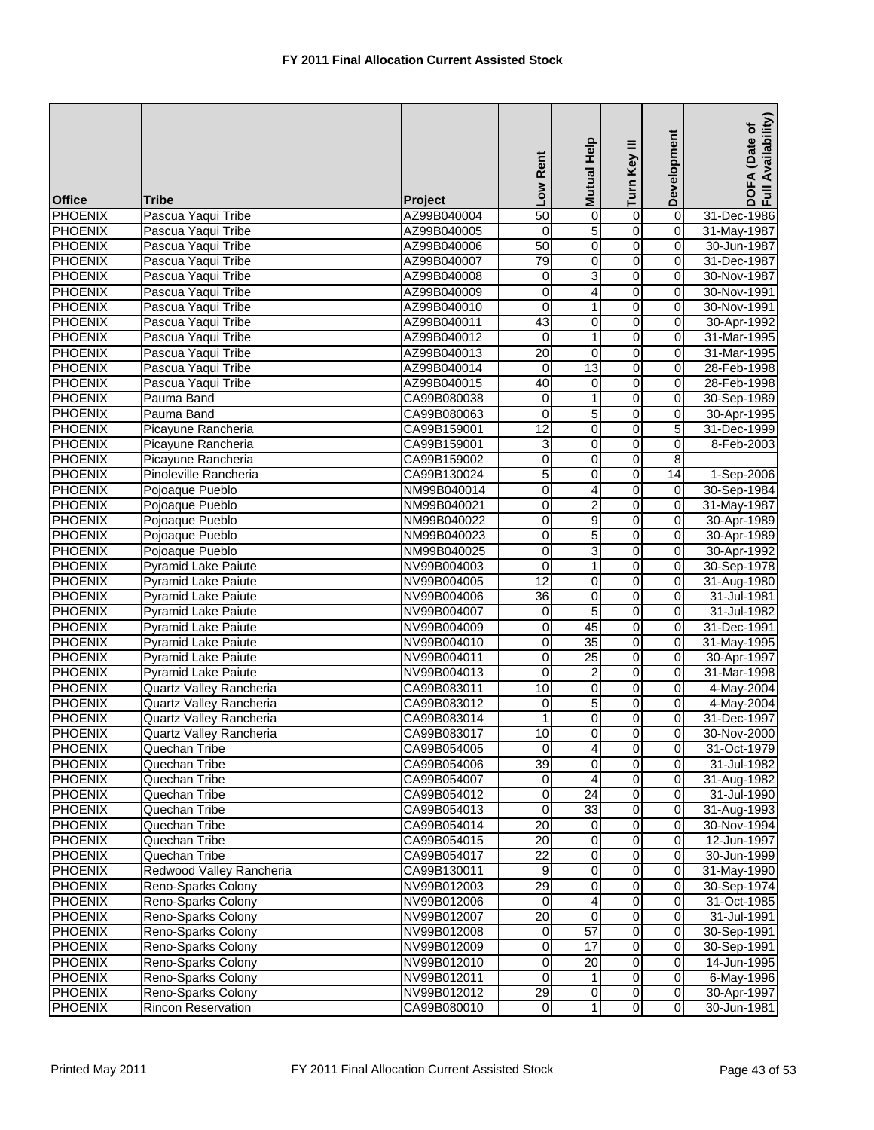| <b>Office</b>  | <b>Tribe</b>                   | <b>Project</b> | Low Rent        | Help<br><b>Mutual</b>   | Turn Key III   | Development             | Availability)<br>DOFA (Date of<br>Full Availability |
|----------------|--------------------------------|----------------|-----------------|-------------------------|----------------|-------------------------|-----------------------------------------------------|
| <b>PHOENIX</b> | Pascua Yaqui Tribe             | AZ99B040004    | 50              | 0                       | $\overline{0}$ | $\overline{0}$          | 31-Dec-1986                                         |
| <b>PHOENIX</b> | Pascua Yaqui Tribe             | AZ99B040005    | $\mathbf 0$     | 5                       | $\overline{0}$ | $\mathbf 0$             | 31-May-1987                                         |
| <b>PHOENIX</b> | Pascua Yaqui Tribe             | AZ99B040006    | 50              | $\overline{0}$          | $\overline{0}$ | $\overline{0}$          | 30-Jun-1987                                         |
| <b>PHOENIX</b> | Pascua Yaqui Tribe             | AZ99B040007    | 79              | 0                       | $\overline{0}$ | 0                       | 31-Dec-1987                                         |
| <b>PHOENIX</b> | Pascua Yaqui Tribe             | AZ99B040008    | 0               | 3                       | $\overline{0}$ | 0                       | 30-Nov-1987                                         |
| <b>PHOENIX</b> | Pascua Yaqui Tribe             | AZ99B040009    | 0               | 4                       | $\mathbf 0$    | $\mathbf 0$             | 30-Nov-1991                                         |
| <b>PHOENIX</b> | Pascua Yaqui Tribe             | AZ99B040010    | 0               | 1                       | 0              | 0                       | 30-Nov-1991                                         |
| <b>PHOENIX</b> | Pascua Yaqui Tribe             | AZ99B040011    | 43              | 0                       | 0              | $\mathbf 0$             | 30-Apr-1992                                         |
| <b>PHOENIX</b> | Pascua Yaqui Tribe             | AZ99B040012    | 0               | 1                       | 0              | $\mathbf 0$             | 31-Mar-1995                                         |
| <b>PHOENIX</b> | Pascua Yaqui Tribe             | AZ99B040013    | 20              | $\mathbf 0$             | 0              | $\mathbf 0$             | 31-Mar-1995                                         |
| <b>PHOENIX</b> | Pascua Yaqui Tribe             | AZ99B040014    | 0               | 13                      | $\overline{0}$ | $\mathbf 0$             | 28-Feb-1998                                         |
| <b>PHOENIX</b> | Pascua Yaqui Tribe             | AZ99B040015    | 40              | $\pmb{0}$               | $\overline{0}$ | $\overline{0}$          | 28-Feb-1998                                         |
| <b>PHOENIX</b> | Pauma Band                     | CA99B080038    | 0               | 1                       | $\overline{0}$ | 0                       | 30-Sep-1989                                         |
| <b>PHOENIX</b> | Pauma Band                     | CA99B080063    | 0               | 5                       | 0              | 0                       | 30-Apr-1995                                         |
| <b>PHOENIX</b> | Picayune Rancheria             | CA99B159001    | 12              | 0                       | 0              | 5                       | 31-Dec-1999                                         |
| <b>PHOENIX</b> | Picayune Rancheria             | CA99B159001    | 3               | 0                       | 0              | 0                       | 8-Feb-2003                                          |
| PHOENIX        | Picayune Rancheria             | CA99B159002    | 0               | 0                       | 0              | $\overline{8}$          |                                                     |
| <b>PHOENIX</b> | Pinoleville Rancheria          | CA99B130024    | 5               | 0                       | 0              | 14                      | 1-Sep-2006                                          |
| <b>PHOENIX</b> | Pojoaque Pueblo                | NM99B040014    | 0               | 4                       | $\overline{0}$ | $\mathbf 0$             | 30-Sep-1984                                         |
| <b>PHOENIX</b> | Pojoaque Pueblo                | NM99B040021    | 0               | 2                       | 0              | 0                       | 31-May-1987                                         |
| <b>PHOENIX</b> | Pojoaque Pueblo                | NM99B040022    | 0               | $\overline{9}$          | $\overline{0}$ | $\mathbf 0$             | 30-Apr-1989                                         |
| <b>PHOENIX</b> | Pojoaque Pueblo                | NM99B040023    | 0               | 5                       | $\overline{0}$ | $\overline{0}$          | 30-Apr-1989                                         |
| PHOENIX        | Pojoaque Pueblo                | NM99B040025    | 0               | 3                       | 0              | $\mathbf 0$             | 30-Apr-1992                                         |
| <b>PHOENIX</b> | <b>Pyramid Lake Paiute</b>     | NV99B004003    | 0               | 1                       | 0              | $\mathbf 0$             | 30-Sep-1978                                         |
| <b>PHOENIX</b> | <b>Pyramid Lake Paiute</b>     | NV99B004005    | 12              | 0                       | 0              | $\overline{0}$          | 31-Aug-1980                                         |
| PHOENIX        | Pyramid Lake Paiute            | NV99B004006    | 36              | $\mathbf 0$             | 0              | $\mathbf 0$             | 31-Jul-1981                                         |
| <b>PHOENIX</b> | <b>Pyramid Lake Paiute</b>     | NV99B004007    | 0               | 5                       | 0              | $\mathbf 0$             | 31-Jul-1982                                         |
| <b>PHOENIX</b> | <b>Pyramid Lake Paiute</b>     | NV99B004009    | 0               | 45                      | O              | $\mathbf 0$             | 31-Dec-1991                                         |
| <b>PHOENIX</b> | <b>Pyramid Lake Paiute</b>     | NV99B004010    | 0               | $\overline{35}$         | 0              | 0                       | 31-May-1995                                         |
| <b>PHOENIX</b> | <b>Pyramid Lake Paiute</b>     | NV99B004011    | 0               | $\overline{25}$         | $\overline{0}$ | $\mathbf 0$             | 30-Apr-1997                                         |
| <b>PHOENIX</b> | <b>Pyramid Lake Paiute</b>     | NV99B004013    | 0               | $\overline{c}$          | $\overline{0}$ | $\overline{\mathbf{0}}$ | 31-Mar-1998                                         |
| <b>PHOENIX</b> | <b>Quartz Valley Rancheria</b> | CA99B083011    | 10              | 0                       | 0              | $\mathbf 0$             | 4-May-2004                                          |
| <b>PHOENIX</b> | Quartz Valley Rancheria        | CA99B083012    | 0               | 5                       | 0              | $\mathbf 0$             | 4-May-2004                                          |
| <b>PHOENIX</b> | Quartz Valley Rancheria        | CA99B083014    | 1               | 0                       | 0              | 0                       | 31-Dec-1997                                         |
| <b>PHOENIX</b> | <b>Quartz Valley Rancheria</b> | CA99B083017    | 10              | $\overline{0}$          | $\overline{0}$ | $\overline{0}$          | 30-Nov-2000                                         |
| <b>PHOENIX</b> | Quechan Tribe                  | CA99B054005    | $\mathbf 0$     | $\overline{4}$          | $\overline{0}$ | $\mathbf 0$             | 31-Oct-1979                                         |
| <b>PHOENIX</b> | Quechan Tribe                  | CA99B054006    | 39              | $\overline{0}$          | $\overline{0}$ | $\mathbf 0$             | 31-Jul-1982                                         |
| <b>PHOENIX</b> | Quechan Tribe                  | CA99B054007    | 0               | 4                       | 0              | $\mathbf 0$             | 31-Aug-1982                                         |
| <b>PHOENIX</b> | Quechan Tribe                  | CA99B054012    | 0               | 24                      | 0              | $\mathbf 0$             | 31-Jul-1990                                         |
| <b>PHOENIX</b> | Quechan Tribe                  | CA99B054013    | 0               | 33                      | 0              | $\mathbf 0$             | 31-Aug-1993                                         |
| <b>PHOENIX</b> | Quechan Tribe                  | CA99B054014    | 20              | 0                       | 0              | 0                       | 30-Nov-1994                                         |
| <b>PHOENIX</b> | Quechan Tribe                  | CA99B054015    | 20              | 0                       | 0              | $\mathbf 0$             | 12-Jun-1997                                         |
| <b>PHOENIX</b> | Quechan Tribe                  | CA99B054017    | 22              | 0                       | 0              | $\mathbf 0$             | 30-Jun-1999                                         |
| <b>PHOENIX</b> | Redwood Valley Rancheria       | CA99B130011    | 9               | $\overline{\mathbf{o}}$ | $\overline{0}$ | $\overline{0}$          | 31-May-1990                                         |
| <b>PHOENIX</b> | Reno-Sparks Colony             | NV99B012003    | 29              | 0                       | 0              | 0                       | 30-Sep-1974                                         |
| <b>PHOENIX</b> | Reno-Sparks Colony             | NV99B012006    | $\mathbf 0$     | 4                       | 0              | $\mathbf 0$             | 31-Oct-1985                                         |
| <b>PHOENIX</b> | Reno-Sparks Colony             | NV99B012007    | $\overline{20}$ | 0                       | 0              | $\mathbf 0$             | 31-Jul-1991                                         |
| <b>PHOENIX</b> | Reno-Sparks Colony             | NV99B012008    | 0               | 57                      | 0              | 0                       | 30-Sep-1991                                         |
| <b>PHOENIX</b> | Reno-Sparks Colony             | NV99B012009    | 0               | 17                      | 0              | $\mathbf 0$             | 30-Sep-1991                                         |
| <b>PHOENIX</b> | Reno-Sparks Colony             | NV99B012010    | 0               | $\overline{20}$         | 0              | $\mathbf 0$             | 14-Jun-1995                                         |
| <b>PHOENIX</b> | Reno-Sparks Colony             | NV99B012011    | 0               | 1                       | $\overline{0}$ | $\mathbf 0$             | 6-May-1996                                          |
| <b>PHOENIX</b> | Reno-Sparks Colony             | NV99B012012    | $\overline{29}$ | $\mathbf 0$             | $\mathbf 0$    | $\mathbf 0$             | 30-Apr-1997                                         |
| <b>PHOENIX</b> | <b>Rincon Reservation</b>      | CA99B080010    | $\mathbf 0$     | 1                       | $\overline{0}$ | $\overline{\mathsf{o}}$ | 30-Jun-1981                                         |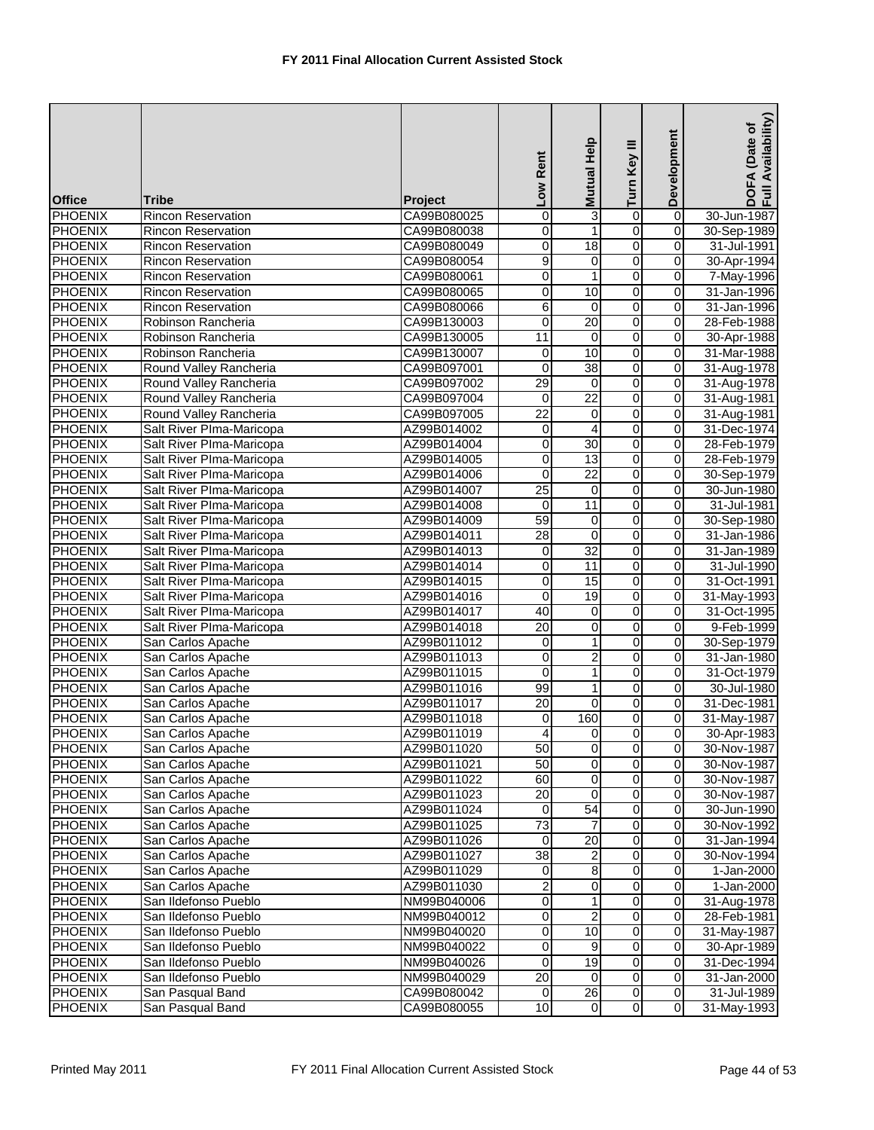| <b>Office</b>  | <b>Tribe</b>              | Project     | Low Rent                | Help<br><b>Mutual</b> | Turn Key III   | Development             | Availability)<br>DOFA (Date of<br>Full Availability |
|----------------|---------------------------|-------------|-------------------------|-----------------------|----------------|-------------------------|-----------------------------------------------------|
| <b>PHOENIX</b> | <b>Rincon Reservation</b> | CA99B080025 | 0                       | 3                     | $\overline{0}$ | $\overline{0}$          | 30-Jun-1987                                         |
| <b>PHOENIX</b> | <b>Rincon Reservation</b> | CA99B080038 | 0                       | 1                     | 0              | 0                       | 30-Sep-1989                                         |
| <b>PHOENIX</b> | Rincon Reservation        | CA99B080049 | 0                       | 18                    | $\overline{0}$ | $\overline{0}$          | 31-Jul-1991                                         |
| <b>PHOENIX</b> | <b>Rincon Reservation</b> | CA99B080054 | 9                       | 0                     | $\overline{0}$ | 0                       | 30-Apr-1994                                         |
| <b>PHOENIX</b> | <b>Rincon Reservation</b> | CA99B080061 | $\overline{0}$          | $\mathbf{1}$          | $\overline{0}$ | $\overline{0}$          | 7-May-1996                                          |
| <b>PHOENIX</b> | Rincon Reservation        | CA99B080065 | $\boldsymbol{0}$        | 10                    | $\overline{0}$ | $\overline{\mathbf{0}}$ | 31-Jan-1996                                         |
| <b>PHOENIX</b> | <b>Rincon Reservation</b> | CA99B080066 | 6                       | $\mathbf 0$           | 0              | $\overline{0}$          | 31-Jan-1996                                         |
| <b>PHOENIX</b> | Robinson Rancheria        | CA99B130003 | 0                       | $\overline{20}$       | 0              | 0                       | 28-Feb-1988                                         |
| <b>PHOENIX</b> | Robinson Rancheria        | CA99B130005 | 11                      | $\mathbf 0$           | $\overline{0}$ | 0                       | 30-Apr-1988                                         |
| <b>PHOENIX</b> | Robinson Rancheria        | CA99B130007 | 0                       | 10                    | 0              | $\mathbf 0$             | 31-Mar-1988                                         |
| <b>PHOENIX</b> | Round Valley Rancheria    | CA99B097001 | 0                       | 38                    | 0              | 0                       | 31-Aug-1978                                         |
| <b>PHOENIX</b> | Round Valley Rancheria    | CA99B097002 | 29                      | $\overline{0}$        | $\overline{0}$ | $\overline{0}$          | 31-Aug-1978                                         |
| <b>PHOENIX</b> | Round Valley Rancheria    | CA99B097004 | $\mathbf 0$             | $\overline{22}$       | $\overline{0}$ | 0                       | 31-Aug-1981                                         |
| <b>PHOENIX</b> | Round Valley Rancheria    | CA99B097005 | $\overline{22}$         | $\pmb{0}$             | $\overline{0}$ | $\overline{0}$          | 31-Aug-1981                                         |
| <b>PHOENIX</b> | Salt River Plma-Maricopa  | AZ99B014002 | $\mathbf 0$             | 4                     | 0              | 0                       | 31-Dec-1974                                         |
| <b>PHOENIX</b> | Salt River Plma-Maricopa  | AZ99B014004 | 0                       | 30                    | $\overline{0}$ | 0                       | 28-Feb-1979                                         |
| <b>PHOENIX</b> | Salt River Plma-Maricopa  | AZ99B014005 | 0                       | 13                    | 0              | 0                       | 28-Feb-1979                                         |
| <b>PHOENIX</b> | Salt River Plma-Maricopa  | AZ99B014006 | $\mathbf 0$             | $\overline{22}$       | $\overline{0}$ | 0                       | 30-Sep-1979                                         |
| <b>PHOENIX</b> | Salt River Plma-Maricopa  | AZ99B014007 | 25                      | 0                     | 0              | 0                       | 30-Jun-1980                                         |
| <b>PHOENIX</b> | Salt River Plma-Maricopa  | AZ99B014008 | 0                       | 11                    | $\overline{0}$ | 0                       | 31-Jul-1981                                         |
| <b>PHOENIX</b> | Salt River Plma-Maricopa  | AZ99B014009 | 59                      | $\overline{0}$        | o              | $\overline{0}$          | 30-Sep-1980                                         |
| <b>PHOENIX</b> | Salt River Plma-Maricopa  | AZ99B014011 | 28                      | $\mathbf 0$           | $\overline{0}$ | 0                       | 31-Jan-1986                                         |
| <b>PHOENIX</b> | Salt River Plma-Maricopa  | AZ99B014013 | 0                       | $\overline{32}$       | $\overline{0}$ | 0                       | 31-Jan-1989                                         |
| <b>PHOENIX</b> | Salt River Plma-Maricopa  | AZ99B014014 | 0                       | 11                    | 0              | 0                       | 31-Jul-1990                                         |
| <b>PHOENIX</b> | Salt River Plma-Maricopa  | AZ99B014015 | 0                       | 15                    | 0              | 0                       | 31-Oct-1991                                         |
| <b>PHOENIX</b> | Salt River Plma-Maricopa  | AZ99B014016 | $\mathbf 0$             | 19                    | 0              | $\mathbf 0$             | 31-May-1993                                         |
| <b>PHOENIX</b> | Salt River Plma-Maricopa  | AZ99B014017 | 40                      | 0                     | 0              | 0                       | 31-Oct-1995                                         |
| <b>PHOENIX</b> | Salt River Plma-Maricopa  | AZ99B014018 | $\overline{20}$         | 0                     | 0              | $\mathsf{O}\xspace$     | 9-Feb-1999                                          |
| <b>PHOENIX</b> | San Carlos Apache         | AZ99B011012 | 0                       | 1                     | $\overline{0}$ | 0                       | 30-Sep-1979                                         |
| <b>PHOENIX</b> | San Carlos Apache         | AZ99B011013 | 0                       | $\overline{2}$        | $\overline{0}$ | $\overline{0}$          | 31-Jan-1980                                         |
| <b>PHOENIX</b> | San Carlos Apache         | AZ99B011015 | $\overline{0}$          | $\mathbf{1}$          | $\overline{0}$ | 0                       | 31-Oct-1979                                         |
| <b>PHOENIX</b> | San Carlos Apache         | AZ99B011016 | 99                      | 1                     | $\overline{0}$ | 0                       | 30-Jul-1980                                         |
| <b>PHOENIX</b> | San Carlos Apache         | AZ99B011017 | 20                      | 0                     | 0              | 0                       | 31-Dec-1981                                         |
| <b>PHOENIX</b> | San Carlos Apache         | AZ99B011018 | 0                       | 160                   | 0              | 0                       | 31-May-1987                                         |
| <b>PHOENIX</b> | San Carlos Apache         | AZ99B011019 | 4                       | 0                     | 0              | $\overline{0}$          | 30-Apr-1983                                         |
| <b>PHOENIX</b> | San Carlos Apache         | AZ99B011020 | 50                      | $\mathbf 0$           | $\overline{0}$ | $\mathbf 0$             | 30-Nov-1987                                         |
| <b>PHOENIX</b> | San Carlos Apache         | AZ99B011021 | 50                      | 0                     | 0              | $\mathbf 0$             | 30-Nov-1987                                         |
| <b>PHOENIX</b> | San Carlos Apache         | AZ99B011022 | 60                      | 0                     | 0              | $\mathbf 0$             | 30-Nov-1987                                         |
| <b>PHOENIX</b> | San Carlos Apache         | AZ99B011023 | $\overline{20}$         | 0                     | o              | $\mathbf 0$             | 30-Nov-1987                                         |
| <b>PHOENIX</b> | San Carlos Apache         | AZ99B011024 | 0                       | 54                    | 0              | 0                       | 30-Jun-1990                                         |
| <b>PHOENIX</b> | San Carlos Apache         | AZ99B011025 | $\overline{73}$         | 7                     | 0              | 0                       | 30-Nov-1992                                         |
| <b>PHOENIX</b> | San Carlos Apache         | AZ99B011026 | 0                       | $\overline{20}$       | 0              | $\overline{\mathsf{o}}$ | 31-Jan-1994                                         |
| <b>PHOENIX</b> | San Carlos Apache         | AZ99B011027 | 38                      | 2                     | 0              | 0                       | 30-Nov-1994                                         |
| <b>PHOENIX</b> | San Carlos Apache         | AZ99B011029 | $\pmb{0}$               | $\overline{8}$        | $\overline{0}$ | $\mathbf 0$             | 1-Jan-2000                                          |
| <b>PHOENIX</b> | San Carlos Apache         | AZ99B011030 | $\overline{\mathbf{c}}$ | 0                     | 0              | 0                       | 1-Jan-2000                                          |
| <b>PHOENIX</b> | San Ildefonso Pueblo      | NM99B040006 | $\overline{0}$          | $\mathbf{1}$          | $\overline{0}$ | $\overline{\mathsf{o}}$ | 31-Aug-1978                                         |
| <b>PHOENIX</b> | San Ildefonso Pueblo      | NM99B040012 | 0                       | 2                     | 0              | $\mathbf 0$             | 28-Feb-1981                                         |
| <b>PHOENIX</b> | San Ildefonso Pueblo      | NM99B040020 | 0                       | 10                    | $\overline{0}$ | $\mathbf 0$             | 31-May-1987                                         |
| <b>PHOENIX</b> | San Ildefonso Pueblo      | NM99B040022 | 0                       | 9                     | 0              | $\mathbf 0$             | 30-Apr-1989                                         |
| <b>PHOENIX</b> | San Ildefonso Pueblo      | NM99B040026 | 0                       | 19                    | 0              | 0                       | 31-Dec-1994                                         |
| <b>PHOENIX</b> | San Ildefonso Pueblo      | NM99B040029 | $\overline{20}$         | $\mathbf 0$           | 0              | $\mathbf 0$             | 31-Jan-2000                                         |
| <b>PHOENIX</b> | San Pasqual Band          | CA99B080042 | 0                       | $\overline{26}$       | $\overline{0}$ | $\mathbf 0$             | 31-Jul-1989                                         |
| <b>PHOENIX</b> | San Pasqual Band          | CA99B080055 | 10                      | $\overline{0}$        | $\overline{0}$ | $\overline{0}$          | 31-May-1993                                         |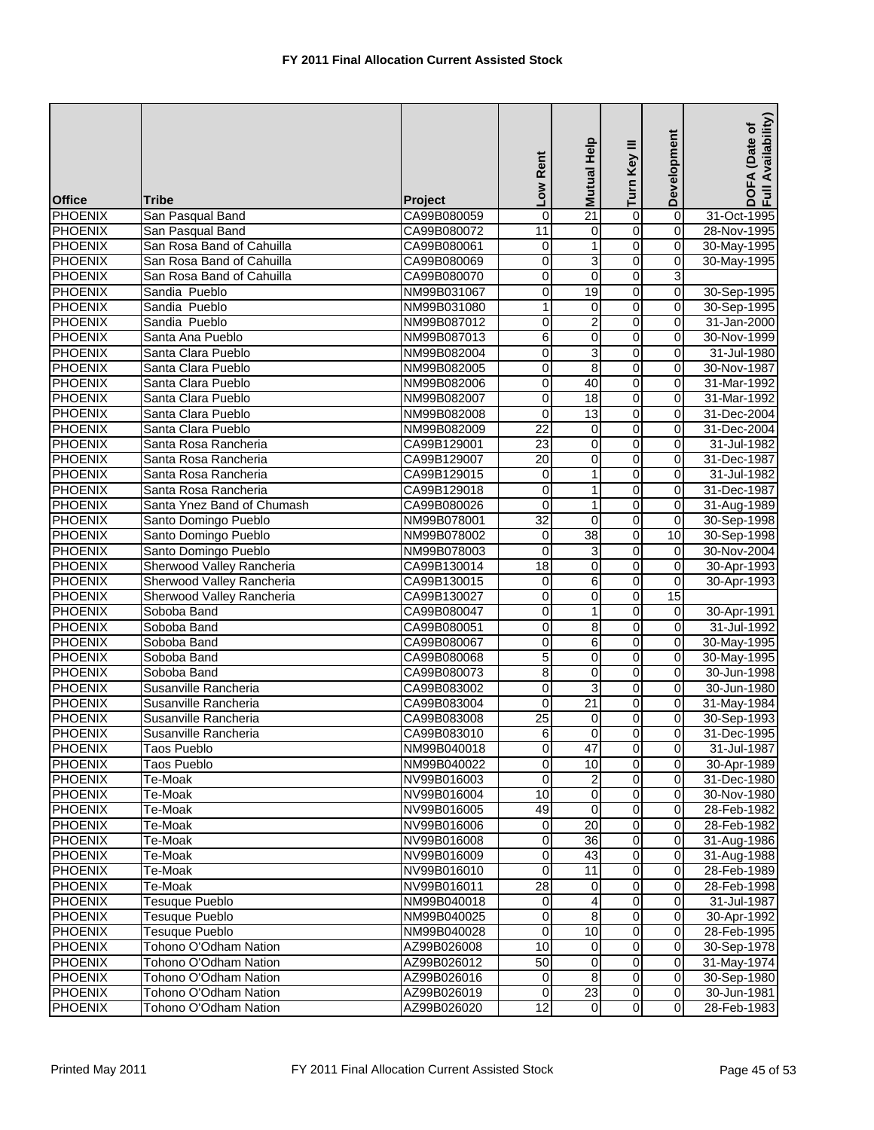| <b>Office</b>  | Tribe                                          | <b>Project</b>             | Low Rent                | Mutual Help     | Turn Key III                     | Development                 | Availability)<br>DOFA (Date of<br>Full Availability |
|----------------|------------------------------------------------|----------------------------|-------------------------|-----------------|----------------------------------|-----------------------------|-----------------------------------------------------|
| <b>PHOENIX</b> | San Pasqual Band                               | CA99B080059                | 0                       | $\overline{21}$ | $\overline{0}$                   | $\overline{0}$              | 31-Oct-1995                                         |
| <b>PHOENIX</b> | San Pasqual Band                               | CA99B080072                | 11                      | 0               | 0                                | 0                           | 28-Nov-1995                                         |
| <b>PHOENIX</b> | San Rosa Band of Cahuilla                      | CA99B080061                | $\mathbf 0$             | 1               | $\overline{0}$                   | $\mathbf 0$                 | 30-May-1995                                         |
| <b>PHOENIX</b> | San Rosa Band of Cahuilla                      | CA99B080069                | 0                       | 3               | $\overline{0}$                   | $\pmb{0}$                   | 30-May-1995                                         |
| <b>PHOENIX</b> | San Rosa Band of Cahuilla                      | CA99B080070                | $\mathbf 0$             | 0               | $\overline{0}$                   | 3                           |                                                     |
| <b>PHOENIX</b> | Sandia Pueblo                                  | NM99B031067                | $\mathbf 0$             | 19              | $\overline{0}$                   | 0                           | 30-Sep-1995                                         |
| <b>PHOENIX</b> | Sandia Pueblo                                  | NM99B031080                | 1                       | 0               | 0                                | 0                           | 30-Sep-1995                                         |
| <b>PHOENIX</b> | Sandia Pueblo                                  | NM99B087012                | 0                       | 2               | $\overline{0}$                   | $\overline{0}$              | 31-Jan-2000                                         |
| <b>PHOENIX</b> | Santa Ana Pueblo                               | NM99B087013                | 6                       | $\pmb{0}$       | O                                | 0                           | 30-Nov-1999                                         |
| <b>PHOENIX</b> | Santa Clara Pueblo                             | NM99B082004                | $\pmb{0}$               | 3               | O                                | 0                           | 31-Jul-1980                                         |
| <b>PHOENIX</b> | Santa Clara Pueblo                             | NM99B082005                | 0                       | 8               | 0                                | 0                           | 30-Nov-1987                                         |
| <b>PHOENIX</b> | Santa Clara Pueblo                             | NM99B082006                | $\overline{\mathbf{0}}$ | 40              | O                                | $\pmb{0}$                   | 31-Mar-1992                                         |
| <b>PHOENIX</b> | Santa Clara Pueblo                             | NM99B082007                | $\mathbf 0$             | 18              | $\overline{0}$                   | 0                           | 31-Mar-1992                                         |
| <b>PHOENIX</b> | Santa Clara Pueblo                             | NM99B082008                | 0                       | 13              | 0                                | 0                           | 31-Dec-2004                                         |
| <b>PHOENIX</b> | Santa Clara Pueblo                             | NM99B082009                | $\overline{22}$         | 0               | 0                                | 0                           | 31-Dec-2004                                         |
| <b>PHOENIX</b> | Santa Rosa Rancheria                           | CA99B129001                | $\overline{23}$         | 0               | O                                | 0                           | 31-Jul-1982                                         |
| <b>PHOENIX</b> | Santa Rosa Rancheria                           | CA99B129007                | $\overline{20}$         | 0               | $\overline{0}$                   | $\overline{0}$              | 31-Dec-1987                                         |
| <b>PHOENIX</b> | Santa Rosa Rancheria                           | CA99B129015                | 0                       | 1               | 0                                | 0                           | 31-Jul-1982                                         |
| <b>PHOENIX</b> | Santa Rosa Rancheria                           | CA99B129018                | 0                       | 1               | 0                                | 0                           | 31-Dec-1987                                         |
| <b>PHOENIX</b> | Santa Ynez Band of Chumash                     | CA99B080026                | 0                       | 1               | 0                                | 0                           | 31-Aug-1989                                         |
| <b>PHOENIX</b> | Santo Domingo Pueblo                           | NM99B078001                | $\overline{32}$         | 0               | O                                | $\pmb{0}$                   | 30-Sep-1998                                         |
| <b>PHOENIX</b> | Santo Domingo Pueblo                           | NM99B078002                | $\mathbf 0$             | 38              | $\overline{0}$                   | 10                          | 30-Sep-1998                                         |
| <b>PHOENIX</b> | Santo Domingo Pueblo                           | NM99B078003                | $\mathbf 0$             | 3               | 0                                | 0                           | 30-Nov-2004                                         |
| <b>PHOENIX</b> | Sherwood Valley Rancheria                      | CA99B130014                | $\overline{18}$         | 0               | $\overline{0}$                   | 0                           | 30-Apr-1993                                         |
| <b>PHOENIX</b> | Sherwood Valley Rancheria                      | CA99B130015                | 0                       | 6               | O                                | 0                           | 30-Apr-1993                                         |
| <b>PHOENIX</b> | Sherwood Valley Rancheria                      | CA99B130027                | 0                       | 0               | O                                | 15                          |                                                     |
| <b>PHOENIX</b> | Soboba Band                                    | CA99B080047                | 0                       | 1               | 0                                | 0                           | 30-Apr-1991                                         |
| <b>PHOENIX</b> | Soboba Band                                    | CA99B080051                | 0                       | $\overline{8}$  | 0                                | 0                           | 31-Jul-1992                                         |
| <b>PHOENIX</b> | Soboba Band                                    | CA99B080067                | 0                       | 6               | 0                                | 0                           | 30-May-1995                                         |
| <b>PHOENIX</b> | Soboba Band                                    | CA99B080068                | 5                       | 0               | $\overline{0}$                   | 0                           | 30-May-1995                                         |
| <b>PHOENIX</b> | Soboba Band                                    | CA99B080073                | 8                       | 0               | $\overline{0}$                   | 0                           | 30-Jun-1998                                         |
| <b>PHOENIX</b> | Susanville Rancheria                           | CA99B083002                | $\mathbf 0$             | 3               | 0                                | 0                           | 30-Jun-1980                                         |
| <b>PHOENIX</b> | Susanville Rancheria                           | CA99B083004                | $\mathbf 0$             | $\overline{21}$ | $\overline{0}$                   | $\overline{\mathbf{0}}$     | 31-May-1984                                         |
| <b>PHOENIX</b> | Susanville Rancheria                           | CA99B083008                | $\overline{25}$         | 0               | O                                | 0                           | 30-Sep-1993                                         |
| PHOENIX        | Susanville Rancheria                           | CA99B083010                | $\sigma$                | $\overline{0}$  | $\overline{0}$                   | $\overline{O}$              | 31-Dec-1995                                         |
| <b>PHOENIX</b> | Taos Pueblo                                    | NM99B040018                | $\overline{0}$          | 47              | $\overline{0}$                   | $\mathbf 0$                 | 31-Jul-1987                                         |
| <b>PHOENIX</b> | Taos Pueblo                                    | NM99B040022                | $\mathbf 0$             | 10              | $\overline{0}$                   | $\mathbf 0$                 | 30-Apr-1989                                         |
| <b>PHOENIX</b> | Te-Moak                                        | NV99B016003                | $\mathbf 0$             | 2               | $\overline{0}$                   | $\mathbf 0$                 | 31-Dec-1980                                         |
| <b>PHOENIX</b> | Te-Moak                                        | NV99B016004                | 10                      | 0               | $\overline{0}$                   | $\mathbf 0$                 | 30-Nov-1980                                         |
| <b>PHOENIX</b> | Te-Moak                                        | NV99B016005                | 49                      | 0               | $\overline{0}$                   | $\mathbf 0$                 | 28-Feb-1982                                         |
| <b>PHOENIX</b> | Te-Moak                                        | NV99B016006                | $\mathbf 0$             | 20              | 0                                | 0                           | 28-Feb-1982                                         |
| <b>PHOENIX</b> | Te-Moak                                        | NV99B016008                | $\overline{0}$          | $\overline{36}$ | $\overline{0}$                   | $\overline{0}$              | 31-Aug-1986                                         |
| <b>PHOENIX</b> | Te-Moak                                        | NV99B016009                | $\mathbf 0$             | 43              | $\overline{0}$                   | $\pmb{0}$                   | 31-Aug-1988                                         |
| <b>PHOENIX</b> | Te-Moak                                        | NV99B016010                | $\mathbf 0$             | 11              | $\overline{0}$                   | $\overline{\mathbf{o}}$     | 28-Feb-1989                                         |
| <b>PHOENIX</b> | Te-Moak                                        |                            | $\overline{28}$         | 0               |                                  | $\pmb{0}$                   |                                                     |
| <b>PHOENIX</b> |                                                | NV99B016011<br>NM99B040018 |                         | 4               | $\overline{0}$<br>$\overline{0}$ | 0                           | 28-Feb-1998<br>31-Jul-1987                          |
| <b>PHOENIX</b> | Tesuque Pueblo<br><b>Tesuque Pueblo</b>        |                            | $\mathbf 0$<br>0        | 8               | $\overline{0}$                   | $\mathbf 0$                 |                                                     |
| <b>PHOENIX</b> | Tesuque Pueblo                                 | NM99B040025                |                         | 10              | 0                                | $\mathbf 0$                 | 30-Apr-1992                                         |
|                |                                                | NM99B040028                | 0<br>10                 | $\mathbf 0$     | $\overline{0}$                   | $\mathbf 0$                 | 28-Feb-1995                                         |
| <b>PHOENIX</b> | Tohono O'Odham Nation                          | AZ99B026008                |                         |                 |                                  |                             | 30-Sep-1978                                         |
| <b>PHOENIX</b> | Tohono O'Odham Nation<br>Tohono O'Odham Nation | AZ99B026012                | 50                      | 0               | $\overline{0}$<br>$\overline{0}$ | $\pmb{0}$<br>$\overline{0}$ | 31-May-1974                                         |
| <b>PHOENIX</b> |                                                | AZ99B026016                | $\overline{0}$          | 8               |                                  |                             | 30-Sep-1980                                         |
| <b>PHOENIX</b> | Tohono O'Odham Nation                          | AZ99B026019                | $\mathbf 0$             | $\overline{23}$ | $\overline{0}$                   | $\mathbf 0$                 | 30-Jun-1981                                         |
| <b>PHOENIX</b> | Tohono O'Odham Nation                          | AZ99B026020                | $\overline{12}$         | $\overline{0}$  | $\overline{0}$                   | $\mathbf 0$                 | 28-Feb-1983                                         |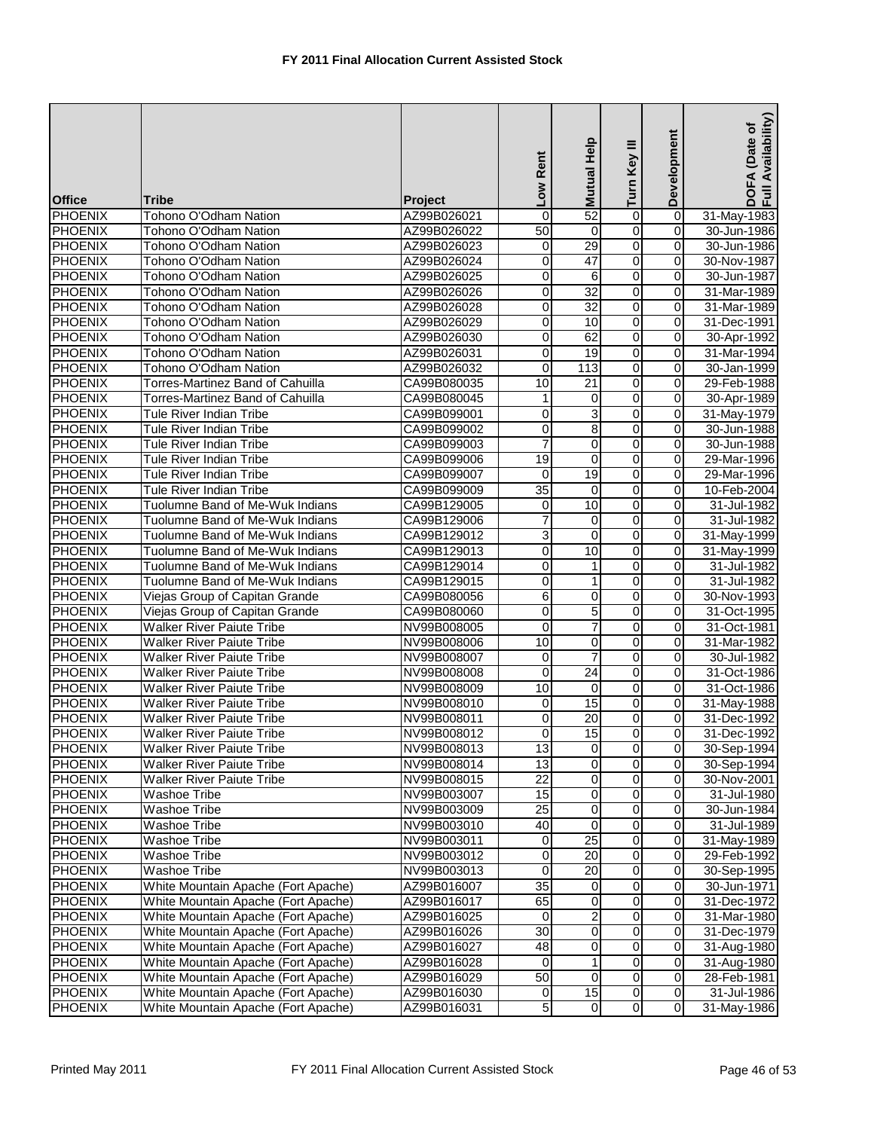|                |                                     |                | Low Rent        | Mutual Help             | Turn Key III            | Development    | Availability)<br>DOFA (Date of<br>Full Availability |
|----------------|-------------------------------------|----------------|-----------------|-------------------------|-------------------------|----------------|-----------------------------------------------------|
| <b>Office</b>  | <b>Tribe</b>                        | <b>Project</b> |                 |                         |                         |                |                                                     |
| <b>PHOENIX</b> | Tohono O'Odham Nation               | AZ99B026021    | $\mathbf 0$     | 52                      | $\overline{0}$          | $\overline{0}$ | 31-May-1983                                         |
| PHOENIX        | Tohono O'Odham Nation               | AZ99B026022    | 50              | 0                       | 0                       | $\mathbf 0$    | 30-Jun-1986                                         |
| <b>PHOENIX</b> | Tohono O'Odham Nation               | AZ99B026023    | 0               | 29                      | o                       | $\mathbf 0$    | 30-Jun-1986                                         |
| <b>PHOENIX</b> | Tohono O'Odham Nation               | AZ99B026024    | 0               | 47                      | $\overline{0}$          | $\overline{0}$ | 30-Nov-1987                                         |
| PHOENIX        | Tohono O'Odham Nation               | AZ99B026025    | 0               | 6                       | 0                       | $\mathbf 0$    | 30-Jun-1987                                         |
| PHOENIX        | Tohono O'Odham Nation               | AZ99B026026    | 0               | 32                      | 0                       | $\overline{0}$ | 31-Mar-1989                                         |
| <b>PHOENIX</b> | Tohono O'Odham Nation               | AZ99B026028    | 0               | 32                      | 0                       | 0              | 31-Mar-1989                                         |
| <b>PHOENIX</b> | Tohono O'Odham Nation               | AZ99B026029    | 0               | 10                      | 0                       | $\mathbf 0$    | 31-Dec-1991                                         |
| <b>PHOENIX</b> | Tohono O'Odham Nation               | AZ99B026030    | 0               | 62                      | 0                       | 0              | 30-Apr-1992                                         |
| <b>PHOENIX</b> | Tohono O'Odham Nation               | AZ99B026031    | 0               | $\overline{19}$         | $\overline{0}$          | $\mathbf 0$    | 31-Mar-1994                                         |
| <b>PHOENIX</b> | Tohono O'Odham Nation               | AZ99B026032    | 0               | 113                     | 0                       | $\overline{0}$ | 30-Jan-1999                                         |
| <b>PHOENIX</b> | Torres-Martinez Band of Cahuilla    | CA99B080035    | 10              | 21                      | 0                       | 0              | 29-Feb-1988                                         |
| <b>PHOENIX</b> | Torres-Martinez Band of Cahuilla    | CA99B080045    | $\mathbf{1}$    | 0                       | $\overline{0}$          | $\overline{0}$ | 30-Apr-1989                                         |
| PHOENIX        | <b>Tule River Indian Tribe</b>      | CA99B099001    | 0               | 3                       | 0                       | $\mathbf 0$    | 31-May-1979                                         |
| <b>PHOENIX</b> | Tule River Indian Tribe             | CA99B099002    | 0               | 8                       | 0                       | $\mathbf 0$    | 30-Jun-1988                                         |
| <b>PHOENIX</b> | <b>Tule River Indian Tribe</b>      | CA99B099003    | 7               | 0                       | 0                       | $\mathbf 0$    | 30-Jun-1988                                         |
| <b>PHOENIX</b> | Tule River Indian Tribe             | CA99B099006    | 19              | $\pmb{0}$               | 0                       | $\mathbf 0$    | 29-Mar-1996                                         |
| <b>PHOENIX</b> | <b>Tule River Indian Tribe</b>      | CA99B099007    | $\Omega$        | 19                      | 0                       | $\mathbf 0$    | 29-Mar-1996                                         |
| <b>PHOENIX</b> | <b>Tule River Indian Tribe</b>      | CA99B099009    | $\overline{35}$ | $\mathbf 0$             | 0                       | $\mathbf 0$    | 10-Feb-2004                                         |
| <b>PHOENIX</b> | Tuolumne Band of Me-Wuk Indians     | CA99B129005    | 0               | 10                      | 0                       | 0              | 31-Jul-1982                                         |
| <b>PHOENIX</b> | Tuolumne Band of Me-Wuk Indians     | CA99B129006    | 7               | $\mathbf 0$             | 0                       | 0              | 31-Jul-1982                                         |
| <b>PHOENIX</b> | Tuolumne Band of Me-Wuk Indians     | CA99B129012    | 3               | $\mathbf 0$             | 0                       | $\mathbf 0$    | 31-May-1999                                         |
| PHOENIX        | Tuolumne Band of Me-Wuk Indians     | CA99B129013    | 0               | 10                      | 0                       | $\mathbf 0$    | 31-May-1999                                         |
| <b>PHOENIX</b> | Tuolumne Band of Me-Wuk Indians     | CA99B129014    | 0               | 1                       | 0                       | $\mathbf 0$    | 31-Jul-1982                                         |
| <b>PHOENIX</b> | Tuolumne Band of Me-Wuk Indians     | CA99B129015    | 0               | 1                       | 0                       | 0              | 31-Jul-1982                                         |
| <b>PHOENIX</b> | Viejas Group of Capitan Grande      | CA99B080056    | $\overline{6}$  | $\mathbf 0$             | 0                       | $\mathbf 0$    | 30-Nov-1993                                         |
| <b>PHOENIX</b> | Viejas Group of Capitan Grande      | CA99B080060    | $\mathbf 0$     | 5                       | 0                       | $\mathbf 0$    | 31-Oct-1995                                         |
| <b>PHOENIX</b> | <b>Walker River Paiute Tribe</b>    | NV99B008005    | 0               | 7                       | 0                       | 0              | 31-Oct-1981                                         |
| <b>PHOENIX</b> | <b>Walker River Paiute Tribe</b>    | NV99B008006    | 10              | 0                       | 0                       | 0              | 31-Mar-1982                                         |
| <b>PHOENIX</b> | <b>Walker River Paiute Tribe</b>    | NV99B008007    | 0               | $\overline{7}$          | 0                       | 0              | 30-Jul-1982                                         |
| <b>PHOENIX</b> | <b>Walker River Paiute Tribe</b>    | NV99B008008    | 0               | $\overline{24}$         | 0                       | $\mathbf 0$    | 31-Oct-1986                                         |
| <b>PHOENIX</b> | <b>Walker River Paiute Tribe</b>    | NV99B008009    | 10              | 0                       | 0                       | $\mathbf 0$    | 31-Oct-1986                                         |
| <b>PHOENIX</b> | <b>Walker River Paiute Tribe</b>    | NV99B008010    | $\mathbf 0$     | 15                      | 0                       | $\mathbf 0$    | 31-May-1988                                         |
| PHOENIX        | <b>Walker River Paiute Tribe</b>    | NV99B008011    | 0               | 20                      | 0                       | 0              | 31-Dec-1992                                         |
| <b>PHOENIX</b> | <b>Walker River Paiute Tribe</b>    | NV99B008012    | $\overline{0}$  | 15                      | $\overline{0}$          | $\overline{0}$ | 31-Dec-1992                                         |
| <b>PHOENIX</b> | <b>Walker River Paiute Tribe</b>    | NV99B008013    | $\overline{3}$  | $\overline{\mathsf{o}}$ | $\overline{\mathsf{o}}$ | $\mathbf 0$    | 30-Sep-1994                                         |
| <b>PHOENIX</b> | <b>Walker River Paiute Tribe</b>    | NV99B008014    | 13              | 0                       | 0                       | $\mathbf 0$    | 30-Sep-1994                                         |
| <b>PHOENIX</b> | <b>Walker River Paiute Tribe</b>    | NV99B008015    | $\overline{22}$ | $\mathbf 0$             | 0                       | $\mathbf 0$    | 30-Nov-2001                                         |
| <b>PHOENIX</b> | Washoe Tribe                        | NV99B003007    | 15              | 0                       | 0                       | $\mathbf 0$    | 31-Jul-1980                                         |
| <b>PHOENIX</b> | Washoe Tribe                        | NV99B003009    | $\overline{25}$ | 0                       | 0                       | $\mathbf 0$    | 30-Jun-1984                                         |
| <b>PHOENIX</b> | Washoe Tribe                        | NV99B003010    | 40              | 0                       | 0                       | 0              | 31-Jul-1989                                         |
| <b>PHOENIX</b> | Washoe Tribe                        | NV99B003011    | $\mathbf 0$     | $\overline{25}$         | 0                       | $\mathbf 0$    | 31-May-1989                                         |
| <b>PHOENIX</b> | Washoe Tribe                        | NV99B003012    | 0               | 20                      | 0                       | $\mathbf 0$    | 29-Feb-1992                                         |
| PHOENIX        | Washoe Tribe                        | NV99B003013    | $\mathbf 0$     | 20                      | 0                       | $\mathbf 0$    | 30-Sep-1995                                         |
| <b>PHOENIX</b> | White Mountain Apache (Fort Apache) | AZ99B016007    | 35              | 0                       | 0                       | $\mathbf 0$    | 30-Jun-1971                                         |
| <b>PHOENIX</b> | White Mountain Apache (Fort Apache) | AZ99B016017    | 65              | 0                       | o                       | $\mathbf 0$    | 31-Dec-1972                                         |
| <b>PHOENIX</b> | White Mountain Apache (Fort Apache) | AZ99B016025    | 0               | 2                       | 0                       | $\mathbf 0$    | 31-Mar-1980                                         |
| <b>PHOENIX</b> | White Mountain Apache (Fort Apache) | AZ99B016026    | 30              | 0                       | 0                       | $\mathbf 0$    | 31-Dec-1979                                         |
| <b>PHOENIX</b> | White Mountain Apache (Fort Apache) | AZ99B016027    | 48              | $\mathbf 0$             | 0                       | $\overline{0}$ | 31-Aug-1980                                         |
| <b>PHOENIX</b> | White Mountain Apache (Fort Apache) | AZ99B016028    | $\mathbf 0$     | 1                       | o                       | $\mathbf 0$    | 31-Aug-1980                                         |
| <b>PHOENIX</b> | White Mountain Apache (Fort Apache) | AZ99B016029    | 50              | $\mathbf 0$             | $\overline{0}$          | $\mathbf 0$    | 28-Feb-1981                                         |
| <b>PHOENIX</b> | White Mountain Apache (Fort Apache) | AZ99B016030    | 0               | 15                      | $\overline{0}$          | $\mathbf 0$    | 31-Jul-1986                                         |
| <b>PHOENIX</b> | White Mountain Apache (Fort Apache) | AZ99B016031    | 5               | $\mathbf 0$             | 0                       | 0              | 31-May-1986                                         |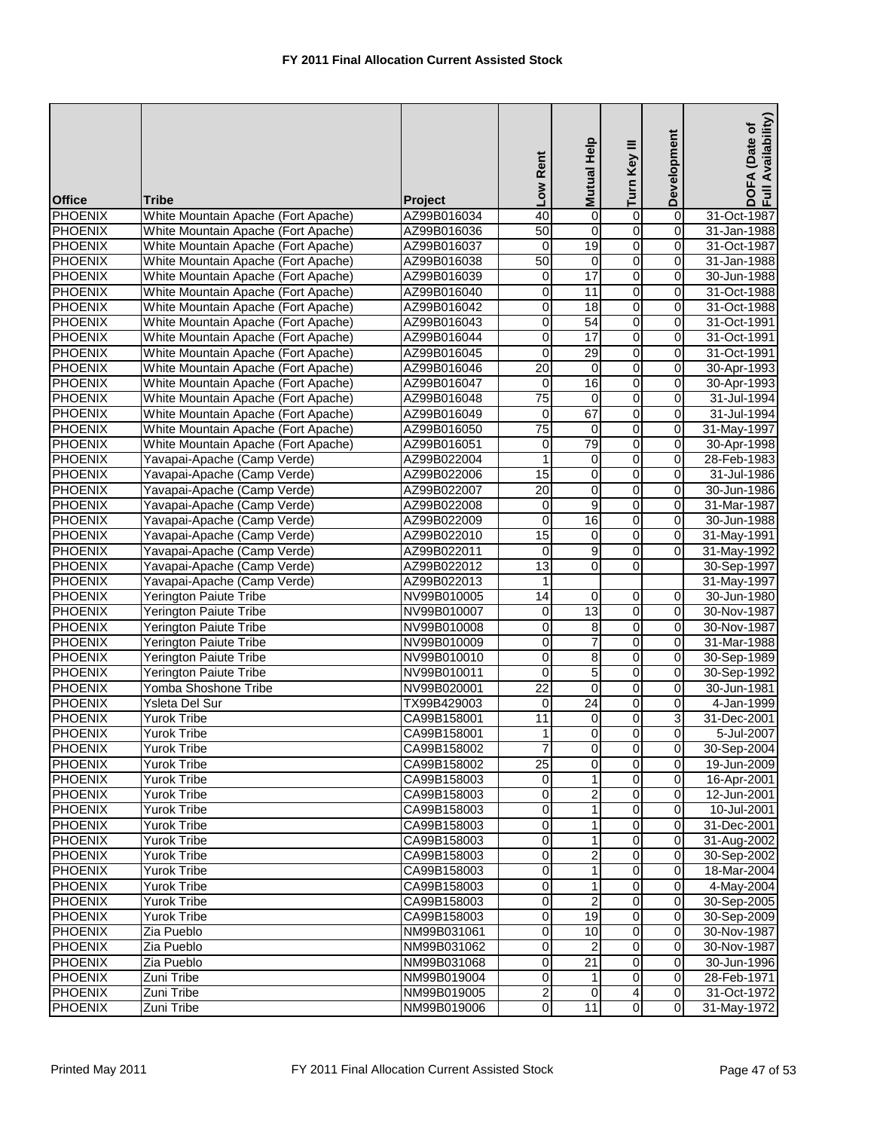| <b>Office</b>  | <b>Tribe</b>                        | <b>Project</b> | Low Rent        | Mutual Help             | Turn Key III   | Development             | Availability)<br>DOFA (Date of<br>Full Availability |
|----------------|-------------------------------------|----------------|-----------------|-------------------------|----------------|-------------------------|-----------------------------------------------------|
| <b>PHOENIX</b> | White Mountain Apache (Fort Apache) | AZ99B016034    | 40              | 0                       | $\overline{0}$ | $\overline{0}$          | 31-Oct-1987                                         |
| <b>PHOENIX</b> | White Mountain Apache (Fort Apache) | AZ99B016036    | 50              | 0                       | 0              | 0                       | 31-Jan-1988                                         |
| <b>PHOENIX</b> | White Mountain Apache (Fort Apache) | AZ99B016037    | 0               | 19                      | $\overline{0}$ | 0                       | 31-Oct-1987                                         |
| <b>PHOENIX</b> | White Mountain Apache (Fort Apache) | AZ99B016038    | 50              | $\boldsymbol{0}$        | $\overline{0}$ | $\overline{0}$          | 31-Jan-1988                                         |
| <b>PHOENIX</b> | White Mountain Apache (Fort Apache) | AZ99B016039    | 0               | 17                      | 0              | 0                       | 30-Jun-1988                                         |
| <b>PHOENIX</b> | White Mountain Apache (Fort Apache) | AZ99B016040    | 0               | 11                      | 0              | $\mathbf 0$             | 31-Oct-1988                                         |
| <b>PHOENIX</b> | White Mountain Apache (Fort Apache) | AZ99B016042    | 0               | 18                      | 0              | 0                       | 31-Oct-1988                                         |
| <b>PHOENIX</b> | White Mountain Apache (Fort Apache) | AZ99B016043    | 0               | 54                      | $\overline{0}$ | $\overline{\mathbf{0}}$ | 31-Oct-1991                                         |
| <b>PHOENIX</b> | White Mountain Apache (Fort Apache) | AZ99B016044    | $\mathbf 0$     | 17                      | 0              | 0                       | 31-Oct-1991                                         |
| <b>PHOENIX</b> | White Mountain Apache (Fort Apache) | AZ99B016045    | $\mathbf 0$     | $\overline{29}$         | $\overline{0}$ | 0                       | 31-Oct-1991                                         |
| <b>PHOENIX</b> | White Mountain Apache (Fort Apache) | AZ99B016046    | 20              | $\mathbf 0$             | 0              | 0                       | 30-Apr-1993                                         |
| <b>PHOENIX</b> | White Mountain Apache (Fort Apache) | AZ99B016047    | 0               | 16                      | $\overline{0}$ | $\overline{0}$          | 30-Apr-1993                                         |
| <b>PHOENIX</b> | White Mountain Apache (Fort Apache) | AZ99B016048    | $\overline{75}$ | $\boldsymbol{0}$        | $\overline{0}$ | 0                       | 31-Jul-1994                                         |
| <b>PHOENIX</b> | White Mountain Apache (Fort Apache) | AZ99B016049    | 0               | 67                      | $\overline{0}$ | 0                       | 31-Jul-1994                                         |
| <b>PHOENIX</b> | White Mountain Apache (Fort Apache) | AZ99B016050    | $\overline{75}$ | 0                       | 0              | $\mathbf 0$             | 31-May-1997                                         |
| <b>PHOENIX</b> | White Mountain Apache (Fort Apache) | AZ99B016051    | 0               | 79                      | 0              | 0                       | 30-Apr-1998                                         |
| <b>PHOENIX</b> | Yavapai-Apache (Camp Verde)         | AZ99B022004    | $\mathbf{1}$    | 0                       | $\overline{0}$ | $\overline{0}$          | 28-Feb-1983                                         |
| <b>PHOENIX</b> | Yavapai-Apache (Camp Verde)         | AZ99B022006    | 15              | $\pmb{0}$               | $\overline{0}$ | 0                       | 31-Jul-1986                                         |
| <b>PHOENIX</b> | Yavapai-Apache (Camp Verde)         | AZ99B022007    | $\overline{20}$ | 0                       | 0              | 0                       | 30-Jun-1986                                         |
| <b>PHOENIX</b> | Yavapai-Apache (Camp Verde)         | AZ99B022008    | 0               | 9                       | 0              | 0                       | 31-Mar-1987                                         |
| <b>PHOENIX</b> | Yavapai-Apache (Camp Verde)         | AZ99B022009    | $\mathbf 0$     | 16                      | $\overline{0}$ | 0                       | 30-Jun-1988                                         |
| <b>PHOENIX</b> | Yavapai-Apache (Camp Verde)         | AZ99B022010    | 15              | 0                       | 0              | $\mathbf 0$             | 31-May-1991                                         |
| <b>PHOENIX</b> | Yavapai-Apache (Camp Verde)         | AZ99B022011    | 0               | 9                       | 0              | 0                       | 31-May-1992                                         |
| <b>PHOENIX</b> | Yavapai-Apache (Camp Verde)         | AZ99B022012    | 13              | $\overline{0}$          | 0              |                         | 30-Sep-1997                                         |
| <b>PHOENIX</b> | Yavapai-Apache (Camp Verde)         | AZ99B022013    | 1               |                         |                |                         | 31-May-1997                                         |
| <b>PHOENIX</b> | Yerington Paiute Tribe              | NV99B010005    | 14              | $\boldsymbol{0}$        | $\overline{0}$ | $\mathbf 0$             | 30-Jun-1980                                         |
| <b>PHOENIX</b> | <b>Yerington Paiute Tribe</b>       | NV99B010007    | 0               | 13                      | 0              | 0                       | 30-Nov-1987                                         |
| <b>PHOENIX</b> | <b>Yerington Paiute Tribe</b>       | NV99B010008    | 0               | 8                       | 0              | 0                       | 30-Nov-1987                                         |
| <b>PHOENIX</b> | <b>Yerington Paiute Tribe</b>       | NV99B010009    | 0               | 7                       | 0              | $\overline{0}$          | 31-Mar-1988                                         |
| <b>PHOENIX</b> | <b>Yerington Paiute Tribe</b>       | NV99B010010    | 0               | 8                       | 0              | 0                       | 30-Sep-1989                                         |
| <b>PHOENIX</b> | Yerington Paiute Tribe              | NV99B010011    | 0               | $\mathbf 5$             | 0              | $\mathbf 0$             | 30-Sep-1992                                         |
| <b>PHOENIX</b> | Yomba Shoshone Tribe                | NV99B020001    | $\overline{22}$ | $\mathbf 0$             | 0              | 0                       | 30-Jun-1981                                         |
| <b>PHOENIX</b> | Ysleta Del Sur                      | TX99B429003    | 0               | $\overline{24}$         | 0              | 0                       | 4-Jan-1999                                          |
| <b>PHOENIX</b> | Yurok Tribe                         | CA99B158001    | 11              | 0                       | 0              | 3                       | 31-Dec-2001                                         |
| <b>PHOENIX</b> | <b>Yurok Tribe</b>                  | CA99B158001    | $\mathbf{1}$    | $\overline{0}$          | $\overline{0}$ | $\overline{0}$          | 5-Jul-2007                                          |
| <b>PHOENIX</b> | Yurok Tribe                         | CA99B158002    | $\overline{7}$  | $\overline{\mathbf{o}}$ | $\overline{0}$ | $\overline{0}$          | 30-Sep-2004                                         |
| <b>PHOENIX</b> | Yurok Tribe                         | CA99B158002    | $\overline{25}$ | 0                       | 0              | 0                       | 19-Jun-2009                                         |
| <b>PHOENIX</b> | Yurok Tribe                         | CA99B158003    | 0               | 1                       | 0              | $\mathbf 0$             | 16-Apr-2001                                         |
| <b>PHOENIX</b> | Yurok Tribe                         | CA99B158003    | 0               | 2                       | 0              | $\mathbf 0$             | 12-Jun-2001                                         |
| <b>PHOENIX</b> | Yurok Tribe                         | CA99B158003    | 0               | 1                       | 0              | $\mathbf 0$             | 10-Jul-2001                                         |
| <b>PHOENIX</b> | Yurok Tribe                         | CA99B158003    | 0               | 1                       | 0              | 0                       | 31-Dec-2001                                         |
| <b>PHOENIX</b> | <b>Yurok Tribe</b>                  | CA99B158003    | 0               | 1                       | 0              | $\mathbf 0$             | 31-Aug-2002                                         |
| <b>PHOENIX</b> | Yurok Tribe                         | CA99B158003    | 0               | 2                       | 0              | $\mathbf 0$             | 30-Sep-2002                                         |
| <b>PHOENIX</b> | Yurok Tribe                         | CA99B158003    | $\mathbf 0$     | 1                       | 0              | $\mathbf 0$             | 18-Mar-2004                                         |
| <b>PHOENIX</b> | Yurok Tribe                         | CA99B158003    | 0               | 1                       | 0              | $\mathbf 0$             | 4-May-2004                                          |
| <b>PHOENIX</b> | Yurok Tribe                         | CA99B158003    | 0               | $\overline{\mathbf{c}}$ | 0              | $\mathbf 0$             | 30-Sep-2005                                         |
| <b>PHOENIX</b> | Yurok Tribe                         | CA99B158003    | 0               | 19                      | 0              | $\mathbf 0$             | 30-Sep-2009                                         |
| <b>PHOENIX</b> | Zia Pueblo                          | NM99B031061    | 0               | 10                      | 0              | $\mathbf 0$             | 30-Nov-1987                                         |
| <b>PHOENIX</b> | Zia Pueblo                          | NM99B031062    | 0               | $\overline{2}$          | $\overline{0}$ | $\mathbf 0$             | 30-Nov-1987                                         |
| <b>PHOENIX</b> | Zia Pueblo                          | NM99B031068    | 0               | $\overline{21}$         | 0              | 0                       | 30-Jun-1996                                         |
| <b>PHOENIX</b> | Zuni Tribe                          | NM99B019004    | 0               | 1                       | 0              | $\mathbf 0$             | 28-Feb-1971                                         |
| <b>PHOENIX</b> | Zuni Tribe                          | NM99B019005    | 2               | $\mathbf 0$             | 4              | $\overline{0}$          | 31-Oct-1972                                         |
| <b>PHOENIX</b> | Zuni Tribe                          | NM99B019006    | $\overline{0}$  | 11                      | $\overline{0}$ | $\mathbf 0$             | 31-May-1972                                         |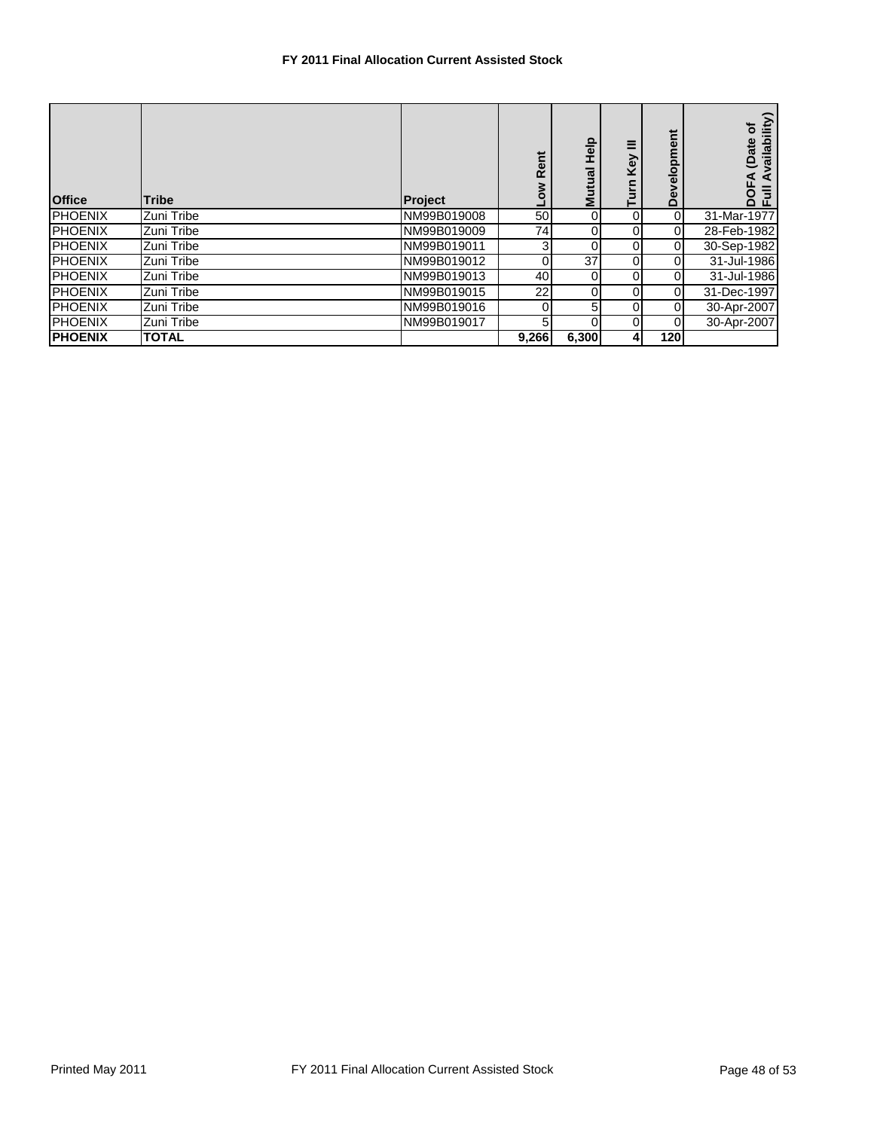## **FY 2011 Final Allocation Current Assisted Stock**

| <b>Office</b>   | <b>Tribe</b> | <b>Project</b> | ā<br>œ<br>Ó | deH<br>Mutual   | Ξ<br>Key<br>Turn | Development    | vailability)<br>ō<br>ate<br>$\mathbf{e}$<br>◀<br>$\overline{5}$<br>흉 |
|-----------------|--------------|----------------|-------------|-----------------|------------------|----------------|----------------------------------------------------------------------|
| <b>IPHOENIX</b> | Zuni Tribe   | NM99B019008    | 50          | $\overline{0}$  | $\overline{0}$   | $\overline{0}$ | 31-Mar-1977                                                          |
| <b>PHOENIX</b>  | Zuni Tribe   | NM99B019009    | 74          | $\overline{0}$  | $\overline{0}$   | $\overline{0}$ | 28-Feb-1982                                                          |
| <b>PHOENIX</b>  | Zuni Tribe   | NM99B019011    | 3           | 0               | $\overline{0}$   | $\overline{0}$ | 30-Sep-1982                                                          |
| <b>PHOENIX</b>  | Zuni Tribe   | NM99B019012    |             | 37 <sup>1</sup> | $\overline{0}$   | $\overline{0}$ | 31-Jul-1986                                                          |
| <b>PHOENIX</b>  | Zuni Tribe   | NM99B019013    | 40          | $\overline{0}$  | $\overline{0}$   | $\overline{0}$ | 31-Jul-1986                                                          |
| <b>IPHOENIX</b> | Zuni Tribe   | NM99B019015    | 22          | 0               | $\overline{0}$   | $\overline{0}$ | 31-Dec-1997                                                          |
| <b>PHOENIX</b>  | Zuni Tribe   | NM99B019016    |             | 5 <sub>l</sub>  | $\overline{0}$   | $\overline{0}$ | 30-Apr-2007                                                          |
| <b>PHOENIX</b>  | Zuni Tribe   | NM99B019017    | 5           | 0               | $\overline{0}$   | $\overline{0}$ | 30-Apr-2007                                                          |
| <b>PHOENIX</b>  | <b>TOTAL</b> |                | 9,266       | 6,300           | 41               | 120            |                                                                      |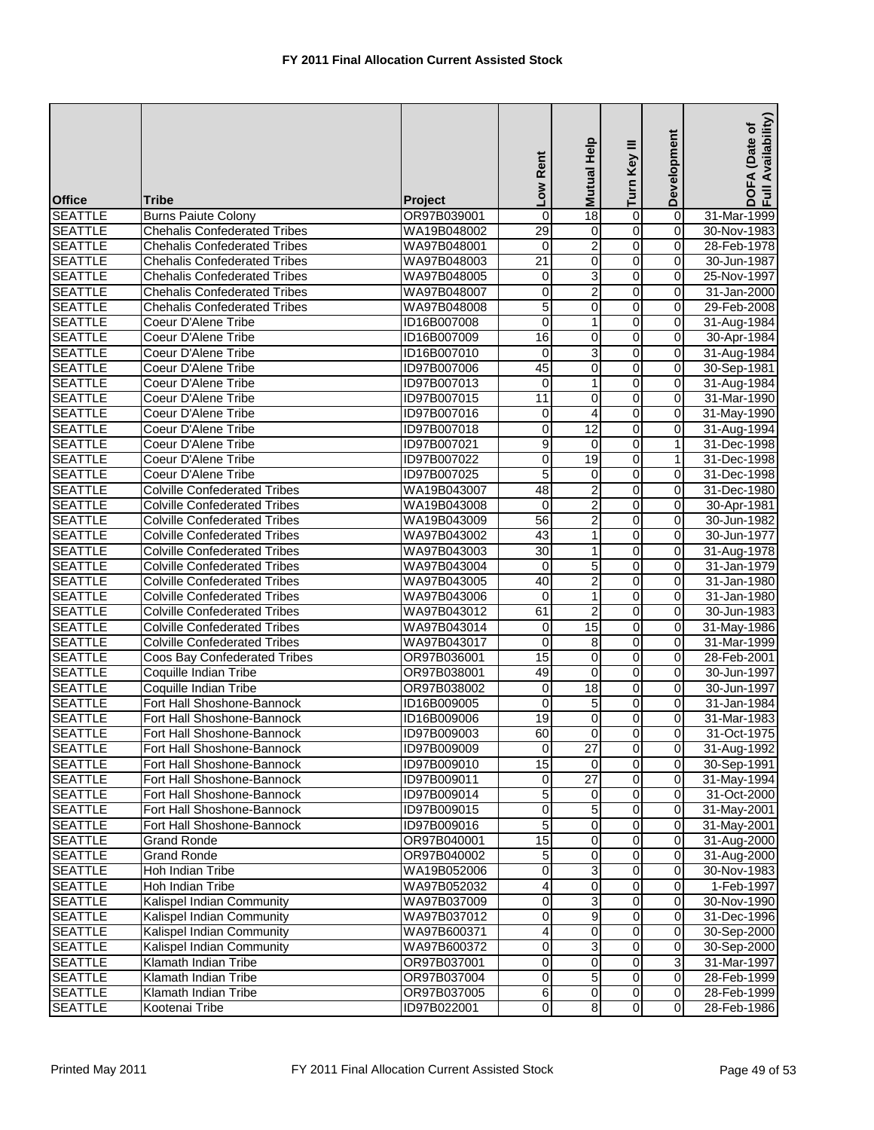| <b>Office</b>                    | Tribe                                                    | <b>Project</b>             | Low Rent                | Mutual Help             | Turn Key III                     | Development             | Availability)<br>Date of<br>DOFA (<br>Full Av |
|----------------------------------|----------------------------------------------------------|----------------------------|-------------------------|-------------------------|----------------------------------|-------------------------|-----------------------------------------------|
| <b>SEATTLE</b>                   | <b>Burns Paiute Colony</b>                               | OR97B039001                | 0                       | 18                      | 0                                | $\overline{0}$          | 31-Mar-1999                                   |
| <b>SEATTLE</b>                   | <b>Chehalis Confederated Tribes</b>                      | WA19B048002                | $\overline{29}$         | 0                       | O                                | 0                       | 30-Nov-1983                                   |
| <b>SEATTLE</b>                   | <b>Chehalis Confederated Tribes</b>                      | WA97B048001                | $\mathbf 0$             | $\overline{2}$          | O                                | $\mathbf 0$             | 28-Feb-1978                                   |
| <b>SEATTLE</b>                   | <b>Chehalis Confederated Tribes</b>                      | WA97B048003                | $\overline{21}$         | 0                       | O                                | 0                       | 30-Jun-1987                                   |
| <b>SEATTLE</b>                   | <b>Chehalis Confederated Tribes</b>                      | WA97B048005                | $\overline{\mathbf{0}}$ | 3                       | O                                | 0                       | 25-Nov-1997                                   |
| <b>SEATTLE</b>                   | <b>Chehalis Confederated Tribes</b>                      | WA97B048007                | 0                       | $\overline{\mathbf{c}}$ | $\mathsf{O}\xspace$              | 0                       | 31-Jan-2000                                   |
| <b>SEATTLE</b>                   | <b>Chehalis Confederated Tribes</b>                      | WA97B048008                | 5                       | 0                       | $\overline{0}$                   | 0                       | 29-Feb-2008                                   |
| <b>SEATTLE</b>                   | Coeur D'Alene Tribe                                      | ID16B007008                | 0                       | 1                       | 0                                | 0                       | 31-Aug-1984                                   |
| <b>SEATTLE</b>                   | Coeur D'Alene Tribe                                      | ID16B007009                | 16                      | 0                       | 0                                | 0                       | 30-Apr-1984                                   |
| <b>SEATTLE</b>                   | Coeur D'Alene Tribe                                      | ID16B007010                | 0                       | 3                       | 0                                | 0                       | 31-Aug-1984                                   |
| <b>SEATTLE</b>                   | Coeur D'Alene Tribe                                      | ID97B007006                | 45                      | 0                       | O                                | 0                       | 30-Sep-1981                                   |
| <b>SEATTLE</b>                   | Coeur D'Alene Tribe                                      | ID97B007013                | $\mathbf 0$             | 1                       | $\overline{0}$                   | $\mathsf{O}\xspace$     | 31-Aug-1984                                   |
| <b>SEATTLE</b>                   | Coeur D'Alene Tribe                                      | ID97B007015                | 11                      | 0                       | O                                | $\pmb{0}$               | 31-Mar-1990                                   |
| <b>SEATTLE</b>                   | Coeur D'Alene Tribe                                      | ID97B007016                | 0                       | 4                       | 0                                | $\pmb{0}$               | 31-May-1990                                   |
| <b>SEATTLE</b>                   | Coeur D'Alene Tribe                                      | ID97B007018                | 0                       | 12                      | O                                | 0                       | 31-Aug-1994                                   |
| <b>SEATTLE</b>                   | Coeur D'Alene Tribe                                      | ID97B007021                | 9                       | 0                       | 0                                | 1                       | 31-Dec-1998                                   |
| <b>SEATTLE</b>                   | Coeur D'Alene Tribe                                      | ID97B007022                | 0                       | 19                      | $\overline{0}$                   | 1                       | 31-Dec-1998                                   |
| <b>SEATTLE</b>                   | Coeur D'Alene Tribe                                      | ID97B007025                | 5                       | 0                       | 0                                | 0                       | 31-Dec-1998                                   |
| <b>SEATTLE</b>                   | <b>Colville Confederated Tribes</b>                      | WA19B043007                | 48                      | 2                       | $\overline{0}$                   | 0                       | 31-Dec-1980                                   |
| <b>SEATTLE</b>                   | <b>Colville Confederated Tribes</b>                      | WA19B043008                | $\mathbf 0$             | 2                       | 0                                | 0                       | 30-Apr-1981                                   |
| <b>SEATTLE</b>                   | <b>Colville Confederated Tribes</b>                      | WA19B043009                | 56                      | $\overline{2}$          | O                                | $\pmb{0}$               | 30-Jun-1982                                   |
| <b>SEATTLE</b>                   | <b>Colville Confederated Tribes</b>                      | WA97B043002                | 43                      | 1                       | O                                | 0                       | 30-Jun-1977                                   |
| <b>SEATTLE</b>                   | <b>Colville Confederated Tribes</b>                      | WA97B043003                | $\overline{30}$         | 1                       | $\overline{0}$                   | 0                       | 31-Aug-1978                                   |
| <b>SEATTLE</b>                   | <b>Colville Confederated Tribes</b>                      | WA97B043004                | $\mathbf 0$             | 5                       | 0                                | 0                       | 31-Jan-1979                                   |
| <b>SEATTLE</b>                   | <b>Colville Confederated Tribes</b>                      | WA97B043005                | 40                      | 2                       | 0                                | 0                       | 31-Jan-1980                                   |
| <b>SEATTLE</b>                   | <b>Colville Confederated Tribes</b>                      | WA97B043006                | $\mathbf 0$             | 1                       | $\overline{0}$                   | $\pmb{0}$               | 31-Jan-1980                                   |
| <b>SEATTLE</b>                   | <b>Colville Confederated Tribes</b>                      | WA97B043012                | 61                      | $\overline{c}$          | 0                                | $\overline{0}$          | 30-Jun-1983                                   |
| <b>SEATTLE</b>                   | <b>Colville Confederated Tribes</b>                      | WA97B043014                | 0                       | 15                      | 0                                | 0                       | 31-May-1986                                   |
| <b>SEATTLE</b>                   | <b>Colville Confederated Tribes</b>                      | WA97B043017                | 0                       | 8                       | 0                                | 0                       | 31-Mar-1999                                   |
| <b>SEATTLE</b>                   | Coos Bay Confederated Tribes                             | OR97B036001                | 15                      | 0                       | o                                | 0                       | 28-Feb-2001                                   |
| <b>SEATTLE</b>                   | Coquille Indian Tribe                                    | OR97B038001                | 49                      | 0                       | $\mathsf{O}\xspace$              | 0                       | 30-Jun-1997                                   |
| <b>SEATTLE</b>                   | Coquille Indian Tribe                                    |                            | $\overline{\mathbf{0}}$ | 18                      | $\overline{0}$                   | $\pmb{0}$               | 30-Jun-1997                                   |
| <b>SEATTLE</b>                   | Fort Hall Shoshone-Bannock                               | OR97B038002                | $\mathbf 0$             | 5                       | 0                                | 0                       | 31-Jan-1984                                   |
| <b>SEATTLE</b>                   | Fort Hall Shoshone-Bannock                               | ID16B009005<br>ID16B009006 | 19                      | 0                       | 0                                | 0                       | 31-Mar-1983                                   |
| <b>SEATTLE</b>                   | Fort Hall Shoshone-Bannock                               | ID97B009003                | 60                      | $\overline{0}$          | $\overline{0}$                   | $\overline{0}$          | 31-Oct-1975                                   |
|                                  | Fort Hall Shoshone-Bannock                               |                            |                         |                         | $\overline{0}$                   | $\mathbf 0$             |                                               |
| <b>SEATTLE</b><br><b>SEATTLE</b> | Fort Hall Shoshone-Bannock                               | ID97B009009<br>ID97B009010 | $\mathbf 0$<br>15       | 27<br>$\Omega$          | $\overline{0}$                   | $\overline{0}$          | 31-Aug-1992<br>30-Sep-1991                    |
|                                  | Fort Hall Shoshone-Bannock                               |                            |                         | $\overline{27}$         |                                  | $\mathbf 0$             |                                               |
| <b>SEATTLE</b><br><b>SEATTLE</b> | Fort Hall Shoshone-Bannock                               | ID97B009011<br>ID97B009014 | $\mathbf 0$<br>5        | 0                       | 0<br>$\overline{0}$              | $\overline{0}$          | 31-May-1994<br>31-Oct-2000                    |
|                                  |                                                          | ID97B009015                | $\overline{\mathbf{0}}$ | 5                       | $\overline{0}$                   | $\overline{\mathbf{o}}$ |                                               |
| <b>SEATTLE</b><br><b>SEATTLE</b> | Fort Hall Shoshone-Bannock<br>Fort Hall Shoshone-Bannock | ID97B009016                | 5                       | 0                       | 0                                | 0                       | 31-May-2001                                   |
| <b>SEATTLE</b>                   |                                                          |                            | 15                      | 0                       | $\overline{0}$                   | $\pmb{0}$               | 31-May-2001                                   |
| <b>SEATTLE</b>                   | Grand Ronde<br>Grand Ronde                               | OR97B040001<br>OR97B040002 |                         | 0                       | $\overline{0}$                   | 0                       | 31-Aug-2000<br>31-Aug-2000                    |
|                                  |                                                          |                            | 5                       |                         | $\overline{0}$                   | $\overline{0}$          |                                               |
| <b>SEATTLE</b>                   | Hoh Indian Tribe<br><b>Hoh Indian Tribe</b>              | WA19B052006                | $\overline{0}$<br>4     | 3<br>0                  | 0                                | $\pmb{0}$               | 30-Nov-1983<br>1-Feb-1997                     |
| <b>SEATTLE</b>                   |                                                          | WA97B052032                |                         |                         |                                  |                         |                                               |
| <b>SEATTLE</b>                   | Kalispel Indian Community                                | WA97B037009                | 0                       | 3<br>9                  | $\overline{0}$<br>$\overline{0}$ | $\mathbf 0$             | 30-Nov-1990                                   |
| <b>SEATTLE</b>                   | Kalispel Indian Community                                | WA97B037012                | $\mathbf 0$             |                         |                                  | 0                       | 31-Dec-1996                                   |
| <b>SEATTLE</b>                   | Kalispel Indian Community                                | WA97B600371                | 4                       | 0                       | $\overline{0}$                   | $\mathbf 0$             | 30-Sep-2000                                   |
| <b>SEATTLE</b>                   | Kalispel Indian Community                                | WA97B600372                | 0                       | 3                       | $\overline{0}$                   | $\pmb{0}$               | 30-Sep-2000                                   |
| <b>SEATTLE</b>                   | Klamath Indian Tribe                                     | OR97B037001                | $\mathbf 0$             | 0                       | 0                                | 3                       | 31-Mar-1997                                   |
| <b>SEATTLE</b>                   | Klamath Indian Tribe                                     | OR97B037004                | $\overline{0}$          | 5                       | $\overline{0}$                   | $\mathbf 0$             | 28-Feb-1999                                   |
| <b>SEATTLE</b>                   | Klamath Indian Tribe                                     | OR97B037005                | 6                       | $\overline{\mathbf{0}}$ | $\overline{0}$                   | $\pmb{0}$               | 28-Feb-1999                                   |
| <b>SEATTLE</b>                   | Kootenai Tribe                                           | ID97B022001                | $\overline{O}$          | $\infty$                | $\overline{0}$                   | $\mathbf 0$             | 28-Feb-1986                                   |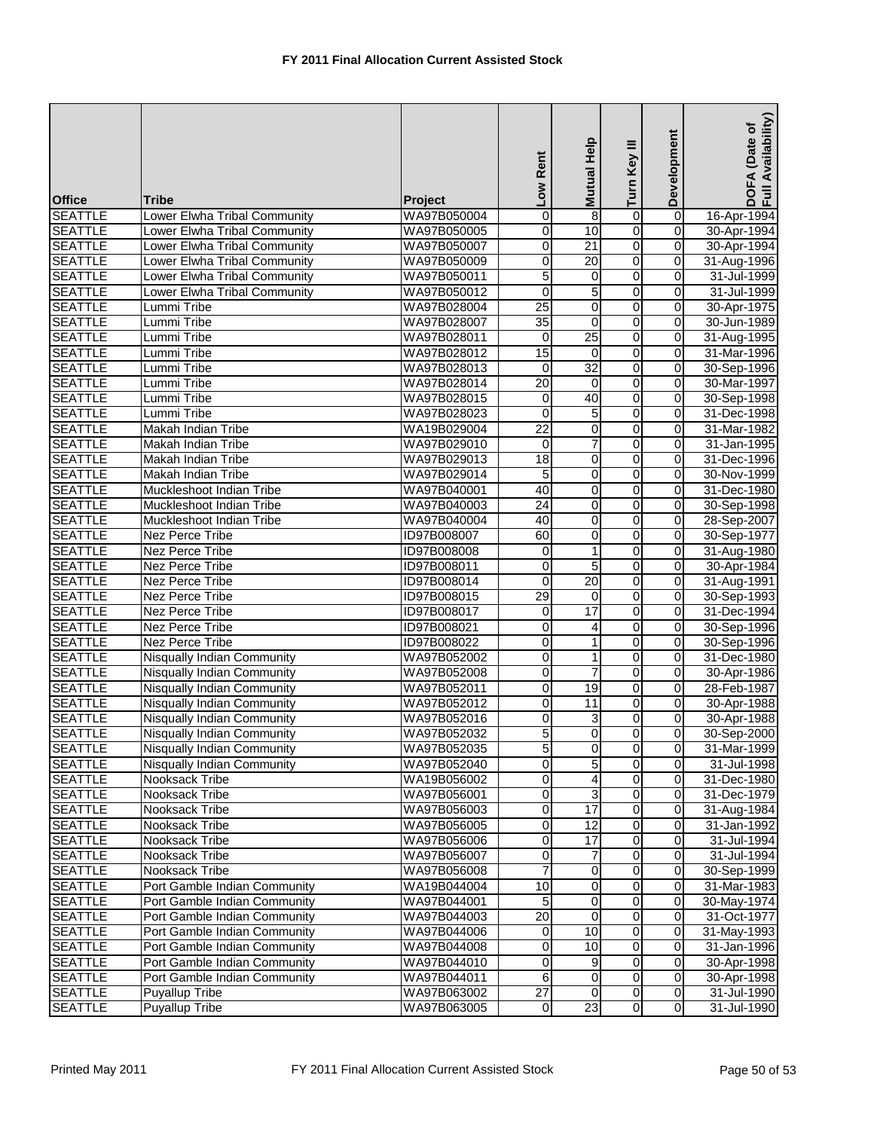| <b>Office</b>  | Tribe                             | <b>Project</b>     | Low Rent                | Mutual Help      | Turn Key III   | Development             | Availability)<br>(Date of<br>DOFA<br>Full Av |
|----------------|-----------------------------------|--------------------|-------------------------|------------------|----------------|-------------------------|----------------------------------------------|
| <b>SEATTLE</b> | Lower Elwha Tribal Community      | WA97B050004        | 0                       | 8                | $\overline{0}$ | $\overline{\mathsf{o}}$ | 16-Apr-1994                                  |
| <b>SEATTLE</b> | Lower Elwha Tribal Community      | WA97B050005        | $\mathbf 0$             | 10               | 0              | $\overline{\mathbf{0}}$ | 30-Apr-1994                                  |
| <b>SEATTLE</b> | Lower Elwha Tribal Community      | WA97B050007        | $\mathbf 0$             | $\overline{21}$  | $\overline{0}$ | $\overline{0}$          | 30-Apr-1994                                  |
| <b>SEATTLE</b> | Lower Elwha Tribal Community      | WA97B050009        | 0                       | 20               | o              | 0                       | 31-Aug-1996                                  |
| <b>SEATTLE</b> | Lower Elwha Tribal Community      | WA97B050011        | $\overline{5}$          | $\pmb{0}$        | $\overline{0}$ | 0                       | 31-Jul-1999                                  |
| <b>SEATTLE</b> | Lower Elwha Tribal Community      | WA97B050012        | $\mathbf 0$             | 5                | $\mathbf 0$    | 0                       | 31-Jul-1999                                  |
| <b>SEATTLE</b> | Lummi Tribe                       | WA97B028004        | 25                      | 0                | $\overline{0}$ | $\mathbf 0$             | 30-Apr-1975                                  |
| <b>SEATTLE</b> | Lummi Tribe                       | WA97B028007        | 35                      | 0                | $\overline{0}$ | 0                       | 30-Jun-1989                                  |
| <b>SEATTLE</b> | Lummi Tribe                       | WA97B028011        | $\mathbf 0$             | 25               | 0              | 0                       | 31-Aug-1995                                  |
| <b>SEATTLE</b> | Lummi Tribe                       | WA97B028012        | 15                      | $\Omega$         | $\overline{0}$ | $\overline{0}$          | 31-Mar-1996                                  |
| <b>SEATTLE</b> | Lummi Tribe                       | WA97B028013        | 0                       | 32               | o              | 0                       | 30-Sep-1996                                  |
| <b>SEATTLE</b> | Lummi Tribe                       | WA97B028014        | 20                      | $\mathbf 0$      | $\overline{0}$ | $\overline{O}$          | 30-Mar-1997                                  |
| <b>SEATTLE</b> | Lummi Tribe                       | WA97B028015        | 0                       | 40               | $\overline{0}$ | $\pmb{0}$               | 30-Sep-1998                                  |
| <b>SEATTLE</b> | Lummi Tribe                       | WA97B028023        | $\mathbf 0$             | 5                | $\overline{0}$ | $\pmb{0}$               | 31-Dec-1998                                  |
| <b>SEATTLE</b> | Makah Indian Tribe                | WA19B029004        | $\overline{22}$         | 0                | $\overline{0}$ | 0                       | 31-Mar-1982                                  |
| <b>SEATTLE</b> | Makah Indian Tribe                | WA97B029010        | 0                       | 7                | $\overline{0}$ | $\mathbf 0$             | 31-Jan-1995                                  |
| <b>SEATTLE</b> | Makah Indian Tribe                | WA97B029013        | 18                      | 0                | $\overline{0}$ | 0                       | 31-Dec-1996                                  |
| <b>SEATTLE</b> | Makah Indian Tribe                | WA97B029014        | 5                       | 0                | 0              | 0                       | 30-Nov-1999                                  |
| <b>SEATTLE</b> | Muckleshoot Indian Tribe          | WA97B040001        | 40                      | 0                | $\overline{0}$ | $\overline{0}$          | 31-Dec-1980                                  |
| <b>SEATTLE</b> | Muckleshoot Indian Tribe          | WA97B040003        | 24                      | 0                | 0              | 0                       | 30-Sep-1998                                  |
| <b>SEATTLE</b> | Muckleshoot Indian Tribe          | WA97B040004        | 40                      | 0                | o              | $\mathbf 0$             | 28-Sep-2007                                  |
| <b>SEATTLE</b> | <b>Nez Perce Tribe</b>            | ID97B008007        | 60                      | 0                | $\overline{0}$ | $\pmb{0}$               | 30-Sep-1977                                  |
| <b>SEATTLE</b> | <b>Nez Perce Tribe</b>            | <b>ID97B008008</b> | $\overline{\mathbf{0}}$ | 1                | $\overline{0}$ | $\pmb{0}$               | 31-Aug-1980                                  |
| <b>SEATTLE</b> | <b>Nez Perce Tribe</b>            | ID97B008011        | $\mathbf 0$             | 5                | $\overline{0}$ | $\overline{0}$          | 30-Apr-1984                                  |
| <b>SEATTLE</b> | Nez Perce Tribe                   | ID97B008014        | $\overline{0}$          | 20               | 0              | 0                       | 31-Aug-1991                                  |
| <b>SEATTLE</b> | <b>Nez Perce Tribe</b>            | <b>ID97B008015</b> | 29                      | $\boldsymbol{0}$ | $\overline{0}$ | $\overline{0}$          | 30-Sep-1993                                  |
| <b>SEATTLE</b> | Nez Perce Tribe                   | ID97B008017        | 0                       | 17               | $\overline{0}$ | $\mathbf 0$             | 31-Dec-1994                                  |
| <b>SEATTLE</b> | Nez Perce Tribe                   | ID97B008021        | $\overline{0}$          | 4                | 0              | $\Omega$                | 30-Sep-1996                                  |
| <b>SEATTLE</b> | Nez Perce Tribe                   | ID97B008022        | 0                       | 1                | 0              | 0                       | 30-Sep-1996                                  |
| <b>SEATTLE</b> | Nisqually Indian Community        | WA97B052002        | $\overline{\mathbf{0}}$ | 1                | $\overline{0}$ | $\mathbf 0$             | 31-Dec-1980                                  |
| <b>SEATTLE</b> | Nisqually Indian Community        | WA97B052008        | $\mathbf 0$             | 7                | $\overline{0}$ | $\overline{0}$          | 30-Apr-1986                                  |
| <b>SEATTLE</b> | <b>Nisqually Indian Community</b> | WA97B052011        | $\mathbf 0$             | 19               | $\overline{0}$ | $\mathbf 0$             | 28-Feb-1987                                  |
| <b>SEATTLE</b> | Nisqually Indian Community        | WA97B052012        | 0                       | 11               | $\overline{0}$ | 0                       | 30-Apr-1988                                  |
| <b>SEATTLE</b> | Nisqually Indian Community        | WA97B052016        | $\mathbf 0$             | 3                | 0              | 0                       | 30-Apr-1988                                  |
| <b>SEATTLE</b> | <b>Nisqually Indian Community</b> | WA97B052032        | $\overline{5}$          | $\overline{0}$   | $\overline{0}$ | $\overline{O}$          | 30-Sep-2000                                  |
| <b>SEATTLE</b> | <b>Nisqually Indian Community</b> | WA97B052035        | 5                       | $\overline{0}$   | $\overline{0}$ | $\mathbf 0$             | 31-Mar-1999                                  |
| <b>SEATTLE</b> | <b>Nisqually Indian Community</b> | WA97B052040        | Ō                       | 5                | $\overline{0}$ | 0                       | 31-Jul-1998                                  |
| <b>SEATTLE</b> | Nooksack Tribe                    | WA19B056002        | $\overline{0}$          | 4                | $\overline{0}$ | 0                       | 31-Dec-1980                                  |
| <b>SEATTLE</b> | Nooksack Tribe                    | WA97B056001        | $\mathbf 0$             | 3                | $\overline{0}$ | $\mathbf 0$             | 31-Dec-1979                                  |
| <b>SEATTLE</b> | Nooksack Tribe                    | WA97B056003        | $\overline{0}$          | 17               | $\overline{0}$ | $\mathbf 0$             | 31-Aug-1984                                  |
| <b>SEATTLE</b> | Nooksack Tribe                    | WA97B056005        | 0                       | 12               | 0              | 0                       | 31-Jan-1992                                  |
| <b>SEATTLE</b> | Nooksack Tribe                    | WA97B056006        | 0                       | 17               | $\overline{0}$ | $\mathbf 0$             | $31 -$ Jul-1994                              |
| <b>SEATTLE</b> | Nooksack Tribe                    | WA97B056007        | 0                       |                  | $\overline{0}$ | 0                       | 31-Jul-1994                                  |
| <b>SEATTLE</b> | Nooksack Tribe                    | WA97B056008        | 7                       | $\mathbf 0$      | $\overline{0}$ | $\overline{0}$          | 30-Sep-1999                                  |
| <b>SEATTLE</b> | Port Gamble Indian Community      | WA19B044004        | 10                      | 0                | $\overline{0}$ | $\pmb{0}$               | 31-Mar-1983                                  |
| <b>SEATTLE</b> | Port Gamble Indian Community      | WA97B044001        | 5                       | 0                | $\overline{0}$ | $\mathbf 0$             | 30-May-1974                                  |
| <b>SEATTLE</b> | Port Gamble Indian Community      | WA97B044003        | $\overline{20}$         | 0                | $\overline{0}$ | $\pmb{0}$               | 31-Oct-1977                                  |
| <b>SEATTLE</b> | Port Gamble Indian Community      | WA97B044006        | $\mathbf 0$             | 10               | $\overline{0}$ | $\mathbf 0$             | 31-May-1993                                  |
| <b>SEATTLE</b> | Port Gamble Indian Community      | WA97B044008        | 0                       | 10               | $\overline{0}$ | $\pmb{0}$               | 31-Jan-1996                                  |
| <b>SEATTLE</b> | Port Gamble Indian Community      | WA97B044010        | 0                       | 9                | $\overline{0}$ | 0                       | 30-Apr-1998                                  |
| <b>SEATTLE</b> | Port Gamble Indian Community      | WA97B044011        | 6                       | $\overline{0}$   | $\overline{0}$ | $\pmb{0}$               | 30-Apr-1998                                  |
| <b>SEATTLE</b> | <b>Puyallup Tribe</b>             | WA97B063002        | $\overline{27}$         | $\mathbf 0$      | $\overline{0}$ | $\overline{\mathbf{0}}$ | 31-Jul-1990                                  |
| <b>SEATTLE</b> | <b>Puyallup Tribe</b>             | WA97B063005        | $\mathbf 0$             | 23               | $\overline{0}$ | $\overline{0}$          | $31 -$ Jul-1990                              |
|                |                                   |                    |                         |                  |                |                         |                                              |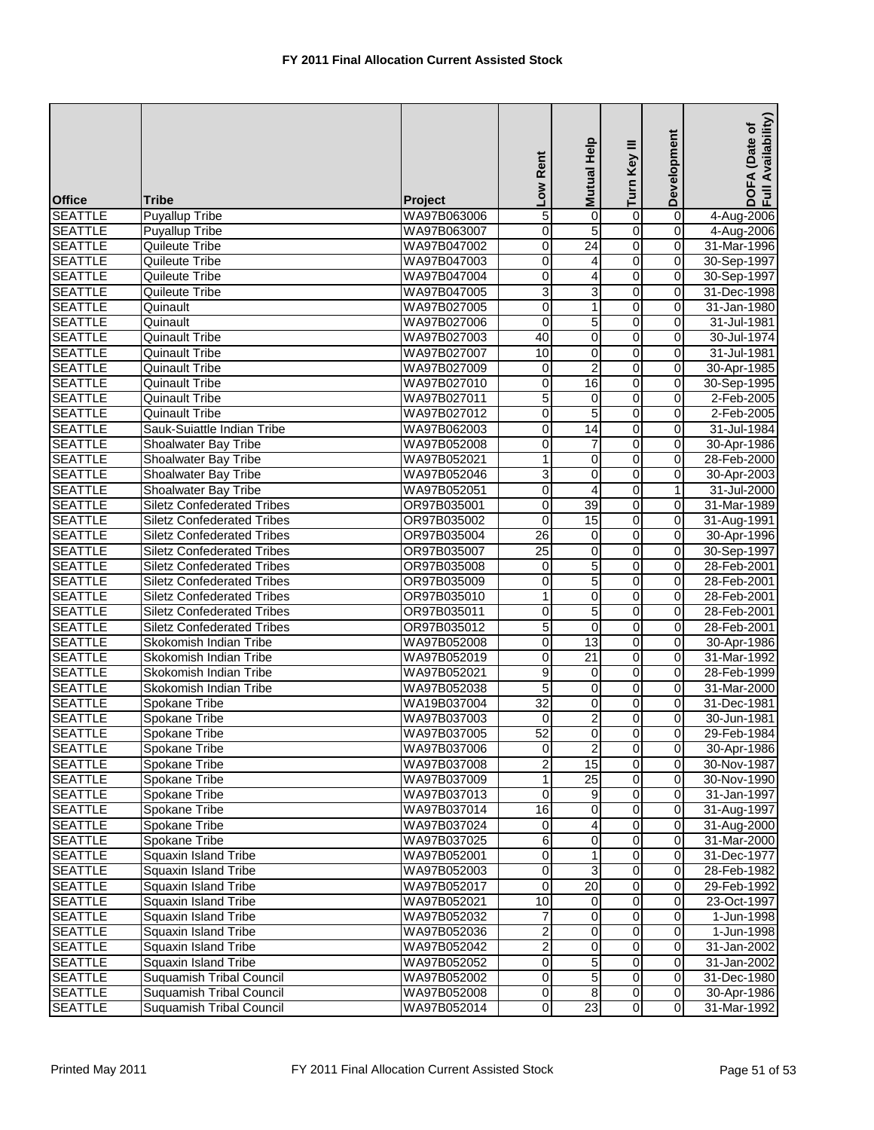| <b>Office</b>  | <b>Tribe</b>                      | Project     | Low Rent        | Help<br><b>Mutual</b> | Turn Key III   | Development         | DOFA (Date of<br>Full Availability) |
|----------------|-----------------------------------|-------------|-----------------|-----------------------|----------------|---------------------|-------------------------------------|
| <b>SEATTLE</b> | <b>Puyallup Tribe</b>             | WA97B063006 | 5               | 0                     | $\overline{0}$ | $\overline{0}$      | 4-Aug-2006                          |
| <b>SEATTLE</b> | <b>Puyallup Tribe</b>             | WA97B063007 | 0               | 5                     | 0              | 0                   | 4-Aug-2006                          |
| <b>SEATTLE</b> | Quileute Tribe                    | WA97B047002 | 0               | $\overline{24}$       | $\overline{0}$ | $\overline{0}$      | 31-Mar-1996                         |
| <b>SEATTLE</b> | <b>Quileute Tribe</b>             | WA97B047003 | 0               | 4                     | $\overline{0}$ | 0                   | 30-Sep-1997                         |
| <b>SEATTLE</b> | <b>Quileute Tribe</b>             | WA97B047004 | 0               | 4                     | $\overline{0}$ | $\overline{0}$      | 30-Sep-1997                         |
| <b>SEATTLE</b> | Quileute Tribe                    | WA97B047005 | 3               | 3                     | $\overline{0}$ | $\overline{0}$      | 31-Dec-1998                         |
| <b>SEATTLE</b> | Quinault                          | WA97B027005 | $\pmb{0}$       | $\mathbf{1}$          | 0              | $\mathbf 0$         | 31-Jan-1980                         |
| <b>SEATTLE</b> | Quinault                          | WA97B027006 | 0               | 5                     | 0              | $\overline{0}$      | 31-Jul-1981                         |
| <b>SEATTLE</b> | <b>Quinault Tribe</b>             | WA97B027003 | 40              | 0                     | 0              | 0                   | 30-Jul-1974                         |
| <b>SEATTLE</b> | Quinault Tribe                    | WA97B027007 | 10              | 0                     | 0              | $\mathbf 0$         | 31-Jul-1981                         |
| <b>SEATTLE</b> | Quinault Tribe                    | WA97B027009 | 0               | $\overline{2}$        | 0              | $\mathbf 0$         | 30-Apr-1985                         |
| <b>SEATTLE</b> | <b>Quinault Tribe</b>             | WA97B027010 | 0               | 16                    | $\overline{0}$ | $\overline{0}$      | 30-Sep-1995                         |
| <b>SEATTLE</b> | <b>Quinault Tribe</b>             | WA97B027011 | $\overline{5}$  | 0                     | $\overline{0}$ | 0                   | 2-Feb-2005                          |
| <b>SEATTLE</b> | <b>Quinault Tribe</b>             | WA97B027012 | 0               | 5                     | $\overline{0}$ | 0                   | 2-Feb-2005                          |
| <b>SEATTLE</b> | Sauk-Suiattle Indian Tribe        | WA97B062003 | $\mathbf 0$     | $\overline{14}$       | 0              | 0                   | 31-Jul-1984                         |
| <b>SEATTLE</b> | <b>Shoalwater Bay Tribe</b>       | WA97B052008 | 0               | $\overline{7}$        | 0              | $\overline{0}$      | 30-Apr-1986                         |
| <b>SEATTLE</b> | Shoalwater Bay Tribe              | WA97B052021 | 1               | 0                     | 0              | $\overline{0}$      | 28-Feb-2000                         |
| <b>SEATTLE</b> | Shoalwater Bay Tribe              | WA97B052046 | 3               | 0                     | $\overline{0}$ | 0                   | 30-Apr-2003                         |
| <b>SEATTLE</b> | Shoalwater Bay Tribe              | WA97B052051 | 0               | 4                     | 0              | 1                   | 31-Jul-2000                         |
| <b>SEATTLE</b> | <b>Siletz Confederated Tribes</b> | OR97B035001 | 0               | 39                    | 0              | $\mathbf 0$         | 31-Mar-1989                         |
| <b>SEATTLE</b> | <b>Siletz Confederated Tribes</b> | OR97B035002 | $\pmb{0}$       | 15                    | $\overline{0}$ | $\overline{0}$      | 31-Aug-1991                         |
| <b>SEATTLE</b> | <b>Siletz Confederated Tribes</b> | OR97B035004 | 26              | $\mathbf 0$           | $\overline{0}$ | 0                   | 30-Apr-1996                         |
| <b>SEATTLE</b> | <b>Siletz Confederated Tribes</b> | OR97B035007 | 25              | 0                     | $\overline{0}$ | $\overline{0}$      | 30-Sep-1997                         |
| <b>SEATTLE</b> | <b>Siletz Confederated Tribes</b> | OR97B035008 | 0               | 5                     | 0              | $\mathbf 0$         | 28-Feb-2001                         |
| <b>SEATTLE</b> | <b>Siletz Confederated Tribes</b> | OR97B035009 | $\mathbf 0$     | 5                     | 0              | $\mathbf 0$         | 28-Feb-2001                         |
| <b>SEATTLE</b> | <b>Siletz Confederated Tribes</b> | OR97B035010 | 1               | 0                     | 0              | $\mathbf 0$         | 28-Feb-2001                         |
| <b>SEATTLE</b> | <b>Siletz Confederated Tribes</b> | OR97B035011 | $\mathbf 0$     | 5                     | 0              | 0                   | 28-Feb-2001                         |
| <b>SEATTLE</b> | <b>Siletz Confederated Tribes</b> | OR97B035012 | 5               | 0                     | 0              | $\mathsf{O}\xspace$ | 28-Feb-2001                         |
| <b>SEATTLE</b> | Skokomish Indian Tribe            | WA97B052008 | 0               | 13                    | 0              | $\mathbf 0$         | 30-Apr-1986                         |
| <b>SEATTLE</b> | Skokomish Indian Tribe            | WA97B052019 | $\pmb{0}$       | $\overline{21}$       | O              | $\overline{0}$      | 31-Mar-1992                         |
| <b>SEATTLE</b> | Skokomish Indian Tribe            | WA97B052021 | 9               | 0                     | $\overline{0}$ | 0                   | 28-Feb-1999                         |
| <b>SEATTLE</b> | Skokomish Indian Tribe            | WA97B052038 | 5               | 0                     | $\overline{0}$ | 0                   | 31-Mar-2000                         |
| <b>SEATTLE</b> | Spokane Tribe                     | WA19B037004 | $\overline{32}$ | 0                     | 0              | $\mathbf 0$         | 31-Dec-1981                         |
| <b>SEATTLE</b> | Spokane Tribe                     | WA97B037003 | 0               | 2                     | 0              | $\mathbf 0$         | 30-Jun-1981                         |
| <b>SEATTLE</b> | Spokane Tribe                     | WA97B037005 | 52              | $\pmb{0}$             | 0              | $\overline{0}$      | 29-Feb-1984                         |
| <b>SEATTLE</b> | Spokane Tribe                     | WA97B037006 | $\overline{0}$  | $\overline{c}$        | $\overline{0}$ | $\overline{0}$      | 30-Apr-1986                         |
| <b>SEATTLE</b> | Spokane Tribe                     | WA97B037008 | $\overline{2}$  | 15                    | 0              | $\mathbf 0$         | 30-Nov-1987                         |
| <b>SEATTLE</b> | Spokane Tribe                     | WA97B037009 | 1               | $\overline{25}$       | 0              | $\mathbf 0$         | 30-Nov-1990                         |
| <b>SEATTLE</b> | Spokane Tribe                     | WA97B037013 | $\pmb{0}$       | 9                     | $\overline{0}$ | $\overline{0}$      | 31-Jan-1997                         |
| <b>SEATTLE</b> | Spokane Tribe                     | WA97B037014 | 16              | 0                     | 0              | $\mathbf 0$         | 31-Aug-1997                         |
| <b>SEATTLE</b> | Spokane Tribe                     | WA97B037024 | 0               | $\overline{4}$        | 0              | $\overline{0}$      | 31-Aug-2000                         |
| <b>SEATTLE</b> | Spokane Tribe                     | WA97B037025 | 6               | $\mathbf 0$           | 0              | $\mathbf 0$         | 31-Mar-2000                         |
| <b>SEATTLE</b> | <b>Squaxin Island Tribe</b>       | WA97B052001 | 0               | 1.                    | 0              | $\mathbf 0$         | 31-Dec-1977                         |
| <b>SEATTLE</b> | Squaxin Island Tribe              | WA97B052003 | 0               | $\mathbf{3}$          | 0              | $\overline{0}$      | 28-Feb-1982                         |
| <b>SEATTLE</b> | <b>Squaxin Island Tribe</b>       | WA97B052017 | 0               | $\overline{20}$       | 0              | $\mathbf 0$         | 29-Feb-1992                         |
| <b>SEATTLE</b> | <b>Squaxin Island Tribe</b>       | WA97B052021 | 10              | $\mathbf 0$           | $\overline{0}$ | $\mathbf 0$         | 23-Oct-1997                         |
| <b>SEATTLE</b> | Squaxin Island Tribe              | WA97B052032 | 7               | 0                     | 0              | $\mathbf 0$         | 1-Jun-1998                          |
| <b>SEATTLE</b> | Squaxin Island Tribe              | WA97B052036 | 2               | 0                     | 0              | $\mathbf 0$         | 1-Jun-1998                          |
| <b>SEATTLE</b> | Squaxin Island Tribe              | WA97B052042 | $\overline{2}$  | 0                     | 0              | $\mathbf 0$         | 31-Jan-2002                         |
| <b>SEATTLE</b> | Squaxin Island Tribe              | WA97B052052 | 0               | $\overline{5}$        | 0              | 0                   | 31-Jan-2002                         |
| <b>SEATTLE</b> | <b>Suquamish Tribal Council</b>   | WA97B052002 | $\overline{0}$  | 5                     | 0              | $\mathbf 0$         | 31-Dec-1980                         |
| <b>SEATTLE</b> | <b>Suquamish Tribal Council</b>   | WA97B052008 | 0               | 8                     | 0              | $\mathbf 0$         | 30-Apr-1986                         |
| <b>SEATTLE</b> | Suquamish Tribal Council          | WA97B052014 | $\overline{0}$  | $\overline{23}$       | $\overline{0}$ | $\overline{0}$      | 31-Mar-1992                         |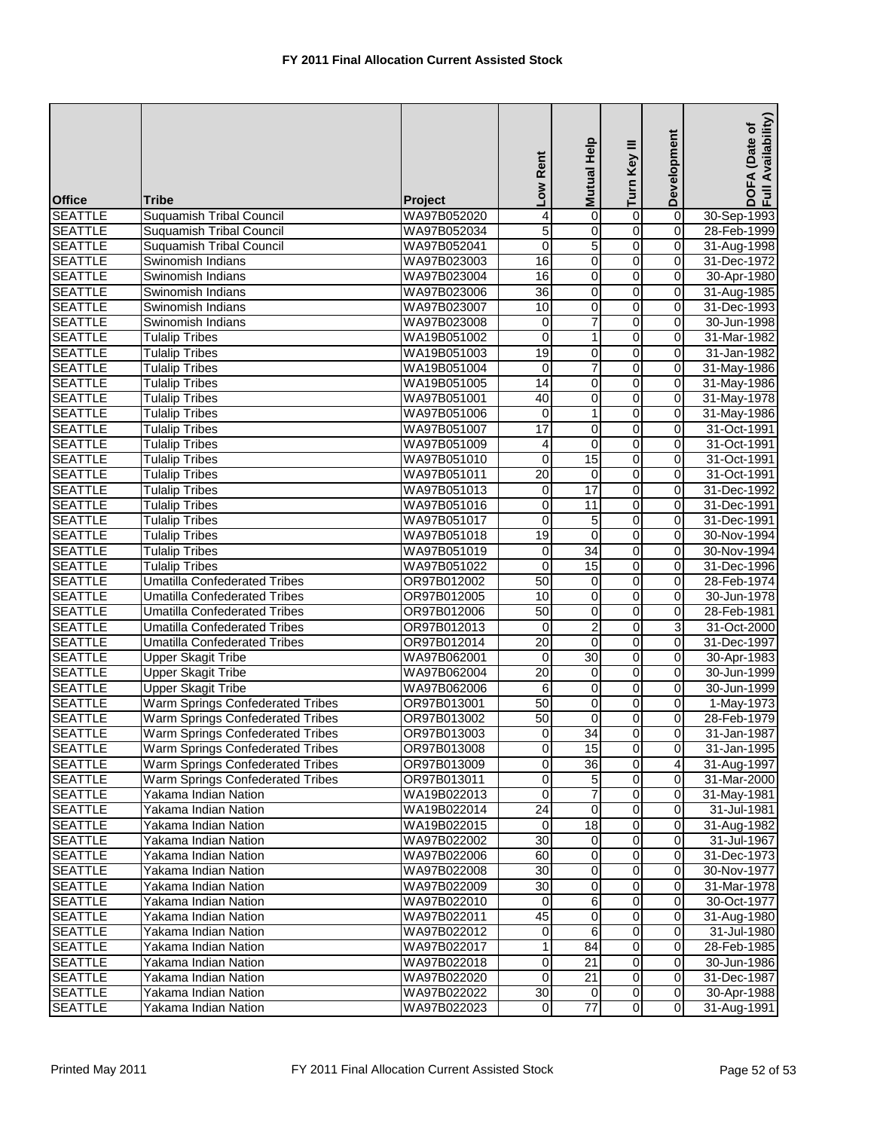| <b>Office</b>  | <b>Tribe</b>                        | <b>Project</b>             | Low Rent        | Help<br><b>Mutual</b>   | Turn Key III            | Development    | Availability)<br>(Date of<br>DOFA<br>Full Av |
|----------------|-------------------------------------|----------------------------|-----------------|-------------------------|-------------------------|----------------|----------------------------------------------|
| <b>SEATTLE</b> | <b>Suquamish Tribal Council</b>     | WA97B052020                | 4               | 0                       | $\overline{0}$          | $\overline{0}$ | 30-Sep-1993                                  |
| <b>SEATTLE</b> | <b>Suquamish Tribal Council</b>     | WA97B052034                | 5               | 0                       | 0                       | $\mathbf 0$    | 28-Feb-1999                                  |
| <b>SEATTLE</b> | <b>Suquamish Tribal Council</b>     | WA97B052041                | $\mathbf 0$     | 5                       | $\overline{0}$          | $\mathbf 0$    | 31-Aug-1998                                  |
| <b>SEATTLE</b> | Swinomish Indians                   | WA97B023003                | 16              | 0                       | 0                       | 0              | 31-Dec-1972                                  |
| <b>SEATTLE</b> | Swinomish Indians                   | WA97B023004                | 16              | 0                       | $\overline{0}$          | $\mathbf 0$    | 30-Apr-1980                                  |
| <b>SEATTLE</b> | Swinomish Indians                   | WA97B023006                | $\overline{36}$ | 0                       | $\mathbf 0$             | $\mathbf 0$    | 31-Aug-1985                                  |
| <b>SEATTLE</b> | Swinomish Indians                   | WA97B023007                | 10              | 0                       | 0                       | $\mathbf 0$    | 31-Dec-1993                                  |
| <b>SEATTLE</b> | Swinomish Indians                   | WA97B023008                | 0               | $\overline{7}$          | 0                       | $\mathbf 0$    | 30-Jun-1998                                  |
| <b>SEATTLE</b> | <b>Tulalip Tribes</b>               | WA19B051002                | $\mathbf 0$     | 1                       | 0                       | 0              | 31-Mar-1982                                  |
| <b>SEATTLE</b> | <b>Tulalip Tribes</b>               | WA19B051003                | 19              | $\overline{\mathbf{o}}$ | $\overline{0}$          | $\mathbf 0$    | 31-Jan-1982                                  |
| <b>SEATTLE</b> | <b>Tulalip Tribes</b>               | WA19B051004                | $\mathbf 0$     | $\overline{7}$          | 0                       | $\mathbf 0$    | 31-May-1986                                  |
| <b>SEATTLE</b> | <b>Tulalip Tribes</b>               | WA19B051005                | 14              | 0                       | $\overline{0}$          | $\overline{0}$ | 31-May-1986                                  |
| <b>SEATTLE</b> | <b>Tulalip Tribes</b>               | WA97B051001                | 40              | 0                       | 0                       | $\mathbf 0$    | 31-May-1978                                  |
| <b>SEATTLE</b> | <b>Tulalip Tribes</b>               | WA97B051006                | $\pmb{0}$       | 1                       | $\overline{0}$          | $\overline{0}$ | 31-May-1986                                  |
| <b>SEATTLE</b> | <b>Tulalip Tribes</b>               | WA97B051007                | $\overline{17}$ | 0                       | 0                       | $\mathbf 0$    | 31-Oct-1991                                  |
| <b>SEATTLE</b> | <b>Tulalip Tribes</b>               | WA97B051009                | 4               | 0                       | 0                       | 0              | 31-Oct-1991                                  |
| <b>SEATTLE</b> | <b>Tulalip Tribes</b>               | WA97B051010                | $\mathbf 0$     | 15                      | 0                       | $\mathbf 0$    | 31-Oct-1991                                  |
| <b>SEATTLE</b> | <b>Tulalip Tribes</b>               | WA97B051011                | $\overline{20}$ | 0                       | 0                       | 0              | 31-Oct-1991                                  |
| <b>SEATTLE</b> | <b>Tulalip Tribes</b>               | WA97B051013                | 0               | 17                      | $\overline{0}$          | $\mathbf 0$    | 31-Dec-1992                                  |
| <b>SEATTLE</b> | <b>Tulalip Tribes</b>               | WA97B051016                | $\mathbf 0$     | 11                      | 0                       | 0              | 31-Dec-1991                                  |
|                |                                     |                            | $\mathbf 0$     |                         | 0                       | $\overline{0}$ |                                              |
| <b>SEATTLE</b> | <b>Tulalip Tribes</b>               | WA97B051017<br>WA97B051018 | 19              | 5<br>$\boldsymbol{0}$   | 0                       | 0              | 31-Dec-1991                                  |
| <b>SEATTLE</b> | <b>Tulalip Tribes</b>               |                            |                 |                         |                         |                | 30-Nov-1994                                  |
| <b>SEATTLE</b> | <b>Tulalip Tribes</b>               | WA97B051019                | 0               | 34                      | $\overline{0}$          | 0              | 30-Nov-1994                                  |
| <b>SEATTLE</b> | <b>Tulalip Tribes</b>               | WA97B051022                | $\mathbf 0$     | 15                      | 0                       | $\mathbf 0$    | 31-Dec-1996                                  |
| <b>SEATTLE</b> | <b>Umatilla Confederated Tribes</b> | OR97B012002                | 50              | 0                       | 0                       | 0              | 28-Feb-1974                                  |
| <b>SEATTLE</b> | <b>Umatilla Confederated Tribes</b> | OR97B012005                | 10              | 0                       | 0                       | $\mathbf 0$    | 30-Jun-1978                                  |
| <b>SEATTLE</b> | <b>Umatilla Confederated Tribes</b> | OR97B012006                | 50              | 0                       | 0                       | 0              | 28-Feb-1981                                  |
| <b>SEATTLE</b> | <b>Umatilla Confederated Tribes</b> | OR97B012013                | 0               | $\overline{c}$          | 0                       | 3              | 31-Oct-2000                                  |
| <b>SEATTLE</b> | <b>Umatilla Confederated Tribes</b> | OR97B012014                | $\overline{20}$ | 0                       | 0                       | 0              | 31-Dec-1997                                  |
| <b>SEATTLE</b> | <b>Upper Skagit Tribe</b>           | WA97B062001                | 0               | 30                      | $\overline{0}$          | $\mathbf 0$    | 30-Apr-1983                                  |
| <b>SEATTLE</b> | <b>Upper Skagit Tribe</b>           | WA97B062004                | $\overline{20}$ | 0                       | $\overline{0}$          | $\overline{0}$ | 30-Jun-1999                                  |
| <b>SEATTLE</b> | <b>Upper Skagit Tribe</b>           | WA97B062006                | 6               | 0                       | $\overline{0}$          | 0              | 30-Jun-1999                                  |
| <b>SEATTLE</b> | Warm Springs Confederated Tribes    | OR97B013001                | 50              | 0                       | 0                       | $\mathbf 0$    | 1-May-1973                                   |
| <b>SEATTLE</b> | Warm Springs Confederated Tribes    | OR97B013002                | 50              | 0                       | 0                       | 0              | 28-Feb-1979                                  |
| <b>SEATTLE</b> | Warm Springs Confederated Tribes    | OR97B013003                | $\overline{0}$  | 34                      | $\overline{0}$          | $\overline{0}$ | 31-Jan-1987                                  |
| <b>SEATTLE</b> | Warm Springs Confederated Tribes    | OR97B013008                | $\overline{0}$  | 15                      | $\overline{0}$          | $\mathbf 0$    | 31-Jan-1995                                  |
| <b>SEATTLE</b> | Warm Springs Confederated Tribes    | OR97B013009                | 0               | $\overline{36}$         | $\overline{0}$          | $\overline{4}$ | 31-Aug-1997                                  |
| <b>SEATTLE</b> | Warm Springs Confederated Tribes    | OR97B013011                | 0               | 5                       | 0                       | $\mathbf 0$    | 31-Mar-2000                                  |
| <b>SEATTLE</b> | Yakama Indian Nation                | WA19B022013                | $\mathbf 0$     | 7                       | $\overline{\mathbf{o}}$ | $\mathbf 0$    | 31-May-1981                                  |
| <b>SEATTLE</b> | Yakama Indian Nation                | WA19B022014                | 24              | $\boldsymbol{0}$        | 0                       | $\mathbf 0$    | 31-Jul-1981                                  |
| <b>SEATTLE</b> | Yakama Indian Nation                | WA19B022015                | 0               | $\overline{18}$         | 0                       | 0              | 31-Aug-1982                                  |
| <b>SEATTLE</b> | Yakama Indian Nation                | WA97B022002                | $\overline{30}$ | $\mathbf 0$             | 0                       | $\mathbf 0$    | 31-Jul-1967                                  |
| <b>SEATTLE</b> | Yakama Indian Nation                | WA97B022006                | 60              | 0                       | 0                       | $\mathbf 0$    | 31-Dec-1973                                  |
| <b>SEATTLE</b> | Yakama Indian Nation                | WA97B022008                | $\overline{30}$ | $\overline{\mathbf{o}}$ | $\overline{0}$          | $\overline{0}$ | 30-Nov-1977                                  |
| <b>SEATTLE</b> | Yakama Indian Nation                | WA97B022009                | $\overline{30}$ | 0                       | 0                       | $\mathbf 0$    | 31-Mar-1978                                  |
| <b>SEATTLE</b> | Yakama Indian Nation                | WA97B022010                | 0               | 6                       | 0                       | $\mathbf 0$    | 30-Oct-1977                                  |
| <b>SEATTLE</b> | Yakama Indian Nation                | WA97B022011                | 45              | 0                       | 0                       | $\mathbf 0$    | 31-Aug-1980                                  |
| <b>SEATTLE</b> | Yakama Indian Nation                | WA97B022012                | 0               | 6                       | 0                       | $\mathbf 0$    | 31-Jul-1980                                  |
| <b>SEATTLE</b> | Yakama Indian Nation                | WA97B022017                | 1               | 84                      | 0                       | $\mathbf 0$    | 28-Feb-1985                                  |
| <b>SEATTLE</b> | Yakama Indian Nation                | WA97B022018                | 0               | 21                      | 0                       | 0              | 30-Jun-1986                                  |
| <b>SEATTLE</b> | Yakama Indian Nation                | WA97B022020                | 0               | $\overline{21}$         | 0                       | $\mathbf 0$    | 31-Dec-1987                                  |
| <b>SEATTLE</b> | Yakama Indian Nation                | WA97B022022                | $30\,$          | 0                       | $\overline{0}$          | $\overline{0}$ | 30-Apr-1988                                  |
| <b>SEATTLE</b> | Yakama Indian Nation                | WA97B022023                | 0               | $\overline{77}$         | $\overline{0}$          | $\mathbf 0$    | 31-Aug-1991                                  |